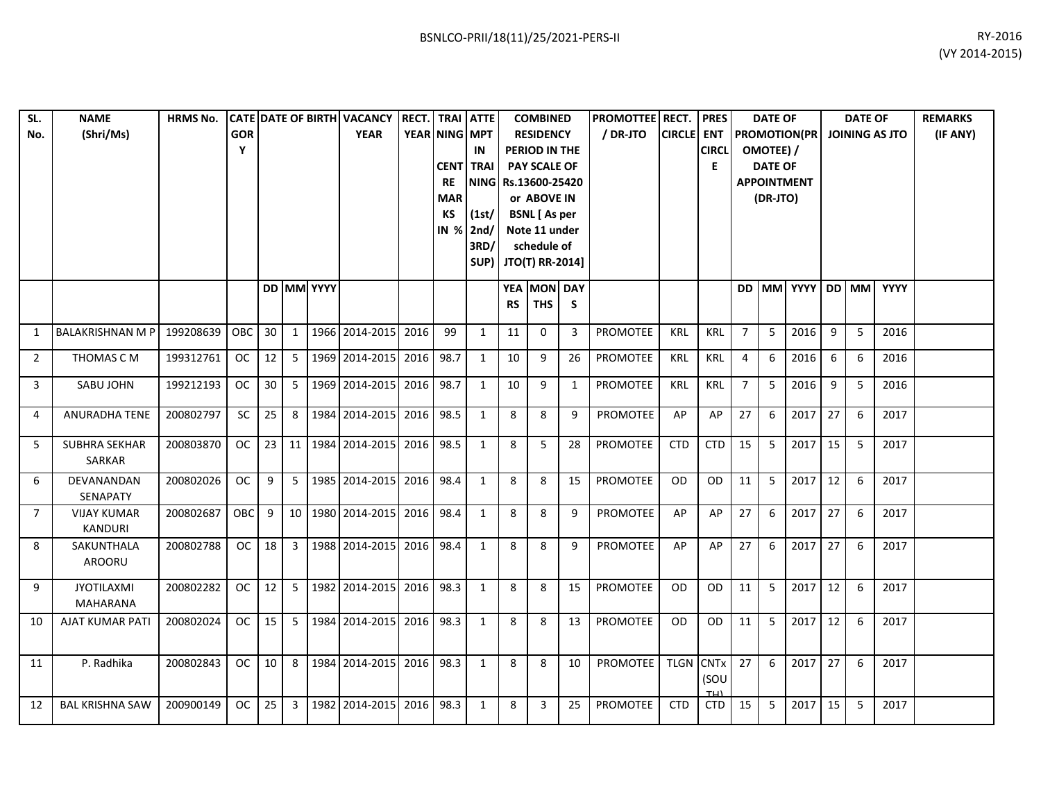| SL.<br>No.     | <b>NAME</b><br>(Shri/Ms)             | <b>HRMS No.</b> | <b>GOR</b><br>Υ |                 |                |                   | CATE DATE OF BIRTH VACANCY RECT. TRAI ATTE<br><b>YEAR</b> |           | YEAR NING MPT<br><b>CENT</b><br><b>RE</b><br><b>MAR</b><br>КS<br><b>IN %</b> | IN<br><b>TRAI</b><br>NING Rs.13600-25420<br>(1st)<br>2nd/<br>3RD/ |           | <b>COMBINED</b><br><b>RESIDENCY</b><br>PERIOD IN THE<br><b>PAY SCALE OF</b><br>or ABOVE IN<br><b>BSNL</b> [As per<br>Note 11 under<br>schedule of<br>SUP) JTO(T) RR-2014] |              | <b>PROMOTTEE</b> RECT.<br>/ DR-JTO | <b>CIRCLE</b> ENT | <b>PRES</b><br><b>CIRCL</b><br>E |                | <b>DATE OF</b><br>OMOTEE) /<br><b>DATE OF</b><br>(DR-JTO) | <b>PROMOTION(PR</b><br><b>APPOINTMENT</b> |                 | <b>DATE OF</b> | <b>JOINING AS JTO</b> | <b>REMARKS</b><br>(IF ANY) |
|----------------|--------------------------------------|-----------------|-----------------|-----------------|----------------|-------------------|-----------------------------------------------------------|-----------|------------------------------------------------------------------------------|-------------------------------------------------------------------|-----------|---------------------------------------------------------------------------------------------------------------------------------------------------------------------------|--------------|------------------------------------|-------------------|----------------------------------|----------------|-----------------------------------------------------------|-------------------------------------------|-----------------|----------------|-----------------------|----------------------------|
|                |                                      |                 |                 |                 |                | <b>DD MM YYYY</b> |                                                           |           |                                                                              |                                                                   | <b>RS</b> | YEA MON DAY<br><b>THS</b>                                                                                                                                                 | S            |                                    |                   |                                  |                |                                                           | DD MM YYYY DD MM YYYY                     |                 |                |                       |                            |
| 1              | <b>BALAKRISHNAN M P</b>              | 199208639       | OBC             | 30              | 1              |                   | 1966 2014-2015                                            | 2016      | 99                                                                           | $\mathbf{1}$                                                      | 11        | $\Omega$                                                                                                                                                                  | 3            | <b>PROMOTEE</b>                    | <b>KRL</b>        | <b>KRL</b>                       | $\overline{7}$ | 5                                                         | 2016                                      | 9               | 5              | 2016                  |                            |
| 2              | THOMAS C M                           | 199312761       | <b>OC</b>       | 12              | 5 <sup>1</sup> |                   | 1969 2014-2015                                            | 2016      | 98.7                                                                         | $\mathbf{1}$                                                      | 10        | 9                                                                                                                                                                         | 26           | <b>PROMOTEE</b>                    | <b>KRL</b>        | <b>KRL</b>                       | 4              | 6                                                         | 2016                                      | 6               | 6              | 2016                  |                            |
| 3              | SABU JOHN                            | 199212193       | <b>OC</b>       | 30 <sup>°</sup> | 5 <sub>1</sub> |                   | 1969 2014-2015                                            | 2016 98.7 |                                                                              | 1                                                                 | 10        | 9                                                                                                                                                                         | $\mathbf{1}$ | PROMOTEE                           | KRL               | <b>KRL</b>                       | 7              | 5                                                         | 2016                                      | 9               | 5              | 2016                  |                            |
| 4              | <b>ANURADHA TENE</b>                 | 200802797       | SC              | 25              | 8 <sup>1</sup> |                   | 1984 2014-2015                                            | 2016      | 98.5                                                                         | $\mathbf{1}$                                                      | 8         | 8                                                                                                                                                                         | 9            | <b>PROMOTEE</b>                    | AP                | AP                               | 27             | 6                                                         | 2017                                      | 27              | 6              | 2017                  |                            |
| 5              | <b>SUBHRA SEKHAR</b><br>SARKAR       | 200803870       | <b>OC</b>       | 23              |                |                   | 11 1984 2014-2015                                         | 2016 98.5 |                                                                              | 1                                                                 | 8         | 5                                                                                                                                                                         | 28           | <b>PROMOTEE</b>                    | <b>CTD</b>        | <b>CTD</b>                       | 15             | 5                                                         | 2017                                      | 15              | 5              | 2017                  |                            |
| 6              | DEVANANDAN<br>SENAPATY               | 200802026       | <b>OC</b>       | 9               |                |                   | 5 1985 2014-2015                                          | 2016 98.4 |                                                                              | $\mathbf{1}$                                                      | 8         | 8                                                                                                                                                                         | 15           | <b>PROMOTEE</b>                    | OD                | OD                               | 11             | 5                                                         | 2017                                      | $\overline{12}$ | 6              | 2017                  |                            |
| $\overline{7}$ | <b>VIJAY KUMAR</b><br><b>KANDURI</b> | 200802687       | OBC             | 9               |                |                   | 10 1980 2014-2015                                         | 2016      | 98.4                                                                         | $\mathbf{1}$                                                      | 8         | 8                                                                                                                                                                         | 9            | <b>PROMOTEE</b>                    | AP                | AP                               | 27             | 6                                                         | 2017                                      | 27              | 6              | 2017                  |                            |
| 8              | SAKUNTHALA<br>AROORU                 | 200802788       | <b>OC</b>       | 18              |                |                   | 3 1988 2014-2015                                          | 2016 98.4 |                                                                              | 1                                                                 | 8         | 8                                                                                                                                                                         | 9            | <b>PROMOTEE</b>                    | AP                | AP                               | 27             | 6                                                         | 2017                                      | 27              | 6              | 2017                  |                            |
| 9              | <b>JYOTILAXMI</b><br><b>MAHARANA</b> | 200802282       | <b>OC</b>       | 12              |                |                   | 5   1982   2014-2015                                      | 2016 98.3 |                                                                              | $\mathbf{1}$                                                      | 8         | 8                                                                                                                                                                         | 15           | PROMOTEE                           | <b>OD</b>         | <b>OD</b>                        | 11             | 5                                                         | 2017                                      | 12              | 6              | 2017                  |                            |
| 10             | <b>AJAT KUMAR PATI</b>               | 200802024       | <b>OC</b>       | 15              |                |                   | 5 1984 2014-2015                                          | 2016 98.3 |                                                                              | 1                                                                 | 8         | 8                                                                                                                                                                         | 13           | PROMOTEE                           | <b>OD</b>         | <b>OD</b>                        | 11             | 5                                                         | 2017                                      | 12              | 6              | 2017                  |                            |
| 11             | P. Radhika                           | 200802843       | OC              | 10 <sup>1</sup> |                |                   | 8 1984 2014-2015 2016 98.3                                |           |                                                                              | 1                                                                 | 8         | 8                                                                                                                                                                         | 10           | PROMOTEE TLGN CNTx                 |                   | (SOU<br>TH                       | 27             | 6                                                         | 2017                                      | 27              | 6              | 2017                  |                            |
| 12             | <b>BAL KRISHNA SAW</b>               | 200900149       | <b>OC</b>       | 25              |                |                   | 3 1982 2014-2015                                          | 2016 98.3 |                                                                              | $\mathbf{1}$                                                      | 8         | 3                                                                                                                                                                         | 25           | PROMOTEE                           | <b>CTD</b>        | <b>CTD</b>                       | 15             | 5                                                         | 2017                                      | 15              | 5              | 2017                  |                            |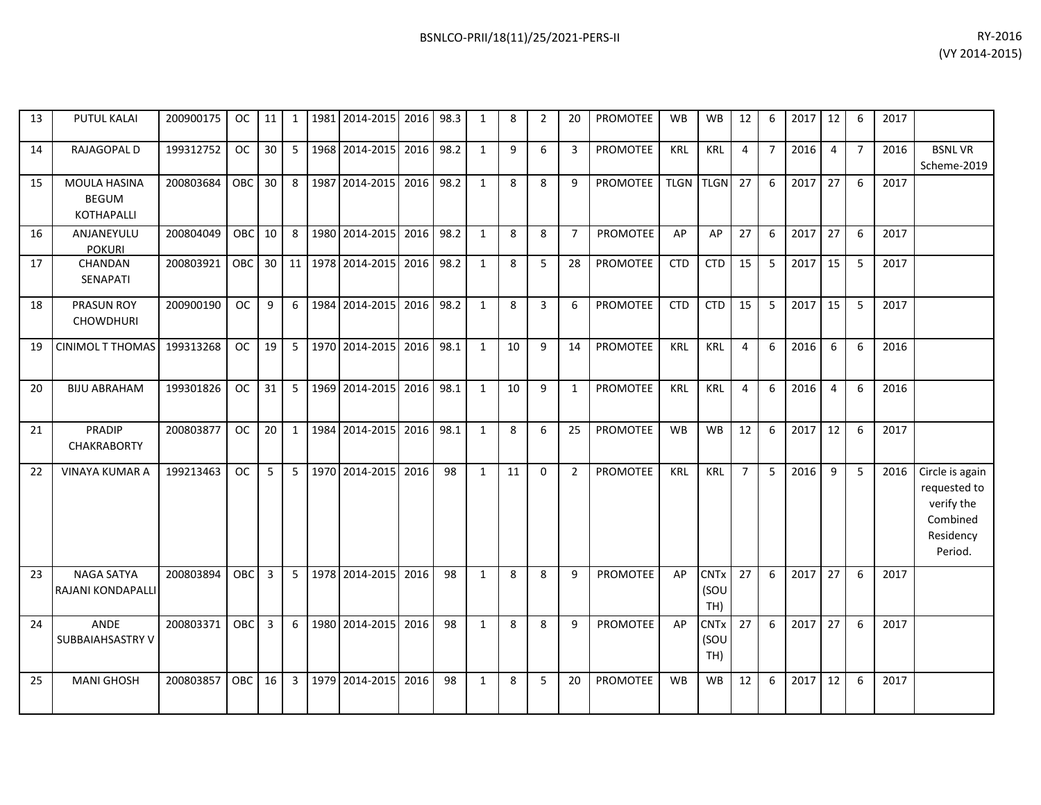| 13 | PUTUL KALAI                                       | 200900175 | OC.        | 11 |                |      | 1   1981   2014-2015 | 2016 | 98.3 | 1            | 8  | $\overline{2}$ | 20             | PROMOTEE        | <b>WB</b>  | <b>WB</b>                             | 12             | 6                | 2017 | 12             | 6              | 2017 |                                                                                   |
|----|---------------------------------------------------|-----------|------------|----|----------------|------|----------------------|------|------|--------------|----|----------------|----------------|-----------------|------------|---------------------------------------|----------------|------------------|------|----------------|----------------|------|-----------------------------------------------------------------------------------|
| 14 | RAJAGOPAL D                                       | 199312752 | <b>OC</b>  | 30 | 5              |      | 1968 2014-2015       | 2016 | 98.2 | $\mathbf{1}$ | 9  | 6              | 3              | PROMOTEE        | <b>KRL</b> | <b>KRL</b>                            | 4              | $\overline{7}$   | 2016 | $\overline{4}$ | $\overline{7}$ | 2016 | <b>BSNLVR</b><br>Scheme-2019                                                      |
| 15 | MOULA HASINA<br><b>BEGUM</b><br><b>KOTHAPALLI</b> | 200803684 | <b>OBC</b> | 30 | 8              |      | 1987 2014-2015       | 2016 | 98.2 | $\mathbf{1}$ | 8  | 8              | 9              | PROMOTEE        |            | TLGN TLGN                             | 27             | 6                | 2017 | 27             | 6              | 2017 |                                                                                   |
| 16 | ANJANEYULU<br><b>POKURI</b>                       | 200804049 | OBC.       | 10 | 8              |      | 1980 2014-2015       | 2016 | 98.2 | 1            | 8  | 8              | $\overline{7}$ | <b>PROMOTEE</b> | AP         | AP                                    | 27             | 6                | 2017 | 27             | 6              | 2017 |                                                                                   |
| 17 | CHANDAN<br>SENAPATI                               | 200803921 | <b>OBC</b> | 30 |                |      | 11 1978 2014-2015    | 2016 | 98.2 | 1            | 8  | 5              | 28             | <b>PROMOTEE</b> | <b>CTD</b> | <b>CTD</b>                            | 15             | -5               | 2017 | 15             | 5              | 2017 |                                                                                   |
| 18 | <b>PRASUN ROY</b><br><b>CHOWDHURI</b>             | 200900190 | <b>OC</b>  | 9  | 6              |      | 1984 2014-2015       | 2016 | 98.2 | $\mathbf{1}$ | 8  | $\overline{3}$ | 6              | PROMOTEE        | <b>CTD</b> | <b>CTD</b>                            | 15             | 5                | 2017 | 15             | 5              | 2017 |                                                                                   |
| 19 | <b>CINIMOL T THOMAS</b>                           | 199313268 | OC.        | 19 | 5 <sub>1</sub> |      | 1970 2014-2015       | 2016 | 98.1 | 1            | 10 | 9              | 14             | <b>PROMOTEE</b> | <b>KRL</b> | <b>KRL</b>                            | 4              | 6                | 2016 | 6              | 6              | 2016 |                                                                                   |
| 20 | <b>BIJU ABRAHAM</b>                               | 199301826 | OC.        | 31 | 5 <sub>1</sub> |      | 1969 2014-2015       | 2016 | 98.1 | $\mathbf{1}$ | 10 | 9              | $\mathbf{1}$   | <b>PROMOTEE</b> | <b>KRL</b> | KRL                                   | 4              | 6                | 2016 | $\overline{4}$ | 6              | 2016 |                                                                                   |
| 21 | <b>PRADIP</b><br><b>CHAKRABORTY</b>               | 200803877 | OC.        | 20 | $\mathbf{1}$   | 1984 | 2014-2015            | 2016 | 98.1 | 1            | 8  | 6              | 25             | <b>PROMOTEE</b> | <b>WB</b>  | <b>WB</b>                             | 12             | 6                | 2017 | 12             | 6              | 2017 |                                                                                   |
| 22 | <b>VINAYA KUMAR A</b>                             | 199213463 | OC.        | 5  | 5 <sup>1</sup> |      | 1970 2014-2015       | 2016 | 98   | 1            | 11 | $\Omega$       | 2              | <b>PROMOTEE</b> | <b>KRL</b> | <b>KRL</b>                            | $\overline{7}$ | 5                | 2016 | 9              | 5              | 2016 | Circle is again<br>requested to<br>verify the<br>Combined<br>Residency<br>Period. |
| 23 | <b>NAGA SATYA</b><br>RAJANI KONDAPALLI            | 200803894 | <b>OBC</b> | 3  | $5-1$          |      | 1978 2014-2015       | 2016 | 98   | $\mathbf{1}$ | 8  | 8              | 9              | <b>PROMOTEE</b> | AP         | <b>CNT<sub>x</sub></b><br>(SOU<br>TH) | 27             | 6                | 2017 | 27             | 6              | 2017 |                                                                                   |
| 24 | ANDE<br>SUBBAIAHSASTRY V                          | 200803371 | OBC        | 3  | 6              |      | 1980 2014-2015       | 2016 | 98   | $\mathbf{1}$ | 8  | 8              | 9              | <b>PROMOTEE</b> | AP         | <b>CNT<sub>x</sub></b><br>(SOU<br>TH) | 27             | $6 \overline{6}$ | 2017 | 27             | 6              | 2017 |                                                                                   |
| 25 | <b>MANI GHOSH</b>                                 | 200803857 | <b>OBC</b> | 16 | 3              |      | 1979 2014-2015       | 2016 | 98   | 1            | 8  | 5              | 20             | <b>PROMOTEE</b> | <b>WB</b>  | <b>WB</b>                             | 12             | 6                | 2017 | 12             | 6              | 2017 |                                                                                   |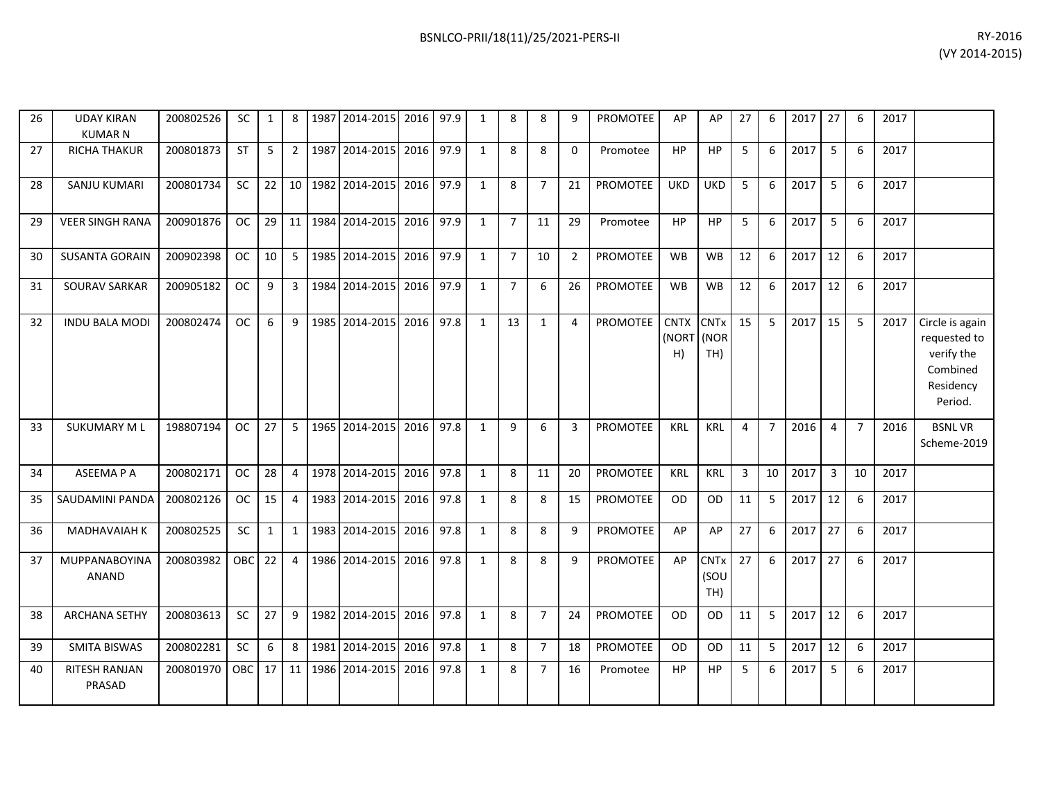| 26 | <b>UDAY KIRAN</b><br><b>KUMARN</b> | 200802526 | <b>SC</b> | $\mathbf{1}$ | 8              | 1987 | 2014-2015         | 2016      | 97.9 | 1            | 8              | 8              | 9              | <b>PROMOTEE</b> | AP                         | AP                         | 27           | 6              | 2017 | 27             | 6              | 2017 |                                                                                   |
|----|------------------------------------|-----------|-----------|--------------|----------------|------|-------------------|-----------|------|--------------|----------------|----------------|----------------|-----------------|----------------------------|----------------------------|--------------|----------------|------|----------------|----------------|------|-----------------------------------------------------------------------------------|
| 27 | <b>RICHA THAKUR</b>                | 200801873 | <b>ST</b> | 5            | $2^{\circ}$    |      | 1987 2014-2015    | 2016      | 97.9 | 1            | 8              | 8              | $\mathbf{0}$   | Promotee        | <b>HP</b>                  | <b>HP</b>                  | 5            | 6              | 2017 | 5              | 6              | 2017 |                                                                                   |
| 28 | SANJU KUMARI                       | 200801734 | <b>SC</b> | 22           |                |      | 10 1982 2014-2015 | 2016      | 97.9 | 1            | 8              | $\overline{7}$ | 21             | PROMOTEE        | <b>UKD</b>                 | <b>UKD</b>                 | 5            | 6              | 2017 | 5              | 6              | 2017 |                                                                                   |
| 29 | <b>VEER SINGH RANA</b>             | 200901876 | <b>OC</b> | 29           | 11             |      | 1984 2014-2015    | 2016      | 97.9 | $\mathbf{1}$ | $\overline{7}$ | 11             | 29             | Promotee        | HP                         | HP                         | 5            | 6              | 2017 | 5              | 6              | 2017 |                                                                                   |
| 30 | <b>SUSANTA GORAIN</b>              | 200902398 | <b>OC</b> | 10           | 5 <sup>1</sup> |      | 1985 2014-2015    | 2016      | 97.9 | 1            | $\overline{7}$ | 10             | $\overline{2}$ | <b>PROMOTEE</b> | <b>WB</b>                  | <b>WB</b>                  | 12           | 6              | 2017 | 12             | 6              | 2017 |                                                                                   |
| 31 | <b>SOURAV SARKAR</b>               | 200905182 | <b>OC</b> | 9            | 3 <sup>7</sup> |      | 1984 2014-2015    | 2016      | 97.9 | 1            | $\overline{7}$ | 6              | 26             | PROMOTEE        | <b>WB</b>                  | <b>WB</b>                  | 12           | 6              | 2017 | 12             | 6              | 2017 |                                                                                   |
| 32 | <b>INDU BALA MODI</b>              | 200802474 | <b>OC</b> | 6            | 9              |      | 1985 2014-2015    | 2016 97.8 |      | 1            | 13             | $\mathbf{1}$   | $\overline{4}$ | PROMOTEE        | <b>CNTX</b><br>(NORT<br>H) | <b>CNTx</b><br>(NOR<br>TH) | 15           | 5              | 2017 | 15             | 5              | 2017 | Circle is again<br>requested to<br>verify the<br>Combined<br>Residency<br>Period. |
| 33 | <b>SUKUMARY ML</b>                 | 198807194 | <b>OC</b> | 27           | 5              |      | 1965 2014-2015    | 2016      | 97.8 | $\mathbf{1}$ | 9              | 6              | 3              | PROMOTEE        | <b>KRL</b>                 | <b>KRL</b>                 | 4            | $\overline{7}$ | 2016 | 4              | $\overline{7}$ | 2016 | <b>BSNLVR</b><br>Scheme-2019                                                      |
| 34 | ASEEMA P A                         | 200802171 | <b>OC</b> | 28           | $\overline{4}$ |      | 1978 2014-2015    | 2016      | 97.8 | 1            | 8              | 11             | 20             | <b>PROMOTEE</b> | <b>KRL</b>                 | <b>KRL</b>                 | $\mathbf{3}$ | 10             | 2017 | $\overline{3}$ | 10             | 2017 |                                                                                   |
| 35 | SAUDAMINI PANDA                    | 200802126 | <b>OC</b> | 15           | 4              |      | 1983 2014-2015    | 2016      | 97.8 | 1            | 8              | 8              | 15             | PROMOTEE        | <b>OD</b>                  | <b>OD</b>                  | 11           | 5              | 2017 | 12             | 6              | 2017 |                                                                                   |
| 36 | MADHAVAIAH K                       | 200802525 | SC        | $\mathbf{1}$ | 1              |      | 1983 2014-2015    | 2016      | 97.8 | 1            | 8              | 8              | 9              | <b>PROMOTEE</b> | AP                         | AP                         | 27           | 6              | 2017 | 27             | 6              | 2017 |                                                                                   |
| 37 | MUPPANABOYINA<br><b>ANAND</b>      | 200803982 | OBC       | 22           | $\overline{4}$ |      | 1986 2014-2015    | 2016      | 97.8 | $\mathbf{1}$ | 8              | 8              | 9              | PROMOTEE        | AP                         | <b>CNTx</b><br>(SOU<br>TH) | 27           | 6              | 2017 | 27             | 6              | 2017 |                                                                                   |
| 38 | <b>ARCHANA SETHY</b>               | 200803613 | SC        | 27           | 9              |      | 1982 2014-2015    | 2016      | 97.8 | $\mathbf{1}$ | 8              | $\overline{7}$ | 24             | <b>PROMOTEE</b> | <b>OD</b>                  | <b>OD</b>                  | 11           | 5              | 2017 | 12             | 6              | 2017 |                                                                                   |
| 39 | <b>SMITA BISWAS</b>                | 200802281 | SC        | 6            | 8              |      | 1981 2014-2015    | 2016      | 97.8 | 1            | 8              | $\overline{7}$ | 18             | <b>PROMOTEE</b> | <b>OD</b>                  | <b>OD</b>                  | 11           | 5              | 2017 | 12             | 6              | 2017 |                                                                                   |
| 40 | <b>RITESH RANJAN</b><br>PRASAD     | 200801970 | OBC       | 17           | 11             |      | 1986 2014-2015    | 2016      | 97.8 | $\mathbf{1}$ | 8              | $\overline{7}$ | 16             | Promotee        | HP                         | HP                         | 5            | 6              | 2017 | 5              | 6              | 2017 |                                                                                   |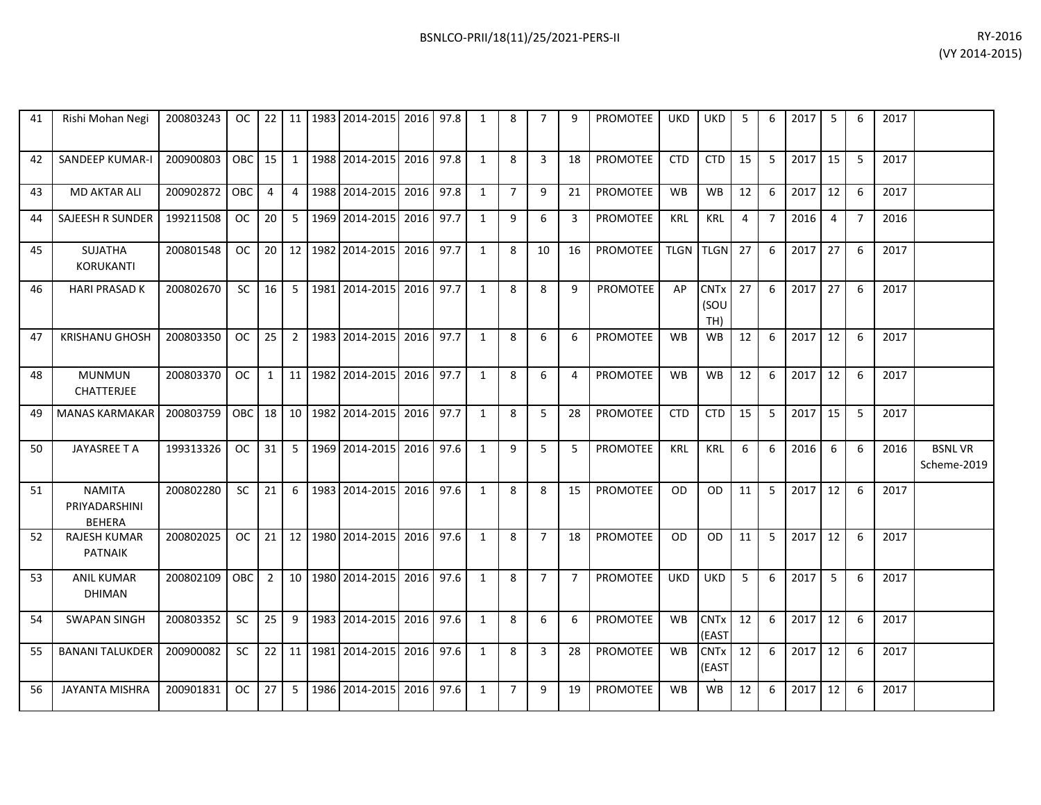| BSNLCO-PRII/18(11)/25/2021-PERS-II | RY-2016        |
|------------------------------------|----------------|
|                                    | (VY 2014-2015) |

| 41 | Rishi Mohan Negi                                | 200803243 | OC.        | 22             | 11              | 1983    | 2014-2015   2016   97.8 |      |      | 1            | 8              | $\overline{7}$ | 9              | <b>PROMOTEE</b> | UKD         | <b>UKD</b>                      | 5  | 6              | 2017 | 5  | 6              | 2017 |                              |
|----|-------------------------------------------------|-----------|------------|----------------|-----------------|---------|-------------------------|------|------|--------------|----------------|----------------|----------------|-----------------|-------------|---------------------------------|----|----------------|------|----|----------------|------|------------------------------|
| 42 | SANDEEP KUMAR-I                                 | 200900803 | OBC        | 15             | 1               | 1988    | 2014-2015 2016          |      | 97.8 | $\mathbf{1}$ | 8              | 3              | 18             | <b>PROMOTEE</b> | <b>CTD</b>  | <b>CTD</b>                      | 15 | 5              | 2017 | 15 | 5              | 2017 |                              |
| 43 | <b>MD AKTAR ALI</b>                             | 200902872 | <b>OBC</b> | $\overline{4}$ | $\overline{4}$  | 1988    | 2014-2015               | 2016 | 97.8 | $\mathbf{1}$ | $\overline{7}$ | 9              | 21             | <b>PROMOTEE</b> | <b>WB</b>   | <b>WB</b>                       | 12 | 6              | 2017 | 12 | 6              | 2017 |                              |
| 44 | <b>SAJEESH R SUNDER</b>                         | 199211508 | <b>OC</b>  | 20             | 5               | 1969    | 2014-2015               | 2016 | 97.7 | $\mathbf{1}$ | 9              | 6              | 3              | <b>PROMOTEE</b> | <b>KRL</b>  | <b>KRL</b>                      | 4  | $\overline{7}$ | 2016 | 4  | $\overline{7}$ | 2016 |                              |
| 45 | <b>SUJATHA</b><br><b>KORUKANTI</b>              | 200801548 | <b>OC</b>  | 20             |                 | 12 1982 | 2014-2015               | 2016 | 97.7 | $\mathbf{1}$ | 8              | 10             | 16             | <b>PROMOTEE</b> | <b>TLGN</b> | <b>TLGN</b>                     | 27 | 6              | 2017 | 27 | 6              | 2017 |                              |
| 46 | <b>HARI PRASAD K</b>                            | 200802670 | <b>SC</b>  | 16             | 5               |         | 1981 2014-2015          | 2016 | 97.7 | $\mathbf{1}$ | 8              | 8              | 9              | <b>PROMOTEE</b> | AP          | <b>CNTx</b><br>(SOU<br>TH)      | 27 | 6              | 2017 | 27 | 6              | 2017 |                              |
| 47 | <b>KRISHANU GHOSH</b>                           | 200803350 | <b>OC</b>  | 25             | $\overline{2}$  | 1983    | 2014-2015               | 2016 | 97.7 | $\mathbf{1}$ | 8              | 6              | 6              | <b>PROMOTEE</b> | <b>WB</b>   | <b>WB</b>                       | 12 | 6              | 2017 | 12 | 6              | 2017 |                              |
| 48 | <b>MUNMUN</b><br><b>CHATTERJEE</b>              | 200803370 | <b>OC</b>  | $\mathbf{1}$   | 11 <sup>1</sup> | 1982    | 2014-2015 2016          |      | 97.7 | $\mathbf{1}$ | 8              | 6              | 4              | <b>PROMOTEE</b> | <b>WB</b>   | <b>WB</b>                       | 12 | 6              | 2017 | 12 | 6              | 2017 |                              |
| 49 | <b>MANAS KARMAKAR</b>                           | 200803759 | <b>OBC</b> | 18             |                 |         | 10 1982 2014-2015 2016  |      | 97.7 | $\mathbf{1}$ | 8              | 5              | 28             | <b>PROMOTEE</b> | <b>CTD</b>  | <b>CTD</b>                      | 15 | 5              | 2017 | 15 | 5              | 2017 |                              |
| 50 | JAYASREE T A                                    | 199313326 | OC.        | 31             | -5              | 1969    | 2014-2015 2016          |      | 97.6 | 1            | 9              | 5              | 5              | <b>PROMOTEE</b> | <b>KRL</b>  | <b>KRL</b>                      | 6  | 6              | 2016 | 6  | 6              | 2016 | <b>BSNLVR</b><br>Scheme-2019 |
| 51 | <b>NAMITA</b><br>PRIYADARSHINI<br><b>BEHERA</b> | 200802280 | SC         | 21             | 6               | 1983    | 2014-2015               | 2016 | 97.6 | $\mathbf{1}$ | 8              | 8              | 15             | <b>PROMOTEE</b> | <b>OD</b>   | <b>OD</b>                       | 11 | 5              | 2017 | 12 | 6              | 2017 |                              |
| 52 | <b>RAJESH KUMAR</b><br><b>PATNAIK</b>           | 200802025 | OC.        | 21             |                 | 12 1980 | 2014-2015               | 2016 | 97.6 | $\mathbf{1}$ | 8              | $\overline{7}$ | 18             | PROMOTEE        | <b>OD</b>   | <b>OD</b>                       | 11 | 5              | 2017 | 12 | 6              | 2017 |                              |
| 53 | <b>ANIL KUMAR</b><br><b>DHIMAN</b>              | 200802109 | OBC        | $\overline{2}$ |                 |         | 10 1980 2014-2015 2016  |      | 97.6 | $\mathbf{1}$ | 8              | $\overline{7}$ | $\overline{7}$ | <b>PROMOTEE</b> | <b>UKD</b>  | UKD                             | 5  | 6              | 2017 | 5  | 6              | 2017 |                              |
| 54 | <b>SWAPAN SINGH</b>                             | 200803352 | <b>SC</b>  | 25             | 9               | 1983    | 2014-2015               | 2016 | 97.6 | $\mathbf{1}$ | 8              | 6              | 6              | <b>PROMOTEE</b> | <b>WB</b>   | <b>CNT<sub>x</sub></b><br>(EAST | 12 | 6              | 2017 | 12 | 6              | 2017 |                              |
| 55 | <b>BANANI TALUKDER</b>                          | 200900082 | <b>SC</b>  | 22             |                 | 11 1981 | 2014-2015               | 2016 | 97.6 | $\mathbf{1}$ | 8              | 3              | 28             | <b>PROMOTEE</b> | <b>WB</b>   | <b>CNT<sub>x</sub></b><br>(EAST | 12 | 6              | 2017 | 12 | 6              | 2017 |                              |
| 56 | <b>JAYANTA MISHRA</b>                           | 200901831 | <b>OC</b>  | 27             | 5               |         | 1986 2014-2015 2016     |      | 97.6 | 1            | $\overline{7}$ | 9              | 19             | PROMOTEE        | <b>WB</b>   | <b>WB</b>                       | 12 | 6              | 2017 | 12 | 6              | 2017 |                              |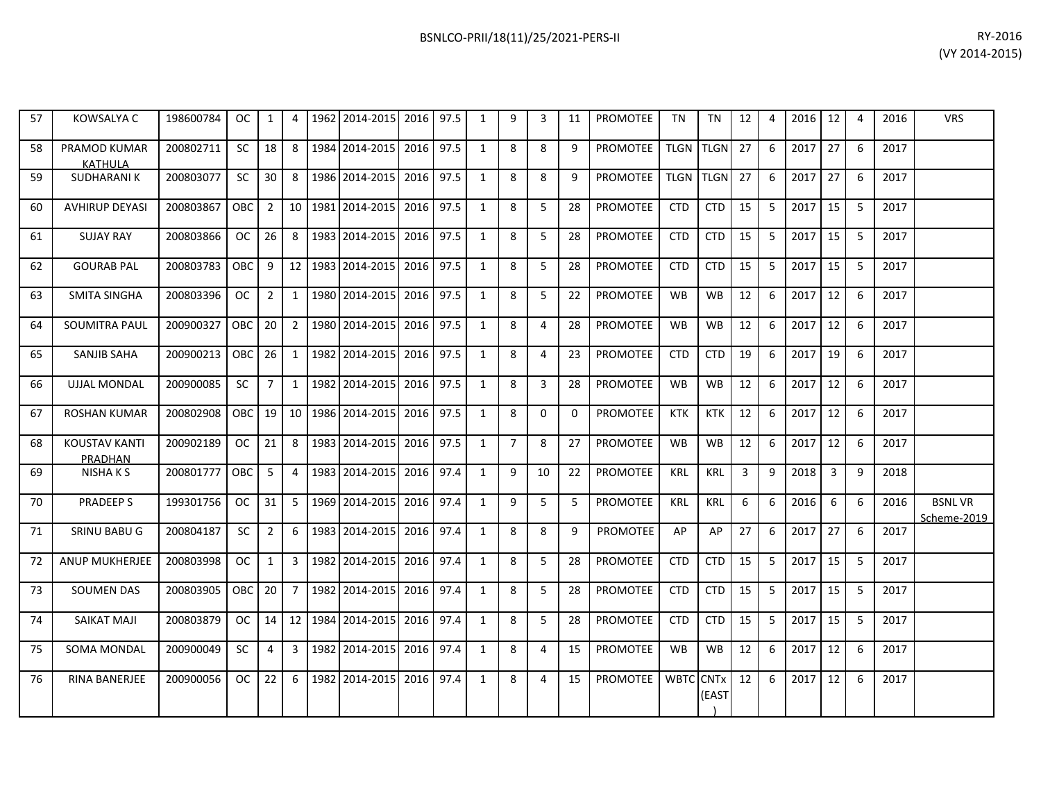| 57 | KOWSALYA C                      | 198600784 | OC.           | $\mathbf{1}$   | 4               | 1962 | 2014-2015      | 2016 | 97.5 | 1            | 9              | 3              | 11       | <b>PROMOTEE</b> | <b>TN</b>   | <b>TN</b>   | 12 | 4            | 2016 | 12 | 4 | 2016 | <b>VRS</b>                   |
|----|---------------------------------|-----------|---------------|----------------|-----------------|------|----------------|------|------|--------------|----------------|----------------|----------|-----------------|-------------|-------------|----|--------------|------|----|---|------|------------------------------|
| 58 | PRAMOD KUMAR<br><b>KATHULA</b>  | 200802711 | <b>SC</b>     | 18             | 8               |      | 1984 2014-2015 | 2016 | 97.5 | $\mathbf{1}$ | 8              | 8              | 9        | <b>PROMOTEE</b> | TLGN        | <b>TLGN</b> | 27 | 6            | 2017 | 27 | 6 | 2017 |                              |
| 59 | <b>SUDHARANIK</b>               | 200803077 | <b>SC</b>     | 30             | 8               |      | 1986 2014-2015 | 2016 | 97.5 | 1            | 8              | 8              | 9        | PROMOTEE        | <b>TLGN</b> | <b>TLGN</b> | 27 | 6            | 2017 | 27 | 6 | 2017 |                              |
| 60 | <b>AVHIRUP DEYASI</b>           | 200803867 | ОВС           | $\overline{2}$ | 10 <sup>1</sup> |      | 1981 2014-2015 | 2016 | 97.5 | 1            | 8              | 5              | 28       | <b>PROMOTEE</b> | <b>CTD</b>  | <b>CTD</b>  | 15 | 5            | 2017 | 15 | 5 | 2017 |                              |
| 61 | <b>SUJAY RAY</b>                | 200803866 | OC.           | 26             | 8               |      | 1983 2014-2015 | 2016 | 97.5 | 1            | 8              | 5              | 28       | <b>PROMOTEE</b> | <b>CTD</b>  | <b>CTD</b>  | 15 | 5            | 2017 | 15 | 5 | 2017 |                              |
| 62 | <b>GOURAB PAL</b>               | 200803783 | OBC           | 9              | 12              |      | 1983 2014-2015 | 2016 | 97.5 | 1            | 8              | 5              | 28       | <b>PROMOTEE</b> | <b>CTD</b>  | <b>CTD</b>  | 15 | 5            | 2017 | 15 | 5 | 2017 |                              |
| 63 | <b>SMITA SINGHA</b>             | 200803396 | <b>OC</b>     | $\overline{2}$ | 1               |      | 1980 2014-2015 | 2016 | 97.5 | $\mathbf{1}$ | 8              | 5              | 22       | <b>PROMOTEE</b> | <b>WB</b>   | WB          | 12 | 6            | 2017 | 12 | 6 | 2017 |                              |
| 64 | <b>SOUMITRA PAUL</b>            | 200900327 | OBC           | 20             | 2               |      | 1980 2014-2015 | 2016 | 97.5 | 1            | 8              | 4              | 28       | <b>PROMOTEE</b> | <b>WB</b>   | <b>WB</b>   | 12 | 6            | 2017 | 12 | 6 | 2017 |                              |
| 65 | SANJIB SAHA                     | 200900213 | OBC           | 26             | 1               |      | 1982 2014-2015 | 2016 | 97.5 | $\mathbf{1}$ | 8              | 4              | 23       | <b>PROMOTEE</b> | <b>CTD</b>  | <b>CTD</b>  | 19 | 6            | 2017 | 19 | 6 | 2017 |                              |
| 66 | <b>UJJAL MONDAL</b>             | 200900085 | <b>SC</b>     | $\overline{7}$ | 1               |      | 1982 2014-2015 | 2016 | 97.5 | 1            | 8              | 3              | 28       | <b>PROMOTEE</b> | <b>WB</b>   | <b>WB</b>   | 12 | 6            | 2017 | 12 | 6 | 2017 |                              |
| 67 | <b>ROSHAN KUMAR</b>             | 200802908 | OBC           | 19             | 10              |      | 1986 2014-2015 | 2016 | 97.5 | 1            | 8              | $\Omega$       | $\Omega$ | <b>PROMOTEE</b> | <b>KTK</b>  | <b>KTK</b>  | 12 | 6            | 2017 | 12 | 6 | 2017 |                              |
| 68 | <b>KOUSTAV KANTI</b><br>PRADHAN | 200902189 | <sub>OC</sub> | 21             | 8               |      | 1983 2014-2015 | 2016 | 97.5 | 1            | $\overline{7}$ | 8              | 27       | <b>PROMOTEE</b> | <b>WB</b>   | WB          | 12 | 6            | 2017 | 12 | 6 | 2017 |                              |
| 69 | NISHA K S                       | 200801777 | <b>OBC</b>    | 5              | 4               |      | 1983 2014-2015 | 2016 | 97.4 | 1            | 9              | 10             | 22       | <b>PROMOTEE</b> | <b>KRL</b>  | <b>KRL</b>  | 3  | $\mathbf{q}$ | 2018 | 3  | 9 | 2018 |                              |
| 70 | <b>PRADEEPS</b>                 | 199301756 | <b>OC</b>     | 31             | 5               |      | 1969 2014-2015 | 2016 | 97.4 | $\mathbf{1}$ | 9              | 5              | 5        | PROMOTEE        | <b>KRL</b>  | <b>KRL</b>  | 6  | 6            | 2016 | 6  | 6 | 2016 | <b>BSNLVR</b><br>Scheme-2019 |
| 71 | SRINU BABU G                    | 200804187 | <b>SC</b>     | $\overline{2}$ | 6               |      | 1983 2014-2015 | 2016 | 97.4 | 1            | 8              | 8              | 9        | PROMOTEE        | AP          | AP          | 27 | 6            | 2017 | 27 | 6 | 2017 |                              |
| 72 | <b>ANUP MUKHERJEE</b>           | 200803998 | <b>OC</b>     | $\mathbf{1}$   | 3               |      | 1982 2014-2015 | 2016 | 97.4 | $\mathbf{1}$ | 8              | 5              | 28       | <b>PROMOTEE</b> | <b>CTD</b>  | <b>CTD</b>  | 15 | 5            | 2017 | 15 | 5 | 2017 |                              |
| 73 | <b>SOUMEN DAS</b>               | 200803905 | OBC           | 20             | $7^{\circ}$     |      | 1982 2014-2015 | 2016 | 97.4 | 1            | 8              | 5              | 28       | <b>PROMOTEE</b> | <b>CTD</b>  | <b>CTD</b>  | 15 | 5            | 2017 | 15 | 5 | 2017 |                              |
| 74 | <b>SAIKAT MAJI</b>              | 200803879 | OC.           | 14             | 12 <sub>1</sub> |      | 1984 2014-2015 | 2016 | 97.4 | 1            | 8              | 5              | 28       | <b>PROMOTEE</b> | <b>CTD</b>  | <b>CTD</b>  | 15 | 5            | 2017 | 15 | 5 | 2017 |                              |
| 75 | <b>SOMA MONDAL</b>              | 200900049 | <b>SC</b>     | $\overline{4}$ | 3               |      | 1982 2014-2015 | 2016 | 97.4 | $\mathbf{1}$ | 8              | $\overline{4}$ | 15       | PROMOTEE        | <b>WB</b>   | <b>WB</b>   | 12 | 6            | 2017 | 12 | 6 | 2017 |                              |
| 76 | RINA BANERJEE                   | 200900056 | <b>OC</b>     | 22             | 6               | 1982 | 2014-2015      | 2016 | 97.4 | 1            | 8              | 4              | 15       | PROMOTEE        | WBTC CNTx   | (EAST       | 12 | 6            | 2017 | 12 | 6 | 2017 |                              |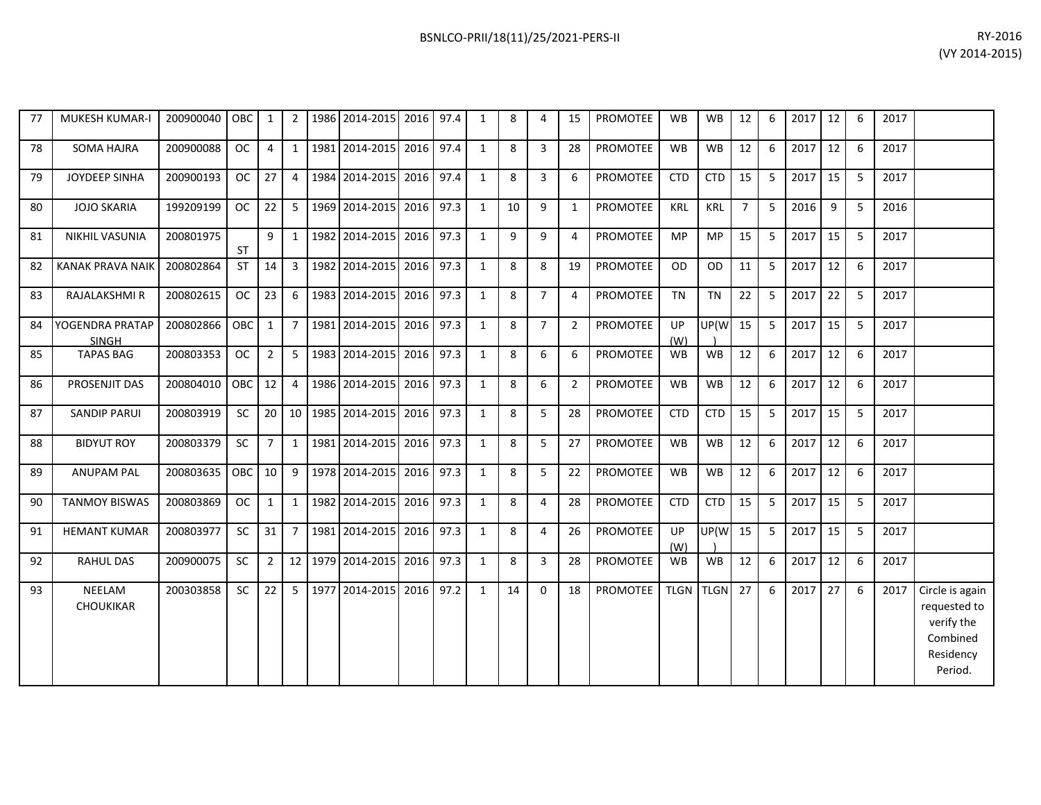| RY-2016        |
|----------------|
| (VY 2014-2015) |
|                |

| 77 | MUKESH KUMAR-I                  | 200900040 | <b>OBC</b> | $\mathbf{1}$    | 2 <sup>1</sup> | 1986 2014-2015 2016 97.4     |      |      | $\mathbf{1}$ | 8  | 4              | 15             | PROMOTEE        | <b>WB</b>        | <b>WB</b>   | 12             | 6 | 2017 | 12 | 6 | 2017 |                                                                                   |
|----|---------------------------------|-----------|------------|-----------------|----------------|------------------------------|------|------|--------------|----|----------------|----------------|-----------------|------------------|-------------|----------------|---|------|----|---|------|-----------------------------------------------------------------------------------|
| 78 | <b>SOMA HAJRA</b>               | 200900088 | <b>OC</b>  | 4               | $1 \;$         | 1981 2014-2015               | 2016 | 97.4 | 1            | 8  | $\overline{3}$ | 28             | <b>PROMOTEE</b> | <b>WB</b>        | <b>WB</b>   | 12             | 6 | 2017 | 12 | 6 | 2017 |                                                                                   |
| 79 | JOYDEEP SINHA                   | 200900193 | <b>OC</b>  | 27              | 4              | 1984 2014-2015 2016          |      | 97.4 | $\mathbf{1}$ | 8  | 3              | 6              | PROMOTEE        | <b>CTD</b>       | <b>CTD</b>  | 15             | 5 | 2017 | 15 | 5 | 2017 |                                                                                   |
| 80 | <b>JOJO SKARIA</b>              | 199209199 | <b>OC</b>  | 22              | 5 <sub>1</sub> | 1969 2014-2015 2016          |      | 97.3 | $\mathbf{1}$ | 10 | 9              | $\mathbf{1}$   | PROMOTEE        | <b>KRL</b>       | <b>KRL</b>  | $\overline{7}$ | 5 | 2016 | 9  | 5 | 2016 |                                                                                   |
| 81 | NIKHIL VASUNIA                  | 200801975 | <b>ST</b>  | 9               |                | 1 1982 2014-2015 2016        |      | 97.3 | $\mathbf{1}$ | 9  | 9              | 4              | <b>PROMOTEE</b> | <b>MP</b>        | <b>MP</b>   | 15             | 5 | 2017 | 15 | 5 | 2017 |                                                                                   |
| 82 | <b>KANAK PRAVA NAIK</b>         | 200802864 | ST         | 14              | 3 <sup>1</sup> | 1982 2014-2015 2016          |      | 97.3 | $\mathbf{1}$ | 8  | 8              | 19             | PROMOTEE        | <b>OD</b>        | OD          | 11             | 5 | 2017 | 12 | 6 | 2017 |                                                                                   |
| 83 | RAJALAKSHMI R                   | 200802615 | <b>OC</b>  | 23              | 6 <sup>1</sup> | 1983 2014-2015               | 2016 | 97.3 | $\mathbf{1}$ | 8  | $\overline{7}$ | 4              | PROMOTEE        | <b>TN</b>        | <b>TN</b>   | 22             | 5 | 2017 | 22 | 5 | 2017 |                                                                                   |
| 84 | YOGENDRA PRATAP<br><b>SINGH</b> | 200802866 | <b>OBC</b> | $\mathbf{1}$    | $\overline{7}$ | 1981 2014-2015               | 2016 | 97.3 | $\mathbf{1}$ | 8  | $\overline{7}$ | $\overline{2}$ | <b>PROMOTEE</b> | <b>UP</b><br>(W) | UP(W        | 15             | 5 | 2017 | 15 | 5 | 2017 |                                                                                   |
| 85 | <b>TAPAS BAG</b>                | 200803353 | <b>OC</b>  | $\overline{2}$  |                | 5 1983 2014-2015 2016        |      | 97.3 | 1            | 8  | 6              | 6              | <b>PROMOTEE</b> | <b>WB</b>        | WB          | 12             | 6 | 2017 | 12 | 6 | 2017 |                                                                                   |
| 86 | PROSENJIT DAS                   | 200804010 | <b>OBC</b> | 12              | $\overline{4}$ | 1986 2014-2015 2016          |      | 97.3 | $\mathbf{1}$ | 8  | 6              | $\overline{2}$ | PROMOTEE        | <b>WB</b>        | <b>WB</b>   | 12             | 6 | 2017 | 12 | 6 | 2017 |                                                                                   |
| 87 | <b>SANDIP PARUI</b>             | 200803919 | <b>SC</b>  | 20 <sup>1</sup> |                | 10   1985   2014-2015   2016 |      | 97.3 | 1            | 8  | 5              | 28             | <b>PROMOTEE</b> | <b>CTD</b>       | <b>CTD</b>  | 15             | 5 | 2017 | 15 | 5 | 2017 |                                                                                   |
| 88 | <b>BIDYUT ROY</b>               | 200803379 | <b>SC</b>  | $7^{\circ}$     | $1 \mid$       | 1981 2014-2015 2016          |      | 97.3 | $\mathbf{1}$ | 8  | 5              | 27             | PROMOTEE        | <b>WB</b>        | <b>WB</b>   | 12             | 6 | 2017 | 12 | 6 | 2017 |                                                                                   |
| 89 | <b>ANUPAM PAL</b>               | 200803635 | OBC        | 10 <sup>°</sup> | 9 <sup>1</sup> | 1978 2014-2015               | 2016 | 97.3 | $\mathbf{1}$ | 8  | 5              | 22             | PROMOTEE        | WB               | WB          | 12             | 6 | 2017 | 12 | 6 | 2017 |                                                                                   |
| 90 | <b>TANMOY BISWAS</b>            | 200803869 | <b>OC</b>  | $\mathbf{1}$    |                | 1 1982 2014-2015             | 2016 | 97.3 | 1            | 8  | 4              | 28             | <b>PROMOTEE</b> | <b>CTD</b>       | <b>CTD</b>  | 15             | 5 | 2017 | 15 | 5 | 2017 |                                                                                   |
| 91 | <b>HEMANT KUMAR</b>             | 200803977 | <b>SC</b>  | 31              | 7              | 1981 2014-2015 2016          |      | 97.3 | $\mathbf{1}$ | 8  | 4              | 26             | PROMOTEE        | <b>UP</b><br>(W) | UP(W        | 15             | 5 | 2017 | 15 | 5 | 2017 |                                                                                   |
| 92 | <b>RAHUL DAS</b>                | 200900075 | SC         | $2^{\circ}$     |                | 12 1979 2014-2015 2016       |      | 97.3 | $\mathbf{1}$ | 8  | 3              | 28             | <b>PROMOTEE</b> | <b>WB</b>        | <b>WB</b>   | 12             | 6 | 2017 | 12 | 6 | 2017 |                                                                                   |
| 93 | NEELAM<br>CHOUKIKAR             | 200303858 | <b>SC</b>  | 22              | 5 <sub>1</sub> | 1977 2014-2015 2016          |      | 97.2 | $\mathbf{1}$ | 14 | $\mathbf{0}$   | 18             | PROMOTEE        | <b>TLGN</b>      | <b>TLGN</b> | 27             | 6 | 2017 | 27 | 6 | 2017 | Circle is again<br>requested to<br>verify the<br>Combined<br>Residency<br>Period. |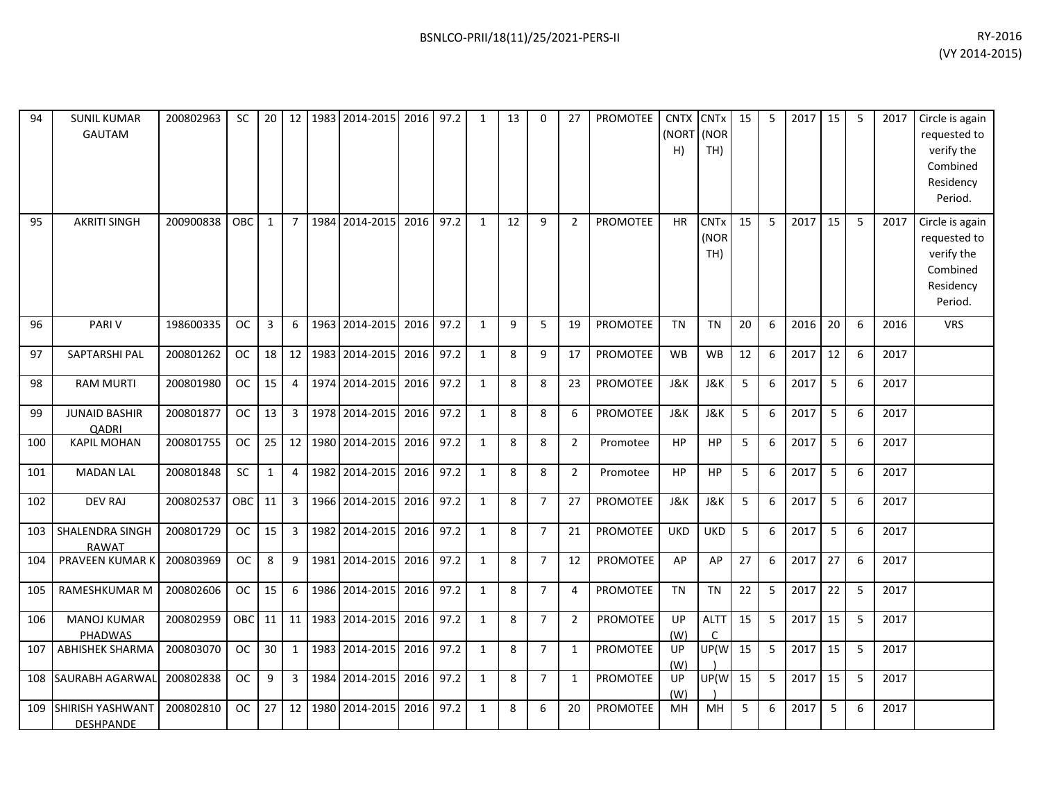| 94<br>95 | <b>SUNIL KUMAR</b><br><b>GAUTAM</b><br><b>AKRITI SINGH</b> | 200802963<br>200900838 | <b>SC</b><br><b>OBC</b> | 20<br>1        | 12<br>$\overline{7}$ |      | 1983 2014-2015<br>1984 2014-2015 | 2016 97.2<br>2016 | 97.2 | 1<br>1       | 13<br>12 | $\Omega$<br>9  | 27<br>2        | <b>PROMOTEE</b><br><b>PROMOTEE</b> | <b>CNTX</b><br>(NORT<br>H)<br><b>HR</b> | <b>CNT<sub>x</sub></b><br>(NOR<br>TH)<br><b>CNTx</b><br>(NOR | 15<br>15 | 5<br>5 | 2017<br>2017 | 15<br>15 | -5<br>5 | 2017<br>2017 | Circle is again<br>requested to<br>verify the<br>Combined<br>Residency<br>Period.<br>Circle is again<br>requested to |
|----------|------------------------------------------------------------|------------------------|-------------------------|----------------|----------------------|------|----------------------------------|-------------------|------|--------------|----------|----------------|----------------|------------------------------------|-----------------------------------------|--------------------------------------------------------------|----------|--------|--------------|----------|---------|--------------|----------------------------------------------------------------------------------------------------------------------|
|          |                                                            |                        |                         |                |                      |      |                                  |                   |      |              |          |                |                |                                    |                                         | TH)                                                          |          |        |              |          |         |              | verify the<br>Combined<br>Residency<br>Period.                                                                       |
| 96       | <b>PARIV</b>                                               | 198600335              | <b>OC</b>               | $\overline{3}$ | 6                    |      | 1963 2014-2015                   | 2016              | 97.2 | $\mathbf{1}$ | 9        | 5              | 19             | <b>PROMOTEE</b>                    | <b>TN</b>                               | <b>TN</b>                                                    | 20       | 6      | 2016         | 20       | 6       | 2016         | <b>VRS</b>                                                                                                           |
| 97       | SAPTARSHI PAL                                              | 200801262              | <b>OC</b>               | 18             | 12                   |      | 1983 2014-2015                   | 2016 97.2         |      | $\mathbf{1}$ | 8        | 9              | 17             | PROMOTEE                           | <b>WB</b>                               | <b>WB</b>                                                    | 12       | 6      | 2017         | 12       | 6       | 2017         |                                                                                                                      |
| 98       | <b>RAM MURTI</b>                                           | 200801980              | <b>OC</b>               | 15             | 4                    |      | 1974 2014-2015                   | 2016 97.2         |      | $\mathbf{1}$ | 8        | 8              | 23             | <b>PROMOTEE</b>                    | J&K                                     | J&K                                                          | 5        | 6      | 2017         | 5        | 6       | 2017         |                                                                                                                      |
| 99       | <b>JUNAID BASHIR</b><br>QADRI                              | 200801877              | <b>OC</b>               | 13             | $\mathbf{3}$         |      | 1978 2014-2015                   | 2016              | 97.2 | $\mathbf{1}$ | 8        | 8              | 6              | <b>PROMOTEE</b>                    | J&K                                     | <b>J&amp;K</b>                                               | 5        | 6      | 2017         | 5        | 6       | 2017         |                                                                                                                      |
| 100      | <b>KAPIL MOHAN</b>                                         | 200801755              | <b>OC</b>               | 25             | 12                   |      | 1980 2014-2015                   | 2016 97.2         |      | 1            | 8        | 8              | 2              | Promotee                           | <b>HP</b>                               | <b>HP</b>                                                    | 5        | 6      | 2017         | 5        | 6       | 2017         |                                                                                                                      |
| 101      | <b>MADAN LAL</b>                                           | 200801848              | <b>SC</b>               | $\mathbf{1}$   | 4                    | 1982 | 2014-2015                        | 2016              | 97.2 | $\mathbf{1}$ | 8        | 8              | $\overline{2}$ | Promotee                           | <b>HP</b>                               | <b>HP</b>                                                    | 5        | 6      | 2017         | 5        | 6       | 2017         |                                                                                                                      |
| 102      | <b>DEV RAJ</b>                                             | 200802537              | OBC                     | 11             | 3                    |      | 1966 2014-2015                   | 2016 97.2         |      | 1            | 8        | $\overline{7}$ | 27             | <b>PROMOTEE</b>                    | J&K                                     | <b>J&amp;K</b>                                               | 5        | 6      | 2017         | 5        | 6       | 2017         |                                                                                                                      |
| 103      | SHALENDRA SINGH<br><b>RAWAT</b>                            | 200801729              | <b>OC</b>               | 15             | $\mathbf{3}$         |      | 1982 2014-2015                   | 2016              | 97.2 | $\mathbf{1}$ | 8        | $\overline{7}$ | 21             | <b>PROMOTEE</b>                    | <b>UKD</b>                              | <b>UKD</b>                                                   | 5        | 6      | 2017         | 5        | 6       | 2017         |                                                                                                                      |
| 104      | <b>PRAVEEN KUMAR K</b>                                     | 200803969              | <b>OC</b>               | 8              | 9                    |      | 1981 2014-2015                   | 2016              | 97.2 | $\mathbf{1}$ | 8        | $\overline{7}$ | 12             | <b>PROMOTEE</b>                    | AP                                      | AP                                                           | 27       | 6      | 2017         | 27       | 6       | 2017         |                                                                                                                      |
| 105      | RAMESHKUMAR M                                              | 200802606              | <b>OC</b>               | 15             | 6                    |      | 1986 2014-2015                   | 2016              | 97.2 | $\mathbf{1}$ | 8        | $\overline{7}$ | $\overline{4}$ | <b>PROMOTEE</b>                    | <b>TN</b>                               | <b>TN</b>                                                    | 22       | 5      | 2017         | 22       | 5       | 2017         |                                                                                                                      |
| 106      | <b>MANOJ KUMAR</b><br>PHADWAS                              | 200802959              | OBC                     | 11             | 11                   |      | 1983 2014-2015                   | 2016              | 97.2 | $\mathbf{1}$ | 8        | $\overline{7}$ | $\overline{2}$ | <b>PROMOTEE</b>                    | UP<br>(W)                               | <b>ALTT</b><br>$\mathsf{C}$                                  | 15       | 5      | 2017         | 15       | 5       | 2017         |                                                                                                                      |
| 107      | <b>ABHISHEK SHARMA</b>                                     | 200803070              | <b>OC</b>               | 30             | $\mathbf{1}$         |      | 1983 2014-2015                   | 2016 97.2         |      | $\mathbf{1}$ | 8        | $\overline{7}$ | $\mathbf{1}$   | <b>PROMOTEE</b>                    | UP<br>(W)                               | UP(W                                                         | 15       | 5      | 2017         | 15       | 5       | 2017         |                                                                                                                      |
| 108      | <b>SAURABH AGARWAI</b>                                     | 200802838              | <b>OC</b>               | 9              | $\mathbf{3}$         | 1984 | 2014-2015                        | 2016              | 97.2 | $\mathbf{1}$ | 8        | $\overline{7}$ | 1              | <b>PROMOTEE</b>                    | UP<br>(W)                               | UP(W                                                         | 15       | 5      | 2017         | 15       | 5       | 2017         |                                                                                                                      |
| 109      | SHIRISH YASHWANT<br>DESHPANDE                              | 200802810              | <b>OC</b>               | 27             | 12                   | 1980 | 2014-2015                        | 2016              | 97.2 | $\mathbf{1}$ | 8        | 6              | 20             | <b>PROMOTEE</b>                    | MH                                      | MH                                                           | 5        | 6      | 2017         | 5        | 6       | 2017         |                                                                                                                      |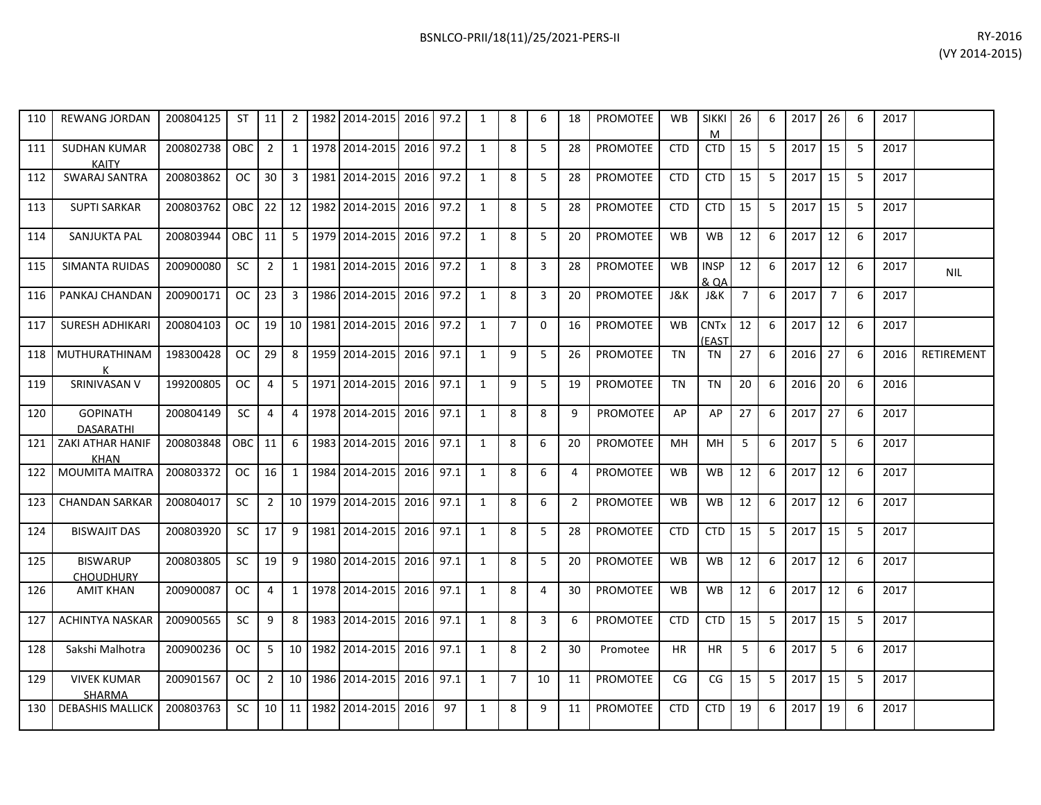| 110 | <b>REWANG JORDAN</b>                | 200804125 | <b>ST</b>  | 11              | $\overline{2}$ | 1982 2014-2015 2016     |      | 97.2 | $\mathbf{1}$ | 8              | 6              | 18             | <b>PROMOTEE</b> | <b>WB</b>  | <b>SIKKI</b><br>м               | 26             | 6  | 2017 | 26             | -6 | 2017 |            |
|-----|-------------------------------------|-----------|------------|-----------------|----------------|-------------------------|------|------|--------------|----------------|----------------|----------------|-----------------|------------|---------------------------------|----------------|----|------|----------------|----|------|------------|
| 111 | <b>SUDHAN KUMAR</b><br><b>KAITY</b> | 200802738 | OBC I      | $\overline{2}$  | 1              | 1978 2014-2015 2016     |      | 97.2 | $\mathbf{1}$ | 8              | 5              | 28             | <b>PROMOTEE</b> | <b>CTD</b> | <b>CTD</b>                      | 15             | -5 | 2017 | 15             | -5 | 2017 |            |
| 112 | SWARAJ SANTRA                       | 200803862 | OC         | 30 <sup>1</sup> | $\overline{3}$ | 1981 2014-2015          | 2016 | 97.2 | $\mathbf{1}$ | 8              | 5              | 28             | <b>PROMOTEE</b> | <b>CTD</b> | <b>CTD</b>                      | 15             | 5  | 2017 | 15             | -5 | 2017 |            |
| 113 | <b>SUPTI SARKAR</b>                 | 200803762 | <b>OBC</b> | 22              |                | 12 1982 2014-2015       | 2016 | 97.2 | 1            | 8              | 5              | 28             | <b>PROMOTEE</b> | <b>CTD</b> | <b>CTD</b>                      | 15             | 5  | 2017 | 15             | -5 | 2017 |            |
| 114 | SANJUKTA PAL                        | 200803944 | OBC 11     |                 | 5              | 1979 2014-2015          | 2016 | 97.2 | $\mathbf{1}$ | 8              | 5              | 20             | <b>PROMOTEE</b> | <b>WB</b>  | <b>WB</b>                       | 12             | 6  | 2017 | 12             | -6 | 2017 |            |
| 115 | SIMANTA RUIDAS                      | 200900080 | <b>SC</b>  | $\overline{2}$  | 1              | 1981   2014-2015   2016 |      | 97.2 | $\mathbf{1}$ | 8              | 3              | 28             | <b>PROMOTEE</b> | <b>WB</b>  | <b>INSP</b><br><b>&amp; QA</b>  | 12             | -6 | 2017 | 12             | -6 | 2017 | <b>NIL</b> |
| 116 | PANKAJ CHANDAN                      | 200900171 | OC         | 23              | 3              | 1986 2014-2015          | 2016 | 97.2 | $\mathbf{1}$ | 8              | 3              | 20             | <b>PROMOTEE</b> | J&K        | J&K                             | $\overline{7}$ | 6  | 2017 | $\overline{7}$ | 6  | 2017 |            |
| 117 | <b>SURESH ADHIKARI</b>              | 200804103 | OC         | 19 <sup>1</sup> |                | 10 1981 2014-2015       | 2016 | 97.2 | $\mathbf{1}$ | $\overline{7}$ | $\Omega$       | 16             | <b>PROMOTEE</b> | <b>WB</b>  | <b>CNT<sub>x</sub></b><br>(EAST | 12             | 6  | 2017 | 12             | -6 | 2017 |            |
| 118 | MUTHURATHINAM                       | 198300428 | OC.        | 29              | 8              | 1959 2014-2015          | 2016 | 97.1 | $\mathbf{1}$ | 9              | 5              | 26             | <b>PROMOTEE</b> | <b>TN</b>  | TN                              | 27             | 6  | 2016 | 27             | 6  | 2016 | RETIREMENT |
| 119 | SRINIVASAN V                        | 199200805 | OC.        | 4               | 5              | 1971   2014-2015   2016 |      | 97.1 | $\mathbf{1}$ | 9              | 5              | 19             | <b>PROMOTEE</b> | TN         | TN                              | 20             | 6  | 2016 | 20             | 6  | 2016 |            |
| 120 | <b>GOPINATH</b><br><b>DASARATHI</b> | 200804149 | SC         | 4               | 4              | 1978 2014-2015 2016     |      | 97.1 | $\mathbf{1}$ | 8              | 8              | 9              | PROMOTEE        | AP         | AP                              | 27             | 6  | 2017 | 27             | 6  | 2017 |            |
| 121 | <b>ZAKI ATHAR HANIF</b><br>KHAN     | 200803848 | OBC I      | 11              | 6              | 1983 2014-2015 2016     |      | 97.1 | $\mathbf{1}$ | 8              | 6              | 20             | <b>PROMOTEE</b> | MН         | MH                              | 5              | 6  | 2017 | -5             | -6 | 2017 |            |
| 122 | <b>MOUMITA MAITRA</b>               | 200803372 | <b>OC</b>  | 16              | 1              | 1984 2014-2015 2016     |      | 97.1 | 1            | 8              | 6              | 4              | <b>PROMOTEE</b> | <b>WB</b>  | <b>WB</b>                       | 12             | 6  | 2017 | 12             | 6  | 2017 |            |
| 123 | <b>CHANDAN SARKAR</b>               | 200804017 | <b>SC</b>  | $\overline{2}$  |                | 10 1979 2014-2015       | 2016 | 97.1 | $\mathbf{1}$ | 8              | 6              | $\overline{2}$ | <b>PROMOTEE</b> | <b>WB</b>  | <b>WB</b>                       | 12             | 6  | 2017 | 12             | -6 | 2017 |            |
| 124 | <b>BISWAJIT DAS</b>                 | 200803920 | <b>SC</b>  | 17              | 9              | 1981 2014-2015 2016     |      | 97.1 | $\mathbf{1}$ | 8              | 5              | 28             | PROMOTEE        | <b>CTD</b> | <b>CTD</b>                      | 15             | -5 | 2017 | 15             | -5 | 2017 |            |
| 125 | <b>BISWARUP</b><br><b>CHOUDHURY</b> | 200803805 | <b>SC</b>  | 19 <sup>1</sup> | 9              | 1980 2014-2015          | 2016 | 97.1 | $\mathbf{1}$ | 8              | 5              | 20             | <b>PROMOTEE</b> | <b>WB</b>  | <b>WB</b>                       | 12             | 6  | 2017 | 12             | -6 | 2017 |            |
| 126 | <b>AMIT KHAN</b>                    | 200900087 | OC         | 4               | 1              | 1978 2014-2015          | 2016 | 97.1 | $\mathbf{1}$ | 8              | $\overline{4}$ | 30             | <b>PROMOTEE</b> | <b>WB</b>  | <b>WB</b>                       | 12             | 6  | 2017 | 12             | -6 | 2017 |            |
| 127 | <b>ACHINTYA NASKAR</b>              | 200900565 | <b>SC</b>  | 9               | 8              | 1983 2014-2015          | 2016 | 97.1 | $\mathbf{1}$ | 8              | $\overline{3}$ | 6              | <b>PROMOTEE</b> | <b>CTD</b> | <b>CTD</b>                      | 15             | 5  | 2017 | 15             | -5 | 2017 |            |
| 128 | Sakshi Malhotra                     | 200900236 | OC.        | -5              |                | 10 1982 2014-2015       | 2016 | 97.1 | 1            | 8              | 2              | 30             | Promotee        | <b>HR</b>  | <b>HR</b>                       | 5              | 6  | 2017 | -5             | -6 | 2017 |            |
| 129 | <b>VIVEK KUMAR</b><br><b>SHARMA</b> | 200901567 | <b>OC</b>  | 2               | 10             | 1986 2014-2015          | 2016 | 97.1 | $\mathbf{1}$ | $\overline{7}$ | 10             | 11             | <b>PROMOTEE</b> | CG         | CG                              | 15             | -5 | 2017 | 15             | -5 | 2017 |            |
| 130 | <b>DEBASHIS MALLICK</b>             | 200803763 | SC         |                 | $10 \mid 11$   | 1982 2014-2015          | 2016 | 97   | $\mathbf{1}$ | 8              | 9              | 11             | <b>PROMOTEE</b> | <b>CTD</b> | <b>CTD</b>                      | 19             | 6  | 2017 | 19             | 6  | 2017 |            |
|     |                                     |           |            |                 |                |                         |      |      |              |                |                |                |                 |            |                                 |                |    |      |                |    |      |            |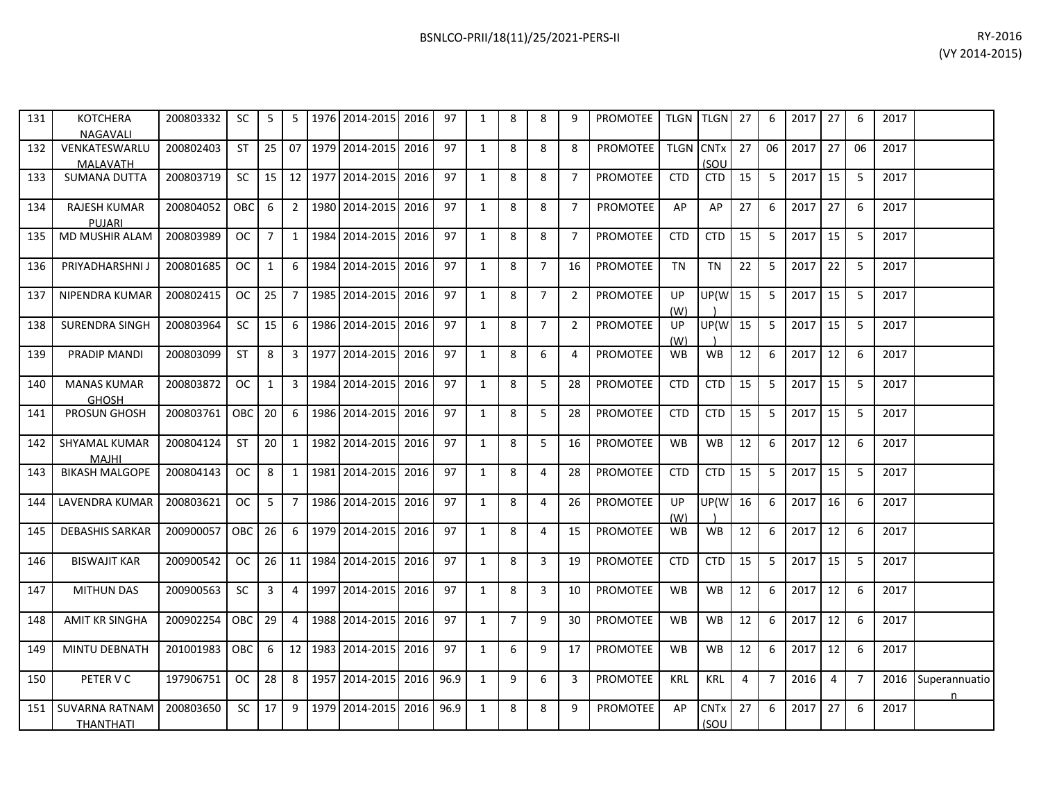| 131 | <b>KOTCHERA</b><br><b>NAGAVALI</b>   | 200803332 | SC.        | 5              |                | 5   1976   2014-2015   2016       | 97   | 1            | 8              | 8              | 9              | <b>PROMOTEE</b> |                  | TLGN TLGN 27                   |    | 6              | $2017$ 27 |                | 6              | 2017 |                     |
|-----|--------------------------------------|-----------|------------|----------------|----------------|-----------------------------------|------|--------------|----------------|----------------|----------------|-----------------|------------------|--------------------------------|----|----------------|-----------|----------------|----------------|------|---------------------|
| 132 | VENKATESWARLU<br>MALAVATH            | 200802403 | <b>ST</b>  | 25             |                | 07 1979 2014-2015 2016            | 97   | 1            | 8              | 8              | 8              | <b>PROMOTEE</b> | <b>TLGN CNTx</b> | (SOU                           | 27 | 06             | 2017      | 27             | 06             | 2017 |                     |
| 133 | <b>SUMANA DUTTA</b>                  | 200803719 | <b>SC</b>  |                |                | 15 12 1977 2014-2015 2016         | 97   | $\mathbf{1}$ | 8              | 8              | $\overline{7}$ | <b>PROMOTEE</b> | <b>CTD</b>       | <b>CTD</b>                     | 15 | -5             | 2017      | 15             | 5              | 2017 |                     |
| 134 | <b>RAJESH KUMAR</b><br><b>PUJARI</b> | 200804052 | <b>OBC</b> | 6              |                | 2   1980   2014-2015   2016       | 97   | 1            | 8              | 8              | 7              | <b>PROMOTEE</b> | AP               | AP                             | 27 | 6              | 2017      | 27             | 6              | 2017 |                     |
| 135 | MD MUSHIR ALAM                       | 200803989 | OC.        | $\overline{7}$ | 1 <sup>1</sup> | 1984 2014-2015 2016               | 97   | $\mathbf{1}$ | 8              | 8              | $\overline{7}$ | PROMOTEE        | <b>CTD</b>       | <b>CTD</b>                     | 15 | 5              | 2017      | 15             | 5              | 2017 |                     |
| 136 | PRIYADHARSHNI J                      | 200801685 | OC.        | 1              | 6 I            | 1984 2014-2015 2016               | 97   | $\mathbf{1}$ | 8              | $\overline{7}$ | 16             | <b>PROMOTEE</b> | <b>TN</b>        | <b>TN</b>                      | 22 | -5             | 2017      | 22             | -5             | 2017 |                     |
| 137 | NIPENDRA KUMAR                       | 200802415 | OC         | 25             |                | 7   1985   2014-2015   2016       | 97   | 1            | 8              | $\overline{7}$ | $\overline{2}$ | <b>PROMOTEE</b> | UP<br>(W)        | UP(W)                          | 15 | -5             | 2017      | 15             | -5             | 2017 |                     |
| 138 | <b>SURENDRA SINGH</b>                | 200803964 | SC         | 15             |                | 6   1986   2014-2015   2016       | 97   | $\mathbf{1}$ | 8              | $\overline{7}$ | $\overline{2}$ | <b>PROMOTEE</b> | UP<br>(W)        | UP(W                           | 15 | 5              | 2017      | 15             | 5              | 2017 |                     |
| 139 | PRADIP MANDI                         | 200803099 | <b>ST</b>  | 8              |                | 3   1977   2014-2015   2016       | 97   | $\mathbf{1}$ | 8              | 6              | 4              | <b>PROMOTEE</b> | WB               | <b>WB</b>                      | 12 | -6             | 2017      | 12             | 6              | 2017 |                     |
| 140 | <b>MANAS KUMAR</b><br><b>GHOSH</b>   | 200803872 | OC.        | 1              |                | 3   1984   2014-2015   2016       | 97   | $\mathbf{1}$ | 8              | 5              | 28             | <b>PROMOTEE</b> | <b>CTD</b>       | <b>CTD</b>                     | 15 | -5             | 2017      | 15             | -5             | 2017 |                     |
| 141 | <b>PROSUN GHOSH</b>                  | 200803761 | OBC        | 20             |                | 6 1986 2014-2015 2016             | 97   | $\mathbf{1}$ | 8              | 5              | 28             | <b>PROMOTEE</b> | <b>CTD</b>       | <b>CTD</b>                     | 15 | 5              | 2017      | 15             | 5              | 2017 |                     |
| 142 | SHYAMAL KUMAR<br><b>MAJHI</b>        | 200804124 | <b>ST</b>  | 20             |                | 1   1982   2014-2015   2016       | 97   | $\mathbf{1}$ | 8              | 5              | 16             | PROMOTEE        | <b>WB</b>        | <b>WB</b>                      | 12 | 6              | 2017      | 12             | 6              | 2017 |                     |
| 143 | <b>BIKASH MALGOPE</b>                | 200804143 | OC         | 8              |                | 1   1981   2014-2015   2016       | 97   | 1            | 8              | 4              | 28             | <b>PROMOTEE</b> | <b>CTD</b>       | <b>CTD</b>                     | 15 | -5             | 2017      | 15             | -5             | 2017 |                     |
| 144 | LAVENDRA KUMAR                       | 200803621 | OC.        | 5              | 7              | 1986 2014-2015 2016               | 97   | 1            | 8              | 4              | 26             | PROMOTEE        | UP<br>(W)        | UP(W                           | 16 | 6              | 2017      | 16             | 6              | 2017 |                     |
| 145 | <b>DEBASHIS SARKAR</b>               | 200900057 | OBC        | 26             |                | 6   1979   2014-2015   2016       | 97   | $\mathbf{1}$ | 8              | 4              | 15             | PROMOTEE        | WB.              | <b>WB</b>                      | 12 | 6              | 2017      | 12             | 6              | 2017 |                     |
| 146 | <b>BISWAJIT KAR</b>                  | 200900542 | OC         |                |                | 26   11   1984   2014-2015   2016 | 97   | 1            | 8              | 3              | 19             | <b>PROMOTEE</b> | <b>CTD</b>       | <b>CTD</b>                     | 15 | -5             | 2017      | 15             | -5             | 2017 |                     |
| 147 | <b>MITHUN DAS</b>                    | 200900563 | <b>SC</b>  | $\overline{3}$ |                | 4   1997   2014-2015   2016       | 97   | $\mathbf{1}$ | 8              | $\overline{3}$ | 10             | <b>PROMOTEE</b> | <b>WB</b>        | <b>WB</b>                      | 12 | 6              | 2017      | 12             | 6              | 2017 |                     |
| 148 | <b>AMIT KR SINGHA</b>                | 200902254 | <b>OBC</b> | 29             | 4              | 1988 2014-2015 2016               | 97   | $\mathbf{1}$ | $\overline{7}$ | 9              | 30             | <b>PROMOTEE</b> | <b>WB</b>        | <b>WB</b>                      | 12 | 6              | 2017      | 12             | 6              | 2017 |                     |
| 149 | MINTU DEBNATH                        | 201001983 | <b>OBC</b> | -6             |                | 12   1983   2014-2015   2016      | 97   | 1            | 6              | 9              | 17             | PROMOTEE        | WB               | WB                             | 12 | -6             | 2017      | 12             | -6             | 2017 |                     |
| 150 | PETER V C                            | 197906751 | OC         | 28             |                | 8   1957   2014-2015   2016       | 96.9 | $\mathbf{1}$ | 9              | 6              | 3              | <b>PROMOTEE</b> | <b>KRL</b>       | <b>KRL</b>                     | 4  | $\overline{7}$ | 2016      | $\overline{4}$ | $\overline{7}$ | 2016 | Superannuatio<br>n. |
| 151 | SUVARNA RATNAM<br>THANTHATI          | 200803650 | SC.        | 17             |                | 9   1979   2014-2015   2016       | 96.9 | 1            | 8              | 8              | 9              | <b>PROMOTEE</b> | AP               | <b>CNT<sub>x</sub></b><br>(SOU | 27 | 6              | 2017      | 27             | 6              | 2017 |                     |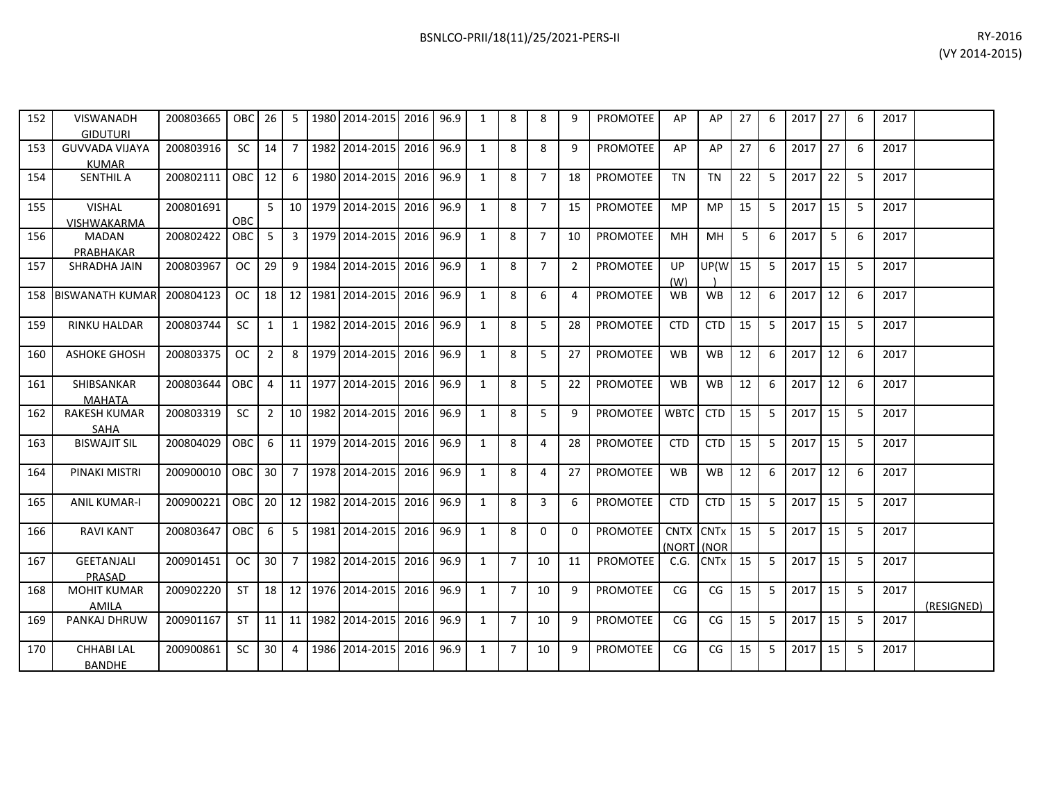| 152 | VISWANADH<br>GIDUTURI                 | 200803665 | <b>OBC</b>    | 26              | -5              | 1980    | 2014-2015         | 2016 | 96.9 | 1            | 8              | 8              | 9              | <b>PROMOTEE</b> | AP                 | AP                     | 27 | 6 | 2017 | 27 | 6 | 2017 |            |
|-----|---------------------------------------|-----------|---------------|-----------------|-----------------|---------|-------------------|------|------|--------------|----------------|----------------|----------------|-----------------|--------------------|------------------------|----|---|------|----|---|------|------------|
| 153 | <b>GUVVADA VIJAYA</b><br><b>KUMAR</b> | 200803916 | <b>SC</b>     | 14              | 7               |         | 1982 2014-2015    | 2016 | 96.9 | $\mathbf{1}$ | 8              | 8              | 9              | <b>PROMOTEE</b> | AP                 | AP                     | 27 | 6 | 2017 | 27 | 6 | 2017 |            |
| 154 | <b>SENTHIL A</b>                      | 200802111 | <b>OBC</b>    | 12 <sup>1</sup> | 6               |         | 1980 2014-2015    | 2016 | 96.9 | $\mathbf{1}$ | 8              | $\overline{7}$ | 18             | <b>PROMOTEE</b> | <b>TN</b>          | <b>TN</b>              | 22 | 5 | 2017 | 22 | 5 | 2017 |            |
| 155 | <b>VISHAL</b><br><b>VISHWAKARMA</b>   | 200801691 | OBC           | 5 <sub>1</sub>  |                 |         | 10 1979 2014-2015 | 2016 | 96.9 | $\mathbf{1}$ | 8              | $\overline{7}$ | 15             | <b>PROMOTEE</b> | <b>MP</b>          | <b>MP</b>              | 15 | 5 | 2017 | 15 | 5 | 2017 |            |
| 156 | <b>MADAN</b><br>PRABHAKAR             | 200802422 | OBC           | 5               | 3               |         | 1979 2014-2015    | 2016 | 96.9 | $\mathbf{1}$ | 8              | $\overline{7}$ | 10             | PROMOTEE        | MH                 | MH                     | 5  | 6 | 2017 | 5  | 6 | 2017 |            |
| 157 | SHRADHA JAIN                          | 200803967 | <b>OC</b>     | 29              | 9               |         | 1984 2014-2015    | 2016 | 96.9 | $\mathbf{1}$ | 8              | $\overline{7}$ | $\overline{2}$ | <b>PROMOTEE</b> | UP<br>(W)          | UP(W                   | 15 | 5 | 2017 | 15 | 5 | 2017 |            |
| 158 | <b>IBISWANATH KUMAR</b>               | 200804123 | <b>OC</b>     | 18 <sup>1</sup> | 12              |         | 1981 2014-2015    | 2016 | 96.9 | $\mathbf{1}$ | 8              | 6              | 4              | <b>PROMOTEE</b> | <b>WB</b>          | WB                     | 12 | 6 | 2017 | 12 | 6 | 2017 |            |
| 159 | <b>RINKU HALDAR</b>                   | 200803744 | <b>SC</b>     | 1               | 1               |         | 1982 2014-2015    | 2016 | 96.9 | $\mathbf{1}$ | 8              | 5              | 28             | <b>PROMOTEE</b> | <b>CTD</b>         | <b>CTD</b>             | 15 | 5 | 2017 | 15 | 5 | 2017 |            |
| 160 | <b>ASHOKE GHOSH</b>                   | 200803375 | <b>OC</b>     | $\overline{2}$  | 8               |         | 1979 2014-2015    | 2016 | 96.9 | $\mathbf{1}$ | 8              | 5              | 27             | PROMOTEE        | <b>WB</b>          | WB                     | 12 | 6 | 2017 | 12 | 6 | 2017 |            |
| 161 | SHIBSANKAR<br><b>MAHATA</b>           | 200803644 | OBC           | 4               | 11              |         | 1977 2014-2015    | 2016 | 96.9 | $\mathbf{1}$ | 8              | 5              | 22             | <b>PROMOTEE</b> | <b>WB</b>          | WB                     | 12 | 6 | 2017 | 12 | 6 | 2017 |            |
| 162 | <b>RAKESH KUMAR</b><br><b>SAHA</b>    | 200803319 | <b>SC</b>     | $\overline{2}$  | 10 <sup>1</sup> | 1982    | 2014-2015         | 2016 | 96.9 | $\mathbf{1}$ | 8              | 5              | 9              | <b>PROMOTEE</b> | <b>WBTC</b>        | <b>CTD</b>             | 15 | 5 | 2017 | 15 | 5 | 2017 |            |
| 163 | <b>BISWAJIT SIL</b>                   | 200804029 | <b>OBC</b>    | 6               | 11              | 1979    | 2014-2015         | 2016 | 96.9 | $\mathbf{1}$ | 8              | 4              | 28             | <b>PROMOTEE</b> | <b>CTD</b>         | <b>CTD</b>             | 15 | 5 | 2017 | 15 | 5 | 2017 |            |
| 164 | PINAKI MISTRI                         | 200900010 | <b>OBC</b>    | 30 <sup>°</sup> | $\overline{7}$  |         | 1978 2014-2015    | 2016 | 96.9 | $\mathbf{1}$ | 8              | 4              | 27             | PROMOTEE        | <b>WB</b>          | WB                     | 12 | 6 | 2017 | 12 | 6 | 2017 |            |
| 165 | <b>ANIL KUMAR-I</b>                   | 200900221 | <b>OBC</b>    | 20 <sup>1</sup> |                 | 12 1982 | 2014-2015         | 2016 | 96.9 | $\mathbf{1}$ | 8              | 3              | 6              | <b>PROMOTEE</b> | <b>CTD</b>         | <b>CTD</b>             | 15 | 5 | 2017 | 15 | 5 | 2017 |            |
| 166 | <b>RAVI KANT</b>                      | 200803647 | <b>OBC</b>    | 6               | 5               |         | 1981 2014-2015    | 2016 | 96.9 | $\mathbf{1}$ | 8              | 0              | $\Omega$       | <b>PROMOTEE</b> | CNTX CNTx<br>(NORT | (NOR                   | 15 | 5 | 2017 | 15 | 5 | 2017 |            |
| 167 | <b>GEETANJALI</b><br>PRASAD           | 200901451 | <sub>OC</sub> | 30 <sup>°</sup> | $\overline{7}$  |         | 1982 2014-2015    | 2016 | 96.9 | 1            | $\overline{7}$ | 10             | 11             | <b>PROMOTEE</b> | C.G.               | <b>CNT<sub>x</sub></b> | 15 | 5 | 2017 | 15 | 5 | 2017 |            |
| 168 | <b>MOHIT KUMAR</b><br>AMILA           | 200902220 | <b>ST</b>     | 18 <sup>1</sup> | 12 <sup>1</sup> |         | 1976 2014-2015    | 2016 | 96.9 | $\mathbf{1}$ | $\overline{7}$ | 10             | 9              | <b>PROMOTEE</b> | CG                 | CG                     | 15 | 5 | 2017 | 15 | 5 | 2017 | (RESIGNED) |
| 169 | PANKAJ DHRUW                          | 200901167 | <b>ST</b>     | 11 <sup>1</sup> | 11 <sup>1</sup> |         | 1982 2014-2015    | 2016 | 96.9 | $\mathbf{1}$ | $\overline{7}$ | 10             | 9              | <b>PROMOTEE</b> | CG                 | CG                     | 15 | 5 | 2017 | 15 | 5 | 2017 |            |
| 170 | <b>CHHABILAL</b><br><b>BANDHE</b>     | 200900861 | <b>SC</b>     | 30              | 4               | 1986    | 2014-2015         | 2016 | 96.9 | $\mathbf{1}$ | $\overline{7}$ | 10             | 9              | <b>PROMOTEE</b> | CG                 | CG                     | 15 | 5 | 2017 | 15 | 5 | 2017 |            |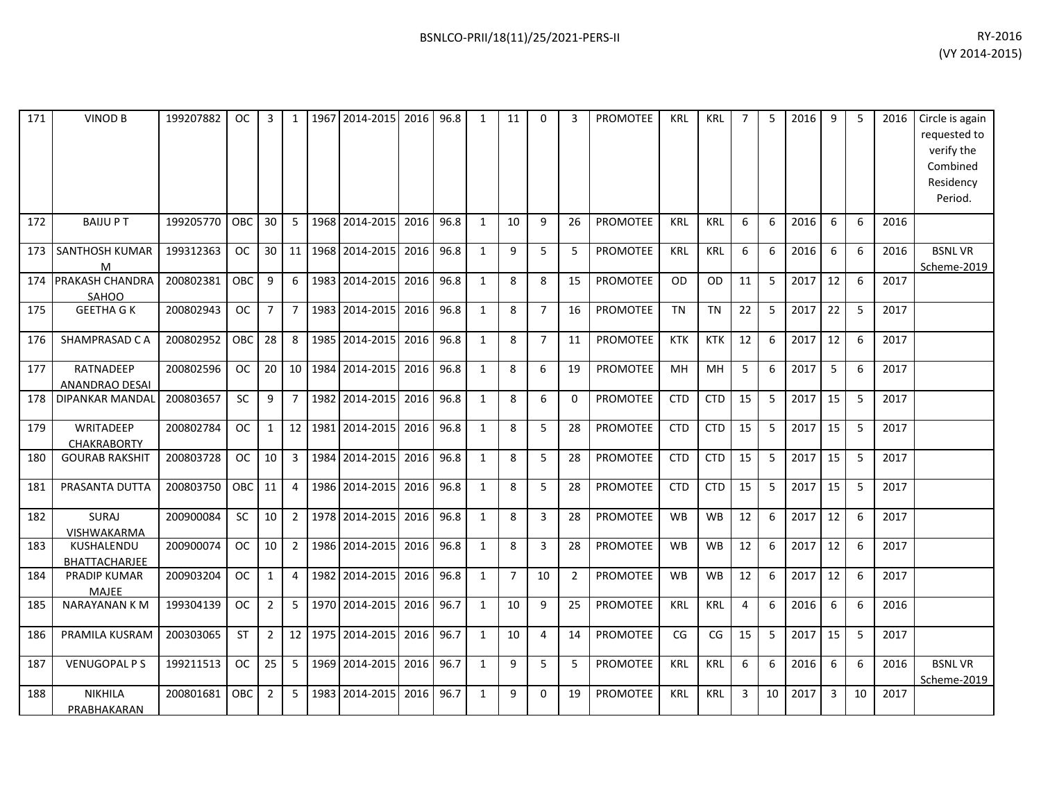| 171 | <b>VINOD B</b>                            | 199207882 | OC.           | 3              |                | 1967 | 2014-2015      | 2016 | 96.8 | $\mathbf{1}$ | 11             | $\Omega$       | 3              | <b>PROMOTEE</b> | <b>KRL</b> | <b>KRL</b> |    | 5  | 2016 | 9  | 5  | 2016 | Circle is again<br>requested to<br>verify the<br>Combined<br>Residency<br>Period. |
|-----|-------------------------------------------|-----------|---------------|----------------|----------------|------|----------------|------|------|--------------|----------------|----------------|----------------|-----------------|------------|------------|----|----|------|----|----|------|-----------------------------------------------------------------------------------|
| 172 | <b>BAIJUPT</b>                            | 199205770 | OBC           | 30             | 5              |      | 1968 2014-2015 | 2016 | 96.8 | 1            | 10             | 9              | 26             | <b>PROMOTEE</b> | <b>KRL</b> | <b>KRL</b> | 6  | 6  | 2016 | 6  | 6  | 2016 |                                                                                   |
| 173 | SANTHOSH KUMAR<br>M                       | 199312363 | <b>OC</b>     | 30             | 11             | 1968 | 2014-2015      | 2016 | 96.8 | $\mathbf{1}$ | 9              | 5              | 5              | PROMOTEE        | <b>KRL</b> | <b>KRL</b> | 6  | 6  | 2016 | 6  | 6  | 2016 | <b>BSNLVR</b><br>Scheme-2019                                                      |
| 174 | PRAKASH CHANDRA<br>SAHOO                  | 200802381 | OBC           | 9              | 6              | 1983 | 2014-2015      | 2016 | 96.8 | 1            | 8              | 8              | 15             | PROMOTEE        | <b>OD</b>  | <b>OD</b>  | 11 | 5  | 2017 | 12 | 6  | 2017 |                                                                                   |
| 175 | <b>GEETHA G K</b>                         | 200802943 | <b>OC</b>     | $\overline{7}$ | $\overline{7}$ |      | 1983 2014-2015 | 2016 | 96.8 | $\mathbf{1}$ | 8              | $\overline{7}$ | 16             | <b>PROMOTEE</b> | <b>TN</b>  | <b>TN</b>  | 22 | 5  | 2017 | 22 | 5  | 2017 |                                                                                   |
| 176 | SHAMPRASAD C A                            | 200802952 | OBC           | 28             | 8              | 1985 | 2014-2015      | 2016 | 96.8 | $\mathbf{1}$ | 8              | $\overline{7}$ | 11             | <b>PROMOTEE</b> | <b>KTK</b> | <b>KTK</b> | 12 | 6  | 2017 | 12 | 6  | 2017 |                                                                                   |
| 177 | <b>RATNADEEP</b><br><b>ANANDRAO DESAI</b> | 200802596 | <sub>OC</sub> | 20             | 10             |      | 1984 2014-2015 | 2016 | 96.8 | $\mathbf{1}$ | 8              | 6              | 19             | <b>PROMOTEE</b> | <b>MH</b>  | MH         | 5  | 6  | 2017 | 5  | 6  | 2017 |                                                                                   |
| 178 | DIPANKAR MANDAI                           | 200803657 | SC            | 9              | $\overline{7}$ |      | 1982 2014-2015 | 2016 | 96.8 | 1            | 8              | 6              | $\mathbf 0$    | <b>PROMOTEE</b> | <b>CTD</b> | <b>CTD</b> | 15 | 5  | 2017 | 15 | 5  | 2017 |                                                                                   |
| 179 | WRITADEEP<br><b>CHAKRABORTY</b>           | 200802784 | <b>OC</b>     | $\mathbf{1}$   | 12             | 1981 | 2014-2015      | 2016 | 96.8 | $\mathbf{1}$ | 8              | 5              | 28             | PROMOTEE        | <b>CTD</b> | <b>CTD</b> | 15 | 5  | 2017 | 15 | 5  | 2017 |                                                                                   |
| 180 | <b>GOURAB RAKSHIT</b>                     | 200803728 | OC.           | 10             | 3              |      | 1984 2014-2015 | 2016 | 96.8 | 1            | 8              | 5              | 28             | PROMOTEE        | <b>CTD</b> | <b>CTD</b> | 15 | 5  | 2017 | 15 | 5  | 2017 |                                                                                   |
| 181 | PRASANTA DUTTA                            | 200803750 | OBC           | 11             | 4              | 1986 | 2014-2015      | 2016 | 96.8 | $\mathbf{1}$ | 8              | 5              | 28             | <b>PROMOTEE</b> | <b>CTD</b> | <b>CTD</b> | 15 | 5  | 2017 | 15 | 5  | 2017 |                                                                                   |
| 182 | <b>SURAJ</b><br>VISHWAKARMA               | 200900084 | SC            | 10             | $\overline{2}$ |      | 1978 2014-2015 | 2016 | 96.8 | 1            | 8              | 3              | 28             | <b>PROMOTEE</b> | <b>WB</b>  | <b>WB</b>  | 12 | 6  | 2017 | 12 | 6  | 2017 |                                                                                   |
| 183 | KUSHALENDU<br><b>BHATTACHARJEE</b>        | 200900074 | <b>OC</b>     | 10             | $2^{\circ}$    |      | 1986 2014-2015 | 2016 | 96.8 | 1            | 8              | 3              | 28             | <b>PROMOTEE</b> | <b>WB</b>  | <b>WB</b>  | 12 | 6  | 2017 | 12 | 6  | 2017 |                                                                                   |
| 184 | <b>PRADIP KUMAR</b><br>MAJEE              | 200903204 | <b>OC</b>     | $\mathbf{1}$   | 4              | 1982 | 2014-2015      | 2016 | 96.8 | $\mathbf{1}$ | $\overline{7}$ | 10             | $\overline{2}$ | <b>PROMOTEE</b> | <b>WB</b>  | <b>WB</b>  | 12 | 6  | 2017 | 12 | 6  | 2017 |                                                                                   |
| 185 | <b>NARAYANAN KM</b>                       | 199304139 | <b>OC</b>     | $\overline{2}$ | 5              |      | 1970 2014-2015 | 2016 | 96.7 | $\mathbf{1}$ | 10             | 9              | 25             | PROMOTEE        | KRL        | <b>KRL</b> | 4  | 6  | 2016 | 6  | 6  | 2016 |                                                                                   |
| 186 | PRAMILA KUSRAM                            | 200303065 | ST            | $\overline{2}$ | 12             |      | 1975 2014-2015 | 2016 | 96.7 | $\mathbf{1}$ | 10             | 4              | 14             | PROMOTEE        | CG         | CG         | 15 | 5  | 2017 | 15 | 5  | 2017 |                                                                                   |
| 187 | <b>VENUGOPAL PS</b>                       | 199211513 | <b>OC</b>     | 25             | 5              | 1969 | 2014-2015      | 2016 | 96.7 | 1            | 9              | 5              | 5              | <b>PROMOTEE</b> | <b>KRL</b> | <b>KRL</b> | 6  | 6  | 2016 | 6  | 6  | 2016 | <b>BSNLVR</b><br>Scheme-2019                                                      |
| 188 | <b>NIKHILA</b><br>PRABHAKARAN             | 200801681 | OBC           | $\overline{2}$ | 5              |      | 1983 2014-2015 | 2016 | 96.7 | $\mathbf{1}$ | 9              | $\mathbf{0}$   | 19             | <b>PROMOTEE</b> | <b>KRL</b> | <b>KRL</b> | 3  | 10 | 2017 | 3  | 10 | 2017 |                                                                                   |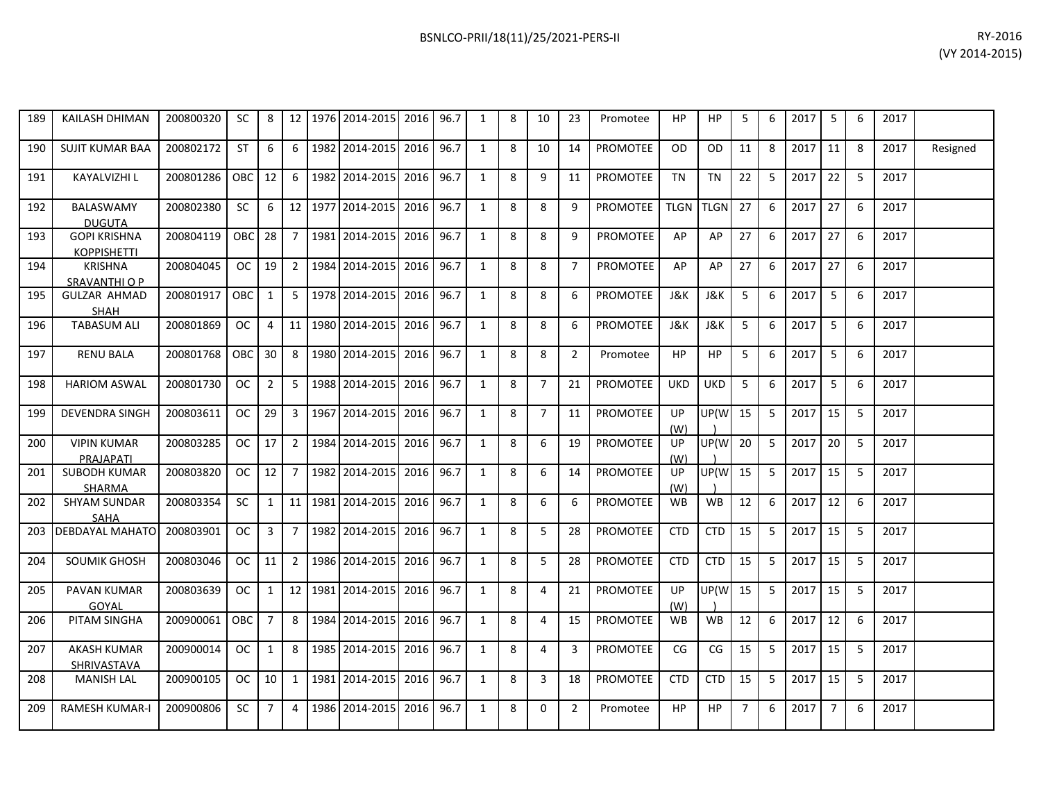| 189 | <b>KAILASH DHIMAN</b>                     | 200800320 | <b>SC</b>  | 8              |                | 12 1976 2014-2015     | 2016 96.7 |      | 1            | 8 | 10             | 23             | Promotee        | <b>HP</b>        | HP          | 5              | 6                | 2017 | 5              | 6 | 2017 |          |
|-----|-------------------------------------------|-----------|------------|----------------|----------------|-----------------------|-----------|------|--------------|---|----------------|----------------|-----------------|------------------|-------------|----------------|------------------|------|----------------|---|------|----------|
| 190 | <b>SUJIT KUMAR BAA</b>                    | 200802172 | ST         | 6              | 6              | 1982 2014-2015        | 2016      | 96.7 | 1            | 8 | 10             | 14             | <b>PROMOTEE</b> | <b>OD</b>        | <b>OD</b>   | 11             | 8                | 2017 | 11             | 8 | 2017 | Resigned |
| 191 | KAYALVIZHI L                              | 200801286 | <b>OBC</b> | 12             | 6              | 1982 2014-2015        | 2016      | 96.7 | 1            | 8 | 9              | 11             | <b>PROMOTEE</b> | <b>TN</b>        | <b>TN</b>   | 22             | 5                | 2017 | 22             | 5 | 2017 |          |
| 192 | <b>BALASWAMY</b><br><b>DUGUTA</b>         | 200802380 | SC         | 6              |                | 12 1977 2014-2015     | 2016      | 96.7 | 1            | 8 | 8              | 9              | PROMOTEE        | <b>TLGN</b>      | <b>TLGN</b> | 27             | 6                | 2017 | 27             | 6 | 2017 |          |
| 193 | <b>GOPI KRISHNA</b><br><b>KOPPISHETTI</b> | 200804119 | OBC        | 28             | $\overline{7}$ | 1981 2014-2015        | 2016      | 96.7 | $\mathbf{1}$ | 8 | 8              | 9              | <b>PROMOTEE</b> | AP               | AP          | 27             | 6                | 2017 | 27             | 6 | 2017 |          |
| 194 | <b>KRISHNA</b><br>SRAVANTHI O P           | 200804045 | OC.        | 19             | 2              | 1984 2014-2015        | 2016 96.7 |      | 1            | 8 | 8              | $\overline{7}$ | <b>PROMOTEE</b> | AP               | AP          | 27             | 6                | 2017 | 27             | 6 | 2017 |          |
| 195 | <b>GULZAR AHMAD</b><br><b>SHAH</b>        | 200801917 | <b>OBC</b> | $\mathbf{1}$   | 5 <sup>1</sup> | 1978 2014-2015        | 2016      | 96.7 | 1            | 8 | 8              | 6              | <b>PROMOTEE</b> | J&K              | J&K         | 5              | 6                | 2017 | 5              | 6 | 2017 |          |
| 196 | <b>TABASUM ALI</b>                        | 200801869 | OC.        | $\overline{4}$ |                | 11   1980   2014-2015 | 2016      | 96.7 | 1            | 8 | 8              | 6              | <b>PROMOTEE</b> | J&K              | J&K         | 5              | 6                | 2017 | 5              | 6 | 2017 |          |
| 197 | <b>RENU BALA</b>                          | 200801768 | OBC        | 30             | 8              | 1980 2014-2015        | 2016      | 96.7 | 1            | 8 | 8              | $\overline{2}$ | Promotee        | <b>HP</b>        | HP          | 5              | 6                | 2017 | 5              | 6 | 2017 |          |
| 198 | <b>HARIOM ASWAL</b>                       | 200801730 | OC.        | $\overline{2}$ | 5 <sup>1</sup> | 1988 2014-2015        | 2016      | 96.7 | $\mathbf{1}$ | 8 | $\overline{7}$ | 21             | <b>PROMOTEE</b> | <b>UKD</b>       | <b>UKD</b>  | 5              | $6 \overline{6}$ | 2017 | 5              | 6 | 2017 |          |
| 199 | <b>DEVENDRA SINGH</b>                     | 200803611 | OC.        | 29             | 3 <sup>1</sup> | 1967 2014-2015        | 2016      | 96.7 | $\mathbf{1}$ | 8 | $\overline{7}$ | 11             | PROMOTEE        | UP<br>(W)        | UP(W        | 15             | 5                | 2017 | 15             | 5 | 2017 |          |
| 200 | <b>VIPIN KUMAR</b><br>PRAJAPATI           | 200803285 | OC.        | 17             | 2 <sup>1</sup> | 1984 2014-2015        | 2016      | 96.7 | 1            | 8 | 6              | 19             | <b>PROMOTEE</b> | <b>UP</b><br>(W) | UP(W        | 20             | 5                | 2017 | 20             | 5 | 2017 |          |
| 201 | <b>SUBODH KUMAR</b><br><b>SHARMA</b>      | 200803820 | <b>OC</b>  | 12             |                | 7   1982   2014-2015  | 2016      | 96.7 | 1            | 8 | 6              | 14             | <b>PROMOTEE</b> | UP<br>(W)        | UP(W        | 15             | 5                | 2017 | 15             | 5 | 2017 |          |
| 202 | <b>SHYAM SUNDAR</b><br><b>SAHA</b>        | 200803354 | SC.        | $\mathbf{1}$   |                | 11   1981   2014-2015 | 2016      | 96.7 | $\mathbf{1}$ | 8 | 6              | 6              | PROMOTEE        | <b>WB</b>        | <b>WB</b>   | 12             | 6                | 2017 | 12             | 6 | 2017 |          |
| 203 | DEBDAYAL MAHATO                           | 200803901 | OC.        | 3              | 7 <sup>1</sup> | 1982 2014-2015        | 2016      | 96.7 | $\mathbf{1}$ | 8 | 5              | 28             | <b>PROMOTEE</b> | <b>CTD</b>       | <b>CTD</b>  | 15             | 5                | 2017 | 15             | 5 | 2017 |          |
| 204 | <b>SOUMIK GHOSH</b>                       | 200803046 | OC.        | 11             | 2 <sup>1</sup> | 1986 2014-2015        | 2016      | 96.7 | $\mathbf{1}$ | 8 | 5              | 28             | <b>PROMOTEE</b> | <b>CTD</b>       | <b>CTD</b>  | 15             | 5                | 2017 | 15             | 5 | 2017 |          |
| 205 | PAVAN KUMAR<br>GOYAL                      | 200803639 | <b>OC</b>  | $\mathbf{1}$   |                | 12 1981 2014-2015     | 2016      | 96.7 | $\mathbf{1}$ | 8 | $\overline{4}$ | 21             | PROMOTEE        | UP<br>(W)        | UP(W        | 15             | 5                | 2017 | 15             | 5 | 2017 |          |
| 206 | PITAM SINGHA                              | 200900061 | OBC        | $\overline{7}$ | 8              | 1984 2014-2015        | 2016      | 96.7 | $\mathbf{1}$ | 8 | 4              | 15             | PROMOTEE        | <b>WB</b>        | WB          | 12             | 6                | 2017 | 12             | 6 | 2017 |          |
| 207 | AKASH KUMAR<br>SHRIVASTAVA                | 200900014 | OC.        | $\mathbf{1}$   | 8              | 1985 2014-2015        | 2016 96.7 |      | 1            | 8 | 4              | 3              | PROMOTEE        | CG               | CG          | 15             | 5                | 2017 | 15             | 5 | 2017 |          |
| 208 | <b>MANISH LAL</b>                         | 200900105 | OC.        | 10             | $\mathbf{1}$   | 1981 2014-2015        | 2016      | 96.7 | 1            | 8 | 3              | 18             | PROMOTEE        | <b>CTD</b>       | <b>CTD</b>  | 15             | 5                | 2017 | 15             | 5 | 2017 |          |
| 209 | <b>RAMESH KUMAR-I</b>                     | 200900806 | <b>SC</b>  | $\overline{7}$ | $\overline{4}$ | 1986 2014-2015        | 2016      | 96.7 | 1            | 8 | $\Omega$       | 2              | Promotee        | HP               | HP          | $\overline{7}$ | 6                | 2017 | $\overline{7}$ | 6 | 2017 |          |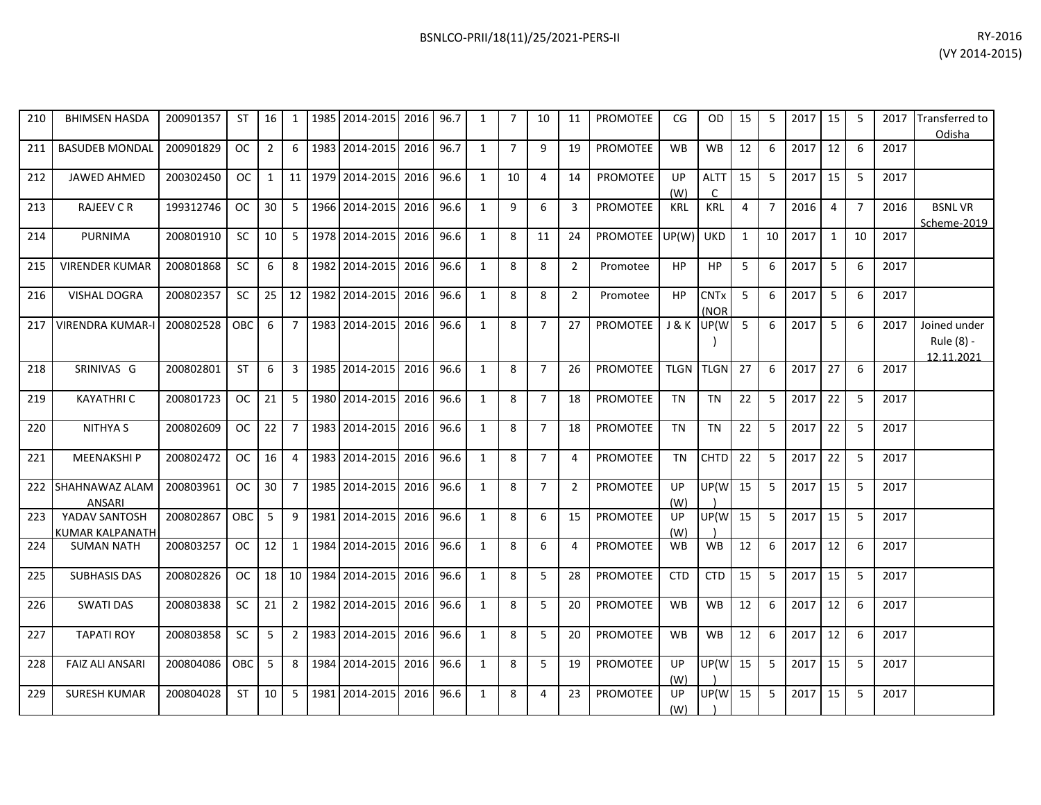| 210 | <b>BHIMSEN HASDA</b>                    | 200901357 | <b>ST</b>  | 16 <sup>1</sup> | 1              |         | 1985 2014-2015      | 2016 | 96.7 | 1            | $\overline{7}$ | 10             | 11             | PROMOTEE        | CG                    | <b>OD</b>           | 15             | 5              | 2017 | 15           | 5              | 2017 | <b>Transferred to</b><br>Odisha          |
|-----|-----------------------------------------|-----------|------------|-----------------|----------------|---------|---------------------|------|------|--------------|----------------|----------------|----------------|-----------------|-----------------------|---------------------|----------------|----------------|------|--------------|----------------|------|------------------------------------------|
| 211 | <b>BASUDEB MONDAL</b>                   | 200901829 | <b>OC</b>  | $\overline{2}$  | 6              |         | 1983 2014-2015      | 2016 | 96.7 | $\mathbf{1}$ | $\overline{7}$ | 9              | 19             | <b>PROMOTEE</b> | <b>WB</b>             | <b>WB</b>           | 12             | 6              | 2017 | 12           | 6              | 2017 |                                          |
| 212 | <b>JAWED AHMED</b>                      | 200302450 | <b>OC</b>  | 1               | 11             |         | 1979 2014-2015      | 2016 | 96.6 | $\mathbf{1}$ | 10             | 4              | 14             | <b>PROMOTEE</b> | <b>UP</b><br>(W)      | <b>ALTT</b>         | 15             | 5              | 2017 | 15           | 5              | 2017 |                                          |
| 213 | <b>RAJEEV C R</b>                       | 199312746 | OC         | 30 <sup>1</sup> | 5              | 1966    | 2014-2015           | 2016 | 96.6 | $\mathbf{1}$ | 9              | 6              | 3              | <b>PROMOTEE</b> | <b>KRL</b>            | <b>KRL</b>          | $\overline{4}$ | $\overline{7}$ | 2016 | 4            | $\overline{7}$ | 2016 | <b>BSNLVR</b><br>Scheme-2019             |
| 214 | <b>PURNIMA</b>                          | 200801910 | <b>SC</b>  | 10 <sup>1</sup> | 5              |         | 1978 2014-2015      | 2016 | 96.6 | $\mathbf{1}$ | 8              | 11             | 24             | <b>PROMOTEE</b> | UP(W)                 | <b>UKD</b>          | $\mathbf{1}$   | 10             | 2017 | $\mathbf{1}$ | 10             | 2017 |                                          |
| 215 | <b>VIRENDER KUMAR</b>                   | 200801868 | <b>SC</b>  | 6               | 8              |         | 1982 2014-2015      | 2016 | 96.6 | $\mathbf{1}$ | 8              | 8              | $\overline{2}$ | Promotee        | <b>HP</b>             | <b>HP</b>           | 5              | 6              | 2017 | 5            | 6              | 2017 |                                          |
| 216 | VISHAL DOGRA                            | 200802357 | SC         | 25              | 12             | 1982    | 2014-2015           | 2016 | 96.6 | $\mathbf{1}$ | 8              | 8              | $\overline{2}$ | Promotee        | <b>HP</b>             | <b>CNTx</b><br>(NOR | 5              | 6              | 2017 | 5            | 6              | 2017 |                                          |
| 217 | <b>VIRENDRA KUMAR-I</b>                 | 200802528 | <b>OBC</b> | 6               | $\overline{7}$ |         | 1983 2014-2015 2016 |      | 96.6 | $\mathbf{1}$ | 8              | $\overline{7}$ | 27             | <b>PROMOTEE</b> | J & K                 | UP(W                | 5              | 6              | 2017 | 5            | 6              | 2017 | Joined under<br>Rule (8) -<br>12.11.2021 |
| 218 | SRINIVAS G                              | 200802801 | <b>ST</b>  | 6               | 3              | 1985    | 2014-2015           | 2016 | 96.6 | $\mathbf{1}$ | 8              | 7              | 26             | <b>PROMOTEE</b> | <b>TLGN</b>           | <b>TLGN</b>         | 27             | 6              | 2017 | 27           | 6              | 2017 |                                          |
| 219 | <b>KAYATHRIC</b>                        | 200801723 | <b>OC</b>  | 21              | 5              |         | 1980 2014-2015      | 2016 | 96.6 | $\mathbf{1}$ | 8              | $\overline{7}$ | 18             | PROMOTEE        | <b>TN</b>             | TN                  | 22             | 5              | 2017 | 22           | 5              | 2017 |                                          |
| 220 | <b>NITHYA S</b>                         | 200802609 | OC.        | 22 <sub>1</sub> | 7              |         | 1983 2014-2015      | 2016 | 96.6 | 1            | 8              | $\overline{7}$ | 18             | <b>PROMOTEE</b> | <b>TN</b>             | <b>TN</b>           | 22             | 5              | 2017 | 22           | 5              | 2017 |                                          |
| 221 | <b>MEENAKSHIP</b>                       | 200802472 | OC.        | 16              | 4              |         | 1983 2014-2015      | 2016 | 96.6 | $\mathbf{1}$ | 8              | $\overline{7}$ | 4              | PROMOTEE        | <b>TN</b>             | <b>CHTD</b>         | 22             | 5              | 2017 | 22           | 5              | 2017 |                                          |
| 222 | SHAHNAWAZ ALAM<br>ANSARI                | 200803961 | OC         | 30 <sup>1</sup> | $\overline{7}$ |         | 1985 2014-2015 2016 |      | 96.6 | $\mathbf{1}$ | 8              | $\overline{7}$ | 2              | <b>PROMOTEE</b> | $_{\text{UP}}$<br>(W) | UP(W                | 15             | 5              | 2017 | 15           | 5              | 2017 |                                          |
| 223 | YADAV SANTOSH<br><b>KUMAR KALPANATH</b> | 200802867 | OBC        | 5               | 9              |         | 1981 2014-2015      | 2016 | 96.6 | $\mathbf{1}$ | 8              | 6              | 15             | PROMOTEE        | UP<br>(W)             | UP(W                | 15             | 5              | 2017 | 15           | 5              | 2017 |                                          |
| 224 | <b>SUMAN NATH</b>                       | 200803257 | OC         | 12 <sup>1</sup> | 1              | 1984    | 2014-2015           | 2016 | 96.6 | $\mathbf{1}$ | 8              | 6              | 4              | <b>PROMOTEE</b> | <b>WB</b>             | <b>WB</b>           | 12             | 6              | 2017 | 12           | 6              | 2017 |                                          |
| 225 | <b>SUBHASIS DAS</b>                     | 200802826 | <b>OC</b>  | 18              |                | 10 1984 | 2014-2015           | 2016 | 96.6 | $\mathbf{1}$ | 8              | 5              | 28             | PROMOTEE        | <b>CTD</b>            | <b>CTD</b>          | 15             | 5              | 2017 | 15           | 5              | 2017 |                                          |
| 226 | <b>SWATI DAS</b>                        | 200803838 | <b>SC</b>  | 21              | $\overline{2}$ |         | 1982 2014-2015      | 2016 | 96.6 | 1            | 8              | 5              | 20             | <b>PROMOTEE</b> | <b>WB</b>             | <b>WB</b>           | 12             | 6              | 2017 | 12           | 6              | 2017 |                                          |
| 227 | <b>TAPATI ROY</b>                       | 200803858 | <b>SC</b>  | 5               | $\overline{2}$ |         | 1983 2014-2015      | 2016 | 96.6 | $\mathbf{1}$ | 8              | 5              | 20             | PROMOTEE        | <b>WB</b>             | <b>WB</b>           | 12             | 6              | 2017 | 12           | 6              | 2017 |                                          |
| 228 | <b>FAIZ ALI ANSARI</b>                  | 200804086 | <b>OBC</b> | 5               | 8              | 1984    | 2014-2015           | 2016 | 96.6 | $\mathbf{1}$ | 8              | 5              | 19             | <b>PROMOTEE</b> | UP<br>(W)             | UP(W                | 15             | 5              | 2017 | 15           | 5              | 2017 |                                          |

229 | SURESH KUMAR |200804028 | ST | 10 | 5 |1981 |2014-2015 |2016 | 96.6 | 1 | 8 | 4 | 23 | PROMOTEE | UP |UP(W| 15 | 5 | 2017 | 15 | 5 | 2017

(W)

)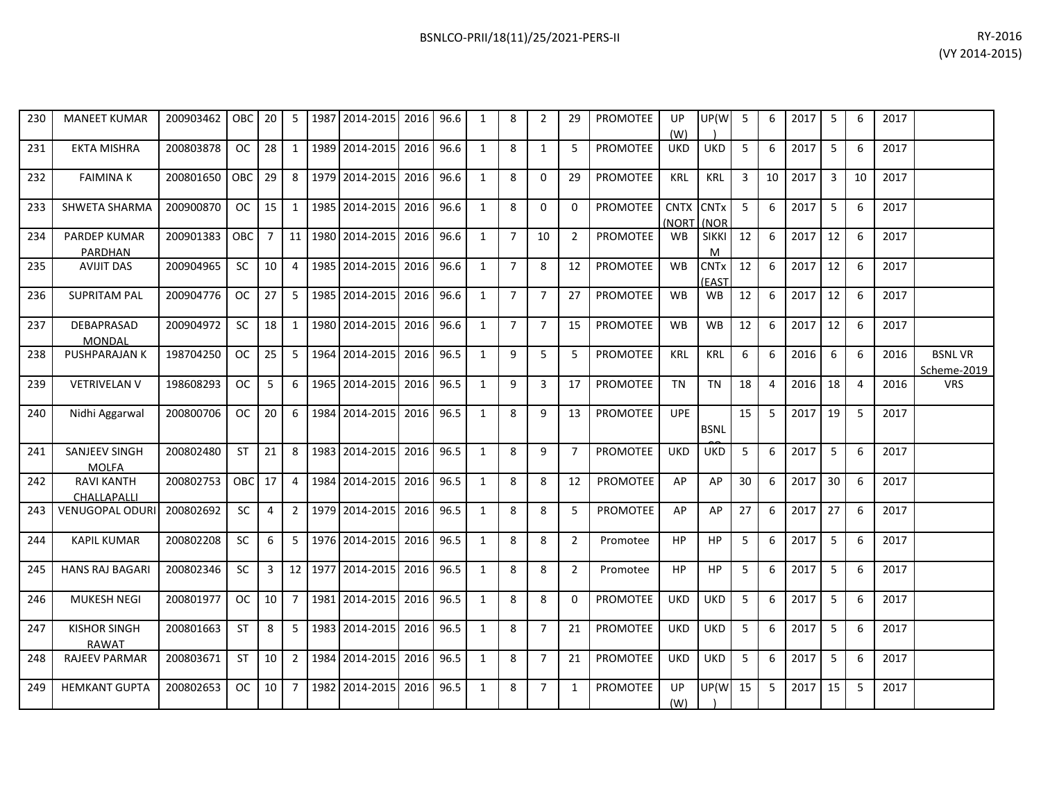| 200903462 | <b>OBC</b>   20 |    | 5 | 1987   2014-2015   2016   96.6 |  | - 8 | 29 | <b>PROMOTEE</b> | UP<br>(W)  | UP(W       | 5. | 6 | 2017 | -6 | 2017 |  |
|-----------|-----------------|----|---|--------------------------------|--|-----|----|-----------------|------------|------------|----|---|------|----|------|--|
| 200803878 | OC.             | 28 |   | 1989   2014-2015   2016   96.6 |  | 8   |    | PROMOTEE        | <b>UKD</b> | <b>UKD</b> |    | 6 | 2017 | b  | 2017 |  |

230 MANEET KUMAR

|     |                                       |           |               |                |                |                     |      |      |              |                |                |                |                 | (W)                  |                                 |    |                |      |    |                |      |                              |
|-----|---------------------------------------|-----------|---------------|----------------|----------------|---------------------|------|------|--------------|----------------|----------------|----------------|-----------------|----------------------|---------------------------------|----|----------------|------|----|----------------|------|------------------------------|
| 231 | <b>EKTA MISHRA</b>                    | 200803878 | OC            | 28             | 1              | 1989 2014-2015      | 2016 | 96.6 | $\mathbf{1}$ | 8              | $\mathbf{1}$   | 5              | <b>PROMOTEE</b> | <b>UKD</b>           | <b>UKD</b>                      | 5  | 6              | 2017 | 5  | 6              | 2017 |                              |
| 232 | <b>FAIMINAK</b>                       | 200801650 | OBC           | 29             | 8              | 1979 2014-2015      | 2016 | 96.6 | $\mathbf{1}$ | 8              | $\Omega$       | 29             | <b>PROMOTEE</b> | <b>KRL</b>           | <b>KRL</b>                      | 3  | 10             | 2017 | 3  | 10             | 2017 |                              |
| 233 | SHWETA SHARMA                         | 200900870 | OC            | 15             | $\overline{1}$ | 1985 2014-2015      | 2016 | 96.6 | $\mathbf{1}$ | 8              | 0              | $\Omega$       | <b>PROMOTEE</b> | <b>CNTX</b><br>(NORT | <b>CNTx</b><br>(NOR             | 5  | -6             | 2017 | 5  | 6              | 2017 |                              |
| 234 | <b>PARDEP KUMAR</b><br><b>PARDHAN</b> | 200901383 | OBC I         | $\overline{7}$ | 11             | 1980 2014-2015 2016 |      | 96.6 | $\mathbf{1}$ | $\overline{7}$ | 10             | $\overline{2}$ | PROMOTEE        | <b>WB</b>            | <b>SIKKI</b><br>M               | 12 | 6              | 2017 | 12 | 6              | 2017 |                              |
| 235 | <b>AVIJIT DAS</b>                     | 200904965 | <b>SC</b>     | 10             | $\overline{4}$ | 1985 2014-2015      | 2016 | 96.6 | $\mathbf{1}$ | $\overline{7}$ | 8              | 12             | <b>PROMOTEE</b> | <b>WB</b>            | <b>CNT<sub>x</sub></b><br>(EAST | 12 | 6              | 2017 | 12 | 6              | 2017 |                              |
| 236 | <b>SUPRITAM PAL</b>                   | 200904776 | <sub>OC</sub> | 27             | 5              | 1985 2014-2015      | 2016 | 96.6 | $\mathbf{1}$ | $\overline{7}$ | $\overline{7}$ | 27             | <b>PROMOTEE</b> | <b>WB</b>            | <b>WB</b>                       | 12 | 6              | 2017 | 12 | 6              | 2017 |                              |
| 237 | <b>DEBAPRASAD</b><br><b>MONDAL</b>    | 200904972 | <b>SC</b>     | 18             | 1              | 1980 2014-2015      | 2016 | 96.6 | $\mathbf{1}$ | $\overline{7}$ | $\overline{7}$ | 15             | <b>PROMOTEE</b> | <b>WB</b>            | <b>WB</b>                       | 12 | 6              | 2017 | 12 | 6              | 2017 |                              |
| 238 | PUSHPARAJAN K                         | 198704250 | OC.           | 25             | -5             | 1964 2014-2015      | 2016 | 96.5 | $\mathbf{1}$ | 9              | 5              | 5              | <b>PROMOTEE</b> | KRL                  | KRL                             | 6  | 6              | 2016 | 6  | 6              | 2016 | <b>BSNLVR</b><br>Scheme-2019 |
| 239 | <b>VETRIVELAN V</b>                   | 198608293 | OC.           | 5              | 6              | 1965 2014-2015      | 2016 | 96.5 | $\mathbf{1}$ | 9              | 3              | 17             | PROMOTEE        | <b>TN</b>            | <b>TN</b>                       | 18 | $\overline{4}$ | 2016 | 18 | $\overline{4}$ | 2016 | <b>VRS</b>                   |
| 240 | Nidhi Aggarwal                        | 200800706 | <sub>OC</sub> | 20             | 6              | 1984 2014-2015      | 2016 | 96.5 | $\mathbf{1}$ | 8              | 9              | 13             | <b>PROMOTEE</b> | <b>UPE</b>           | <b>BSNL</b>                     | 15 | -5             | 2017 | 19 | 5              | 2017 |                              |
| 241 | SANJEEV SINGH<br><b>MOLFA</b>         | 200802480 | <b>ST</b>     | 21             | 8              | 1983 2014-2015      | 2016 | 96.5 | $\mathbf{1}$ | 8              | 9              | $\overline{7}$ | <b>PROMOTEE</b> | <b>UKD</b>           | <b>UKD</b>                      | 5  | 6              | 2017 | 5  | 6              | 2017 |                              |
| 242 | <b>RAVI KANTH</b><br>CHALLAPALLI      | 200802753 | OBC 17        |                | 4              | 1984 2014-2015      | 2016 | 96.5 | $\mathbf{1}$ | 8              | 8              | 12             | <b>PROMOTEE</b> | AP                   | AP                              | 30 | 6              | 2017 | 30 | 6              | 2017 |                              |
| 243 | VENUGOPAL ODURI                       | 200802692 | SC.           | $\overline{a}$ | 2              | 1979 2014-2015      | 2016 | 96.5 | $\mathbf{1}$ | 8              | 8              | 5              | <b>PROMOTEE</b> | AP                   | AP                              | 27 | 6              | 2017 | 27 | 6              | 2017 |                              |
| 244 | <b>KAPIL KUMAR</b>                    | 200802208 | <b>SC</b>     | 6              | 5              | 1976 2014-2015 2016 |      | 96.5 | $\mathbf{1}$ | 8              | 8              | $\overline{2}$ | Promotee        | HP                   | HP                              | 5  | 6              | 2017 | 5  | 6              | 2017 |                              |
| 245 | <b>HANS RAJ BAGARI</b>                | 200802346 | <b>SC</b>     | 3              |                | 12 1977 2014-2015   | 2016 | 96.5 | $\mathbf{1}$ | 8              | 8              | $\overline{2}$ | Promotee        | <b>HP</b>            | <b>HP</b>                       | 5  | 6              | 2017 | 5  | 6              | 2017 |                              |
| 246 | <b>MUKESH NEGI</b>                    | 200801977 | OC            | 10             | $\overline{7}$ | 1981 2014-2015      | 2016 | 96.5 | $\mathbf{1}$ | 8              | 8              | $\Omega$       | <b>PROMOTEE</b> | <b>UKD</b>           | <b>UKD</b>                      | 5  | 6              | 2017 | 5  | 6              | 2017 |                              |
| 247 | <b>KISHOR SINGH</b><br><b>RAWAT</b>   | 200801663 | <b>ST</b>     | 8              | 5              | 1983 2014-2015      | 2016 | 96.5 | $\mathbf{1}$ | 8              | $\overline{7}$ | 21             | <b>PROMOTEE</b> | <b>UKD</b>           | <b>UKD</b>                      | 5  | 6              | 2017 | 5  | 6              | 2017 |                              |
| 248 | <b>RAJEEV PARMAR</b>                  | 200803671 | <b>ST</b>     | 10             | $\overline{2}$ | 1984 2014-2015      | 2016 | 96.5 | $\mathbf{1}$ | 8              | $\overline{7}$ | 21             | <b>PROMOTEE</b> | UKD                  | <b>UKD</b>                      | 5  | 6              | 2017 | 5  | 6              | 2017 |                              |
| 249 | <b>HEMKANT GUPTA</b>                  | 200802653 | OC.           | 10             | $\overline{7}$ | 1982 2014-2015      | 2016 | 96.5 | $\mathbf{1}$ | 8              | $\overline{7}$ | $\mathbf{1}$   | <b>PROMOTEE</b> | UP<br>(W)            | UP(W                            | 15 | 5              | 2017 | 15 | 5              | 2017 |                              |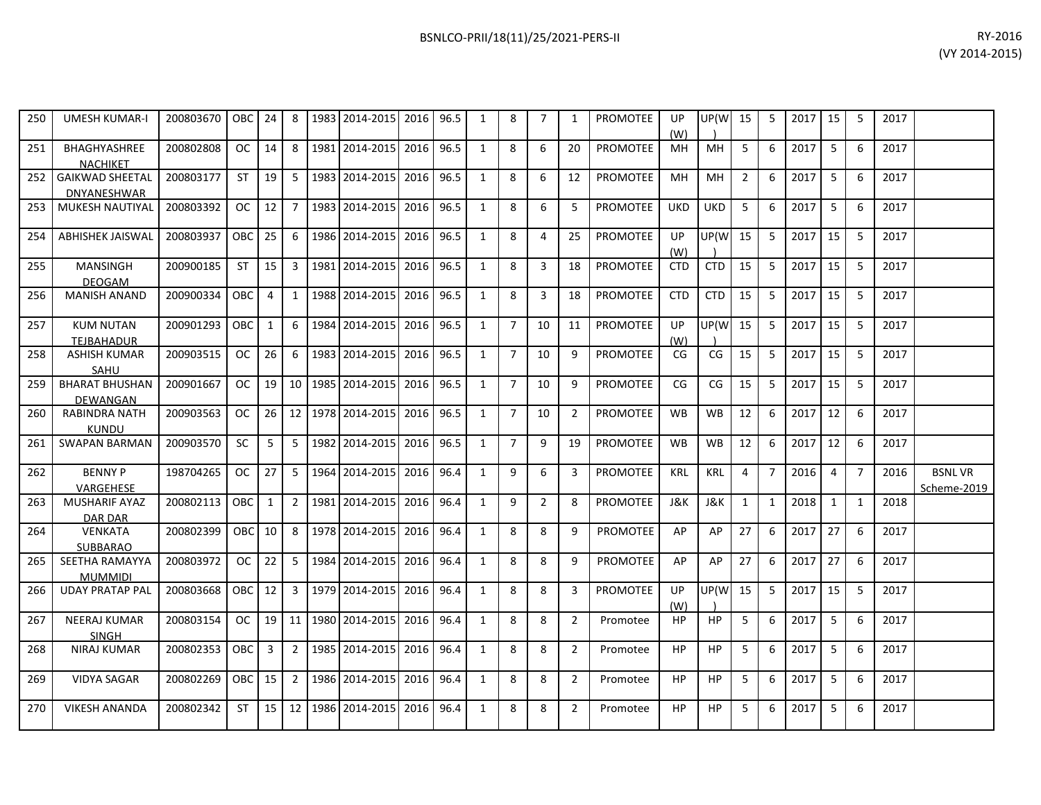| 250 | <b>UMESH KUMAR-I</b>                  | 200803670 | OBC           | 24             | 8 | 1983 2014-2015                 | 2016 96.5 |  | 8 |   |    | <b>PROMOTEE</b> | UP<br>(W)  | UP(W       | 15             | 5  | 2017 | 15 |    | 2017 |  |
|-----|---------------------------------------|-----------|---------------|----------------|---|--------------------------------|-----------|--|---|---|----|-----------------|------------|------------|----------------|----|------|----|----|------|--|
| 251 | BHAGHYASHREE<br>NACHIKET              | 200802808 | <sub>OC</sub> | 14             | 8 | 1981 2014-2015 2016 96.5       |           |  | 8 | 6 | 20 | <b>PROMOTEE</b> | MH         | MH         | 5 <sup>1</sup> | 6  | 2017 | 5  | -6 | 2017 |  |
| 252 | <b>GAIKWAD SHEETAL</b><br>DNYANESHWAR | 200803177 | <b>ST</b>     | 19             |   | 1983 2014-2015 2016 96.5       |           |  | 8 | 6 | 12 | <b>PROMOTEE</b> | MH         | MH         |                | 6  | 2017 | 5  | 6  | 2017 |  |
| 253 | MUKESH NAUTIYAL                       | 200803392 | <sub>OC</sub> | 12             |   | 1983 2014-2015                 | 2016 96.5 |  | 8 | b |    | <b>PROMOTEE</b> | <b>UKD</b> | <b>UKD</b> |                | 6  | 2017 | 5  | 6  | 2017 |  |
| 254 | ABHISHEK JAISWAL                      | 200803937 | OBC           | 25             | 6 | 1986 2014-2015                 | 2016 96.5 |  | 8 | 4 | 25 | <b>PROMOTEE</b> | UP<br>(W)  | UP(W  15   |                | 5. | 2017 | 15 |    | 2017 |  |
| 255 | MANSINGH<br><b>DEOGAM</b>             | 200900185 | <b>ST</b>     | 15             |   | 1981 2014-2015 2016 96.5       |           |  | 8 | 3 | 18 | <b>PROMOTEE</b> | <b>CTD</b> | <b>CTD</b> | 15             | 5. | 2017 | 15 |    | 2017 |  |
| 256 | <b>MANISH ANAND</b>                   | 200900334 | <b>OBC</b>    | $\overline{4}$ |   | 1988   2014-2015   2016   96.5 |           |  | 8 |   | 18 | <b>PROMOTEE</b> | <b>CTD</b> | <b>CTD</b> | 15             |    | 2017 | 15 |    | 2017 |  |

200903515 | OC | 26 | 6 | 1983 | 2014-2015 | 2016 | 96.5 | 1 | 7 | 10 | 9 | PROMOTEE | CG | CG | 15 | 5 | 2017 | 15 | 5 | 2017

200901667 | OC | 19 | 10 | 1985 | 2014-2015 | 2016 | 96.5 | 1 | 7 | 10 | 9 | PROMOTEE | CG | CG | 15 | 5 | 2017 | 15 | 5 | 2017

200903563 | OC | 26 | 12 | 1978 | 2014-2015 | 2016 | 96.5 | 1 | 7 | 10 | 2 | PROMOTEE | WB | WB | 12 | 6 | 2017 | 12 | 6 | 2017

200802113 | OBC | 1 | 2 |1981 | 2014-2015 | 2016 | 96.4 | 1 | 9 | 2 | 8 | PROMOTEE | J&K | J&K | 1 | 1 | 2018 | 1 | 1 | 2018

200802399 | OBC | 10 | 8 | 1978 | 2014-2015 | 2016 | 96.4 | 1 | 8 | 8 | 9 | PROMOTEE | AP | AP | 27 | 6 | 2017 | 27 | 6 | 2017

200803972 | OC | 22 | 5 |1984|2014-2015| 2016 | 96.4 | 1 | 8 | 8 | 9 | PROMOTEE | AP | AP | 27 | 6 | 2017 | 27 | 6 | 2017

200803154 | OC | 19 | 11 | 1980 | 2014-2015 | 2016 | 96.4 | 1 | 8 | 8 | 2 | Promotee | HP | HP | 5 | 6 | 2017 | 5 | 6 | 2017

198704265 | OC | 27 | 5 | 1964 | 2014-2015 | 2016 | 96.4 | 1 | 9 | 6 | 3 | PROMOTEE | KRL | KRL | 4 | 7 | 2016 | 4 | 7 | 2016 | BSNL VR

(W)

(W)

UP(W )

UP(W )

15 5 2017 15 5 2017

15 5 2017 15 5 2017

256 | MANISH ANAND |200900334 |OBC | 4 | 1 |1988|2014-2015|2016|96.5 | 1 | 8 | 3 | 18 |PROMOTEE | CTD | CTD | 15 | 5 |2017 | 15 | 5 | 2017

261 | SWAPAN BARMAN | 200903570 | SC | 5 | 5 | 1982|2014-2015| 2016| 96.5 | 1 | 7 | 9 | 19 | PROMOTEE | WB | WB | 12 | 6 | 2017| 12 | 6 | 2017

268 | NIRAJ KUMAR | 200802353 | OBC | 3 | 2 | 1985 | 2014-2015 | 2016 | 96.4 | 1 | 8 | 8 | 2 | Promotee | HP | HP | 5 | 6 | 2017 | 5 | 6 | 2017

269 | VIDYA SAGAR | 200802269 | OBC | 15 | 2 | 1986 | 2014-2015 | 2016 | 96.4 | 1 | 8 | 8 | 2 | Promotee | HP | HP | 5 | 6 | 2017 | 5 | 6 | 2017

270 | VIKESH ANANDA |200802342 | ST | 15 | 12 |1986|2014-2015|2016|96.4 | 1 | 8 | 8 | 2 | Promotee | HP | HP | 5 | 6 |2017| 5 | 6 |2017

200901293 | OBC | 1 | 6 | 1984 | 2014-2015 | 2016 | 96.5 | 1 | 7 | 10 | 11 | PROMOTEE | UP

266 UDAY PRATAP PAL 200803668 OBC 12 3 1979 2014-2015 2016 96.4 1 8 8 8 3 PROMOTEE UP

257 KUM NUTAN

258 ASHISH KUMAR SAHU

259 BHARAT BHUSHAN DEWANGAN

260 RABINDRA NATH KUNDU

262 BENNY P

264 VENKATA

263 MUSHARIF AYAZ DAR DAR

265 SEETHA RAMAYYA MUMMIDI

267 NEERAJ KUMAR

TEJBAHADUR

VARGEHESE

SUBBARAO

SINGH<br>NIRAJ KUMAR

Scheme-2019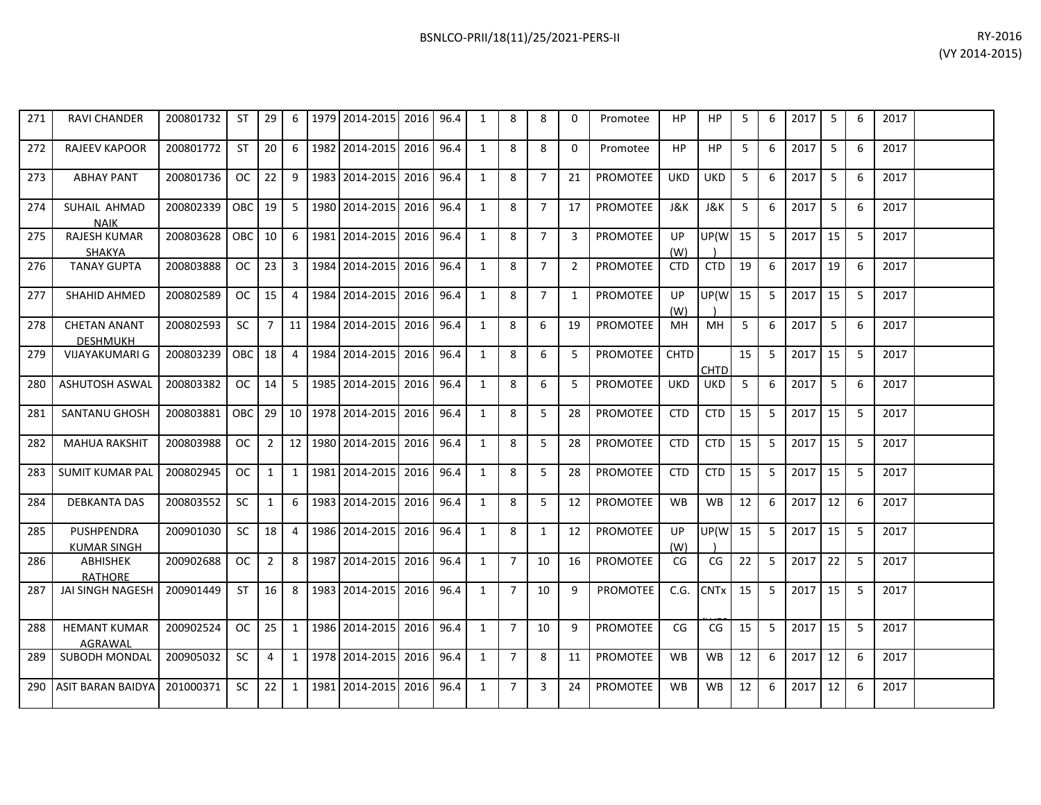| RY-2016        |  |
|----------------|--|
| (VY 2014-2015) |  |

| 271 | <b>RAVI CHANDER</b>                     | 200801732 | ST            | 29           | 6              | 1979    | 2014-2015      | 2016 | 96.4 | 1            | 8              | 8              | $\Omega$       | Promotee        | HP          | HP          | 5  | 6  | 2017 | 5  | 6  | 2017 |  |
|-----|-----------------------------------------|-----------|---------------|--------------|----------------|---------|----------------|------|------|--------------|----------------|----------------|----------------|-----------------|-------------|-------------|----|----|------|----|----|------|--|
| 272 | <b>RAJEEV KAPOOR</b>                    | 200801772 | <b>ST</b>     | 20           | 6              | 1982    | 2014-2015      | 2016 | 96.4 | $\mathbf{1}$ | 8              | 8              | $\Omega$       | Promotee        | HP          | HP          | 5  | 6  | 2017 | 5  | 6  | 2017 |  |
| 273 | <b>ABHAY PANT</b>                       | 200801736 | <b>OC</b>     | 22           | 9              | 1983    | 2014-2015      | 2016 | 96.4 | $\mathbf{1}$ | 8              | $\overline{7}$ | 21             | PROMOTEE        | <b>UKD</b>  | <b>UKD</b>  | 5  | 6  | 2017 | 5  | 6  | 2017 |  |
| 274 | SUHAIL AHMAD<br><b>NAIK</b>             | 200802339 | OBC           | 19           | 5              | 1980    | 2014-2015      | 2016 | 96.4 | $\mathbf{1}$ | 8              | $\overline{7}$ | 17             | <b>PROMOTEE</b> | J&K         | J&K         | 5  | 6  | 2017 | 5  | 6  | 2017 |  |
| 275 | <b>RAJESH KUMAR</b><br><b>SHAKYA</b>    | 200803628 | <b>OBC</b>    | 10           | 6              | 1981    | 2014-2015      | 2016 | 96.4 | $\mathbf{1}$ | 8              | $\overline{7}$ | 3              | PROMOTEE        | UP<br>(W)   | UP(W        | 15 | 5  | 2017 | 15 | 5  | 2017 |  |
| 276 | <b>TANAY GUPTA</b>                      | 200803888 | <b>OC</b>     | 23           | 3              | 1984    | 2014-2015      | 2016 | 96.4 | $\mathbf{1}$ | 8              | $\overline{7}$ | $\overline{2}$ | PROMOTEE        | <b>CTD</b>  | <b>CTD</b>  | 19 | 6  | 2017 | 19 | 6  | 2017 |  |
| 277 | <b>SHAHID AHMED</b>                     | 200802589 | <b>OC</b>     | 15           | $\overline{4}$ | 1984    | 2014-2015      | 2016 | 96.4 | $\mathbf{1}$ | 8              | $\overline{7}$ | 1              | <b>PROMOTEE</b> | UP<br>(W)   | UP(W        | 15 | 5  | 2017 | 15 | 5  | 2017 |  |
| 278 | <b>CHETAN ANANT</b><br><b>DESHMUKH</b>  | 200802593 | <b>SC</b>     | $7^{\circ}$  | 11             | 1984    | 2014-2015      | 2016 | 96.4 | $\mathbf{1}$ | 8              | 6              | 19             | <b>PROMOTEE</b> | MH          | MH          | 5  | 6  | 2017 | 5  | 6  | 2017 |  |
| 279 | <b>VIJAYAKUMARI G</b>                   | 200803239 | OBC           | 18           | 4              | 1984    | 2014-2015      | 2016 | 96.4 | $\mathbf{1}$ | 8              | 6              | 5              | PROMOTEE        | <b>CHTD</b> | <b>CHTD</b> | 15 | 5  | 2017 | 15 | 5  | 2017 |  |
| 280 | <b>ASHUTOSH ASWAL</b>                   | 200803382 | <b>OC</b>     | 14           | 5              | 1985    | 2014-2015      | 2016 | 96.4 | $\mathbf{1}$ | 8              | 6              | 5              | <b>PROMOTEE</b> | <b>UKD</b>  | <b>UKD</b>  | 5  | 6  | 2017 | 5  | 6  | 2017 |  |
| 281 | <b>SANTANU GHOSH</b>                    | 200803881 | <b>OBC</b>    | 29           |                | 10 1978 | 2014-2015      | 2016 | 96.4 | $\mathbf{1}$ | 8              | 5              | 28             | PROMOTEE        | <b>CTD</b>  | <b>CTD</b>  | 15 | 5  | 2017 | 15 | 5  | 2017 |  |
| 282 | <b>MAHUA RAKSHIT</b>                    | 200803988 | <b>OC</b>     | $2^{\circ}$  | 12             | 1980    | 2014-2015      | 2016 | 96.4 | $\mathbf{1}$ | 8              | 5              | 28             | PROMOTEE        | <b>CTD</b>  | <b>CTD</b>  | 15 | 5  | 2017 | 15 | 5  | 2017 |  |
| 283 | <b>SUMIT KUMAR PAL</b>                  | 200802945 | <sub>OC</sub> | $\mathbf{1}$ | 1              | 1981    | 2014-2015      | 2016 | 96.4 | $\mathbf{1}$ | 8              | 5              | 28             | <b>PROMOTEE</b> | <b>CTD</b>  | <b>CTD</b>  | 15 | -5 | 2017 | 15 | -5 | 2017 |  |
| 284 | <b>DEBKANTA DAS</b>                     | 200803552 | SC.           | $\mathbf{1}$ | 6              | 1983    | 2014-2015      | 2016 | 96.4 | $\mathbf{1}$ | 8              | 5              | 12             | <b>PROMOTEE</b> | <b>WB</b>   | <b>WB</b>   | 12 | 6  | 2017 | 12 | 6  | 2017 |  |
| 285 | <b>PUSHPENDRA</b><br><b>KUMAR SINGH</b> | 200901030 | <b>SC</b>     | 18           | 4              | 1986    | 2014-2015      | 2016 | 96.4 | $\mathbf{1}$ | 8              | $\mathbf{1}$   | 12             | <b>PROMOTEE</b> | UP<br>(W)   | UP(W        | 15 | 5  | 2017 | 15 | 5  | 2017 |  |
| 286 | <b>ABHISHEK</b><br><b>RATHORE</b>       | 200902688 | <b>OC</b>     | $2^{\circ}$  | 8              | 1987    | 2014-2015      | 2016 | 96.4 | $\mathbf{1}$ | $\overline{7}$ | 10             | 16             | <b>PROMOTEE</b> | CG          | CG          | 22 | 5  | 2017 | 22 | 5  | 2017 |  |
| 287 | <b>JAI SINGH NAGESH</b>                 | 200901449 | ST            | 16           | 8              | 1983    | 2014-2015      | 2016 | 96.4 | $\mathbf{1}$ | $\overline{7}$ | 10             | 9              | <b>PROMOTEE</b> | C.G.        | <b>CNTx</b> | 15 | 5  | 2017 | 15 | 5  | 2017 |  |
| 288 | <b>HEMANT KUMAR</b><br>AGRAWAL          | 200902524 | OC            | 25           | 1              |         | 1986 2014-2015 | 2016 | 96.4 | $\mathbf{1}$ | $\overline{7}$ | 10             | 9              | <b>PROMOTEE</b> | CG          | CG          | 15 | 5  | 2017 | 15 | 5  | 2017 |  |
| 289 | SUBODH MONDAL                           | 200905032 | SC.           | 4            | 1              | 1978    | 2014-2015      | 2016 | 96.4 | $\mathbf{1}$ | $\overline{7}$ | 8              | 11             | <b>PROMOTEE</b> | <b>WB</b>   | <b>WB</b>   | 12 | 6  | 2017 | 12 | 6  | 2017 |  |
| 290 | ASIT BARAN BAIDYA                       | 201000371 | <b>SC</b>     | 22           | 1              | 1981    | 2014-2015      | 2016 | 96.4 | $\mathbf{1}$ | $\overline{7}$ | 3              | 24             | <b>PROMOTEE</b> | <b>WB</b>   | <b>WB</b>   | 12 | 6  | 2017 | 12 | 6  | 2017 |  |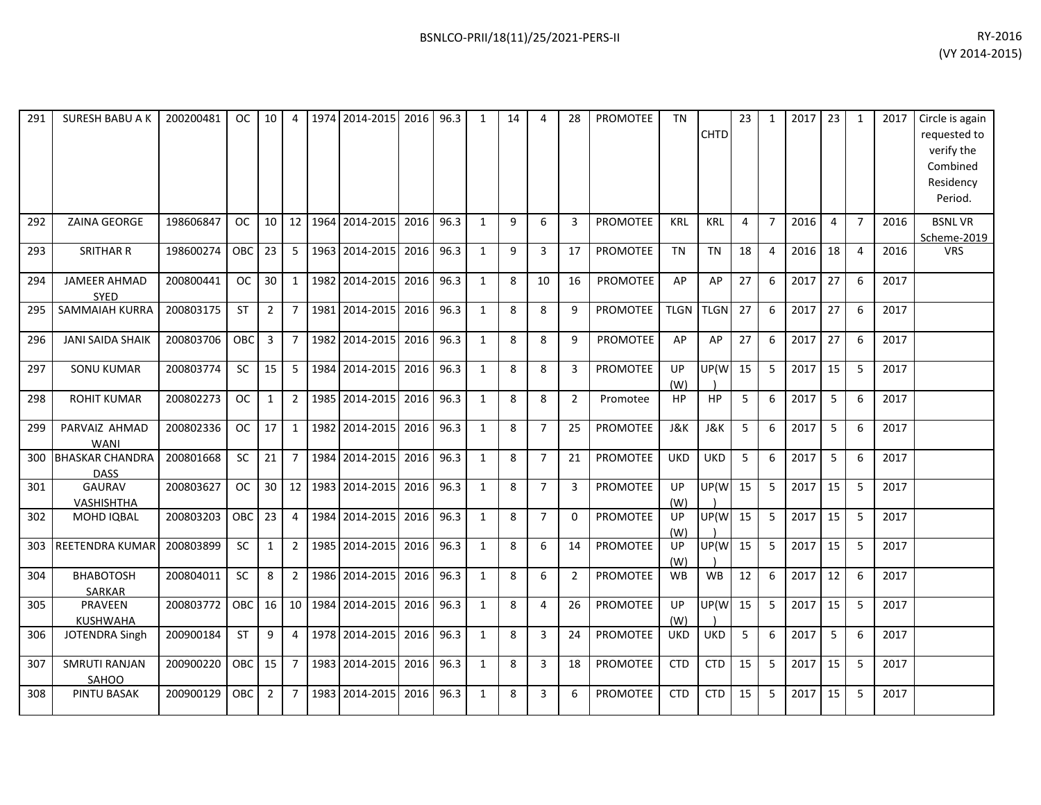| 291 | <b>SURESH BABU A K</b>                | 200200481 | OC.        | 10             | 4              |      | 1974 2014-2015 | 2016 | 96.3 | 1            | 14 | 4              | 28             | <b>PROMOTEE</b> | <b>TN</b>   | <b>CHTD</b> | 23             | $\mathbf{1}$   | 2017 | 23             | 1               | 2017 | Circle is again<br>requested to<br>verify the<br>Combined<br>Residency<br>Period. |
|-----|---------------------------------------|-----------|------------|----------------|----------------|------|----------------|------|------|--------------|----|----------------|----------------|-----------------|-------------|-------------|----------------|----------------|------|----------------|-----------------|------|-----------------------------------------------------------------------------------|
| 292 | <b>ZAINA GEORGE</b>                   | 198606847 | <b>OC</b>  | 10             | 12             |      | 1964 2014-2015 | 2016 | 96.3 | 1            | 9  | 6              | 3              | <b>PROMOTEE</b> | <b>KRL</b>  | <b>KRL</b>  | $\overline{a}$ | $\overline{7}$ | 2016 | $\overline{4}$ | $\overline{7}$  | 2016 | <b>BSNLVR</b><br>Scheme-2019                                                      |
| 293 | <b>SRITHAR R</b>                      | 198600274 | OBC        | 23             | 5              |      | 1963 2014-2015 | 2016 | 96.3 | 1            | 9  | 3              | 17             | <b>PROMOTEE</b> | <b>TN</b>   | <b>TN</b>   | 18             | 4              | 2016 | 18             | $\overline{4}$  | 2016 | <b>VRS</b>                                                                        |
| 294 | JAMEER AHMAD<br><b>SYED</b>           | 200800441 | <b>OC</b>  | 30             | $\mathbf{1}$   |      | 1982 2014-2015 | 2016 | 96.3 | $\mathbf{1}$ | 8  | 10             | 16             | PROMOTEE        | AP          | AP          | 27             | 6              | 2017 | 27             | 6               | 2017 |                                                                                   |
| 295 | <b>SAMMAIAH KURRA</b>                 | 200803175 | <b>ST</b>  | $\overline{2}$ | $\overline{7}$ |      | 1981 2014-2015 | 2016 | 96.3 | $\mathbf{1}$ | 8  | 8              | q              | <b>PROMOTEE</b> | <b>TLGN</b> | <b>TLGN</b> | 27             | 6              | 2017 | 27             | $6\overline{6}$ | 2017 |                                                                                   |
| 296 | <b>JANI SAIDA SHAIK</b>               | 200803706 | <b>OBC</b> | 3              | $\overline{7}$ |      | 1982 2014-2015 | 2016 | 96.3 | 1            | 8  | 8              | q              | <b>PROMOTEE</b> | AP          | AP          | 27             | 6              | 2017 | 27             | 6               | 2017 |                                                                                   |
| 297 | <b>SONU KUMAR</b>                     | 200803774 | <b>SC</b>  | 15             | 5              | 1984 | 2014-2015      | 2016 | 96.3 | $\mathbf{1}$ | 8  | 8              | 3              | <b>PROMOTEE</b> | UP<br>(W)   | UP(W        | 15             | 5              | 2017 | 15             | 5               | 2017 |                                                                                   |
| 298 | <b>ROHIT KUMAR</b>                    | 200802273 | <b>OC</b>  | $\mathbf{1}$   | $\overline{2}$ |      | 1985 2014-2015 | 2016 | 96.3 | $\mathbf{1}$ | 8  | 8              | $\overline{2}$ | Promotee        | <b>HP</b>   | <b>HP</b>   | 5              | 6              | 2017 | 5              | 6               | 2017 |                                                                                   |
| 299 | PARVAIZ AHMAD<br><b>WANI</b>          | 200802336 | <b>OC</b>  | 17             | $\mathbf{1}$   |      | 1982 2014-2015 | 2016 | 96.3 | $\mathbf{1}$ | 8  | $\overline{7}$ | 25             | <b>PROMOTEE</b> | J&K         | J&K         | 5              | 6              | 2017 | 5              | 6               | 2017 |                                                                                   |
| 300 | <b>BHASKAR CHANDRA</b><br><b>DASS</b> | 200801668 | <b>SC</b>  | 21             | $\overline{7}$ | 1984 | 2014-2015      | 2016 | 96.3 | $\mathbf{1}$ | 8  | $\overline{7}$ | 21             | <b>PROMOTEE</b> | <b>UKD</b>  | <b>UKD</b>  | 5              | 6              | 2017 | 5              | 6               | 2017 |                                                                                   |
| 301 | <b>GAURAV</b><br><b>VASHISHTHA</b>    | 200803627 | <b>OC</b>  | 30             | 12             | 1983 | 2014-2015      | 2016 | 96.3 | 1            | 8  | $\overline{7}$ | 3              | <b>PROMOTEE</b> | UP<br>(W)   | UP(W        | 15             | 5              | 2017 | 15             | 5               | 2017 |                                                                                   |
| 302 | MOHD IQBAL                            | 200803203 | <b>OBC</b> | 23             | 4              |      | 1984 2014-2015 | 2016 | 96.3 | $\mathbf{1}$ | 8  | $\overline{7}$ | $\Omega$       | <b>PROMOTEE</b> | UP<br>(W)   | UP(W        | 15             | 5              | 2017 | 15             | 5               | 2017 |                                                                                   |
| 303 | REETENDRA KUMAR                       | 200803899 | SC         | $\mathbf{1}$   | $\overline{2}$ |      | 1985 2014-2015 | 2016 | 96.3 | $\mathbf{1}$ | 8  | 6              | 14             | <b>PROMOTEE</b> | UP<br>(W)   | UP(W        | 15             | 5              | 2017 | 15             | 5               | 2017 |                                                                                   |
| 304 | <b>ВНАВОТОSH</b><br>SARKAR            | 200804011 | SC         | 8              | $\overline{2}$ |      | 1986 2014-2015 | 2016 | 96.3 | $\mathbf{1}$ | 8  | 6              | $\overline{2}$ | <b>PROMOTEE</b> | <b>WB</b>   | WB          | 12             | 6              | 2017 | 12             | 6               | 2017 |                                                                                   |
| 305 | PRAVEEN<br><b>KUSHWAHA</b>            | 200803772 | <b>OBC</b> | 16             | 10             |      | 1984 2014-2015 | 2016 | 96.3 | 1            | 8  | 4              | 26             | <b>PROMOTEE</b> | UP<br>(W)   | UP(W        | 15             | 5              | 2017 | 15             | -5              | 2017 |                                                                                   |
| 306 | JOTENDRA Singh                        | 200900184 | <b>ST</b>  | 9              | $\overline{4}$ |      | 1978 2014-2015 | 2016 | 96.3 | 1            | 8  | 3              | 24             | <b>PROMOTEE</b> | <b>UKD</b>  | <b>UKD</b>  | 5              | 6              | 2017 | 5              | 6               | 2017 |                                                                                   |
| 307 | <b>SMRUTI RANJAN</b><br>SAHOO         | 200900220 | <b>OBC</b> | 15             | $\overline{7}$ |      | 1983 2014-2015 | 2016 | 96.3 | $\mathbf{1}$ | 8  | 3              | 18             | PROMOTEE        | <b>CTD</b>  | <b>CTD</b>  | 15             | 5              | 2017 | 15             | 5               | 2017 |                                                                                   |
| 308 | PINTU BASAK                           | 200900129 | OBC.       | $\overline{2}$ | $\overline{7}$ | 1983 | 2014-2015      | 2016 | 96.3 | 1            | 8  | 3              | 6              | <b>PROMOTEE</b> | <b>CTD</b>  | <b>CTD</b>  | 15             | 5              | 2017 | 15             | 5               | 2017 |                                                                                   |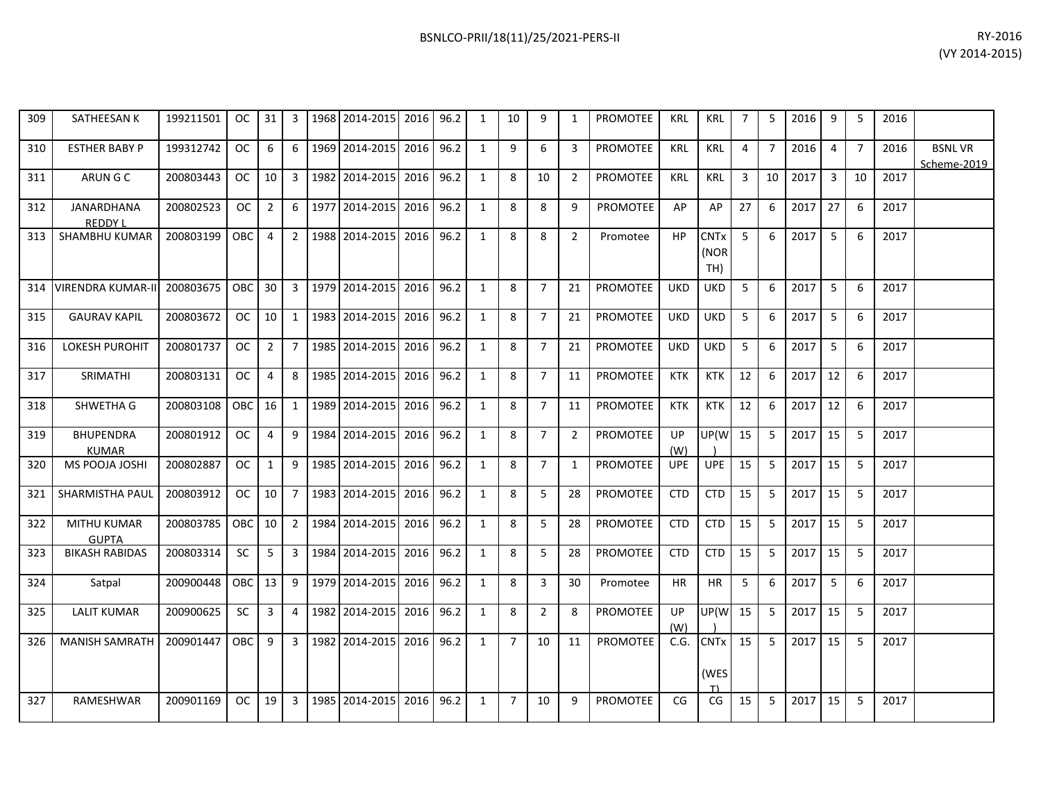| 309 | SATHEESAN K                         | 199211501 | <sub>OC</sub> | 31             | 3              | 1968 2014-2015 | 2016 96.2 |      | 1              | 10             | 9              | 1              | <b>PROMOTEE</b> | KRL              | KRL                                   | 7  | 5                | 2016 | 9              | -5             | 2016 |                              |
|-----|-------------------------------------|-----------|---------------|----------------|----------------|----------------|-----------|------|----------------|----------------|----------------|----------------|-----------------|------------------|---------------------------------------|----|------------------|------|----------------|----------------|------|------------------------------|
| 310 | <b>ESTHER BABY P</b>                | 199312742 | <b>OC</b>     | 6              | 6              | 1969 2014-2015 | 2016      | 96.2 | $\mathbf{1}$   | 9              | 6              | 3              | <b>PROMOTEE</b> | <b>KRL</b>       | <b>KRL</b>                            | 4  | $\overline{7}$   | 2016 | $\overline{4}$ | $\overline{7}$ | 2016 | <b>BSNLVR</b><br>Scheme-2019 |
| 311 | ARUN G C                            | 200803443 | OC.           | 10             | 3              | 1982 2014-2015 | 2016 96.2 |      | 1              | 8              | 10             | $\overline{2}$ | <b>PROMOTEE</b> | <b>KRL</b>       | <b>KRL</b>                            | 3  | 10               | 2017 | $\overline{3}$ | 10             | 2017 |                              |
| 312 | <b>JANARDHANA</b><br><b>REDDY L</b> | 200802523 | <b>OC</b>     | $\overline{2}$ | 6              | 1977 2014-2015 | 2016      | 96.2 | 1              | 8              | 8              | 9              | <b>PROMOTEE</b> | AP               | AP                                    | 27 | 6                | 2017 | 27             | 6              | 2017 |                              |
| 313 | SHAMBHU KUMAR                       | 200803199 | <b>OBC</b>    | $\overline{4}$ | $2^{\circ}$    | 1988 2014-2015 | 2016      | 96.2 | $\mathbf{1}$   | 8              | 8              | $\overline{2}$ | Promotee        | HP.              | <b>CNT<sub>x</sub></b><br>(NOR<br>TH) | 5  | $6 \overline{6}$ | 2017 | 5              | 6              | 2017 |                              |
| 314 | VIRENDRA KUMAR-II                   | 200803675 | <b>OBC</b>    | 30             | $\mathbf{3}$   | 1979 2014-2015 | 2016      | 96.2 | $\mathbf{1}$   | 8              | $\overline{7}$ | 21             | <b>PROMOTEE</b> | <b>UKD</b>       | UKD                                   | 5  | 6                | 2017 | 5              | 6              | 2017 |                              |
| 315 | <b>GAURAV KAPIL</b>                 | 200803672 | OC.           | 10             | $1 \quad$      | 1983 2014-2015 | 2016 96.2 |      | 1              | 8              | $\overline{7}$ | 21             | <b>PROMOTEE</b> | <b>UKD</b>       | <b>UKD</b>                            | 5  | 6                | 2017 | 5              | 6              | 2017 |                              |
| 316 | <b>LOKESH PUROHIT</b>               | 200801737 | <b>OC</b>     | $\overline{2}$ | $7^{\circ}$    | 1985 2014-2015 | 2016      | 96.2 | 1              | 8              | $\overline{7}$ | 21             | PROMOTEE        | <b>UKD</b>       | <b>UKD</b>                            | 5  | 6                | 2017 | 5              | 6              | 2017 |                              |
| 317 | SRIMATHI                            | 200803131 | OC.           | 4              | 8              | 1985 2014-2015 | 2016      | 96.2 | $\mathbf{1}$   | 8              | $\overline{7}$ | 11             | PROMOTEE        | <b>KTK</b>       | <b>KTK</b>                            | 12 | 6                | 2017 | 12             | 6              | 2017 |                              |
| 318 | SHWETHA G                           | 200803108 | <b>OBC</b>    | 16             | $\mathbf{1}$   | 1989 2014-2015 | 2016 96.2 |      | 1              | 8              | $\overline{7}$ | 11             | PROMOTEE        | <b>KTK</b>       | <b>KTK</b>                            | 12 | 6                | 2017 | 12             | 6              | 2017 |                              |
| 319 | <b>BHUPENDRA</b><br><b>KUMAR</b>    | 200801912 | OC.           | 4              | 9              | 1984 2014-2015 | 2016      | 96.2 | 1              | 8              | $\overline{7}$ | $\overline{2}$ | <b>PROMOTEE</b> | UP<br>(W)        | UP(W                                  | 15 | -5               | 2017 | 15             | 5              | 2017 |                              |
| 320 | MS POOJA JOSHI                      | 200802887 | OC.           | $\mathbf{1}$   | 9              | 1985 2014-2015 | 2016 96.2 |      | 1              | 8              | $\overline{7}$ | 1              | PROMOTEE        | <b>UPE</b>       | <b>UPE</b>                            | 15 | -5               | 2017 | 15             | 5              | 2017 |                              |
| 321 | <b>SHARMISTHA PAUL</b>              | 200803912 | OC.           | 10             | $7^{\circ}$    | 1983 2014-2015 | 2016      | 96.2 | 1              | 8              | 5              | 28             | PROMOTEE        | <b>CTD</b>       | <b>CTD</b>                            | 15 | -5               | 2017 | 15             | 5              | 2017 |                              |
| 322 | <b>MITHU KUMAR</b><br><b>GUPTA</b>  | 200803785 | OBC.          | 10             | 2 <sup>1</sup> | 1984 2014-2015 | 2016      | 96.2 | 1              | 8              | 5              | 28             | <b>PROMOTEE</b> | <b>CTD</b>       | <b>CTD</b>                            | 15 | -5               | 2017 | 15             | -5             | 2017 |                              |
| 323 | <b>BIKASH RABIDAS</b>               | 200803314 | <b>SC</b>     | 5              | $\mathbf{3}$   | 1984 2014-2015 | 2016      | 96.2 | $\mathbf{1}$   | 8              | 5              | 28             | <b>PROMOTEE</b> | <b>CTD</b>       | <b>CTD</b>                            | 15 | 5                | 2017 | 15             | 5              | 2017 |                              |
| 324 | Satpal                              | 200900448 | OBC.          | 13             | 9              | 1979 2014-2015 | 2016 96.2 |      | $\overline{1}$ | 8              | 3              | 30             | Promotee        | <b>HR</b>        | <b>HR</b>                             | 5  | 6                | 2017 | 5              | -6             | 2017 |                              |
| 325 | <b>LALIT KUMAR</b>                  | 200900625 | SC            | 3              | 4              | 1982 2014-2015 | 2016 96.2 |      | 1              | 8              | $\overline{2}$ | 8              | PROMOTEE        | <b>UP</b><br>(W) | UP(W                                  | 15 | -5               | 2017 | 15             | 5              | 2017 |                              |
| 326 | <b>MANISH SAMRATH</b>               | 200901447 | OBC           | 9              | $\mathbf{3}$   | 1982 2014-2015 | 2016      | 96.2 | 1              | $\overline{7}$ | 10             | 11             | PROMOTEE        | C.G.             | <b>CNTx</b><br>(WES                   | 15 | 5                | 2017 | 15             | 5              | 2017 |                              |
| 327 | <b>RAMESHWAR</b>                    | 200901169 | OC.           | 19             | $\mathbf{3}$   | 1985 2014-2015 | 2016      | 96.2 | $\mathbf{1}$   | $\overline{7}$ | 10             | 9              | <b>PROMOTEE</b> | CG               | CG                                    | 15 | 5                | 2017 | 15             | 5              | 2017 |                              |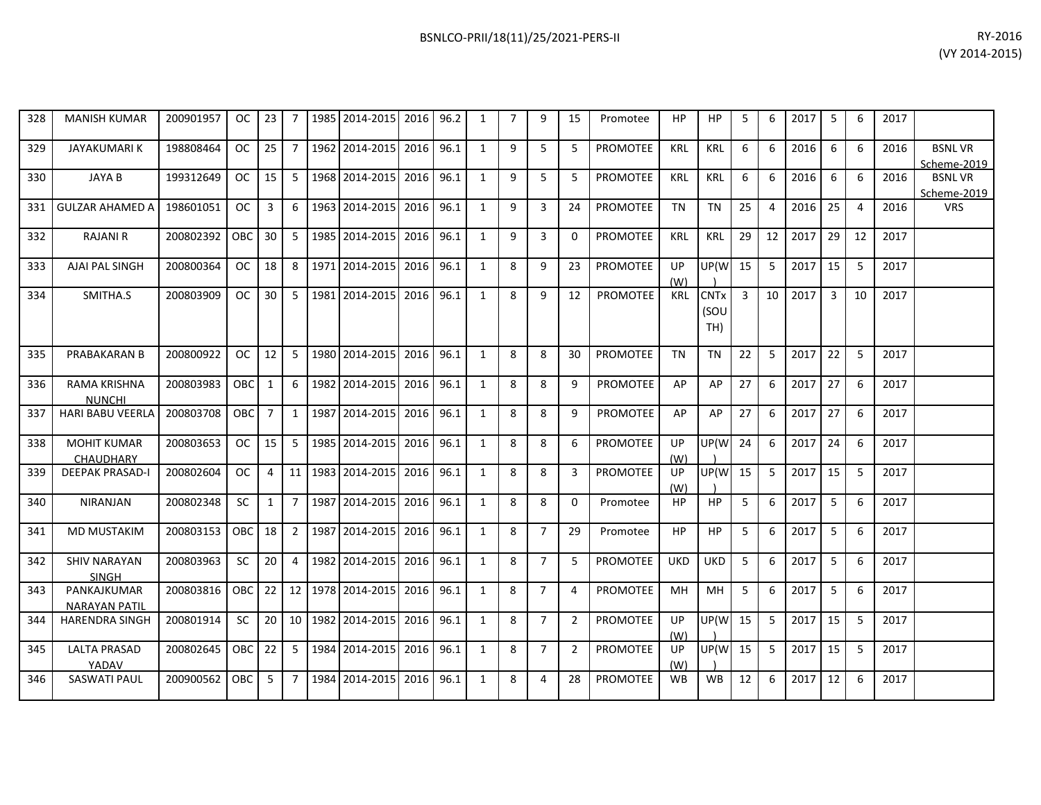| 328 | <b>MANISH KUMAR</b>     | 200901957 | OC.        | 23             | 7               | 1985 2014-2015        | 2016 96.2 |      | 1              | $\overline{7}$ | 9              | 15             | Promotee        | HP         | ΗP          | 5  | 6  | 2017 | -5 | 6              | 2017 |               |
|-----|-------------------------|-----------|------------|----------------|-----------------|-----------------------|-----------|------|----------------|----------------|----------------|----------------|-----------------|------------|-------------|----|----|------|----|----------------|------|---------------|
|     |                         |           |            |                |                 |                       |           |      |                |                |                |                |                 |            |             |    |    |      |    |                |      |               |
| 329 | <b>JAYAKUMARIK</b>      | 198808464 | OC.        | 25             | $\overline{7}$  | 1962 2014-2015        | 2016 96.1 |      | 1              | 9              | 5              | -5             | <b>PROMOTEE</b> | <b>KRL</b> | <b>KRL</b>  | 6  | 6  | 2016 | 6  | 6              | 2016 | <b>BSNLVR</b> |
|     |                         |           |            |                |                 |                       |           |      |                |                |                |                |                 |            |             |    |    |      |    |                |      | Scheme-2019   |
| 330 | <b>JAYA B</b>           | 199312649 | <b>OC</b>  | 15             | 5 <sup>1</sup>  | 1968 2014-2015        | 2016 96.1 |      | $\mathbf{1}$   | 9              | 5              | 5              | <b>PROMOTEE</b> | <b>KRL</b> | <b>KRL</b>  | 6  | 6  | 2016 | 6  | 6              | 2016 | <b>BSNLVR</b> |
|     |                         |           |            |                |                 |                       |           |      |                |                |                |                |                 |            |             |    |    |      |    |                |      | Scheme-2019   |
| 331 | <b>GULZAR AHAMED A</b>  | 198601051 | <b>OC</b>  | 3              | 6               | 1963 2014-2015        | 2016 96.1 |      | $\mathbf{1}$   | 9              | $\overline{3}$ | 24             | <b>PROMOTEE</b> | <b>TN</b>  | <b>TN</b>   | 25 | 4  | 2016 | 25 | $\overline{4}$ | 2016 | <b>VRS</b>    |
|     |                         |           |            |                |                 |                       |           |      |                | 9              |                |                |                 |            |             |    |    |      |    |                |      |               |
| 332 | <b>RAJANI R</b>         | 200802392 | OBC.       | 30             | 5 <sup>1</sup>  | 1985 2014-2015        | 2016 96.1 |      | $\mathbf{1}$   |                | $\overline{3}$ | $\Omega$       | <b>PROMOTEE</b> | <b>KRL</b> | <b>KRL</b>  | 29 | 12 | 2017 | 29 | 12             | 2017 |               |
| 333 | AJAI PAL SINGH          | 200800364 | OC.        | 18             | 8               | 1971 2014-2015        | 2016 96.1 |      | 1              | 8              | 9              | 23             | PROMOTEE        | <b>UP</b>  | UP(W        | 15 | -5 | 2017 | 15 | -5             | 2017 |               |
|     |                         |           |            |                |                 |                       |           |      |                |                |                |                |                 | (W)        |             |    |    |      |    |                |      |               |
| 334 | SMITHA.S                | 200803909 | <b>OC</b>  | 30             | 5 <sup>1</sup>  | 1981 2014-2015        | 2016      | 96.1 | 1              | 8              | 9              | 12             | <b>PROMOTEE</b> | <b>KRL</b> | <b>CNTx</b> | 3  | 10 | 2017 | 3  | 10             | 2017 |               |
|     |                         |           |            |                |                 |                       |           |      |                |                |                |                |                 |            | (SOU        |    |    |      |    |                |      |               |
|     |                         |           |            |                |                 |                       |           |      |                |                |                |                |                 |            | TH)         |    |    |      |    |                |      |               |
|     |                         |           |            |                |                 |                       |           |      |                |                |                |                |                 |            |             |    |    |      |    |                |      |               |
| 335 | PRABAKARAN B            | 200800922 | OC.        | 12             | 5               | 1980 2014-2015        | 2016 96.1 |      | 1              | 8              | 8              | 30             | <b>PROMOTEE</b> | <b>TN</b>  | <b>TN</b>   | 22 | 5  | 2017 | 22 | 5              | 2017 |               |
|     |                         |           |            |                |                 |                       |           |      |                |                |                |                |                 |            |             |    |    |      |    |                |      |               |
| 336 | <b>RAMA KRISHNA</b>     | 200803983 | OBC        | $\mathbf{1}$   | 6               | 1982 2014-2015        | 2016 96.1 |      | $\mathbf{1}$   | 8              | 8              | 9              | <b>PROMOTEE</b> | AP         | AP          | 27 | 6  | 2017 | 27 | 6              | 2017 |               |
|     | <b>NUNCHI</b>           |           |            |                |                 |                       |           |      |                |                |                |                |                 |            |             |    |    |      |    |                |      |               |
| 337 | <b>HARI BABU VEERLA</b> | 200803708 | <b>OBC</b> | $\overline{7}$ | $\mathbf{1}$    | 1987 2014-2015        | 2016      | 96.1 | 1              | 8              | 8              | 9              | PROMOTEE        | AP         | AP          | 27 | 6  | 2017 | 27 | 6              | 2017 |               |
|     |                         |           |            |                |                 |                       |           |      |                |                |                |                |                 |            |             |    |    |      |    |                |      |               |
| 338 | <b>MOHIT KUMAR</b>      | 200803653 | OC.        | 15             | 5               | 1985 2014-2015        | 2016 96.1 |      | 1              | 8              | 8              | 6              | <b>PROMOTEE</b> | UP         | UP(W        | 24 | 6  | 2017 | 24 | 6              | 2017 |               |
|     | <b>CHAUDHARY</b>        |           |            |                |                 |                       |           |      |                |                |                |                |                 | (W)        |             |    |    |      |    |                |      |               |
| 339 | <b>DEEPAK PRASAD-I</b>  | 200802604 | OC.        | 4              | 11 <sup>1</sup> | 1983 2014-2015        | 2016      | 96.1 | 1              | 8              | 8              | 3              | PROMOTEE        | <b>UP</b>  | UP(W        | 15 | -5 | 2017 | 15 | -5             | 2017 |               |
|     |                         |           |            |                |                 |                       |           |      |                |                |                |                |                 | (W)        |             |    |    |      |    |                |      |               |
| 340 | NIRANJAN                | 200802348 | <b>SC</b>  | $\mathbf{1}$   | $\overline{7}$  | 1987 2014-2015        | 2016      | 96.1 | $\overline{1}$ | 8              | 8              | $\Omega$       | Promotee        | HP         | HP          | 5  | 6  | 2017 | 5  | 6              | 2017 |               |
|     |                         |           |            |                |                 |                       |           |      |                |                |                |                |                 |            |             |    |    |      |    |                |      |               |
| 341 | <b>MD MUSTAKIM</b>      | 200803153 | OBC        | 18             | $\overline{2}$  | 1987 2014-2015        | 2016 96.1 |      | $\mathbf{1}$   | 8              | $\overline{7}$ | 29             | Promotee        | <b>HP</b>  | HP          | 5  | 6  | 2017 | 5  | 6              | 2017 |               |
|     |                         |           |            |                |                 |                       |           |      |                |                |                |                |                 |            |             |    |    |      |    |                |      |               |
| 342 | <b>SHIV NARAYAN</b>     | 200803963 | SC         | 20             | 4               | 1982 2014-2015        | 2016      | 96.1 | 1              | 8              | $\overline{7}$ | -5             | <b>PROMOTEE</b> | <b>UKD</b> | <b>UKD</b>  | 5  | 6  | 2017 | 5  | 6              | 2017 |               |
|     | <b>SINGH</b>            |           |            |                |                 |                       |           |      |                |                |                |                |                 |            |             |    |    |      |    |                |      |               |
| 343 | PANKAJKUMAR             | 200803816 | OBC.       | 22             | 12 <sub>1</sub> | 1978 2014-2015        | 2016 96.1 |      | 1              | 8              | $\overline{7}$ | $\overline{4}$ | <b>PROMOTEE</b> | <b>MH</b>  | MН          | 5  | 6  | 2017 | -5 | 6              | 2017 |               |
|     | <b>NARAYAN PATIL</b>    |           |            |                |                 |                       |           |      |                |                |                |                |                 |            |             |    |    |      |    |                |      |               |
| 344 | <b>HARENDRA SINGH</b>   | 200801914 | <b>SC</b>  | 20             |                 | 10   1982   2014-2015 | 2016      | 96.1 | 1              | 8              | $\overline{7}$ | $\overline{2}$ | <b>PROMOTEE</b> | UP         | UP(W        | 15 | -5 | 2017 | 15 | 5              | 2017 |               |
|     |                         |           |            |                |                 |                       |           |      |                |                |                |                |                 | (W)        |             |    |    |      |    |                |      |               |
| 345 | <b>LALTA PRASAD</b>     | 200802645 | <b>OBC</b> | 22             | 5 <sup>7</sup>  | 1984 2014-2015        | 2016 96.1 |      | 1              | 8              | $\overline{7}$ | $\overline{2}$ | <b>PROMOTEE</b> | <b>UP</b>  | UP(W        | 15 | -5 | 2017 | 15 | 5              | 2017 |               |
|     | YADAV                   |           |            |                |                 |                       |           |      |                |                |                |                |                 | (W)        |             |    |    |      |    |                |      |               |
| 346 | <b>SASWATI PAUL</b>     | 200900562 | OBC        | 5              | 7 I             | 1984 2014-2015        | 2016      | 96.1 | 1              | 8              | 4              | 28             | <b>PROMOTEE</b> | <b>WB</b>  | <b>WB</b>   | 12 | 6  | 2017 | 12 | 6              | 2017 |               |
|     |                         |           |            |                |                 |                       |           |      |                |                |                |                |                 |            |             |    |    |      |    |                |      |               |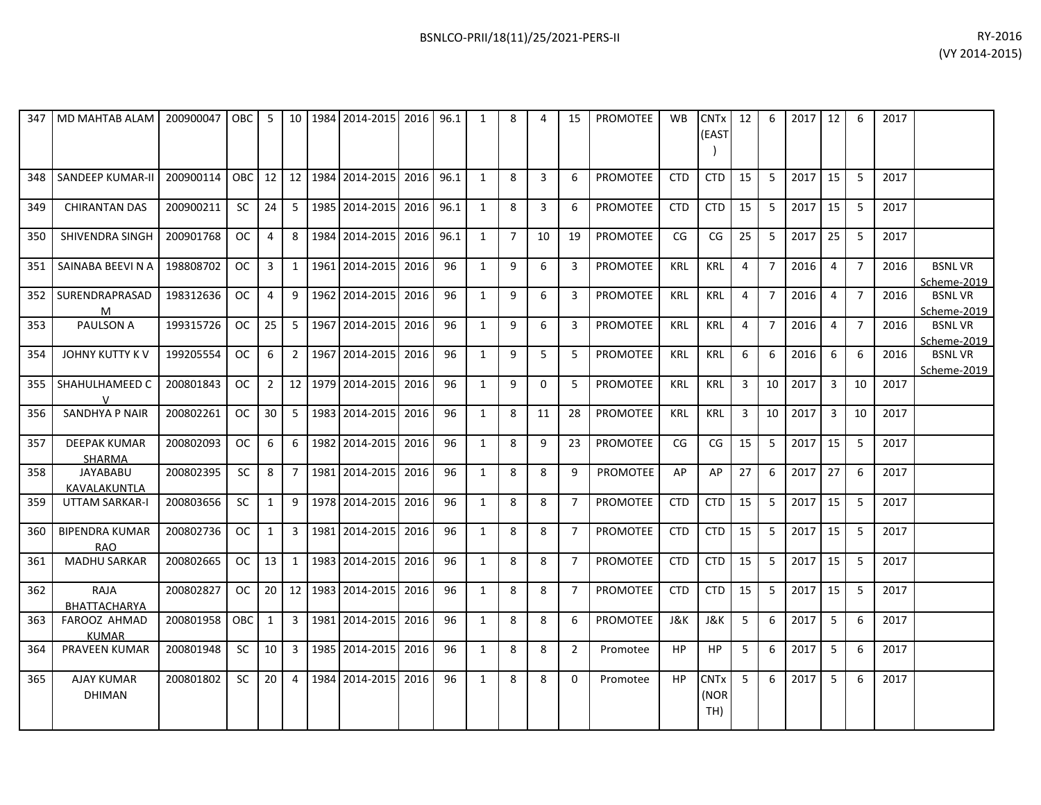| 347 | <b>MD MAHTAB ALAM</b>                | 200900047 | $\overline{O}$ DBC | 5               |                 | 10   1984   2014-2015 | 2016 96.1 |      | 1            | 8              | 4              | 15             | <b>PROMOTEE</b> | <b>WB</b>  | <b>CNT<sub>x</sub></b><br>(EAST | 12 | 6              | 2017 | 12             | 6              | 2017 |                              |
|-----|--------------------------------------|-----------|--------------------|-----------------|-----------------|-----------------------|-----------|------|--------------|----------------|----------------|----------------|-----------------|------------|---------------------------------|----|----------------|------|----------------|----------------|------|------------------------------|
| 348 | <b>SANDEEP KUMAR-II</b>              | 200900114 | <b>OBC</b>         | 12 <sup>2</sup> |                 | 12 1984 2014-2015     | 2016      | 96.1 | $\mathbf{1}$ | 8              | 3              | 6              | <b>PROMOTEE</b> | <b>CTD</b> | <b>CTD</b>                      | 15 | 5              | 2017 | 15             | 5              | 2017 |                              |
| 349 | <b>CHIRANTAN DAS</b>                 | 200900211 | SC                 | 24              | 5 <sup>1</sup>  | 1985 2014-2015        | 2016      | 96.1 | 1            | 8              | $\overline{3}$ | 6              | <b>PROMOTEE</b> | <b>CTD</b> | <b>CTD</b>                      | 15 | 5              | 2017 | 15             | 5              | 2017 |                              |
| 350 | SHIVENDRA SINGH                      | 200901768 | OC.                | 4               | 8               | 1984 2014-2015        | 2016      | 96.1 | $\mathbf{1}$ | $\overline{7}$ | 10             | 19             | PROMOTEE        | CG         | CG                              | 25 | 5              | 2017 | 25             | 5              | 2017 |                              |
| 351 | SAINABA BEEVI N A                    | 198808702 | <b>OC</b>          | 3               | $\mathbf{1}$    | 1961 2014-2015        | 2016      | 96   | $\mathbf{1}$ | 9              | 6              | $\overline{3}$ | PROMOTEE        | <b>KRL</b> | <b>KRL</b>                      | 4  | $\overline{7}$ | 2016 | $\overline{4}$ | $\overline{7}$ | 2016 | <b>BSNLVR</b><br>Scheme-2019 |
| 352 | SURENDRAPRASAD<br>M                  | 198312636 | <b>OC</b>          | 4               | 9               | 1962 2014-2015        | 2016      | 96   | $\mathbf{1}$ | 9              | 6              | 3              | PROMOTEE        | <b>KRL</b> | <b>KRL</b>                      | 4  | $\overline{7}$ | 2016 | 4              | $\overline{7}$ | 2016 | <b>BSNLVR</b><br>Scheme-2019 |
| 353 | PAULSON A                            | 199315726 | <b>OC</b>          | 25              | 5 <sup>1</sup>  | 1967 2014-2015        | 2016      | 96   | 1            | 9              | 6              | 3              | PROMOTEE        | <b>KRL</b> | <b>KRL</b>                      | 4  | $\overline{7}$ | 2016 | 4              | $\overline{7}$ | 2016 | <b>BSNLVR</b><br>Scheme-2019 |
| 354 | <b>JOHNY KUTTY KV</b>                | 199205554 | <b>OC</b>          | 6               | $\overline{2}$  | 1967 2014-2015        | 2016      | 96   | $\mathbf{1}$ | 9              | 5              | -5             | <b>PROMOTEE</b> | <b>KRL</b> | <b>KRL</b>                      | 6  | 6              | 2016 | 6              | 6              | 2016 | <b>BSNLVR</b><br>Scheme-2019 |
| 355 | SHAHULHAMEED C<br>$\mathsf{v}$       | 200801843 | <b>OC</b>          | $\overline{2}$  | 12 <sub>1</sub> | 1979 2014-2015        | 2016      | 96   | $\mathbf{1}$ | 9              | 0              | -5             | PROMOTEE        | <b>KRL</b> | <b>KRL</b>                      | 3  | 10             | 2017 | 3              | 10             | 2017 |                              |
| 356 | SANDHYA P NAIR                       | 200802261 | <b>OC</b>          | 30              | 5               | 1983 2014-2015        | 2016      | 96   | $\mathbf{1}$ | 8              | 11             | 28             | <b>PROMOTEE</b> | <b>KRL</b> | <b>KRL</b>                      | 3  | 10             | 2017 | 3              | 10             | 2017 |                              |
| 357 | <b>DEEPAK KUMAR</b><br><b>SHARMA</b> | 200802093 | OC.                | 6               | 6               | 1982 2014-2015        | 2016      | 96   | $\mathbf{1}$ | 8              | 9              | 23             | PROMOTEE        | CG         | CG                              | 15 | 5              | 2017 | 15             | 5              | 2017 |                              |
| 358 | <b>JAYABABU</b><br>KAVALAKUNTLA      | 200802395 | <b>SC</b>          | 8               | $7^{\circ}$     | 1981 2014-2015        | 2016      | 96   | $\mathbf{1}$ | 8              | 8              | 9              | PROMOTEE        | AP         | AP                              | 27 | 6              | 2017 | 27             | 6              | 2017 |                              |
| 359 | <b>UTTAM SARKAR-I</b>                | 200803656 | <b>SC</b>          | 1               | 9 <sup>1</sup>  | 1978 2014-2015        | 2016      | 96   | $\mathbf{1}$ | 8              | 8              | $\overline{7}$ | <b>PROMOTEE</b> | <b>CTD</b> | <b>CTD</b>                      | 15 | 5              | 2017 | 15             | 5              | 2017 |                              |
| 360 | <b>BIPENDRA KUMAR</b><br><b>RAO</b>  | 200802736 | <b>OC</b>          | $\mathbf{1}$    | $\mathbf{3}$    | 1981 2014-2015        | 2016      | 96   | $\mathbf{1}$ | 8              | 8              | $\overline{7}$ | PROMOTEE        | <b>CTD</b> | <b>CTD</b>                      | 15 | 5              | 2017 | 15             | 5              | 2017 |                              |
| 361 | <b>MADHU SARKAR</b>                  | 200802665 | OC.                | 13              | 1               | 1983 2014-2015        | 2016      | 96   | $\mathbf{1}$ | 8              | 8              | $\overline{7}$ | PROMOTEE        | <b>CTD</b> | <b>CTD</b>                      | 15 | 5              | 2017 | 15             | 5              | 2017 |                              |
| 362 | RAJA<br><b>BHATTACHARYA</b>          | 200802827 | OC                 | 20              | 12              | 1983 2014-2015        | 2016      | 96   | 1            | 8              | 8              | 7              | <b>PROMOTEE</b> | <b>CTD</b> | <b>CTD</b>                      | 15 | 5              | 2017 | 15             | 5              | 2017 |                              |
| 363 | <b>FAROOZ AHMAD</b><br><b>KUMAR</b>  | 200801958 | <b>OBC</b>         | 1               | 3 <sup>1</sup>  | 1981 2014-2015        | 2016      | 96   | $\mathbf{1}$ | 8              | 8              | 6              | <b>PROMOTEE</b> | J&K        | J&K                             | 5  | 6              | 2017 | 5              | 6              | 2017 |                              |
| 364 | <b>PRAVEEN KUMAR</b>                 | 200801948 | <b>SC</b>          | 10              | 3 <sup>1</sup>  | 1985 2014-2015        | 2016      | 96   | $\mathbf{1}$ | 8              | 8              | $\overline{2}$ | Promotee        | <b>HP</b>  | HP                              | 5  | 6              | 2017 | 5              | 6              | 2017 |                              |
| 365 | <b>AJAY KUMAR</b><br><b>DHIMAN</b>   | 200801802 | SC                 | 20              | 4               | 1984 2014-2015        | 2016      | 96   | 1            | 8              | 8              | 0              | Promotee        | HP         | <b>CNTx</b><br>(NOR<br>TH)      | 5  | 6              | 2017 | 5              | 6              | 2017 |                              |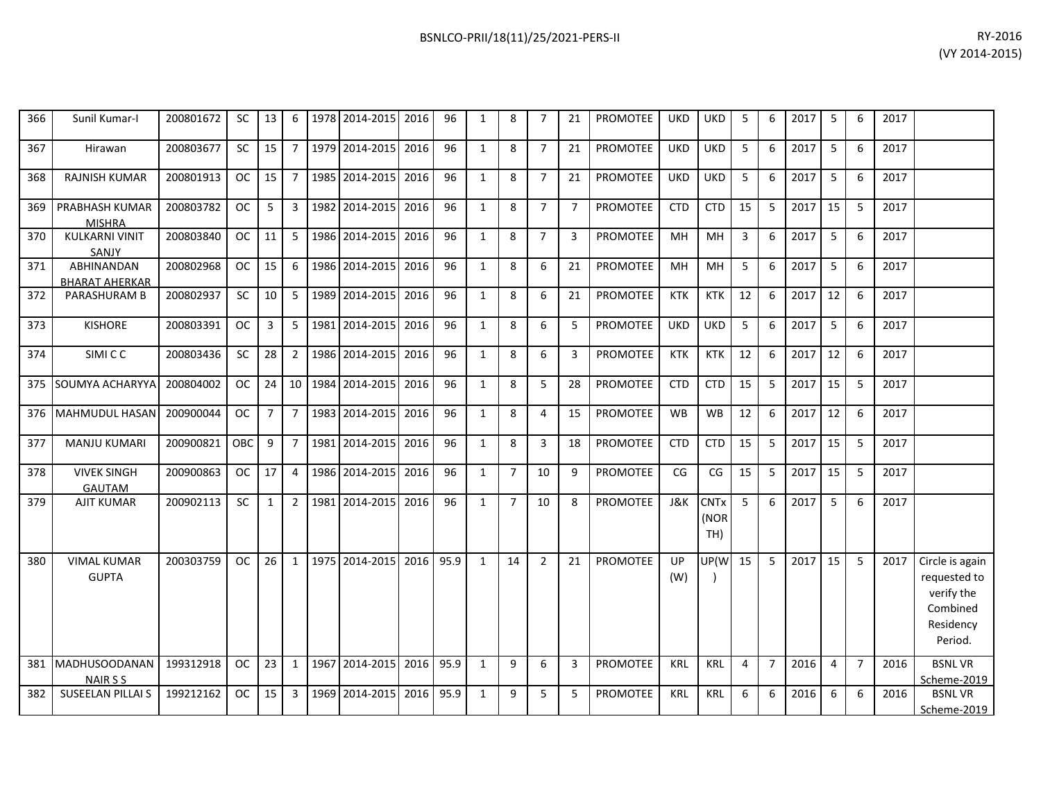| 366 | Sunil Kumar-I                           | 200801672 | SC        | 13             | 6               | 1978 2014-2015       | 2016 | 96   | 1            | 8              | 7              | 21             | <b>PROMOTEE</b> | <b>UKD</b>     | <b>UKD</b>                 | 5              | 6              | 2017 | 5              | 6              | 2017 |                                                                                   |
|-----|-----------------------------------------|-----------|-----------|----------------|-----------------|----------------------|------|------|--------------|----------------|----------------|----------------|-----------------|----------------|----------------------------|----------------|----------------|------|----------------|----------------|------|-----------------------------------------------------------------------------------|
| 367 | Hirawan                                 | 200803677 | SC        | 15             |                 | 7   1979   2014-2015 | 2016 | 96   | $\mathbf{1}$ | 8              | $\overline{7}$ | 21             | <b>PROMOTEE</b> | <b>UKD</b>     | <b>UKD</b>                 | 5              | 6              | 2017 | 5              | 6              | 2017 |                                                                                   |
| 368 | <b>RAJNISH KUMAR</b>                    | 200801913 | <b>OC</b> | 15             | $7^{\circ}$     | 1985 2014-2015       | 2016 | 96   | $\mathbf{1}$ | 8              | $\overline{7}$ | 21             | <b>PROMOTEE</b> | <b>UKD</b>     | <b>UKD</b>                 | 5              | 6              | 2017 | 5              | 6              | 2017 |                                                                                   |
| 369 | PRABHASH KUMAR<br><b>MISHRA</b>         | 200803782 | <b>OC</b> | 5              | $\mathbf{3}$    | 1982 2014-2015       | 2016 | 96   | $\mathbf{1}$ | 8              | $\overline{7}$ | $\overline{7}$ | <b>PROMOTEE</b> | <b>CTD</b>     | <b>CTD</b>                 | 15             | 5              | 2017 | 15             | 5              | 2017 |                                                                                   |
| 370 | <b>KULKARNI VINIT</b><br>SANJY          | 200803840 | <b>OC</b> | 11             | 5 <sup>5</sup>  | 1986 2014-2015       | 2016 | 96   | $\mathbf{1}$ | 8              | $\overline{7}$ | 3              | <b>PROMOTEE</b> | MH             | MH                         | 3              | 6              | 2017 | 5              | 6              | 2017 |                                                                                   |
| 371 | ABHINANDAN<br><b>BHARAT AHERKAR</b>     | 200802968 | <b>OC</b> | 15             | 6               | 1986 2014-2015       | 2016 | 96   | $\mathbf{1}$ | 8              | 6              | 21             | <b>PROMOTEE</b> | MH             | MH                         | 5              | 6              | 2017 | 5              | 6              | 2017 |                                                                                   |
| 372 | <b>PARASHURAM B</b>                     | 200802937 | <b>SC</b> | 10             | 5 <sup>1</sup>  | 1989 2014-2015       | 2016 | 96   | $\mathbf{1}$ | 8              | 6              | 21             | <b>PROMOTEE</b> | <b>KTK</b>     | <b>KTK</b>                 | 12             | 6              | 2017 | 12             | 6              | 2017 |                                                                                   |
| 373 | <b>KISHORE</b>                          | 200803391 | <b>OC</b> | 3              | 5 <sup>1</sup>  | 1981 2014-2015       | 2016 | 96   | $\mathbf{1}$ | 8              | 6              | 5              | <b>PROMOTEE</b> | <b>UKD</b>     | <b>UKD</b>                 | 5              | 6              | 2017 | 5              | 6              | 2017 |                                                                                   |
| 374 | <b>SIMICC</b>                           | 200803436 | <b>SC</b> | 28             | $2^{\circ}$     | 1986 2014-2015       | 2016 | 96   | $\mathbf{1}$ | 8              | 6              | 3              | <b>PROMOTEE</b> | <b>KTK</b>     | <b>KTK</b>                 | 12             | 6              | 2017 | 12             | 6              | 2017 |                                                                                   |
| 375 | SOUMYA ACHARYYA                         | 200804002 | <b>OC</b> | 24             | 10              | 1984 2014-2015       | 2016 | 96   | $\mathbf{1}$ | 8              | 5              | 28             | <b>PROMOTEE</b> | <b>CTD</b>     | <b>CTD</b>                 | 15             | 5              | 2017 | 15             | 5              | 2017 |                                                                                   |
| 376 | <b>MAHMUDUL HASAN</b>                   | 200900044 | <b>OC</b> | $\overline{7}$ | $7\overline{ }$ | 1983 2014-2015       | 2016 | 96   | $\mathbf{1}$ | 8              | $\overline{4}$ | 15             | PROMOTEE        | <b>WB</b>      | <b>WB</b>                  | 12             | 6              | 2017 | 12             | 6              | 2017 |                                                                                   |
| 377 | <b>MANJU KUMARI</b>                     | 200900821 | OBC       | 9              | $7^{\circ}$     | 1981 2014-2015       | 2016 | 96   | $\mathbf{1}$ | 8              | 3              | 18             | <b>PROMOTEE</b> | <b>CTD</b>     | <b>CTD</b>                 | 15             | 5              | 2017 | 15             | 5              | 2017 |                                                                                   |
| 378 | <b>VIVEK SINGH</b><br><b>GAUTAM</b>     | 200900863 | <b>OC</b> | 17             | $\overline{4}$  | 1986 2014-2015       | 2016 | 96   | $\mathbf{1}$ | $\overline{7}$ | 10             | 9              | PROMOTEE        | CG             | CG                         | 15             | 5              | 2017 | 15             | 5              | 2017 |                                                                                   |
| 379 | <b>AJIT KUMAR</b>                       | 200902113 | <b>SC</b> | $\mathbf{1}$   | $2^{\circ}$     | 1981 2014-2015       | 2016 | 96   | $\mathbf{1}$ | $\overline{7}$ | 10             | 8              | <b>PROMOTEE</b> | <b>J&amp;K</b> | <b>CNTx</b><br>(NOR<br>TH) | 5              | 6              | 2017 | 5              | 6              | 2017 |                                                                                   |
| 380 | <b>VIMAL KUMAR</b><br><b>GUPTA</b>      | 200303759 | <b>OC</b> | 26             | 1               | 1975 2014-2015       | 2016 | 95.9 | 1            | 14             | $\overline{2}$ | 21             | <b>PROMOTEE</b> | UP<br>(W)      | UP(W                       | 15             | 5              | 2017 | 15             | 5              | 2017 | Circle is again<br>requested to<br>verify the<br>Combined<br>Residency<br>Period. |
| 381 | <b>MADHUSOODANAN</b><br><b>NAIR S S</b> | 199312918 | <b>OC</b> | 23             | $\mathbf{1}$    | 1967 2014-2015       | 2016 | 95.9 | $\mathbf{1}$ | 9              | 6              | 3              | <b>PROMOTEE</b> | <b>KRL</b>     | <b>KRL</b>                 | $\overline{4}$ | $\overline{7}$ | 2016 | $\overline{4}$ | $\overline{7}$ | 2016 | <b>BSNLVR</b><br>Scheme-2019                                                      |
| 382 | <b>SUSEELAN PILLAI S</b>                | 199212162 | <b>OC</b> | 15             | 3               | 1969 2014-2015       | 2016 | 95.9 | $\mathbf{1}$ | 9              | 5              | 5              | <b>PROMOTEE</b> | <b>KRL</b>     | <b>KRL</b>                 | 6              | 6              | 2016 | 6              | 6              | 2016 | <b>BSNLVR</b><br>Scheme-2019                                                      |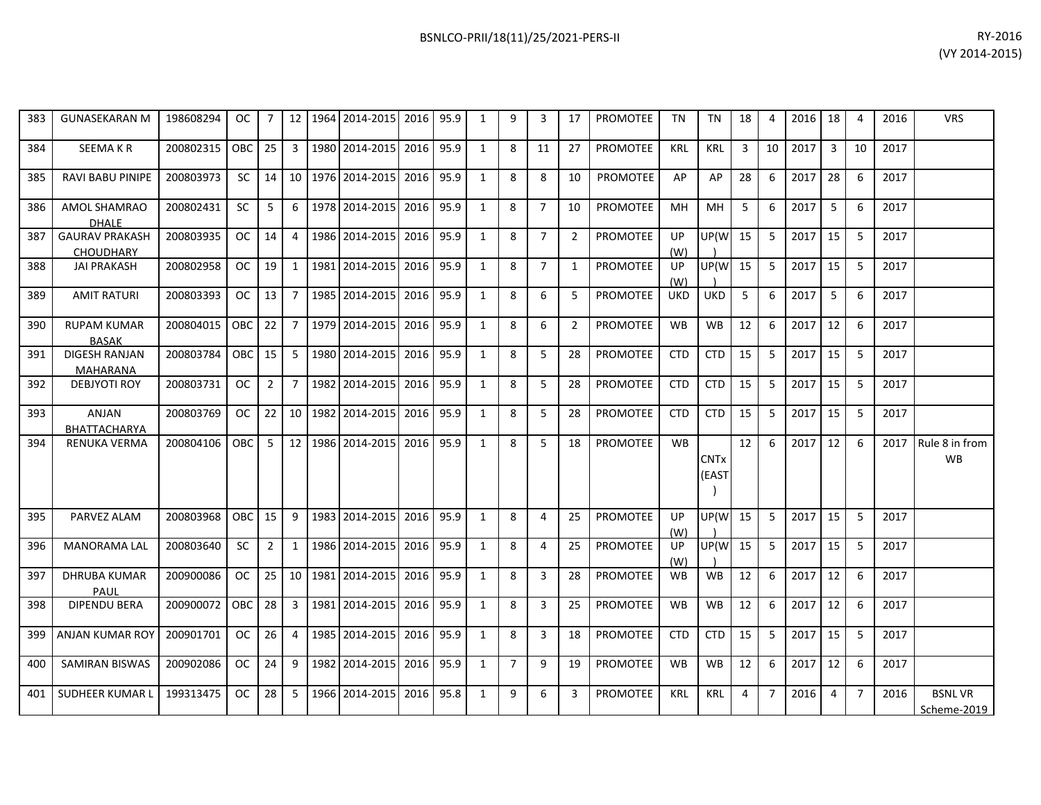| 383 | <b>GUNASEKARAN M</b>                      | 198608294 | OC.           |                | 12 <sup>2</sup> | 1964    | 2014-2015             | 2016 | 95.9 | 1            | 9              | 3              | 17             | <b>PROMOTEE</b> | <b>TN</b>  | <b>TN</b>                       | 18 | $\boldsymbol{\Delta}$ | 2016 | 18             | 4              | 2016 | <b>VRS</b>                   |
|-----|-------------------------------------------|-----------|---------------|----------------|-----------------|---------|-----------------------|------|------|--------------|----------------|----------------|----------------|-----------------|------------|---------------------------------|----|-----------------------|------|----------------|----------------|------|------------------------------|
| 384 | <b>SEEMAKR</b>                            | 200802315 | OBC           | 25             | 3               |         | 1980 2014-2015        | 2016 | 95.9 | $\mathbf{1}$ | 8              | 11             | 27             | <b>PROMOTEE</b> | <b>KRL</b> | <b>KRL</b>                      | 3  | 10                    | 2017 | 3              | 10             | 2017 |                              |
| 385 | <b>RAVI BABU PINIPE</b>                   | 200803973 | <b>SC</b>     | 14             |                 |         | 10 1976 2014-2015     | 2016 | 95.9 | 1            | 8              | 8              | 10             | <b>PROMOTEE</b> | AP         | AP                              | 28 | 6                     | 2017 | 28             | 6              | 2017 |                              |
| 386 | <b>AMOL SHAMRAO</b><br><b>DHALE</b>       | 200802431 | SC            | 5              | 6               |         | 1978 2014-2015        | 2016 | 95.9 | $\mathbf{1}$ | 8              | $\overline{7}$ | 10             | <b>PROMOTEE</b> | <b>MH</b>  | MH                              | 5  | 6                     | 2017 | 5              | 6              | 2017 |                              |
| 387 | <b>GAURAV PRAKASH</b><br><b>CHOUDHARY</b> | 200803935 | OC.           | 14             | 4               |         | 1986 2014-2015        | 2016 | 95.9 | 1            | 8              | $\overline{7}$ | $\overline{2}$ | PROMOTEE        | UP<br>(W)  | UP(W                            | 15 | 5                     | 2017 | 15             | 5              | 2017 |                              |
| 388 | <b>JAI PRAKASH</b>                        | 200802958 | OC.           | 19             | 1               | 1981    | 2014-2015             | 2016 | 95.9 | 1            | 8              | $\overline{7}$ | 1              | <b>PROMOTEE</b> | UP<br>(W)  | UP(W                            | 15 | 5                     | 2017 | 15             | 5              | 2017 |                              |
| 389 | <b>AMIT RATURI</b>                        | 200803393 | OC.           | 13             |                 |         | 7   1985   2014-2015  | 2016 | 95.9 | $\mathbf{1}$ | 8              | 6              | 5              | <b>PROMOTEE</b> | <b>UKD</b> | <b>UKD</b>                      | 5  | 6                     | 2017 | 5              | 6              | 2017 |                              |
| 390 | <b>RUPAM KUMAR</b><br><b>BASAK</b>        | 200804015 | OBC           | 22             | $\overline{7}$  |         | 1979 2014-2015        | 2016 | 95.9 | $\mathbf{1}$ | 8              | 6              | $\overline{2}$ | <b>PROMOTEE</b> | <b>WB</b>  | <b>WB</b>                       | 12 | 6                     | 2017 | 12             | 6              | 2017 |                              |
| 391 | DIGESH RANJAN<br><b>MAHARANA</b>          | 200803784 | OBC           | 15             | 5               | 1980    | 2014-2015             | 2016 | 95.9 | 1            | 8              | 5              | 28             | <b>PROMOTEE</b> | <b>CTD</b> | <b>CTD</b>                      | 15 | 5                     | 2017 | 15             | 5              | 2017 |                              |
| 392 | <b>DEBJYOTI ROY</b>                       | 200803731 | OC.           | $\overline{2}$ | $\overline{7}$  |         | 1982 2014-2015        | 2016 | 95.9 | 1            | 8              | 5              | 28             | <b>PROMOTEE</b> | <b>CTD</b> | <b>CTD</b>                      | 15 | 5                     | 2017 | 15             | 5              | 2017 |                              |
| 393 | ANJAN<br>BHATTACHARYA                     | 200803769 | OC.           | 22             |                 | 10 1982 | 2014-2015             | 2016 | 95.9 | 1            | 8              | 5              | 28             | <b>PROMOTEE</b> | <b>CTD</b> | <b>CTD</b>                      | 15 | 5                     | 2017 | 15             | 5              | 2017 |                              |
| 394 | RENUKA VERMA                              | 200804106 | <b>OBC</b>    | 5              |                 |         | 12   1986   2014-2015 | 2016 | 95.9 | $\mathbf{1}$ | 8              | 5              | 18             | <b>PROMOTEE</b> | <b>WB</b>  | <b>CNT<sub>x</sub></b><br>(EAST | 12 | 6                     | 2017 | 12             | 6              | 2017 | Rule 8 in from<br>WB         |
| 395 | PARVEZ ALAM                               | 200803968 | <b>OBC</b>    | 15             | 9               |         | 1983 2014-2015        | 2016 | 95.9 | 1            | 8              | $\overline{4}$ | 25             | <b>PROMOTEE</b> | UP<br>(W)  | UP(W                            | 15 | 5                     | 2017 | 15             | 5              | 2017 |                              |
| 396 | <b>MANORAMA LAL</b>                       | 200803640 | SC.           | $\overline{2}$ | 1               |         | 1986 2014-2015        | 2016 | 95.9 | 1            | 8              | 4              | 25             | <b>PROMOTEE</b> | UP<br>(W)  | UP(W                            | 15 | 5                     | 2017 | 15             | 5              | 2017 |                              |
| 397 | <b>DHRUBA KUMAR</b><br>PAUL               | 200900086 | <sub>OC</sub> | 25             | 10 <sup>1</sup> | 1981    | 2014-2015             | 2016 | 95.9 | 1            | 8              | 3              | 28             | <b>PROMOTEE</b> | <b>WB</b>  | <b>WB</b>                       | 12 | 6                     | 2017 | 12             | 6              | 2017 |                              |
| 398 | <b>DIPENDU BERA</b>                       | 200900072 | <b>OBC</b>    | 28             | $\mathbf{3}$    |         | 1981 2014-2015        | 2016 | 95.9 | $\mathbf{1}$ | 8              | 3              | 25             | <b>PROMOTEE</b> | <b>WB</b>  | <b>WB</b>                       | 12 | 6                     | 2017 | 12             | 6              | 2017 |                              |
| 399 | <b>ANJAN KUMAR ROY</b>                    | 200901701 | OC.           | 26             | $\overline{4}$  |         | 1985 2014-2015        | 2016 | 95.9 | 1            | 8              | 3              | 18             | PROMOTEE        | <b>CTD</b> | <b>CTD</b>                      | 15 | 5                     | 2017 | 15             | 5              | 2017 |                              |
| 400 | <b>SAMIRAN BISWAS</b>                     | 200902086 | <sub>OC</sub> | 24             | 9               | 1982    | 2014-2015             | 2016 | 95.9 | $\mathbf{1}$ | $\overline{7}$ | 9              | 19             | <b>PROMOTEE</b> | <b>WB</b>  | <b>WB</b>                       | 12 | 6                     | 2017 | 12             | 6              | 2017 |                              |
| 401 | SUDHEER KUMAR L                           | 199313475 | <b>OC</b>     | 28             | 5               | 1966    | 2014-2015             | 2016 | 95.8 | $\mathbf{1}$ | 9              | 6              | 3              | PROMOTEE        | <b>KRL</b> | <b>KRL</b>                      | 4  | $\overline{7}$        | 2016 | $\overline{4}$ | $\overline{7}$ | 2016 | <b>BSNLVR</b><br>Scheme-2019 |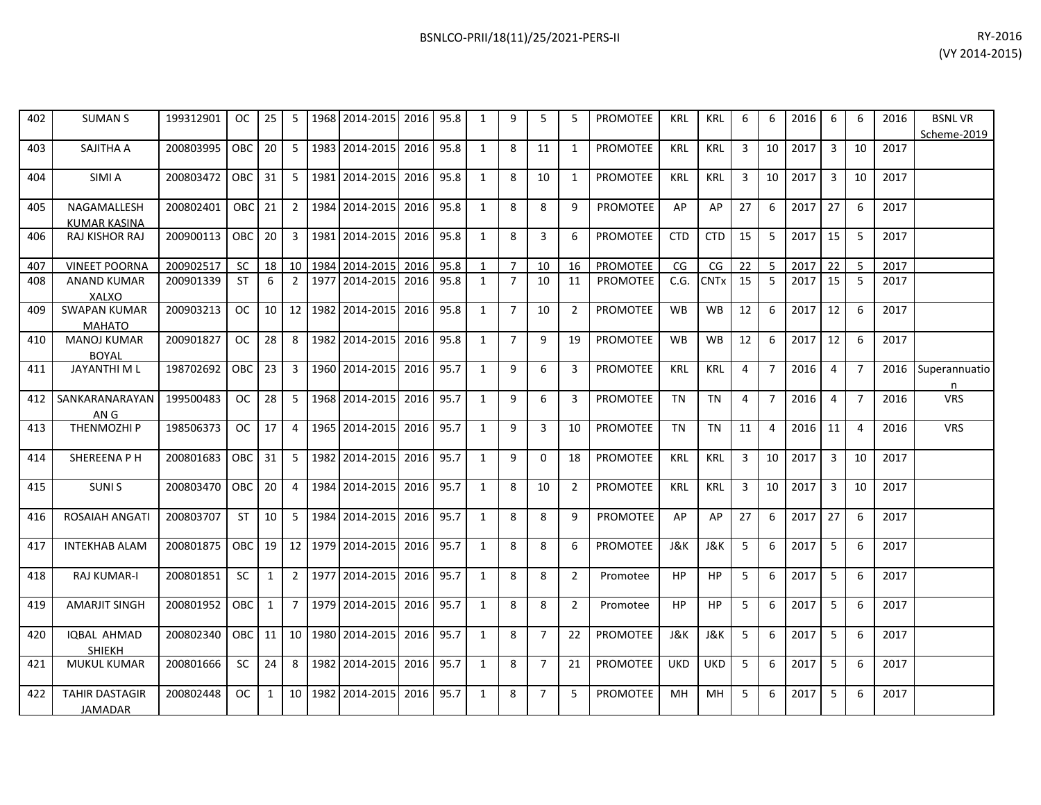| RY-2016        |
|----------------|
| (VY 2014-2015) |

| 402 | <b>SUMAN S</b>                       | 199312901 | OC.           | 25           | 5               | 1968 | 2014-2015           | 2016 | 95.8 | 1            | 9              | 5              | 5              | <b>PROMOTEE</b> | <b>KRL</b> | <b>KRL</b>     | 6              | 6              | 2016 | 6              | 6              | 2016 | <b>BSNLVR</b><br>Scheme-2019 |
|-----|--------------------------------------|-----------|---------------|--------------|-----------------|------|---------------------|------|------|--------------|----------------|----------------|----------------|-----------------|------------|----------------|----------------|----------------|------|----------------|----------------|------|------------------------------|
| 403 | SAJITHA A                            | 200803995 | <b>OBC</b>    | 20           | -5              | 1983 | 2014-2015 2016      |      | 95.8 | 1            | 8              | 11             | 1              | PROMOTEE        | <b>KRL</b> | <b>KRL</b>     | 3              | 10             | 2017 | 3              | 10             | 2017 |                              |
| 404 | SIMI A                               | 200803472 | <b>OBC</b>    | 31           | 5               | 1981 | 2014-2015 2016      |      | 95.8 | $\mathbf{1}$ | 8              | 10             | $\mathbf{1}$   | <b>PROMOTEE</b> | <b>KRL</b> | <b>KRL</b>     | 3              | 10             | 2017 | 3              | 10             | 2017 |                              |
| 405 | NAGAMALLESH<br><b>KUMAR KASINA</b>   | 200802401 | <b>OBC</b>    | 21           | $\overline{2}$  | 1984 | 2014-2015           | 2016 | 95.8 | $\mathbf{1}$ | 8              | 8              | 9              | <b>PROMOTEE</b> | AP         | AP             | 27             | 6              | 2017 | 27             | 6              | 2017 |                              |
| 406 | RAJ KISHOR RAJ                       | 200900113 | OBC           | 20           | 3               | 1981 | 2014-2015 2016      |      | 95.8 | $\mathbf{1}$ | 8              | 3              | 6              | <b>PROMOTEE</b> | <b>CTD</b> | <b>CTD</b>     | 15             | 5              | 2017 | 15             | 5              | 2017 |                              |
| 407 | <b>VINEET POORNA</b>                 | 200902517 | <b>SC</b>     | 18           | 10              | 1984 | 2014-2015           | 2016 | 95.8 | $\mathbf{1}$ | $\overline{7}$ | 10             | 16             | PROMOTEE        | CG         | CG             | 22             | 5              | 2017 | 22             | 5              | 2017 |                              |
| 408 | <b>ANAND KUMAR</b><br><b>XALXO</b>   | 200901339 | ST            | 6            | $\overline{2}$  | 1977 | 2014-2015           | 2016 | 95.8 | $\mathbf{1}$ | $\overline{7}$ | 10             | 11             | <b>PROMOTEE</b> | C.G.       | <b>CNTx</b>    | 15             | 5              | 2017 | 15             | 5              | 2017 |                              |
| 409 | <b>SWAPAN KUMAR</b><br><b>MAHATO</b> | 200903213 | OC.           | 10           | 12              | 1982 | 2014-2015 2016      |      | 95.8 | $\mathbf{1}$ | $\overline{7}$ | 10             | $\overline{2}$ | PROMOTEE        | <b>WB</b>  | <b>WB</b>      | 12             | 6              | 2017 | 12             | 6              | 2017 |                              |
| 410 | <b>MANOJ KUMAR</b><br><b>BOYAL</b>   | 200901827 | <b>OC</b>     | 28           | 8               | 1982 | 2014-2015 2016      |      | 95.8 | $\mathbf{1}$ | $\overline{7}$ | 9              | 19             | <b>PROMOTEE</b> | <b>WB</b>  | <b>WB</b>      | 12             | 6              | 2017 | 12             | 6              | 2017 |                              |
| 411 | <b>JAYANTHI M L</b>                  | 198702692 | <b>OBC</b>    | 23           | 3               | 1960 | 2014-2015 2016      |      | 95.7 | 1            | 9              | 6              | 3              | <b>PROMOTEE</b> | <b>KRL</b> | <b>KRL</b>     | 4              | $\overline{7}$ | 2016 | 4              | $\overline{7}$ | 2016 | Superannuatio<br>n           |
| 412 | SANKARANARAYAN<br>AN G               | 199500483 | <b>OC</b>     | 28           | 5               |      | 1968 2014-2015 2016 |      | 95.7 | 1            | 9              | 6              | 3              | <b>PROMOTEE</b> | <b>TN</b>  | <b>TN</b>      | $\overline{4}$ | $\overline{7}$ | 2016 | $\overline{4}$ | $\overline{7}$ | 2016 | <b>VRS</b>                   |
| 413 | <b>THENMOZHIP</b>                    | 198506373 | <sub>OC</sub> | 17           | $\overline{4}$  | 1965 | 2014-2015           | 2016 | 95.7 | 1            | 9              | 3              | 10             | <b>PROMOTEE</b> | <b>TN</b>  | <b>TN</b>      | 11             | $\overline{4}$ | 2016 | 11             | $\overline{4}$ | 2016 | <b>VRS</b>                   |
| 414 | SHEREENA P H                         | 200801683 | <b>OBC</b>    | 31           | 5               | 1982 | 2014-2015 2016      |      | 95.7 | 1            | 9              | $\Omega$       | 18             | PROMOTEE        | <b>KRL</b> | <b>KRL</b>     | 3              | 10             | 2017 | 3              | 10             | 2017 |                              |
| 415 | <b>SUNIS</b>                         | 200803470 | <b>OBC</b>    | 20           | $\overline{4}$  |      | 1984 2014-2015 2016 |      | 95.7 | $\mathbf{1}$ | 8              | 10             | $\overline{2}$ | PROMOTEE        | <b>KRL</b> | <b>KRL</b>     | 3              | 10             | 2017 | $\overline{3}$ | 10             | 2017 |                              |
| 416 | <b>ROSAIAH ANGATI</b>                | 200803707 | <b>ST</b>     | 10           | 5               | 1984 | 2014-2015           | 2016 | 95.7 | 1            | 8              | 8              | 9              | <b>PROMOTEE</b> | AP         | AP             | 27             | 6              | 2017 | 27             | 6              | 2017 |                              |
| 417 | <b>INTEKHAB ALAM</b>                 | 200801875 | <b>OBC</b>    | 19           | 12              | 1979 | 2014-2015 2016      |      | 95.7 | $\mathbf{1}$ | 8              | 8              | 6              | PROMOTEE        | J&K        | <b>J&amp;K</b> | 5              | 6              | 2017 | 5              | 6              | 2017 |                              |
| 418 | <b>RAJ KUMAR-I</b>                   | 200801851 | <b>SC</b>     | $\mathbf{1}$ | $\overline{2}$  | 1977 | 2014-2015           | 2016 | 95.7 | $\mathbf{1}$ | 8              | 8              | 2              | Promotee        | HP         | <b>HP</b>      | 5              | 6              | 2017 | 5              | 6              | 2017 |                              |
| 419 | <b>AMARJIT SINGH</b>                 | 200801952 | <b>OBC</b>    | 1            | 7               | 1979 | 2014-2015 2016      |      | 95.7 | 1            | 8              | 8              | $\overline{2}$ | Promotee        | HP         | HP.            | 5              | 6              | 2017 | 5              | 6              | 2017 |                              |
| 420 | <b>IOBAL AHMAD</b><br><b>SHIEKH</b>  | 200802340 | <b>OBC</b>    | 11           | 10 <sup>1</sup> |      | 1980 2014-2015 2016 |      | 95.7 | 1            | 8              | $\overline{7}$ | 22             | <b>PROMOTEE</b> | J&K        | J&K            | 5              | 6              | 2017 | 5              | 6              | 2017 |                              |
| 421 | <b>MUKUL KUMAR</b>                   | 200801666 | SC.           | 24           | 8               | 1982 | 2014-2015           | 2016 | 95.7 | $\mathbf{1}$ | 8              | $\overline{7}$ | 21             | <b>PROMOTEE</b> | <b>UKD</b> | <b>UKD</b>     | 5              | 6              | 2017 | 5              | 6              | 2017 |                              |
| 422 | <b>TAHIR DASTAGIR</b><br>JAMADAR     | 200802448 | <sub>OC</sub> | $\mathbf{1}$ | 10              | 1982 | 2014-2015 2016      |      | 95.7 | $\mathbf{1}$ | 8              | $\overline{7}$ | 5              | <b>PROMOTEE</b> | MH         | MН             | 5              | 6              | 2017 | 5              | 6              | 2017 |                              |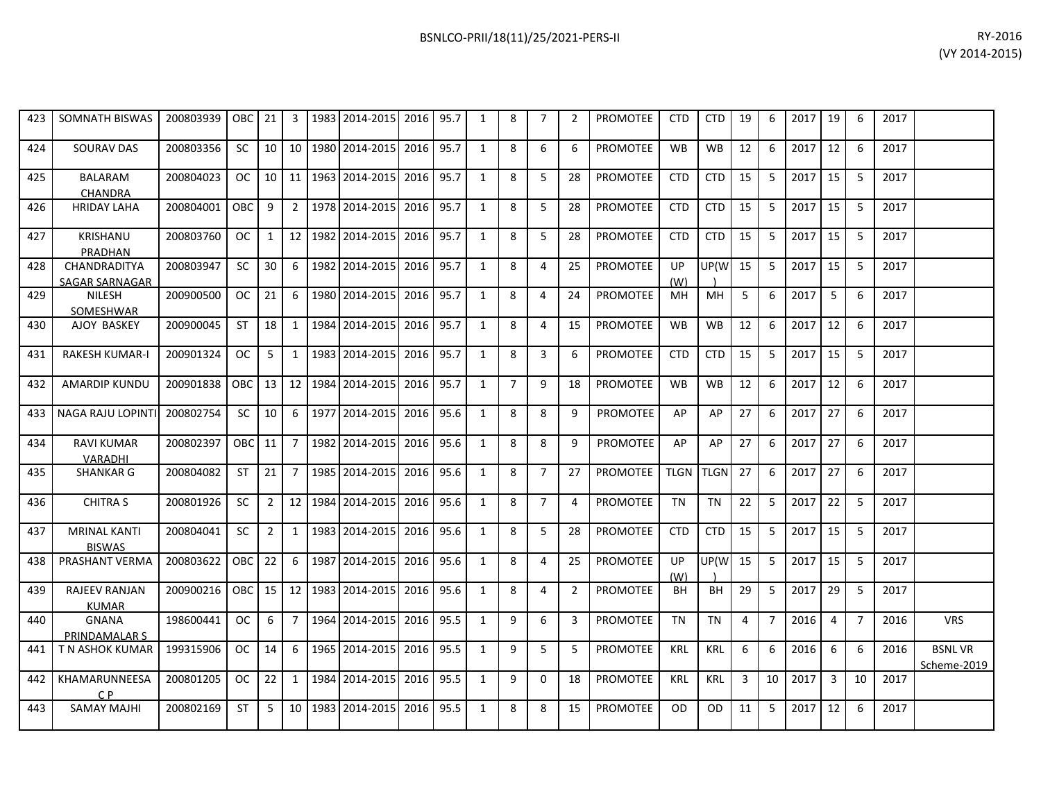|     |                                   |                 |           |              |                |                     |      |      |              |   |    |    |                 |            |                |    |   |      |                 |    |      | (VY 20 |
|-----|-----------------------------------|-----------------|-----------|--------------|----------------|---------------------|------|------|--------------|---|----|----|-----------------|------------|----------------|----|---|------|-----------------|----|------|--------|
|     |                                   |                 |           |              |                |                     |      |      |              |   |    |    |                 |            |                |    |   |      |                 |    |      |        |
| 423 | SOMNATH BISWAS                    | 200803939       | OBC       | 21           | 3              | 1983 2014-2015      | 2016 | 95.7 |              | 8 |    | 2  | <b>PROMOTEE</b> | <b>CTD</b> | <b>CTD</b>     | 19 | 6 | 2017 | 19              | 6  | 2017 |        |
| 424 | SOURAV DAS                        | 200803356       | <b>SC</b> | 10           | 10             | 1980 2014-2015      | 2016 | 95.7 |              | 8 | 6  | 6  | <b>PROMOTEE</b> | <b>WB</b>  | <b>WB</b>      | 12 | 6 | 2017 | 12              | 6  | 2017 |        |
| 425 | <b>BALARAM</b><br><b>CHANDRA</b>  | 200804023       | OC.       | 10           | 11             | 1963 2014-2015 2016 |      | 95.7 |              | 8 | 5. | 28 | PROMOTEE        | <b>CTD</b> | <b>CTD</b>     | 15 | 5 | 2017 | 15 <sup>1</sup> | 5. | 2017 |        |
| 426 | <b>HRIDAY LAHA</b>                | 200804001       | OBC       | 9            | $\overline{2}$ | 1978 2014-2015      | 2016 | 95.7 |              | 8 | 5  | 28 | PROMOTEE        | <b>CTD</b> | <b>CTD</b>     | 15 | 5 | 2017 | 15 <sup>1</sup> | 5  | 2017 |        |
| 427 | <b>KRISHANU</b><br><b>PRADHAN</b> | 200803760       | <b>OC</b> | $\mathbf{1}$ | 12             | 1982 2014-2015 2016 |      | 95.7 |              | 8 |    | 28 | <b>PROMOTEE</b> | <b>CTD</b> | <b>CTD</b>     | 15 | 5 | 2017 | 15 <sup>1</sup> | 5  | 2017 |        |
| 428 | CHANDRADITYA<br>SAGAR SARNAGAR    | 200803947       | <b>SC</b> | 30           | 6              | 1982 2014-2015      | 2016 | 95.7 |              | 8 | 4  | 25 | PROMOTEE        | UP<br>(W)  | <b>UP(W</b> 15 |    | 5 | 2017 | 15 <sup>1</sup> | 5  | 2017 |        |
| 429 | <b>NILESH</b><br>SOMESHWAR        | 200900500       | OC.       | 21           | 6              | 1980 2014-2015      | 2016 | 95.7 |              | 8 | 4  | 24 | <b>PROMOTEE</b> | MH         | MH             | 5  | 6 | 2017 | $5-1$           | 6  | 2017 |        |
| 430 | AJOY BASKEY                       | 200900045       | <b>ST</b> | 18           | 1              | 1984 2014-2015      | 2016 | 95.7 | $\mathbf{1}$ | 8 | 4  | 15 | <b>PROMOTEE</b> | <b>WB</b>  | <b>WB</b>      | 12 | 6 | 2017 | 12              | 6  | 2017 |        |
| 431 | <b>RAKESH KUMAR-I</b>             | 200901324       | OC.       | 5            |                | 1983 2014-2015      | 2016 | 95.7 | $\mathbf{1}$ | 8 | 3  | 6  | <b>PROMOTEE</b> | <b>CTD</b> | <b>CTD</b>     | 15 | 5 | 2017 | 15 <sup>1</sup> | 5  | 2017 |        |
| 432 | <b>AMARDIP KUNDU</b>              | 200901838   OBC |           | 13           | 12             | 1984 2014-2015 2016 |      | 95.7 |              |   | 9  | 18 | PROMOTEE        | <b>WB</b>  | <b>WB</b>      | 12 | 6 | 2017 | 12 <sup>1</sup> | 6  | 2017 |        |

200802397 | OBC | 11 | 7 | 1982 | 2014-2015 | 2016 | 95.6 | 1 | 8 | 8 | 9 | PROMOTEE | AP | AP | 27 | 6 | 2017 | 27 | 6 | 2017

200804041 | SC | 2 | 1 |1983|2014-2015| 2016| 95.6 | 1 | 8 | 5 | 28 | PROMOTEE | CTD | CTD | 15 | 5 | 2017 | 15 | 5 | 2017

200900216 | OBC | 15 | 12 | 1983 | 2014-2015 | 2016 | 95.6 | 1 | 8 | 4 | 2 | PROMOTEE | BH | BH | 29 | 5 | 2017 | 29 | 5 | 2017

200801205 OC 22 1 1984 2014-2015 2016 95.5 1 9 0 18 PROMOTEE KRL KRL 3 10 2017 3 10 2017

441 | T N ASHOK KUMAR | 199315906 | OC | 14 | 6 | 1965 | 2014-2015| 2016 | 95.5 | 1 | 9 | 5 | 5 | PROMOTEE | KRL | KRL | 6 | 6 | 2016 | 6 | 2016 | BSNL VR

198600441 | OC | 6 | 7 |1964|2014-2015| 2016 |95.5 | 1 | 9 | 6 | 3 |PROMOTEE | TN | TN | 4 | 7 |2016 | 4 | 7 |2016 | VRS

(W)

UP(W )

15 5 2017 15 5 2017

433 | NAGA RAJU LOPINTI| 200802754 | SC | 10 | 6 | 1977 | 2014-2015 | 2016 | 95.6 | 1 | 8 | 8 | 9 | PROMOTEE | AP | AP | 27 | 6 | 2017 | 27 | 6 | 2017

435 | SHANKAR G | 200804082 | ST | 21 | 7 | 1985 | 2014-2015 | 2016 | 95.6 | 1 | 8 | 7 | 27 | PROMOTEE | TLGN | TLGN | ZJ | 6 | 2017 | 27 | 6 | 2017

436 | CHITRA S | 200801926 | SC | 2 | 12 |1984 |2014-2015 |2016 |95.6 | 1 | 8 | 7 | 4 | PROMOTEE | TN | TN | 22 | 5 | 2017 | 22 | 5 | 2017

443 | SAMAY MAJHI |200802169 | ST | 5 | 10 |1983 |2014-2015 |2016 |95.5 | 1 | 8 | 8 | 15 |PROMOTEE | OD | OD | 11 | 5 |2017 |12 | 6 | 2017

438 PRASHANT VERMA 200803622 OBC 22 6 1987 2014-2015 2016 95.6 1 1 8 4 25 PROMOTEE UP

434 RAVI KUMAR

437 MRINAL KANTI

439 RAJEEV RANJAN KUMAR

442 KHAMARUNNEESA C P

440 GNANA

**VARADHI**<br>SHANKAR G

BISWAS

**PRINDAMALAR S**<br>T N ASHOK KUMAR

Scheme-2019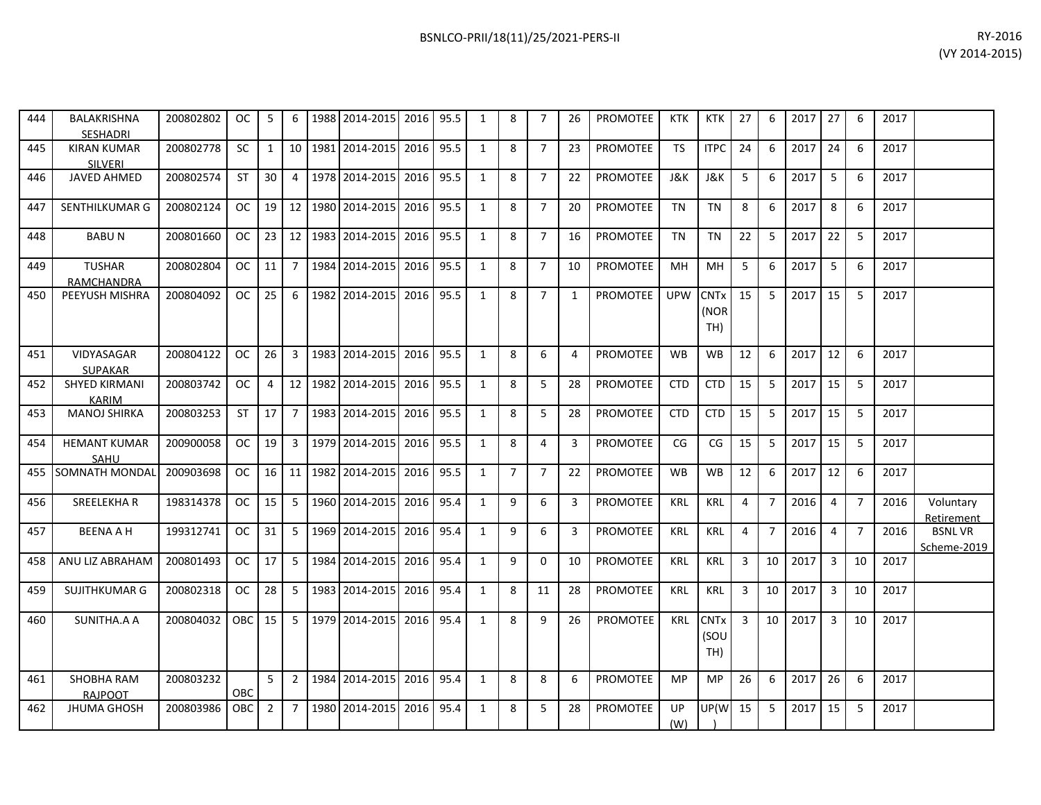| 444 | BALAKRISHNA<br><b>SESHADRI</b>       | 200802802 | OC                  | 5               | 6              |      | 1988 2014-2015 2016 |      | 95.5 | 1            | 8              | 7              | 26 | PROMOTEE        | KTK        | KTK                        | 27             | 6              | 2017 | 27             | 6              | 2017 |                              |
|-----|--------------------------------------|-----------|---------------------|-----------------|----------------|------|---------------------|------|------|--------------|----------------|----------------|----|-----------------|------------|----------------------------|----------------|----------------|------|----------------|----------------|------|------------------------------|
| 445 | <b>KIRAN KUMAR</b><br>SILVERI        | 200802778 | <b>SC</b>           | 1               | 10             | 1981 | 2014-2015           | 2016 | 95.5 | $\mathbf{1}$ | 8              | $\overline{7}$ | 23 | <b>PROMOTEE</b> | <b>TS</b>  | <b>ITPC</b>                | 24             | 6              | 2017 | 24             | 6              | 2017 |                              |
| 446 | <b>JAVED AHMED</b>                   | 200802574 | <b>ST</b>           | 30 <sup>1</sup> | $\overline{4}$ |      | 1978 2014-2015 2016 |      | 95.5 | 1            | 8              | $\overline{7}$ | 22 | <b>PROMOTEE</b> | J&K        | J&K                        | 5              | -6             | 2017 | 5              | -6             | 2017 |                              |
| 447 | SENTHILKUMAR G                       | 200802124 | OC.                 |                 | $19$   12      | 1980 | 2014-2015           | 2016 | 95.5 | $\mathbf{1}$ | 8              | $\overline{7}$ | 20 | <b>PROMOTEE</b> | TN         | <b>TN</b>                  | 8              | 6              | 2017 | 8              | 6              | 2017 |                              |
| 448 | <b>BABUN</b>                         | 200801660 | OC                  | 23              | 12             |      | 1983 2014-2015 2016 |      | 95.5 | 1            | 8              | $\overline{7}$ | 16 | PROMOTEE        | TN         | TN                         | 22             | -5             | 2017 | 22             | 5              | 2017 |                              |
| 449 | <b>TUSHAR</b><br><b>RAMCHANDRA</b>   | 200802804 | $OC$ $\blacksquare$ | 11 <sup>1</sup> | $\overline{7}$ |      | 1984 2014-2015 2016 |      | 95.5 | $\mathbf{1}$ | 8              | $\overline{7}$ | 10 | PROMOTEE        | MН         | MH                         | 5              | 6              | 2017 | 5              | 6              | 2017 |                              |
| 450 | PEEYUSH MISHRA                       | 200804092 | OC                  | 25              | 6              |      | 1982 2014-2015 2016 |      | 95.5 | $\mathbf{1}$ | 8              | $7^{\circ}$    | 1  | PROMOTEE        | <b>UPW</b> | <b>CNTx</b><br>(NOR<br>TH) | 15             | -5             | 2017 | 15             | 5              | 2017 |                              |
| 451 | VIDYASAGAR<br><b>SUPAKAR</b>         | 200804122 | OC.                 | 26              | $\overline{3}$ |      | 1983 2014-2015      | 2016 | 95.5 | 1            | 8              | 6              | 4  | <b>PROMOTEE</b> | <b>WB</b>  | <b>WB</b>                  | 12             | 6              | 2017 | 12             | 6              | 2017 |                              |
| 452 | <b>SHYED KIRMANI</b><br><b>KARIM</b> | 200803742 | OC                  | 4               | 12             |      | 1982 2014-2015 2016 |      | 95.5 | 1            | 8              | 5              | 28 | <b>PROMOTEE</b> | <b>CTD</b> | <b>CTD</b>                 | 15             | 5              | 2017 | 15             | 5              | 2017 |                              |
| 453 | <b>MANOJ SHIRKA</b>                  | 200803253 | ST                  | 17 <sup>1</sup> | $\overline{7}$ | 1983 | 2014-2015           | 2016 | 95.5 | $\mathbf{1}$ | 8              | 5              | 28 | PROMOTEE        | <b>CTD</b> | <b>CTD</b>                 | 15             | -5             | 2017 | 15             | 5              | 2017 |                              |
| 454 | <b>HEMANT KUMAR</b><br>SAHU          | 200900058 | oc I                | 19 <sup>1</sup> | 3              |      | 1979 2014-2015 2016 |      | 95.5 | 1            | 8              | 4              | 3  | PROMOTEE        | CG         | CG                         | 15             | 5              | 2017 | 15             | 5              | 2017 |                              |
| 455 | <b>SOMNATH MONDAL</b>                | 200903698 | OC.                 |                 | $16$ 11        | 1982 | 2014-2015           | 2016 | 95.5 | $\mathbf{1}$ | $\overline{7}$ | $\overline{7}$ | 22 | PROMOTEE        | <b>WB</b>  | <b>WB</b>                  | 12             | 6              | 2017 | 12             | 6              | 2017 |                              |
| 456 | <b>SREELEKHAR</b>                    | 198314378 | OC.                 | 15 <sup>1</sup> | 5              |      | 1960 2014-2015 2016 |      | 95.4 | 1            | 9              | 6              | 3  | PROMOTEE        | <b>KRL</b> | <b>KRL</b>                 | $\overline{4}$ | $\overline{7}$ | 2016 | $\overline{4}$ | $\overline{7}$ | 2016 | Voluntary<br>Retirement      |
| 457 | <b>BEENA A H</b>                     | 199312741 | OC.                 | 31              | 5              | 1969 | 2014-2015           | 2016 | 95.4 | 1            | 9              | 6              | 3  | <b>PROMOTEE</b> | <b>KRL</b> | <b>KRL</b>                 | $\overline{4}$ | $\overline{7}$ | 2016 | $\overline{4}$ | $\overline{7}$ | 2016 | <b>BSNLVR</b><br>Scheme-2019 |
| 458 | ANU LIZ ABRAHAM                      | 200801493 | OC                  | 17 <sup>1</sup> | -5             | 1984 | 2014-2015 2016      |      | 95.4 | 1            | 9              | $\Omega$       | 10 | <b>PROMOTEE</b> | KRL        | KRL                        | $\overline{3}$ | 10             | 2017 | $\overline{3}$ | 10             | 2017 |                              |
| 459 | <b>SUJITHKUMAR G</b>                 | 200802318 | OC.                 | 28              | 5              |      | 1983 2014-2015 2016 |      | 95.4 | $\mathbf{1}$ | 8              | 11             | 28 | PROMOTEE        | <b>KRL</b> | <b>KRL</b>                 | 3              | 10             | 2017 | $\overline{3}$ | 10             | 2017 |                              |
| 460 | SUNITHA.A A                          | 200804032 | OBC 15              |                 | -5             |      | 1979 2014-2015 2016 |      | 95.4 | 1            | 8              | 9              | 26 | <b>PROMOTEE</b> | KRL        | <b>CNTx</b><br>(SOU<br>TH) | 3              | 10             | 2017 | $\overline{3}$ | 10             | 2017 |                              |
| 461 | <b>SHOBHA RAM</b><br>RAJPOOT         | 200803232 | <b>OBC</b>          | 5               | $\overline{2}$ |      | 1984 2014-2015 2016 |      | 95.4 | $\mathbf{1}$ | 8              | 8              | 6  | <b>PROMOTEE</b> | <b>MP</b>  | <b>MP</b>                  | 26             | 6              | 2017 | 26             | 6              | 2017 |                              |
| 462 | <b>JHUMA GHOSH</b>                   | 200803986 | OBC I               | $\overline{2}$  | $\overline{7}$ |      | 1980 2014-2015 2016 |      | 95.4 | 1            | 8              | 5              | 28 | <b>PROMOTEE</b> | UP<br>(W)  | UP(W                       | 15             | 5              | 2017 | 15             | 5              | 2017 |                              |

┑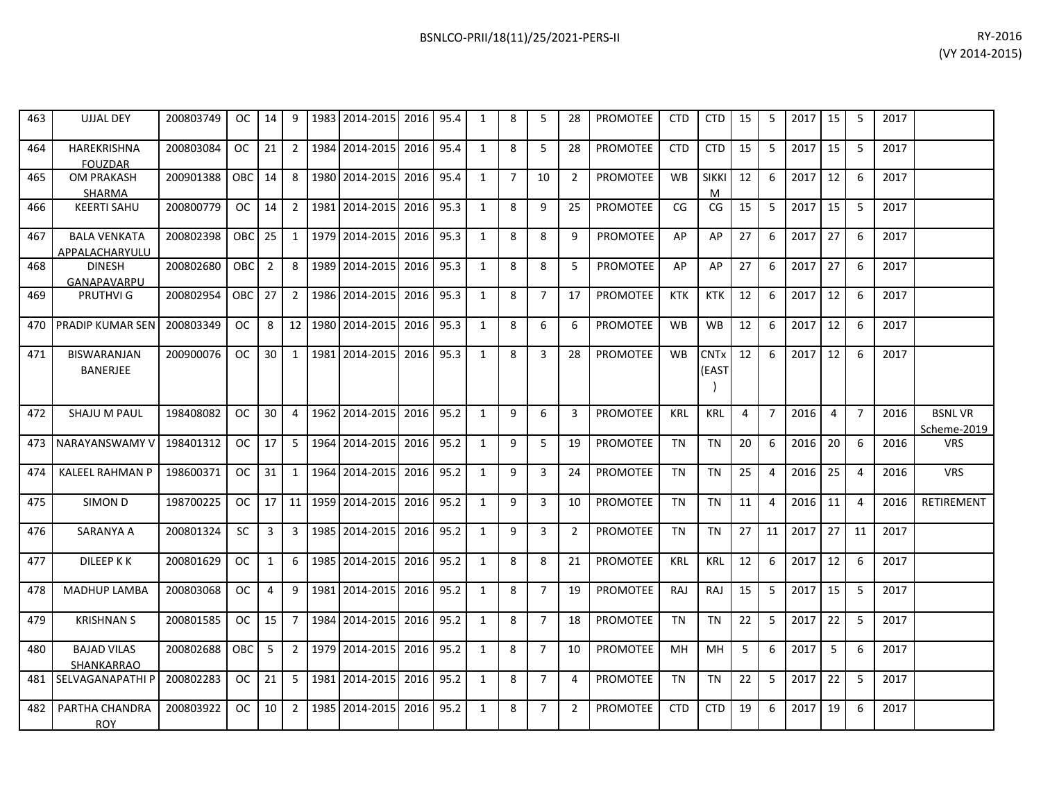| 463 | UJJAL DEY                             | 200803749 |                   | OC 14 9         |                | 1983   2014-2015   2016   95.4 |      |      | 1            | 8              | 5              | 28             | <b>PROMOTEE</b> | CTD        | CTD                  | 15 | 5              | 2017   15 |    | 5              | 2017 |                              |
|-----|---------------------------------------|-----------|-------------------|-----------------|----------------|--------------------------------|------|------|--------------|----------------|----------------|----------------|-----------------|------------|----------------------|----|----------------|-----------|----|----------------|------|------------------------------|
| 464 | <b>HAREKRISHNA</b><br><b>FOUZDAR</b>  | 200803084 | <b>OC</b>         | 21              | $\overline{2}$ | 1984 2014-2015                 | 2016 | 95.4 | 1            | 8              | 5              | 28             | <b>PROMOTEE</b> | <b>CTD</b> | <b>CTD</b>           | 15 | 5              | 2017      | 15 | 5              | 2017 |                              |
| 465 | <b>OM PRAKASH</b><br>SHARMA           | 200901388 | OBC 14            |                 | 8              | 1980 2014-2015                 | 2016 | 95.4 | 1            | $\overline{7}$ | 10             | 2              | <b>PROMOTEE</b> | <b>WB</b>  | <b>SIKKI</b><br>м    | 12 | 6              | 2017      | 12 | 6              | 2017 |                              |
| 466 | <b>KEERTI SAHU</b>                    | 200800779 | OC                | 14              | 2              | 1981   2014-2015               | 2016 | 95.3 | 1            | 8              | 9              | 25             | <b>PROMOTEE</b> | CG         | CG                   | 15 | 5              | 2017      | 15 | -5             | 2017 |                              |
| 467 | <b>BALA VENKATA</b><br>APPALACHARYULU | 200802398 | OBC <sub>25</sub> |                 | 1              | 1979 2014-2015                 | 2016 | 95.3 | 1            | 8              | 8              | 9              | <b>PROMOTEE</b> | AP         | AP                   | 27 | 6              | 2017      | 27 | 6              | 2017 |                              |
| 468 | <b>DINESH</b><br>GANAPAVARPU          | 200802680 | OBCI              | 2               | 8              | 1989 2014-2015                 | 2016 | 95.3 | $\mathbf{1}$ | 8              | 8              | 5              | <b>PROMOTEE</b> | AP         | AP                   | 27 | 6              | 2017      | 27 | 6              | 2017 |                              |
| 469 | <b>PRUTHVIG</b>                       | 200802954 | OBC 27            |                 | 2              | 1986 2014-2015                 | 2016 | 95.3 | $\mathbf{1}$ | 8              | $\overline{7}$ | 17             | <b>PROMOTEE</b> | <b>KTK</b> | <b>KTK</b>           | 12 | 6              | 2017      | 12 | -6             | 2017 |                              |
| 470 | <b>PRADIP KUMAR SEN</b>               | 200803349 | <b>OC</b>         | 8               | 12             | 1980 2014-2015                 | 2016 | 95.3 | 1            | 8              | 6              | 6              | <b>PROMOTEE</b> | <b>WB</b>  | <b>WB</b>            | 12 | 6              | 2017      | 12 | 6              | 2017 |                              |
| 471 | BISWARANJAN<br><b>BANERJEE</b>        | 200900076 | <sub>OC</sub>     | 30 <sub>1</sub> | 1              | 1981 2014-2015                 | 2016 | 95.3 | 1            | 8              | $\overline{3}$ | 28             | <b>PROMOTEE</b> | <b>WB</b>  | <b>CNTx</b><br>(EAST | 12 | 6              | 2017      | 12 | 6              | 2017 |                              |
| 472 | <b>SHAJU M PAUL</b>                   | 198408082 | <b>OC</b>         | 30              | $\overline{4}$ | 1962 2014-2015                 | 2016 | 95.2 | $\mathbf{1}$ | 9              | 6              | 3              | <b>PROMOTEE</b> | <b>KRL</b> | <b>KRL</b>           | 4  | $\overline{7}$ | 2016      | 4  | $\overline{7}$ | 2016 | <b>BSNLVR</b><br>Scheme-2019 |
| 473 | I NARAYANSWAMY V                      | 198401312 | OC.               | $\sqrt{17}$     | 5              | 1964 2014-2015 2016            |      | 95.2 | 1            | 9              | 5              | 19             | PROMOTEE        | <b>TN</b>  | <b>TN</b>            | 20 | 6              | 2016      | 20 | 6              | 2016 | <b>VRS</b>                   |
| 474 | <b>KALEEL RAHMAN P</b>                | 198600371 | OC                | 31              | 1              | 1964 2014-2015                 | 2016 | 95.2 | $\mathbf{1}$ | 9              | 3              | 24             | <b>PROMOTEE</b> | TN         | <b>TN</b>            | 25 | 4              | 2016      | 25 | 4              | 2016 | <b>VRS</b>                   |
| 475 | SIMON D                               | 198700225 | OC.               | 17              | 11             | 1959 2014-2015                 | 2016 | 95.2 | $\mathbf{1}$ | 9              | $\overline{3}$ | 10             | <b>PROMOTEE</b> | <b>TN</b>  | <b>TN</b>            | 11 | $\overline{4}$ | 2016      | 11 | $\overline{a}$ | 2016 | <b>RETIREMENT</b>            |
| 476 | SARANYA A                             | 200801324 | <b>SC</b>         | 3               | 3              | 1985 2014-2015                 | 2016 | 95.2 | $\mathbf{1}$ | 9              | 3              | $\overline{2}$ | PROMOTEE        | TN         | <b>TN</b>            | 27 | 11             | 2017      | 27 | 11             | 2017 |                              |
| 477 | DILEEP K K                            | 200801629 | <sub>OC</sub>     | 1               | -6             | 1985 2014-2015                 | 2016 | 95.2 | 1            | 8              | 8              | 21             | <b>PROMOTEE</b> | <b>KRL</b> | <b>KRL</b>           | 12 | 6              | 2017      | 12 | 6              | 2017 |                              |
| 478 | <b>MADHUP LAMBA</b>                   | 200803068 | OC                | 4               | 9              | 1981 2014-2015                 | 2016 | 95.2 | $\mathbf{1}$ | 8              | $\overline{7}$ | 19             | <b>PROMOTEE</b> | RAJ        | RAJ                  | 15 | 5              | 2017      | 15 | 5              | 2017 |                              |
| 479 | <b>KRISHNAN S</b>                     | 200801585 | OC.               | 15              | 7              | 1984 2014-2015                 | 2016 | 95.2 | 1            | 8              | $\overline{7}$ | 18             | <b>PROMOTEE</b> | TN         | <b>TN</b>            | 22 | 5              | 2017      | 22 | 5              | 2017 |                              |
| 480 | <b>BAJAD VILAS</b><br>SHANKARRAO      | 200802688 | OBC <sub>15</sub> |                 | 2              | 1979 2014-2015 2016            |      | 95.2 | 1            | 8              | $\overline{7}$ | 10             | <b>PROMOTEE</b> | MН         | MH                   | 5  | 6              | 2017      | 5  | 6              | 2017 |                              |
|     | 481 SELVAGANAPATHI P                  | 200802283 | OC.               | 21              | 5              | 1981 2014-2015                 | 2016 | 95.2 | $\mathbf{1}$ | 8              | $\overline{7}$ | 4              | <b>PROMOTEE</b> | <b>TN</b>  | <b>TN</b>            | 22 | 5              | 2017      | 22 | 5              | 2017 |                              |
| 482 | PARTHA CHANDRA<br><b>ROY</b>          | 200803922 | OC.               | 10              | $\overline{2}$ | 1985 2014-2015                 | 2016 | 95.2 | $\mathbf{1}$ | 8              | $\overline{7}$ | $\overline{2}$ | <b>PROMOTEE</b> | <b>CTD</b> | <b>CTD</b>           | 19 | 6              | 2017      | 19 | 6              | 2017 |                              |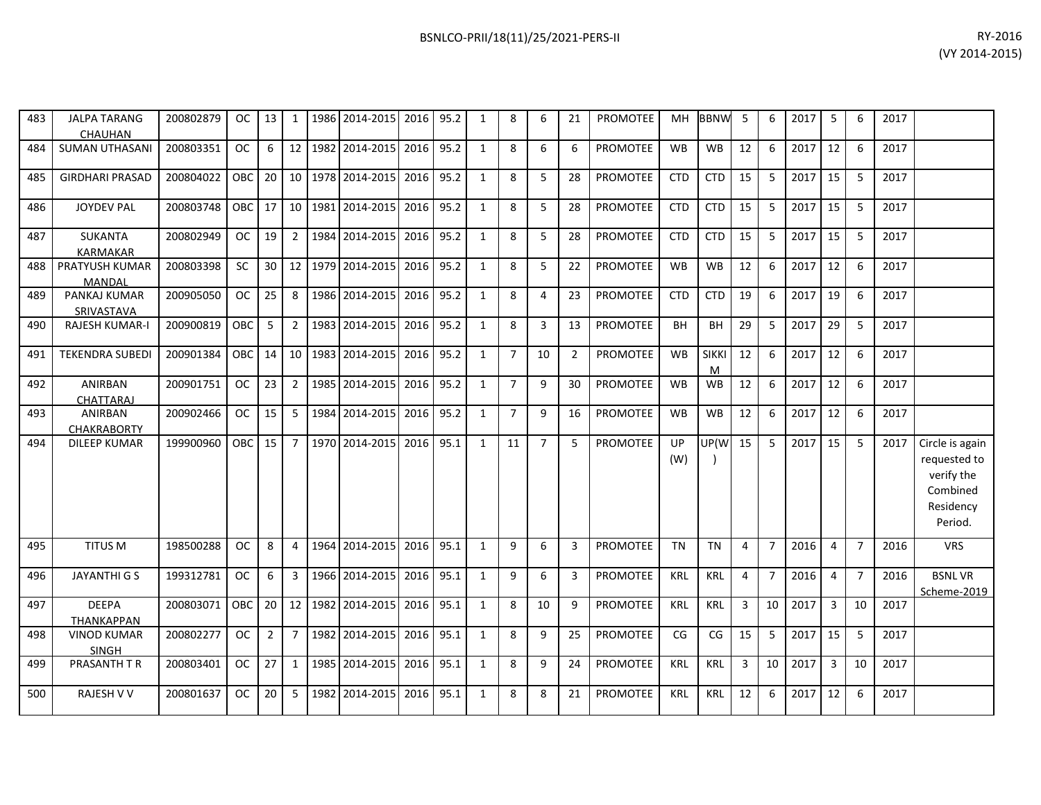| 483 | <b>JALPA TARANG</b><br>CHAUHAN       | 200802879 |           |                 |                 |      | $OC$   13   1   1986   2014-2015   2016   95.2 |      |      | 1            | 8              | 6              | 21             | <b>PROMOTEE</b> | MH.        | <b>BBNW</b>       | - 5            | 6              | 2017 | 5              | 6              | 2017 |                                                                                   |
|-----|--------------------------------------|-----------|-----------|-----------------|-----------------|------|------------------------------------------------|------|------|--------------|----------------|----------------|----------------|-----------------|------------|-------------------|----------------|----------------|------|----------------|----------------|------|-----------------------------------------------------------------------------------|
| 484 | <b>SUMAN UTHASANI</b>                | 200803351 | <b>OC</b> | 6               |                 |      | 12 1982 2014-2015                              | 2016 | 95.2 | $\mathbf{1}$ | 8              | 6              | 6              | PROMOTEE        | <b>WB</b>  | <b>WB</b>         | 12             | 6              | 2017 | 12             | 6              | 2017 |                                                                                   |
| 485 | <b>GIRDHARI PRASAD</b>               | 200804022 | OBC I     | 20 <sup>1</sup> | 10 <sup>1</sup> |      | 1978 2014-2015                                 | 2016 | 95.2 | 1            | 8              | 5              | 28             | PROMOTEE        | <b>CTD</b> | <b>CTD</b>        | 15             | 5              | 2017 | 15             | 5              | 2017 |                                                                                   |
| 486 | <b>JOYDEV PAL</b>                    | 200803748 |           |                 |                 |      | OBC 17 10 1981 2014-2015                       | 2016 | 95.2 | 1            | 8              | 5              | 28             | PROMOTEE        | <b>CTD</b> | <b>CTD</b>        | 15             | 5              | 2017 | 15             | 5              | 2017 |                                                                                   |
| 487 | <b>SUKANTA</b><br><b>KARMAKAR</b>    | 200802949 | OC        | 19              | $\overline{2}$  |      | 1984 2014-2015                                 | 2016 | 95.2 | $\mathbf{1}$ | 8              | 5              | 28             | PROMOTEE        | <b>CTD</b> | <b>CTD</b>        | 15             | 5              | 2017 | 15             | 5              | 2017 |                                                                                   |
| 488 | PRATYUSH KUMAR<br>MANDAL             | 200803398 | <b>SC</b> |                 |                 |      | 30   12   1979   2014-2015                     | 2016 | 95.2 | 1            | 8              | 5              | 22             | PROMOTEE        | <b>WB</b>  | <b>WB</b>         | 12             | 6              | 2017 | 12             | 6              | 2017 |                                                                                   |
| 489 | PANKAJ KUMAR<br>SRIVASTAVA           | 200905050 | OC        | 25 <sub>1</sub> | 8               |      | 1986 2014-2015                                 | 2016 | 95.2 | 1            | 8              | 4              | 23             | <b>PROMOTEE</b> | <b>CTD</b> | <b>CTD</b>        | 19             | 6              | 2017 | 19             | 6              | 2017 |                                                                                   |
| 490 | <b>RAJESH KUMAR-I</b>                | 200900819 | OBC       | 5               | $\overline{2}$  |      | 1983 2014-2015                                 | 2016 | 95.2 | 1            | 8              | $\mathbf{3}$   | 13             | <b>PROMOTEE</b> | BH         | BH                | 29             | 5              | 2017 | 29             | 5              | 2017 |                                                                                   |
| 491 | <b>TEKENDRA SUBEDI</b>               | 200901384 |           |                 |                 |      | OBC 14 10 1983 2014-2015                       | 2016 | 95.2 | 1            | $\overline{7}$ | 10             | $\overline{2}$ | <b>PROMOTEE</b> | <b>WB</b>  | <b>SIKKI</b><br>M | 12             | 6              | 2017 | 12             | 6              | 2017 |                                                                                   |
| 492 | <b>ANIRBAN</b><br><b>CHATTARAJ</b>   | 200901751 | oc I      | 23 <sup>1</sup> | 2               |      | 1985 2014-2015                                 | 2016 | 95.2 | 1            | $\overline{7}$ | 9              | 30             | PROMOTEE        | <b>WB</b>  | <b>WB</b>         | 12             | 6              | 2017 | 12             | 6              | 2017 |                                                                                   |
| 493 | <b>ANIRBAN</b><br><b>CHAKRABORTY</b> | 200902466 | OC        | 15              | 5               |      | 1984 2014-2015 2016                            |      | 95.2 | 1            | $\overline{7}$ | 9              | 16             | PROMOTEE        | <b>WB</b>  | <b>WB</b>         | 12             | 6              | 2017 | 12             | 6              | 2017 |                                                                                   |
| 494 | <b>DILEEP KUMAR</b>                  | 199900960 | OBC       | $15 \mid$       | $\overline{7}$  |      | 1970 2014-2015                                 | 2016 | 95.1 | 1            | 11             | $\overline{7}$ | 5              | PROMOTEE        | UP<br>(W)  | UP(W              | 15             | 5              | 2017 | 15             | -5             | 2017 | Circle is again<br>requested to<br>verify the<br>Combined<br>Residency<br>Period. |
| 495 | TITUS M                              | 198500288 | <b>OC</b> | 8               | 4               | 1964 | 2014-2015                                      | 2016 | 95.1 | $\mathbf{1}$ | 9              | 6              | 3              | PROMOTEE        | <b>TN</b>  | <b>TN</b>         | 4              | $\overline{7}$ | 2016 | 4              | $\overline{7}$ | 2016 | <b>VRS</b>                                                                        |
| 496 | JAYANTHI G S                         | 199312781 | OC .      | 6               | $\overline{3}$  |      | 1966 2014-2015                                 | 2016 | 95.1 | 1            | 9              | 6              | 3              | PROMOTEE        | <b>KRL</b> | <b>KRL</b>        | $\overline{4}$ | $\overline{7}$ | 2016 | $\overline{4}$ | $\overline{7}$ | 2016 | <b>BSNLVR</b><br>Scheme-2019                                                      |
| 497 | <b>DEEPA</b><br><b>THANKAPPAN</b>    | 200803071 | OBC I     |                 |                 |      | 20 12 1982 2014-2015                           | 2016 | 95.1 | 1            | 8              | 10             | 9              | <b>PROMOTEE</b> | <b>KRL</b> | <b>KRL</b>        | $\overline{3}$ | 10             | 2017 | $\overline{3}$ | 10             | 2017 |                                                                                   |
| 498 | <b>VINOD KUMAR</b><br><b>SINGH</b>   | 200802277 | OC        | $2^{\circ}$     | $\overline{7}$  |      | 1982 2014-2015                                 | 2016 | 95.1 | 1            | 8              | 9              | 25             | PROMOTEE        | CG         | CG                | 15             | 5              | 2017 | 15             | 5              | 2017 |                                                                                   |
| 499 | PRASANTH T R                         | 200803401 | OC        | 27              | 1               |      | 1985 2014-2015                                 | 2016 | 95.1 | 1            | 8              | 9              | 24             | PROMOTEE        | KRL        | <b>KRL</b>        | $\overline{3}$ | 10             | 2017 | $\overline{3}$ | 10             | 2017 |                                                                                   |
| 500 | <b>RAJESH V V</b>                    | 200801637 | OC        | 20 <sup>1</sup> | 5               |      | 1982 2014-2015 2016                            |      | 95.1 | $\mathbf{1}$ | 8              | 8              | 21             | PROMOTEE        | <b>KRL</b> | <b>KRL</b>        | 12             | 6              | 2017 | 12             | 6              | 2017 |                                                                                   |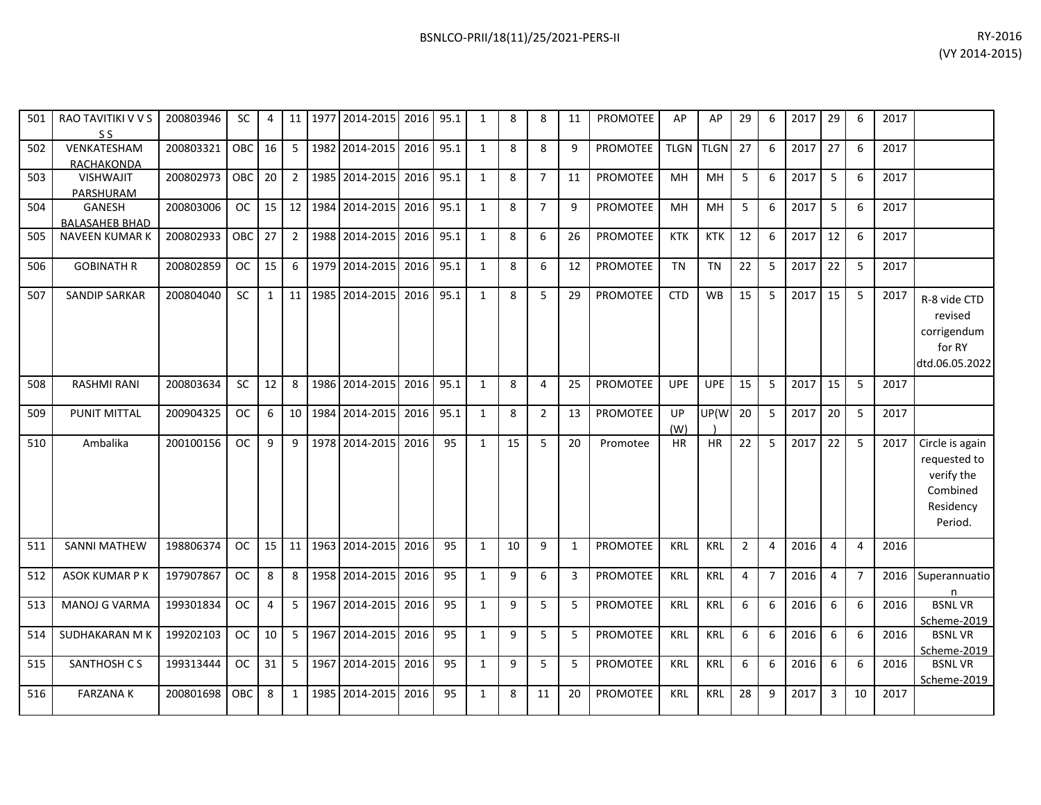| 501 | RAO TAVITIKI V V S<br>S S | 200803946 | SC            | 4  |                | 11   1977   2014-2015   2016   95.1 |      |      | 1            | 8  | 8              | 11 | <b>PROMOTEE</b> | AP          | AP          | 29             | 6              | 2017 | 29             | 6              | 2017 |                 |
|-----|---------------------------|-----------|---------------|----|----------------|-------------------------------------|------|------|--------------|----|----------------|----|-----------------|-------------|-------------|----------------|----------------|------|----------------|----------------|------|-----------------|
| 502 | VENKATESHAM               | 200803321 | OBC           | 16 | - 5            | 1982 2014-2015                      | 2016 | 95.1 | $\mathbf{1}$ | 8  | 8              | 9  | <b>PROMOTEE</b> | <b>TLGN</b> | <b>TLGN</b> | 27             | 6              | 2017 | 27             | 6              | 2017 |                 |
|     | RACHAKONDA                |           |               |    |                |                                     |      |      |              |    |                |    |                 |             |             |                |                |      |                |                |      |                 |
| 503 | <b>VISHWAJIT</b>          | 200802973 | OBC I         | 20 | $\overline{2}$ | 1985 2014-2015                      | 2016 | 95.1 | $\mathbf{1}$ | 8  | $\overline{7}$ | 11 | <b>PROMOTEE</b> | <b>MH</b>   | MH          | 5              | 6              | 2017 | 5              | 6              | 2017 |                 |
|     | PARSHURAM                 |           |               |    |                |                                     |      |      |              |    |                |    |                 |             |             |                |                |      |                |                |      |                 |
| 504 | GANESH                    | 200803006 | <sub>OC</sub> | 15 | 12             | 1984 2014-2015                      | 2016 | 95.1 | $\mathbf{1}$ | 8  | $\overline{7}$ | 9  | PROMOTEE        | <b>MH</b>   | <b>MH</b>   | 5              | 6              | 2017 | 5              | 6              | 2017 |                 |
|     | <b>BALASAHEB BHAD</b>     |           |               |    |                |                                     |      |      |              |    |                |    |                 |             |             |                |                |      |                |                |      |                 |
| 505 | <b>NAVEEN KUMAR K</b>     | 200802933 | <b>OBC</b>    | 27 | $\overline{2}$ | 1988 2014-2015                      | 2016 | 95.1 | $\mathbf{1}$ | 8  | 6              | 26 | <b>PROMOTEE</b> | <b>KTK</b>  | <b>KTK</b>  | 12             | 6              | 2017 | 12             | 6              | 2017 |                 |
| 506 | <b>GOBINATH R</b>         | 200802859 | <b>OC</b>     | 15 | 6              | 1979 2014-2015                      | 2016 | 95.1 | 1            | 8  | 6              | 12 | <b>PROMOTEE</b> | <b>TN</b>   | <b>TN</b>   | 22             | 5              | 2017 | 22             | 5              | 2017 |                 |
| 507 | <b>SANDIP SARKAR</b>      | 200804040 | <b>SC</b>     | 1  | 11             | 1985 2014-2015                      | 2016 | 95.1 | $\mathbf{1}$ | 8  | 5              | 29 | <b>PROMOTEE</b> | <b>CTD</b>  | <b>WB</b>   | 15             | 5              | 2017 | 15             | 5              | 2017 | R-8 vide CTD    |
|     |                           |           |               |    |                |                                     |      |      |              |    |                |    |                 |             |             |                |                |      |                |                |      | revised         |
|     |                           |           |               |    |                |                                     |      |      |              |    |                |    |                 |             |             |                |                |      |                |                |      |                 |
|     |                           |           |               |    |                |                                     |      |      |              |    |                |    |                 |             |             |                |                |      |                |                |      | corrigendum     |
|     |                           |           |               |    |                |                                     |      |      |              |    |                |    |                 |             |             |                |                |      |                |                |      | for RY          |
|     |                           |           |               |    |                |                                     |      |      |              |    |                |    |                 |             |             |                |                |      |                |                |      | dtd.06.05.2022  |
| 508 | <b>RASHMI RANI</b>        | 200803634 | <b>SC</b>     | 12 | 8              | 1986 2014-2015                      | 2016 | 95.1 | $\mathbf{1}$ | 8  | 4              | 25 | <b>PROMOTEE</b> | <b>UPE</b>  | <b>UPE</b>  | 15             | 5              | 2017 | 15             | 5              | 2017 |                 |
| 509 | <b>PUNIT MITTAL</b>       | 200904325 | <b>OC</b>     | 6  | 10             | 1984 2014-2015                      | 2016 | 95.1 | $\mathbf{1}$ | 8  | $\overline{2}$ | 13 | <b>PROMOTEE</b> | UP          | UP(W        | 20             | 5              | 2017 | 20             | 5              | 2017 |                 |
|     |                           |           |               |    |                |                                     |      |      |              |    |                |    |                 | (W)         |             |                |                |      |                |                |      |                 |
| 510 | Ambalika                  | 200100156 | <b>OC</b>     | q  | 9              | 1978 2014-2015                      | 2016 | 95   | $\mathbf{1}$ | 15 | 5              | 20 | Promotee        | <b>HR</b>   | <b>HR</b>   | 22             | 5              | 2017 | 22             | 5              | 2017 | Circle is again |
|     |                           |           |               |    |                |                                     |      |      |              |    |                |    |                 |             |             |                |                |      |                |                |      | requested to    |
|     |                           |           |               |    |                |                                     |      |      |              |    |                |    |                 |             |             |                |                |      |                |                |      | verify the      |
|     |                           |           |               |    |                |                                     |      |      |              |    |                |    |                 |             |             |                |                |      |                |                |      | Combined        |
|     |                           |           |               |    |                |                                     |      |      |              |    |                |    |                 |             |             |                |                |      |                |                |      | Residency       |
|     |                           |           |               |    |                |                                     |      |      |              |    |                |    |                 |             |             |                |                |      |                |                |      | Period.         |
|     |                           |           |               |    |                |                                     |      |      |              |    |                |    |                 |             |             |                |                |      |                |                |      |                 |
| 511 | <b>SANNI MATHEW</b>       | 198806374 | <b>OC</b>     | 15 | 11             | 1963 2014-2015                      | 2016 | 95   | 1            | 10 | 9              | 1  | PROMOTEE        | <b>KRL</b>  | KRL         | $\overline{2}$ | 4              | 2016 | $\overline{4}$ | 4              | 2016 |                 |
| 512 | <b>ASOK KUMAR P K</b>     | 197907867 | <b>OC</b>     | 8  | 8              | 1958 2014-2015                      | 2016 | 95   | $\mathbf{1}$ | 9  | 6              | 3  | <b>PROMOTEE</b> | <b>KRL</b>  | <b>KRL</b>  | $\overline{4}$ | $\overline{7}$ | 2016 | $\overline{4}$ | $\overline{7}$ | 2016 | Superannuatio   |
|     |                           |           |               |    |                |                                     |      |      |              |    |                |    |                 |             |             |                |                |      |                |                |      | n               |
| 513 | <b>MANOJ G VARMA</b>      | 199301834 | <b>OC</b>     | 4  | 5              | 1967 2014-2015                      | 2016 | 95   | $\mathbf{1}$ | 9  | 5              | 5  | <b>PROMOTEE</b> | <b>KRL</b>  | <b>KRL</b>  | 6              | 6              | 2016 | 6              | 6              | 2016 | <b>BSNLVR</b>   |
|     |                           |           |               |    |                |                                     |      |      |              |    |                |    |                 |             |             |                |                |      |                |                |      | Scheme-2019     |
| 514 | SUDHAKARAN M K            | 199202103 | <b>OC</b>     | 10 | -5             | 1967 2014-2015                      | 2016 | 95   | $\mathbf{1}$ | 9  | 5              | 5  | PROMOTEE        | <b>KRL</b>  | <b>KRL</b>  | 6              | 6              | 2016 | 6              | 6              | 2016 | <b>BSNLVR</b>   |
|     |                           |           |               |    |                |                                     |      | 95   |              | 9  | 5              |    |                 |             |             | 6              | 6              |      | 6              | 6              |      | Scheme-2019     |
| 515 | SANTHOSH CS               | 199313444 | <b>OC</b>     | 31 | 5              | 1967 2014-2015                      | 2016 |      | $\mathbf{1}$ |    |                | 5  | PROMOTEE        | <b>KRL</b>  | <b>KRL</b>  |                |                | 2016 |                |                | 2016 | <b>BSNLVR</b>   |
| 516 | <b>FARZANA K</b>          | 200801698 | <b>OBC</b>    | 8  | $\mathbf{1}$   | 1985 2014-2015                      | 2016 | 95   | $\mathbf{1}$ | 8  | 11             | 20 | <b>PROMOTEE</b> | <b>KRL</b>  | <b>KRL</b>  | 28             | 9              | 2017 | $\mathbf{3}$   | 10             | 2017 | Scheme-2019     |
|     |                           |           |               |    |                |                                     |      |      |              |    |                |    |                 |             |             |                |                |      |                |                |      |                 |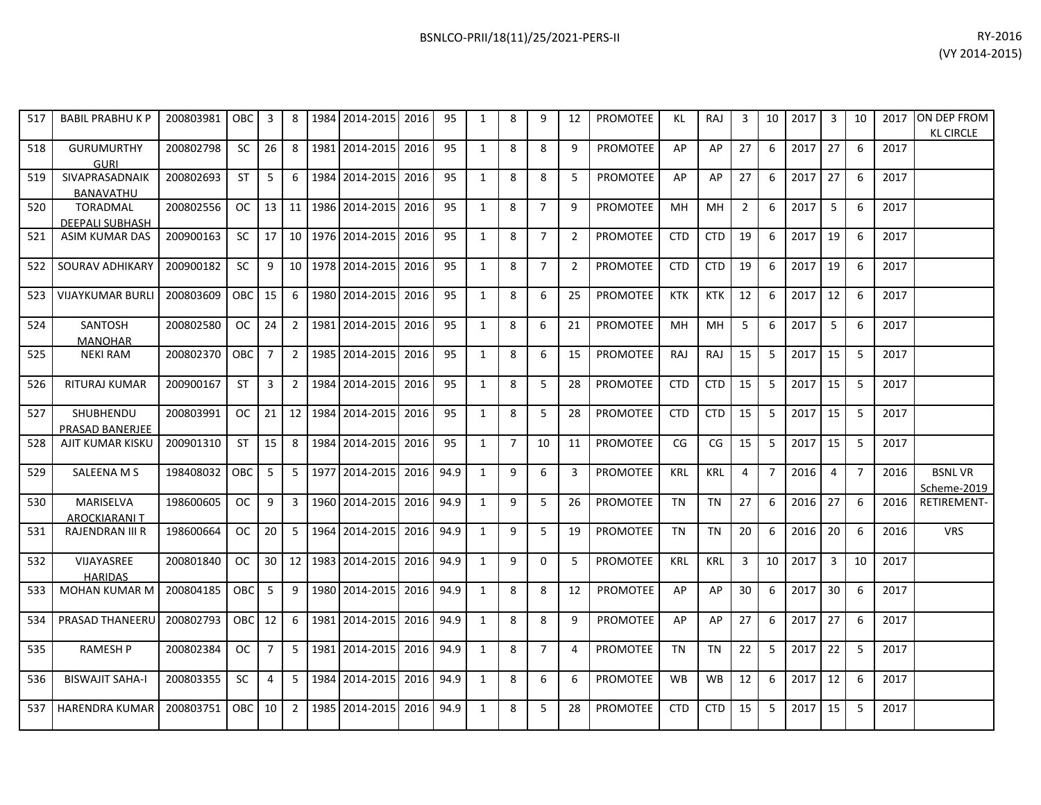| 517 | <b>BABIL PRABHUKP</b>              | 200803981 | OBC           | 3              | 8               | 1984    | 2014-2015             | 2016 | 95   | 1            | 8              | 9              | 12             | <b>PROMOTEE</b> | <b>KL</b>  | <b>RAJ</b> | 3              | 10             | 2017 | 3  | 10             | 2017 | ON DEP FROM<br><b>KL CIRCLE</b> |
|-----|------------------------------------|-----------|---------------|----------------|-----------------|---------|-----------------------|------|------|--------------|----------------|----------------|----------------|-----------------|------------|------------|----------------|----------------|------|----|----------------|------|---------------------------------|
| 518 | <b>GURUMURTHY</b><br><b>GURI</b>   | 200802798 | SC            | 26             | 8               |         | 1981 2014-2015        | 2016 | 95   | $\mathbf{1}$ | 8              | 8              | 9              | PROMOTEE        | AP         | AP         | 27             | 6              | 2017 | 27 | 6              | 2017 |                                 |
| 519 | SIVAPRASADNAIK<br><b>BANAVATHU</b> | 200802693 | <b>ST</b>     | 5              | 6               | 1984    | 2014-2015             | 2016 | 95   | $\mathbf{1}$ | 8              | 8              | 5              | <b>PROMOTEE</b> | AP         | AP         | 27             | 6              | 2017 | 27 | 6              | 2017 |                                 |
| 520 | <b>TORADMAL</b><br>DEEPALI SUBHASH | 200802556 | OC            | 13             |                 |         | 11 1986 2014-2015     | 2016 | 95   | $\mathbf{1}$ | 8              | $\overline{7}$ | 9              | <b>PROMOTEE</b> | MH         | MH         | $\overline{2}$ | 6              | 2017 | 5  | 6              | 2017 |                                 |
| 521 | <b>ASIM KUMAR DAS</b>              | 200900163 | SC            | 17             | 10 <sup>1</sup> |         | 1976 2014-2015        | 2016 | 95   | $\mathbf{1}$ | 8              | $\overline{7}$ | $\overline{2}$ | <b>PROMOTEE</b> | <b>CTD</b> | <b>CTD</b> | 19             | 6              | 2017 | 19 | 6              | 2017 |                                 |
| 522 | SOURAV ADHIKARY                    | 200900182 | <b>SC</b>     | 9              |                 |         | 10   1978   2014-2015 | 2016 | 95   | $\mathbf{1}$ | 8              | $\overline{7}$ | 2              | PROMOTEE        | <b>CTD</b> | <b>CTD</b> | 19             | 6              | 2017 | 19 | 6              | 2017 |                                 |
| 523 | <b>VIJAYKUMAR BURLI</b>            | 200803609 | OBC           | 15             | 6               |         | 1980 2014-2015        | 2016 | 95   | $\mathbf{1}$ | 8              | 6              | 25             | <b>PROMOTEE</b> | <b>KTK</b> | <b>KTK</b> | 12             | 6              | 2017 | 12 | 6              | 2017 |                                 |
| 524 | SANTOSH<br><b>MANOHAR</b>          | 200802580 | OC.           | 24             | $\overline{2}$  |         | 1981 2014-2015        | 2016 | 95   | $\mathbf{1}$ | 8              | 6              | 21             | <b>PROMOTEE</b> | <b>MH</b>  | MH         | 5              | 6              | 2017 | 5  | 6              | 2017 |                                 |
| 525 | <b>NEKI RAM</b>                    | 200802370 | OBC           | $\overline{7}$ | $\overline{2}$  | 1985    | 2014-2015             | 2016 | 95   | $\mathbf{1}$ | 8              | 6              | 15             | PROMOTEE        | RAJ        | RAJ        | 15             | 5              | 2017 | 15 | 5              | 2017 |                                 |
| 526 | <b>RITURAJ KUMAR</b>               | 200900167 | <b>ST</b>     | 3              | $\overline{2}$  | 1984    | 2014-2015             | 2016 | 95   | $\mathbf{1}$ | 8              | 5              | 28             | <b>PROMOTEE</b> | <b>CTD</b> | <b>CTD</b> | 15             | 5              | 2017 | 15 | 5              | 2017 |                                 |
| 527 | SHUBHENDU<br>PRASAD BANERJEE       | 200803991 | <b>OC</b>     | 21             |                 | 12 1984 | 2014-2015             | 2016 | 95   | $\mathbf{1}$ | 8              | 5              | 28             | <b>PROMOTEE</b> | <b>CTD</b> | <b>CTD</b> | 15             | 5              | 2017 | 15 | 5              | 2017 |                                 |
| 528 | AJIT KUMAR KISKU                   | 200901310 | <b>ST</b>     | 15             | 8               | 1984    | 2014-2015             | 2016 | 95   | $\mathbf{1}$ | $\overline{7}$ | 10             | 11             | <b>PROMOTEE</b> | CG         | CG         | 15             | 5              | 2017 | 15 | 5              | 2017 |                                 |
| 529 | <b>SALEENA M S</b>                 | 198408032 | OBC           | 5              | 5               |         | 1977 2014-2015        | 2016 | 94.9 | $\mathbf{1}$ | 9              | 6              | 3              | <b>PROMOTEE</b> | <b>KRL</b> | <b>KRL</b> | 4              | $\overline{7}$ | 2016 | 4  | $\overline{7}$ | 2016 | <b>BSNLVR</b><br>Scheme-2019    |
| 530 | MARISELVA<br><b>AROCKIARANI T</b>  | 198600605 | <b>OC</b>     | 9              | $\overline{3}$  | 1960    | 2014-2015             | 2016 | 94.9 | $\mathbf{1}$ | 9              | 5              | 26             | <b>PROMOTEE</b> | <b>TN</b>  | <b>TN</b>  | 27             | 6              | 2016 | 27 | 6              | 2016 | RETIREMENT-                     |
| 531 | RAJENDRAN III R                    | 198600664 | <b>OC</b>     | 20             | 5               | 1964    | 2014-2015             | 2016 | 94.9 | $\mathbf{1}$ | 9              | 5              | 19             | PROMOTEE        | <b>TN</b>  | <b>TN</b>  | 20             | 6              | 2016 | 20 | 6              | 2016 | <b>VRS</b>                      |
| 532 | VIJAYASREE<br><b>HARIDAS</b>       | 200801840 | OC.           | 30             | 12              | 1983    | 2014-2015             | 2016 | 94.9 | $\mathbf{1}$ | 9              | $\mathbf 0$    | 5              | <b>PROMOTEE</b> | <b>KRL</b> | <b>KRL</b> | 3              | 10             | 2017 | 3  | 10             | 2017 |                                 |
| 533 | MOHAN KUMAR M                      | 200804185 | OBC           | 5              | 9               | 1980    | 2014-2015             | 2016 | 94.9 | $\mathbf{1}$ | 8              | 8              | 12             | <b>PROMOTEE</b> | AP         | AP         | 30             | 6              | 2017 | 30 | 6              | 2017 |                                 |
| 534 | PRASAD THANEERU                    | 200802793 | OBC           | 12             | 6               | 1981    | 2014-2015             | 2016 | 94.9 | $\mathbf{1}$ | 8              | 8              | 9              | PROMOTEE        | AP         | AP         | 27             | 6              | 2017 | 27 | 6              | 2017 |                                 |
| 535 | <b>RAMESH P</b>                    | 200802384 | <sub>OC</sub> | $\overline{7}$ | -5              | 1981    | 2014-2015             | 2016 | 94.9 | $\mathbf{1}$ | 8              | $\overline{7}$ | 4              | PROMOTEE        | <b>TN</b>  | TN         | 22             | 5              | 2017 | 22 | 5              | 2017 |                                 |
| 536 | <b>BISWAJIT SAHA-I</b>             | 200803355 | <b>SC</b>     | 4              | 5               | 1984    | 2014-2015             | 2016 | 94.9 | $\mathbf{1}$ | 8              | 6              | 6              | <b>PROMOTEE</b> | <b>WB</b>  | <b>WB</b>  | 12             | 6              | 2017 | 12 | 6              | 2017 |                                 |
| 537 | <b>HARENDRA KUMAR</b>              | 200803751 | OBC           | 10             | 2               | 1985    | 2014-2015             | 2016 | 94.9 | $\mathbf{1}$ | 8              | 5              | 28             | <b>PROMOTEE</b> | <b>CTD</b> | <b>CTD</b> | 15             | 5              | 2017 | 15 | 5              | 2017 |                                 |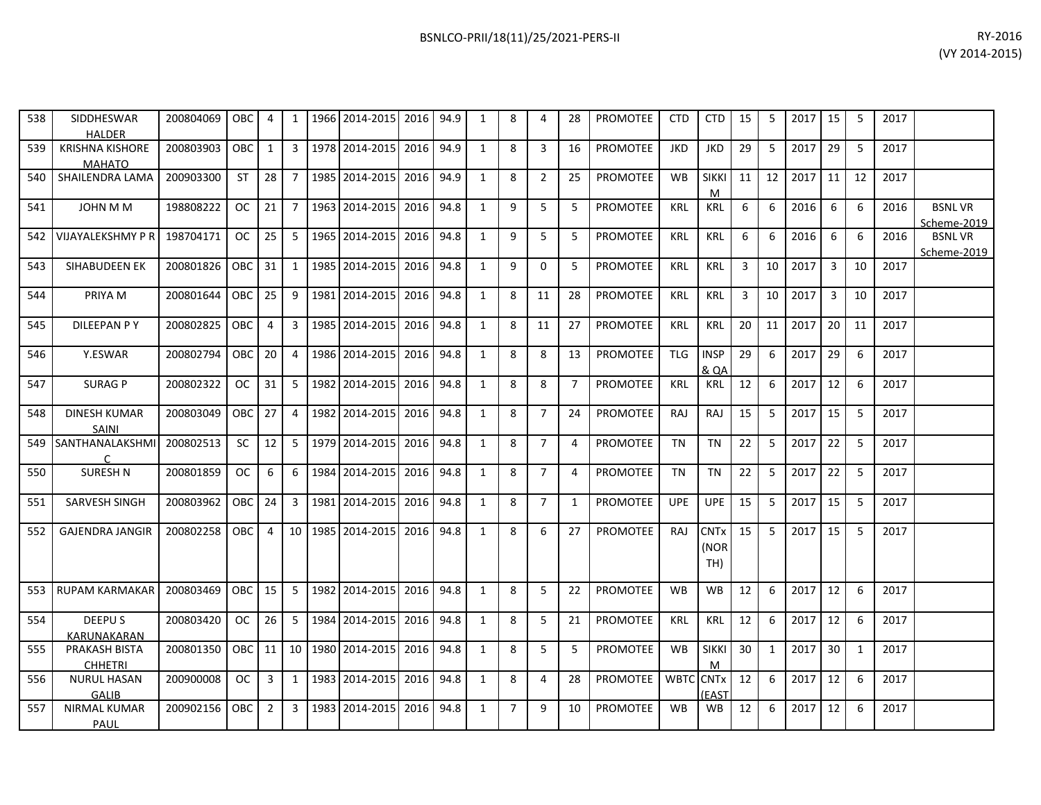| 538   | SIDDHESWAR<br><b>HALDER</b>             | 200804069 OBC                                           |            | 4              | 1              | 1966 2014-2015 2016 94.9           |           |      | 1            | 8 | 4                | 28             | PROMOTEE                  | CTD        | <b>CTD</b>                 | 15             | 5            | 2017    | 15             | -5 | 2017 |                              |
|-------|-----------------------------------------|---------------------------------------------------------|------------|----------------|----------------|------------------------------------|-----------|------|--------------|---|------------------|----------------|---------------------------|------------|----------------------------|----------------|--------------|---------|----------------|----|------|------------------------------|
| 539   | <b>KRISHNA KISHORE</b><br><b>MAHATO</b> | 200803903                                               | <b>OBC</b> | $\mathbf{1}$   |                | 3 1978 2014-2015 2016              |           | 94.9 | 1            | 8 | $\overline{3}$   | 16             | PROMOTEE                  | <b>JKD</b> | <b>JKD</b>                 | 29             | 5            | 2017    | 29             | 5  | 2017 |                              |
| 540   | SHAILENDRA LAMA                         | 200903300                                               | <b>ST</b>  | 28             |                | 7   1985   2014-2015               | 2016      | 94.9 | $\mathbf{1}$ | 8 | $\overline{2}$   | 25             | <b>PROMOTEE</b>           | <b>WB</b>  | <b>SIKKI</b><br>M          | 11             | 12           | 2017    | 11             | 12 | 2017 |                              |
| 541   | JOHN M M                                | 198808222                                               | OC.        | 21             |                | 7 1963 2014-2015                   | 2016      | 94.8 | 1            | 9 | 5                | 5              | <b>PROMOTEE</b>           | <b>KRL</b> | KRL                        | 6              | 6            | 2016    | 6              | 6  | 2016 | <b>BSNLVR</b><br>Scheme-2019 |
| 542   | <b>VIJAYALEKSHMY P R</b>                | 198704171                                               | <b>OC</b>  | 25             |                | 5 1965 2014-2015                   | 2016      | 94.8 | 1            | 9 | 5                | 5              | <b>PROMOTEE</b>           | KRL        | KRL                        | 6              | 6            | 2016    | 6              | 6  | 2016 | <b>BSNLVR</b><br>Scheme-2019 |
| 543   | SIHABUDEEN EK                           | 200801826                                               | <b>OBC</b> | 31             | 1              | 1985 2014-2015                     | 2016      | 94.8 | 1            | 9 | 0                | 5              | <b>PROMOTEE</b>           | KRL        | KRL                        | 3              | 10           | 2017    | $\overline{3}$ | 10 | 2017 |                              |
| 544   | PRIYA M                                 | 200801644                                               | <b>OBC</b> | 25             |                | 9 1981 2014-2015                   | 2016 94.8 |      | 1            | 8 | 11               | 28             | <b>PROMOTEE</b>           | <b>KRL</b> | <b>KRL</b>                 | $\overline{3}$ | 10           | 2017    | $\overline{3}$ | 10 | 2017 |                              |
| 545   | <b>DILEEPAN PY</b>                      | 200802825                                               | OBC        | $\overline{4}$ |                | 3 1985 2014-2015                   | 2016      | 94.8 | 1            | 8 | 11               | 27             | PROMOTEE                  | <b>KRL</b> | KRL                        | 20             | 11           | 2017    | 20             | 11 | 2017 |                              |
| 546   | Y.ESWAR                                 | 200802794                                               | <b>OBC</b> | 20             | $\overline{4}$ | 1986 2014-2015 2016                |           | 94.8 | 1            | 8 | 8                | 13             | <b>PROMOTEE</b>           | <b>TLG</b> | <b>INSP</b><br>& QA        | 29             | 6            | 2017    | 29             | 6  | 2017 |                              |
| 547   | <b>SURAGP</b>                           | 200802322                                               | OC.        | 31             |                | 5 1982 2014-2015                   | 2016      | 94.8 | $\mathbf{1}$ | 8 | 8                | $\overline{7}$ | <b>PROMOTEE</b>           | KRL        | KRL                        | 12             | 6            | 2017    | 12             | 6  | 2017 |                              |
| 548   | <b>DINESH KUMAR</b><br>SAINI            | 200803049                                               | <b>OBC</b> | 27             | $\overline{4}$ | 1982 2014-2015                     | 2016      | 94.8 | $\mathbf{1}$ | 8 | $\overline{7}$   | 24             | <b>PROMOTEE</b>           | RAJ        | RAJ                        | 15             | 5            | 2017    | 15             | -5 | 2017 |                              |
| 549   | SANTHANALAKSHMI<br>C                    | 200802513                                               | SC.        | 12             |                | 5 1979 2014-2015                   | 2016      | 94.8 | 1            | 8 | $\overline{7}$   | 4              | PROMOTEE                  | <b>TN</b>  | <b>TN</b>                  | 22             | 5            | 2017    | 22             | -5 | 2017 |                              |
| 550   | <b>SURESH N</b>                         | 200801859                                               | <b>OC</b>  | 6              | 6              | 1984 2014-2015                     | 2016      | 94.8 | $\mathbf{1}$ | 8 | $\overline{7}$   | 4              | PROMOTEE                  | <b>TN</b>  | <b>TN</b>                  | 22             | 5            | 2017    | 22             | 5  | 2017 |                              |
| 551   | SARVESH SINGH                           | 200803962                                               | OBC        | 24             |                | 3   1981   2014-2015   2016   94.8 |           |      | 1            | 8 | $\overline{7}$   | 1              | PROMOTEE                  | <b>UPE</b> | <b>UPE</b>                 | 15             | 5            | 2017    | 15             | -5 | 2017 |                              |
| 552   | <b>GAJENDRA JANGIR</b>                  | 200802258 OBC                                           |            | $\overline{4}$ |                | 10 1985 2014-2015                  | 2016      | 94.8 | 1            | 8 | $6 \overline{6}$ | 27             | <b>PROMOTEE</b>           | RAJ        | <b>CNTx</b><br>(NOR<br>TH) | 15             | 5            | 2017    | 15             | -5 | 2017 |                              |
| 553   | <b>RUPAM KARMAKAR</b>                   | 200803469                                               | <b>OBC</b> | 15             | 5              | 1982 2014-2015                     | 2016      | 94.8 | 1            | 8 | 5                | 22             | <b>PROMOTEE</b>           | <b>WB</b>  | WB.                        | 12             | 6            | 2017    | 12             | 6  | 2017 |                              |
| 554   | DEEPU S<br>KARUNAKARAN                  | 200803420                                               | OC.        | 26             |                | 5 1984 2014-2015                   | 2016      | 94.8 | 1            | 8 | 5                | 21             | <b>PROMOTEE</b>           | <b>KRL</b> | KRL                        | 12             | 6            | 2017    | 12             | 6  | 2017 |                              |
| 555   | PRAKASH BISTA<br><b>CHHETRI</b>         | 200801350 OBC                                           |            |                |                | 11   10   1980   2014-2015         | 2016      | 94.8 | 1            | 8 | 5                | 5              | PROMOTEE                  | <b>WB</b>  | <b>SIKKI</b><br>M          | 30             | $\mathbf{1}$ | 2017    | 30             | 1  | 2017 |                              |
| 556 l | <b>NURUL HASAN</b>                      | 200900008   OC   3   1   1983   2014-2015   2016   94.8 |            |                |                |                                    |           |      | 1            | 8 | $\overline{4}$   | 28             | PROMOTEE   WBTC CNTx   12 |            |                            |                | 6            | 2017 12 |                | 6  | 2017 |                              |

200902156 OBC 2 3 1983 2014-2015 2016 94.8 1 7 9 10 PROMOTEE WB WB 12 6 2017 12 6 2017

(EAST

6 2017 12 6 2017

GALIB

 NIRMAL KUMAR PAUL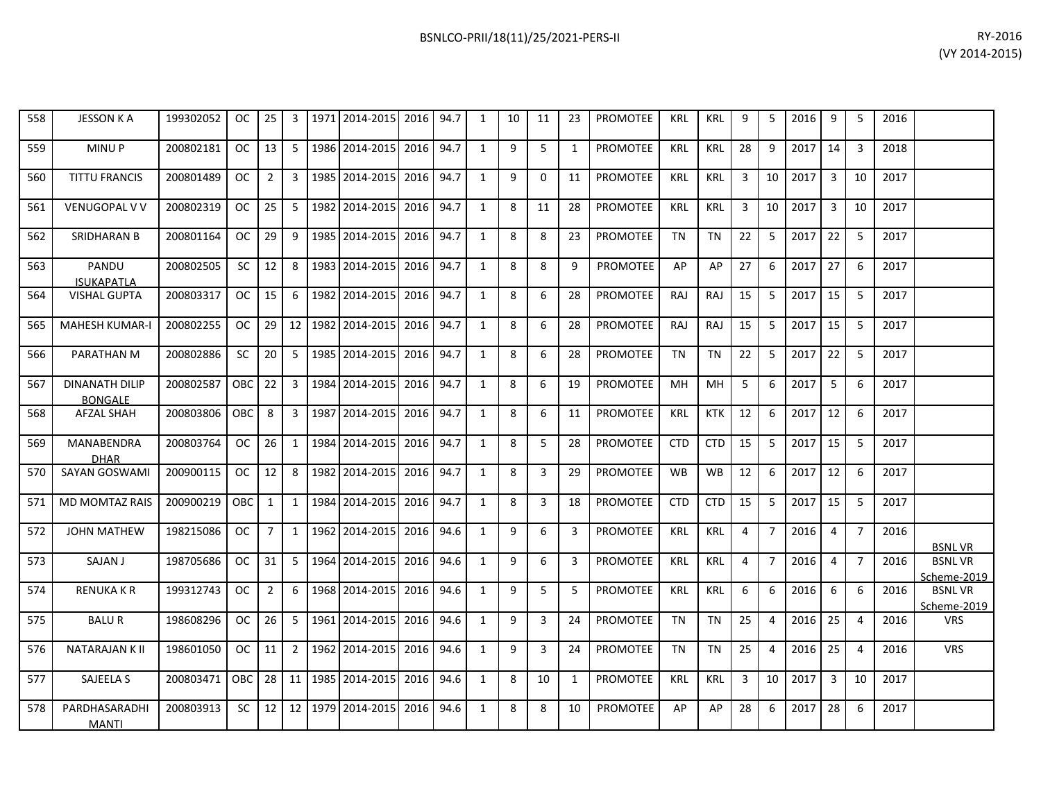|                     |  |   |    |    |    | $1.11$ $1.11$ $1.11$ $1.11$ $1.11$ $1.11$ $1.11$ $1.11$ $1.11$ |            |     |    |   |      |    |      | .<br>(VY 2014-20 |  |
|---------------------|--|---|----|----|----|----------------------------------------------------------------|------------|-----|----|---|------|----|------|------------------|--|
| 2014-2015 2016 94.7 |  |   | 10 | 11 | 23 | PROMOTEE                                                       | <b>KRL</b> | KRL | 9  | 5 | 2016 | 9  | 2016 |                  |  |
| 2014-2015 2016 94.7 |  | 1 | q  |    |    | PROMOTEE                                                       | <b>KRL</b> | KRL | 28 | 9 | 2017 | 14 | 2018 |                  |  |

| 558 | <b>JESSON K A</b>                       | 199302052 | <sub>OC</sub> | 25              | 3              | 1971    | 2014-2015 2016               |      | 94.7 | $\mathbf{1}$ | 10 | 11       | 23           | <b>PROMOTEE</b> | <b>KRL</b> | <b>KRL</b> | 9              | 5              | 2016 | 9              | 5              | 2016 |                              |
|-----|-----------------------------------------|-----------|---------------|-----------------|----------------|---------|------------------------------|------|------|--------------|----|----------|--------------|-----------------|------------|------------|----------------|----------------|------|----------------|----------------|------|------------------------------|
| 559 | MINU P                                  | 200802181 | OC.           | 13              | 5              | 1986    | 2014-2015                    | 2016 | 94.7 | $\mathbf{1}$ | 9  | 5        | $\mathbf{1}$ | <b>PROMOTEE</b> | <b>KRL</b> | <b>KRL</b> | 28             | 9              | 2017 | 14             | $\overline{3}$ | 2018 |                              |
| 560 | <b>TITTU FRANCIS</b>                    | 200801489 | <sub>OC</sub> | $\overline{2}$  | $\overline{3}$ | 1985    | 2014-2015                    | 2016 | 94.7 | $\mathbf{1}$ | 9  | $\Omega$ | 11           | <b>PROMOTEE</b> | <b>KRL</b> | <b>KRL</b> | 3              | 10             | 2017 | $\overline{3}$ | 10             | 2017 |                              |
| 561 | <b>VENUGOPAL V V</b>                    | 200802319 | OC            | 25              | 5              | 1982    | 2014-2015 2016               |      | 94.7 | 1            | 8  | 11       | 28           | <b>PROMOTEE</b> | <b>KRL</b> | <b>KRL</b> | 3              | 10             | 2017 | $\overline{3}$ | 10             | 2017 |                              |
| 562 | SRIDHARAN B                             | 200801164 | OC.           | 29              | 9              | 1985    | 2014-2015                    | 2016 | 94.7 | 1            | 8  | 8        | 23           | PROMOTEE        | TN         | TN         | 22             | 5              | 2017 | 22             | 5              | 2017 |                              |
| 563 | PANDU<br><b>ISUKAPATLA</b>              | 200802505 | SC.           | 12              | 8              | 1983    | 2014-2015                    | 2016 | 94.7 | $\mathbf{1}$ | 8  | 8        | 9            | PROMOTEE        | AP         | AP         | 27             | 6              | 2017 | 27             | 6              | 2017 |                              |
| 564 | <b>VISHAL GUPTA</b>                     | 200803317 | OC.           | 15              | 6              | 1982    | 2014-2015                    | 2016 | 94.7 | 1            | 8  | 6        | 28           | <b>PROMOTEE</b> | <b>RAJ</b> | <b>RAJ</b> | 15             | 5              | 2017 | 15             | 5              | 2017 |                              |
| 565 | <b>MAHESH KUMAR-I</b>                   | 200802255 | OC            | 29              |                |         | 12   1982   2014-2015   2016 |      | 94.7 | 1            | 8  | 6        | 28           | <b>PROMOTEE</b> | <b>RAJ</b> | <b>RAJ</b> | 15             | 5              | 2017 | 15             | 5              | 2017 |                              |
| 566 | PARATHAN M                              | 200802886 | SC.           | 20              | 5              | 1985    | 2014-2015                    | 2016 | 94.7 | $\mathbf{1}$ | 8  | 6        | 28           | <b>PROMOTEE</b> | <b>TN</b>  | TN         | 22             | 5              | 2017 | 22             | 5              | 2017 |                              |
| 567 | <b>DINANATH DILIP</b><br><b>BONGALE</b> | 200802587 | OBC           | 22              | 3              | 1984    | 2014-2015 2016               |      | 94.7 | 1            | 8  | 6        | 19           | <b>PROMOTEE</b> | <b>MH</b>  | MН         | 5              | 6              | 2017 | 5              | 6              | 2017 |                              |
| 568 | <b>AFZAL SHAH</b>                       | 200803806 | <b>OBC</b>    | 8               | 3              | 1987    | 2014-2015 2016               |      | 94.7 | $\mathbf{1}$ | 8  | 6        | 11           | PROMOTEE        | <b>KRL</b> | <b>KTK</b> | 12             | 6              | 2017 | 12             | 6              | 2017 |                              |
| 569 | MANABENDRA<br><b>DHAR</b>               | 200803764 | OC.           | 26              | $\mathbf{1}$   | 1984    | 2014-2015 2016               |      | 94.7 | 1            | 8  | 5        | 28           | <b>PROMOTEE</b> | <b>CTD</b> | <b>CTD</b> | 15             | 5              | 2017 | 15             | 5              | 2017 |                              |
| 570 | SAYAN GOSWAMI                           | 200900115 | OC.           | 12              | 8              | 1982    | 2014-2015                    | 2016 | 94.7 | 1            | 8  | 3        | 29           | <b>PROMOTEE</b> | <b>WB</b>  | <b>WB</b>  | 12             | 6              | 2017 | 12             | 6              | 2017 |                              |
| 571 | <b>MD MOMTAZ RAIS</b>                   | 200900219 | OBC           | 1               | $\mathbf{1}$   | 1984    | 2014-2015                    | 2016 | 94.7 | 1            | 8  | 3        | 18           | <b>PROMOTEE</b> | <b>CTD</b> | <b>CTD</b> | 15             | 5              | 2017 | 15             | 5              | 2017 |                              |
| 572 | <b>JOHN MATHEW</b>                      | 198215086 | <sub>OC</sub> | $\overline{7}$  | $\mathbf{1}$   | 1962    | 2014-2015                    | 2016 | 94.6 | 1            | 9  | 6        | 3            | <b>PROMOTEE</b> | <b>KRL</b> | <b>KRL</b> | $\overline{4}$ | $\overline{7}$ | 2016 | 4              | $\overline{7}$ | 2016 | <b>BSNLVR</b>                |
| 573 | SAJAN J                                 | 198705686 | OC.           | 31              |                | 5 1964  | 2014-2015                    | 2016 | 94.6 | $\mathbf{1}$ | 9  | 6        | 3            | <b>PROMOTEE</b> | <b>KRL</b> | <b>KRL</b> | $\overline{4}$ | $\overline{7}$ | 2016 | 4              | $\overline{7}$ | 2016 | <b>BSNLVR</b><br>Scheme-2019 |
| 574 | <b>RENUKA K R</b>                       | 199312743 | <b>OC</b>     | $\overline{2}$  | 6              | 1968    | 2014-2015                    | 2016 | 94.6 | 1            | 9  | 5        | 5            | <b>PROMOTEE</b> | <b>KRL</b> | <b>KRL</b> | 6              | 6              | 2016 | 6              | 6              | 2016 | <b>BSNLVR</b><br>Scheme-2019 |
| 575 | <b>BALUR</b>                            | 198608296 | OC.           | 26              | 5 <sub>1</sub> | 1961    | 2014-2015                    | 2016 | 94.6 | 1            | 9  | 3        | 24           | <b>PROMOTEE</b> | <b>TN</b>  | <b>TN</b>  | 25             | 4              | 2016 | 25             | $\overline{4}$ | 2016 | <b>VRS</b>                   |
| 576 | <b>NATARAJAN K II</b>                   | 198601050 | OC.           | 11              | 2 <sup>1</sup> |         | 1962 2014-2015               | 2016 | 94.6 | 1            | 9  | 3        | 24           | <b>PROMOTEE</b> | <b>TN</b>  | <b>TN</b>  | 25             | $\overline{4}$ | 2016 | 25             | $\overline{4}$ | 2016 | <b>VRS</b>                   |
| 577 | SAJEELA S                               | 200803471 | OBC           | 28 <sup>1</sup> |                | 11 1985 | 2014-2015                    | 2016 | 94.6 | 1            | 8  | 10       | 1            | <b>PROMOTEE</b> | <b>KRL</b> | <b>KRL</b> | 3              | 10             | 2017 | 3              | 10             | 2017 |                              |
| 578 | PARDHASARADHI<br><b>MANTI</b>           | 200803913 | SC.           | 12              |                | 12 1979 | 2014-2015                    | 2016 | 94.6 | 1            | 8  | 8        | 10           | <b>PROMOTEE</b> | AP         | АP         | 28             | 6              | 2017 | 28             | 6              | 2017 |                              |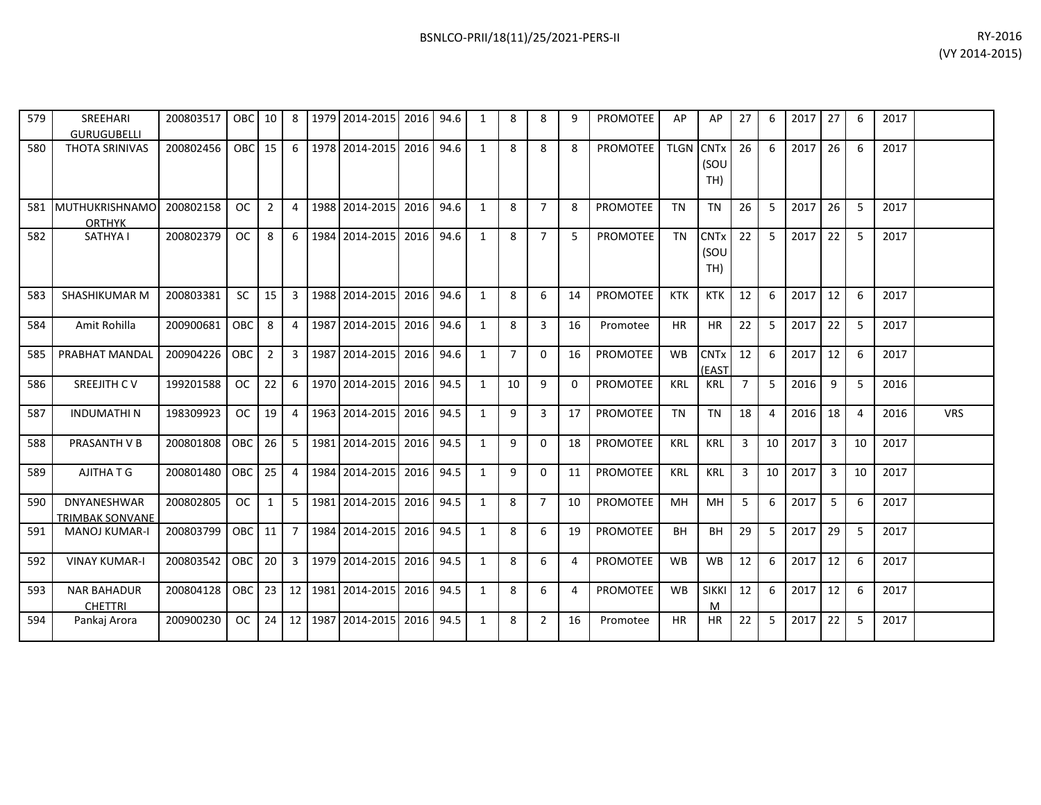| 579 | SREEHARI<br><b>GURUGUBELLI</b>               | 200803517 | <b>OBC</b> | 10             | 8              |      | 1979 2014-2015 | 2016 94.6 |      | $\mathbf{1}$   | 8              | 8              | 9        | <b>PROMOTEE</b> | AP               | AP                              | 27             | 6              | 2017 | 27             | 6              | 2017 |            |
|-----|----------------------------------------------|-----------|------------|----------------|----------------|------|----------------|-----------|------|----------------|----------------|----------------|----------|-----------------|------------------|---------------------------------|----------------|----------------|------|----------------|----------------|------|------------|
| 580 | <b>THOTA SRINIVAS</b>                        | 200802456 | OBC        | 15             | 6              |      | 1978 2014-2015 | 2016 94.6 |      | $\mathbf{1}$   | 8              | 8              | 8        | PROMOTEE        | <b>TLGN CNTx</b> | (SOU<br>TH)                     | 26             | 6              | 2017 | 26             | 6              | 2017 |            |
| 581 | MUTHUKRISHNAMO<br><b>ORTHYK</b>              | 200802158 | <b>OC</b>  | $\overline{2}$ | $\overline{4}$ |      | 1988 2014-2015 | 2016      | 94.6 | $\mathbf{1}$   | 8              | $\overline{7}$ | 8        | <b>PROMOTEE</b> | <b>TN</b>        | <b>TN</b>                       | 26             | 5              | 2017 | 26             | 5              | 2017 |            |
| 582 | SATHYA I                                     | 200802379 | <b>OC</b>  | 8              | 6              |      | 1984 2014-2015 | 2016      | 94.6 | $\mathbf{1}$   | 8              | $\overline{7}$ | 5        | <b>PROMOTEE</b> | <b>TN</b>        | <b>CNTx</b><br>(SOU<br>TH)      | 22             | 5              | 2017 | 22             | 5              | 2017 |            |
| 583 | <b>SHASHIKUMAR M</b>                         | 200803381 | <b>SC</b>  | 15             | 3              | 1988 | 2014-2015      | 2016      | 94.6 | $\mathbf{1}$   | 8              | 6              | 14       | <b>PROMOTEE</b> | <b>KTK</b>       | <b>KTK</b>                      | 12             | 6              | 2017 | 12             | 6              | 2017 |            |
| 584 | Amit Rohilla                                 | 200900681 | OBC        | 8              | 4              |      | 1987 2014-2015 | 2016      | 94.6 | $\mathbf{1}$   | 8              | 3              | 16       | Promotee        | <b>HR</b>        | <b>HR</b>                       | 22             | 5              | 2017 | 22             | 5              | 2017 |            |
| 585 | PRABHAT MANDAL                               | 200904226 | OBC        | $\overline{2}$ | $\mathbf{3}$   |      | 1987 2014-2015 | 2016      | 94.6 | 1              | $\overline{7}$ | $\Omega$       | 16       | <b>PROMOTEE</b> | <b>WB</b>        | <b>CNT<sub>x</sub></b><br>(EAST | 12             | 6              | 2017 | 12             | 6              | 2017 |            |
| 586 | SREEJITH CV                                  | 199201588 | <b>OC</b>  | 22             | 6              |      | 1970 2014-2015 | 2016      | 94.5 | $\mathbf{1}$   | 10             | 9              | $\Omega$ | <b>PROMOTEE</b> | <b>KRL</b>       | <b>KRL</b>                      | $\overline{7}$ | 5              | 2016 | 9              | 5              | 2016 |            |
| 587 | <b>INDUMATHIN</b>                            | 198309923 | <b>OC</b>  | 19             | $\overline{4}$ |      | 1963 2014-2015 | 2016 94.5 |      | $\mathbf{1}$   | 9              | 3              | 17       | <b>PROMOTEE</b> | <b>TN</b>        | <b>TN</b>                       | 18             | $\overline{a}$ | 2016 | 18             | $\overline{a}$ | 2016 | <b>VRS</b> |
| 588 | PRASANTH V B                                 | 200801808 | OBC        | 26             | 5 <sup>5</sup> |      | 1981 2014-2015 | 2016 94.5 |      | $\overline{1}$ | 9              | $\Omega$       | 18       | PROMOTEE        | <b>KRL</b>       | <b>KRL</b>                      | 3              | 10             | 2017 | $\overline{3}$ | 10             | 2017 |            |
| 589 | AJITHA T G                                   | 200801480 | <b>OBC</b> | 25             | $\overline{4}$ |      | 1984 2014-2015 | 2016      | 94.5 | $\mathbf{1}$   | 9              | $\mathbf{0}$   | 11       | <b>PROMOTEE</b> | <b>KRL</b>       | KRL                             | 3              | 10             | 2017 | $\overline{3}$ | 10             | 2017 |            |
| 590 | <b>DNYANESHWAR</b><br><b>TRIMBAK SONVANE</b> | 200802805 | <b>OC</b>  | $\mathbf{1}$   | 5              |      | 1981 2014-2015 | 2016      | 94.5 | 1              | 8              | $\overline{7}$ | 10       | <b>PROMOTEE</b> | MH               | MH                              | 5              | 6              | 2017 | 5              | 6              | 2017 |            |
| 591 | <b>MANOJ KUMAR-I</b>                         | 200803799 | <b>OBC</b> | 11             | $\overline{7}$ |      | 1984 2014-2015 | 2016      | 94.5 | 1              | 8              | 6              | 19       | <b>PROMOTEE</b> | <b>BH</b>        | <b>BH</b>                       | 29             | 5              | 2017 | 29             | -5             | 2017 |            |
| 592 | <b>VINAY KUMAR-I</b>                         | 200803542 | OBC        | 20             | 3 <sup>1</sup> |      | 1979 2014-2015 | 2016      | 94.5 | 1              | 8              | 6              | 4        | <b>PROMOTEE</b> | <b>WB</b>        | <b>WB</b>                       | 12             | 6              | 2017 | 12             | 6              | 2017 |            |
| 593 | <b>NAR BAHADUR</b><br><b>CHETTRI</b>         | 200804128 | OBC        | 23             | 12             |      | 1981 2014-2015 | 2016      | 94.5 | $\mathbf{1}$   | 8              | 6              | 4        | <b>PROMOTEE</b> | <b>WB</b>        | <b>SIKKI</b><br>M               | 12             | 6              | 2017 | 12             | 6              | 2017 |            |
| 594 | Pankaj Arora                                 | 200900230 | <b>OC</b>  | 24             | 12             |      | 1987 2014-2015 | 2016      | 94.5 | $\mathbf{1}$   | 8              | 2              | 16       | Promotee        | <b>HR</b>        | <b>HR</b>                       | 22             | 5              | 2017 | 22             | 5              | 2017 |            |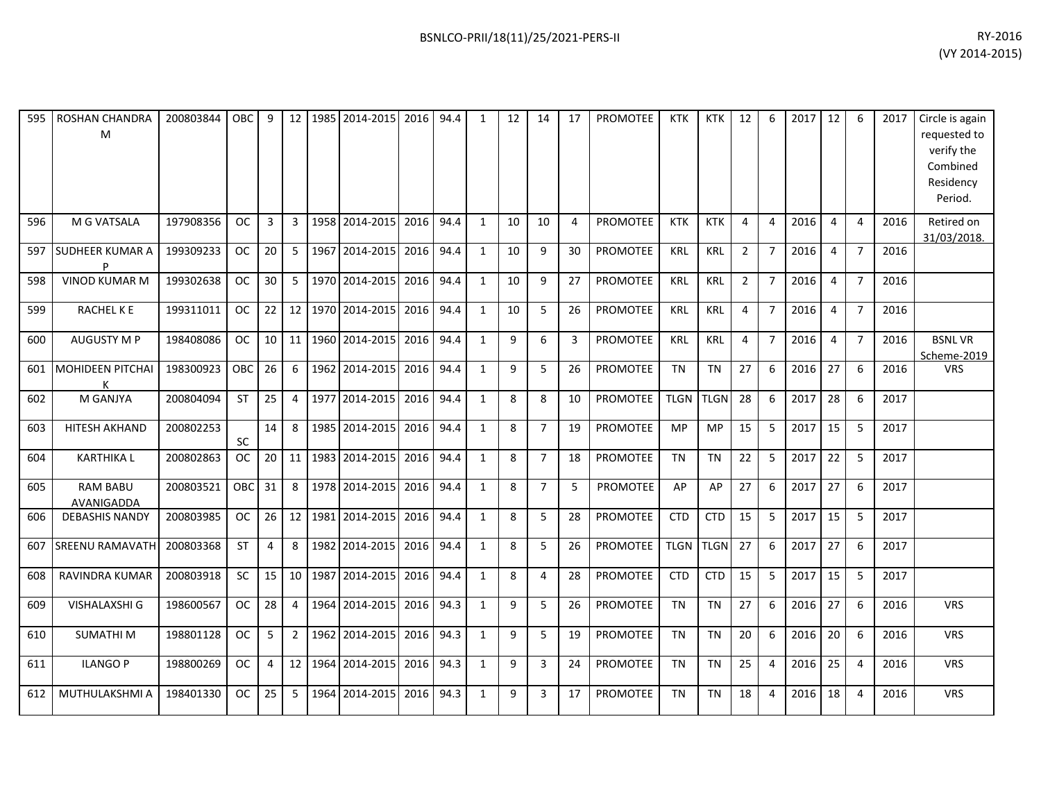| 595 | <b>ROSHAN CHANDRA</b><br>M    | 200803844 | OBC.       | 9  | 12 <sup>1</sup> | 1985 2014-2015 | 2016 | 94.4 | $\mathbf{1}$ | 12 | 14             | 17             | PROMOTEE        | <b>KTK</b>  | <b>KTK</b>  | 12             | 6              | 2017 | 12             | -6             | 2017 | Circle is again<br>requested to<br>verify the<br>Combined<br>Residency<br>Period. |
|-----|-------------------------------|-----------|------------|----|-----------------|----------------|------|------|--------------|----|----------------|----------------|-----------------|-------------|-------------|----------------|----------------|------|----------------|----------------|------|-----------------------------------------------------------------------------------|
| 596 | M G VATSALA                   | 197908356 | <b>OC</b>  | 3  | 3               | 1958 2014-2015 | 2016 | 94.4 | $\mathbf{1}$ | 10 | 10             | $\overline{4}$ | <b>PROMOTEE</b> | <b>KTK</b>  | <b>KTK</b>  | 4              | 4              | 2016 | $\overline{4}$ | $\overline{4}$ | 2016 | Retired on<br>31/03/2018.                                                         |
| 597 | <b>SUDHEER KUMAR A</b><br>P   | 199309233 | ОC         | 20 | 5               | 1967 2014-2015 | 2016 | 94.4 | $\mathbf{1}$ | 10 | 9              | 30             | <b>PROMOTEE</b> | <b>KRL</b>  | KRL         | $\overline{2}$ | $\overline{7}$ | 2016 | $\overline{4}$ | $\overline{7}$ | 2016 |                                                                                   |
| 598 | <b>VINOD KUMAR M</b>          | 199302638 | <b>OC</b>  | 30 | 5               | 1970 2014-2015 | 2016 | 94.4 | 1            | 10 | 9              | 27             | <b>PROMOTEE</b> | <b>KRL</b>  | <b>KRL</b>  | 2              | $\overline{7}$ | 2016 | $\overline{4}$ | $\overline{7}$ | 2016 |                                                                                   |
| 599 | RACHEL K E                    | 199311011 | <b>OC</b>  | 22 | 12 <sup>1</sup> | 1970 2014-2015 | 2016 | 94.4 | 1            | 10 | 5              | 26             | <b>PROMOTEE</b> | <b>KRL</b>  | KRL         | 4              | $\overline{7}$ | 2016 | 4              | $\overline{7}$ | 2016 |                                                                                   |
| 600 | <b>AUGUSTY M P</b>            | 198408086 | <b>OC</b>  | 10 | 11              | 1960 2014-2015 | 2016 | 94.4 | $\mathbf{1}$ | 9  | 6              | 3              | <b>PROMOTEE</b> | <b>KRL</b>  | KRL         | 4              | $\overline{7}$ | 2016 | $\overline{4}$ | $\overline{7}$ | 2016 | <b>BSNLVR</b><br>Scheme-2019                                                      |
| 601 | MOHIDEEN PITCHAI              | 198300923 | <b>OBC</b> | 26 | 6               | 1962 2014-2015 | 2016 | 94.4 | $\mathbf{1}$ | 9  | 5              | 26             | <b>PROMOTEE</b> | <b>TN</b>   | <b>TN</b>   | 27             | 6              | 2016 | 27             | 6              | 2016 | <b>VRS</b>                                                                        |
| 602 | M GANJYA                      | 200804094 | <b>ST</b>  | 25 | $\overline{4}$  | 1977 2014-2015 | 2016 | 94.4 | $\mathbf{1}$ | 8  | 8              | 10             | <b>PROMOTEE</b> | <b>TLGN</b> | <b>TLGN</b> | 28             | 6              | 2017 | 28             | 6              | 2017 |                                                                                   |
| 603 | HITESH AKHAND                 | 200802253 | SC         | 14 | 8               | 1985 2014-2015 | 2016 | 94.4 | 1            | 8  | $\overline{7}$ | 19             | <b>PROMOTEE</b> | <b>MP</b>   | <b>MP</b>   | 15             | 5              | 2017 | 15             | 5              | 2017 |                                                                                   |
| 604 | <b>KARTHIKAL</b>              | 200802863 | <b>OC</b>  | 20 | 11              | 1983 2014-2015 | 2016 | 94.4 | $\mathbf{1}$ | 8  | $\overline{7}$ | 18             | PROMOTEE        | <b>TN</b>   | <b>TN</b>   | 22             | 5              | 2017 | 22             | 5              | 2017 |                                                                                   |
| 605 | <b>RAM BABU</b><br>AVANIGADDA | 200803521 | OBC        | 31 | 8               | 1978 2014-2015 | 2016 | 94.4 | $\mathbf{1}$ | 8  | $\overline{7}$ | 5              | <b>PROMOTEE</b> | AP          | AP          | 27             | 6              | 2017 | 27             | 6              | 2017 |                                                                                   |
| 606 | <b>DEBASHIS NANDY</b>         | 200803985 | OC.        | 26 | 12              | 1981 2014-2015 | 2016 | 94.4 | 1            | 8  | 5              | 28             | <b>PROMOTEE</b> | <b>CTD</b>  | <b>CTD</b>  | 15             | 5              | 2017 | 15             | 5              | 2017 |                                                                                   |
| 607 | <b>SREENU RAMAVATH</b>        | 200803368 | <b>ST</b>  | 4  | 8               | 1982 2014-2015 | 2016 | 94.4 | $\mathbf{1}$ | 8  | 5              | 26             | <b>PROMOTEE</b> | <b>TLGN</b> | <b>TLGN</b> | 27             | 6              | 2017 | 27             | -6             | 2017 |                                                                                   |
| 608 | <b>RAVINDRA KUMAR</b>         | 200803918 | SC         | 15 | 10 <sup>1</sup> | 1987 2014-2015 | 2016 | 94.4 | $\mathbf{1}$ | 8  | 4              | 28             | <b>PROMOTEE</b> | <b>CTD</b>  | <b>CTD</b>  | 15             | 5              | 2017 | 15             | -5             | 2017 |                                                                                   |
| 609 | VISHALAXSHI G                 | 198600567 | <b>OC</b>  | 28 | $\overline{4}$  | 1964 2014-2015 | 2016 | 94.3 | $\mathbf{1}$ | 9  | 5              | 26             | <b>PROMOTEE</b> | <b>TN</b>   | <b>TN</b>   | 27             | 6              | 2016 | 27             | 6              | 2016 | <b>VRS</b>                                                                        |
| 610 | <b>SUMATHIM</b>               | 198801128 | <b>OC</b>  | 5  | $\overline{2}$  | 1962 2014-2015 | 2016 | 94.3 | $\mathbf{1}$ | 9  | 5              | 19             | <b>PROMOTEE</b> | <b>TN</b>   | <b>TN</b>   | 20             | 6              | 2016 | 20             | 6              | 2016 | <b>VRS</b>                                                                        |
| 611 | <b>ILANGO P</b>               | 198800269 | <b>OC</b>  | 4  | 12              | 1964 2014-2015 | 2016 | 94.3 | 1            | 9  | 3              | 24             | <b>PROMOTEE</b> | <b>TN</b>   | <b>TN</b>   | 25             | 4              | 2016 | 25             | $\overline{4}$ | 2016 | <b>VRS</b>                                                                        |
| 612 | MUTHULAKSHMI A                | 198401330 | <b>OC</b>  | 25 | 5               | 1964 2014-2015 | 2016 | 94.3 | $\mathbf{1}$ | 9  | $\overline{3}$ | 17             | <b>PROMOTEE</b> | <b>TN</b>   | <b>TN</b>   | 18             | 4              | 2016 | 18             | $\overline{4}$ | 2016 | <b>VRS</b>                                                                        |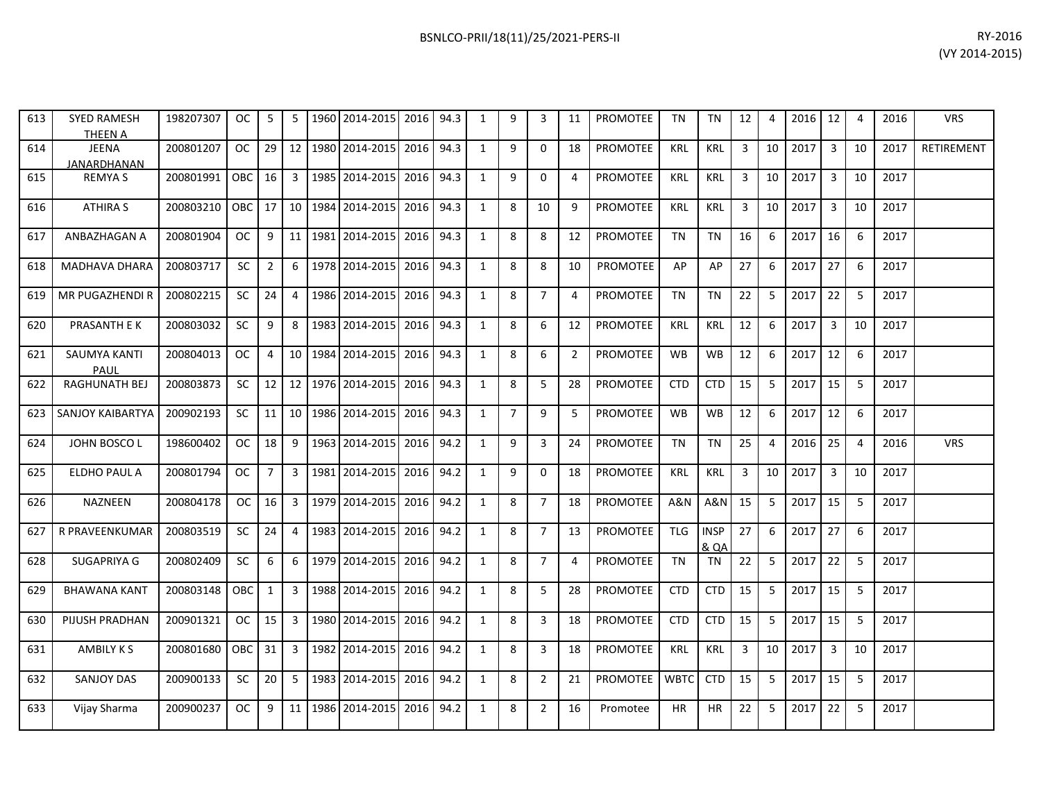| RY-2016        |
|----------------|
| (VY 2014-2015) |

| 613 | <b>SYED RAMESH</b><br><b>THEEN A</b> | 198207307 | OC.       | 5              | 5              |         | 1960 2014-2015    | 2016 | 94.3 | $\mathbf{1}$ | 9              | 3              | 11             | <b>PROMOTEE</b> | <b>TN</b>   | <b>TN</b>                      | 12             | $\overline{4}$ | 2016 | 12             | $\overline{4}$ | 2016 | <b>VRS</b> |
|-----|--------------------------------------|-----------|-----------|----------------|----------------|---------|-------------------|------|------|--------------|----------------|----------------|----------------|-----------------|-------------|--------------------------------|----------------|----------------|------|----------------|----------------|------|------------|
| 614 | JEENA<br><b>JANARDHANAN</b>          | 200801207 | <b>OC</b> | 29             | 12             |         | 1980 2014-2015    | 2016 | 94.3 | $\mathbf{1}$ | 9              | $\Omega$       | 18             | <b>PROMOTEE</b> | <b>KRL</b>  | <b>KRL</b>                     | $\mathbf{3}$   | 10             | 2017 | $\overline{3}$ | 10             | 2017 | RETIREMENT |
| 615 | <b>REMYAS</b>                        | 200801991 | OBC       | 16             |                |         | 3 1985 2014-2015  | 2016 | 94.3 | $\mathbf{1}$ | $\mathsf{q}$   | $\mathbf{0}$   | $\overline{4}$ | <b>PROMOTEE</b> | <b>KRL</b>  | KRL                            | $\overline{3}$ | 10             | 2017 | $\overline{3}$ | 10             | 2017 |            |
| 616 | <b>ATHIRA S</b>                      | 200803210 | OBC       | 17             |                |         | 10 1984 2014-2015 | 2016 | 94.3 | $\mathbf{1}$ | 8              | 10             | 9              | PROMOTEE        | <b>KRL</b>  | KRL                            | $\overline{3}$ | 10             | 2017 | $\overline{3}$ | 10             | 2017 |            |
| 617 | ANBAZHAGAN A                         | 200801904 | OC.       | 9              |                |         | 11 1981 2014-2015 | 2016 | 94.3 | $\mathbf{1}$ | 8              | 8              | 12             | PROMOTEE        | <b>TN</b>   | <b>TN</b>                      | 16             | 6              | 2017 | 16             | 6              | 2017 |            |
| 618 | MADHAVA DHARA                        | 200803717 | SC        | $\overline{2}$ | 6              |         | 1978 2014-2015    | 2016 | 94.3 | $\mathbf{1}$ | 8              | 8              | 10             | PROMOTEE        | AP          | AP                             | 27             | 6              | 2017 | 27             | 6              | 2017 |            |
| 619 | MR PUGAZHENDI R                      | 200802215 | <b>SC</b> | 24             | 4              | 1986    | 2014-2015         | 2016 | 94.3 | $\mathbf{1}$ | 8              | $\overline{7}$ | $\overline{4}$ | PROMOTEE        | <b>TN</b>   | <b>TN</b>                      | 22             | 5              | 2017 | 22             | 5              | 2017 |            |
| 620 | PRASANTH E K                         | 200803032 | <b>SC</b> | 9              | 8              |         | 1983 2014-2015    | 2016 | 94.3 | $\mathbf{1}$ | 8              | 6              | 12             | <b>PROMOTEE</b> | <b>KRL</b>  | <b>KRL</b>                     | 12             | 6              | 2017 | $\overline{3}$ | 10             | 2017 |            |
| 621 | <b>SAUMYA KANTI</b><br>PAUL          | 200804013 | <b>OC</b> | $\overline{4}$ |                | 10 1984 | 2014-2015         | 2016 | 94.3 | $\mathbf{1}$ | 8              | 6              | $\overline{2}$ | <b>PROMOTEE</b> | <b>WB</b>   | <b>WB</b>                      | 12             | 6              | 2017 | 12             | 6              | 2017 |            |
| 622 | RAGHUNATH BEJ                        | 200803873 | <b>SC</b> | 12             |                |         | 12 1976 2014-2015 | 2016 | 94.3 | $\mathbf{1}$ | 8              | 5              | 28             | PROMOTEE        | <b>CTD</b>  | <b>CTD</b>                     | 15             | 5              | 2017 | 15             | -5             | 2017 |            |
| 623 | <b>SANJOY KAIBARTYA</b>              | 200902193 | SC        | 11             |                |         | 10 1986 2014-2015 | 2016 | 94.3 | $\mathbf{1}$ | $\overline{7}$ | 9              | 5              | <b>PROMOTEE</b> | WB          | <b>WB</b>                      | 12             | 6              | 2017 | 12             | 6              | 2017 |            |
| 624 | JOHN BOSCO L                         | 198600402 | <b>OC</b> | 18             | 9 <sup>1</sup> |         | 1963 2014-2015    | 2016 | 94.2 | $\mathbf{1}$ | $\mathsf{q}$   | $\overline{3}$ | 24             | <b>PROMOTEE</b> | <b>TN</b>   | <b>TN</b>                      | 25             | $\overline{4}$ | 2016 | 25             | $\overline{4}$ | 2016 | <b>VRS</b> |
| 625 | ELDHO PAUL A                         | 200801794 | OC        | $\overline{7}$ | 3 <sup>1</sup> |         | 1981 2014-2015    | 2016 | 94.2 | $\mathbf{1}$ | 9              | $\mathbf 0$    | 18             | PROMOTEE        | <b>KRL</b>  | KRL                            | $\overline{3}$ | 10             | 2017 | $\overline{3}$ | 10             | 2017 |            |
| 626 | NAZNEEN                              | 200804178 | OC.       | 16             | 3 <sup>1</sup> |         | 1979 2014-2015    | 2016 | 94.2 | $\mathbf{1}$ | 8              | $\overline{7}$ | 18             | PROMOTEE        | A&N         | <b>A&amp;N</b>                 | 15             | 5              | 2017 | 15             | 5              | 2017 |            |
| 627 | R PRAVEENKUMAR                       | 200803519 | SC        | 24             | 4              |         | 1983 2014-2015    | 2016 | 94.2 | $\mathbf{1}$ | 8              | $\overline{7}$ | 13             | PROMOTEE        | <b>TLG</b>  | <b>INSP</b><br><b>&amp; QA</b> | 27             | 6              | 2017 | 27             | 6              | 2017 |            |
| 628 | SUGAPRIYA G                          | 200802409 | SC        | 6              | 6              |         | 1979 2014-2015    | 2016 | 94.2 | $\mathbf{1}$ | 8              | $\overline{7}$ | $\overline{4}$ | PROMOTEE        | <b>TN</b>   | <b>TN</b>                      | 22             | 5              | 2017 | 22             | 5              | 2017 |            |
| 629 | <b>BHAWANA KANT</b>                  | 200803148 | OBC       | $\mathbf{1}$   | $\overline{3}$ | 1988    | 2014-2015         | 2016 | 94.2 | $\mathbf{1}$ | 8              | 5              | 28             | PROMOTEE        | <b>CTD</b>  | <b>CTD</b>                     | 15             | 5              | 2017 | 15             | 5              | 2017 |            |
| 630 | PIJUSH PRADHAN                       | 200901321 | <b>OC</b> | 15             | $\overline{3}$ | 1980    | 2014-2015         | 2016 | 94.2 | $\mathbf{1}$ | 8              | $\overline{3}$ | 18             | PROMOTEE        | <b>CTD</b>  | <b>CTD</b>                     | 15             | 5              | 2017 | 15             | 5              | 2017 |            |
| 631 | <b>AMBILY KS</b>                     | 200801680 | OBC       | 31             | 3 <sup>1</sup> | 1982    | 2014-2015         | 2016 | 94.2 | $\mathbf{1}$ | 8              | $\overline{3}$ | 18             | PROMOTEE        | <b>KRL</b>  | KRL                            | $\mathbf{3}$   | 10             | 2017 | $\overline{3}$ | 10             | 2017 |            |
| 632 | <b>SANJOY DAS</b>                    | 200900133 | <b>SC</b> | 20             | 5              |         | 1983 2014-2015    | 2016 | 94.2 | $\mathbf{1}$ | 8              | $\overline{2}$ | 21             | <b>PROMOTEE</b> | <b>WBTC</b> | <b>CTD</b>                     | 15             | 5              | 2017 | 15             | 5              | 2017 |            |
| 633 | Vijay Sharma                         | 200900237 | OC.       | 9              | 11             | 1986    | 2014-2015         | 2016 | 94.2 | $\mathbf{1}$ | 8              | $\overline{2}$ | 16             | Promotee        | HR          | HR                             | 22             | 5              | 2017 | 22             | 5              | 2017 |            |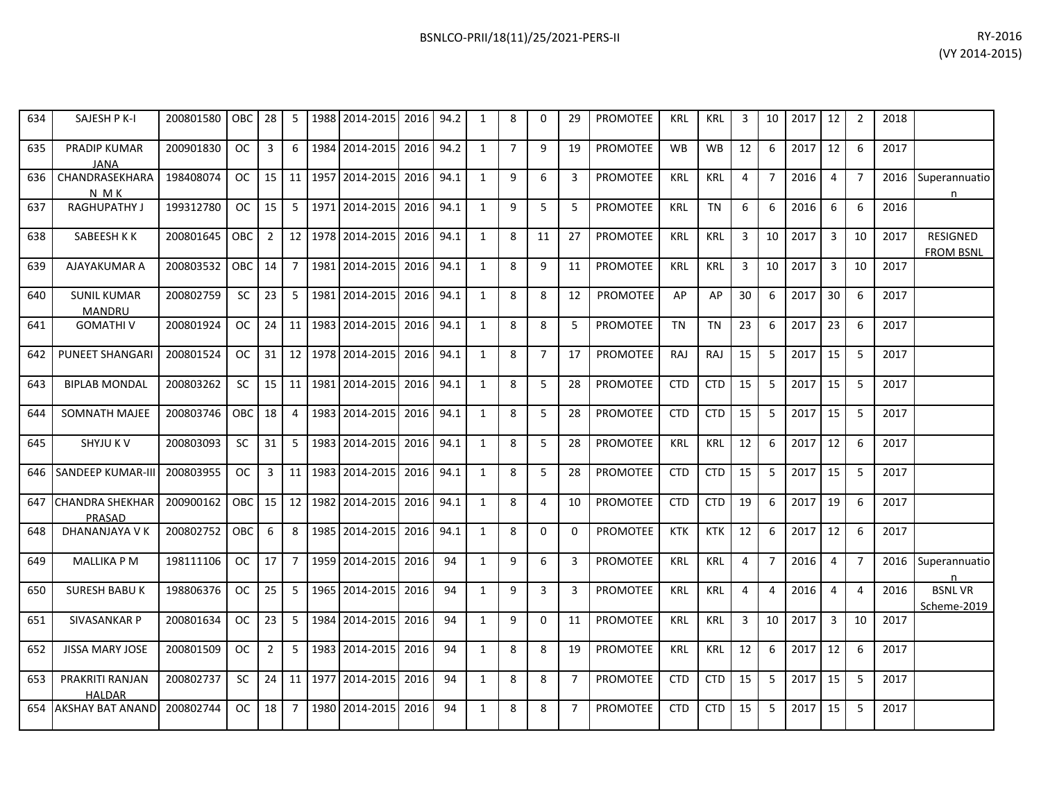| RY-2016        |
|----------------|
| (VY 2014-2015) |

| 634 | SAJESH P K-I                            | 200801580 | <b>OBC</b> | 28             | 5               | 1988 2014-2015 | 2016 | 94.2 | $\mathbf{1}$ | 8              | $\Omega$       | 29             | <b>PROMOTEE</b> | <b>KRL</b> | <b>KRL</b> | 3              | 10             | 2017 | 12             | $\overline{2}$ | 2018 |                                     |
|-----|-----------------------------------------|-----------|------------|----------------|-----------------|----------------|------|------|--------------|----------------|----------------|----------------|-----------------|------------|------------|----------------|----------------|------|----------------|----------------|------|-------------------------------------|
| 635 | PRADIP KUMAR<br><b>JANA</b>             | 200901830 | OC.        | 3              | 6               | 1984 2014-2015 | 2016 | 94.2 | $\mathbf{1}$ | $\overline{7}$ | 9              | 19             | <b>PROMOTEE</b> | <b>WB</b>  | <b>WB</b>  | 12             | 6              | 2017 | 12             | 6              | 2017 |                                     |
| 636 | CHANDRASEKHARA<br><b>NMK</b>            | 198408074 | OC.        | 15             | 11 <sup>1</sup> | 1957 2014-2015 | 2016 | 94.1 | $\mathbf{1}$ | 9              | 6              | 3              | <b>PROMOTEE</b> | <b>KRL</b> | <b>KRL</b> | $\overline{4}$ | $\overline{7}$ | 2016 | 4              | $\overline{7}$ | 2016 | Superannuatio<br>n                  |
| 637 | <b>RAGHUPATHY J</b>                     | 199312780 | <b>OC</b>  | 15             | 5               | 1971 2014-2015 | 2016 | 94.1 | $\mathbf{1}$ | 9              | 5              | 5              | PROMOTEE        | <b>KRL</b> | <b>TN</b>  | 6              | 6              | 2016 | 6              | 6              | 2016 |                                     |
| 638 | SABEESH K K                             | 200801645 | OBC        | $\overline{2}$ | 12              | 1978 2014-2015 | 2016 | 94.1 | 1            | 8              | 11             | 27             | <b>PROMOTEE</b> | <b>KRL</b> | <b>KRL</b> | 3              | 10             | 2017 | $\overline{3}$ | 10             | 2017 | <b>RESIGNED</b><br><b>FROM BSNL</b> |
| 639 | AJAYAKUMAR A                            | 200803532 | <b>OBC</b> | 14             | $\overline{7}$  | 1981 2014-2015 | 2016 | 94.1 | 1            | 8              | 9              | 11             | <b>PROMOTEE</b> | <b>KRL</b> | <b>KRL</b> | 3              | 10             | 2017 | $\overline{3}$ | 10             | 2017 |                                     |
| 640 | <b>SUNIL KUMAR</b><br><b>MANDRU</b>     | 200802759 | <b>SC</b>  | 23             | 5               | 1981 2014-2015 | 2016 | 94.1 | $\mathbf{1}$ | 8              | 8              | 12             | PROMOTEE        | AP         | AP         | 30             | 6              | 2017 | 30             | 6              | 2017 |                                     |
| 641 | <b>GOMATHIV</b>                         | 200801924 | OC.        | 24             | 11              | 1983 2014-2015 | 2016 | 94.1 | $\mathbf{1}$ | 8              | 8              | 5              | <b>PROMOTEE</b> | TN         | <b>TN</b>  | 23             | 6              | 2017 | 23             | 6              | 2017 |                                     |
| 642 | <b>PUNEET SHANGARI</b>                  | 200801524 | <b>OC</b>  | 31             | 12              | 1978 2014-2015 | 2016 | 94.1 | $\mathbf{1}$ | 8              | $\overline{7}$ | 17             | PROMOTEE        | RAJ        | RAJ        | 15             | 5              | 2017 | 15             | 5              | 2017 |                                     |
| 643 | <b>BIPLAB MONDAL</b>                    | 200803262 | SC.        | 15             | 11 <sup>1</sup> | 1981 2014-2015 | 2016 | 94.1 | $\mathbf{1}$ | 8              | 5              | 28             | <b>PROMOTEE</b> | <b>CTD</b> | <b>CTD</b> | 15             | 5              | 2017 | 15             | 5              | 2017 |                                     |
| 644 | SOMNATH MAJEE                           | 200803746 | <b>OBC</b> | 18             | 4               | 1983 2014-2015 | 2016 | 94.1 | $\mathbf{1}$ | 8              | 5              | 28             | <b>PROMOTEE</b> | <b>CTD</b> | <b>CTD</b> | 15             | 5              | 2017 | 15             | 5              | 2017 |                                     |
| 645 | <b>SHYJU KV</b>                         | 200803093 | <b>SC</b>  | 31             | 5               | 1983 2014-2015 | 2016 | 94.1 | $\mathbf{1}$ | 8              | 5              | 28             | <b>PROMOTEE</b> | <b>KRL</b> | <b>KRL</b> | 12             | 6              | 2017 | 12             | 6              | 2017 |                                     |
| 646 | <b>SANDEEP KUMAR-III</b>                | 200803955 | OC         | $\mathbf{3}$   | 11 <sup>1</sup> | 1983 2014-2015 | 2016 | 94.1 | $\mathbf{1}$ | 8              | 5              | 28             | <b>PROMOTEE</b> | <b>CTD</b> | <b>CTD</b> | 15             | 5              | 2017 | 15             | 5              | 2017 |                                     |
| 647 | <b>CHANDRA SHEKHAR</b><br><b>PRASAD</b> | 200900162 | OBC        | 15             | 12              | 1982 2014-2015 | 2016 | 94.1 | $\mathbf{1}$ | 8              | 4              | 10             | <b>PROMOTEE</b> | <b>CTD</b> | <b>CTD</b> | 19             | 6              | 2017 | 19             | 6              | 2017 |                                     |
| 648 | DHANANJAYA V K                          | 200802752 | OBC        | 6              | 8               | 1985 2014-2015 | 2016 | 94.1 | $\mathbf{1}$ | 8              | 0              | 0              | PROMOTEE        | <b>KTK</b> | <b>KTK</b> | 12             | 6              | 2017 | 12             | 6              | 2017 |                                     |
| 649 | <b>MALLIKA P M</b>                      | 198111106 | OC.        | 17             | $\overline{7}$  | 1959 2014-2015 | 2016 | 94   | $\mathbf{1}$ | 9              | 6              | 3              | <b>PROMOTEE</b> | <b>KRL</b> | <b>KRL</b> | 4              | $\overline{7}$ | 2016 | $\overline{4}$ | $\overline{7}$ | 2016 | Superannuatio<br>n                  |
| 650 | <b>SURESH BABU K</b>                    | 198806376 | OC.        | 25             | 5               | 1965 2014-2015 | 2016 | 94   | $\mathbf{1}$ | 9              | 3              | 3              | PROMOTEE        | <b>KRL</b> | <b>KRL</b> | $\overline{4}$ | 4              | 2016 | $\overline{a}$ | $\overline{4}$ | 2016 | <b>BSNLVR</b><br>Scheme-2019        |
| 651 | <b>SIVASANKAR P</b>                     | 200801634 | OC.        | 23             | 5               | 1984 2014-2015 | 2016 | 94   | $\mathbf{1}$ | 9              | $\Omega$       | 11             | <b>PROMOTEE</b> | <b>KRL</b> | <b>KRL</b> | 3              | 10             | 2017 | $\overline{3}$ | 10             | 2017 |                                     |
| 652 | <b>JISSA MARY JOSE</b>                  | 200801509 | <b>OC</b>  | $\overline{2}$ | 5               | 1983 2014-2015 | 2016 | 94   | $\mathbf{1}$ | 8              | 8              | 19             | <b>PROMOTEE</b> | <b>KRL</b> | <b>KRL</b> | 12             | 6              | 2017 | 12             | 6              | 2017 |                                     |
| 653 | PRAKRITI RANJAN<br><b>HALDAR</b>        | 200802737 | <b>SC</b>  | 24             | 11              | 1977 2014-2015 | 2016 | 94   | $\mathbf{1}$ | 8              | 8              | $\overline{7}$ | <b>PROMOTEE</b> | <b>CTD</b> | <b>CTD</b> | 15             | 5              | 2017 | 15             | 5              | 2017 |                                     |
| 654 | <b>AKSHAY BAT ANAND</b>                 | 200802744 | OC.        | 18             | 7               | 1980 2014-2015 | 2016 | 94   | 1            | 8              | 8              | $\overline{7}$ | <b>PROMOTEE</b> | <b>CTD</b> | <b>CTD</b> | 15             | 5              | 2017 | 15             | 5              | 2017 |                                     |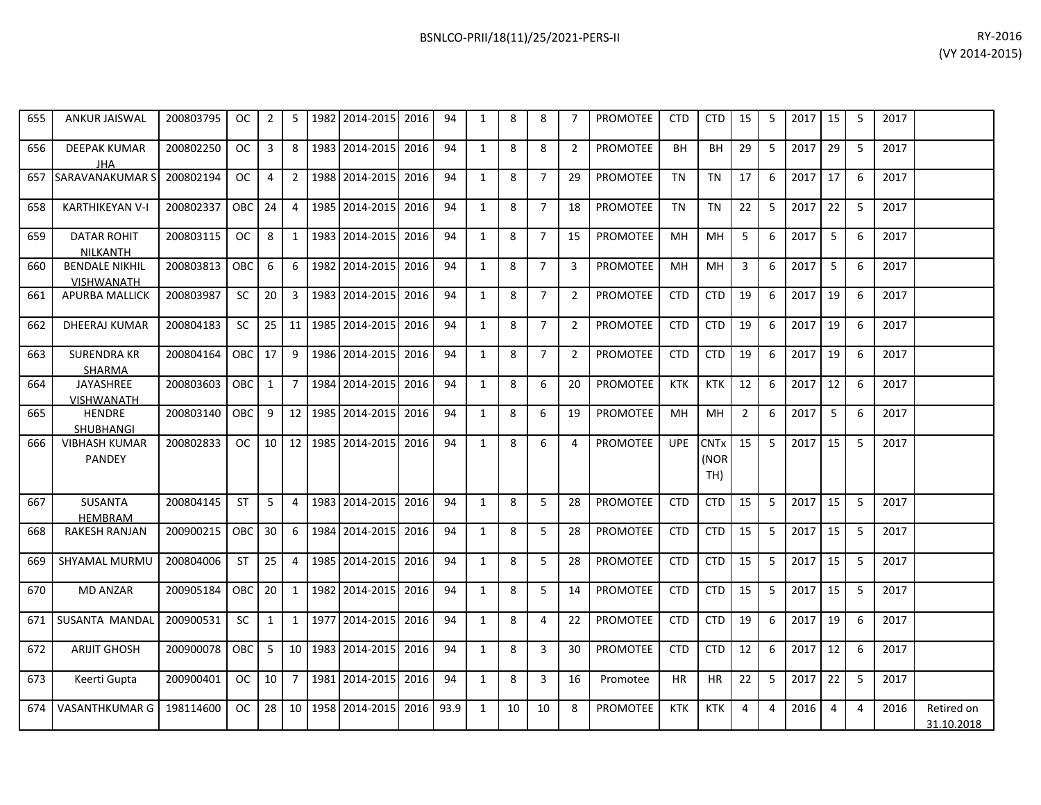| 655 | <b>ANKUR JAISWAL</b>                       | 200803795 | OC.        | $\overline{2}$ | 5               |      | 1982 2014-2015 | 2016 | 94   | 1            | 8  | 8              | $\overline{7}$ | <b>PROMOTEE</b> | <b>CTD</b> | <b>CTD</b>                 | 15             | 5  | 2017 | 15 | -5             | 2017 |                          |
|-----|--------------------------------------------|-----------|------------|----------------|-----------------|------|----------------|------|------|--------------|----|----------------|----------------|-----------------|------------|----------------------------|----------------|----|------|----|----------------|------|--------------------------|
| 656 | <b>DEEPAK KUMAR</b><br>JHA                 | 200802250 | <b>OC</b>  | $\overline{3}$ | 8               |      | 1983 2014-2015 | 2016 | 94   | 1            | 8  | 8              | $\overline{2}$ | <b>PROMOTEE</b> | <b>BH</b>  | <b>BH</b>                  | 29             | 5  | 2017 | 29 | 5              | 2017 |                          |
| 657 | SARAVANAKUMAR S                            | 200802194 | OC.        | $\overline{4}$ | $\overline{2}$  |      | 1988 2014-2015 | 2016 | 94   | 1            | 8  | $\overline{7}$ | 29             | <b>PROMOTEE</b> | <b>TN</b>  | <b>TN</b>                  | 17             | 6  | 2017 | 17 | 6              | 2017 |                          |
| 658 | <b>KARTHIKEYAN V-I</b>                     | 200802337 | <b>OBC</b> | 24             | 4               |      | 1985 2014-2015 | 2016 | 94   | 1            | 8  | $\overline{7}$ | 18             | PROMOTEE        | <b>TN</b>  | <b>TN</b>                  | 22             | 5  | 2017 | 22 | 5              | 2017 |                          |
| 659 | <b>DATAR ROHIT</b><br><b>NILKANTH</b>      | 200803115 | OC.        | 8              | 1               | 1983 | 2014-2015      | 2016 | 94   | $\mathbf{1}$ | 8  | $\overline{7}$ | 15             | <b>PROMOTEE</b> | MH.        | MH                         | 5              | 6  | 2017 | 5  | 6              | 2017 |                          |
| 660 | <b>BENDALE NIKHIL</b><br><b>VISHWANATH</b> | 200803813 | OBC        | 6              | 6               |      | 1982 2014-2015 | 2016 | 94   | $\mathbf{1}$ | 8  | $\overline{7}$ | 3              | <b>PROMOTEE</b> | MH         | <b>MH</b>                  | $\overline{3}$ | 6  | 2017 | 5  | 6              | 2017 |                          |
| 661 | APURBA MALLICK                             | 200803987 | SC         | 20             | 3               | 1983 | 2014-2015      | 2016 | 94   | $\mathbf{1}$ | 8  | $\overline{7}$ | $\overline{2}$ | PROMOTEE        | <b>CTD</b> | <b>CTD</b>                 | 19             | 6  | 2017 | 19 | -6             | 2017 |                          |
| 662 | DHEERAJ KUMAR                              | 200804183 | <b>SC</b>  | 25             | 11              |      | 1985 2014-2015 | 2016 | 94   | $\mathbf{1}$ | 8  | $\overline{7}$ | $\overline{2}$ | PROMOTEE        | <b>CTD</b> | <b>CTD</b>                 | 19             | 6  | 2017 | 19 | 6              | 2017 |                          |
| 663 | <b>SURENDRA KR</b><br><b>SHARMA</b>        | 200804164 | <b>OBC</b> | 17             | 9               | 1986 | 2014-2015      | 2016 | 94   | $\mathbf{1}$ | 8  | $\overline{7}$ | $\overline{2}$ | PROMOTEE        | <b>CTD</b> | <b>CTD</b>                 | 19             | 6  | 2017 | 19 | 6              | 2017 |                          |
| 664 | JAYASHREE<br><b>VISHWANATH</b>             | 200803603 | OBC.       | $\mathbf{1}$   | $\overline{7}$  |      | 1984 2014-2015 | 2016 | 94   | $\mathbf{1}$ | 8  | 6              | 20             | <b>PROMOTEE</b> | <b>KTK</b> | <b>KTK</b>                 | 12             | 6  | 2017 | 12 | 6              | 2017 |                          |
| 665 | <b>HENDRE</b><br>SHUBHANGI                 | 200803140 | OBC        | 9              | 12              |      | 1985 2014-2015 | 2016 | 94   | 1            | 8  | 6              | 19             | <b>PROMOTEE</b> | MH         | MH                         | $\overline{2}$ | 6  | 2017 | 5  | 6              | 2017 |                          |
| 666 | <b>VIBHASH KUMAR</b><br>PANDEY             | 200802833 | OC.        | 10             | 12              |      | 1985 2014-2015 | 2016 | 94   | $\mathbf{1}$ | 8  | 6              | $\overline{4}$ | PROMOTEE        | <b>UPE</b> | <b>CNTx</b><br>(NOR<br>TH) | 15             | 5  | 2017 | 15 | 5              | 2017 |                          |
| 667 | <b>SUSANTA</b><br><b>HEMBRAM</b>           | 200804145 | <b>ST</b>  | 5              | 4               |      | 1983 2014-2015 | 2016 | 94   | 1            | 8  | 5              | 28             | <b>PROMOTEE</b> | <b>CTD</b> | <b>CTD</b>                 | 15             | 5  | 2017 | 15 | 5              | 2017 |                          |
| 668 | <b>RAKESH RANJAN</b>                       | 200900215 | <b>OBC</b> | 30             | 6               |      | 1984 2014-2015 | 2016 | 94   | 1            | 8  | 5              | 28             | <b>PROMOTEE</b> | <b>CTD</b> | <b>CTD</b>                 | 15             | 5  | 2017 | 15 | 5              | 2017 |                          |
| 669 | <b>SHYAMAL MURMU</b>                       | 200804006 | <b>ST</b>  | 25             | 4               |      | 1985 2014-2015 | 2016 | 94   | 1            | 8  | 5              | 28             | <b>PROMOTEE</b> | <b>CTD</b> | <b>CTD</b>                 | 15             | 5  | 2017 | 15 | 5              | 2017 |                          |
| 670 | <b>MD ANZAR</b>                            | 200905184 | <b>OBC</b> | 20             | $\mathbf{1}$    |      | 1982 2014-2015 | 2016 | 94   | 1            | 8  | 5              | 14             | <b>PROMOTEE</b> | <b>CTD</b> | <b>CTD</b>                 | 15             | 5  | 2017 | 15 | 5              | 2017 |                          |
| 671 | <b>SUSANTA MANDAL</b>                      | 200900531 | <b>SC</b>  | $\mathbf{1}$   | $\mathbf{1}$    | 1977 | 2014-2015      | 2016 | 94   | $\mathbf{1}$ | 8  | 4              | 22             | <b>PROMOTEE</b> | <b>CTD</b> | <b>CTD</b>                 | 19             | 6  | 2017 | 19 | 6              | 2017 |                          |
| 672 | <b>ARIJIT GHOSH</b>                        | 200900078 | OBC.       | 5              | 10 <sup>1</sup> |      | 1983 2014-2015 | 2016 | 94   | 1            | 8  | 3              | 30             | <b>PROMOTEE</b> | <b>CTD</b> | <b>CTD</b>                 | 12             | 6  | 2017 | 12 | -6             | 2017 |                          |
| 673 | Keerti Gupta                               | 200900401 | OC.        | 10             | $\overline{7}$  | 1981 | 2014-2015      | 2016 | 94   | 1            | 8  | 3              | 16             | Promotee        | ΗR         | HR                         | 22             | -5 | 2017 | 22 | 5              | 2017 |                          |
| 674 | VASANTHKUMAR G                             | 198114600 | OC.        | 28             | 10              | 1958 | 2014-2015      | 2016 | 93.9 | 1            | 10 | 10             | 8              | <b>PROMOTEE</b> | <b>KTK</b> | <b>KTK</b>                 | 4              | 4  | 2016 | 4  | $\overline{4}$ | 2016 | Retired on<br>31.10.2018 |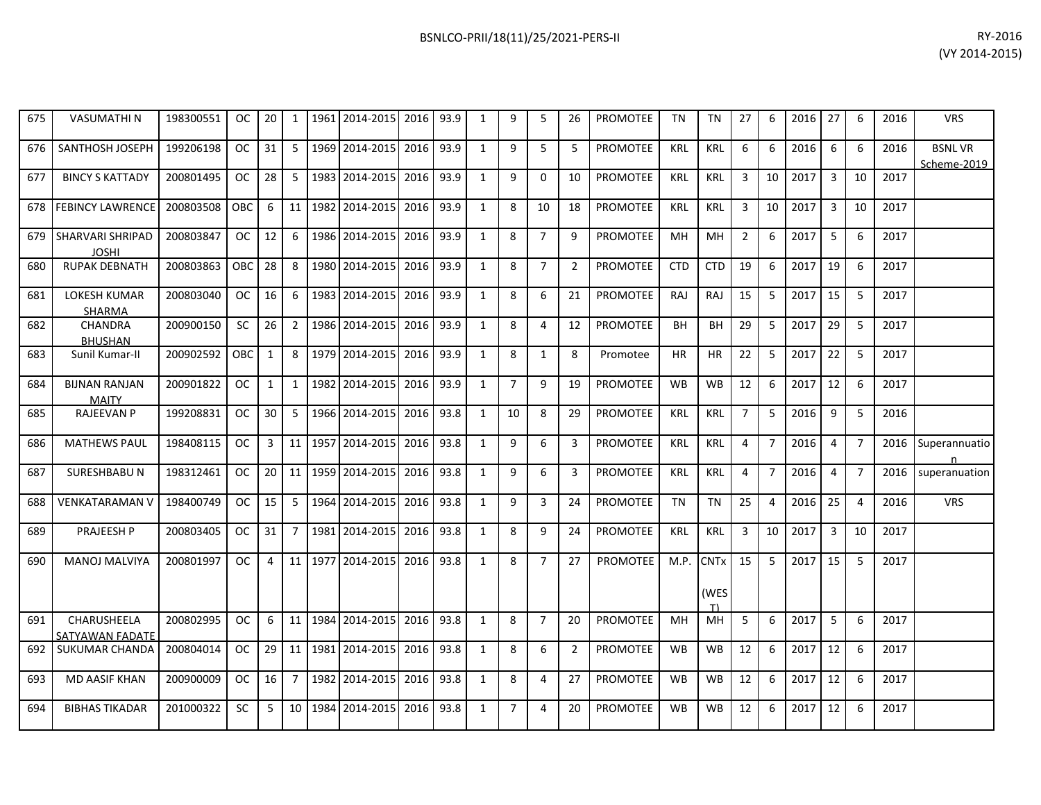| 675 | <b>VASUMATHIN</b>                    | 198300551 | <b>OC</b>  | 20           | 1              | 1961 | 2014-2015 | 2016 | 93.9 | $\mathbf{1}$ | 9              | 5              | 26             | <b>PROMOTEE</b> | <b>TN</b>  | <b>TN</b>   | 27             | 6              | 2016 | 27             | 6              | 2016 | <b>VRS</b>                   |
|-----|--------------------------------------|-----------|------------|--------------|----------------|------|-----------|------|------|--------------|----------------|----------------|----------------|-----------------|------------|-------------|----------------|----------------|------|----------------|----------------|------|------------------------------|
| 676 | SANTHOSH JOSEPH                      | 199206198 | <b>OC</b>  | 31           | 5              | 1969 | 2014-2015 | 2016 | 93.9 | $\mathbf{1}$ | 9              | 5              | 5              | <b>PROMOTEE</b> | <b>KRL</b> | <b>KRL</b>  | 6              | 6              | 2016 | 6              | 6              | 2016 | <b>BSNLVR</b><br>Scheme-2019 |
| 677 | <b>BINCY S KATTADY</b>               | 200801495 | <b>OC</b>  | 28           | 5              | 1983 | 2014-2015 | 2016 | 93.9 | $\mathbf{1}$ | 9              | $\Omega$       | 10             | <b>PROMOTEE</b> | KRL        | <b>KRL</b>  | 3              | 10             | 2017 | 3              | 10             | 2017 |                              |
| 678 | <b>FEBINCY LAWRENCE</b>              | 200803508 | OBC        | 6            | 11             | 1982 | 2014-2015 | 2016 | 93.9 | $\mathbf{1}$ | 8              | 10             | 18             | <b>PROMOTEE</b> | <b>KRL</b> | <b>KRL</b>  | 3              | 10             | 2017 | 3              | 10             | 2017 |                              |
| 679 | SHARVARI SHRIPAD<br><b>JOSHI</b>     | 200803847 | <b>OC</b>  | 12           | 6              | 1986 | 2014-2015 | 2016 | 93.9 | $\mathbf{1}$ | 8              | $\overline{7}$ | 9              | <b>PROMOTEE</b> | MH         | MH          | $\overline{2}$ | 6              | 2017 | 5              | 6              | 2017 |                              |
| 680 | <b>RUPAK DEBNATH</b>                 | 200803863 | <b>OBC</b> | 28           | 8              | 1980 | 2014-2015 | 2016 | 93.9 | $\mathbf{1}$ | 8              | $\overline{7}$ | $\overline{2}$ | <b>PROMOTEE</b> | <b>CTD</b> | <b>CTD</b>  | 19             | 6              | 2017 | 19             | 6              | 2017 |                              |
| 681 | <b>LOKESH KUMAR</b><br><b>SHARMA</b> | 200803040 | <b>OC</b>  | 16           | 6              | 1983 | 2014-2015 | 2016 | 93.9 | $\mathbf{1}$ | 8              | 6              | 21             | <b>PROMOTEE</b> | <b>RAJ</b> | <b>RAJ</b>  | 15             | 5              | 2017 | 15             | 5              | 2017 |                              |
| 682 | CHANDRA<br><b>BHUSHAN</b>            | 200900150 | <b>SC</b>  | 26           | $\overline{2}$ | 1986 | 2014-2015 | 2016 | 93.9 | $\mathbf{1}$ | 8              | 4              | 12             | <b>PROMOTEE</b> | BH         | BH          | 29             | 5              | 2017 | 29             | 5              | 2017 |                              |
| 683 | Sunil Kumar-II                       | 200902592 | <b>OBC</b> | $\mathbf{1}$ | 8              | 1979 | 2014-2015 | 2016 | 93.9 | $\mathbf{1}$ | 8              | $\mathbf{1}$   | 8              | Promotee        | <b>HR</b>  | <b>HR</b>   | 22             | 5              | 2017 | 22             | 5              | 2017 |                              |
| 684 | <b>BIJNAN RANJAN</b><br><b>MAITY</b> | 200901822 | OC.        | 1            | 1              | 1982 | 2014-2015 | 2016 | 93.9 | $\mathbf{1}$ | $\overline{7}$ | 9              | 19             | <b>PROMOTEE</b> | <b>WB</b>  | <b>WB</b>   | 12             | 6              | 2017 | 12             | 6              | 2017 |                              |
| 685 | <b>RAJEEVAN P</b>                    | 199208831 | <b>OC</b>  | 30           | 5              | 1966 | 2014-2015 | 2016 | 93.8 | $\mathbf{1}$ | 10             | 8              | 29             | <b>PROMOTEE</b> | <b>KRL</b> | <b>KRL</b>  | $\overline{7}$ | 5              | 2016 | 9              | 5              | 2016 |                              |
| 686 | <b>MATHEWS PAUL</b>                  | 198408115 | OC.        | $\mathbf{3}$ | 11             | 1957 | 2014-2015 | 2016 | 93.8 | $\mathbf{1}$ | 9              | 6              | 3              | <b>PROMOTEE</b> | <b>KRL</b> | <b>KRL</b>  | $\overline{4}$ | $\overline{7}$ | 2016 | 4              | $\overline{7}$ | 2016 | Superannuatio<br>n           |
| 687 | <b>SURESHBABUN</b>                   | 198312461 | <b>OC</b>  | 20           | 11             | 1959 | 2014-2015 | 2016 | 93.8 | $\mathbf{1}$ | 9              | 6              | 3              | <b>PROMOTEE</b> | KRL        | <b>KRL</b>  | 4              | $\overline{7}$ | 2016 | $\overline{4}$ | $\overline{7}$ | 2016 | superanuation                |
| 688 | VENKATARAMAN V                       | 198400749 | <b>OC</b>  | 15           | $\overline{5}$ | 1964 | 2014-2015 | 2016 | 93.8 | $\mathbf{1}$ | 9              | $\overline{3}$ | 24             | <b>PROMOTEE</b> | <b>TN</b>  | <b>TN</b>   | 25             | 4              | 2016 | 25             | $\overline{4}$ | 2016 | <b>VRS</b>                   |
| 689 | PRAJEESH P                           | 200803405 | <b>OC</b>  | 31           | $\overline{7}$ | 1981 | 2014-2015 | 2016 | 93.8 | $\mathbf{1}$ | 8              | 9              | 24             | <b>PROMOTEE</b> | KRL        | <b>KRL</b>  | 3              | 10             | 2017 | $\mathbf{3}$   | 10             | 2017 |                              |
| 690 | <b>MANOJ MALVIYA</b>                 | 200801997 | <b>OC</b>  | 4            | 11             | 1977 | 2014-2015 | 2016 | 93.8 | $\mathbf{1}$ | 8              | $\overline{7}$ | 27             | <b>PROMOTEE</b> | M.P.       | <b>CNTx</b> | 15             | 5              | 2017 | 15             | 5              | 2017 |                              |
|     |                                      |           |            |              |                |      |           |      |      |              |                |                |                |                 |            | (WES<br>T)  |                |                |      |                |                |      |                              |
| 691 | CHARUSHEELA<br>SATYAWAN FADATE       | 200802995 | <b>OC</b>  | 6            | 11             | 1984 | 2014-2015 | 2016 | 93.8 | $\mathbf{1}$ | 8              | $\overline{7}$ | 20             | <b>PROMOTEE</b> | MH         | MH          | 5              | 6              | 2017 | 5              | 6              | 2017 |                              |
| 692 | <b>SUKUMAR CHANDA</b>                | 200804014 | <b>OC</b>  | 29           | 11             | 1981 | 2014-2015 | 2016 | 93.8 | $\mathbf{1}$ | 8              | 6              | 2              | <b>PROMOTEE</b> | <b>WB</b>  | <b>WB</b>   | 12             | 6              | 2017 | 12             | 6              | 2017 |                              |
| 693 | <b>MD AASIF KHAN</b>                 | 200900009 | <b>OC</b>  | 16           | $\overline{7}$ | 1982 | 2014-2015 | 2016 | 93.8 | $\mathbf{1}$ | 8              | 4              | 27             | <b>PROMOTEE</b> | <b>WB</b>  | <b>WB</b>   | 12             | 6              | 2017 | 12             | 6              | 2017 |                              |
| 694 | <b>BIBHAS TIKADAR</b>                | 201000322 | SC.        | 5            | 10             | 1984 | 2014-2015 | 2016 | 93.8 | 1            | 7              | 4              | 20             | <b>PROMOTEE</b> | <b>WB</b>  | WB          | 12             | 6              | 2017 | 12             | 6              | 2017 |                              |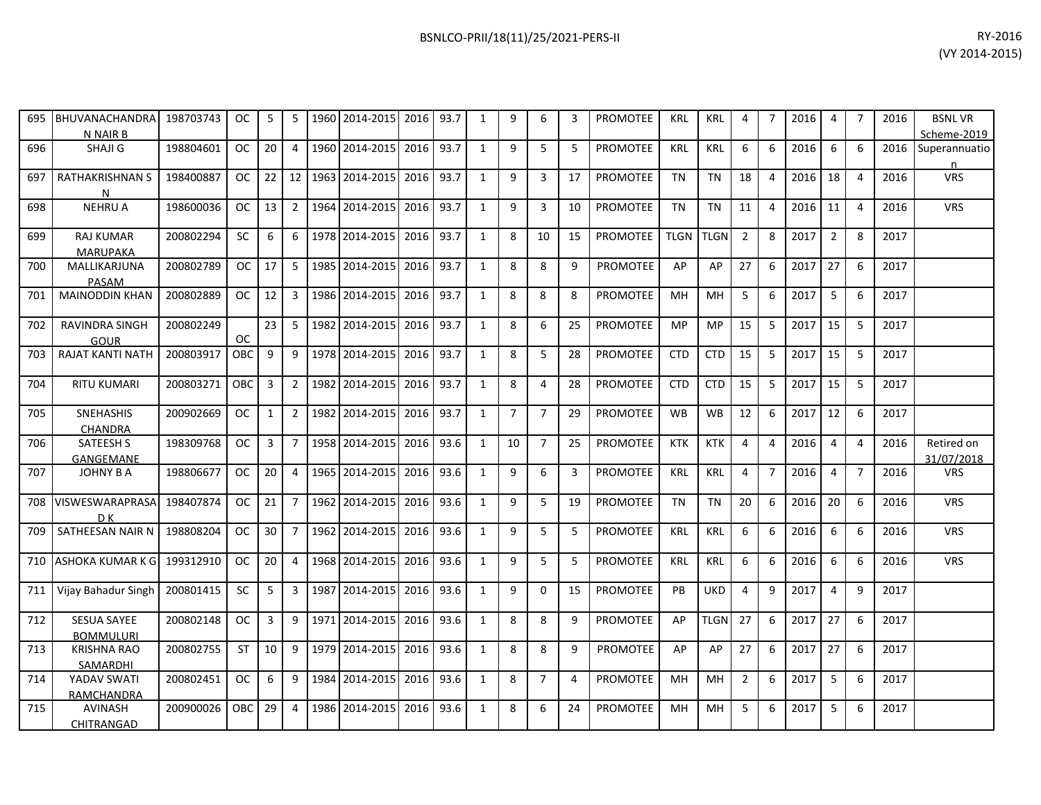| 695 | BHUVANACHANDRA<br>N NAIR B             | 198703743 | OC.           | 5            | 5              |      | 1960 2014-2015 | 2016 93.7 |      | $\mathbf{1}$ | 9              | 6              | 3              | <b>PROMOTEE</b> | <b>KRL</b>  | <b>KRL</b>  | 4              | $\overline{7}$ | 2016 | $\overline{4}$ | $\overline{7}$   | 2016 | <b>BSNLVR</b><br>Scheme-2019 |
|-----|----------------------------------------|-----------|---------------|--------------|----------------|------|----------------|-----------|------|--------------|----------------|----------------|----------------|-----------------|-------------|-------------|----------------|----------------|------|----------------|------------------|------|------------------------------|
| 696 | SHAJI G                                | 198804601 | <b>OC</b>     | 20           | 4              |      | 1960 2014-2015 | 2016 93.7 |      | 1            | 9              | 5              | 5              | PROMOTEE        | <b>KRL</b>  | KRL         | 6              | 6              | 2016 | 6              | $6 \overline{6}$ | 2016 | Superannuatio<br>n           |
| 697 | RATHAKRISHNAN S<br>N                   | 198400887 | OC.           | 22           | 12             |      | 1963 2014-2015 | 2016 93.7 |      | 1            | 9              | 3              | 17             | <b>PROMOTEE</b> | <b>TN</b>   | <b>TN</b>   | 18             | $\overline{4}$ | 2016 | 18             | $\overline{4}$   | 2016 | <b>VRS</b>                   |
| 698 | <b>NEHRU A</b>                         | 198600036 | <b>OC</b>     | 13           | $\overline{2}$ |      | 1964 2014-2015 | 2016 93.7 |      | 1            | 9              | 3              | 10             | <b>PROMOTEE</b> | <b>TN</b>   | <b>TN</b>   | 11             | $\overline{a}$ | 2016 | 11             | $\overline{4}$   | 2016 | <b>VRS</b>                   |
| 699 | <b>RAJ KUMAR</b><br><b>MARUPAKA</b>    | 200802294 | <b>SC</b>     | 6            | 6              | 1978 | 2014-2015      | 2016 93.7 |      | $\mathbf{1}$ | 8              | 10             | 15             | PROMOTEE        | <b>TLGN</b> | <b>TLGN</b> | $\overline{2}$ | 8              | 2017 | $\overline{2}$ | 8                | 2017 |                              |
| 700 | MALLIKARJUNA<br>PASAM                  | 200802789 | <b>OC</b>     | 17           | $5^{\circ}$    |      | 1985 2014-2015 | 2016 93.7 |      | 1            | 8              | 8              | 9              | <b>PROMOTEE</b> | AP          | AP          | 27             | 6              | 2017 | 27             | 6                | 2017 |                              |
| 701 | <b>MAINODDIN KHAN</b>                  | 200802889 | OC.           | 12           | $\overline{3}$ |      | 1986 2014-2015 | 2016      | 93.7 | 1            | 8              | 8              | 8              | <b>PROMOTEE</b> | <b>MH</b>   | <b>MH</b>   | 5              | 6              | 2017 | 5              | 6                | 2017 |                              |
| 702 | RAVINDRA SINGH<br>GOUR                 | 200802249 | <b>OC</b>     | 23           | 5 <sup>5</sup> |      | 1982 2014-2015 | 2016 93.7 |      | 1            | 8              | 6              | 25             | PROMOTEE        | <b>MP</b>   | <b>MP</b>   | 15             | 5              | 2017 | 15             | 5                | 2017 |                              |
| 703 | <b>RAJAT KANTI NATH</b>                | 200803917 | OBC           | 9            | 9              |      | 1978 2014-2015 | 2016      | 93.7 | 1            | 8              | 5              | 28             | PROMOTEE        | <b>CTD</b>  | <b>CTD</b>  | 15             | 5              | 2017 | 15             | 5                | 2017 |                              |
| 704 | <b>RITU KUMARI</b>                     | 200803271 | OBC           | 3            | $\overline{2}$ |      | 1982 2014-2015 | 2016 93.7 |      | 1            | 8              | 4              | 28             | <b>PROMOTEE</b> | <b>CTD</b>  | <b>CTD</b>  | 15             | 5              | 2017 | 15             | 5                | 2017 |                              |
| 705 | <b>SNEHASHIS</b><br>CHANDRA            | 200902669 | <b>OC</b>     | $\mathbf{1}$ | $\overline{2}$ |      | 1982 2014-2015 | 2016      | 93.7 | 1            | $\overline{7}$ | $\overline{7}$ | 29             | PROMOTEE        | <b>WB</b>   | <b>WB</b>   | 12             | 6              | 2017 | 12             | 6                | 2017 |                              |
| 706 | SATEESH S<br>GANGEMANE                 | 198309768 | <sub>OC</sub> | 3            | $7^{\circ}$    |      | 1958 2014-2015 | 2016      | 93.6 | 1            | 10             | $\overline{7}$ | 25             | PROMOTEE        | <b>KTK</b>  | <b>KTK</b>  | 4              | $\overline{a}$ | 2016 | $\overline{4}$ | 4                | 2016 | Retired on<br>31/07/2018     |
| 707 | <b>JOHNY B A</b>                       | 198806677 | OC.           | 20           | 4              |      | 1965 2014-2015 | 2016      | 93.6 | $\mathbf{1}$ | 9              | 6              | 3              | <b>PROMOTEE</b> | <b>KRL</b>  | <b>KRL</b>  | 4              | $\overline{7}$ | 2016 | $\overline{4}$ | $\overline{7}$   | 2016 | <b>VRS</b>                   |
| 708 | VISWESWARAPRASA<br>D K                 | 198407874 | OC.           | 21           | $\overline{7}$ |      | 1962 2014-2015 | 2016 93.6 |      | $\mathbf{1}$ | 9              | 5              | 19             | PROMOTEE        | <b>TN</b>   | <b>TN</b>   | 20             | 6              | 2016 | 20             | 6                | 2016 | <b>VRS</b>                   |
| 709 | SATHEESAN NAIR N                       | 198808204 | <b>OC</b>     | 30           | $\overline{7}$ |      | 1962 2014-2015 | 2016 93.6 |      | $\mathbf{1}$ | 9              | 5              | 5              | PROMOTEE        | <b>KRL</b>  | <b>KRL</b>  | 6              | 6              | 2016 | 6              | 6                | 2016 | <b>VRS</b>                   |
| 710 | <b>ASHOKA KUMAR K G</b>                | 199312910 | OC.           | 20           | 4              |      | 1968 2014-2015 | 2016      | 93.6 | $\mathbf{1}$ | 9              | 5              | 5              | <b>PROMOTEE</b> | <b>KRL</b>  | <b>KRL</b>  | 6              | 6              | 2016 | 6              | 6                | 2016 | <b>VRS</b>                   |
| 711 | Vijay Bahadur Singh                    | 200801415 | <b>SC</b>     | 5            | 3              | 1987 | 2014-2015      | 2016 93.6 |      | 1            | 9              | 0              | 15             | PROMOTEE        | <b>PB</b>   | <b>UKD</b>  | 4              | 9              | 2017 | $\overline{4}$ | 9                | 2017 |                              |
| 712 | <b>SESUA SAYEE</b><br><b>BOMMULURI</b> | 200802148 | OC.           | 3            | 9              |      | 1971 2014-2015 | 2016 93.6 |      | 1            | 8              | 8              | 9              | PROMOTEE        | AP          | <b>TLGN</b> | 27             | 6              | 2017 | 27             | 6                | 2017 |                              |
| 713 | <b>KRISHNA RAO</b><br>SAMARDHI         | 200802755 | <b>ST</b>     | 10           | 9              |      | 1979 2014-2015 | 2016 93.6 |      | 1            | 8              | 8              | 9              | <b>PROMOTEE</b> | AP          | AP          | 27             | 6              | 2017 | 27             | 6                | 2017 |                              |
| 714 | YADAV SWATI<br>RAMCHANDRA              | 200802451 | <b>OC</b>     | 6            | 9              | 1984 | 2014-2015      | 2016      | 93.6 | $\mathbf{1}$ | 8              | $\overline{7}$ | $\overline{4}$ | <b>PROMOTEE</b> | <b>MH</b>   | <b>MH</b>   | $\overline{2}$ | 6              | 2017 | 5              | 6                | 2017 |                              |
| 715 | AVINASH<br>CHITRANGAD                  | 200900026 | OBC           | 29           | 4              | 1986 | 2014-2015      | 2016      | 93.6 | 1            | 8              | 6              | 24             | <b>PROMOTEE</b> | MН          | MH          | 5              | 6              | 2017 | 5              | 6                | 2017 |                              |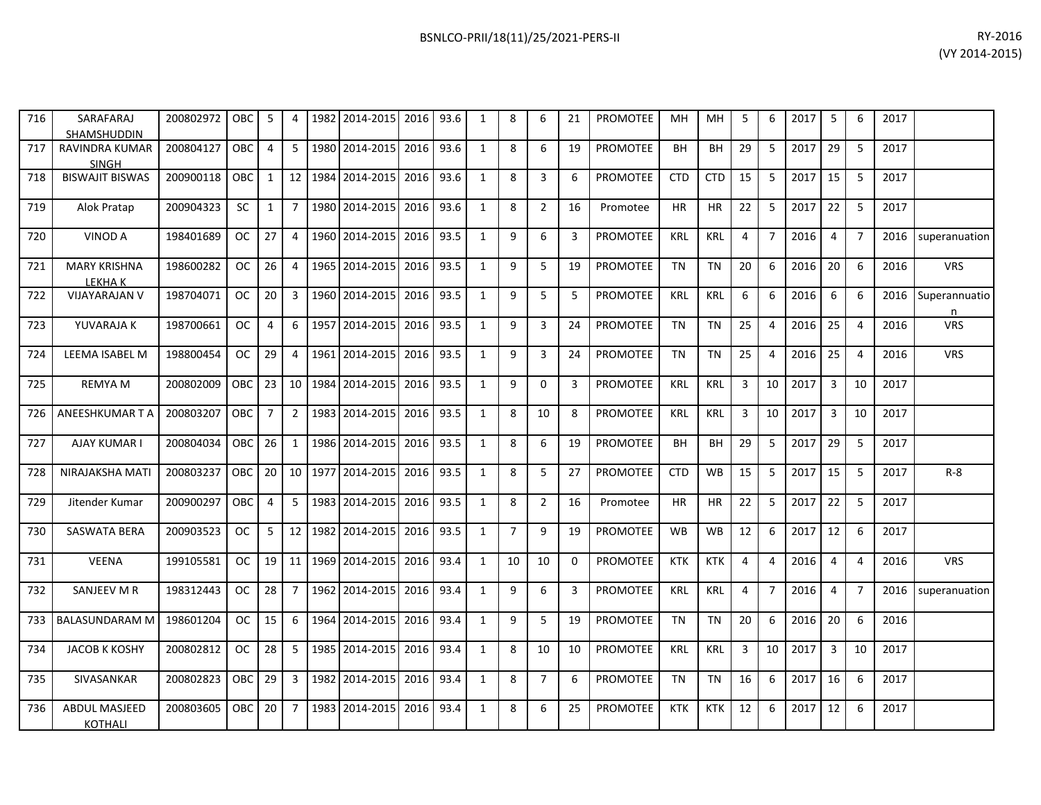| 716 | SARAFARAJ<br><b>SHAMSHUDDIN</b>        | 200802972 | OBC        | 5              | 4               | 1982 | 2014-2015      | 2016      | 93.6 | 1            | 8              | 6              | 21 | <b>PROMOTEE</b> | <b>MH</b>  | MH         | 5            | 6              | 2017 | 5              | 6                       | 2017 |                    |
|-----|----------------------------------------|-----------|------------|----------------|-----------------|------|----------------|-----------|------|--------------|----------------|----------------|----|-----------------|------------|------------|--------------|----------------|------|----------------|-------------------------|------|--------------------|
| 717 | <b>RAVINDRA KUMAR</b><br><b>SINGH</b>  | 200804127 | OBC.       | 4              | 5 <sup>1</sup>  |      | 1980 2014-2015 | 2016      | 93.6 | $\mathbf{1}$ | 8              | 6              | 19 | <b>PROMOTEE</b> | <b>BH</b>  | <b>BH</b>  | 29           | 5              | 2017 | 29             | 5                       | 2017 |                    |
| 718 | <b>BISWAJIT BISWAS</b>                 | 200900118 | OBC.       | $\mathbf{1}$   | 12 <sup>1</sup> | 1984 | 2014-2015      | 2016      | 93.6 | 1            | 8              | $\overline{3}$ | 6  | <b>PROMOTEE</b> | <b>CTD</b> | <b>CTD</b> | 15           | 5              | 2017 | 15             | 5                       | 2017 |                    |
| 719 | Alok Pratap                            | 200904323 | <b>SC</b>  | $\mathbf{1}$   | $\overline{7}$  |      | 1980 2014-2015 | 2016      | 93.6 | $\mathbf{1}$ | 8              | $\overline{2}$ | 16 | Promotee        | <b>HR</b>  | <b>HR</b>  | 22           | 5              | 2017 | 22             | 5                       | 2017 |                    |
| 720 | <b>VINOD A</b>                         | 198401689 | OC.        | 27             | 4               |      | 1960 2014-2015 | 2016      | 93.5 | 1            | 9              | 6              | 3  | <b>PROMOTEE</b> | <b>KRL</b> | <b>KRL</b> | 4            | $\overline{7}$ | 2016 | 4              | $\overline{7}$          | 2016 | superanuation      |
| 721 | <b>MARY KRISHNA</b><br>LEKHA K         | 198600282 | <b>OC</b>  | 26             | $\overline{4}$  |      | 1965 2014-2015 | 2016 93.5 |      | 1            | 9              | 5              | 19 | <b>PROMOTEE</b> | <b>TN</b>  | <b>TN</b>  | 20           | 6              | 2016 | 20             | 6                       | 2016 | <b>VRS</b>         |
| 722 | <b>VIJAYARAJAN V</b>                   | 198704071 | OC.        | 20             | $\overline{3}$  |      | 1960 2014-2015 | 2016      | 93.5 | 1            | 9              | 5              | 5  | <b>PROMOTEE</b> | <b>KRL</b> | <b>KRL</b> | 6            | 6              | 2016 | 6              | 6                       | 2016 | Superannuatio<br>n |
| 723 | YUVARAJA K                             | 198700661 | OC.        | 4              | 6               | 1957 | 2014-2015      | 2016      | 93.5 | 1            | 9              | 3              | 24 | <b>PROMOTEE</b> | <b>TN</b>  | <b>TN</b>  | 25           | 4              | 2016 | 25             | $\overline{\mathbf{A}}$ | 2016 | <b>VRS</b>         |
| 724 | <b>LEEMA ISABEL M</b>                  | 198800454 | OC.        | 29             | $\overline{4}$  |      | 1961 2014-2015 | 2016      | 93.5 | $\mathbf{1}$ | 9              | $\mathbf{3}$   | 24 | <b>PROMOTEE</b> | <b>TN</b>  | <b>TN</b>  | 25           | 4              | 2016 | 25             | $\overline{4}$          | 2016 | <b>VRS</b>         |
| 725 | <b>REMYA M</b>                         | 200802009 | <b>OBC</b> | 23             | 10 <sup>1</sup> | 1984 | 2014-2015      | 2016      | 93.5 | $\mathbf{1}$ | 9              | $\Omega$       | 3  | <b>PROMOTEE</b> | <b>KRL</b> | <b>KRL</b> | 3            | 10             | 2017 | 3              | 10                      | 2017 |                    |
| 726 | ANEESHKUMAR T A                        | 200803207 | OBC        | $\overline{7}$ | $\overline{2}$  |      | 1983 2014-2015 | 2016      | 93.5 | 1            | 8              | 10             | 8  | <b>PROMOTEE</b> | KRL        | <b>KRL</b> | $\mathbf{3}$ | 10             | 2017 | $\overline{3}$ | 10                      | 2017 |                    |
| 727 | AJAY KUMAR I                           | 200804034 | OBC.       | 26             | $\mathbf{1}$    |      | 1986 2014-2015 | 2016      | 93.5 | 1            | 8              | 6              | 19 | <b>PROMOTEE</b> | <b>BH</b>  | <b>BH</b>  | 29           | 5              | 2017 | 29             | .5                      | 2017 |                    |
| 728 | NIRAJAKSHA MATI                        | 200803237 | <b>OBC</b> | 20             | 10 <sup>1</sup> |      | 1977 2014-2015 | 2016      | 93.5 | 1            | 8              | 5              | 27 | <b>PROMOTEE</b> | <b>CTD</b> | <b>WB</b>  | 15           | 5              | 2017 | 15             | 5                       | 2017 | $R - 8$            |
| 729 | Jitender Kumar                         | 200900297 | <b>OBC</b> | 4              | 5 <sup>1</sup>  | 1983 | 2014-2015      | 2016      | 93.5 | 1            | 8              | $\overline{2}$ | 16 | Promotee        | <b>HR</b>  | <b>HR</b>  | 22           | 5              | 2017 | 22             | 5                       | 2017 |                    |
| 730 | SASWATA BERA                           | 200903523 | OC.        | 5              | 12 <sup>1</sup> | 1982 | 2014-2015      | 2016      | 93.5 | $\mathbf{1}$ | $\overline{7}$ | 9              | 19 | PROMOTEE        | <b>WB</b>  | <b>WB</b>  | 12           | 6              | 2017 | 12             | 6                       | 2017 |                    |
| 731 | <b>VEENA</b>                           | 199105581 | OC.        | 19             | 11              | 1969 | 2014-2015      | 2016      | 93.4 | 1            | 10             | 10             | 0  | <b>PROMOTEE</b> | <b>KTK</b> | <b>KTK</b> | 4            | 4              | 2016 | 4              | 4                       | 2016 | <b>VRS</b>         |
| 732 | SANJEEV M R                            | 198312443 | OC.        | 28             | $\overline{7}$  |      | 1962 2014-2015 | 2016 93.4 |      | 1            | 9              | 6              | 3  | <b>PROMOTEE</b> | KRL        | <b>KRL</b> | 4            | $\overline{7}$ | 2016 | 4              | $\overline{7}$          | 2016 | superanuation      |
| 733 | <b>BALASUNDARAM M</b>                  | 198601204 | OC.        | 15             | 6               | 1964 | 2014-2015      | 2016      | 93.4 | $\mathbf{1}$ | 9              | 5              | 19 | <b>PROMOTEE</b> | <b>TN</b>  | <b>TN</b>  | 20           | 6              | 2016 | 20             | 6                       | 2016 |                    |
| 734 | <b>JACOB K KOSHY</b>                   | 200802812 | OC.        | 28             | 5               |      | 1985 2014-2015 | 2016      | 93.4 | 1            | 8              | 10             | 10 | <b>PROMOTEE</b> | <b>KRL</b> | <b>KRL</b> | 3            | 10             | 2017 | $\overline{3}$ | 10                      | 2017 |                    |
| 735 | SIVASANKAR                             | 200802823 | OBC.       | 29             | 3 <sup>1</sup>  | 1982 | 2014-2015      | 2016      | 93.4 | $\mathbf{1}$ | 8              | $\overline{7}$ | 6  | PROMOTEE        | TN         | TN         | 16           | 6              | 2017 | 16             | 6                       | 2017 |                    |
| 736 | <b>ABDUL MASJEED</b><br><b>KOTHALI</b> | 200803605 | <b>OBC</b> | 20             | $\overline{7}$  | 1983 | 2014-2015      | 2016      | 93.4 | 1            | 8              | 6              | 25 | <b>PROMOTEE</b> | <b>KTK</b> | <b>KTK</b> | 12           | 6              | 2017 | 12             | 6                       | 2017 |                    |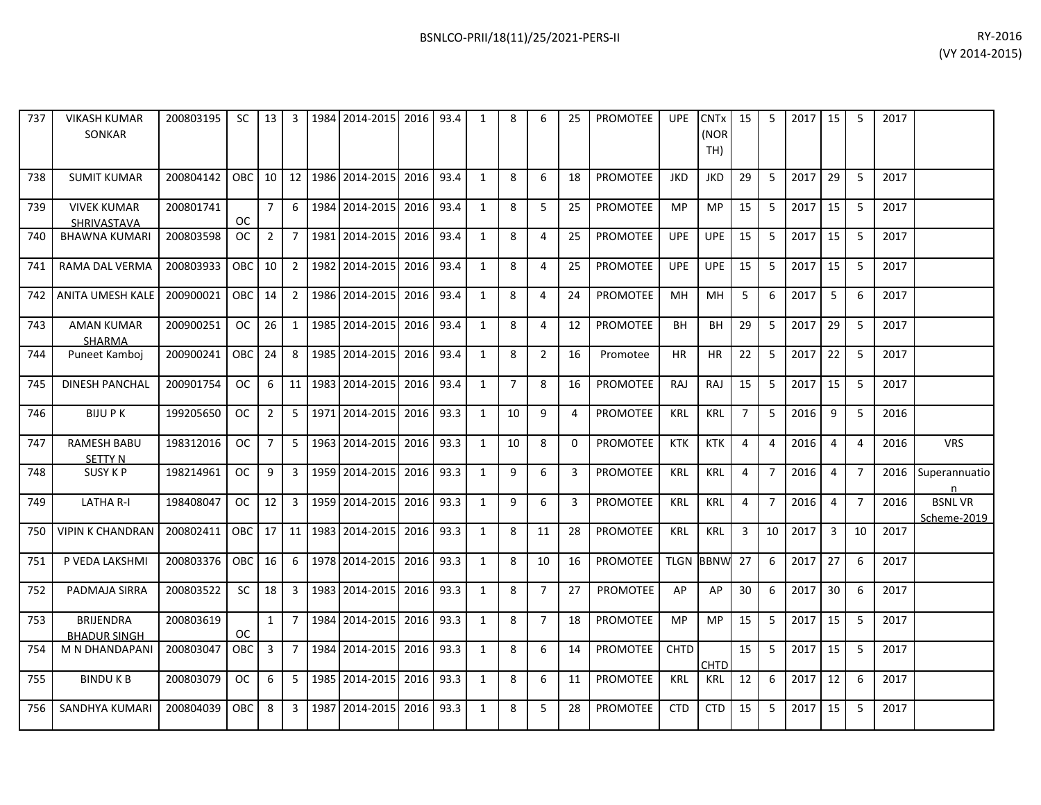| 737   | <b>VIKASH KUMAR</b><br><b>SONKAR</b>    | 200803195 |           |                 |                         | SC   13   3   1984   2014-2015   2016   93.4   |           |      | 1            | 8              | 6              | 25       | <b>PROMOTEE</b> | <b>UPE</b>  | $CNTx$ 15<br>(NOR<br>TH) |                | -5             | 2017   15 |                | 5              | 2017 |                              |
|-------|-----------------------------------------|-----------|-----------|-----------------|-------------------------|------------------------------------------------|-----------|------|--------------|----------------|----------------|----------|-----------------|-------------|--------------------------|----------------|----------------|-----------|----------------|----------------|------|------------------------------|
| 738   | <b>SUMIT KUMAR</b>                      | 200804142 | OBC 10    |                 |                         | 12   1986   2014-2015                          | 2016      | 93.4 | 1            | 8              | 6              | 18       | <b>PROMOTEE</b> | <b>JKD</b>  | <b>JKD</b>               | 29             | -5             | 2017      | 29             | -5             | 2017 |                              |
| 739   | <b>VIVEK KUMAR</b><br>SHRIVASTAVA       | 200801741 | <b>OC</b> | $\overline{7}$  | 6                       | 1984 2014-2015                                 | 2016      | 93.4 | $\mathbf{1}$ | 8              | 5              | 25       | PROMOTEE        | <b>MP</b>   | MP                       | 15             | -5             | 2017      | 15             | 5              | 2017 |                              |
| 740   | <b>BHAWNA KUMARI</b>                    | 200803598 | OC .      | $\overline{2}$  | 7                       | 1981 2014-2015 2016                            |           | 93.4 | 1            | 8              | 4              | 25       | PROMOTEE        | <b>UPE</b>  | <b>UPE</b>               | 15             | 5              | 2017      | 15             | -5             | 2017 |                              |
| 741   | RAMA DAL VERMA                          | 200803933 | OBC I     | 10 I            | 2                       | 1982 2014-2015                                 | 2016      | 93.4 | $\mathbf{1}$ | 8              | 4              | 25       | <b>PROMOTEE</b> | <b>UPE</b>  | <b>UPE</b>               | 15             | -5             | 2017      | 15             | 5              | 2017 |                              |
| 742   | ANITA UMESH KALE                        | 200900021 | OBC 14    |                 | $\overline{2}$          | 1986 2014-2015 2016                            |           | 93.4 | 1            | 8              | 4              | 24       | PROMOTEE        | MН          | MH                       | 5              | 6              | 2017      | 5              | 6              | 2017 |                              |
| 743   | <b>AMAN KUMAR</b><br><b>SHARMA</b>      | 200900251 | OC.       | 26              | 1                       | 1985 2014-2015                                 | 2016      | 93.4 | $\mathbf{1}$ | 8              | 4              | 12       | <b>PROMOTEE</b> | <b>BH</b>   | <b>BH</b>                | 29             | -5             | 2017      | 29             | 5              | 2017 |                              |
| 744   | Puneet Kamboi                           | 200900241 | OBC 24    |                 | 8                       | 1985 2014-2015                                 | 2016      | 93.4 | 1            | 8              | $\overline{2}$ | 16       | Promotee        | ΗR          | HR                       | 22             | -5             | 2017      | 22             | -5             | 2017 |                              |
| 745   | <b>DINESH PANCHAL</b>                   | 200901754 | OC.       | 6               |                         | 11   1983   2014-2015   2016                   |           | 93.4 | $\mathbf{1}$ | $\overline{7}$ | 8              | 16       | <b>PROMOTEE</b> | <b>RAJ</b>  | <b>RAJ</b>               | 15             | -5             | 2017      | 15             | - 5            | 2017 |                              |
| 746   | <b>BIJUPK</b>                           | 199205650 | OC.       | 2               | -5                      | 1971 2014-2015                                 | 2016      | 93.3 | 1            | 10             | 9              | 4        | <b>PROMOTEE</b> | <b>KRL</b>  | <b>KRL</b>               | $\overline{7}$ | 5              | 2016      | 9              | -5             | 2016 |                              |
| 747   | <b>RAMESH BABU</b><br><b>SETTY N</b>    | 198312016 | OC.       | 7               | -5                      | 1963 2014-2015 2016                            |           | 93.3 | 1            | 10             | 8              | $\Omega$ | <b>PROMOTEE</b> | <b>KTK</b>  | KTK                      | $\overline{4}$ | $\overline{a}$ | 2016      | $\overline{4}$ | $\overline{4}$ | 2016 | <b>VRS</b>                   |
| 748   | <b>SUSY K P</b>                         | 198214961 | OC.       | 9               | 3 <sup>1</sup>          | 1959 2014-2015 2016                            |           | 93.3 | $\mathbf{1}$ | 9              | 6              | 3        | <b>PROMOTEE</b> | <b>KRL</b>  | <b>KRL</b>               | 4              | $\overline{7}$ | 2016      | $\overline{4}$ | $\overline{7}$ | 2016 | Superannuatio<br>n           |
| 749   | LATHA R-I                               | 198408047 | OC .      | 12 <sub>1</sub> |                         | 3 1959 2014-2015 2016                          |           | 93.3 | $\mathbf{1}$ | 9              | 6              | 3        | PROMOTEE        | <b>KRL</b>  | <b>KRL</b>               | 4              | $\overline{7}$ | 2016      | $\overline{4}$ | $\overline{7}$ | 2016 | <b>BSNLVR</b><br>Scheme-2019 |
| 750   | <b>VIPIN K CHANDRAN</b>                 | 200802411 |           |                 |                         | OBC   17   11   1983   2014-2015   2016   93.3 |           |      | $\mathbf{1}$ | 8              | 11             | 28       | PROMOTEE        | <b>KRL</b>  | <b>KRL</b>               | 3              | 10             | 2017      | $\overline{3}$ | 10             | 2017 |                              |
| 751   | P VEDA LAKSHMI                          | 200803376 | OBC 16    |                 | - 6                     | 1978 2014-2015                                 | 2016      | 93.3 | $\mathbf{1}$ | 8              | 10             | 16       | PROMOTEE        |             | <b>TLGN BBNW</b>         | 27             | 6              | 2017      | 27             | 6              | 2017 |                              |
| 752   | PADMAJA SIRRA                           | 200803522 | SC.       | 18 l            | $\overline{\mathbf{3}}$ | 1983 2014-2015 2016                            |           | 93.3 | $\mathbf{1}$ | 8              | $\overline{7}$ | 27       | PROMOTEE        | AP          | AP                       | 30             | -6             | 2017      | 30             | 6              | 2017 |                              |
| 753   | <b>BRIJENDRA</b><br><b>BHADUR SINGH</b> | 200803619 | <b>OC</b> | $\mathbf{1}$    | $\overline{7}$          | 1984 2014-2015 2016                            |           | 93.3 | $\mathbf{1}$ | 8              | $\overline{7}$ | 18       | <b>PROMOTEE</b> | <b>MP</b>   | <b>MP</b>                | 15             | -5             | 2017      | 15             | 5              | 2017 |                              |
| 754   | M N DHANDAPANI                          | 200803047 | OBC I     | $\overline{3}$  | 7                       | 1984 2014-2015 2016                            |           | 93.3 | $\mathbf{1}$ | -8             | 6              | 14       | <b>PROMOTEE</b> | <b>CHTD</b> | CHTD                     | 15             | -5             | 2017      | 15             | -5             | 2017 |                              |
| 755   | <b>BINDUKB</b>                          | 200803079 | OC .      | -6              | -5                      | 1985   2014-2015   2016   93.3                 |           |      | 1            | 8              | 6              | 11       | PROMOTEE        | <b>KRL</b>  | KRL                      | 12             | -6             | 2017      | 12             | -6             | 2017 |                              |
| 756 I | SANDHYA KUMARI                          | 200804039 | OBC I     | 8               | $\mathbf{3}$            | 1987 2014-2015                                 | 2016 93.3 |      | 1            | 8              | 5              | 28       | PROMOTEE        | <b>CTD</b>  | <b>CTD</b>               | 15             | -5             | 2017      | 15             | 5              | 2017 |                              |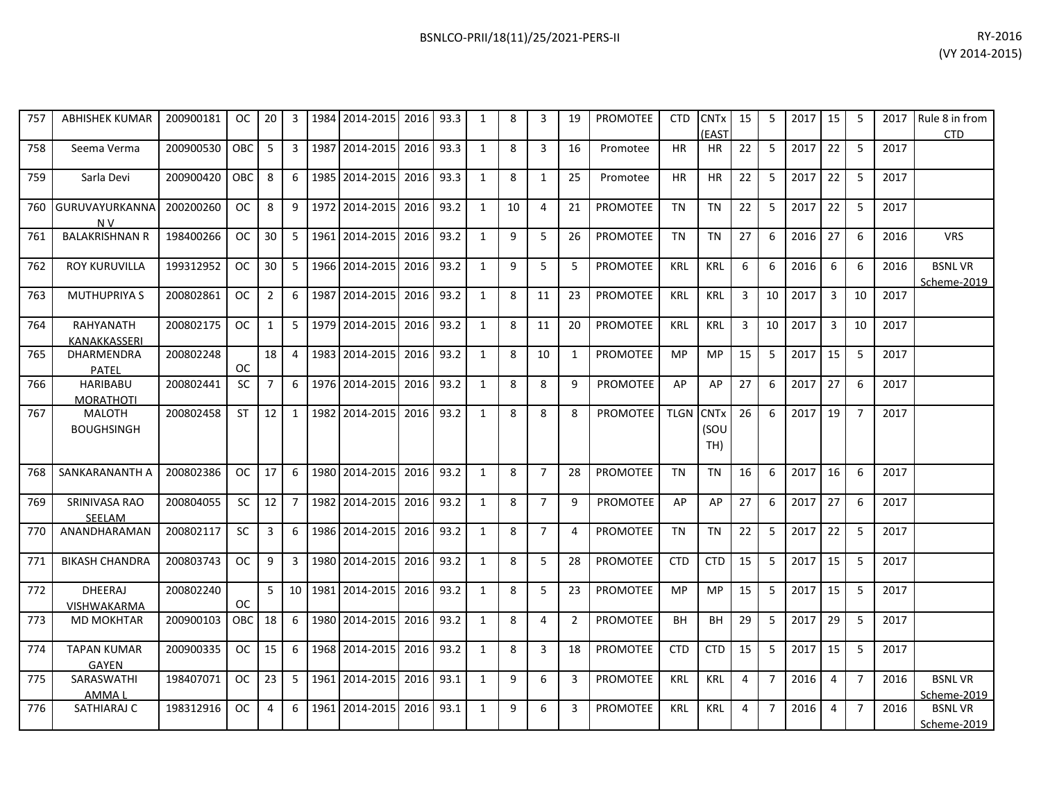| 757 | <b>ABHISHEK KUMAR</b>               | 200900181 | <b>OC</b> | 20             | 3              | 1984 | 2014-2015         | 2016 | 93.3 | $\mathbf{1}$ | 8  | 3              | 19             | <b>PROMOTEE</b> | <b>CTD</b>       | <b>CNT<sub>x</sub></b><br>(EAST | 15             | 5              | 2017 | 15             | 5              | 2017 | Rule 8 in from<br><b>CTD</b> |
|-----|-------------------------------------|-----------|-----------|----------------|----------------|------|-------------------|------|------|--------------|----|----------------|----------------|-----------------|------------------|---------------------------------|----------------|----------------|------|----------------|----------------|------|------------------------------|
| 758 | Seema Verma                         | 200900530 | OBC       | 5              | $\overline{3}$ | 1987 | 2014-2015         | 2016 | 93.3 | $\mathbf{1}$ | 8  | 3              | 16             | Promotee        | <b>HR</b>        | HR                              | 22             | 5              | 2017 | 22             | 5              | 2017 |                              |
| 759 | Sarla Devi                          | 200900420 | OBC       | 8              | 6              | 1985 | 2014-2015         | 2016 | 93.3 | $\mathbf{1}$ | 8  | $\mathbf{1}$   | 25             | Promotee        | HR.              | <b>HR</b>                       | 22             | 5              | 2017 | 22             | 5              | 2017 |                              |
| 760 | GURUVAYURKANNA<br>N <sub>V</sub>    | 200200260 | <b>OC</b> | 8              | 9              |      | 1972 2014-2015    | 2016 | 93.2 | $\mathbf{1}$ | 10 | $\overline{4}$ | 21             | PROMOTEE        | <b>TN</b>        | <b>TN</b>                       | 22             | 5              | 2017 | 22             | 5              | 2017 |                              |
| 761 | <b>BALAKRISHNAN R</b>               | 198400266 | OC.       | 30             | 5              | 1961 | 2014-2015         | 2016 | 93.2 | 1            | 9  | 5              | 26             | PROMOTEE        | TN               | <b>TN</b>                       | 27             | 6              | 2016 | 27             | 6              | 2016 | <b>VRS</b>                   |
| 762 | <b>ROY KURUVILLA</b>                | 199312952 | <b>OC</b> | 30             | -5             |      | 1966 2014-2015    | 2016 | 93.2 | $\mathbf{1}$ | 9  | 5              | 5              | PROMOTEE        | <b>KRL</b>       | <b>KRL</b>                      | 6              | 6              | 2016 | 6              | 6              | 2016 | <b>BSNLVR</b><br>Scheme-2019 |
| 763 | <b>MUTHUPRIYA S</b>                 | 200802861 | <b>OC</b> | $\overline{2}$ | 6              | 1987 | 2014-2015         | 2016 | 93.2 | $\mathbf{1}$ | 8  | 11             | 23             | <b>PROMOTEE</b> | <b>KRL</b>       | <b>KRL</b>                      | 3              | 10             | 2017 | 3              | 10             | 2017 |                              |
| 764 | RAHYANATH<br><b>KANAKKASSERI</b>    | 200802175 | <b>OC</b> | 1              | 5              | 1979 | 2014-2015         | 2016 | 93.2 | $\mathbf{1}$ | 8  | 11             | 20             | <b>PROMOTEE</b> | <b>KRL</b>       | KRL                             | $\overline{3}$ | 10             | 2017 | $\overline{3}$ | 10             | 2017 |                              |
| 765 | DHARMENDRA<br>PATEL                 | 200802248 | <b>OC</b> | 18             | $\overline{4}$ | 1983 | 2014-2015         | 2016 | 93.2 | 1            | 8  | 10             | 1              | <b>PROMOTEE</b> | MP               | <b>MP</b>                       | 15             | 5              | 2017 | 15             | 5              | 2017 |                              |
| 766 | <b>HARIBABU</b><br><b>MORATHOTI</b> | 200802441 | <b>SC</b> | $\overline{7}$ | 6              |      | 1976 2014-2015    | 2016 | 93.2 | $\mathbf{1}$ | 8  | 8              | 9              | PROMOTEE        | AP               | AP                              | 27             | 6              | 2017 | 27             | 6              | 2017 |                              |
| 767 | <b>MALOTH</b><br><b>BOUGHSINGH</b>  | 200802458 | ST        | 12             | 1              |      | 1982 2014-2015    | 2016 | 93.2 | $\mathbf{1}$ | 8  | 8              | 8              | <b>PROMOTEE</b> | <b>TLGN CNTx</b> | (SOU<br>TH)                     | 26             | 6              | 2017 | 19             | $\overline{7}$ | 2017 |                              |
| 768 | SANKARANANTH A                      | 200802386 | <b>OC</b> | 17             | 6              |      | 1980 2014-2015    | 2016 | 93.2 | $\mathbf{1}$ | 8  | $\overline{7}$ | 28             | <b>PROMOTEE</b> | <b>TN</b>        | <b>TN</b>                       | 16             | 6              | 2017 | 16             | 6              | 2017 |                              |
| 769 | SRINIVASA RAO<br>SEELAM             | 200804055 | <b>SC</b> | 12             | $\overline{7}$ |      | 1982 2014-2015    | 2016 | 93.2 | $\mathbf{1}$ | 8  | $\overline{7}$ | 9              | <b>PROMOTEE</b> | AP               | AP                              | 27             | 6              | 2017 | 27             | 6              | 2017 |                              |
| 770 | ANANDHARAMAN                        | 200802117 | <b>SC</b> | $\overline{3}$ | 6              |      | 1986 2014-2015    | 2016 | 93.2 | 1            | 8  | $\overline{7}$ | $\overline{4}$ | <b>PROMOTEE</b> | <b>TN</b>        | <b>TN</b>                       | 22             | 5              | 2017 | 22             | 5              | 2017 |                              |
| 771 | <b>BIKASH CHANDRA</b>               | 200803743 | <b>OC</b> | 9              | $\overline{3}$ |      | 1980 2014-2015    | 2016 | 93.2 | $\mathbf{1}$ | 8  | 5              | 28             | <b>PROMOTEE</b> | <b>CTD</b>       | <b>CTD</b>                      | 15             | 5              | 2017 | 15             | 5              | 2017 |                              |
| 772 | DHEERAJ<br><b>VISHWAKARMA</b>       | 200802240 | <b>OC</b> | 5 <sup>1</sup> |                |      | 10 1981 2014-2015 | 2016 | 93.2 | $\mathbf{1}$ | 8  | 5              | 23             | <b>PROMOTEE</b> | <b>MP</b>        | <b>MP</b>                       | 15             | 5              | 2017 | 15             | 5              | 2017 |                              |
| 773 | <b>MD MOKHTAR</b>                   | 200900103 | OBC       | 18             | 6              | 1980 | 2014-2015         | 2016 | 93.2 | $\mathbf{1}$ | 8  | 4              | $\overline{2}$ | <b>PROMOTEE</b> | BH               | <b>BH</b>                       | 29             | 5              | 2017 | 29             | 5              | 2017 |                              |
| 774 | <b>TAPAN KUMAR</b><br><b>GAYEN</b>  | 200900335 | <b>OC</b> | 15             | 6              | 1968 | 2014-2015         | 2016 | 93.2 | $\mathbf{1}$ | 8  | 3              | 18             | PROMOTEE        | <b>CTD</b>       | <b>CTD</b>                      | 15             | 5              | 2017 | 15             | 5              | 2017 |                              |
| 775 | SARASWATHI<br>AMMA I                | 198407071 | <b>OC</b> | 23             | 5              | 1961 | 2014-2015         | 2016 | 93.1 | $\mathbf{1}$ | 9  | 6              | 3              | PROMOTEE        | <b>KRL</b>       | <b>KRL</b>                      | 4              | $\overline{7}$ | 2016 | 4              | $\overline{7}$ | 2016 | <b>BSNLVR</b><br>Scheme-2019 |
| 776 | SATHIARAJ C                         | 198312916 | <b>OC</b> | 4              | 6              | 1961 | 2014-2015         | 2016 | 93.1 | $\mathbf{1}$ | 9  | 6              | 3              | <b>PROMOTEE</b> | <b>KRL</b>       | <b>KRL</b>                      | 4              | $\overline{7}$ | 2016 | $\overline{4}$ | $\overline{7}$ | 2016 | <b>BSNLVR</b><br>Scheme-2019 |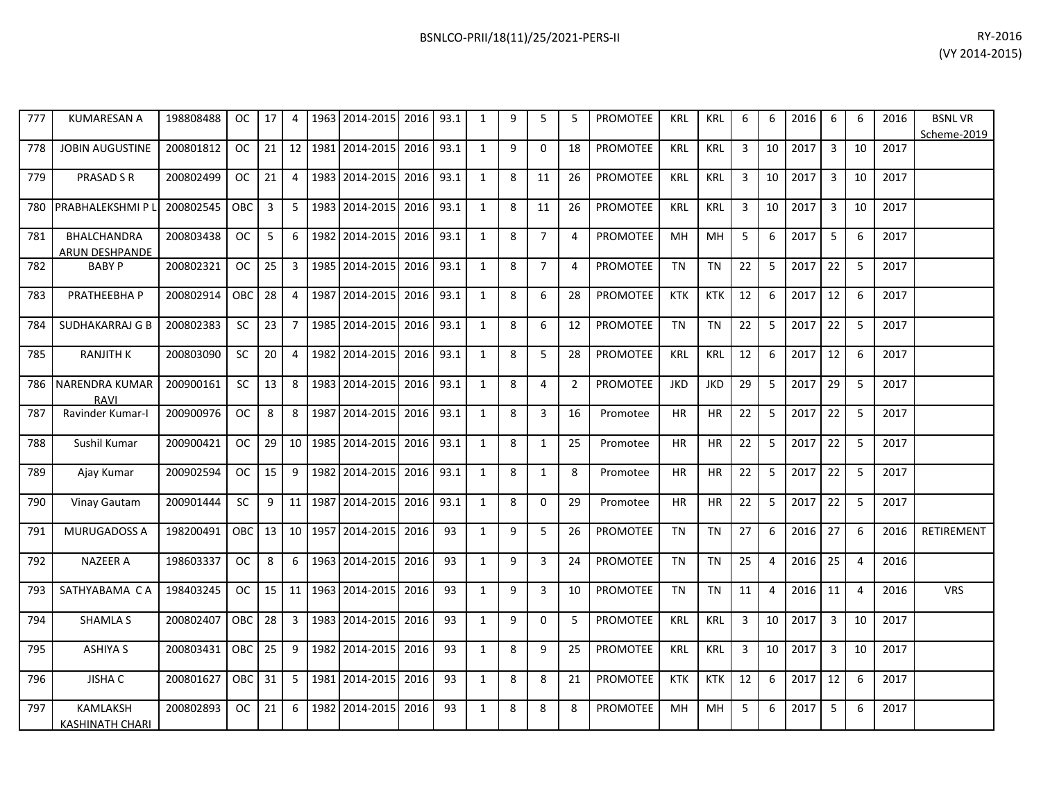| 777 | <b>KUMARESAN A</b>                        | 198808488 | OC.       | 17 | 4               | 1963 | 2014-2015      | 2016      | 93.1 | 1            | 9 | 5              | 5              | <b>PROMOTEE</b> | <b>KRL</b> | <b>KRL</b> | 6  | 6              | 2016 | 6              | 6              | 2016 | <b>BSNLVR</b><br>Scheme-2019 |
|-----|-------------------------------------------|-----------|-----------|----|-----------------|------|----------------|-----------|------|--------------|---|----------------|----------------|-----------------|------------|------------|----|----------------|------|----------------|----------------|------|------------------------------|
| 778 | <b>JOBIN AUGUSTINE</b>                    | 200801812 | <b>OC</b> | 21 | 12              |      | 1981 2014-2015 | 2016 93.1 |      | $\mathbf{1}$ | 9 | $\mathbf 0$    | 18             | PROMOTEE        | KRL        | KRL        | 3  | 10             | 2017 | $\overline{3}$ | 10             | 2017 |                              |
| 779 | <b>PRASAD S R</b>                         | 200802499 | <b>OC</b> | 21 | 4               | 1983 | 2014-2015      | 2016      | 93.1 | 1            | 8 | 11             | 26             | <b>PROMOTEE</b> | KRL        | <b>KRL</b> | 3  | 10             | 2017 | 3              | 10             | 2017 |                              |
| 780 | PRABHALEKSHMI P L                         | 200802545 | OBC       | 3  | 5               |      | 1983 2014-2015 | 2016      | 93.1 | $\mathbf{1}$ | 8 | 11             | 26             | PROMOTEE        | <b>KRL</b> | <b>KRL</b> | 3  | 10             | 2017 | 3              | 10             | 2017 |                              |
| 781 | BHALCHANDRA<br><b>ARUN DESHPANDE</b>      | 200803438 | <b>OC</b> | 5  | 6               |      | 1982 2014-2015 | 2016      | 93.1 | $\mathbf{1}$ | 8 | $\overline{7}$ | $\overline{4}$ | <b>PROMOTEE</b> | MH         | MH         | 5  | 6              | 2017 | 5              | 6              | 2017 |                              |
| 782 | <b>BABY P</b>                             | 200802321 | <b>OC</b> | 25 | 3               |      | 1985 2014-2015 | 2016      | 93.1 | $\mathbf{1}$ | 8 | $\overline{7}$ | 4              | <b>PROMOTEE</b> | <b>TN</b>  | <b>TN</b>  | 22 | 5              | 2017 | 22             | 5              | 2017 |                              |
| 783 | PRATHEEBHA P                              | 200802914 | ОВС       | 28 | 4               |      | 1987 2014-2015 | 2016      | 93.1 | 1            | 8 | 6              | 28             | <b>PROMOTEE</b> | <b>KTK</b> | <b>KTK</b> | 12 | 6              | 2017 | 12             | 6              | 2017 |                              |
| 784 | SUDHAKARRAJ G B                           | 200802383 | <b>SC</b> | 23 | $\overline{7}$  |      | 1985 2014-2015 | 2016      | 93.1 | $\mathbf{1}$ | 8 | 6              | 12             | <b>PROMOTEE</b> | <b>TN</b>  | <b>TN</b>  | 22 | 5              | 2017 | 22             | 5              | 2017 |                              |
| 785 | <b>RANJITH K</b>                          | 200803090 | SC        | 20 | 4               |      | 1982 2014-2015 | 2016      | 93.1 | $\mathbf{1}$ | 8 | 5              | 28             | <b>PROMOTEE</b> | KRL        | <b>KRL</b> | 12 | 6              | 2017 | 12             | 6              | 2017 |                              |
| 786 | <b>NARENDRA KUMAR</b><br><b>RAVI</b>      | 200900161 | <b>SC</b> | 13 | 8               |      | 1983 2014-2015 | 2016      | 93.1 | $\mathbf{1}$ | 8 | 4              | $\overline{2}$ | PROMOTEE        | <b>JKD</b> | <b>JKD</b> | 29 | 5              | 2017 | 29             | 5              | 2017 |                              |
| 787 | Ravinder Kumar-I                          | 200900976 | <b>OC</b> | 8  | 8               |      | 1987 2014-2015 | 2016      | 93.1 | $\mathbf{1}$ | 8 | $\overline{3}$ | 16             | Promotee        | <b>HR</b>  | <b>HR</b>  | 22 | 5              | 2017 | 22             | 5              | 2017 |                              |
| 788 | Sushil Kumar                              | 200900421 | OC.       | 29 | 10 <sup>1</sup> |      | 1985 2014-2015 | 2016      | 93.1 | $\mathbf{1}$ | 8 | $\mathbf{1}$   | 25             | Promotee        | <b>HR</b>  | <b>HR</b>  | 22 | 5              | 2017 | 22             | 5              | 2017 |                              |
| 789 | Ajay Kumar                                | 200902594 | <b>OC</b> | 15 | 9               |      | 1982 2014-2015 | 2016      | 93.1 | $\mathbf{1}$ | 8 | $\mathbf{1}$   | 8              | Promotee        | <b>HR</b>  | <b>HR</b>  | 22 | 5              | 2017 | 22             | 5              | 2017 |                              |
| 790 | Vinay Gautam                              | 200901444 | <b>SC</b> | 9  | 11              |      | 1987 2014-2015 | 2016      | 93.1 | $\mathbf{1}$ | 8 | 0              | 29             | Promotee        | <b>HR</b>  | HR         | 22 | 5              | 2017 | 22             | 5              | 2017 |                              |
| 791 | <b>MURUGADOSS A</b>                       | 198200491 | ОВС       | 13 | 10              |      | 1957 2014-2015 | 2016      | 93   | $\mathbf{1}$ | 9 | 5              | 26             | <b>PROMOTEE</b> | <b>TN</b>  | <b>TN</b>  | 27 | 6              | 2016 | 27             | 6              | 2016 | <b>RETIREMENT</b>            |
| 792 | <b>NAZEER A</b>                           | 198603337 | <b>OC</b> | 8  | 6               |      | 1963 2014-2015 | 2016      | 93   | $\mathbf{1}$ | 9 | 3              | 24             | PROMOTEE        | <b>TN</b>  | <b>TN</b>  | 25 | $\overline{4}$ | 2016 | 25             | $\overline{4}$ | 2016 |                              |
| 793 | SATHYABAMA CA                             | 198403245 | <b>OC</b> | 15 | 11              |      | 1963 2014-2015 | 2016      | 93   | $\mathbf{1}$ | 9 | 3              | 10             | <b>PROMOTEE</b> | <b>TN</b>  | <b>TN</b>  | 11 | $\overline{4}$ | 2016 | 11             | $\overline{4}$ | 2016 | <b>VRS</b>                   |
| 794 | <b>SHAMLA S</b>                           | 200802407 | OBC       | 28 | $\mathbf{3}$    | 1983 | 2014-2015      | 2016      | 93   | $\mathbf{1}$ | 9 | $\mathbf 0$    | 5              | <b>PROMOTEE</b> | <b>KRL</b> | KRL        | 3  | 10             | 2017 | $\overline{3}$ | 10             | 2017 |                              |
| 795 | <b>ASHIYA S</b>                           | 200803431 | OBC       | 25 | 9               |      | 1982 2014-2015 | 2016      | 93   | $\mathbf{1}$ | 8 | 9              | 25             | <b>PROMOTEE</b> | <b>KRL</b> | <b>KRL</b> | 3  | 10             | 2017 | 3              | 10             | 2017 |                              |
| 796 | <b>JISHA C</b>                            | 200801627 | ОВС       | 31 | 5               | 1981 | 2014-2015      | 2016      | 93   | 1            | 8 | 8              | 21             | PROMOTEE        | <b>KTK</b> | <b>KTK</b> | 12 | 6              | 2017 | 12             | 6              | 2017 |                              |
| 797 | <b>KAMLAKSH</b><br><b>KASHINATH CHARI</b> | 200802893 | <b>OC</b> | 21 | 6               | 1982 | 2014-2015      | 2016      | 93   | $\mathbf{1}$ | 8 | 8              | 8              | <b>PROMOTEE</b> | MH         | MH         | 5  | 6              | 2017 | 5              | 6              | 2017 |                              |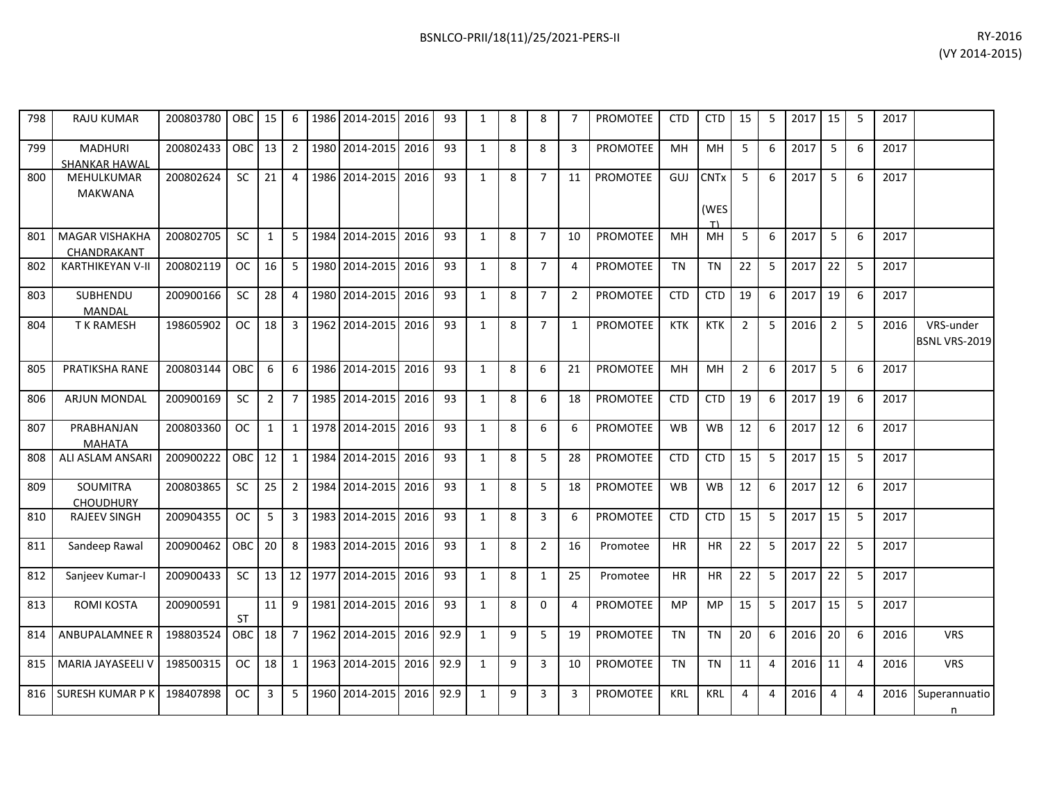| 798 | <b>RAJU KUMAR</b>                      | 200803780 | OBC 15     |                  | 6                | 1986   2014-2015   2016 |      | 93   | 1            | 8 | 8              | 7              | PROMOTEE        | CTD        | <b>CTD</b>               | 15             | 5 | 2017 15 |                | 5                | 2017 |                                   |
|-----|----------------------------------------|-----------|------------|------------------|------------------|-------------------------|------|------|--------------|---|----------------|----------------|-----------------|------------|--------------------------|----------------|---|---------|----------------|------------------|------|-----------------------------------|
| 799 | <b>MADHURI</b><br><b>SHANKAR HAWAL</b> | 200802433 | OBC 13     |                  | $\overline{2}$   | 1980 2014-2015          | 2016 | 93   | $\mathbf{1}$ | 8 | 8              | 3              | PROMOTEE        | MH         | MH                       | 5              | 6 | 2017    | 5              | 6                | 2017 |                                   |
| 800 | MEHULKUMAR<br>MAKWANA                  | 200802624 | <b>SC</b>  | 21               | 4                | 1986 2014-2015          | 2016 | 93   | $\mathbf{1}$ | 8 | $\overline{7}$ | 11             | <b>PROMOTEE</b> | GUJ        | <b>CNTx</b><br>(WES<br>T | -5             | 6 | 2017    | 5              | 6                | 2017 |                                   |
| 801 | <b>MAGAR VISHAKHA</b><br>CHANDRAKANT   | 200802705 | <b>SC</b>  | 1                | 5                | 1984 2014-2015          | 2016 | 93   | $\mathbf{1}$ | 8 | $\overline{7}$ | 10             | <b>PROMOTEE</b> | MH         | MH                       | 5              | 6 | 2017    | 5              | 6                | 2017 |                                   |
| 802 | <b>KARTHIKEYAN V-II</b>                | 200802119 | <b>OC</b>  | 16               | -5               | 1980 2014-2015 2016     |      | 93   | $\mathbf{1}$ | 8 | $\overline{7}$ | 4              | PROMOTEE        | <b>TN</b>  | <b>TN</b>                | 22             | 5 | 2017    | 22             | 5                | 2017 |                                   |
| 803 | SUBHENDU<br>MANDAL                     | 200900166 | SC         | 28               | $\overline{4}$   | 1980 2014-2015          | 2016 | 93   | $\mathbf{1}$ | 8 | $\overline{7}$ | $\overline{2}$ | <b>PROMOTEE</b> | <b>CTD</b> | <b>CTD</b>               | 19             | 6 | 2017    | 19             | 6                | 2017 |                                   |
| 804 | <b>TK RAMESH</b>                       | 198605902 | OC         | 18               | $\overline{3}$   | 1962 2014-2015          | 2016 | 93   | $\mathbf{1}$ | 8 | $\overline{7}$ | $\mathbf{1}$   | <b>PROMOTEE</b> | <b>KTK</b> | <b>KTK</b>               | $\overline{2}$ | 5 | 2016    | $\overline{2}$ | 5                | 2016 | VRS-under<br><b>BSNL VRS-2019</b> |
| 805 | PRATIKSHA RANE                         | 200803144 | <b>OBC</b> | $6 \overline{6}$ | $6 \overline{6}$ | 1986 2014-2015          | 2016 | 93   | $\mathbf{1}$ | 8 | 6              | 21             | <b>PROMOTEE</b> | MH         | <b>MH</b>                | $\overline{2}$ | 6 | 2017    | 5              | $6 \overline{6}$ | 2017 |                                   |
| 806 | ARJUN MONDAL                           | 200900169 | <b>SC</b>  | $\overline{2}$   | $\overline{7}$   | 1985 2014-2015          | 2016 | 93   | $\mathbf{1}$ | 8 | 6              | 18             | <b>PROMOTEE</b> | <b>CTD</b> | <b>CTD</b>               | 19             | 6 | 2017    | 19             | 6                | 2017 |                                   |
| 807 | PRABHANJAN<br><b>MAHATA</b>            | 200803360 | OC.        | 1                | 1                | 1978 2014-2015          | 2016 | 93   | $\mathbf{1}$ | 8 | 6              | 6              | <b>PROMOTEE</b> | <b>WB</b>  | <b>WB</b>                | 12             | 6 | 2017    | 12             | 6                | 2017 |                                   |
| 808 | ALI ASLAM ANSARI                       | 200900222 | OBC 12     |                  | 1                | 1984 2014-2015 2016     |      | 93   | $\mathbf{1}$ | 8 | 5              | 28             | PROMOTEE        | <b>CTD</b> | <b>CTD</b>               | 15             | 5 | 2017    | 15             | -5               | 2017 |                                   |
| 809 | SOUMITRA<br><b>CHOUDHURY</b>           | 200803865 | <b>SC</b>  | 25               | $\overline{2}$   | 1984 2014-2015          | 2016 | 93   | $\mathbf{1}$ | 8 | 5              | 18             | PROMOTEE        | <b>WB</b>  | WB                       | 12             | 6 | 2017    | 12             | 6                | 2017 |                                   |
| 810 | <b>RAJEEV SINGH</b>                    | 200904355 | <b>OC</b>  | 5                | $\overline{3}$   | 1983 2014-2015          | 2016 | 93   | $\mathbf{1}$ | 8 | $\overline{3}$ | 6              | <b>PROMOTEE</b> | <b>CTD</b> | <b>CTD</b>               | 15             | 5 | 2017    | 15             | 5                | 2017 |                                   |
| 811 | Sandeep Rawal                          | 200900462 | OBC 20     |                  | -8               | 1983 2014-2015 2016     |      | 93   | $\mathbf{1}$ | 8 | $\overline{2}$ | 16             | Promotee        | <b>HR</b>  | <b>HR</b>                | 22             | 5 | 2017    | 22             | -5               | 2017 |                                   |
| 812 | Sanjeev Kumar-I                        | 200900433 | <b>SC</b>  | 13               |                  | 12 1977 2014-2015 2016  |      | 93   | $\mathbf{1}$ | 8 | $\mathbf{1}$   | 25             | Promotee        | <b>HR</b>  | <b>HR</b>                | 22             | 5 | 2017    | 22             | 5                | 2017 |                                   |
| 813 | <b>ROMI KOSTA</b>                      | 200900591 | <b>ST</b>  | 11               | 9                | 1981 2014-2015          | 2016 | 93   | $\mathbf{1}$ | 8 | $\mathbf{0}$   | 4              | PROMOTEE        | MP         | <b>MP</b>                | 15             | 5 | 2017    | 15             | 5                | 2017 |                                   |
| 814 | ANBUPALAMNEE R                         | 198803524 | OBC 18     |                  | $\overline{7}$   | 1962 2014-2015          | 2016 | 92.9 | $\mathbf{1}$ | 9 | 5              | 19             | PROMOTEE        | <b>TN</b>  | <b>TN</b>                | 20             | 6 | 2016    | 20             | 6                | 2016 | <b>VRS</b>                        |
| 815 | MARIA JAYASEELI V                      | 198500315 | <b>OC</b>  | 18               | $\overline{1}$   | 1963 2014-2015          | 2016 | 92.9 | $\mathbf{1}$ | 9 | $\overline{3}$ | 10             | <b>PROMOTEE</b> | <b>TN</b>  | <b>TN</b>                | 11             | 4 | 2016    | 11             | $\overline{4}$   | 2016 | <b>VRS</b>                        |
|     | 816 SURESH KUMAR P K                   | 198407898 | <b>OC</b>  | 3                | 5                | 1960 2014-2015 2016     |      | 92.9 | $\mathbf{1}$ | 9 | 3              | 3              | <b>PROMOTEE</b> | <b>KRL</b> | <b>KRL</b>               | $\overline{4}$ | 4 | 2016    | $\overline{4}$ | 4                | 2016 | Superannuatio                     |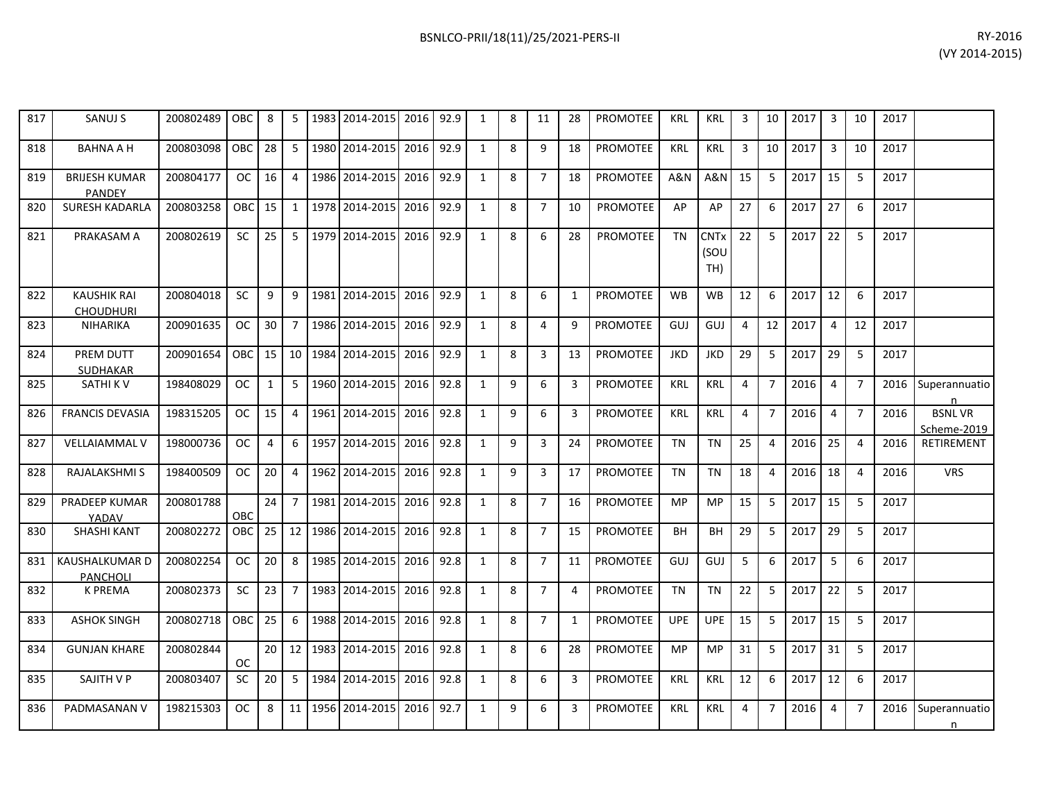| 817 | SANUJ S                                | 200802489 | OBC I         | 8               |                |      | 5   1983   2014-2015   2016   92.9 |      |      | 1            | 8 | 11             | 28           | PROMOTEE        | KRL        | KRL                                   | 3              | 10             | 2017   | 3              | 10             | 2017 |                              |
|-----|----------------------------------------|-----------|---------------|-----------------|----------------|------|------------------------------------|------|------|--------------|---|----------------|--------------|-----------------|------------|---------------------------------------|----------------|----------------|--------|----------------|----------------|------|------------------------------|
| 818 | <b>BAHNA A H</b>                       | 200803098 | <b>OBC</b>    | 28              | 5              |      | 1980 2014-2015 2016                |      | 92.9 | $\mathbf{1}$ | 8 | 9              | 18           | <b>PROMOTEE</b> | <b>KRL</b> | KRL                                   | 3              | 10             | 2017   | 3              | 10             | 2017 |                              |
| 819 | <b>BRIJESH KUMAR</b><br><b>PANDEY</b>  | 200804177 | OC .          | 16              | $\overline{a}$ |      | 1986 2014-2015 2016                |      | 92.9 | $\mathbf{1}$ | 8 | $\overline{7}$ | 18           | <b>PROMOTEE</b> | A&N        | <b>A&amp;N</b>                        | 15             | 5              | 2017   | 15             | -5             | 2017 |                              |
| 820 | <b>SURESH KADARLA</b>                  | 200803258 | <b>OBC</b>    | 15              | $1\,$          |      | 1978 2014-2015                     | 2016 | 92.9 | $\mathbf{1}$ | 8 | $\overline{7}$ | 10           | <b>PROMOTEE</b> | AP         | AP                                    | 27             | 6              | 2017   | 27             | -6             | 2017 |                              |
| 821 | PRAKASAM A                             | 200802619 | SC.           | 25              |                |      | 5 1979 2014-2015 2016              |      | 92.9 | 1            | 8 | 6              | 28           | <b>PROMOTEE</b> | <b>TN</b>  | <b>CNT<sub>x</sub></b><br>(SOU<br>TH) | 22             | 5              | 2017   | 22             | 5              | 2017 |                              |
| 822 | <b>KAUSHIK RAI</b><br><b>CHOUDHURI</b> | 200804018 | <b>SC</b>     | 9               | q              | 1981 | 2014-2015                          | 2016 | 92.9 | $\mathbf{1}$ | 8 | 6              | 1            | <b>PROMOTEE</b> | <b>WB</b>  | <b>WB</b>                             | 12             | 6              | 2017   | 12             | 6              | 2017 |                              |
| 823 | <b>NIHARIKA</b>                        | 200901635 | OC            | 30 <sup>1</sup> | $\overline{7}$ |      | 1986 2014-2015 2016                |      | 92.9 | $\mathbf{1}$ | 8 | 4              | 9            | <b>PROMOTEE</b> | GUJ        | GUJ                                   | 4              | 12             | 2017   | 4              | 12             | 2017 |                              |
| 824 | PREM DUTT<br><b>SUDHAKAR</b>           | 200901654 | <b>OBC</b>    | 15              |                |      | 10   1984   2014-2015   2016       |      | 92.9 | $\mathbf{1}$ | 8 | $\overline{3}$ | 13           | <b>PROMOTEE</b> | <b>JKD</b> | <b>JKD</b>                            | 29             | 5              | 2017   | 29             | 5              | 2017 |                              |
| 825 | SATHI K V                              | 198408029 | <b>OC</b>     | $\mathbf{1}$    | 5              |      | 1960 2014-2015 2016                |      | 92.8 | $\mathbf{1}$ | 9 | 6              | 3            | PROMOTEE        | <b>KRL</b> | <b>KRL</b>                            | 4              | $\overline{7}$ | 2016   | $\overline{4}$ | $\overline{7}$ | 2016 | Superannuatio<br>n           |
| 826 | <b>FRANCIS DEVASIA</b>                 | 198315205 | <sub>OC</sub> | 15              | 4              |      | 1961 2014-2015 2016                |      | 92.8 | $\mathbf{1}$ | 9 | 6              | 3            | <b>PROMOTEE</b> | <b>KRL</b> | <b>KRL</b>                            | 4              | $\overline{7}$ | 2016   | $\overline{4}$ | $\overline{7}$ | 2016 | <b>BSNLVR</b><br>Scheme-2019 |
| 827 | <b>VELLAIAMMAL V</b>                   | 198000736 | <b>OC</b>     | 4               | 6              |      | 1957 2014-2015 2016                |      | 92.8 | $\mathbf{1}$ | 9 | 3              | 24           | <b>PROMOTEE</b> | <b>TN</b>  | <b>TN</b>                             | 25             | $\overline{4}$ | 2016   | 25             | $\overline{4}$ | 2016 | RETIREMENT                   |
| 828 | <b>RAJALAKSHMI S</b>                   | 198400509 | <b>OC</b>     | 20              | 4              |      | 1962 2014-2015 2016                |      | 92.8 | $\mathbf{1}$ | 9 | 3              | 17           | <b>PROMOTEE</b> | <b>TN</b>  | <b>TN</b>                             | 18             | $\overline{4}$ | 2016   | 18             | $\overline{4}$ | 2016 | <b>VRS</b>                   |
| 829 | PRADEEP KUMAR<br>YADAV                 | 200801788 | OBC           | 24              | $\overline{7}$ |      | 1981 2014-2015                     | 2016 | 92.8 | 1            | 8 | $\overline{7}$ | 16           | <b>PROMOTEE</b> | MP         | <b>MP</b>                             | 15             | 5              | 2017   | 15             | 5              | 2017 |                              |
| 830 | <b>SHASHI KANT</b>                     | 200802272 | <b>OBC</b>    | 25              |                |      | 12   1986   2014-2015   2016       |      | 92.8 | 1            | 8 | $\overline{7}$ | 15           | <b>PROMOTEE</b> | BH         | <b>BH</b>                             | 29             | 5              | 2017   | 29             | 5              | 2017 |                              |
| 831 | <b>KAUSHALKUMAR D</b><br>PANCHOLI      | 200802254 | <b>OC</b>     | 20              | 8              |      | 1985 2014-2015 2016                |      | 92.8 | $\mathbf{1}$ | 8 | $\overline{7}$ | 11           | <b>PROMOTEE</b> | GUJ        | GUJ                                   | 5              | 6              | 2017   | 5              | 6              | 2017 |                              |
| 832 | <b>K PREMA</b>                         | 200802373 | SC.           | 23              | 7              |      | 1983 2014-2015                     | 2016 | 92.8 | $\mathbf{1}$ | 8 | $\overline{7}$ | 4            | <b>PROMOTEE</b> | TN         | TN                                    | 22             | 5              | 2017   | 22             | 5              | 2017 |                              |
| 833 | <b>ASHOK SINGH</b>                     | 200802718 | OBC           | 25              | 6              |      | 1988 2014-2015 2016                |      | 92.8 | $\mathbf{1}$ | 8 | $\overline{7}$ | $\mathbf{1}$ | <b>PROMOTEE</b> | <b>UPE</b> | <b>UPE</b>                            | 15             | 5              | 2017   | 15             | 5              | 2017 |                              |
| 834 | <b>GUNJAN KHARE</b>                    | 200802844 | <b>OC</b>     | 20 <sup>1</sup> |                |      | 12 1983 2014-2015 2016             |      | 92.8 | 1            | 8 | 6              | 28           | <b>PROMOTEE</b> | <b>MP</b>  | <b>MP</b>                             | 31             | 5              | 2017   | 31             | 5              | 2017 |                              |
| 835 | SAJITH V P                             | 200803407 | <b>SC</b>     | 20              | 5              |      | 1984 2014-2015                     | 2016 | 92.8 | $\mathbf{1}$ | 8 | 6              | 3            | <b>PROMOTEE</b> | <b>KRL</b> | <b>KRL</b>                            | 12             | 6              | 2017   | 12             | 6              | 2017 |                              |
| 836 | PADMASANAN V                           | 198215303 | OC            | 8 <sup>1</sup>  |                |      | 11 1956 2014-2015 2016 92.7        |      |      | $\mathbf{1}$ | 9 | 6              | 3            | <b>PROMOTEE</b> | <b>KRL</b> | <b>KRL</b>                            | $\overline{4}$ | $\overline{7}$ | 2016 4 |                | $\overline{7}$ |      | 2016   Superannuatio         |

n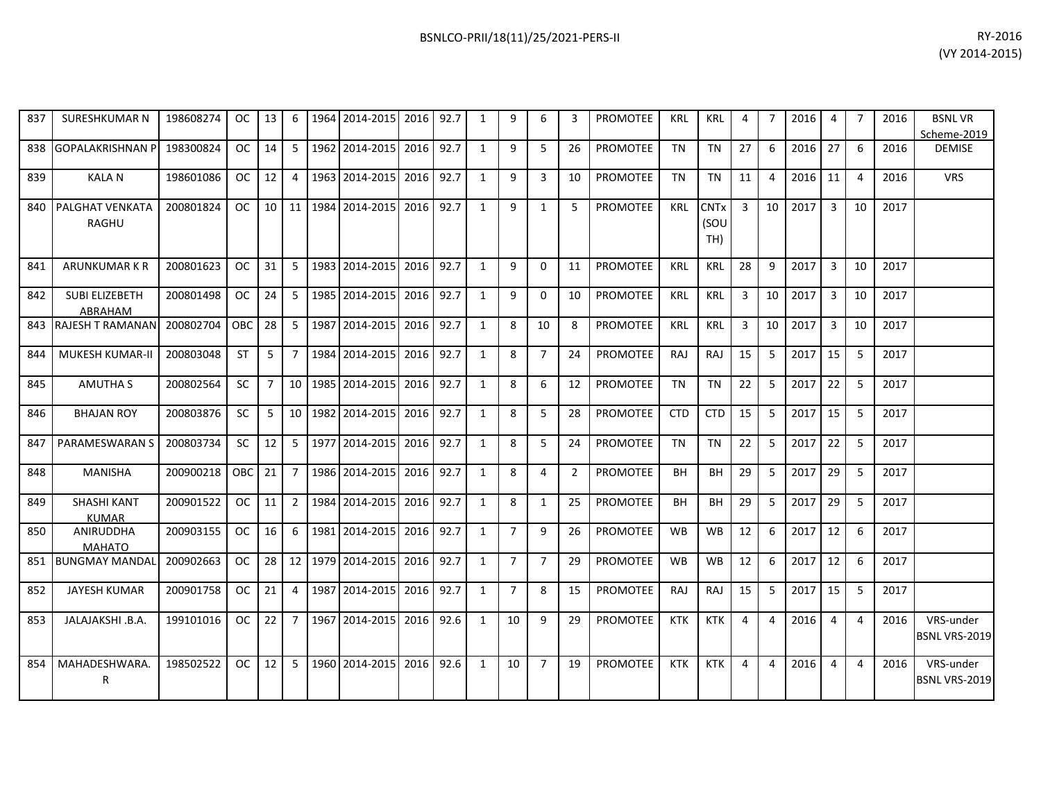| 837 | <b>SURESHKUMAR N</b>               | 198608274 | OC.           | 13             | 6              | 1964 | 2014-2015      | 2016      | 92.7 | 1            | 9              | 6              | 3              | <b>PROMOTEE</b> | <b>KRL</b> | KRL                        | 4        | 7              | 2016 | $\overline{4}$ | $\overline{7}$ | 2016 | <b>BSNLVR</b><br>Scheme-2019      |
|-----|------------------------------------|-----------|---------------|----------------|----------------|------|----------------|-----------|------|--------------|----------------|----------------|----------------|-----------------|------------|----------------------------|----------|----------------|------|----------------|----------------|------|-----------------------------------|
| 838 | <b>GOPALAKRISHNAN P</b>            | 198300824 | OC.           | 14             | 5              |      | 1962 2014-2015 | 2016      | 92.7 | $\mathbf{1}$ | 9              | 5              | 26             | <b>PROMOTEE</b> | <b>TN</b>  | <b>TN</b>                  | 27       | 6              | 2016 | 27             | 6              | 2016 | <b>DEMISE</b>                     |
| 839 | <b>KALAN</b>                       | 198601086 | <b>OC</b>     | 12             | 4              | 1963 | 2014-2015      | 2016      | 92.7 | $\mathbf{1}$ | 9              | 3              | 10             | PROMOTEE        | <b>TN</b>  | <b>TN</b>                  | 11       | $\overline{4}$ | 2016 | 11             | $\overline{4}$ | 2016 | <b>VRS</b>                        |
| 840 | PALGHAT VENKATA<br><b>RAGHU</b>    | 200801824 | <b>OC</b>     | 10             | 11             |      | 1984 2014-2015 | 2016      | 92.7 | 1            | 9              | 1              | 5              | <b>PROMOTEE</b> | <b>KRL</b> | <b>CNTx</b><br>(SOU<br>TH) | 3        | 10             | 2017 | 3              | 10             | 2017 |                                   |
| 841 | ARUNKUMAR K R                      | 200801623 | <sub>OC</sub> | 31             | 5              |      | 1983 2014-2015 | 2016      | 92.7 | 1            | 9              | $\Omega$       | 11             | <b>PROMOTEE</b> | KRL        | KRL                        | 28       | q              | 2017 | 3              | 10             | 2017 |                                   |
| 842 | <b>SUBI ELIZEBETH</b><br>ABRAHAM   | 200801498 | <b>OC</b>     | 24             | 5              |      | 1985 2014-2015 | 2016      | 92.7 | $\mathbf{1}$ | 9              | $\Omega$       | 10             | <b>PROMOTEE</b> | KRL        | KRL                        | 3        | 10             | 2017 | 3              | 10             | 2017 |                                   |
| 843 | <b>RAJESH T RAMANAN</b>            | 200802704 | OBC           | 28             | 5              |      | 1987 2014-2015 | 2016      | 92.7 | 1            | 8              | 10             | 8              | <b>PROMOTEE</b> | <b>KRL</b> | <b>KRL</b>                 | 3        | 10             | 2017 | 3              | 10             | 2017 |                                   |
| 844 | <b>MUKESH KUMAR-II</b>             | 200803048 | <b>ST</b>     | 5              | 7              |      | 1984 2014-2015 | 2016      | 92.7 | 1            | 8              | $\overline{7}$ | 24             | <b>PROMOTEE</b> | <b>RAJ</b> | <b>RAJ</b>                 | 15       | 5              | 2017 | 15             | 5              | 2017 |                                   |
| 845 | <b>AMUTHA S</b>                    | 200802564 | <b>SC</b>     | $\overline{7}$ | 10             |      | 1985 2014-2015 | 2016      | 92.7 | 1            | 8              | 6              | 12             | <b>PROMOTEE</b> | <b>TN</b>  | <b>TN</b>                  | 22       | 5              | 2017 | 22             | 5              | 2017 |                                   |
| 846 | <b>BHAJAN ROY</b>                  | 200803876 | <b>SC</b>     | 5              | 10             |      | 1982 2014-2015 | 2016      | 92.7 | 1            | 8              | 5              | 28             | PROMOTEE        | <b>CTD</b> | <b>CTD</b>                 | 15       | 5              | 2017 | 15             | 5              | 2017 |                                   |
| 847 | PARAMESWARAN S                     | 200803734 | <b>SC</b>     | 12             | 5.             |      | 1977 2014-2015 | 2016      | 92.7 | $\mathbf{1}$ | 8              | 5              | 24             | <b>PROMOTEE</b> | <b>TN</b>  | <b>TN</b>                  | 22       | 5              | 2017 | 22             | 5              | 2017 |                                   |
| 848 | <b>MANISHA</b>                     | 200900218 | <b>OBC</b>    | 21             | $\overline{7}$ |      | 1986 2014-2015 | 2016      | 92.7 | $\mathbf{1}$ | 8              | 4              | $\overline{2}$ | <b>PROMOTEE</b> | <b>BH</b>  | BH                         | 29       | 5              | 2017 | 29             | 5              | 2017 |                                   |
| 849 | <b>SHASHI KANT</b><br><b>KUMAR</b> | 200901522 | <b>OC</b>     | 11             | $\overline{2}$ |      | 1984 2014-2015 | 2016      | 92.7 | 1            | 8              | $\mathbf{1}$   | 25             | <b>PROMOTEE</b> | <b>BH</b>  | <b>BH</b>                  | 29       | 5              | 2017 | 29             | 5              | 2017 |                                   |
| 850 | <b>ANIRUDDHA</b><br><b>MAHATO</b>  | 200903155 | <b>OC</b>     | 16             | 6              |      | 1981 2014-2015 | 2016      | 92.7 | 1            | $\overline{7}$ | 9              | 26             | <b>PROMOTEE</b> | <b>WB</b>  | <b>WB</b>                  | 12       | 6              | 2017 | 12             | 6              | 2017 |                                   |
| 851 | <b>BUNGMAY MANDAI</b>              | 200902663 | <sub>OC</sub> | 28             | 12             |      | 1979 2014-2015 | 2016      | 92.7 | 1            | $\overline{7}$ | $\overline{7}$ | 29             | <b>PROMOTEE</b> | <b>WB</b>  | WB                         | 12       | 6              | 2017 | 12             | 6              | 2017 |                                   |
| 852 | <b>JAYESH KUMAR</b>                | 200901758 | <b>OC</b>     | 21             | 4              |      | 1987 2014-2015 | 2016 92.7 |      | 1            | $\overline{7}$ | 8              | 15             | <b>PROMOTEE</b> | RAJ        | <b>RAJ</b>                 | 15       | 5              | 2017 | 15             | 5              | 2017 |                                   |
| 853 | JALAJAKSHI .B.A.                   | 199101016 | <b>OC</b>     | 22             | $\overline{7}$ |      | 1967 2014-2015 | 2016      | 92.6 | 1            | 10             | 9              | 29             | <b>PROMOTEE</b> | <b>KTK</b> | <b>KTK</b>                 | 4        | $\overline{4}$ | 2016 | $\overline{4}$ | $\overline{4}$ | 2016 | VRS-under<br><b>BSNL VRS-2019</b> |
| 854 | MAHADESHWARA.<br>R                 | 198502522 | OC.           | 12             | 5              |      | 1960 2014-2015 | 2016      | 92.6 | $\mathbf{1}$ | 10             | $\overline{7}$ | 19             | PROMOTEE        | <b>KTK</b> | <b>KTK</b>                 | $\Delta$ | $\overline{4}$ | 2016 | $\overline{4}$ | $\overline{4}$ | 2016 | VRS-under<br>BSNL VRS-2019        |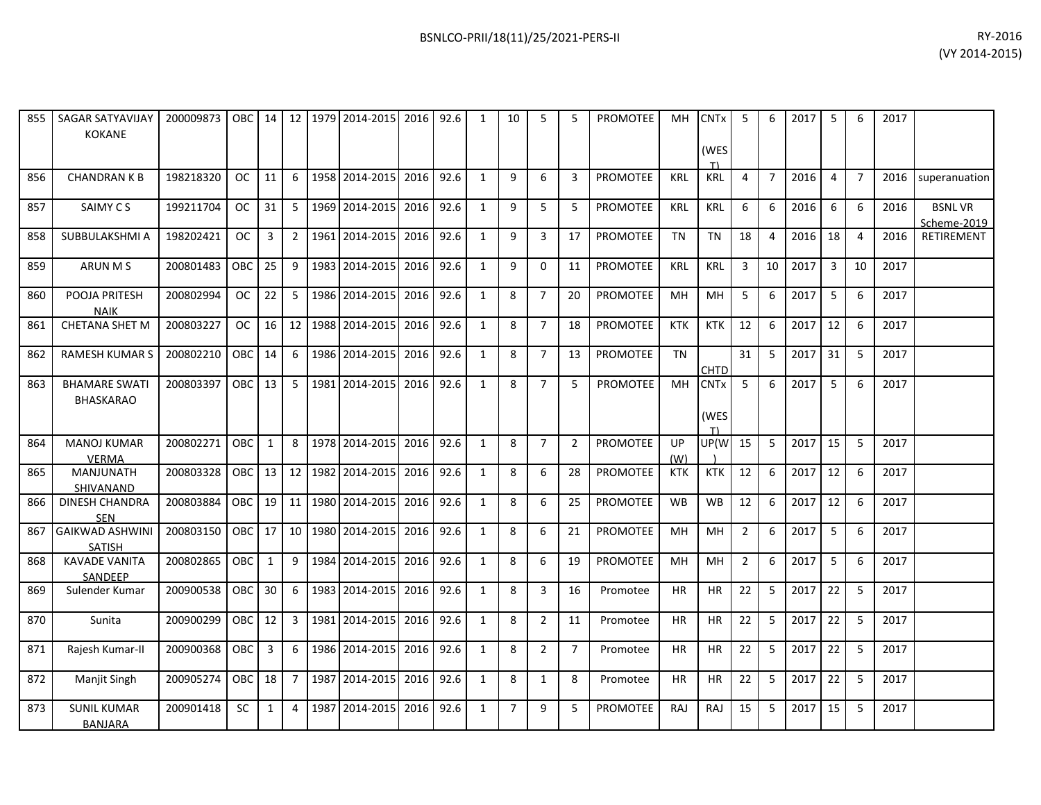| 855 | <b>SAGAR SATYAVIJAY</b><br><b>KOKANE</b> | 200009873 | <b>OBC</b> | 14           |                 |      | 12 1979 2014-2015 | 2016 92.6 |      | 1            | 10             | 5              | 5              | <b>PROMOTEE</b> | MH.        | <b>CNT<sub>x</sub></b><br>(WES<br>T) | 5              | 6              | 2017 | -5             | 6              | 2017 |                              |
|-----|------------------------------------------|-----------|------------|--------------|-----------------|------|-------------------|-----------|------|--------------|----------------|----------------|----------------|-----------------|------------|--------------------------------------|----------------|----------------|------|----------------|----------------|------|------------------------------|
| 856 | <b>CHANDRAN K B</b>                      | 198218320 | OC.        | 11           | 6               |      | 1958 2014-2015    | 2016      | 92.6 | 1            | 9              | 6              | 3              | <b>PROMOTEE</b> | <b>KRL</b> | <b>KRL</b>                           | 4              | $\overline{7}$ | 2016 | $\overline{4}$ | $\overline{7}$ | 2016 | superanuation                |
| 857 | SAIMY CS                                 | 199211704 | <b>OC</b>  | 31           | 5               |      | 1969 2014-2015    | 2016      | 92.6 | 1            | 9              | 5              | 5              | <b>PROMOTEE</b> | <b>KRL</b> | <b>KRL</b>                           | 6              | 6              | 2016 | 6              | 6              | 2016 | <b>BSNLVR</b><br>Scheme-2019 |
| 858 | SUBBULAKSHMI A                           | 198202421 | <b>OC</b>  | 3            | $\overline{2}$  | 1961 | 2014-2015         | 2016      | 92.6 | 1            | 9              | 3              | 17             | PROMOTEE        | <b>TN</b>  | <b>TN</b>                            | 18             | 4              | 2016 | 18             | $\overline{4}$ | 2016 | RETIREMENT                   |
| 859 | <b>ARUN MS</b>                           | 200801483 | OBC        | 25           | 9               |      | 1983 2014-2015    | 2016      | 92.6 | 1            | 9              | $\Omega$       | 11             | <b>PROMOTEE</b> | <b>KRL</b> | <b>KRL</b>                           | 3              | 10             | 2017 | $\overline{3}$ | 10             | 2017 |                              |
| 860 | POOJA PRITESH<br><b>NAIK</b>             | 200802994 | ОC         | 22           | 5 <sup>1</sup>  |      | 1986 2014-2015    | 2016      | 92.6 | $\mathbf{1}$ | 8              | $\overline{7}$ | 20             | PROMOTEE        | MH         | MH                                   | 5              | 6              | 2017 | 5              | 6              | 2017 |                              |
| 861 | CHETANA SHET M                           | 200803227 | <b>OC</b>  | 16           | 12              |      | 1988 2014-2015    | 2016 92.6 |      | 1            | 8              | $\overline{7}$ | 18             | <b>PROMOTEE</b> | <b>KTK</b> | <b>KTK</b>                           | 12             | 6              | 2017 | 12             | 6              | 2017 |                              |
| 862 | <b>RAMESH KUMAR S</b>                    | 200802210 | OBC        | 14           | 6               | 1986 | 2014-2015         | 2016      | 92.6 | $\mathbf{1}$ | 8              | $\overline{7}$ | 13             | <b>PROMOTEE</b> | <b>TN</b>  | <b>CHTD</b>                          | 31             | 5              | 2017 | 31             | 5              | 2017 |                              |
| 863 | <b>BHAMARE SWATI</b><br><b>BHASKARAO</b> | 200803397 | OBC        | 13           | $5\overline{)}$ |      | 1981 2014-2015    | 2016 92.6 |      | 1            | 8              | $\overline{7}$ | 5              | PROMOTEE        | MH         | <b>CNTx</b><br>(WES<br>T)            | 5              | 6              | 2017 | 5              | 6              | 2017 |                              |
| 864 | <b>MANOJ KUMAR</b><br><b>VERMA</b>       | 200802271 | OBC        | $\mathbf{1}$ | 8               |      | 1978 2014-2015    | 2016 92.6 |      | 1            | 8              | $\overline{7}$ | $\overline{2}$ | PROMOTEE        | UP<br>(W)  | UP(W                                 | 15             | -5             | 2017 | 15             | -5             | 2017 |                              |
| 865 | <b>MANJUNATH</b><br>SHIVANAND            | 200803328 | <b>OBC</b> | 13           | 12              | 1982 | 2014-2015         | 2016      | 92.6 | 1            | 8              | 6              | 28             | <b>PROMOTEE</b> | <b>KTK</b> | <b>KTK</b>                           | 12             | 6              | 2017 | 12             | 6              | 2017 |                              |
| 866 | <b>DINESH CHANDRA</b><br><b>SEN</b>      | 200803884 | OBC        | 19           | 11              |      | 1980 2014-2015    | 2016      | 92.6 | 1            | 8              | 6              | 25             | PROMOTEE        | <b>WB</b>  | <b>WB</b>                            | 12             | 6              | 2017 | 12             | 6              | 2017 |                              |
| 867 | <b>GAIKWAD ASHWINI</b><br><b>SATISH</b>  | 200803150 | OBC        | 17           | 10 <sup>1</sup> |      | 1980 2014-2015    | 2016      | 92.6 | 1            | 8              | 6              | 21             | <b>PROMOTEE</b> | MH         | MH                                   | $\overline{2}$ | 6              | 2017 | 5              | 6              | 2017 |                              |
| 868 | <b>KAVADE VANITA</b><br>SANDEEP          | 200802865 | <b>OBC</b> | $\mathbf{1}$ | 9               | 1984 | 2014-2015         | 2016      | 92.6 | 1            | 8              | 6              | 19             | PROMOTEE        | <b>MH</b>  | MH                                   | $\overline{2}$ | 6              | 2017 | 5              | 6              | 2017 |                              |
| 869 | Sulender Kumar                           | 200900538 | OBC        | 30           | 6               |      | 1983 2014-2015    | 2016      | 92.6 | 1            | 8              | $\overline{3}$ | 16             | Promotee        | <b>HR</b>  | HR                                   | 22             | 5              | 2017 | 22             | 5              | 2017 |                              |
| 870 | Sunita                                   | 200900299 | OBC        | 12           | 3 <sup>1</sup>  |      | 1981 2014-2015    | 2016      | 92.6 | 1            | 8              | $\overline{2}$ | 11             | Promotee        | <b>HR</b>  | <b>HR</b>                            | 22             | 5              | 2017 | 22             | 5              | 2017 |                              |
| 871 | Rajesh Kumar-II                          | 200900368 | OBC        | 3            | 6               |      | 1986 2014-2015    | 2016      | 92.6 | 1            | 8              | $\overline{2}$ | $\overline{7}$ | Promotee        | <b>HR</b>  | <b>HR</b>                            | 22             | 5              | 2017 | 22             | 5              | 2017 |                              |
| 872 | Manjit Singh                             | 200905274 | OBC        | 18           | $7^{\circ}$     | 1987 | 2014-2015         | 2016      | 92.6 | 1            | 8              | $\mathbf{1}$   | 8              | Promotee        | HR.        | <b>HR</b>                            | 22             | 5              | 2017 | 22             | 5              | 2017 |                              |
| 873 | <b>SUNIL KUMAR</b><br><b>BANJARA</b>     | 200901418 | <b>SC</b>  | $\mathbf{1}$ | 4               |      | 1987 2014-2015    | 2016      | 92.6 | 1            | $\overline{7}$ | 9              | 5              | <b>PROMOTEE</b> | RAJ        | RAJ                                  | 15             | 5              | 2017 | 15             | 5              | 2017 |                              |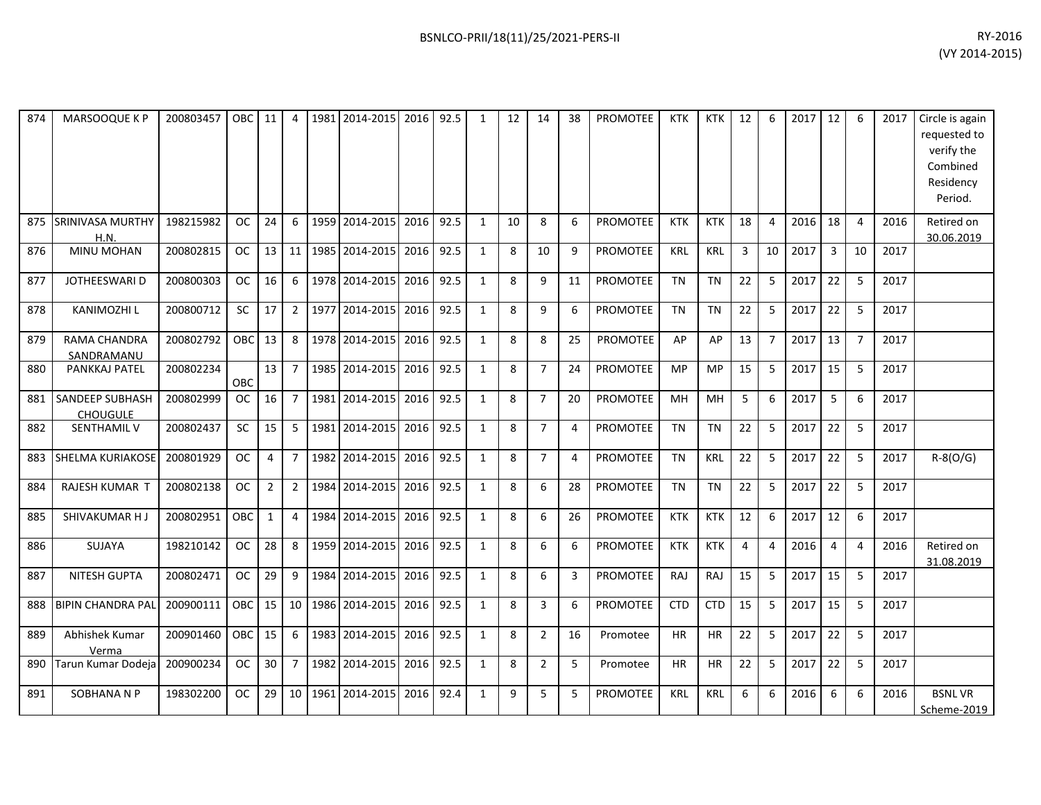| 874 | MARSOOQUE K P                      | 200803457 | OBC        | 11             | 4              | 1981 2014-2015 | 2016      | 92.5 | 1            | 12 | 14             | 38             | PROMOTEE        | <b>KTK</b> | <b>KTK</b> | 12             | 6              | 2017 | 12             | 6              | 2017 | Circle is again<br>requested to<br>verify the<br>Combined<br>Residency<br>Period. |
|-----|------------------------------------|-----------|------------|----------------|----------------|----------------|-----------|------|--------------|----|----------------|----------------|-----------------|------------|------------|----------------|----------------|------|----------------|----------------|------|-----------------------------------------------------------------------------------|
| 875 | <b>SRINIVASA MURTHY</b><br>H.N.    | 198215982 | OC.        | 24             | 6              | 1959 2014-2015 | 2016      | 92.5 | 1            | 10 | 8              | 6              | <b>PROMOTEE</b> | <b>KTK</b> | <b>KTK</b> | 18             | $\overline{a}$ | 2016 | 18             | $\overline{4}$ | 2016 | Retired on<br>30.06.2019                                                          |
| 876 | MINU MOHAN                         | 200802815 | <b>OC</b>  | 13             | 11             | 1985 2014-2015 | 2016      | 92.5 | 1            | 8  | 10             | 9              | <b>PROMOTEE</b> | <b>KRL</b> | KRL        | 3              | 10             | 2017 | $\overline{3}$ | 10             | 2017 |                                                                                   |
| 877 | JOTHEESWARI D                      | 200800303 | <b>OC</b>  | 16             | 6              | 1978 2014-2015 | 2016      | 92.5 | $\mathbf{1}$ | 8  | 9              | 11             | <b>PROMOTEE</b> | <b>TN</b>  | <b>TN</b>  | 22             | 5              | 2017 | 22             | 5              | 2017 |                                                                                   |
| 878 | <b>KANIMOZHI L</b>                 | 200800712 | SC         | 17             | $\overline{2}$ | 1977 2014-2015 | 2016      | 92.5 | $\mathbf{1}$ | 8  | 9              | 6              | PROMOTEE        | <b>TN</b>  | <b>TN</b>  | 22             | 5              | 2017 | 22             | 5              | 2017 |                                                                                   |
| 879 | RAMA CHANDRA<br>SANDRAMANU         | 200802792 | OBC        | 13             | 8              | 1978 2014-2015 | 2016      | 92.5 | $\mathbf{1}$ | 8  | 8              | 25             | <b>PROMOTEE</b> | AP         | AP         | 13             | $\overline{7}$ | 2017 | 13             | $\overline{7}$ | 2017 |                                                                                   |
| 880 | PANKKAJ PATEL                      | 200802234 | OBC        | 13             | $\overline{7}$ | 1985 2014-2015 | 2016      | 92.5 | $\mathbf{1}$ | 8  | $\overline{7}$ | 24             | PROMOTEE        | <b>MP</b>  | <b>MP</b>  | 15             | 5              | 2017 | 15             | 5              | 2017 |                                                                                   |
| 881 | SANDEEP SUBHASH<br><b>CHOUGULE</b> | 200802999 | <b>OC</b>  | 16             | $\overline{7}$ | 1981 2014-2015 | 2016      | 92.5 | $\mathbf{1}$ | 8  | $\overline{7}$ | 20             | <b>PROMOTEE</b> | MH         | MH         | 5              | 6              | 2017 | 5              | 6              | 2017 |                                                                                   |
| 882 | <b>SENTHAMIL V</b>                 | 200802437 | <b>SC</b>  | 15             | 5              | 1981 2014-2015 | 2016      | 92.5 | $\mathbf{1}$ | 8  | $\overline{7}$ | $\overline{4}$ | <b>PROMOTEE</b> | <b>TN</b>  | <b>TN</b>  | 22             | 5              | 2017 | 22             | 5              | 2017 |                                                                                   |
| 883 | <b>SHELMA KURIAKOSE</b>            | 200801929 | OC.        | 4              | $\overline{7}$ | 1982 2014-2015 | 2016 92.5 |      | $\mathbf{1}$ | 8  | $\overline{7}$ | $\overline{4}$ | <b>PROMOTEE</b> | <b>TN</b>  | <b>KRL</b> | 22             | -5             | 2017 | 22             | 5              | 2017 | $R - 8(O/G)$                                                                      |
| 884 | RAJESH KUMAR T                     | 200802138 | <b>OC</b>  | $\overline{2}$ | $\overline{2}$ | 1984 2014-2015 | 2016      | 92.5 | $\mathbf{1}$ | 8  | 6              | 28             | <b>PROMOTEE</b> | <b>TN</b>  | <b>TN</b>  | 22             | 5              | 2017 | 22             | 5              | 2017 |                                                                                   |
| 885 | SHIVAKUMAR HJ                      | 200802951 | OBC        | $\mathbf{1}$   | $\overline{4}$ | 1984 2014-2015 | 2016      | 92.5 | $\mathbf{1}$ | 8  | 6              | 26             | <b>PROMOTEE</b> | <b>KTK</b> | <b>KTK</b> | 12             | 6              | 2017 | 12             | 6              | 2017 |                                                                                   |
| 886 | SUJAYA                             | 198210142 | <b>OC</b>  | 28             | 8              | 1959 2014-2015 | 2016      | 92.5 | $\mathbf{1}$ | 8  | 6              | 6              | <b>PROMOTEE</b> | <b>KTK</b> | <b>KTK</b> | $\overline{4}$ | $\overline{4}$ | 2016 | $\overline{4}$ | $\overline{4}$ | 2016 | Retired on<br>31.08.2019                                                          |
| 887 | NITESH GUPTA                       | 200802471 | <b>OC</b>  | 29             | 9              | 1984 2014-2015 | 2016      | 92.5 | $\mathbf{1}$ | 8  | 6              | 3              | PROMOTEE        | RAJ        | <b>RAJ</b> | 15             | 5              | 2017 | 15             | 5              | 2017 |                                                                                   |
| 888 | <b>BIPIN CHANDRA PAL</b>           | 200900111 | <b>OBC</b> | 15             | 10             | 1986 2014-2015 | 2016      | 92.5 | $\mathbf{1}$ | 8  | 3              | 6              | PROMOTEE        | <b>CTD</b> | <b>CTD</b> | 15             | 5              | 2017 | 15             | 5              | 2017 |                                                                                   |
| 889 | Abhishek Kumar<br>Verma            | 200901460 | <b>OBC</b> | 15             | 6              | 1983 2014-2015 | 2016      | 92.5 | $\mathbf{1}$ | 8  | $\overline{2}$ | 16             | Promotee        | <b>HR</b>  | <b>HR</b>  | 22             | 5              | 2017 | 22             | 5              | 2017 |                                                                                   |
| 890 | Tarun Kumar Dodeial                | 200900234 | <b>OC</b>  | 30             | $\overline{7}$ | 1982 2014-2015 | 2016      | 92.5 | $\mathbf{1}$ | 8  | $\overline{2}$ | 5              | Promotee        | <b>HR</b>  | <b>HR</b>  | 22             | 5              | 2017 | 22             | 5              | 2017 |                                                                                   |
| 891 | <b>SOBHANA N P</b>                 | 198302200 | OC.        | 29             | 10             | 1961 2014-2015 | 2016      | 92.4 | $\mathbf{1}$ | 9  | 5              | 5              | <b>PROMOTEE</b> | <b>KRL</b> | <b>KRL</b> | 6              | 6              | 2016 | 6              | 6              | 2016 | <b>BSNLVR</b><br>Scheme-2019                                                      |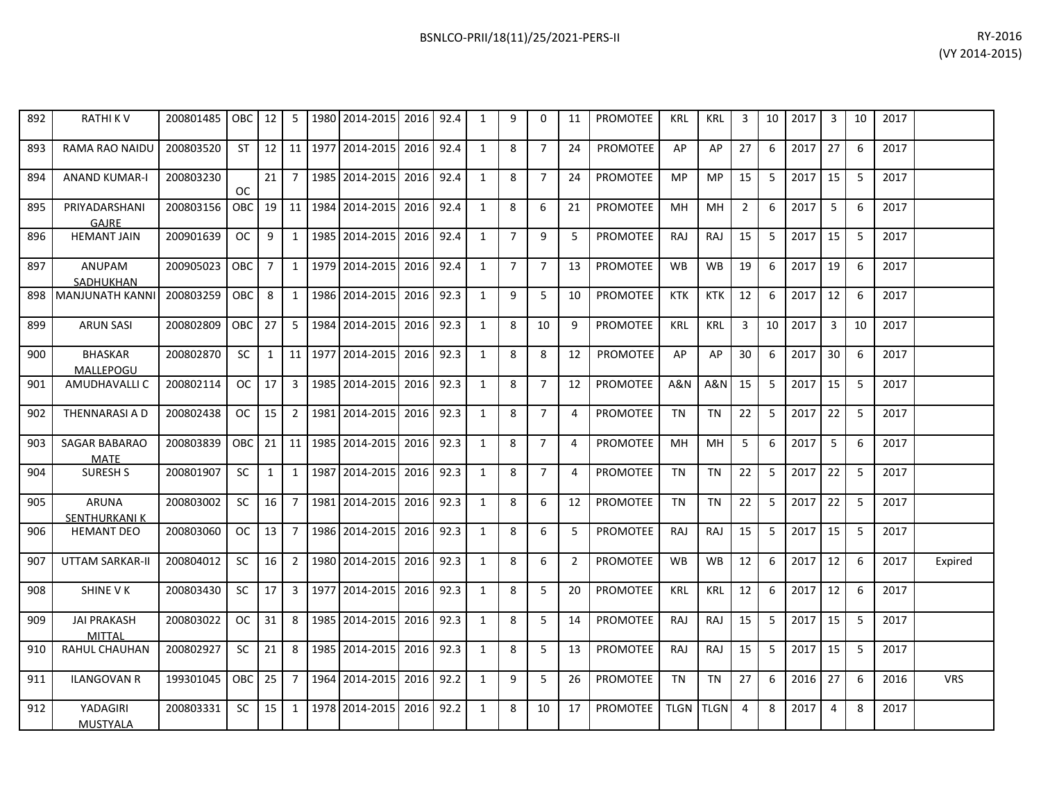| 892 | RATHI K V                           | 200801485   OBC   12   5   1980   2014-2015   2016   92.4 |                  |                 |                |                                               |      | 1            | 9              | $\Omega$       | 11             | PROMOTEE        | <b>KRL</b> | KRL        | 3              |    | 10 2017 | 3              | 10 | 2017 |            |
|-----|-------------------------------------|-----------------------------------------------------------|------------------|-----------------|----------------|-----------------------------------------------|------|--------------|----------------|----------------|----------------|-----------------|------------|------------|----------------|----|---------|----------------|----|------|------------|
| 893 | RAMA RAO NAIDU                      | 200803520                                                 |                  |                 |                | ST   12   11   1977   2014-2015   2016   92.4 |      | $\mathbf{1}$ | 8              | $\overline{7}$ | 24             | <b>PROMOTEE</b> | AP         | AP         | 27             | -6 | 2017    | 27             | -6 | 2017 |            |
| 894 | <b>ANAND KUMAR-I</b>                | 200803230                                                 | <b>OC</b>        | 21 <sup>1</sup> | $\overline{7}$ | 1985 2014-2015   2016                         | 92.4 | $\mathbf{1}$ | 8              | $\overline{7}$ | 24             | <b>PROMOTEE</b> | <b>MP</b>  | <b>MP</b>  | 15             | -5 | 2017    | 15             | -5 | 2017 |            |
| 895 | PRIYADARSHANI<br>GAJRE              | 200803156                                                 |                  |                 |                | OBC   19   11   1984   2014-2015   2016       | 92.4 | 1            | 8              | 6              | 21             | <b>PROMOTEE</b> | MH         | MH         | $\overline{2}$ | 6  | 2017    | 5              | -6 | 2017 |            |
| 896 | <b>HEMANT JAIN</b>                  | 200901639                                                 | oc I             | 9               | 1              | 1985 2014-2015 2016                           | 92.4 | $\mathbf{1}$ | $\overline{7}$ | 9              | 5              | <b>PROMOTEE</b> | RAJ        | <b>RAJ</b> | 15             | -5 | 2017    | 15             | -5 | 2017 |            |
| 897 | ANUPAM<br>SADHUKHAN                 | 200905023                                                 | OBC I            | $\overline{7}$  |                | 1 1979 2014-2015 2016                         | 92.4 | 1            | $\overline{7}$ | $\overline{7}$ | 13             | <b>PROMOTEE</b> | <b>WB</b>  | <b>WB</b>  | 19             | -6 | 2017    | 19             | 6  | 2017 |            |
|     | 898 MANJUNATH KANNI                 | 200803259                                                 | OBC <sub>8</sub> |                 | $\overline{1}$ | 1986 2014-2015 2016 92.3                      |      | $\mathbf{1}$ | 9              | 5              | 10             | <b>PROMOTEE</b> | <b>KTK</b> | <b>KTK</b> | 12             | 6  | 2017    | 12             | -6 | 2017 |            |
| 899 | <b>ARUN SASI</b>                    | 200802809                                                 | OBC 27           |                 | 5              | 1984 2014-2015 2016                           | 92.3 | $\mathbf{1}$ | 8              | 10             | 9              | <b>PROMOTEE</b> | <b>KRL</b> | <b>KRL</b> | 3              | 10 | 2017    | $\overline{3}$ | 10 | 2017 |            |
| 900 | <b>BHASKAR</b><br>MALLEPOGU         | 200802870                                                 | <b>SC</b>        | 1               |                | 11   1977   2014-2015   2016   92.3           |      | 1            | 8              | 8              | 12             | PROMOTEE        | AP         | AP         | 30             | 6  | 2017    | 30             | 6  | 2017 |            |
| 901 | AMUDHAVALLI C                       | 200802114                                                 | OC   17          |                 |                | 3   1985   2014-2015   2016                   | 92.3 | $\mathbf{1}$ | 8              | $\overline{7}$ | 12             | <b>PROMOTEE</b> | A&N        | A&N        | 15             | -5 | 2017    | 15             | -5 | 2017 |            |
| 902 | <b>THENNARASI A D</b>               | 200802438                                                 |                  |                 |                | OC   15   2   1981   2014-2015   2016         | 92.3 | 1            | 8              | $7^{\circ}$    | $\overline{4}$ | <b>PROMOTEE</b> | TN         | <b>TN</b>  | 22             | -5 | 2017    | 22             | -5 | 2017 |            |
| 903 | <b>SAGAR BABARAO</b><br><b>MATE</b> | 200803839                                                 |                  |                 |                | OBC 21 11 1985 2014-2015 2016                 | 92.3 | 1            | 8              | $\overline{7}$ | 4              | PROMOTEE        | MН         | <b>MH</b>  | 5              | -6 | 2017    | 5              | 6  | 2017 |            |
| 904 | <b>SURESH S</b>                     | 200801907                                                 | <b>SC</b>        | 1               |                | 1 1987 2014-2015 2016                         | 92.3 | 1            | 8              | $\overline{7}$ | 4              | <b>PROMOTEE</b> | TN         | <b>TN</b>  | 22             | -5 | 2017    | 22             | -5 | 2017 |            |
| 905 | <b>ARUNA</b><br>SENTHURKANI K       | 200803002                                                 | SC.              | 16 7            |                | 1981 2014-2015 2016 92.3                      |      | $\mathbf{1}$ | 8              | 6              | 12             | PROMOTEE        | <b>TN</b>  | <b>TN</b>  | 22             | -5 | 2017    | 22             | -5 | 2017 |            |
| 906 | <b>HEMANT DEO</b>                   | 200803060                                                 | OC               | $13 \mid 7$     |                | 1986 2014-2015 2016                           | 92.3 | $\mathbf{1}$ | 8              | 6              | 5              | PROMOTEE        | <b>RAJ</b> | <b>RAJ</b> | 15             | -5 | 2017    | 15             | -5 | 2017 |            |
| 907 | UTTAM SARKAR-II                     | 200804012                                                 | <b>SC</b>        | 16 I            | $\overline{2}$ | 1980 2014-2015 2016                           | 92.3 | 1            | 8              | 6              | $\overline{2}$ | PROMOTEE        | <b>WB</b>  | <b>WB</b>  | 12             | 6  | 2017    | 12             | -6 | 2017 | Expired    |
| 908 | SHINE V K                           | 200803430                                                 | <b>SC</b>        | 17              |                | 3   1977   2014-2015   2016                   | 92.3 | $\mathbf{1}$ | 8              | 5.             | 20             | <b>PROMOTEE</b> | <b>KRL</b> | <b>KRL</b> | 12             | 6  | 2017    | 12             | -6 | 2017 |            |
| 909 | <b>JAI PRAKASH</b><br>MITTAL        | 200803022                                                 | $OC$ 31          |                 |                | 8 1985 2014-2015 2016                         | 92.3 | 1            | 8              | 5              | 14             | <b>PROMOTEE</b> | RAJ        | RAJ        | 15             | -5 | 2017    | 15             | -5 | 2017 |            |
| 910 | RAHUL CHAUHAN                       | 200802927                                                 | SC               | 21              | 8              | 1985 2014-2015 2016                           | 92.3 | 1            | 8              | 5              | 13             | PROMOTEE        | RAJ        | RAJ        | 15             | 5  | 2017    | 15             | -5 | 2017 |            |
| 911 | <b>ILANGOVAN R</b>                  | 199301045                                                 | OBC 25 7         |                 |                | 1964 2014-2015 2016                           | 92.2 | 1            | 9              | 5              | 26             | <b>PROMOTEE</b> | <b>TN</b>  | <b>TN</b>  | 27             | -6 | 2016    | 27             | 6  | 2016 | <b>VRS</b> |
| 912 | YADAGIRI<br><b>MUSTYALA</b>         | 200803331                                                 | SC I             | $15$ 1          |                | 1978   2014-2015   2016   92.2                |      | $\mathbf{1}$ | 8              | 10             | 17             | <b>PROMOTEE</b> | TLGN TLGN  |            | $\overline{4}$ | 8  | 2017    | $\overline{4}$ | 8  | 2017 |            |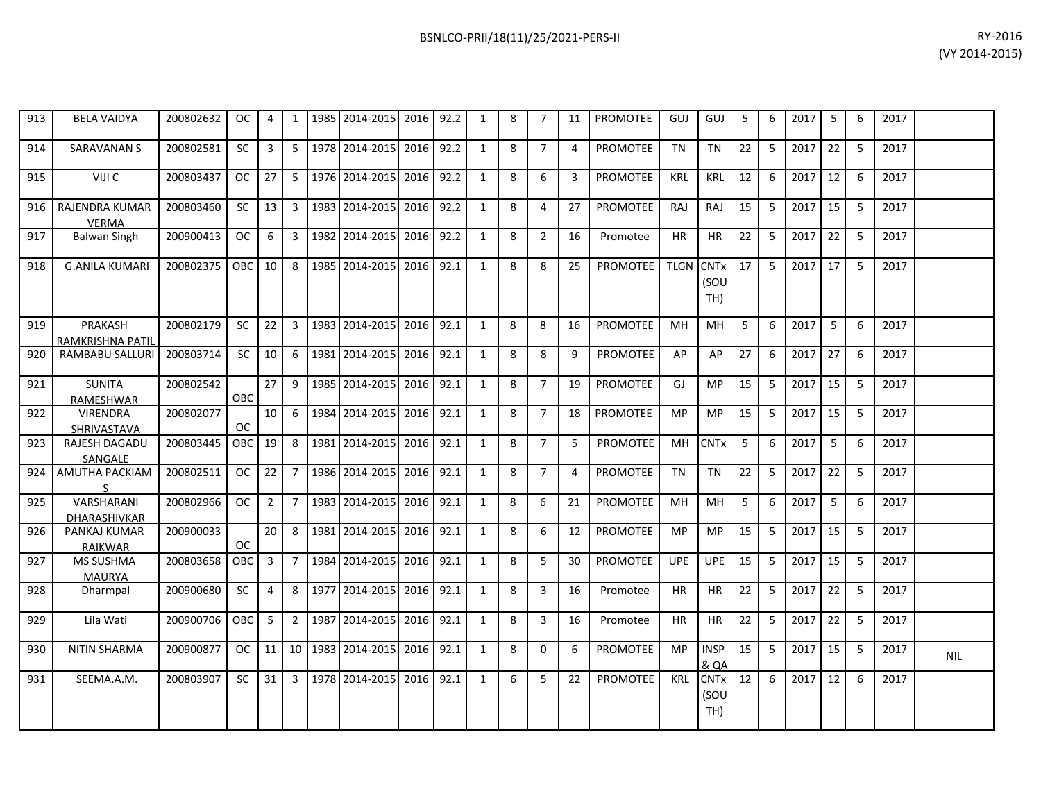| 913 | <b>BELA VAIDYA</b>                    | 200802632     | <sub>OC</sub> | 4              | 1              | 1985 2014-2015             | 2016      | 92.2 | 1            | 8 | 7              | 11             | <b>PROMOTEE</b> | GUJ              | GUJ         | 5  | 6 | 2017 | 5  | 6 | 2017 |  |
|-----|---------------------------------------|---------------|---------------|----------------|----------------|----------------------------|-----------|------|--------------|---|----------------|----------------|-----------------|------------------|-------------|----|---|------|----|---|------|--|
| 914 | <b>SARAVANAN S</b>                    | 200802581     | <b>SC</b>     | 3              | $5-1$          | 1978 2014-2015             | 2016 92.2 |      | 1            | 8 | $\overline{7}$ | $\overline{4}$ | <b>PROMOTEE</b> | <b>TN</b>        | <b>TN</b>   | 22 | 5 | 2017 | 22 | 5 | 2017 |  |
| 915 | VIJI C                                | 200803437     | <b>OC</b>     | 27             | 5 <sup>1</sup> | 1976 2014-2015             | 2016      | 92.2 | 1            | 8 | 6              | 3              | <b>PROMOTEE</b> | <b>KRL</b>       | <b>KRL</b>  | 12 | 6 | 2017 | 12 | 6 | 2017 |  |
| 916 | <b>RAJENDRA KUMAR</b><br><b>VERMA</b> | 200803460     | <b>SC</b>     | 13             | $\mathbf{3}$   | 1983 2014-2015             | 2016      | 92.2 | 1            | 8 | 4              | 27             | <b>PROMOTEE</b> | <b>RAJ</b>       | RAJ         | 15 | 5 | 2017 | 15 | 5 | 2017 |  |
| 917 | <b>Balwan Singh</b>                   | 200900413     | <b>OC</b>     | 6              | $\mathbf{3}$   | 1982 2014-2015             | 2016      | 92.2 | $\mathbf{1}$ | 8 | $\overline{2}$ | 16             | Promotee        | <b>HR</b>        | <b>HR</b>   | 22 | 5 | 2017 | 22 | 5 | 2017 |  |
| 918 | <b>G.ANILA KUMARI</b>                 | 200802375     | <b>OBC</b>    | 10             | 8              | 1985 2014-2015             | 2016      | 92.1 | $\mathbf{1}$ | 8 | 8              | 25             | <b>PROMOTEE</b> | <b>TLGN CNTx</b> | (SOU<br>TH) | 17 | 5 | 2017 | 17 | 5 | 2017 |  |
| 919 | PRAKASH<br>RAMKRISHNA PATIL           | 200802179     | <b>SC</b>     | 22             | $\mathbf{3}$   | 1983 2014-2015             | 2016      | 92.1 | 1            | 8 | 8              | 16             | <b>PROMOTEE</b> | MH               | MH          | 5  | 6 | 2017 | 5  | 6 | 2017 |  |
| 920 | <b>RAMBABU SALLURI</b>                | 200803714     | <b>SC</b>     | 10             | 6              | 1981 2014-2015             | 2016      | 92.1 | 1            | 8 | 8              | q              | <b>PROMOTEE</b> | AP               | AP          | 27 | 6 | 2017 | 27 | 6 | 2017 |  |
| 921 | <b>SUNITA</b><br><b>RAMESHWAR</b>     | 200802542     | OBC           | 27             | 9              | 1985 2014-2015             | 2016      | 92.1 | 1            | 8 | $\overline{7}$ | 19             | <b>PROMOTEE</b> | GJ               | MP          | 15 | 5 | 2017 | 15 | 5 | 2017 |  |
| 922 | <b>VIRENDRA</b><br>SHRIVASTAVA        | 200802077     | <b>OC</b>     | 10             | 6              | 1984 2014-2015             | 2016      | 92.1 | $\mathbf{1}$ | 8 | $\overline{7}$ | 18             | <b>PROMOTEE</b> | <b>MP</b>        | MP          | 15 | 5 | 2017 | 15 | 5 | 2017 |  |
| 923 | RAJESH DAGADU<br>SANGALE              | 200803445     | OBC           | 19             | 8              | 1981 2014-2015             | 2016      | 92.1 | $\mathbf{1}$ | 8 | $\overline{7}$ | 5              | <b>PROMOTEE</b> | MH               | <b>CNTx</b> | 5  | 6 | 2017 | 5  | 6 | 2017 |  |
| 924 | AMUTHA PACKIAM                        | 200802511     | <b>OC</b>     | 22             | $\overline{7}$ | 1986 2014-2015             | 2016      | 92.1 | $\mathbf{1}$ | 8 | $\overline{7}$ | 4              | <b>PROMOTEE</b> | <b>TN</b>        | <b>TN</b>   | 22 | 5 | 2017 | 22 | 5 | 2017 |  |
| 925 | VARSHARANI<br><b>DHARASHIVKAR</b>     | 200802966     | <b>OC</b>     | $\overline{2}$ | $7^{\circ}$    | 1983 2014-2015             | 2016 92.1 |      | $\mathbf{1}$ | 8 | 6              | 21             | <b>PROMOTEE</b> | MH               | MH          | 5  | 6 | 2017 | 5  | 6 | 2017 |  |
| 926 | PANKAJ KUMAR<br><b>RAIKWAR</b>        | 200900033     | OC            | 20             | 8              | 1981 2014-2015             | 2016      | 92.1 | 1            | 8 | 6              | 12             | <b>PROMOTEE</b> | <b>MP</b>        | <b>MP</b>   | 15 | 5 | 2017 | 15 | 5 | 2017 |  |
| 927 | <b>MS SUSHMA</b><br><b>MAURYA</b>     | 200803658     | OBC           | 3              | $7^{\circ}$    | 1984 2014-2015             | 2016      | 92.1 | 1            | 8 | 5              | 30             | <b>PROMOTEE</b> | <b>UPE</b>       | <b>UPE</b>  | 15 | 5 | 2017 | 15 | 5 | 2017 |  |
| 928 | Dharmpal                              | 200900680     | <b>SC</b>     | 4              | 8              | 1977 2014-2015             | 2016      | 92.1 | $\mathbf{1}$ | 8 | 3              | 16             | Promotee        | <b>HR</b>        | <b>HR</b>   | 22 | 5 | 2017 | 22 | 5 | 2017 |  |
| 929 | Lila Wati                             | 200900706 OBC |               | 5 <sup>1</sup> |                | 2 1987 2014-2015 2016 92.1 |           |      | $\mathbf{1}$ | 8 | $\overline{3}$ | 16             | Promotee        | <b>HR</b>        | <b>HR</b>   | 22 | 5 | 2017 | 22 | 5 | 2017 |  |

& QA

(SOU TH)

15 5 2017 15 5 2017 NIL

12 6 2017 12 6 2017

930 NITIN SHARMA 200900877 OC 11 10 1983 2014-2015 2016 92.1 1 8 0 6 PROMOTEE MP INSP

931 SEEMA.A.M. 200803907 SC 31 3 1978 2014-2015 2016 92.1 1 6 5 22 PROMOTEE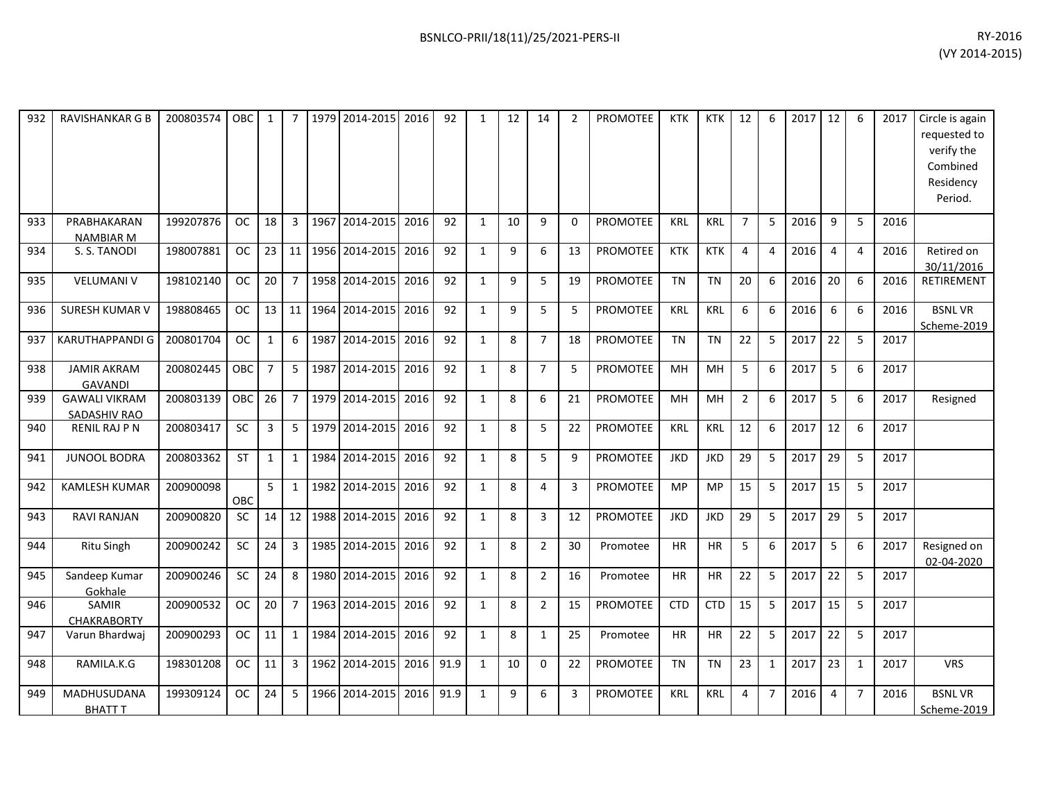| 932 | <b>RAVISHANKAR G B</b>               | 200803574 | OBC       | 1              | $\overline{7}$ | 1979 | 2014-2015      | 2016 | 92   | 1            | 12 | 14             | $\overline{2}$ | <b>PROMOTEE</b> | <b>KTK</b> | <b>KTK</b> | 12             | 6                | 2017 | 12             | 6              | 2017 | Circle is again<br>requested to<br>verify the<br>Combined<br>Residency<br>Period. |
|-----|--------------------------------------|-----------|-----------|----------------|----------------|------|----------------|------|------|--------------|----|----------------|----------------|-----------------|------------|------------|----------------|------------------|------|----------------|----------------|------|-----------------------------------------------------------------------------------|
| 933 | PRABHAKARAN<br><b>NAMBIAR M</b>      | 199207876 | OC.       | 18             | 3              |      | 1967 2014-2015 | 2016 | 92   | $\mathbf{1}$ | 10 | 9              | $\Omega$       | <b>PROMOTEE</b> | KRL        | <b>KRL</b> | $\overline{7}$ | -5               | 2016 | 9              | -5             | 2016 |                                                                                   |
| 934 | S. S. TANODI                         | 198007881 | <b>OC</b> | 23             | 11             |      | 1956 2014-2015 | 2016 | 92   | $\mathbf{1}$ | 9  | 6              | 13             | <b>PROMOTEE</b> | <b>KTK</b> | <b>KTK</b> | $\overline{4}$ | $\overline{4}$   | 2016 | $\overline{4}$ | $\overline{4}$ | 2016 | Retired on<br>30/11/2016                                                          |
| 935 | <b>VELUMANI V</b>                    | 198102140 | <b>OC</b> | 20             | $\overline{7}$ |      | 1958 2014-2015 | 2016 | 92   | $\mathbf{1}$ | 9  | 5              | 19             | <b>PROMOTEE</b> | <b>TN</b>  | <b>TN</b>  | 20             | 6                | 2016 | 20             | 6              | 2016 | RETIREMENT                                                                        |
| 936 | <b>SURESH KUMAR V</b>                | 198808465 | <b>OC</b> | 13             | 11             | 1964 | 2014-2015      | 2016 | 92   | $\mathbf{1}$ | 9  | 5              | 5              | <b>PROMOTEE</b> | <b>KRL</b> | <b>KRL</b> | 6              | 6                | 2016 | 6              | 6              | 2016 | <b>BSNLVR</b><br>Scheme-2019                                                      |
| 937 | <b>KARUTHAPPANDI G</b>               | 200801704 | <b>OC</b> | $\mathbf{1}$   | 6              | 1987 | 2014-2015      | 2016 | 92   | $\mathbf{1}$ | 8  | $\overline{7}$ | 18             | <b>PROMOTEE</b> | <b>TN</b>  | <b>TN</b>  | 22             | 5                | 2017 | 22             | 5              | 2017 |                                                                                   |
| 938 | <b>JAMIR AKRAM</b><br><b>GAVANDI</b> | 200802445 | OBC       | $\overline{7}$ | 5              | 1987 | 2014-2015      | 2016 | 92   | $\mathbf{1}$ | 8  | $\overline{7}$ | -5             | <b>PROMOTEE</b> | MH         | MH         | 5              | $6 \overline{6}$ | 2017 | 5              | 6              | 2017 |                                                                                   |
| 939 | <b>GAWALI VIKRAM</b><br>SADASHIV RAO | 200803139 | OBC       | 26             | 7 <sup>1</sup> |      | 1979 2014-2015 | 2016 | 92   | $\mathbf{1}$ | 8  | 6              | 21             | <b>PROMOTEE</b> | <b>MH</b>  | MH         | $\overline{2}$ | 6                | 2017 | 5              | 6              | 2017 | Resigned                                                                          |
| 940 | <b>RENIL RAJ P N</b>                 | 200803417 | SC        | 3              | $5-1$          | 1979 | 2014-2015      | 2016 | 92   | $\mathbf{1}$ | 8  | 5              | 22             | <b>PROMOTEE</b> | <b>KRL</b> | <b>KRL</b> | 12             | 6                | 2017 | 12             | 6              | 2017 |                                                                                   |
| 941 | <b>JUNOOL BODRA</b>                  | 200803362 | <b>ST</b> | $\mathbf{1}$   | $\mathbf{1}$   | 1984 | 2014-2015      | 2016 | 92   | $\mathbf{1}$ | 8  | 5              | 9              | <b>PROMOTEE</b> | <b>JKD</b> | <b>JKD</b> | 29             | 5                | 2017 | 29             | 5              | 2017 |                                                                                   |
| 942 | <b>KAMLESH KUMAR</b>                 | 200900098 | OBC       | 5              | $\mathbf{1}$   | 1982 | 2014-2015      | 2016 | 92   | 1            | 8  | $\overline{4}$ | 3              | <b>PROMOTEE</b> | MP         | <b>MP</b>  | 15             | 5                | 2017 | 15             | 5              | 2017 |                                                                                   |
| 943 | RAVI RANJAN                          | 200900820 | <b>SC</b> | 14             | 12             | 1988 | 2014-2015      | 2016 | 92   | $\mathbf{1}$ | 8  | $\overline{3}$ | 12             | <b>PROMOTEE</b> | <b>JKD</b> | <b>JKD</b> | 29             | 5                | 2017 | 29             | 5              | 2017 |                                                                                   |
| 944 | Ritu Singh                           | 200900242 | SC        | 24             | 3 <sup>7</sup> |      | 1985 2014-2015 | 2016 | 92   | $\mathbf{1}$ | 8  | $\overline{2}$ | 30             | Promotee        | <b>HR</b>  | <b>HR</b>  | 5              | 6                | 2017 | 5              | 6              | 2017 | Resigned on<br>02-04-2020                                                         |
| 945 | Sandeep Kumar<br>Gokhale             | 200900246 | SC        | 24             | 8              |      | 1980 2014-2015 | 2016 | 92   | $\mathbf{1}$ | 8  | $\overline{2}$ | 16             | Promotee        | <b>HR</b>  | <b>HR</b>  | 22             | 5                | 2017 | 22             | 5              | 2017 |                                                                                   |
| 946 | SAMIR<br><b>CHAKRABORTY</b>          | 200900532 | <b>OC</b> | 20             | $\overline{7}$ |      | 1963 2014-2015 | 2016 | 92   | $\mathbf{1}$ | 8  | $\overline{2}$ | 15             | PROMOTEE        | <b>CTD</b> | <b>CTD</b> | 15             | 5                | 2017 | 15             | 5              | 2017 |                                                                                   |
| 947 | Varun Bhardwai                       | 200900293 | <b>OC</b> | 11             | $\mathbf{1}$   | 1984 | 2014-2015      | 2016 | 92   | $\mathbf{1}$ | 8  | $\mathbf{1}$   | 25             | Promotee        | <b>HR</b>  | <b>HR</b>  | 22             | 5                | 2017 | 22             | 5              | 2017 |                                                                                   |
| 948 | RAMILA.K.G                           | 198301208 | <b>OC</b> | 11             | $\mathbf{3}$   | 1962 | 2014-2015      | 2016 | 91.9 | 1            | 10 | $\Omega$       | 22             | <b>PROMOTEE</b> | <b>TN</b>  | <b>TN</b>  | 23             | 1                | 2017 | 23             | $\mathbf{1}$   | 2017 | <b>VRS</b>                                                                        |
| 949 | MADHUSUDANA<br><b>BHATT T</b>        | 199309124 | OC.       | 24             | 5              | 1966 | 2014-2015      | 2016 | 91.9 | $\mathbf{1}$ | 9  | 6              | 3              | <b>PROMOTEE</b> | <b>KRL</b> | <b>KRL</b> | 4              | $\overline{7}$   | 2016 | $\overline{4}$ | $\overline{7}$ | 2016 | <b>BSNLVR</b><br>Scheme-2019                                                      |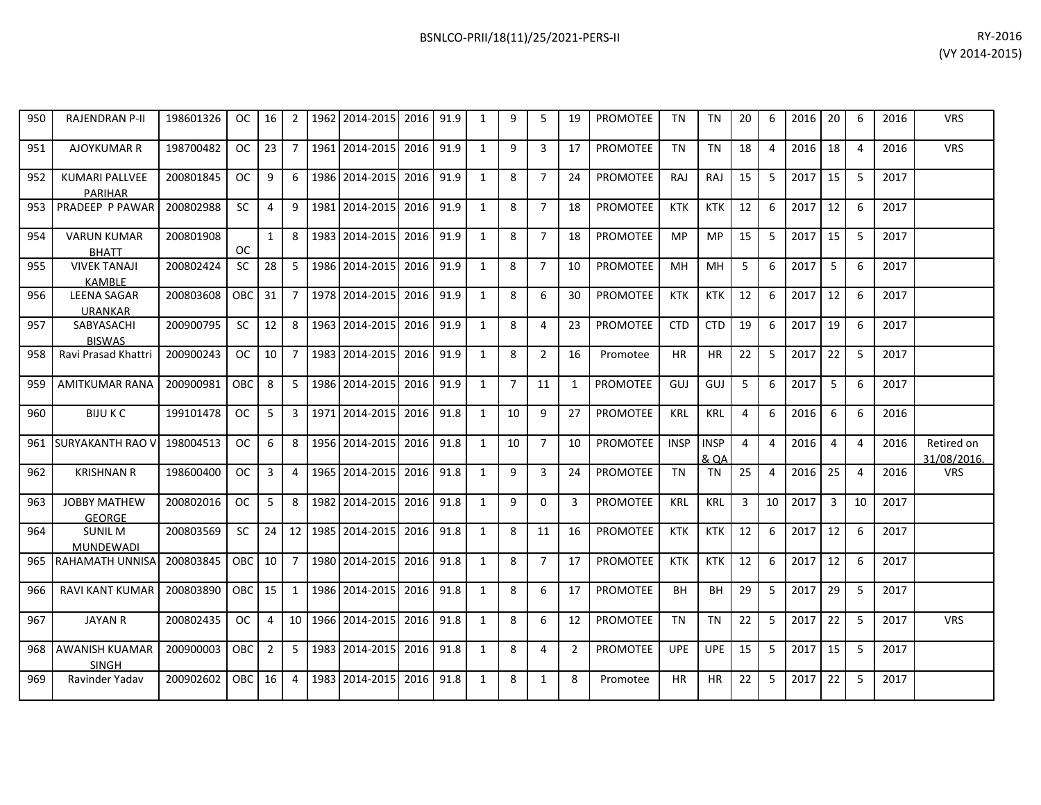| 950 | <b>RAJENDRAN P-II</b>                   | 198601326 | OC.        | 16             | $\overline{2}$  |      | 1962 2014-2015 | 2016 91.9 |      | $\mathbf{1}$   | 9              | 5              | 19           | <b>PROMOTEE</b> | <b>TN</b>   | <b>TN</b>           | 20 | 6                       | 2016 | 20             | 6              | 2016 | <b>VRS</b>                |
|-----|-----------------------------------------|-----------|------------|----------------|-----------------|------|----------------|-----------|------|----------------|----------------|----------------|--------------|-----------------|-------------|---------------------|----|-------------------------|------|----------------|----------------|------|---------------------------|
| 951 | <b>AJOYKUMAR R</b>                      | 198700482 | <b>OC</b>  | 23             | 7 <sup>1</sup>  |      | 1961 2014-2015 | 2016      | 91.9 | $\mathbf{1}$   | 9              | $\overline{3}$ | 17           | <b>PROMOTEE</b> | <b>TN</b>   | <b>TN</b>           | 18 | $\overline{a}$          | 2016 | 18             | $\overline{4}$ | 2016 | <b>VRS</b>                |
| 952 | <b>KUMARI PALLVEE</b><br><b>PARIHAR</b> | 200801845 | <b>OC</b>  | 9              | 6               |      | 1986 2014-2015 | 2016      | 91.9 | $\overline{1}$ | 8              | $\overline{7}$ | 24           | <b>PROMOTEE</b> | <b>RAJ</b>  | <b>RAJ</b>          | 15 | 5                       | 2017 | 15             | 5              | 2017 |                           |
| 953 | PRADEEP P PAWAR                         | 200802988 | <b>SC</b>  | 4              | 9               |      | 1981 2014-2015 | 2016      | 91.9 | $\overline{1}$ | 8              | $\overline{7}$ | 18           | <b>PROMOTEE</b> | <b>KTK</b>  | <b>KTK</b>          | 12 | 6                       | 2017 | 12             | 6              | 2017 |                           |
| 954 | <b>VARUN KUMAR</b><br><b>BHATT</b>      | 200801908 | <b>OC</b>  | $\mathbf{1}$   | 8               |      | 1983 2014-2015 | 2016      | 91.9 | $\mathbf{1}$   | 8              | $\overline{7}$ | 18           | <b>PROMOTEE</b> | MP.         | <b>MP</b>           | 15 | 5                       | 2017 | 15             | -5             | 2017 |                           |
| 955 | <b>VIVEK TANAJI</b><br><b>KAMBLE</b>    | 200802424 | <b>SC</b>  | 28             | 5 <sup>1</sup>  |      | 1986 2014-2015 | 2016      | 91.9 | $\overline{1}$ | 8              | $\overline{7}$ | 10           | <b>PROMOTEE</b> | <b>MH</b>   | <b>MH</b>           | 5  | 6                       | 2017 | 5              | 6              | 2017 |                           |
| 956 | <b>LEENA SAGAR</b><br><b>URANKAR</b>    | 200803608 | OBC        | 31             | $7^{\circ}$     |      | 1978 2014-2015 | 2016      | 91.9 | $\overline{1}$ | 8              | 6              | 30           | <b>PROMOTEE</b> | <b>KTK</b>  | <b>KTK</b>          | 12 | 6                       | 2017 | 12             | 6              | 2017 |                           |
| 957 | SABYASACHI<br><b>BISWAS</b>             | 200900795 | <b>SC</b>  | 12             | 8               |      | 1963 2014-2015 | 2016      | 91.9 | $\mathbf{1}$   | 8              | 4              | 23           | <b>PROMOTEE</b> | <b>CTD</b>  | <b>CTD</b>          | 19 | 6                       | 2017 | 19             | 6              | 2017 |                           |
| 958 | Ravi Prasad Khattri                     | 200900243 | OC.        | 10             | $\overline{7}$  |      | 1983 2014-2015 | 2016 91.9 |      | 1              | 8              | $\overline{2}$ | 16           | Promotee        | <b>HR</b>   | <b>HR</b>           | 22 | 5                       | 2017 | 22             | 5              | 2017 |                           |
| 959 | <b>AMITKUMAR RANA</b>                   | 200900981 | OBC        | 8              | 5 <sub>1</sub>  |      | 1986 2014-2015 | 2016      | 91.9 | $\mathbf{1}$   | $\overline{7}$ | 11             | $\mathbf{1}$ | <b>PROMOTEE</b> | GUJ         | GUJ                 | 5  | 6                       | 2017 | 5              | 6              | 2017 |                           |
| 960 | <b>BIJUKC</b>                           | 199101478 | <b>OC</b>  | $\overline{5}$ | 3 <sup>1</sup>  |      | 1971 2014-2015 | 2016      | 91.8 | $\overline{1}$ | 10             | 9              | 27           | PROMOTEE        | <b>KRL</b>  | <b>KRL</b>          | 4  | 6                       | 2016 | 6              | 6              | 2016 |                           |
| 961 | <b>SURYAKANTH RAO V</b>                 | 198004513 | <b>OC</b>  | 6              | 8               |      | 1956 2014-2015 | 2016      | 91.8 | $\mathbf{1}$   | 10             | $\overline{7}$ | 10           | <b>PROMOTEE</b> | <b>INSP</b> | <b>INSP</b><br>& QA | 4  | 4                       | 2016 | $\overline{4}$ | $\overline{4}$ | 2016 | Retired on<br>31/08/2016. |
| 962 | <b>KRISHNAN R</b>                       | 198600400 | <b>OC</b>  | 3              | $\overline{4}$  |      | 1965 2014-2015 | 2016      | 91.8 | $\overline{1}$ | 9              | $\overline{3}$ | 24           | <b>PROMOTEE</b> | <b>TN</b>   | TN                  | 25 | $\overline{\mathbf{A}}$ | 2016 | 25             | $\overline{4}$ | 2016 | <b>VRS</b>                |
| 963 | <b>JOBBY MATHEW</b><br><b>GEORGE</b>    | 200802016 | <b>OC</b>  | 5              | 8               |      | 1982 2014-2015 | 2016      | 91.8 | $\mathbf{1}$   | 9              | $\Omega$       | 3            | <b>PROMOTEE</b> | <b>KRL</b>  | <b>KRL</b>          | 3  | 10                      | 2017 | $\overline{3}$ | 10             | 2017 |                           |
| 964 | <b>SUNIL M</b><br><b>MUNDEWADI</b>      | 200803569 | <b>SC</b>  | 24             | 12 <sup>1</sup> |      | 1985 2014-2015 | 2016      | 91.8 | $\mathbf{1}$   | 8              | 11             | 16           | <b>PROMOTEE</b> | <b>KTK</b>  | <b>KTK</b>          | 12 | 6                       | 2017 | 12             | 6              | 2017 |                           |
| 965 | <b>RAHAMATH UNNISA</b>                  | 200803845 | <b>OBC</b> | 10             | $\overline{7}$  |      | 1980 2014-2015 | 2016      | 91.8 | 1              | 8              | $\overline{7}$ | 17           | <b>PROMOTEE</b> | <b>KTK</b>  | <b>KTK</b>          | 12 | 6                       | 2017 | 12             | 6              | 2017 |                           |
| 966 | <b>RAVI KANT KUMAR</b>                  | 200803890 | <b>OBC</b> | 15             | $\mathbf{1}$    |      | 1986 2014-2015 | 2016 91.8 |      | 1              | 8              | 6              | 17           | PROMOTEE        | <b>BH</b>   | <b>BH</b>           | 29 | 5                       | 2017 | 29             | -5             | 2017 |                           |
| 967 | <b>JAYAN R</b>                          | 200802435 | <b>OC</b>  | 4              | 10 <sup>1</sup> |      | 1966 2014-2015 | 2016      | 91.8 | 1              | 8              | 6              | 12           | <b>PROMOTEE</b> | <b>TN</b>   | <b>TN</b>           | 22 | 5                       | 2017 | 22             | -5             | 2017 | <b>VRS</b>                |
| 968 | AWANISH KUAMAR<br><b>SINGH</b>          | 200900003 | OBC        | $\overline{2}$ | 5               |      | 1983 2014-2015 | 2016      | 91.8 | 1              | 8              | 4              | 2            | <b>PROMOTEE</b> | <b>UPE</b>  | <b>UPE</b>          | 15 | 5                       | 2017 | 15             | 5              | 2017 |                           |
| 969 | Ravinder Yadav                          | 200902602 | OBC        | 16             | 4               | 1983 | 2014-2015      | 2016      | 91.8 | 1              | 8              | $\mathbf{1}$   | 8            | Promotee        | HR.         | <b>HR</b>           | 22 | 5                       | 2017 | 22             | 5              | 2017 |                           |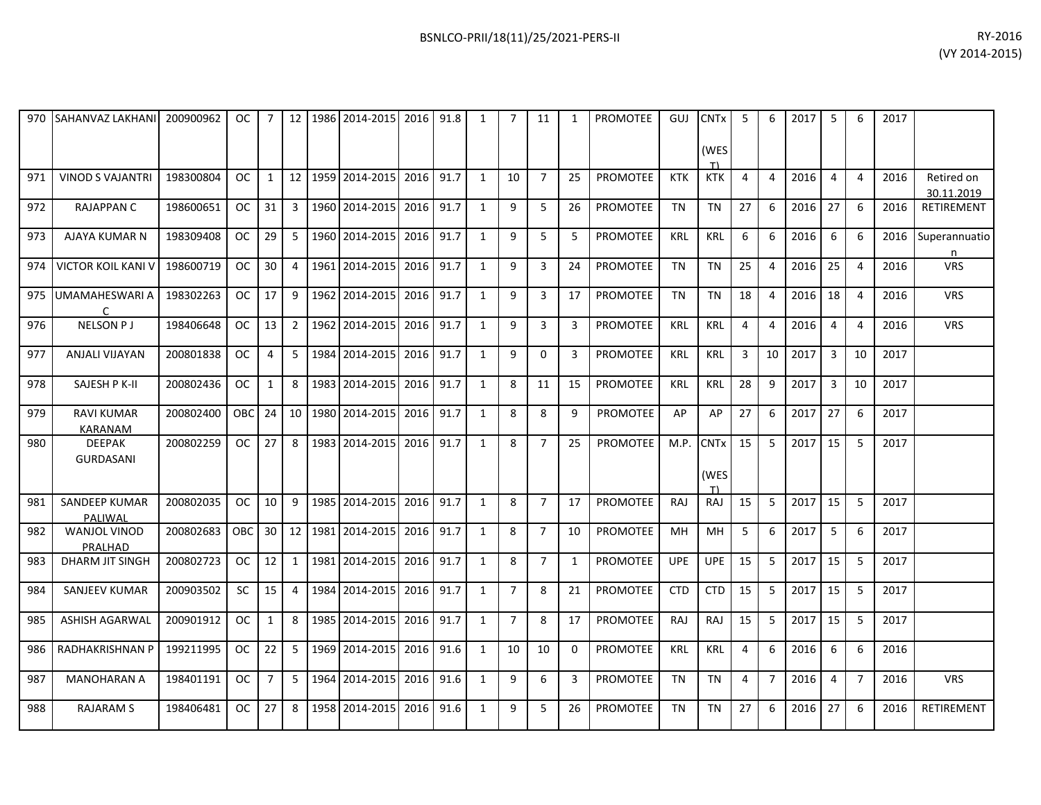| RY-2016        |
|----------------|
| (VY 2014-2015) |

| 970 | <b>SAHANVAZ LAKHANI</b>             | 200900962 | OC.        | $7^{\circ}$     |                 |      | 12   1986   2014-2015   2016   91.8 |      |      | $\mathbf{1}$ | $\overline{7}$ | 11             | $\mathbf{1}$ | <b>PROMOTEE</b> | GUJ        | <b>CNT<sub>x</sub></b><br>(WES<br>T) | 5              | 6              | 2017 | 5              | 6              | 2017 |                          |
|-----|-------------------------------------|-----------|------------|-----------------|-----------------|------|-------------------------------------|------|------|--------------|----------------|----------------|--------------|-----------------|------------|--------------------------------------|----------------|----------------|------|----------------|----------------|------|--------------------------|
| 971 | <b>VINOD S VAJANTRI</b>             | 198300804 | OC.        | $\mathbf{1}$    |                 |      | 12   1959   2014-2015   2016        |      | 91.7 | 1            | 10             | $\overline{7}$ | 25           | <b>PROMOTEE</b> | <b>KTK</b> | <b>KTK</b>                           | 4              | $\overline{4}$ | 2016 | $\overline{4}$ | $\overline{4}$ | 2016 | Retired on<br>30.11.2019 |
| 972 | <b>RAJAPPAN C</b>                   | 198600651 | <b>OC</b>  | 31              | 3               |      | 1960 2014-2015 2016                 |      | 91.7 | $\mathbf{1}$ | 9              | 5              | 26           | <b>PROMOTEE</b> | <b>TN</b>  | <b>TN</b>                            | 27             | 6              | 2016 | 27             | 6              | 2016 | RETIREMENT               |
| 973 | AJAYA KUMAR N                       | 198309408 | <b>OC</b>  | 29              | 5               |      | 1960 2014-2015                      | 2016 | 91.7 | $\mathbf{1}$ | 9              | 5              | 5            | <b>PROMOTEE</b> | <b>KRL</b> | <b>KRL</b>                           | 6              | 6              | 2016 | 6              | 6              | 2016 | Superannuatio<br>n       |
| 974 | <b>VICTOR KOIL KANI V</b>           | 198600719 | <b>OC</b>  | 30              | 4               |      | 1961 2014-2015                      | 2016 | 91.7 | $\mathbf{1}$ | $\mathbf{q}$   | $\overline{3}$ | 24           | <b>PROMOTEE</b> | <b>TN</b>  | <b>TN</b>                            | 25             | $\overline{4}$ | 2016 | 25             | $\overline{4}$ | 2016 | <b>VRS</b>               |
| 975 | <b>UMAMAHESWARI A</b><br>C          | 198302263 | <b>OC</b>  | 17              | 9               | 1962 | 2014-2015                           | 2016 | 91.7 | $\mathbf{1}$ | 9              | 3              | 17           | PROMOTEE        | <b>TN</b>  | <b>TN</b>                            | 18             | $\overline{4}$ | 2016 | 18             | $\overline{4}$ | 2016 | <b>VRS</b>               |
| 976 | <b>NELSON PJ</b>                    | 198406648 | OC.        | 13              | $\overline{2}$  |      | 1962 2014-2015 2016                 |      | 91.7 | $\mathbf{1}$ | 9              | 3              | 3            | <b>PROMOTEE</b> | <b>KRL</b> | <b>KRL</b>                           | $\overline{4}$ | $\overline{4}$ | 2016 | $\overline{4}$ | $\overline{a}$ | 2016 | <b>VRS</b>               |
| 977 | <b>ANJALI VIJAYAN</b>               | 200801838 | <b>OC</b>  | 4               | 5               | 1984 | 2014-2015                           | 2016 | 91.7 | $\mathbf{1}$ | 9              | $\Omega$       | 3            | <b>PROMOTEE</b> | <b>KRL</b> | <b>KRL</b>                           | $\overline{3}$ | 10             | 2017 | $\overline{3}$ | 10             | 2017 |                          |
| 978 | SAJESH P K-II                       | 200802436 | OC         | $\mathbf{1}$    | 8               |      | 1983 2014-2015 2016                 |      | 91.7 | 1            | 8              | 11             | 15           | <b>PROMOTEE</b> | <b>KRL</b> | <b>KRL</b>                           | 28             | 9              | 2017 | $\overline{3}$ | 10             | 2017 |                          |
| 979 | <b>RAVI KUMAR</b><br><b>KARANAM</b> | 200802400 | <b>OBC</b> | 24              | 10 <sup>1</sup> | 1980 | 2014-2015                           | 2016 | 91.7 | $\mathbf{1}$ | 8              | 8              | 9            | <b>PROMOTEE</b> | AP         | AP                                   | 27             | 6              | 2017 | 27             | 6              | 2017 |                          |
| 980 | <b>DEEPAK</b><br><b>GURDASANI</b>   | 200802259 | <b>OC</b>  | 27              | 8               |      | 1983 2014-2015 2016                 |      | 91.7 | $\mathbf{1}$ | 8              | $\overline{7}$ | 25           | PROMOTEE        | M.P.       | <b>CNTx</b><br>(WES<br>T             | 15             | 5              | 2017 | 15             | 5              | 2017 |                          |
| 981 | <b>SANDEEP KUMAR</b><br>PALIWAL     | 200802035 | OC.        | 10              | 9               |      | 1985 2014-2015                      | 2016 | 91.7 | $\mathbf{1}$ | 8              | $\overline{7}$ | 17           | <b>PROMOTEE</b> | RAJ        | RAJ                                  | 15             | 5              | 2017 | 15             | 5              | 2017 |                          |
| 982 | WANJOL VINOD<br>PRALHAD             | 200802683 | OBC        | 30 <sup>1</sup> | 12              |      | 1981 2014-2015 2016                 |      | 91.7 | $\mathbf{1}$ | 8              | $\overline{7}$ | 10           | PROMOTEE        | MH         | MH                                   | 5              | 6              | 2017 | 5              | 6              | 2017 |                          |
| 983 | DHARM JIT SINGH                     | 200802723 | OC.        | 12              | $\mathbf{1}$    |      | 1981 2014-2015                      | 2016 | 91.7 | $\mathbf{1}$ | 8              | $7^{\circ}$    | $\mathbf{1}$ | <b>PROMOTEE</b> | <b>UPE</b> | <b>UPE</b>                           | 15             | 5              | 2017 | 15             | 5              | 2017 |                          |
| 984 | <b>SANJEEV KUMAR</b>                | 200903502 | <b>SC</b>  | 15              | 4               |      | 1984 2014-2015 2016                 |      | 91.7 | $\mathbf{1}$ | $\overline{7}$ | 8              | 21           | <b>PROMOTEE</b> | <b>CTD</b> | <b>CTD</b>                           | 15             | 5              | 2017 | 15             | 5              | 2017 |                          |
| 985 | <b>ASHISH AGARWAL</b>               | 200901912 | OC.        | $\mathbf{1}$    | 8               | 1985 | 2014-2015                           | 2016 | 91.7 | 1            | $\overline{7}$ | 8              | 17           | PROMOTEE        | RAJ        | RAJ                                  | 15             | 5              | 2017 | 15             | -5             | 2017 |                          |
| 986 | RADHAKRISHNAN P                     | 199211995 | <b>OC</b>  | 22              | 5               |      | 1969 2014-2015                      | 2016 | 91.6 | $\mathbf{1}$ | 10             | 10             | $\mathbf{0}$ | <b>PROMOTEE</b> | <b>KRL</b> | <b>KRL</b>                           | $\overline{4}$ | 6              | 2016 | 6              | 6              | 2016 |                          |
| 987 | <b>MANOHARAN A</b>                  | 198401191 | <b>OC</b>  | $\overline{7}$  | 5               |      | 1964 2014-2015                      | 2016 | 91.6 | $\mathbf{1}$ | 9              | 6              | 3            | <b>PROMOTEE</b> | <b>TN</b>  | <b>TN</b>                            | $\overline{4}$ | $\overline{7}$ | 2016 | $\overline{4}$ | $\overline{7}$ | 2016 | <b>VRS</b>               |
| 988 | <b>RAJARAM S</b>                    | 198406481 | <b>OC</b>  | 27              | 8               | 1958 | 2014-2015                           | 2016 | 91.6 | $\mathbf{1}$ | 9              | 5              | 26           | <b>PROMOTEE</b> | <b>TN</b>  | <b>TN</b>                            | 27             | 6              | 2016 | 27             | 6              | 2016 | RETIREMENT               |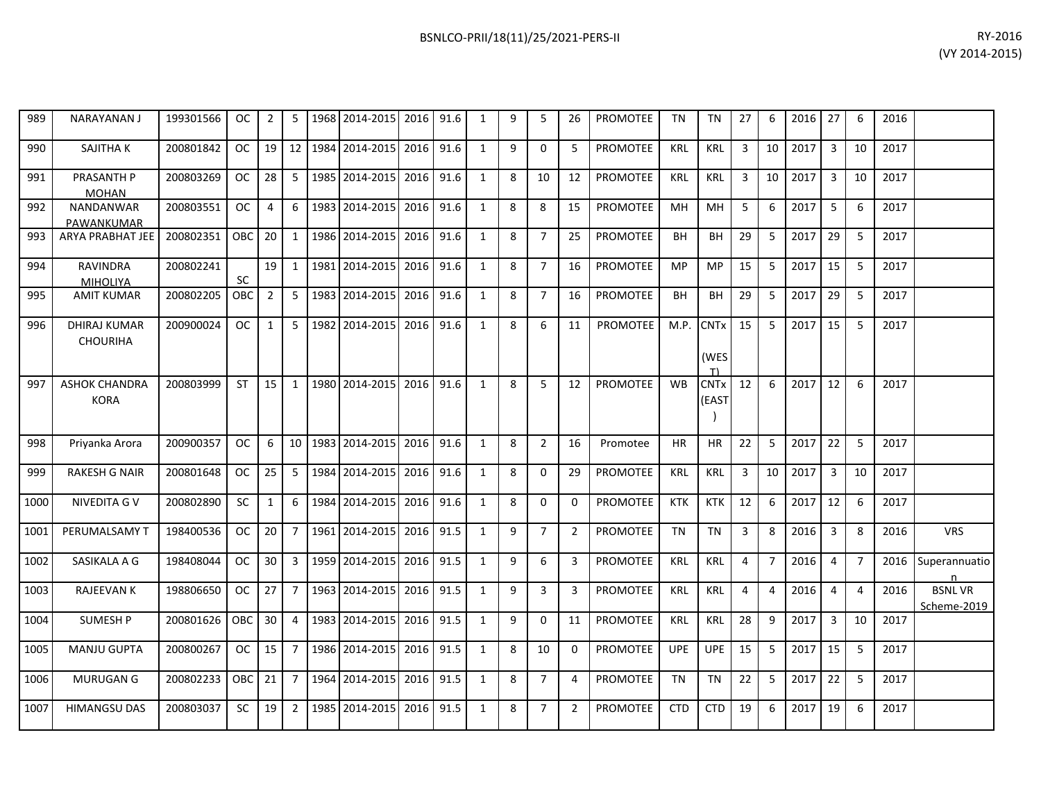| RY-2016        |
|----------------|
| (VY 2014-2015) |

| 989  | <b>NARAYANANJ</b>                      | 199301566 | <b>OC</b> | $\overline{2}$ | 5               | 1968 | 2014-2015 | 2016 | 91.6 | $\mathbf{1}$ | 9 | 5              | 26             | <b>PROMOTEE</b> | <b>TN</b>  | <b>TN</b>                | 27             | 6              | 2016 | 27             | 6              | 2016 |                              |
|------|----------------------------------------|-----------|-----------|----------------|-----------------|------|-----------|------|------|--------------|---|----------------|----------------|-----------------|------------|--------------------------|----------------|----------------|------|----------------|----------------|------|------------------------------|
| 990  | SAJITHA K                              | 200801842 | OC.       | 19             | 12              | 1984 | 2014-2015 | 2016 | 91.6 | $\mathbf{1}$ | 9 | $\mathbf 0$    | 5              | <b>PROMOTEE</b> | <b>KRL</b> | <b>KRL</b>               | 3              | 10             | 2017 | $\overline{3}$ | 10             | 2017 |                              |
| 991  | PRASANTH P<br><b>MOHAN</b>             | 200803269 | <b>OC</b> | 28             | -5              | 1985 | 2014-2015 | 2016 | 91.6 | $\mathbf{1}$ | 8 | 10             | 12             | <b>PROMOTEE</b> | <b>KRL</b> | <b>KRL</b>               | 3              | 10             | 2017 | $\overline{3}$ | 10             | 2017 |                              |
| 992  | NANDANWAR<br>PAWANKUMAR                | 200803551 | <b>OC</b> | 4              | 6               | 1983 | 2014-2015 | 2016 | 91.6 | $\mathbf{1}$ | 8 | 8              | 15             | PROMOTEE        | MH         | MH                       | 5              | 6              | 2017 | 5              | 6              | 2017 |                              |
| 993  | <b>ARYA PRABHAT JEE</b>                | 200802351 | OBC       | 20             | 1               | 1986 | 2014-2015 | 2016 | 91.6 | $\mathbf{1}$ | 8 | $\overline{7}$ | 25             | <b>PROMOTEE</b> | <b>BH</b>  | <b>BH</b>                | 29             | 5              | 2017 | 29             | 5              | 2017 |                              |
| 994  | <b>RAVINDRA</b><br>MIHOLIYA            | 200802241 | <b>SC</b> | 19             | 1               | 1981 | 2014-2015 | 2016 | 91.6 | 1            | 8 | $\overline{7}$ | 16             | PROMOTEE        | MP         | <b>MP</b>                | 15             | 5              | 2017 | 15             | 5              | 2017 |                              |
| 995  | <b>AMIT KUMAR</b>                      | 200802205 | OBC       | $2^{\circ}$    | 5               | 1983 | 2014-2015 | 2016 | 91.6 | $\mathbf{1}$ | 8 | $\overline{7}$ | 16             | <b>PROMOTEE</b> | <b>BH</b>  | <b>BH</b>                | 29             | 5              | 2017 | 29             | 5              | 2017 |                              |
| 996  | <b>DHIRAJ KUMAR</b><br><b>CHOURIHA</b> | 200900024 | <b>OC</b> | $\mathbf{1}$   | 5               | 1982 | 2014-2015 | 2016 | 91.6 | $\mathbf{1}$ | 8 | 6              | 11             | PROMOTEE        | M.P.       | <b>CNTx</b><br>(WES<br>T | 15             | 5              | 2017 | 15             | 5              | 2017 |                              |
| 997  | <b>ASHOK CHANDRA</b><br><b>KORA</b>    | 200803999 | <b>ST</b> | 15             | 1               | 1980 | 2014-2015 | 2016 | 91.6 | $\mathbf{1}$ | 8 | 5              | 12             | <b>PROMOTEE</b> | <b>WB</b>  | <b>CNTx</b><br>(EAST     | 12             | 6              | 2017 | 12             | 6              | 2017 |                              |
| 998  | Priyanka Arora                         | 200900357 | <b>OC</b> | 6              | 10 <sup>1</sup> | 1983 | 2014-2015 | 2016 | 91.6 | $\mathbf{1}$ | 8 | $\overline{2}$ | 16             | Promotee        | <b>HR</b>  | <b>HR</b>                | 22             | 5              | 2017 | 22             | 5              | 2017 |                              |
| 999  | <b>RAKESH G NAIR</b>                   | 200801648 | <b>OC</b> | 25             | 5               | 1984 | 2014-2015 | 2016 | 91.6 | $\mathbf{1}$ | 8 | $\Omega$       | 29             | <b>PROMOTEE</b> | <b>KRL</b> | KRL                      | $\overline{3}$ | 10             | 2017 | $\overline{3}$ | 10             | 2017 |                              |
| 1000 | NIVEDITA G V                           | 200802890 | <b>SC</b> | $\mathbf{1}$   | 6               | 1984 | 2014-2015 | 2016 | 91.6 | $\mathbf{1}$ | 8 | 0              | 0              | <b>PROMOTEE</b> | <b>KTK</b> | <b>KTK</b>               | 12             | 6              | 2017 | 12             | 6              | 2017 |                              |
| 1001 | PERUMALSAMY T                          | 198400536 | <b>OC</b> | 20             | $\overline{7}$  | 1961 | 2014-2015 | 2016 | 91.5 | $\mathbf{1}$ | 9 | $\overline{7}$ | $\overline{2}$ | <b>PROMOTEE</b> | <b>TN</b>  | <b>TN</b>                | 3              | 8              | 2016 | 3              | 8              | 2016 | <b>VRS</b>                   |
| 1002 | SASIKALA A G                           | 198408044 | OC.       | 30             | $\overline{3}$  | 1959 | 2014-2015 | 2016 | 91.5 | $\mathbf{1}$ | 9 | 6              | 3              | <b>PROMOTEE</b> | <b>KRL</b> | <b>KRL</b>               | $\overline{4}$ | $\overline{7}$ | 2016 | 4              | $\overline{7}$ | 2016 | Superannuatio<br>n           |
| 1003 | <b>RAJEEVAN K</b>                      | 198806650 | <b>OC</b> | 27             | $\overline{7}$  | 1963 | 2014-2015 | 2016 | 91.5 | $\mathbf{1}$ | 9 | 3              | 3              | <b>PROMOTEE</b> | <b>KRL</b> | <b>KRL</b>               | $\overline{4}$ | $\overline{4}$ | 2016 | $\overline{4}$ | $\overline{4}$ | 2016 | <b>BSNLVR</b><br>Scheme-2019 |
| 1004 | <b>SUMESH P</b>                        | 200801626 | OBC       | 30             | 4               | 1983 | 2014-2015 | 2016 | 91.5 | $\mathbf{1}$ | 9 | $\mathbf 0$    | 11             | <b>PROMOTEE</b> | <b>KRL</b> | <b>KRL</b>               | 28             | 9              | 2017 | $\overline{3}$ | 10             | 2017 |                              |
| 1005 | <b>MANJU GUPTA</b>                     | 200800267 | OC.       | 15             | $\overline{7}$  | 1986 | 2014-2015 | 2016 | 91.5 | $\mathbf{1}$ | 8 | 10             | $\mathbf{0}$   | <b>PROMOTEE</b> | <b>UPE</b> | <b>UPE</b>               | 15             | 5              | 2017 | 15             | 5              | 2017 |                              |
| 1006 | <b>MURUGAN G</b>                       | 200802233 | OBC       | 21             | $\overline{7}$  | 1964 | 2014-2015 | 2016 | 91.5 | $\mathbf{1}$ | 8 | $\overline{7}$ | 4              | PROMOTEE        | <b>TN</b>  | <b>TN</b>                | 22             | 5              | 2017 | 22             | 5              | 2017 |                              |
| 1007 | <b>HIMANGSU DAS</b>                    | 200803037 | <b>SC</b> | 19             | 2               | 1985 | 2014-2015 | 2016 | 91.5 | 1            | 8 | $\overline{7}$ | 2              | <b>PROMOTEE</b> | <b>CTD</b> | <b>CTD</b>               | 19             | 6              | 2017 | 19             | 6              | 2017 |                              |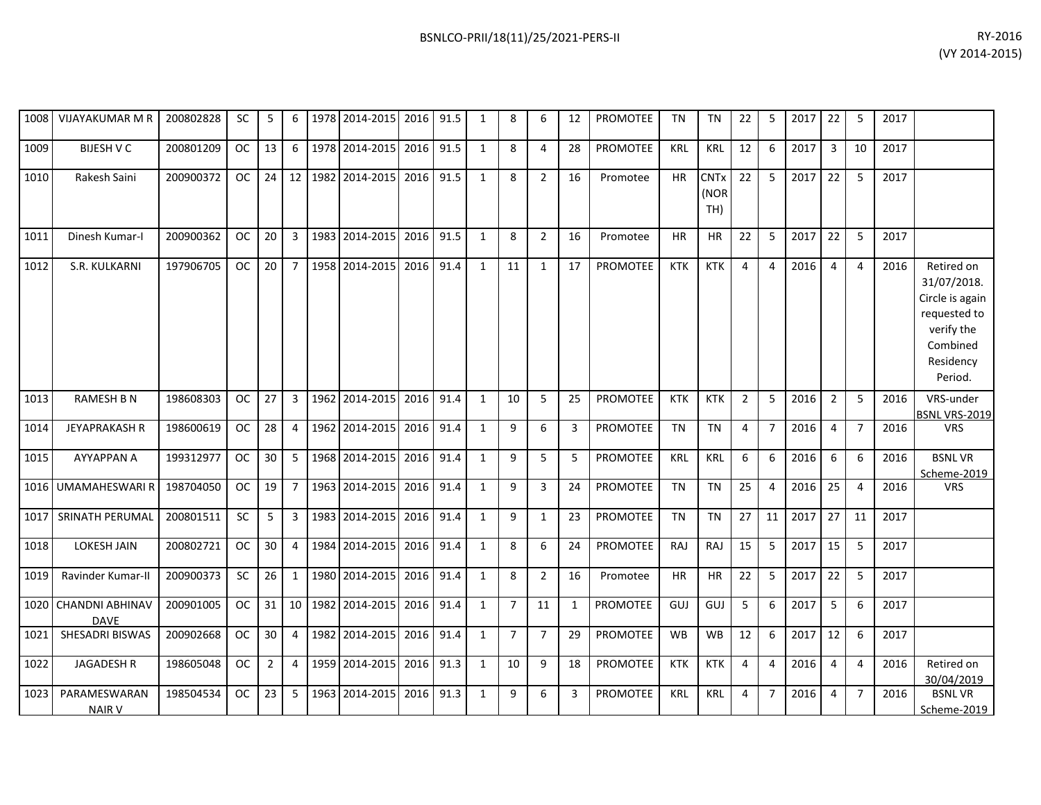|      | 1008 VIJAYAKUMAR M R                | 200802828 | SC.                 | 5               | 6              |      | 1978 2014-2015 2016 91.5 |      |      | 1            | 8              | 6              | 12           | <b>PROMOTEE</b> | TN         | TN                         | 22             | 5              | $2017$ 22 |                | 5              | 2017 |                                                                                                                |
|------|-------------------------------------|-----------|---------------------|-----------------|----------------|------|--------------------------|------|------|--------------|----------------|----------------|--------------|-----------------|------------|----------------------------|----------------|----------------|-----------|----------------|----------------|------|----------------------------------------------------------------------------------------------------------------|
| 1009 | <b>BIJESH V C</b>                   | 200801209 | OC                  | 13              | 6              |      | 1978 2014-2015           | 2016 | 91.5 | $\mathbf{1}$ | 8              | 4              | 28           | <b>PROMOTEE</b> | <b>KRL</b> | <b>KRL</b>                 | 12             | 6              | 2017      | 3              | 10             | 2017 |                                                                                                                |
| 1010 | Rakesh Saini                        | 200900372 | oc I                | 24              | 12             |      | 1982 2014-2015 2016      |      | 91.5 | $\mathbf{1}$ | 8              | $\overline{2}$ | 16           | Promotee        | <b>HR</b>  | <b>CNTx</b><br>(NOR<br>TH) | 22             | 5              | 2017      | 22             | 5              | 2017 |                                                                                                                |
| 1011 | Dinesh Kumar-I                      | 200900362 | OC                  | 20              | 3              | 1983 | 2014-2015                | 2016 | 91.5 | 1            | 8              | $\overline{2}$ | 16           | Promotee        | <b>HR</b>  | <b>HR</b>                  | 22             | 5              | 2017      | 22             | 5              | 2017 |                                                                                                                |
| 1012 | S.R. KULKARNI                       | 197906705 | oc <sub>1</sub>     | 20 <sup>1</sup> | $\overline{7}$ |      | 1958 2014-2015 2016      |      | 91.4 | $\mathbf{1}$ | 11             | $\mathbf{1}$   | 17           | PROMOTEE        | <b>KTK</b> | <b>KTK</b>                 | 4              | $\overline{4}$ | 2016      | $\overline{4}$ | $\overline{4}$ | 2016 | Retired on<br>31/07/2018.<br>Circle is again<br>requested to<br>verify the<br>Combined<br>Residency<br>Period. |
| 1013 | <b>RAMESH B N</b>                   | 198608303 | OC                  | 27              | 3              | 1962 | 2014-2015 2016           |      | 91.4 | $\mathbf{1}$ | 10             | 5              | 25           | PROMOTEE        | <b>KTK</b> | <b>KTK</b>                 | $\overline{2}$ | 5              | 2016      | $\overline{2}$ | 5              | 2016 | VRS-under<br>BSNL VRS-2019                                                                                     |
| 1014 | <b>JEYAPRAKASH R</b>                | 198600619 | OC                  | 28              | $\overline{4}$ | 1962 | 2014-2015 2016           |      | 91.4 | $\mathbf{1}$ | 9              | 6              | 3            | PROMOTEE        | <b>TN</b>  | <b>TN</b>                  | 4              | $\overline{7}$ | 2016      | $\overline{4}$ | $\overline{7}$ | 2016 | <b>VRS</b>                                                                                                     |
| 1015 | <b>AYYAPPAN A</b>                   | 199312977 | OC.                 | 30 <sup>1</sup> | -5             |      | 1968 2014-2015           | 2016 | 91.4 | $\mathbf{1}$ | 9              | 5              | 5            | <b>PROMOTEE</b> | <b>KRL</b> | <b>KRL</b>                 | 6              | 6              | 2016      | 6              | 6              | 2016 | <b>BSNLVR</b><br>Scheme-2019                                                                                   |
|      | 1016 UMAMAHESWARI R                 | 198704050 | OC                  | 19              | $\overline{7}$ | 1963 | 2014-2015                | 2016 | 91.4 | $\mathbf{1}$ | 9              | 3              | 24           | PROMOTEE        | TN         | <b>TN</b>                  | 25             | 4              | 2016      | 25             | 4              | 2016 | <b>VRS</b>                                                                                                     |
| 1017 | SRINATH PERUMAL                     | 200801511 | <b>SC</b>           | 5               | $\overline{3}$ |      | 1983 2014-2015 2016      |      | 91.4 | $\mathbf{1}$ | 9              | $\mathbf{1}$   | 23           | <b>PROMOTEE</b> | <b>TN</b>  | <b>TN</b>                  | 27             | 11             | 2017      | 27             | 11             | 2017 |                                                                                                                |
| 1018 | LOKESH JAIN                         | 200802721 | OC.                 | 30 <sup>1</sup> | $\overline{4}$ |      | 1984 2014-2015 2016      |      | 91.4 | $\mathbf{1}$ | 8              | 6              | 24           | <b>PROMOTEE</b> | <b>RAJ</b> | RAJ                        | 15             | 5              | 2017      | 15             | 5              | 2017 |                                                                                                                |
| 1019 | Ravinder Kumar-II                   | 200900373 | <b>SC</b>           | 26              | $\mathbf{1}$   |      | 1980 2014-2015 2016      |      | 91.4 | $\mathbf{1}$ | 8              | $\overline{2}$ | 16           | Promotee        | <b>HR</b>  | <b>HR</b>                  | 22             | 5              | 2017      | 22             | 5              | 2017 |                                                                                                                |
|      | 1020 CHANDNI ABHINAV<br><b>DAVE</b> | 200901005 | $OC$ $\blacksquare$ | 31              | 10             | 1982 | 2014-2015 2016           |      | 91.4 | $\mathbf{1}$ | $\overline{7}$ | 11             | $\mathbf{1}$ | PROMOTEE        | GUJ        | GUJ                        | 5              | 6              | 2017      | 5              | 6              | 2017 |                                                                                                                |
| 1021 | SHESADRI BISWAS                     | 200902668 | <b>OC</b>           | 30 <sup>1</sup> | $\overline{4}$ |      | 1982 2014-2015 2016      |      | 91.4 | $\mathbf{1}$ | $\overline{7}$ | $\overline{7}$ | 29           | PROMOTEE        | <b>WB</b>  | <b>WB</b>                  | 12             | 6              | 2017      | 12             | 6              | 2017 |                                                                                                                |
| 1022 | <b>JAGADESH R</b>                   | 198605048 | OC                  | 2               | 4              | 1959 | 2014-2015 2016           |      | 91.3 | $\mathbf{1}$ | 10             | 9              | 18           | PROMOTEE        | <b>KTK</b> | <b>KTK</b>                 | 4              | 4              | 2016      | 4              | 4              | 2016 | Retired on<br>30/04/2019                                                                                       |
| 1023 | PARAMESWARAN<br><b>NAIR V</b>       | 198504534 | OC                  | 23              | 5              |      | 1963 2014-2015 2016      |      | 91.3 | $\mathbf{1}$ | 9              | 6              | 3            | PROMOTEE        | <b>KRL</b> | <b>KRL</b>                 | $\overline{4}$ | $\overline{7}$ | 2016      | 4              | $\overline{7}$ | 2016 | <b>BSNLVR</b><br>Scheme-2019                                                                                   |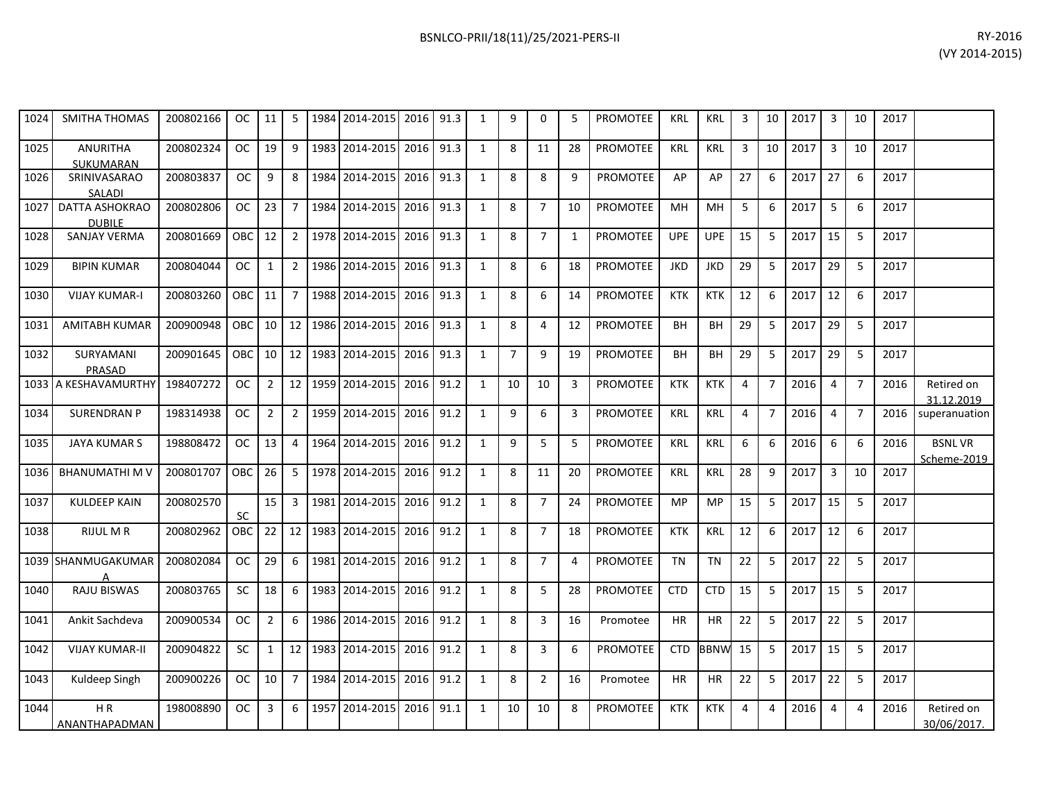| 1024 | <b>SMITHA THOMAS</b>            | 200802166 | OC .          | 11              | 5 <sub>1</sub>  | 1984 2014-2015 2016 |      | 91.3 | 9 | $\Omega$       |    | <b>PROMOTEE</b> | <b>KRL</b> | <b>KRL</b> | 3  | 10 | 2017 | 3  | 10 | 2017 |  |
|------|---------------------------------|-----------|---------------|-----------------|-----------------|---------------------|------|------|---|----------------|----|-----------------|------------|------------|----|----|------|----|----|------|--|
| 1025 | <b>ANURITHA</b><br>SUKUMARAN    | 200802324 | OC.           | 19              | 9               | 1983 2014-2015      | 2016 | 91.3 | 8 | 11             | 28 | <b>PROMOTEE</b> | <b>KRL</b> | KRL        | 3  | 10 | 2017 |    | 10 | 2017 |  |
| 1026 | <b>SRINIVASARAO</b><br>SALADI   | 200803837 | <b>OC</b>     | 9               | 8               | 1984 2014-2015      | 2016 | 91.3 | 8 | 8              | q  | <b>PROMOTEE</b> | AP         | AP         | 27 | 6  | 2017 | 27 | 6  | 2017 |  |
| 1027 | DATTA ASHOKRAO<br><b>DUBILE</b> | 200802806 | <b>OC</b>     | 23              | $\overline{7}$  | 1984 2014-2015      | 2016 | 91.3 | 8 | $\overline{7}$ | 10 | <b>PROMOTEE</b> | MH         | MH         | 5  | 6  | 2017 |    | 6  | 2017 |  |
| 1028 | SANJAY VERMA                    | 200801669 | OBC           | 12              | $\overline{2}$  | 1978 2014-2015      | 2016 | 91.3 | 8 |                |    | <b>PROMOTEE</b> | <b>UPE</b> | <b>UPE</b> | 15 |    | 2017 | 15 |    | 2017 |  |
| 1029 | <b>BIPIN KUMAR</b>              | 200804044 | <sub>OC</sub> |                 | 2               | 1986 2014-2015      | 2016 | 91.3 | 8 | 6              | 18 | <b>PROMOTEE</b> | <b>JKD</b> | <b>JKD</b> | 29 | 5  | 2017 | 29 |    | 2017 |  |
| 1030 | <b>VIJAY KUMAR-I</b>            | 200803260 | OBC           | 11              | $\overline{7}$  | 1988 2014-2015      | 2016 | 91.3 | 8 | 6              | 14 | <b>PROMOTEE</b> | <b>KTK</b> | <b>KTK</b> | 12 | 6  | 2017 | 12 | 6  | 2017 |  |
| 1031 | <b>AMITABH KUMAR</b>            | 200900948 | OBC           | 10 <sup>1</sup> | 12 <sup>2</sup> | 1986 2014-2015      | 2016 | 91.3 | 8 | 4              | 12 | <b>PROMOTEE</b> | <b>BH</b>  | <b>BH</b>  | 29 |    | 2017 | 29 |    | 2017 |  |
| 1032 | SURYAMANI                       | 200901645 | OBC           | 10 <sup>1</sup> | 12 <sub>1</sub> | 1983 2014-2015      | 2016 | 91.3 |   | 9              | 19 | <b>PROMOTEE</b> | <b>BH</b>  | <b>BH</b>  | 29 |    | 2017 | 29 |    | 2017 |  |

1033 A KESHAVAMURTHY 198407272 OC 2 12 12959 2014-2015 2016 91.2 1 10 10 3 PROMOTEE KTK KTK 4 7 2016 4 7 2016 Retired on

1034 SURENDRAN P | 198314938 | OC | 2 | 2 | 1959 2014-2015 | 2016 | 91.2 | 1 | 9 | 6 | 3 | PROMOTEE | KRL | KRL | 4 | 7 | 2016 | 4 | 7 | 2016 | superanuation

200802084 | OC | 29 | 6 | 1981 | 2014-2015 | 2016 | 91.2 | 1 | 8 | 7 | 4 | PROMOTEE | TN | TN | 22 | 5 | 2017 | 22 | 5 | 2017

15 3 1981 2014-2015 2016 91.2 1 8 7 24 PROMOTEE MP MP 15 5 2017 15 5 2017

198008890 | OC | 3 | 6 |1957|2014-2015|2016|91.1 | 1 | 10 | 10 | 8 |PROMOTEE | KTK | KTK | 4 | 4 | 2016 | 4 | 4 | 2016 | Retired on

1035| JAYA KUMAR S |198808472 | OC | 13 | 4 |1964|2014-2015|2016|91.2 | 1 | 9 | 5 | 5 | PROMOTEE | KRL | KRL | KRL | 6 | 6 | 2016 | 6 | 6 | 2016 | BSNL VR

1036 BHANUMATHI M V 200801707 OBC 26 5 1978 2014-2015 2016 91.2 1 8 11 20 PROMOTEE KRL KRL 28 9 2017 3 10 2017

1038| RIJUL M R | 200802962 | OBC | 22 | 12 | 1983|2014-2015| 2016 | 91.2 | 1 | 8 | 7 | 18 | PROMOTEE | KTK | KRL | 12 | 6 | 2017 | 12 | 6 | 2017

1040| RAJU BISWAS |200803765|SC |18|6 |1983|2014-2015|2016|91.2| 1 | 8 | 5 | 28 |PROMOTEE | CTD | CTD | 15 | 5 |2017|15| 5 |2017

1041 Ankit Sachdeva | 200900534 | OC | 2 | 6 | 1986 | 2014-2015 | 2016 | 91.2 | 1 | 8 | 3 | 16 | Promotee | HR | HR | 22 | 5 | 2017 | 22 | 5 | 2017

1042 VIJAY KUMAR-II 200904822 SC 1 12 1983 2014-2015 2016 91.2 1 8 3 6 PROMOTEE CTD BBNW 15 5 2017 15 5 2017

1043 | Kuldeep Singh | 200900226 | OC | 10 | 7 | 1984 | 2014-2015 | 2016 | 91.2 | 11 | 8 | 2 | 16 | Promotee | HR | HR | 22 | 5 | 2017 | 22 | 5 | 2017

PRASAD

1037 KULDEEP KAIN 200802570

1039 SHANMUGAKUMAR

1044 H R

A<br>RAJU BISWAS

ANANTHAPADMAN

SC

31.12.2019

Scheme-2019

30/06/2017.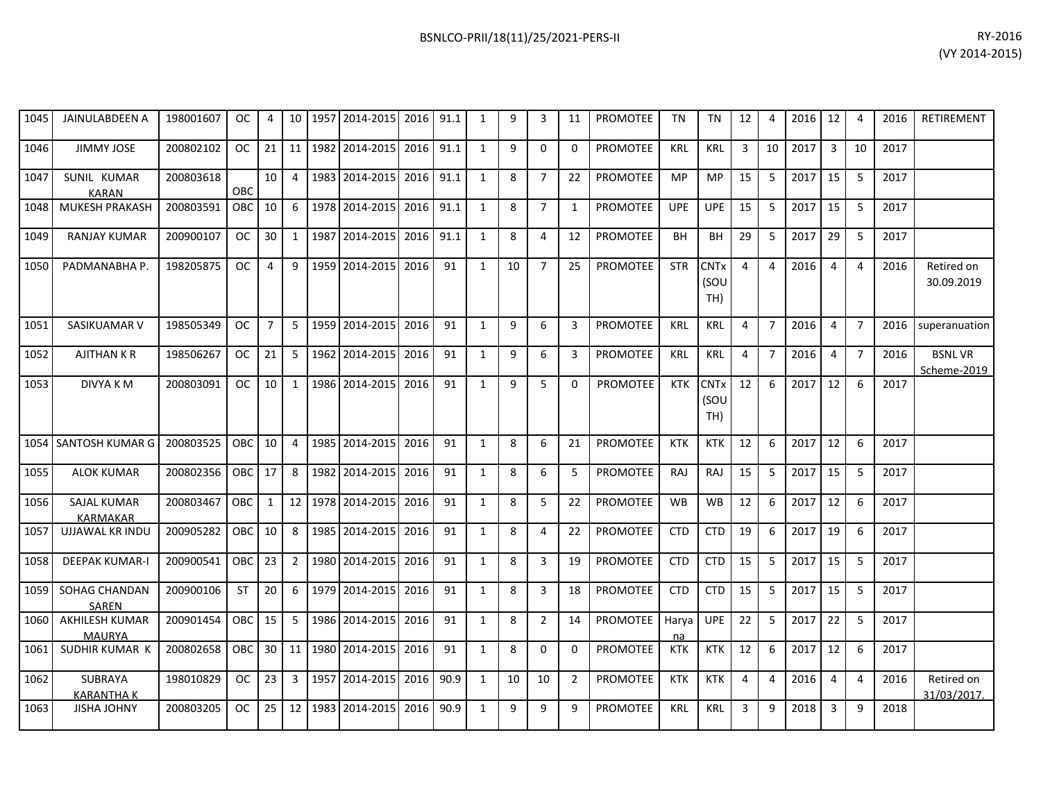## 1045 JAINULABDEEN A 198001607 OC 4 10 1957 2014-2015 2016 91.1 1 9 3 11 PROMOTEE TN TN 12 4 2016 12 4 2016 RETIREMENT 1046| JIMMY JOSE | 200802102 | OC | 21 | 11 | 1982| 2014-2015| 2016 | 91.1 | 1 | 9 | 0 | PROMOTEE | KRL | KRL | 3 | 10 | 2017 | 3 | 10 | 2017 1047 SUNIL KUMAR KARAN<br>MUKESH PRAKASH 200803618 OBC 10 4 1983 2014-2015 2016 91.1 1 8 7 22 PROMOTEE MP MP 15 5 2017 15 5 2017 1048 MUKESH PRAKASH 200803591 OBC 10 6 1978 2014-2015 2016 91.1 1 8 7 1 PROMOTEE UPE UPE 15 5 2017 15 5 2017 1049 RANJAY KUMAR 200900107 OC 30 1 1987 2014-2015 2016 91.1 1 8 4 12 PROMOTEE BH BH 29 5 2017 29 5 2017 1050| PADMANABHA P. | 198205875 | OC | 4 | 9 |1959|2014-2015| 2016| 91 | 1 | 10 | 7 | 25 |PROMOTEE | STR |CNTx (SOU TH) 4 4 2016 4 4 2016 Retired on 30.09.2019 1051 SASIKUAMAR V 198505349 OC 7 5 1959 2014-2015 2016 91 1 9 6 3 PROMOTEE KRL KRL 4 7 2016 4 7 2016 superanuation 1052 | AJITHAN K R | 198506267 | OC | 21 | 5 | 1962 | 2014-2015 | 2016 | 91 | 1 | 9 | 6 | 3 | PROMOTEE | KRL | KRL | 4 | 7 | 2016 | 4 | 7 | 2016 | BSNL VR Scheme-2019 1053 | DIVYA K M | 200803091 | OC | 10 | 1 |1986 |2014-2015 | 2016 | 91 | 1 | 9 | 5 | 0 | PROMOTEE | KTK |CNTx (SOU TH) 12 6 2017 12 6 2017 1054|SANTOSH KUMAR G|200803525|OBC|10| 4 |1985|2014-2015|2016| 91 | 1 | 8 | 6 | 21 |PROMOTEE | KTK | KTK | 12 | 6 |2017|12| 6 |2017 1055 ALOK KUMAR 200802356 OBC 17 8 1982 2014-2015 2016 91 1 8 6 5 PROMOTEE RAJ RAJ 15 5 2017 15 5 2017 1056 SAJAL KUMAR KARMAKAR<br>UJJAWAL KR INDU 200803467 | OBC | 1 | 12 | 1978 | 2014-2015 | 2016 | 91 | 1 | 8 | 5 | 22 | PROMOTEE | WB | WB | 12 | 6 | 2017 | 12 | 6 | 2017 1057 UJJAWAL KR INDU 200905282 OBC 10 8 1985 2014-2015 2016 91 1 8 4 22 PROMOTEE CTD CTD 19 6 2017 19 6 2017 1058 DEEPAK KUMAR-I 200900541 OBC 23 2 1980 2014-2015 2016 91 1 8 3 19 PROMOTEE CTD CTD 15 5 2017 15 5 2017 1059 SOHAG CHANDAN SAREN 200900106 | ST | 20 | 6 | 1979 | 2014-2015 | 2016 | 91 | 1 | 8 | 3 | 18 | PROMOTEE | CTD | CTD | 15 | 5 | 2017 | 15 | 5 | 2017 1060 AKHILESH KUMAR 200901454 OBC 15 5 1986 2014-2015 2016 91 1 1 8 2 14 PROMOTEE Harva UPE 22 5 2017 22 5 2017

1061| SUDHIR KUMAR K | 200802658 | OBC | 30 | 11 | 1980 | 2014-2015| 2016 | 91 | 1 | 8 | 0 | 0 | PROMOTEE | KTK | KTK | 12 | 6 | 2017 | 12 | 6 | 2017

1063| JISHA JOHNY | 200803205 | OC | 25 | 12 | 1983| 2014-2015| 2016 | 90.9 | 1 | 9 | 9 | PROMOTEE | KRL | KRL | 3 | 9 | 2018 | 3 | 9 | 2018

na

198010829 | OC | 23 | 3 | 1957 | 2014-2015 | 2016 | 90.9 | 1 | 10 | 10 | 2 | PROMOTEE | KTK | KTK | 4 | 4 | 2016 | 4 | 4 | 2016 | Retired on

MAURYA<br>SUDHIR KUMAR K

KARANTHA K

1062 SUBRAYA

31/03/2017.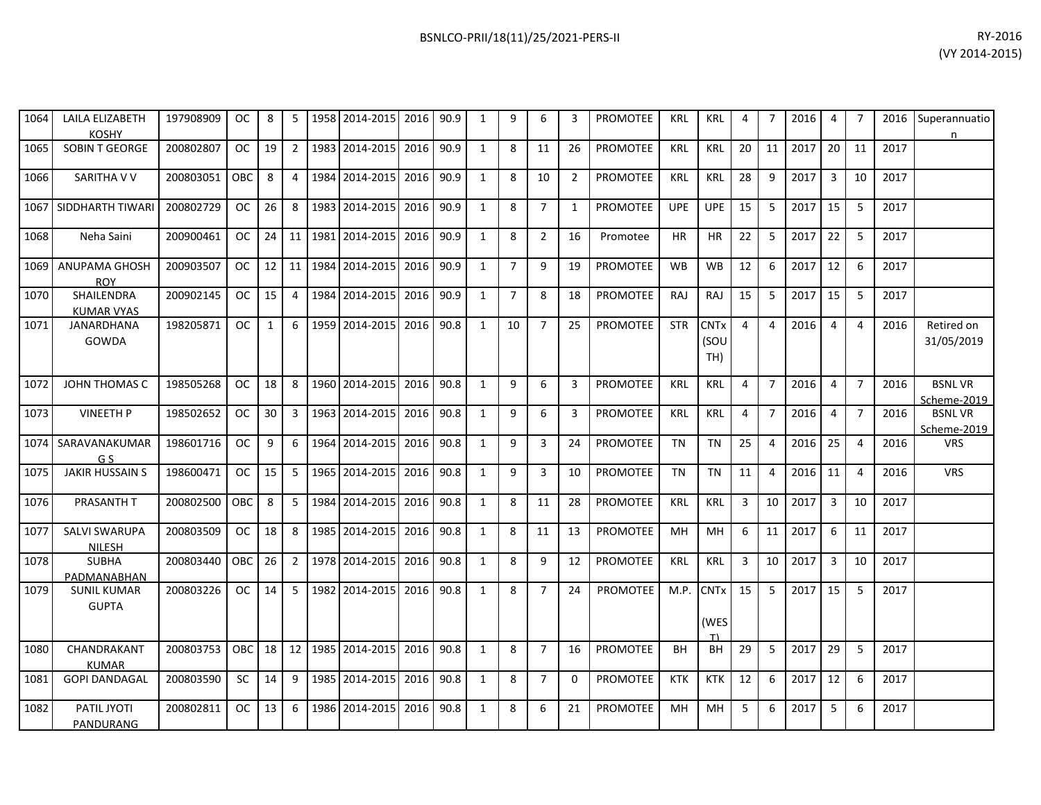| 1064 | LAILA ELIZABETH<br>KOSHY            | 197908909 l   | OC. | 8               |   | 1958 2014-2015 2016 90.9 |  |   | 6             |     | <b>PROMOTEE</b> | KRL        | KRL        |      |    | 2016    | 4    |     | 2016 | Superannuatio |
|------|-------------------------------------|---------------|-----|-----------------|---|--------------------------|--|---|---------------|-----|-----------------|------------|------------|------|----|---------|------|-----|------|---------------|
| 1065 | <b>SOBIN T GEORGE</b>               | 200802807     | OC. | 19 I            |   | 1983 2014-2015 2016 90.9 |  | 8 | 11            | -26 | PROMOTEE        | KRL        | KRL        | -20  |    | 11 2017 | 20 I | -11 | 2017 |               |
| 1066 | SARITHA V V                         | 200803051 OBC |     | 8               |   | 1984 2014-2015 2016 90.9 |  | 8 | 10            |     | <b>PROMOTEE</b> | KRL        | KRL        | 28 I | -9 | 2017    |      | 10  | 2017 |               |
|      | 1067   SIDDHARTH TIWARI   200802729 |               | OC. | 26 <sup>1</sup> | 8 | 1983 2014-2015 2016 90.9 |  | 8 | $\mathcal{L}$ |     | PROMOTEE        | <b>UPE</b> | <b>UPE</b> | 15   |    | 2017    | 15   |     | 2017 |               |

|      | <b>KOSHY</b>                           |           |            |                 |                |      |                     |      |      |              |                |                |                |                 |            |                                       |    |                          |      |                |                |      | n                            |
|------|----------------------------------------|-----------|------------|-----------------|----------------|------|---------------------|------|------|--------------|----------------|----------------|----------------|-----------------|------------|---------------------------------------|----|--------------------------|------|----------------|----------------|------|------------------------------|
| 1065 | <b>SOBIN T GEORGE</b>                  | 200802807 | <b>OC</b>  | 19 <sup>1</sup> | $\overline{2}$ |      | 1983 2014-2015 2016 |      | 90.9 | $\mathbf{1}$ | 8              | 11             | 26             | <b>PROMOTEE</b> | <b>KRL</b> | <b>KRL</b>                            | 20 | 11                       | 2017 | 20             | 11             | 2017 |                              |
| 1066 | SARITHA V V                            | 200803051 | <b>OBC</b> | 8               | $\overline{4}$ | 1984 | 2014-2015 2016      |      | 90.9 | $\mathbf{1}$ | 8              | 10             | $\overline{2}$ | <b>PROMOTEE</b> | <b>KRL</b> | <b>KRL</b>                            | 28 | $\mathbf{q}$             | 2017 | $\overline{3}$ | 10             | 2017 |                              |
|      | 1067 I SIDDHARTH TIWARI                | 200802729 | OC .       | 26              | 8              |      | 1983 2014-2015 2016 |      | 90.9 | 1            | 8              | $\overline{7}$ | 1              | <b>PROMOTEE</b> | <b>UPE</b> | <b>UPE</b>                            | 15 | -5                       | 2017 | 15             | -5             | 2017 |                              |
| 1068 | Neha Saini                             | 200900461 | OC.        | $24$ 11         |                | 1981 | 2014-2015 2016      |      | 90.9 | $\mathbf{1}$ | 8              | $\overline{2}$ | 16             | Promotee        | ΗR         | <b>HR</b>                             | 22 | 5                        | 2017 | 22             | 5              | 2017 |                              |
| 1069 | ANUPAMA GHOSH<br><b>ROY</b>            | 200903507 | <b>OC</b>  | $12$   11       |                | 1984 | 2014-2015           | 2016 | 90.9 | $\mathbf{1}$ | $\overline{7}$ | 9              | 19             | <b>PROMOTEE</b> | <b>WB</b>  | <b>WB</b>                             | 12 | 6                        | 2017 | 12             | -6             | 2017 |                              |
| 1070 | <b>SHAILENDRA</b><br><b>KUMAR VYAS</b> | 200902145 | OC.        | 15              | 4              |      | 1984 2014-2015 2016 |      | 90.9 | $\mathbf{1}$ | $\overline{7}$ | 8              | 18             | PROMOTEE        | RAJ        | <b>RAJ</b>                            | 15 | 5                        | 2017 | 15             | 5              | 2017 |                              |
| 1071 | JANARDHANA<br>GOWDA                    | 198205871 | OC         | $\mathbf{1}$    | 6              | 1959 | 2014-2015 2016      |      | 90.8 | $\mathbf{1}$ | 10             | $\overline{7}$ | 25             | <b>PROMOTEE</b> | <b>STR</b> | <b>CNT<sub>x</sub></b><br>(SOU<br>TH) | 4  | 4                        | 2016 | $\overline{4}$ | $\overline{4}$ | 2016 | Retired on<br>31/05/2019     |
| 1072 | JOHN THOMAS C                          | 198505268 | <b>OC</b>  | 18 <sup>1</sup> | 8              |      | 1960 2014-2015 2016 |      | 90.8 | $\mathbf{1}$ | 9              | 6              | $\overline{3}$ | <b>PROMOTEE</b> | <b>KRL</b> | <b>KRL</b>                            | 4  | $\overline{7}$           | 2016 | $\overline{4}$ | $\overline{7}$ | 2016 | <b>BSNLVR</b><br>Scheme-2019 |
| 1073 | <b>VINEETH P</b>                       | 198502652 | <b>OC</b>  | 30 <sub>1</sub> | 3              |      | 1963 2014-2015 2016 |      | 90.8 | $\mathbf{1}$ | 9              | 6              | 3              | <b>PROMOTEE</b> | <b>KRL</b> | <b>KRL</b>                            | 4  | $\overline{7}$           | 2016 | $\overline{4}$ | $\overline{7}$ | 2016 | <b>BSNLVR</b><br>Scheme-2019 |
| 1074 | SARAVANAKUMAR<br>G S                   | 198601716 | <b>OC</b>  | 9               | 6              | 1964 | 2014-2015 2016      |      | 90.8 | 1            | 9              | 3              | -24            | <b>PROMOTEE</b> | TN         | TN                                    | 25 | $\boldsymbol{\varDelta}$ | 2016 | 25             | 4              | 2016 | <b>VRS</b>                   |
| 1075 | <b>JAKIR HUSSAIN S</b>                 | 198600471 | OC.        | 15 <sup>1</sup> | 5              |      | 1965 2014-2015 2016 |      | 90.8 | $\mathbf{1}$ | 9              | 3              | 10             | <b>PROMOTEE</b> | <b>TN</b>  | <b>TN</b>                             | 11 | 4                        | 2016 | 11             | $\overline{4}$ | 2016 | <b>VRS</b>                   |
| 1076 | PRASANTH T                             | 200802500 | OBC        | 8               | 5              | 1984 | 2014-2015 2016      |      | 90.8 | $\mathbf{1}$ | 8              | 11             | 28             | PROMOTEE        | <b>KRL</b> | <b>KRL</b>                            | 3  | 10                       | 2017 | 3              | 10             | 2017 |                              |
| 1077 | <b>SALVI SWARUPA</b><br>NILESH         | 200803509 | OC .       | 18 <sup>1</sup> | 8              |      | 1985 2014-2015 2016 |      | 90.8 | $\mathbf{1}$ | 8              | 11             | 13             | <b>PROMOTEE</b> | MН         | MН                                    | 6  | 11                       | 2017 | 6              | 11             | 2017 |                              |
| 1078 | <b>SUBHA</b><br>PADMANABHAN            | 200803440 | <b>OBC</b> | 26              | $\overline{2}$ |      | 1978 2014-2015 2016 |      | 90.8 | $\mathbf{1}$ | 8              | 9              | 12             | PROMOTEE        | <b>KRL</b> | <b>KRL</b>                            | 3  | 10                       | 2017 | 3              | 10             | 2017 |                              |
| 1079 | <b>SUNIL KUMAR</b><br><b>GUPTA</b>     | 200803226 | OC         | 14 <sup>1</sup> | .5             |      | 1982 2014-2015 2016 |      | 90.8 | $\mathbf{1}$ | 8              | $\overline{7}$ | 24             | <b>PROMOTEE</b> | M.P.       | <b>CNT<sub>x</sub></b><br>(WES<br>T)  | 15 | 5                        | 2017 | 15             | -5             | 2017 |                              |
| 1080 | CHANDRAKANT<br><b>KUMAR</b>            | 200803753 | OBC        | 18 <sup>1</sup> | 12             | 1985 | 2014-2015 2016      |      | 90.8 | 1            | 8              | $\overline{7}$ | 16             | <b>PROMOTEE</b> | <b>BH</b>  | BH                                    | 29 | -5                       | 2017 | 29             | -5             | 2017 |                              |
| 1081 | <b>GOPI DANDAGAL</b>                   | 200803590 | <b>SC</b>  | 14              | 9              |      | 1985 2014-2015 2016 |      | 90.8 | $\mathbf{1}$ | 8              | $7^{\circ}$    | $\Omega$       | <b>PROMOTEE</b> | <b>KTK</b> | <b>KTK</b>                            | 12 | 6                        | 2017 | 12             | -6             | 2017 |                              |
| 1082 | PATIL JYOTI<br>PANDURANG               | 200802811 | OC         | 13              | 6              |      | 1986 2014-2015 2016 |      | 90.8 | $\mathbf{1}$ | 8              | 6              | 21             | <b>PROMOTEE</b> | <b>MH</b>  | MH                                    | 5  | $6 \overline{6}$         | 2017 | 5              | 6              | 2017 |                              |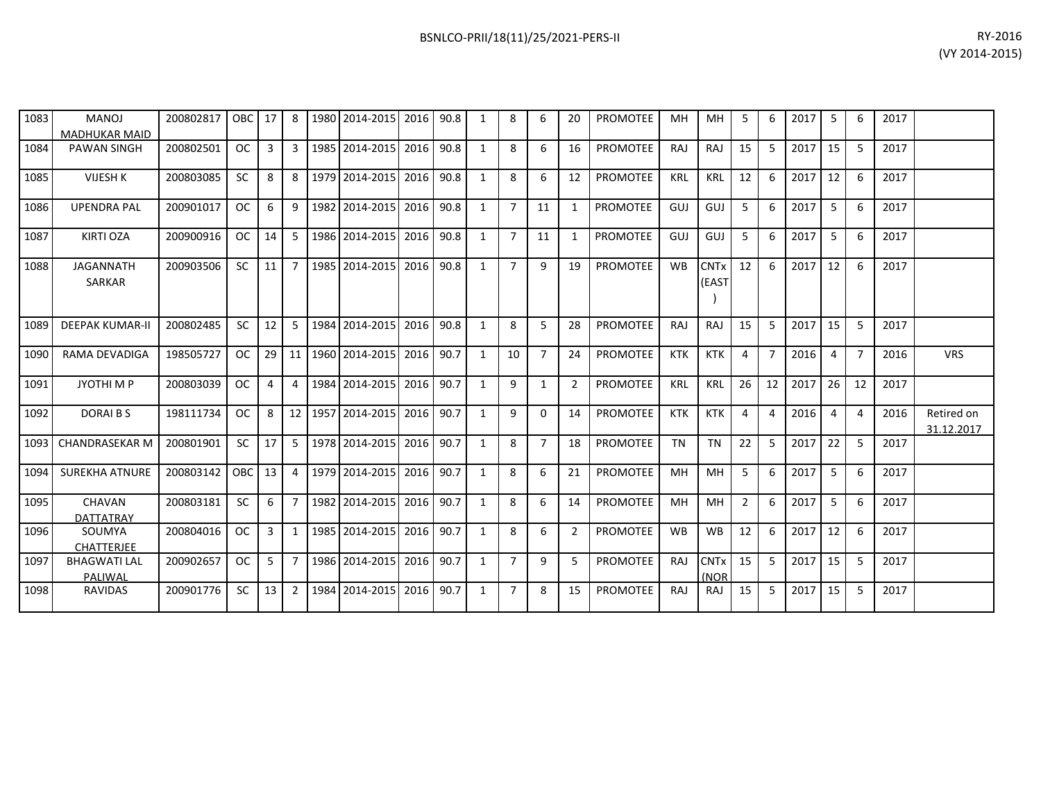| 1083 | <b>MANOJ</b><br><b>MADHUKAR MAID</b> | 200802817   OBC   17   8 |            |                 |                | 1980   2014-2015   2016   90.8 |           |      | 1 | 8              | 6              | 20             | <b>PROMOTEE</b> | MН         | MН                             | 5              | 6              | 2017 | 5              | 6              | 2017 |                          |
|------|--------------------------------------|--------------------------|------------|-----------------|----------------|--------------------------------|-----------|------|---|----------------|----------------|----------------|-----------------|------------|--------------------------------|----------------|----------------|------|----------------|----------------|------|--------------------------|
| 1084 | <b>PAWAN SINGH</b>                   | 200802501                | OC         | 3               | 3              | 1985 2014-2015                 | 2016      | 90.8 | 1 | 8              | 6              | 16             | <b>PROMOTEE</b> | <b>RAJ</b> | RAJ                            | 15             | -5             | 2017 | 15             | 5              | 2017 |                          |
| 1085 | <b>VIJESH K</b>                      | 200803085                | <b>SC</b>  | 8               | 8              | 1979 2014-2015                 | 2016      | 90.8 | 1 | 8              | 6              | 12             | <b>PROMOTEE</b> | <b>KRL</b> | <b>KRL</b>                     | 12             | 6              | 2017 | 12             | 6              | 2017 |                          |
| 1086 | <b>UPENDRA PAL</b>                   | 200901017                | OC .       | 6               | 9              | 1982 2014-2015                 | 2016 90.8 |      | 1 | $\overline{7}$ | 11             | $\mathbf{1}$   | PROMOTEE        | GUJ        | GUJ                            | 5              | 6              | 2017 | 5              | 6              | 2017 |                          |
| 1087 | KIRTI OZA                            | 200900916                | OC         | 14 I            | -5             | 1986 2014-2015                 | 2016      | 90.8 | 1 | $\overline{7}$ | 11             | $\mathbf{1}$   | <b>PROMOTEE</b> | GUJ        | GUJ                            | 5              | 6              | 2017 | -5             | 6              | 2017 |                          |
| 1088 | <b>JAGANNATH</b><br>SARKAR           | 200903506                | <b>SC</b>  | 11 <sup>1</sup> | $\overline{7}$ | 1985 2014-2015 2016 90.8       |           |      | 1 | $\overline{7}$ | 9              | 19             | <b>PROMOTEE</b> | <b>WB</b>  | <b>CNTx</b><br>(EAST           | 12             | -6             | 2017 | 12             | 6              | 2017 |                          |
| 1089 | <b>DEEPAK KUMAR-II</b>               | 200802485                | <b>SC</b>  | 12 <sup>1</sup> | -5             | 1984 2014-2015                 | 2016      | 90.8 | 1 | 8              | 5              | 28             | <b>PROMOTEE</b> | <b>RAJ</b> | RAJ                            | 15             | -5             | 2017 | 15             | 5              | 2017 |                          |
| 1090 | RAMA DEVADIGA                        | 198505727                | <b>OC</b>  | $29$ 11         |                | 1960 2014-2015                 | 2016 90.7 |      | 1 | 10             | $\overline{7}$ | 24             | <b>PROMOTEE</b> | KTK        | KTK                            | 4              | 7              | 2016 | $\overline{4}$ | $\overline{7}$ | 2016 | <b>VRS</b>               |
| 1091 | JYOTHI M P                           | 200803039                | OC         | 4               | $\overline{4}$ | 1984 2014-2015                 | 2016      | 90.7 | 1 | 9              | 1              | $\overline{2}$ | <b>PROMOTEE</b> | KRL        | KRL                            | 26             | 12             | 2017 | 26             | 12             | 2017 |                          |
| 1092 | DORAI B S                            | 198111734                | <b>OC</b>  | 8               |                | 12 1957 2014-2015              | 2016      | 90.7 | 1 | 9              | $\Omega$       | 14             | <b>PROMOTEE</b> | <b>KTK</b> | <b>KTK</b>                     | 4              | $\overline{a}$ | 2016 | $\overline{4}$ | $\overline{a}$ | 2016 | Retired on<br>31.12.2017 |
|      | 1093 CHANDRASEKAR M                  | 200801901                | <b>SC</b>  | 17              | -5             | 1978 2014-2015                 | 2016      | 90.7 | 1 | 8              | $\overline{7}$ | 18             | <b>PROMOTEE</b> | TN         | <b>TN</b>                      | 22             | 5              | 2017 | 22             | 5              | 2017 |                          |
| 1094 | <b>SUREKHA ATNURE</b>                | 200803142                | <b>OBC</b> | 13 <sup>1</sup> | $\overline{4}$ | 1979 2014-2015                 | 2016      | 90.7 | 1 | 8              | 6              | 21             | <b>PROMOTEE</b> | MH         | MH                             | 5              | 6              | 2017 | 5              | 6              | 2017 |                          |
| 1095 | CHAVAN<br><b>DATTATRAY</b>           | 200803181                | <b>SC</b>  | 6               | $\overline{7}$ | 1982 2014-2015                 | 2016      | 90.7 | 1 | 8              | 6              | 14             | PROMOTEE        | MH         | MH                             | $\overline{2}$ | 6              | 2017 | -5             | 6              | 2017 |                          |
| 1096 | SOUMYA<br><b>CHATTERJEE</b>          | 200804016                | OC         | 3 <sup>1</sup>  | 1              | 1985 2014-2015                 | 2016 90.7 |      | 1 | 8              | 6              | $\overline{2}$ | <b>PROMOTEE</b> | <b>WB</b>  | <b>WB</b>                      | 12             | -6             | 2017 | 12             | 6              | 2017 |                          |
| 1097 | <b>BHAGWATI LAL</b><br>PALIWAL       | 200902657                | OC         | $5-1$           | $\overline{7}$ | 1986 2014-2015                 | 2016 90.7 |      | 1 | $\overline{7}$ | 9              | 5              | <b>PROMOTEE</b> | RAJ        | <b>CNT<sub>x</sub></b><br>(NOR | 15             | -5             | 2017 | 15             | -5             | 2017 |                          |
| 1098 | <b>RAVIDAS</b>                       | 200901776                | <b>SC</b>  | 13 <sup>1</sup> | $\overline{2}$ | 1984 2014-2015                 | 2016      | 90.7 | 1 | $\overline{7}$ | 8              | 15             | <b>PROMOTEE</b> | <b>RAJ</b> | RAJ                            | 15             | -5             | 2017 | 15             | 5              | 2017 |                          |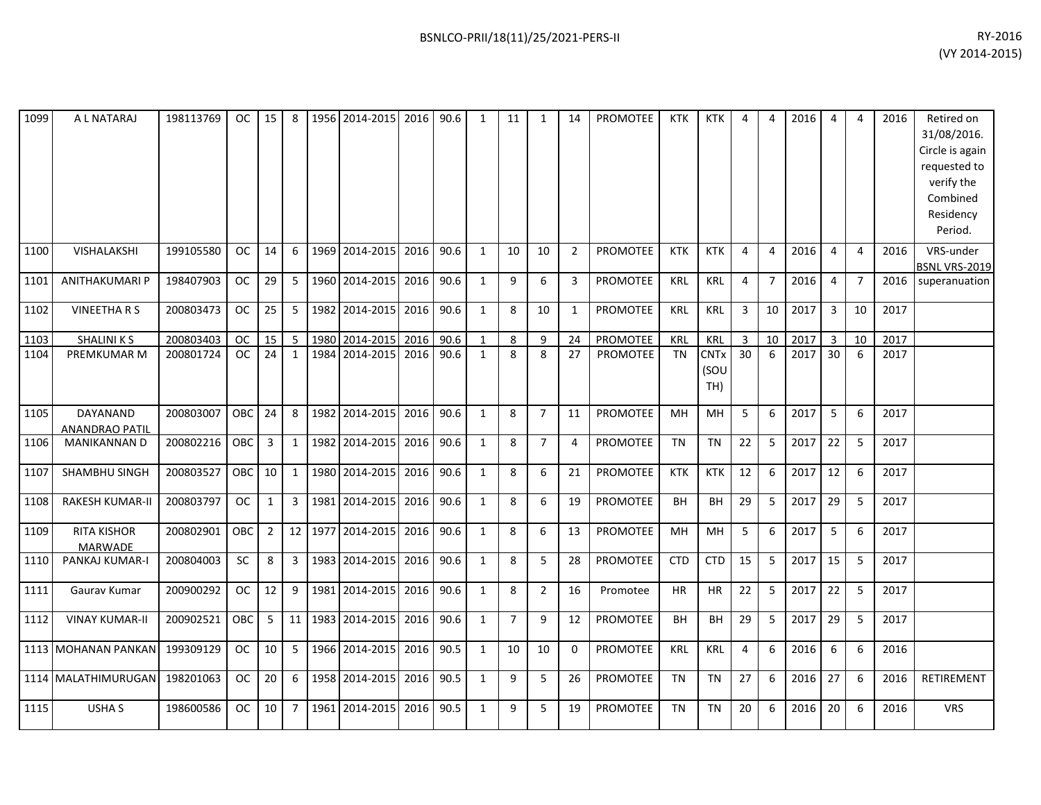| 1099 | A L NATARAJ                              | 198113769 | OC I       |                 |              |         | 15   8   1956   2014-2015   2016   90.6 |      |      | 1            | 11             | 1              | 14             | PROMOTEE        | <b>KTK</b> | KTK                        | 4  | 4              | 2016 | 4              | 4              | 2016 | Retired on<br>31/08/2016.<br>Circle is again<br>requested to<br>verify the<br>Combined<br>Residency<br>Period. |
|------|------------------------------------------|-----------|------------|-----------------|--------------|---------|-----------------------------------------|------|------|--------------|----------------|----------------|----------------|-----------------|------------|----------------------------|----|----------------|------|----------------|----------------|------|----------------------------------------------------------------------------------------------------------------|
| 1100 | VISHALAKSHI                              | 199105580 | <b>OC</b>  | 14 <sup>1</sup> | -6           |         | 1969 2014-2015 2016                     |      | 90.6 | $\mathbf{1}$ | 10             | 10             | $\overline{2}$ | <b>PROMOTEE</b> | <b>KTK</b> | <b>KTK</b>                 | 4  | 4              | 2016 | $\overline{a}$ | $\overline{4}$ | 2016 | VRS-under<br><b>BSNL VRS-2019</b>                                                                              |
| 1101 | ANITHAKUMARI P                           | 198407903 | <b>OC</b>  | 29              | 5            |         | 1960 2014-2015 2016                     |      | 90.6 | $\mathbf{1}$ | 9              | 6              | 3              | <b>PROMOTEE</b> | KRL        | <b>KRL</b>                 | 4  | $\overline{7}$ | 2016 | $\overline{4}$ | $\overline{7}$ | 2016 | superanuation                                                                                                  |
| 1102 | <b>VINEETHARS</b>                        | 200803473 | <b>OC</b>  | 25              | 5            |         | 1982 2014-2015 2016                     |      | 90.6 | $\mathbf{1}$ | 8              | 10             | $\mathbf{1}$   | <b>PROMOTEE</b> | <b>KRL</b> | <b>KRL</b>                 | 3  | 10             | 2017 | $\overline{3}$ | 10             | 2017 |                                                                                                                |
| 1103 | <b>SHALINIKS</b>                         | 200803403 | <b>OC</b>  | 15 <sup>1</sup> | -5           |         | 1980 2014-2015 2016                     |      | 90.6 | $\mathbf{1}$ | 8              | 9              | 24             | PROMOTEE        | <b>KRL</b> | <b>KRL</b>                 | 3  | 10             | 2017 | $\overline{3}$ | 10             | 2017 |                                                                                                                |
| 1104 | PREMKUMAR M                              | 200801724 | <b>OC</b>  | 24              | 1            |         | 1984 2014-2015 2016                     |      | 90.6 | $\mathbf{1}$ | 8              | 8              | 27             | PROMOTEE        | TN         | <b>CNTx</b><br>(SOU<br>TH) | 30 | 6              | 2017 | 30             | -6             | 2017 |                                                                                                                |
| 1105 | <b>DAYANAND</b><br><b>ANANDRAO PATIL</b> | 200803007 | OBC        | 24              | 8            | 1982    | 2014-2015 2016                          |      | 90.6 | $\mathbf{1}$ | 8              | $\overline{7}$ | 11             | <b>PROMOTEE</b> | MН         | MH                         | 5  | 6              | 2017 | 5              | 6              | 2017 |                                                                                                                |
| 1106 | MANIKANNAN D                             | 200802216 | <b>OBC</b> | 3 <sup>1</sup>  | $\mathbf{1}$ |         | 1982 2014-2015 2016                     |      | 90.6 | $\mathbf{1}$ | 8              | $\overline{7}$ | $\overline{4}$ | <b>PROMOTEE</b> | <b>TN</b>  | <b>TN</b>                  | 22 | 5              | 2017 | 22             | 5              | 2017 |                                                                                                                |
| 1107 | SHAMBHU SINGH                            | 200803527 | OBC        | 10 <sup>1</sup> | 1            |         | 1980 2014-2015                          | 2016 | 90.6 | $\mathbf{1}$ | 8              | 6              | 21             | PROMOTEE        | <b>KTK</b> | <b>KTK</b>                 | 12 | 6              | 2017 | 12             | 6              | 2017 |                                                                                                                |
| 1108 | <b>RAKESH KUMAR-II</b>                   | 200803797 | OC         | 1               | 3            |         | 1981 2014-2015 2016                     |      | 90.6 | $\mathbf{1}$ | 8              | 6              | 19             | <b>PROMOTEE</b> | <b>BH</b>  | <b>BH</b>                  | 29 | 5              | 2017 | 29             | 5              | 2017 |                                                                                                                |
| 1109 | <b>RITA KISHOR</b><br>MARWADE            | 200802901 | <b>OBC</b> | 2 <sub>1</sub>  |              |         | 12 1977 2014-2015 2016                  |      | 90.6 | $\mathbf{1}$ | 8              | 6              | 13             | <b>PROMOTEE</b> | <b>MH</b>  | <b>MH</b>                  | 5  | 6              | 2017 | -5             | -6             | 2017 |                                                                                                                |
| 1110 | PANKAJ KUMAR-I                           | 200804003 | <b>SC</b>  | 8               | 3            | 1983    | 2014-2015                               | 2016 | 90.6 | $\mathbf{1}$ | 8              | 5              | 28             | <b>PROMOTEE</b> | <b>CTD</b> | <b>CTD</b>                 | 15 | 5              | 2017 | 15             | 5              | 2017 |                                                                                                                |
| 1111 | Gaurav Kumar                             | 200900292 | OC         | 12              | 9            |         | 1981 2014-2015 2016                     |      | 90.6 | $\mathbf{1}$ | 8              | $\overline{2}$ | 16             | Promotee        | <b>HR</b>  | <b>HR</b>                  | 22 | 5              | 2017 | 22             | 5              | 2017 |                                                                                                                |
| 1112 | <b>VINAY KUMAR-II</b>                    | 200902521 | OBC        | 5 <sub>1</sub>  |              | 11 1983 | 2014-2015 2016                          |      | 90.6 | $\mathbf{1}$ | $\overline{7}$ | 9              | 12             | PROMOTEE        | <b>BH</b>  | BH                         | 29 | 5              | 2017 | 29             | 5              | 2017 |                                                                                                                |
|      | 1113 MOHANAN PANKAN                      | 199309129 | <b>OC</b>  | 10 <sup>1</sup> | -5           |         | 1966 2014-2015 2016                     |      | 90.5 | $\mathbf{1}$ | 10             | 10             | $\Omega$       | <b>PROMOTEE</b> | <b>KRL</b> | <b>KRL</b>                 | 4  | 6              | 2016 | 6              | 6              | 2016 |                                                                                                                |
|      | 1114 MALATHIMURUGAN                      | 198201063 | OC         | 20 <sup>1</sup> | 6            |         | 1958 2014-2015 2016                     |      | 90.5 | $\mathbf{1}$ | 9              | 5              | 26             | <b>PROMOTEE</b> | TN         | <b>TN</b>                  | 27 | 6              | 2016 | 27             | 6              | 2016 | RETIREMENT                                                                                                     |
| 1115 | USHA S                                   | 198600586 | OC         | 10 <sup>1</sup> | 7            |         | 1961 2014-2015 2016                     |      | 90.5 | $\mathbf{1}$ | 9              | 5              | 19             | <b>PROMOTEE</b> | <b>TN</b>  | <b>TN</b>                  | 20 | 6              | 2016 | 20             | 6              | 2016 | <b>VRS</b>                                                                                                     |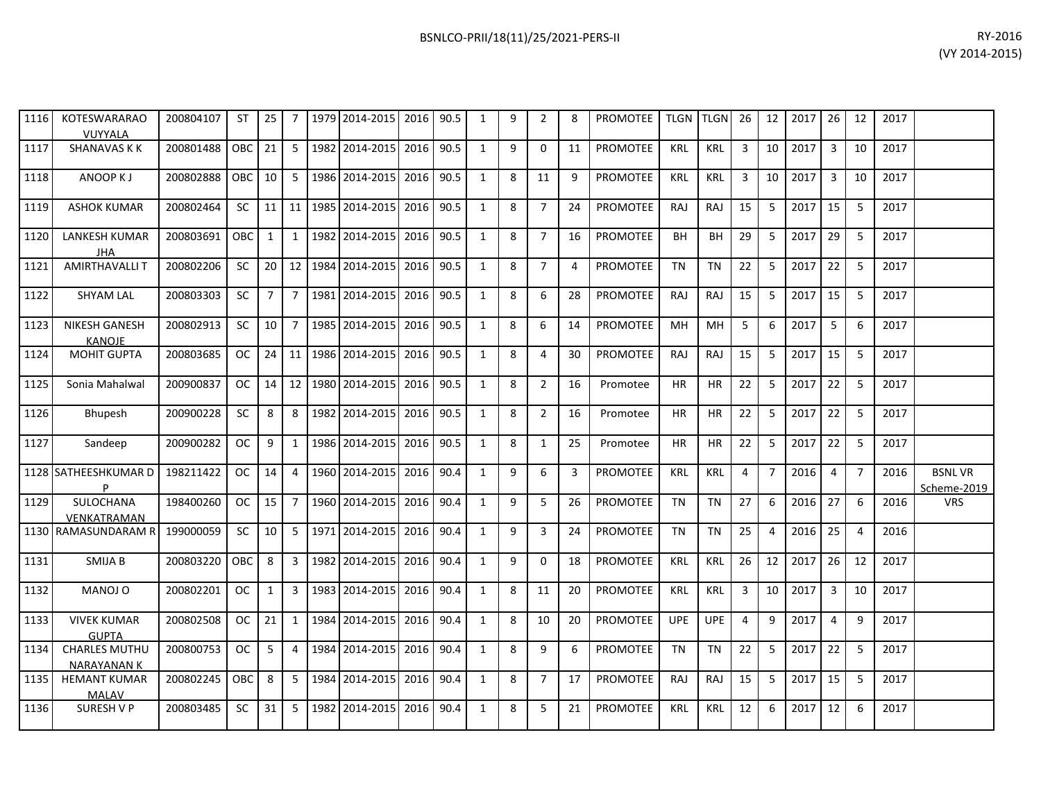| 1116 | KOTESWARARAO<br><b>VUYYALA</b>            | 200804107 | ST         | 25             | 7              | 1979 2014-2015 2016 90.5        |           | 1              | 9 | 2              | 8              | <b>PROMOTEE</b> | TLGN TLGN  |            | 26             | 12             | 2017    | 26                      | 12             | 2017 |                              |
|------|-------------------------------------------|-----------|------------|----------------|----------------|---------------------------------|-----------|----------------|---|----------------|----------------|-----------------|------------|------------|----------------|----------------|---------|-------------------------|----------------|------|------------------------------|
| 1117 | <b>SHANAVAS K K</b>                       | 200801488 | <b>OBC</b> | 21             | 5 <sub>1</sub> | 1982 2014-2015                  | 2016 90.5 | 1              | 9 | $\mathbf 0$    | 11             | PROMOTEE        | KRL        | <b>KRL</b> | $\overline{3}$ | 10             | 2017    | $\overline{3}$          | 10             | 2017 |                              |
| 1118 | ANOOP KJ                                  | 200802888 | OBC.       | 10             | 5 <sub>1</sub> | 1986 2014-2015                  | 2016 90.5 | 1              | 8 | 11             | 9              | <b>PROMOTEE</b> | <b>KRL</b> | <b>KRL</b> | 3              | 10             | 2017    | $\overline{\mathbf{3}}$ | 10             | 2017 |                              |
| 1119 | <b>ASHOK KUMAR</b>                        | 200802464 | <b>SC</b>  | 11             |                | 11 1985 2014-2015               | 2016 90.5 | 1              | 8 | $\overline{7}$ | 24             | PROMOTEE        | RAJ        | RAJ        | 15             | 5              | 2017    | 15                      | 5              | 2017 |                              |
| 1120 | <b>LANKESH KUMAR</b><br><b>JHA</b>        | 200803691 | OBC        | $\mathbf{1}$   | 1              | 1982 2014-2015                  | 2016 90.5 | 1              | 8 | $\overline{7}$ | 16             | PROMOTEE        | <b>BH</b>  | <b>BH</b>  | 29             | -5             | 2017    | 29                      | -5             | 2017 |                              |
| 1121 | <b>AMIRTHAVALLIT</b>                      | 200802206 | SC.        | 20             |                | 12 1984 2014-2015               | 2016 90.5 | 1              | 8 | $\overline{7}$ | $\overline{a}$ | <b>PROMOTEE</b> | <b>TN</b>  | <b>TN</b>  | 22             | -5             | 2017    | 22                      | - 5            | 2017 |                              |
| 1122 | <b>SHYAM LAL</b>                          | 200803303 | <b>SC</b>  | $\overline{7}$ | $7^{\circ}$    | 1981 2014-2015                  | 2016 90.5 | 1              | 8 | 6              | 28             | PROMOTEE        | RAJ        | <b>RAJ</b> | 15             | 5              | 2017    | 15                      | -5             | 2017 |                              |
| 1123 | <b>NIKESH GANESH</b><br><b>KANOJE</b>     | 200802913 | SC.        | 10             | $7^{\circ}$    | 1985 2014-2015                  | 2016 90.5 | 1              | 8 | 6              | 14             | PROMOTEE        | MH         | MH         | 5              | 6              | 2017    | -5                      | 6              | 2017 |                              |
| 1124 | <b>MOHIT GUPTA</b>                        | 200803685 | OC.        | 24             |                | 11 1986 2014-2015               | 2016 90.5 | 1              | 8 | 4              | 30             | PROMOTEE        | RAJ        | RAJ        | 15             | 5              | 2017    | 15                      | 5              | 2017 |                              |
| 1125 | Sonia Mahalwal                            | 200900837 | OC         | 14             |                | 12 1980 2014-2015               | 2016 90.5 | 1              | 8 | $\overline{2}$ | 16             | Promotee        | HR.        | <b>HR</b>  | 22             | -5             | 2017    | 22                      | -5             | 2017 |                              |
| 1126 | <b>Bhupesh</b>                            | 200900228 | <b>SC</b>  | 8              | 8              | 1982 2014-2015                  | 2016 90.5 | 1              | 8 | $\overline{2}$ | 16             | Promotee        | <b>HR</b>  | <b>HR</b>  | 22             | 5              | 2017    | 22                      | - 5            | 2017 |                              |
| 1127 | Sandeep                                   | 200900282 | OC.        | 9              | 1              | 1986 2014-2015                  | 2016 90.5 | 1              | 8 | 1              | 25             | Promotee        | HR         | HR.        | 22             | -5             | 2017    | 22                      | -5             | 2017 |                              |
|      | 1128 SATHEESHKUMAR D                      | 198211422 | OC.        | 14             | 4              | 1960 2014-2015 2016 90.4        |           | $\mathbf{1}$   | 9 | 6              | 3              | PROMOTEE        | <b>KRL</b> | KRL        | 4              | $\overline{7}$ | 2016    | $\overline{4}$          | $\overline{7}$ | 2016 | <b>BSNLVR</b><br>Scheme-2019 |
| 1129 | SULOCHANA<br>VENKATRAMAN                  | 198400260 | OC.        | 15             | $7^{\circ}$    | 1960 2014-2015                  | 2016 90.4 | 1              | 9 | 5              | 26             | <b>PROMOTEE</b> | TN         | <b>TN</b>  | 27             | 6              | 2016    | 27                      | 6              | 2016 | <b>VRS</b>                   |
|      | 1130 RAMASUNDARAM R                       | 199000059 | SC.        | 10             | 5 <sub>1</sub> | 1971 2014-2015                  | 2016 90.4 | 1              | 9 | 3              | 24             | PROMOTEE        | TN         | <b>TN</b>  | 25             | $\overline{4}$ | 2016    | 25                      | $\overline{4}$ | 2016 |                              |
| 1131 | SMIJA B                                   | 200803220 | OBC        | 8              | 3 <sup>1</sup> | 1982 2014-2015                  | 2016 90.4 | 1              | 9 | $\Omega$       | 18             | PROMOTEE        | <b>KRL</b> | <b>KRL</b> | 26             | 12             | 2017    | 26                      | 12             | 2017 |                              |
| 1132 | MANOJ O                                   | 200802201 | <b>OC</b>  | $\mathbf{1}$   | $\mathbf{3}$   | 1983 2014-2015                  | 2016 90.4 | 1              | 8 | 11             | 20             | PROMOTEE        | KRL        | KRL        | 3              | 10             | 2017    | $\overline{\mathbf{3}}$ | 10             | 2017 |                              |
| 1133 | <b>VIVEK KUMAR</b><br><b>GUPTA</b>        | 200802508 | OC.        | 21             | $\mathbf{1}$   | 1984 2014-2015 2016 90.4        |           | 1              | 8 | 10             | 20             | PROMOTEE        | <b>UPE</b> | <b>UPE</b> | 4              | 9              | 2017    | $\overline{4}$          | 9              | 2017 |                              |
| 1134 | <b>CHARLES MUTHU</b><br><b>NARAYANANK</b> | 200800753 | <b>OC</b>  | 5              | $\overline{4}$ | 1984 2014-2015                  | 2016 90.4 | 1              | 8 | 9              | 6              | <b>PROMOTEE</b> | <b>TN</b>  | <b>TN</b>  | 22             | -5             | 2017    | 22                      | -5             | 2017 |                              |
| 1135 | <b>HEMANT KUMAR</b><br><b>MALAV</b>       | 200802245 | <b>OBC</b> | 8              | $5 -$          | 1984 2014-2015                  | 2016 90.4 | 1              | 8 | $\overline{7}$ | 17             | PROMOTEE        | RAJ        | RAJ        | 15             | 5              | 2017    | 15                      | 5              | 2017 |                              |
| 1136 | SURESH V P                                | 200803485 |            |                |                | SC 31 5 382 2014-2015 2016 90.4 |           | $\overline{1}$ | 8 | 5 <sup>5</sup> |                | 21 PROMOTEE     | KRL        | $KRL$ 12 6 |                |                | 2017 12 |                         | -6             | 2017 |                              |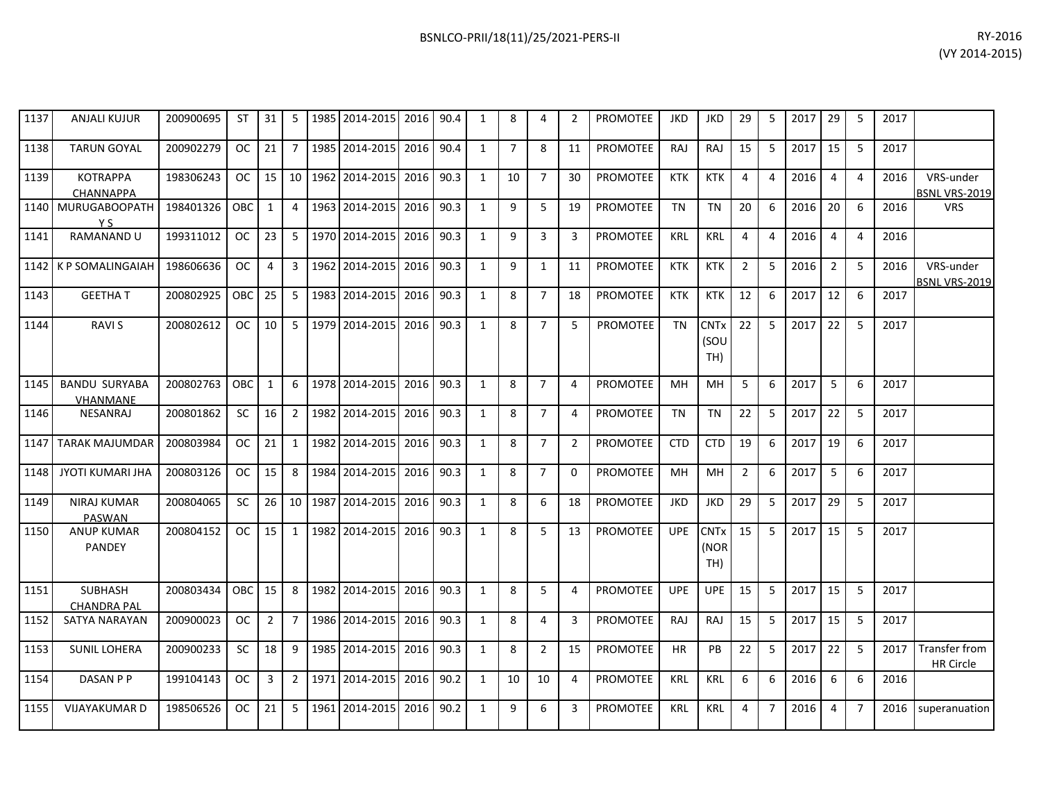| 1137 | <b>ANJALI KUJUR</b>                  | 200900695 | ST         | 31             | 5               | 1985 2014-2015 | 2016 90.4 |      | $\mathbf{1}$   | 8              | 4              | 2              | <b>PROMOTEE</b> | <b>JKD</b> | JKD                                   | 29             | 5              | 2017 | 29             | -5             | 2017 |                                   |
|------|--------------------------------------|-----------|------------|----------------|-----------------|----------------|-----------|------|----------------|----------------|----------------|----------------|-----------------|------------|---------------------------------------|----------------|----------------|------|----------------|----------------|------|-----------------------------------|
| 1138 | <b>TARUN GOYAL</b>                   | 200902279 | <b>OC</b>  | 21             | $7^{\circ}$     | 1985 2014-2015 | 2016 90.4 |      | $\mathbf{1}$   | $\overline{7}$ | 8              | 11             | <b>PROMOTEE</b> | <b>RAJ</b> | RAJ                                   | 15             | 5              | 2017 | 15             | 5              | 2017 |                                   |
| 1139 | <b>KOTRAPPA</b><br><b>CHANNAPPA</b>  | 198306243 | <b>OC</b>  | 15             | 10 <sup>1</sup> | 1962 2014-2015 | 2016 90.3 |      | 1              | 10             | $\overline{7}$ | 30             | <b>PROMOTEE</b> | <b>KTK</b> | KTK                                   | $\overline{4}$ | $\overline{a}$ | 2016 | $\overline{4}$ | $\overline{4}$ | 2016 | VRS-under<br><b>BSNL VRS-2019</b> |
| 1140 | MURUGABOOPATH<br>Y S                 | 198401326 | OBC        | $\mathbf{1}$   | $\overline{4}$  | 1963 2014-2015 | 2016      | 90.3 | $\mathbf{1}$   | 9              | 5              | 19             | <b>PROMOTEE</b> | <b>TN</b>  | <b>TN</b>                             | 20             | 6              | 2016 | 20             | 6              | 2016 | <b>VRS</b>                        |
| 1141 | <b>RAMANAND U</b>                    | 199311012 | <b>OC</b>  | 23             | 5               | 1970 2014-2015 | 2016      | 90.3 | $\mathbf{1}$   | 9              | $\mathbf{3}$   | 3              | <b>PROMOTEE</b> | <b>KRL</b> | <b>KRL</b>                            | 4              | 4              | 2016 | $\overline{4}$ | $\overline{4}$ | 2016 |                                   |
|      | 1142 K P SOMALINGAIAH                | 198606636 | <b>OC</b>  | 4              | $\mathbf{3}$    | 1962 2014-2015 | 2016      | 90.3 | 1              | 9              | $\mathbf{1}$   | 11             | PROMOTEE        | <b>KTK</b> | <b>KTK</b>                            | 2              | 5              | 2016 | $\overline{2}$ | -5             | 2016 | VRS-under<br>BSNL VRS-2019        |
| 1143 | <b>GEETHAT</b>                       | 200802925 | OBC        | 25             | 5 <sup>1</sup>  | 1983 2014-2015 | 2016      | 90.3 | $\mathbf{1}$   | 8              | $\overline{7}$ | 18             | <b>PROMOTEE</b> | <b>KTK</b> | <b>KTK</b>                            | 12             | 6              | 2017 | 12             | 6              | 2017 |                                   |
| 1144 | <b>RAVIS</b>                         | 200802612 | OC.        | 10             | 5 <sup>1</sup>  | 1979 2014-2015 | 2016 90.3 |      | 1              | 8              | $\overline{7}$ | 5              | <b>PROMOTEE</b> | <b>TN</b>  | <b>CNT<sub>x</sub></b><br>(SOU<br>TH) | 22             | 5              | 2017 | 22             | -5             | 2017 |                                   |
| 1145 | <b>BANDU SURYABA</b><br>VHANMANE     | 200802763 | OBC        | $\mathbf{1}$   | 6               | 1978 2014-2015 | 2016      | 90.3 | $\mathbf{1}$   | 8              | $\overline{7}$ | $\overline{4}$ | <b>PROMOTEE</b> | <b>MH</b>  | MH                                    | 5              | 6              | 2017 | 5              | 6              | 2017 |                                   |
| 1146 | <b>NESANRAJ</b>                      | 200801862 | <b>SC</b>  | 16             | $\overline{2}$  | 1982 2014-2015 | 2016      | 90.3 | 1              | 8              | $\overline{7}$ | $\overline{4}$ | <b>PROMOTEE</b> | TN         | <b>TN</b>                             | 22             | 5              | 2017 | 22             | -5             | 2017 |                                   |
| 1147 | <b>TARAK MAJUMDAR</b>                | 200803984 | OC.        | 21             | $\mathbf{1}$    | 1982 2014-2015 | 2016      | 90.3 | $\mathbf{1}$   | 8              | $\overline{7}$ | $\overline{2}$ | <b>PROMOTEE</b> | <b>CTD</b> | <b>CTD</b>                            | 19             | 6              | 2017 | 19             | 6              | 2017 |                                   |
| 1148 | <b>JYOTI KUMARI JHA</b>              | 200803126 | <b>OC</b>  | 15             | 8               | 1984 2014-2015 | 2016 90.3 |      | $\overline{1}$ | 8              | $\overline{7}$ | $\Omega$       | <b>PROMOTEE</b> | <b>MH</b>  | MH                                    | $\overline{2}$ | 6              | 2017 | 5              | 6              | 2017 |                                   |
| 1149 | <b>NIRAJ KUMAR</b><br>PASWAN         | 200804065 | <b>SC</b>  | 26             | 10              | 1987 2014-2015 | 2016      | 90.3 | $\mathbf{1}$   | 8              | 6              | 18             | <b>PROMOTEE</b> | <b>JKD</b> | <b>JKD</b>                            | 29             | 5              | 2017 | 29             | -5             | 2017 |                                   |
| 1150 | <b>ANUP KUMAR</b><br><b>PANDEY</b>   | 200804152 | OC.        | 15             | $\mathbf{1}$    | 1982 2014-2015 | 2016 90.3 |      | $\mathbf{1}$   | 8              | 5              | 13             | <b>PROMOTEE</b> | <b>UPE</b> | <b>CNT<sub>x</sub></b><br>(NOR<br>TH) | 15             | 5              | 2017 | 15             | 5              | 2017 |                                   |
| 1151 | <b>SUBHASH</b><br><b>CHANDRA PAL</b> | 200803434 | <b>OBC</b> | 15             | 8               | 1982 2014-2015 | 2016      | 90.3 | $\mathbf{1}$   | 8              | 5              | $\overline{4}$ | <b>PROMOTEE</b> | <b>UPE</b> | <b>UPE</b>                            | 15             | 5              | 2017 | 15             | -5             | 2017 |                                   |
| 1152 | SATYA NARAYAN                        | 200900023 | <b>OC</b>  | $\overline{2}$ | $\overline{7}$  | 1986 2014-2015 | 2016 90.3 |      | $\mathbf{1}$   | 8              | $\overline{4}$ | 3              | <b>PROMOTEE</b> | RAJ        | RAJ                                   | 15             | 5              | 2017 | 15             | 5              | 2017 |                                   |
| 1153 | <b>SUNIL LOHERA</b>                  | 200900233 | <b>SC</b>  | 18             | 9               | 1985 2014-2015 | 2016      | 90.3 | $\mathbf{1}$   | 8              | $\overline{2}$ | 15             | PROMOTEE        | <b>HR</b>  | PB                                    | 22             | 5              | 2017 | 22             | 5              | 2017 | Transfer from<br><b>HR Circle</b> |
| 1154 | DASAN P P                            | 199104143 | <b>OC</b>  | 3              | $2^{\circ}$     | 1971 2014-2015 | 2016      | 90.2 | $\mathbf{1}$   | 10             | 10             | $\overline{4}$ | PROMOTEE        | <b>KRL</b> | <b>KRL</b>                            | 6              | 6              | 2016 | 6              | 6              | 2016 |                                   |
| 1155 | <b>VIJAYAKUMAR D</b>                 | 198506526 | <b>OC</b>  | 21             | 5               | 1961 2014-2015 | 2016      | 90.2 | $\mathbf{1}$   | 9              | 6              | 3              | <b>PROMOTEE</b> | <b>KRL</b> | <b>KRL</b>                            | 4              | $\overline{7}$ | 2016 | $\overline{4}$ | $\overline{7}$ | 2016 | superanuation                     |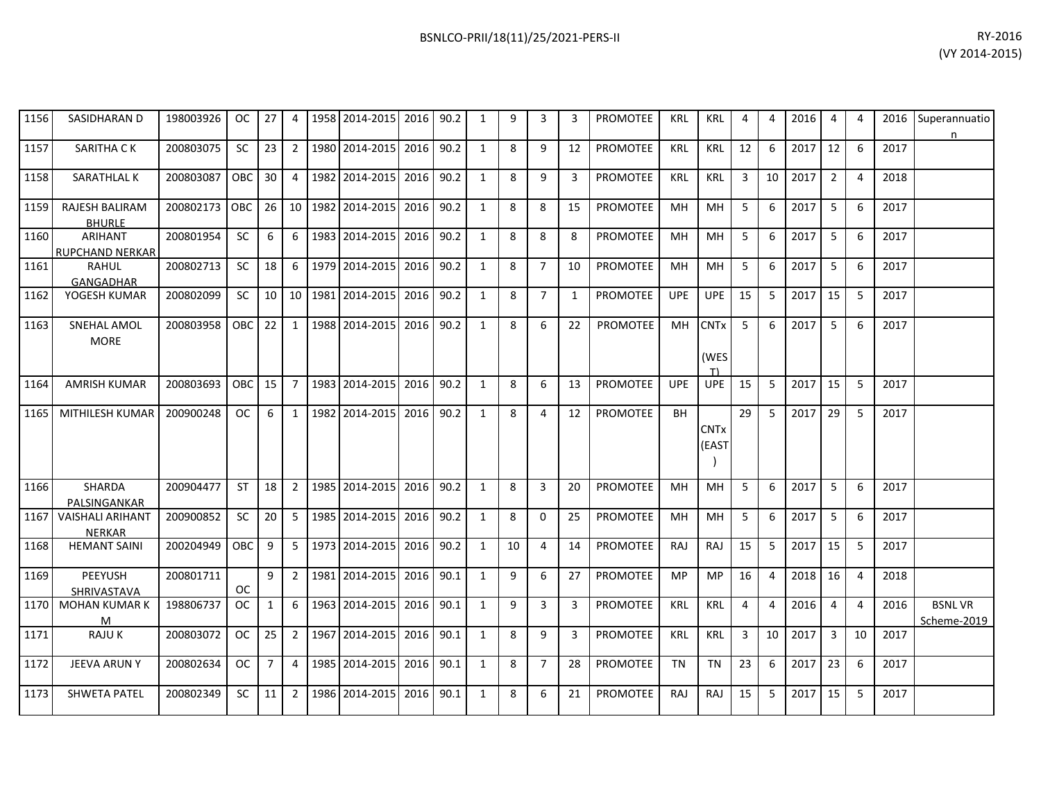| 1156 | SASIDHARAN D                             | 198003926 | OC         | 27              | 4              |      | 1958 2014-2015 2016 90.2 |      |      | 1            | 9  | 3              | 3  | PROMOTEE        | KRL        | KRL                       | 4              | 4              | 2016 | -4             | 4              |      | 2016 Superannuatio<br>n      |
|------|------------------------------------------|-----------|------------|-----------------|----------------|------|--------------------------|------|------|--------------|----|----------------|----|-----------------|------------|---------------------------|----------------|----------------|------|----------------|----------------|------|------------------------------|
| 1157 | SARITHA CK                               | 200803075 | <b>SC</b>  | 23              | $\overline{2}$ | 1980 | 2014-2015                | 2016 | 90.2 | 1            | 8  | 9              | 12 | <b>PROMOTEE</b> | <b>KRL</b> | <b>KRL</b>                | 12             | 6              | 2017 | 12             | 6              | 2017 |                              |
| 1158 | SARATHLAL K                              | 200803087 | OBC        | 30 <sup>1</sup> | $\overline{4}$ |      | 1982 2014-2015 2016      |      | 90.2 | 1            | 8  | 9              | 3  | <b>PROMOTEE</b> | <b>KRL</b> | <b>KRL</b>                | 3              | 10             | 2017 | $\overline{2}$ | $\overline{a}$ | 2018 |                              |
| 1159 | <b>RAJESH BALIRAM</b><br><b>BHURLE</b>   | 200802173 | <b>OBC</b> | 26              |                |      | 10 1982 2014-2015        | 2016 | 90.2 | $\mathbf{1}$ | 8  | 8              | 15 | <b>PROMOTEE</b> | MН         | <b>MH</b>                 | 5              | 6              | 2017 | 5              | 6              | 2017 |                              |
| 1160 | <b>ARIHANT</b><br><b>RUPCHAND NERKAR</b> | 200801954 | <b>SC</b>  | 6               | 6              | 1983 | 2014-2015                | 2016 | 90.2 | 1            | 8  | 8              | 8  | <b>PROMOTEE</b> | <b>MH</b>  | MH                        | 5              | 6              | 2017 | 5              | 6              | 2017 |                              |
| 1161 | RAHUL<br>GANGADHAR                       | 200802713 | SC         | 18              | 6              |      | 1979 2014-2015 2016      |      | 90.2 | 1            | 8  | $\overline{7}$ | 10 | PROMOTEE        | <b>MH</b>  | MH                        | 5              | 6              | 2017 | 5              | 6              | 2017 |                              |
| 1162 | YOGESH KUMAR                             | 200802099 | <b>SC</b>  | 10 <sup>1</sup> |                |      | 10 1981 2014-2015        | 2016 | 90.2 | 1            | 8  | $\overline{7}$ | 1  | PROMOTEE        | <b>UPE</b> | <b>UPE</b>                | 15             | 5              | 2017 | 15             | 5              | 2017 |                              |
| 1163 | SNEHAL AMOL<br><b>MORE</b>               | 200803958 | OBC        | 22              | 1              |      | 1988 2014-2015           | 2016 | 90.2 | 1            | 8  | 6              | 22 | <b>PROMOTEE</b> | <b>MH</b>  | <b>CNTx</b><br>(WES<br>T١ | - 5            | 6              | 2017 | 5              | 6              | 2017 |                              |
| 1164 | <b>AMRISH KUMAR</b>                      | 200803693 | OBC        | 15              | $\overline{7}$ |      | 1983 2014-2015 2016      |      | 90.2 | $\mathbf{1}$ | 8  | 6              | 13 | <b>PROMOTEE</b> | <b>UPE</b> | <b>UPE</b>                | 15             | 5              | 2017 | 15             | -5             | 2017 |                              |
| 1165 | MITHILESH KUMAR                          | 200900248 | <b>OC</b>  | 6               | 1              | 1982 | 2014-2015                | 2016 | 90.2 | $\mathbf{1}$ | 8  | 4              | 12 | <b>PROMOTEE</b> | <b>BH</b>  | <b>CNTx</b><br>(EAST      | 29             | 5              | 2017 | 29             | -5             | 2017 |                              |
| 1166 | <b>SHARDA</b><br>PALSINGANKAR            | 200904477 | <b>ST</b>  | 18              | $\overline{2}$ | 1985 | 2014-2015                | 2016 | 90.2 | 1            | 8  | 3              | 20 | <b>PROMOTEE</b> | MH         | <b>MH</b>                 | 5              | 6              | 2017 | 5              | 6              | 2017 |                              |
| 1167 | <b>VAISHALI ARIHANT</b><br><b>NERKAR</b> | 200900852 | <b>SC</b>  | 20              | 5              |      | 1985 2014-2015 2016      |      | 90.2 | 1            | 8  | $\mathbf 0$    | 25 | PROMOTEE        | MН         | MH                        | -5             | 6              | 2017 | 5              | 6              | 2017 |                              |
| 1168 | <b>HEMANT SAINI</b>                      | 200204949 | <b>OBC</b> | 9               |                |      | 5 1973 2014-2015         | 2016 | 90.2 | $\mathbf{1}$ | 10 | $\overline{4}$ | 14 | <b>PROMOTEE</b> | RAJ        | RAJ                       | 15             | 5              | 2017 | 15             | -5             | 2017 |                              |
| 1169 | <b>PEEYUSH</b><br><b>SHRIVASTAVA</b>     | 200801711 | 0C         | 9               | 2 <sup>1</sup> | 1981 | 2014-2015                | 2016 | 90.1 | 1            | 9  | 6              | 27 | <b>PROMOTEE</b> | <b>MP</b>  | <b>MP</b>                 | 16             | 4              | 2018 | 16             | $\overline{a}$ | 2018 |                              |
| 1170 | <b>MOHAN KUMAR K</b><br>M                | 198806737 | OC.        | $\mathbf{1}$    | 6              | 1963 | 2014-2015 2016           |      | 90.1 | 1            | 9  | 3              | 3  | <b>PROMOTEE</b> | <b>KRL</b> | <b>KRL</b>                | $\overline{4}$ | $\overline{4}$ | 2016 | $\overline{4}$ | $\overline{a}$ | 2016 | <b>BSNLVR</b><br>Scheme-2019 |
| 1171 | <b>RAJUK</b>                             | 200803072 | <b>OC</b>  | 25              | 2 <sup>1</sup> | 1967 | 2014-2015                | 2016 | 90.1 | 1            | 8  | 9              | 3  | <b>PROMOTEE</b> | <b>KRL</b> | <b>KRL</b>                | 3              | 10             | 2017 | $\overline{3}$ | 10             | 2017 |                              |
| 1172 | <b>JEEVA ARUN Y</b>                      | 200802634 | OC.        | $7^{\circ}$     | 4              | 1985 | 2014-2015                | 2016 | 90.1 | 1            | 8  | $\overline{7}$ | 28 | <b>PROMOTEE</b> | <b>TN</b>  | <b>TN</b>                 | 23             | 6              | 2017 | 23             | -6             | 2017 |                              |
| 1173 | <b>SHWETA PATEL</b>                      | 200802349 | <b>SC</b>  | 11              | 2              | 1986 | 2014-2015                | 2016 | 90.1 | 1            | 8  | 6              | 21 | <b>PROMOTEE</b> | <b>RAJ</b> | RAJ                       | 15             | 5              | 2017 | 15             | 5              | 2017 |                              |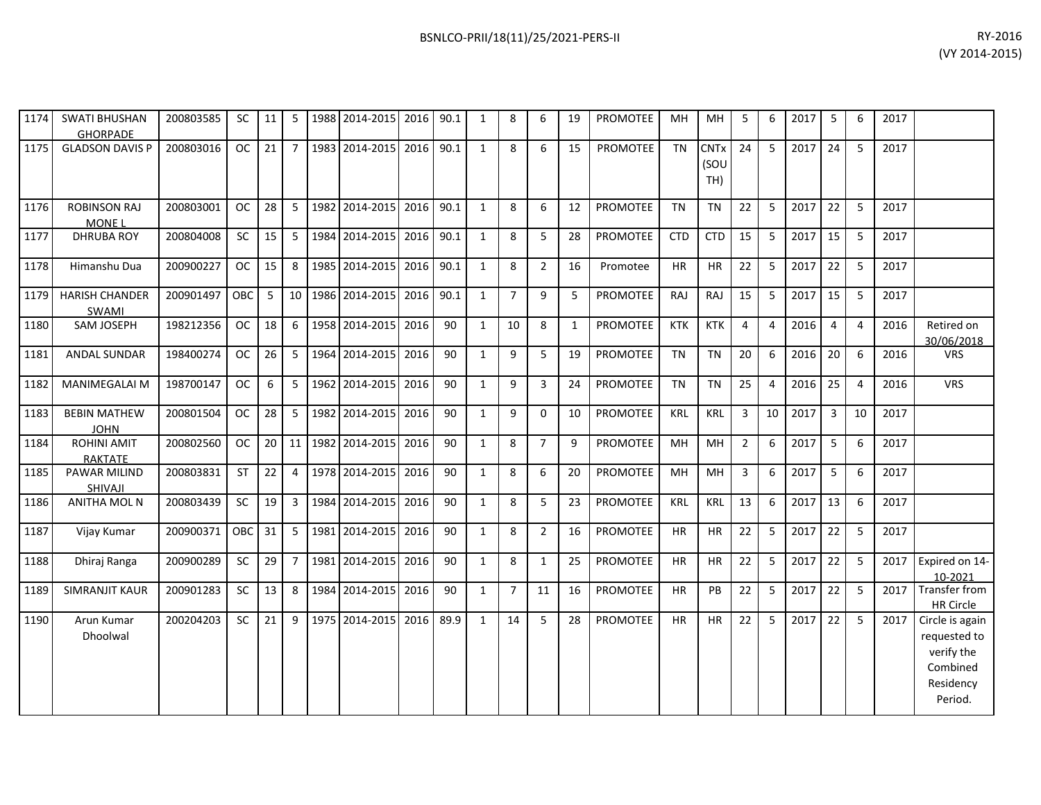| 1174 | <b>SWATI BHUSHAN</b><br><b>GHORPADE</b> | 200803585 | SC         | 11 | 5               | 1988 2014-2015 | 2016 90.1 |      | 1            | 8              | 6              | 19 | <b>PROMOTEE</b> | MH         | MH                         | 5              | 6              | 2017 | 5              | 6              | 2017 |                                                                                   |
|------|-----------------------------------------|-----------|------------|----|-----------------|----------------|-----------|------|--------------|----------------|----------------|----|-----------------|------------|----------------------------|----------------|----------------|------|----------------|----------------|------|-----------------------------------------------------------------------------------|
| 1175 | <b>GLADSON DAVIS P</b>                  | 200803016 | <b>OC</b>  | 21 | $\overline{7}$  | 1983 2014-2015 | 2016 90.1 |      | $\mathbf{1}$ | 8              | 6              | 15 | PROMOTEE        | TN         | <b>CNTx</b><br>(SOU<br>TH) | 24             | 5              | 2017 | 24             | 5              | 2017 |                                                                                   |
| 1176 | <b>ROBINSON RAJ</b><br>MONE L           | 200803001 | OC.        | 28 | 5               | 1982 2014-2015 | 2016      | 90.1 | 1            | 8              | 6              | 12 | PROMOTEE        | TN         | TN                         | 22             | 5              | 2017 | 22             | 5              | 2017 |                                                                                   |
| 1177 | DHRUBA ROY                              | 200804008 | SC         | 15 | $5-1$           | 1984 2014-2015 | 2016      | 90.1 | 1            | 8              | 5              | 28 | <b>PROMOTEE</b> | <b>CTD</b> | <b>CTD</b>                 | 15             | 5              | 2017 | 15             | 5              | 2017 |                                                                                   |
| 1178 | Himanshu Dua                            | 200900227 | <b>OC</b>  | 15 | 8               | 1985 2014-2015 | 2016      | 90.1 | 1            | 8              | $\overline{2}$ | 16 | Promotee        | HR         | HR                         | 22             | 5              | 2017 | 22             | 5              | 2017 |                                                                                   |
| 1179 | <b>HARISH CHANDER</b><br>SWAMI          | 200901497 | <b>OBC</b> | 5  | 10 <sup>1</sup> | 1986 2014-2015 | 2016 90.1 |      | 1            | $\overline{7}$ | 9              | -5 | PROMOTEE        | <b>RAJ</b> | <b>RAJ</b>                 | 15             | 5              | 2017 | 15             | 5              | 2017 |                                                                                   |
| 1180 | SAM JOSEPH                              | 198212356 | <b>OC</b>  | 18 | 6               | 1958 2014-2015 | 2016      | 90   | $\mathbf{1}$ | 10             | 8              | 1  | PROMOTEE        | <b>KTK</b> | <b>KTK</b>                 | $\overline{4}$ | 4              | 2016 | $\overline{4}$ | $\overline{4}$ | 2016 | Retired on<br>30/06/2018                                                          |
| 1181 | <b>ANDAL SUNDAR</b>                     | 198400274 | OC.        | 26 | 5 <sub>1</sub>  | 1964 2014-2015 | 2016      | 90   | $\mathbf{1}$ | 9              | 5              | 19 | <b>PROMOTEE</b> | <b>TN</b>  | TN                         | 20             | 6              | 2016 | 20             | 6              | 2016 | <b>VRS</b>                                                                        |
| 1182 | <b>MANIMEGALAI M</b>                    | 198700147 | <b>OC</b>  | 6  | 5               | 1962 2014-2015 | 2016      | 90   | $\mathbf{1}$ | 9              | 3              | 24 | <b>PROMOTEE</b> | <b>TN</b>  | <b>TN</b>                  | 25             | $\overline{4}$ | 2016 | 25             | $\overline{a}$ | 2016 | <b>VRS</b>                                                                        |
| 1183 | <b>BEBIN MATHEW</b><br><b>JOHN</b>      | 200801504 | <b>OC</b>  | 28 | 5               | 1982 2014-2015 | 2016      | 90   | $\mathbf{1}$ | 9              | $\Omega$       | 10 | <b>PROMOTEE</b> | <b>KRL</b> | <b>KRL</b>                 | 3              | 10             | 2017 | $\overline{3}$ | 10             | 2017 |                                                                                   |
| 1184 | <b>ROHINI AMIT</b><br><b>RAKTATE</b>    | 200802560 | OC.        | 20 | 11 I            | 1982 2014-2015 | 2016      | 90   | $\mathbf{1}$ | 8              | $\overline{7}$ | 9  | <b>PROMOTEE</b> | <b>MH</b>  | MH                         | $\overline{2}$ | 6              | 2017 | 5              | 6              | 2017 |                                                                                   |
| 1185 | PAWAR MILIND<br>SHIVAJI                 | 200803831 | <b>ST</b>  | 22 | $\overline{4}$  | 1978 2014-2015 | 2016      | 90   | $\mathbf{1}$ | 8              | 6              | 20 | <b>PROMOTEE</b> | MН         | MH                         | 3              | 6              | 2017 | 5              | 6              | 2017 |                                                                                   |
| 1186 | ANITHA MOL N                            | 200803439 | <b>SC</b>  | 19 | 3               | 1984 2014-2015 | 2016      | 90   | $\mathbf{1}$ | 8              | 5              | 23 | PROMOTEE        | <b>KRL</b> | <b>KRL</b>                 | 13             | 6              | 2017 | 13             | 6              | 2017 |                                                                                   |
| 1187 | Vijay Kumar                             | 200900371 | <b>OBC</b> | 31 | 5               | 1981 2014-2015 | 2016      | 90   | 1            | 8              | $\overline{2}$ | 16 | PROMOTEE        | <b>HR</b>  | <b>HR</b>                  | 22             | 5              | 2017 | 22             | -5             | 2017 |                                                                                   |
| 1188 | Dhiraj Ranga                            | 200900289 | <b>SC</b>  | 29 | 7 <sup>1</sup>  | 1981 2014-2015 | 2016      | 90   | 1            | 8              | $\mathbf{1}$   | 25 | <b>PROMOTEE</b> | <b>HR</b>  | <b>HR</b>                  | 22             | 5              | 2017 | 22             | -5             | 2017 | Expired on 14-<br>10-2021                                                         |
| 1189 | <b>SIMRANJIT KAUR</b>                   | 200901283 | SC.        | 13 | 8               | 1984 2014-2015 | 2016      | 90   | $\mathbf{1}$ | $\overline{7}$ | 11             | 16 | PROMOTEE        | <b>HR</b>  | PB                         | 22             | 5              | 2017 | 22             | -5             | 2017 | Transfer from<br>HR Circle                                                        |
| 1190 | Arun Kumar<br>Dhoolwal                  | 200204203 | SC         | 21 | 9               | 1975 2014-2015 | 2016      | 89.9 | 1            | 14             | 5              | 28 | PROMOTEE        | <b>HR</b>  | <b>HR</b>                  | 22             | 5              | 2017 | 22             | -5             | 2017 | Circle is again<br>requested to<br>verify the<br>Combined<br>Residency<br>Period. |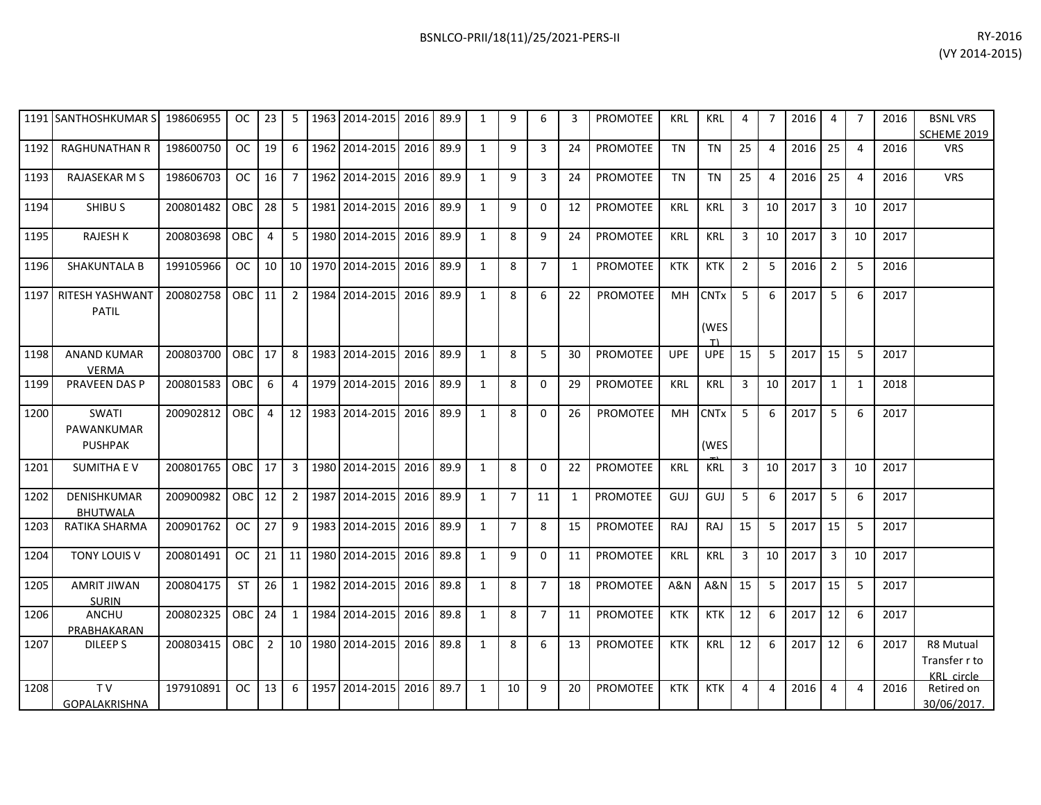|      | 1191 SANTHOSHKUMAR S                   | 198606955 | <b>OC</b>     | 23   | 5              |      | 1963 2014-2015 | 2016 | 89.9 | $\mathbf{1}$ | 9              | 6              | 3  | <b>PROMOTEE</b> | <b>KRL</b>     | <b>KRL</b>                | 4              | $\overline{7}$ | 2016 | $\boldsymbol{\Delta}$ |    | 2016 | <b>BSNL VRS</b><br>SCHEME 2019 |
|------|----------------------------------------|-----------|---------------|------|----------------|------|----------------|------|------|--------------|----------------|----------------|----|-----------------|----------------|---------------------------|----------------|----------------|------|-----------------------|----|------|--------------------------------|
| 1192 | <b>RAGHUNATHAN R</b>                   | 198600750 | <sub>OC</sub> | 19   | 6              | 1962 | 2014-2015      | 2016 | 89.9 | 1            | 9              | 3              | 24 | <b>PROMOTEE</b> | <b>TN</b>      | <b>TN</b>                 | 25             | 4              | 2016 | 25                    | 4  | 2016 | <b>VRS</b>                     |
| 1193 | <b>RAJASEKAR M S</b>                   | 198606703 | <b>OC</b>     | 16   | 7              |      | 1962 2014-2015 | 2016 | 89.9 | 1            | 9              | 3              | 24 | <b>PROMOTEE</b> | <b>TN</b>      | <b>TN</b>                 | 25             | 4              | 2016 | 25                    | 4  | 2016 | <b>VRS</b>                     |
| 1194 | <b>SHIBU S</b>                         | 200801482 | <b>OBC</b>    | 28   | 5              | 1981 | 2014-2015      | 2016 | 89.9 | 1            | 9              | $\Omega$       | 12 | <b>PROMOTEE</b> | <b>KRL</b>     | KRL                       | 3              | 10             | 2017 | $\overline{3}$        | 10 | 2017 |                                |
| 1195 | <b>RAJESH K</b>                        | 200803698 | OBC           | 4    | 5              |      | 1980 2014-2015 | 2016 | 89.9 | 1            | 8              | 9              | 24 | <b>PROMOTEE</b> | KRL            | <b>KRL</b>                | 3              | 10             | 2017 | 3                     | 10 | 2017 |                                |
| 1196 | <b>SHAKUNTALA B</b>                    | 199105966 | OC .          | 10   | 10             |      | 1970 2014-2015 | 2016 | 89.9 | 1            | 8              | $\overline{7}$ | 1  | <b>PROMOTEE</b> | <b>KTK</b>     | <b>KTK</b>                | $\overline{2}$ | 5              | 2016 | 2                     | 5  | 2016 |                                |
| 1197 | <b>RITESH YASHWANT</b><br><b>PATIL</b> | 200802758 | OBC           | 11   | $\overline{2}$ | 1984 | 2014-2015      | 2016 | 89.9 | $\mathbf{1}$ | 8              | 6              | 22 | <b>PROMOTEE</b> | MH             | <b>CNTx</b><br>(WES<br>T) | 5              | 6              | 2017 | 5                     | 6  | 2017 |                                |
| 1198 | <b>ANAND KUMAR</b><br><b>VERMA</b>     | 200803700 | OBC.          | 17   | 8              | 1983 | 2014-2015      | 2016 | 89.9 | 1            | 8              | 5              | 30 | <b>PROMOTEE</b> | <b>UPE</b>     | <b>UPE</b>                | 15             | 5              | 2017 | 15                    | 5  | 2017 |                                |
| 1199 | <b>PRAVEEN DAS P</b>                   | 200801583 | <b>OBC</b>    | 6    | $\overline{4}$ |      | 1979 2014-2015 | 2016 | 89.9 | 1            | 8              | 0              | 29 | <b>PROMOTEE</b> | KRL            | <b>KRL</b>                | 3              | 10             | 2017 | 1                     | 1  | 2018 |                                |
| 1200 | SWATI<br>PAWANKUMAR<br><b>PUSHPAK</b>  | 200902812 | OBC.          | 4    | 12             |      | 1983 2014-2015 | 2016 | 89.9 | 1            | 8              | 0              | 26 | <b>PROMOTEE</b> | MH             | <b>CNTx</b><br>(WES       | 5              | 6              | 2017 | 5                     | 6  | 2017 |                                |
| 1201 | <b>SUMITHA EV</b>                      | 200801765 | <b>OBC</b>    | 17   | 3              | 1980 | 2014-2015      | 2016 | 89.9 | 1            | 8              | $\Omega$       | 22 | <b>PROMOTEE</b> | <b>KRL</b>     | <b>KRL</b>                | 3              | 10             | 2017 | 3                     | 10 | 2017 |                                |
| 1202 | DENISHKUMAR<br><b>BHUTWALA</b>         | 200900982 | OBC           | 12   | $\overline{2}$ |      | 1987 2014-2015 | 2016 | 89.9 | 1            | $\overline{7}$ | 11             | 1  | <b>PROMOTEE</b> | GUJ            | GUJ                       | 5              | 6              | 2017 | 5                     | 6  | 2017 |                                |
| 1203 | RATIKA SHARMA                          | 200901762 | <sub>OC</sub> | 27   | 9              |      | 1983 2014-2015 | 2016 | 89.9 | 1            | $\overline{7}$ | 8              | 15 | <b>PROMOTEE</b> | RAJ            | <b>RAJ</b>                | 15             | 5              | 2017 | 15                    | 5  | 2017 |                                |
| 1204 | <b>TONY LOUIS V</b>                    | 200801491 | <b>OC</b>     | 21   | 11             |      | 1980 2014-2015 | 2016 | 89.8 | 1            | 9              | $\mathbf 0$    | 11 | PROMOTEE        | <b>KRL</b>     | <b>KRL</b>                | 3              | 10             | 2017 | 3                     | 10 | 2017 |                                |
| 1205 | <b>AMRIT JIWAN</b><br><b>SURIN</b>     | 200804175 | <b>ST</b>     | 26   | 1              | 1982 | 2014-2015      | 2016 | 89.8 | 1            | 8              | $\overline{7}$ | 18 | <b>PROMOTEE</b> | <b>A&amp;N</b> | <b>A&amp;N</b>            | 15             | 5              | 2017 | 15                    | 5  | 2017 |                                |
| 1206 | <b>ANCHU</b>                           | 200802325 | OBC I         | 24 I | 1              |      | 1984 2014-2015 | 2016 | 89.8 | 1            | 8              | $\overline{7}$ | 11 | PROMOTEE        | <b>KTK</b>     | KTK I                     | 12             | 6              | 2017 | 12                    | 6  | 2017 |                                |

1207 DILEEP S 200803415 OBC 2 10 1980 2014-2015 2016 89.8 1 8 6 13 PROMOTEE KTK KRL 12 6 2017 12 6 2017 R8 Mutual

197910891 OC 13 6 1957 2014-2015 2016 89.7 1 10 9 20 PROMOTEE KTK KTK 4 4 2016 4 4 2016

PRABHAKARAN

GOPALAKRISHNA

1208 TV

Transfer r to KRL circle<br>Retired on

30/06/2017.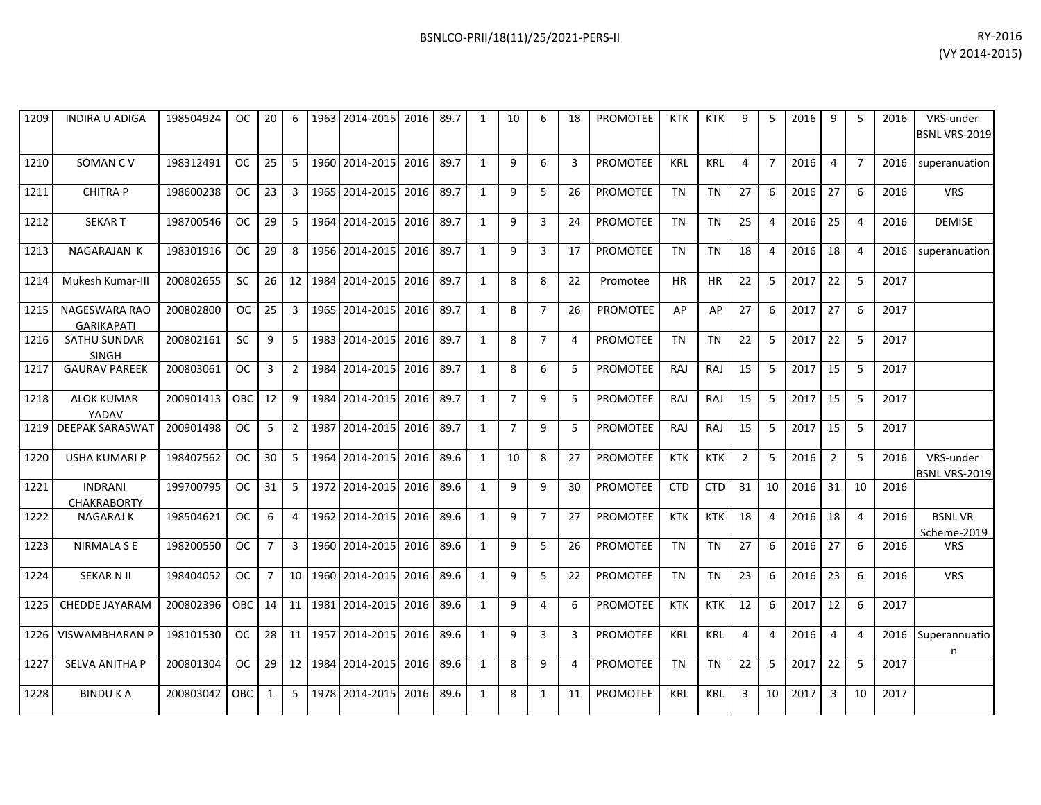| 1209 | <b>INDIRA U ADIGA</b>                | 198504924 | OC.        | 20             | 6              | 1963 | 2014-2015      | 2016 | 89.7 | $\mathbf{1}$ | 10             | 6              | 18 | PROMOTEE        | <b>KTK</b> | <b>KTK</b> | 9              | 5                     | 2016 | 9              | -5             | 2016 | VRS-under<br>BSNL VRS-2019        |
|------|--------------------------------------|-----------|------------|----------------|----------------|------|----------------|------|------|--------------|----------------|----------------|----|-----------------|------------|------------|----------------|-----------------------|------|----------------|----------------|------|-----------------------------------|
| 1210 | SOMAN CV                             | 198312491 | OC.        | 25             | 5              |      | 1960 2014-2015 | 2016 | 89.7 | $\mathbf{1}$ | 9              | 6              | 3  | <b>PROMOTEE</b> | <b>KRL</b> | <b>KRL</b> | 4              | $\overline{7}$        | 2016 | $\overline{4}$ | $\overline{7}$ | 2016 | superanuation                     |
| 1211 | <b>CHITRAP</b>                       | 198600238 | <b>OC</b>  | 23             | 3              |      | 1965 2014-2015 | 2016 | 89.7 | $\mathbf{1}$ | 9              | 5              | 26 | <b>PROMOTEE</b> | <b>TN</b>  | <b>TN</b>  | 27             | 6                     | 2016 | 27             | 6              | 2016 | <b>VRS</b>                        |
| 1212 | <b>SEKART</b>                        | 198700546 | OC.        | 29             | 5              |      | 1964 2014-2015 | 2016 | 89.7 | $\mathbf{1}$ | 9              | $\overline{3}$ | 24 | <b>PROMOTEE</b> | <b>TN</b>  | <b>TN</b>  | 25             | $\boldsymbol{\Delta}$ | 2016 | 25             | $\overline{4}$ | 2016 | <b>DEMISE</b>                     |
| 1213 | NAGARAJAN K                          | 198301916 | <b>OC</b>  | 29             | 8              |      | 1956 2014-2015 | 2016 | 89.7 | $\mathbf{1}$ | 9              | $\overline{3}$ | 17 | <b>PROMOTEE</b> | <b>TN</b>  | TN         | 18             | $\overline{4}$        | 2016 | 18             | $\overline{4}$ | 2016 | superanuation                     |
| 1214 | Mukesh Kumar-III                     | 200802655 | <b>SC</b>  | 26             | 12             | 1984 | 2014-2015      | 2016 | 89.7 | $\mathbf{1}$ | 8              | 8              | 22 | Promotee        | <b>HR</b>  | <b>HR</b>  | 22             | 5                     | 2017 | 22             | 5              | 2017 |                                   |
| 1215 | NAGESWARA RAO<br><b>GARIKAPATI</b>   | 200802800 | <b>OC</b>  | 25             | 3              |      | 1965 2014-2015 | 2016 | 89.7 | $\mathbf{1}$ | 8              | $\overline{7}$ | 26 | PROMOTEE        | AP         | AP         | 27             | 6                     | 2017 | 27             | 6              | 2017 |                                   |
| 1216 | <b>SATHU SUNDAR</b><br><b>SINGH</b>  | 200802161 | <b>SC</b>  | 9              | 5              |      | 1983 2014-2015 | 2016 | 89.7 | $\mathbf{1}$ | 8              | $\overline{7}$ | 4  | <b>PROMOTEE</b> | <b>TN</b>  | <b>TN</b>  | 22             | 5                     | 2017 | 22             | 5              | 2017 |                                   |
| 1217 | <b>GAURAV PAREEK</b>                 | 200803061 | <b>OC</b>  | 3              | $\overline{2}$ |      | 1984 2014-2015 | 2016 | 89.7 | $\mathbf{1}$ | 8              | 6              | 5  | <b>PROMOTEE</b> | <b>RAJ</b> | RAJ        | 15             | 5                     | 2017 | 15             | 5              | 2017 |                                   |
| 1218 | <b>ALOK KUMAR</b><br>YADAV           | 200901413 | <b>OBC</b> | 12             | 9              |      | 1984 2014-2015 | 2016 | 89.7 | $\mathbf{1}$ | $\overline{7}$ | 9              | 5  | <b>PROMOTEE</b> | <b>RAJ</b> | RAJ        | 15             | 5                     | 2017 | 15             | 5              | 2017 |                                   |
| 1219 | <b>DEEPAK SARASWAT</b>               | 200901498 | <b>OC</b>  | 5              | $2^{\circ}$    | 1987 | 2014-2015      | 2016 | 89.7 | $\mathbf{1}$ | $\overline{7}$ | 9              | 5  | <b>PROMOTEE</b> | <b>RAJ</b> | <b>RAJ</b> | 15             | 5                     | 2017 | 15             | 5              | 2017 |                                   |
| 1220 | <b>USHA KUMARI P</b>                 | 198407562 | <b>OC</b>  | 30             | 5              | 1964 | 2014-2015      | 2016 | 89.6 | $\mathbf{1}$ | 10             | 8              | 27 | PROMOTEE        | <b>KTK</b> | <b>KTK</b> | $\overline{2}$ | 5                     | 2016 | $\overline{2}$ | 5              | 2016 | VRS-under<br><b>BSNL VRS-2019</b> |
| 1221 | <b>INDRANI</b><br><b>CHAKRABORTY</b> | 199700795 | <b>OC</b>  | 31             | 5              |      | 1972 2014-2015 | 2016 | 89.6 | $\mathbf{1}$ | 9              | 9              | 30 | PROMOTEE        | <b>CTD</b> | <b>CTD</b> | 31             | 10                    | 2016 | 31             | 10             | 2016 |                                   |
| 1222 | <b>NAGARAJ K</b>                     | 198504621 | <b>OC</b>  | 6              | 4              |      | 1962 2014-2015 | 2016 | 89.6 | $\mathbf{1}$ | 9              | $\overline{7}$ | 27 | <b>PROMOTEE</b> | <b>KTK</b> | <b>KTK</b> | 18             | 4                     | 2016 | 18             | $\overline{4}$ | 2016 | <b>BSNLVR</b><br>Scheme-2019      |
| 1223 | NIRMALA S E                          | 198200550 | <b>OC</b>  | $\overline{7}$ | $\mathbf{3}$   |      | 1960 2014-2015 | 2016 | 89.6 | $\mathbf{1}$ | 9              | 5              | 26 | PROMOTEE        | <b>TN</b>  | <b>TN</b>  | 27             | 6                     | 2016 | 27             | 6              | 2016 | <b>VRS</b>                        |
| 1224 | <b>SEKAR N II</b>                    | 198404052 | <b>OC</b>  | $\overline{7}$ | 10             |      | 1960 2014-2015 | 2016 | 89.6 | $\mathbf{1}$ | 9              | 5              | 22 | PROMOTEE        | <b>TN</b>  | <b>TN</b>  | 23             | 6                     | 2016 | 23             | 6              | 2016 | <b>VRS</b>                        |
| 1225 | <b>CHEDDE JAYARAM</b>                | 200802396 | <b>OBC</b> | 14             | 11             |      | 1981 2014-2015 | 2016 | 89.6 | $\mathbf{1}$ | 9              | 4              | 6  | <b>PROMOTEE</b> | <b>KTK</b> | <b>KTK</b> | 12             | 6                     | 2017 | 12             | 6              | 2017 |                                   |
| 1226 | <b>VISWAMBHARAN P</b>                | 198101530 | <b>OC</b>  | 28             | 11             |      | 1957 2014-2015 | 2016 | 89.6 | $\mathbf{1}$ | 9              | 3              | 3  | <b>PROMOTEE</b> | <b>KRL</b> | <b>KRL</b> | 4              | $\overline{4}$        | 2016 | $\overline{4}$ | $\overline{4}$ | 2016 | Superannuatio<br>n                |
| 1227 | <b>SELVA ANITHA P</b>                | 200801304 | OC.        | 29             | 12             | 1984 | 2014-2015      | 2016 | 89.6 | $\mathbf{1}$ | 8              | 9              | 4  | <b>PROMOTEE</b> | <b>TN</b>  | <b>TN</b>  | 22             | 5                     | 2017 | 22             | -5             | 2017 |                                   |
| 1228 | <b>BINDUKA</b>                       | 200803042 | OBC        | 1              | 5              | 1978 | 2014-2015      | 2016 | 89.6 | $\mathbf{1}$ | 8              | $\mathbf{1}$   | 11 | <b>PROMOTEE</b> | <b>KRL</b> | <b>KRL</b> | 3              | 10                    | 2017 | 3              | 10             | 2017 |                                   |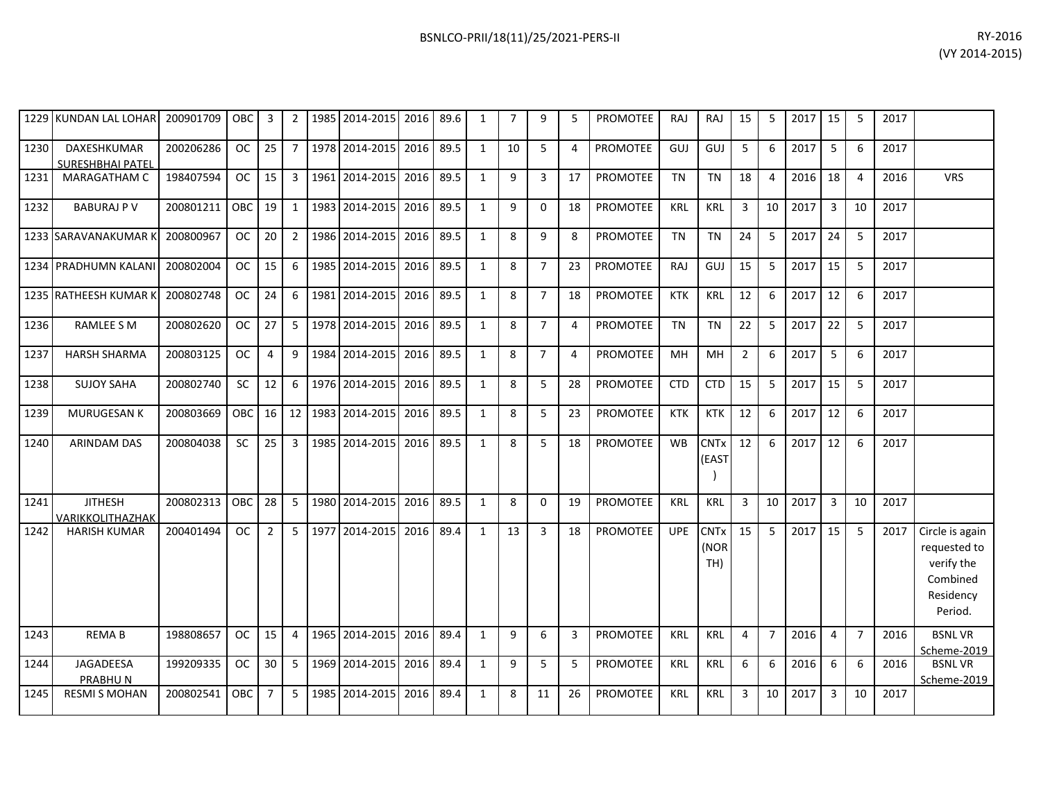| BSNLCO-PRII/18(11)/25/2021-PERS-II | RY-2016        |
|------------------------------------|----------------|
|                                    | (VY 2014-2015) |
|                                    |                |

| 1229 | <b>KUNDAN LAL LOHAR</b>                | 200901709 | <b>OBC</b> | 3              | 2              |      | 1985 2014-2015 2016 |      | 89.6 | $\mathbf{1}$ | $\overline{7}$ | 9              | 5              | PROMOTEE        | RAJ        | RAJ                             | 15             | 5              | 2017 | 15             | 5              | 2017 |                                                                                   |
|------|----------------------------------------|-----------|------------|----------------|----------------|------|---------------------|------|------|--------------|----------------|----------------|----------------|-----------------|------------|---------------------------------|----------------|----------------|------|----------------|----------------|------|-----------------------------------------------------------------------------------|
| 1230 | DAXESHKUMAR<br><b>SURESHBHAI PATEL</b> | 200206286 | OC         | 25             | $\overline{7}$ |      | 1978 2014-2015 2016 |      | 89.5 | $\mathbf{1}$ | 10             | 5              | 4              | <b>PROMOTEE</b> | GUJ        | GUJ                             | 5              | 6              | 2017 | 5              | 6              | 2017 |                                                                                   |
| 1231 | <b>MARAGATHAM C</b>                    | 198407594 | <b>OC</b>  | 15             | 3              | 1961 | 2014-2015           | 2016 | 89.5 | $\mathbf{1}$ | 9              | 3              | 17             | PROMOTEE        | <b>TN</b>  | <b>TN</b>                       | 18             | $\overline{4}$ | 2016 | 18             | $\overline{4}$ | 2016 | <b>VRS</b>                                                                        |
| 1232 | <b>BABURAJ P V</b>                     | 200801211 | OBC        | 19             | 1              | 1983 | 2014-2015 2016      |      | 89.5 | $\mathbf{1}$ | 9              | $\mathbf 0$    | 18             | PROMOTEE        | <b>KRL</b> | <b>KRL</b>                      | 3              | 10             | 2017 | $\mathbf{3}$   | 10             | 2017 |                                                                                   |
|      | 1233 SARAVANAKUMAR K                   | 200800967 | <b>OC</b>  | 20             | $\overline{2}$ |      | 1986 2014-2015 2016 |      | 89.5 | $\mathbf{1}$ | 8              | 9              | 8              | PROMOTEE        | <b>TN</b>  | <b>TN</b>                       | 24             | 5              | 2017 | 24             | 5              | 2017 |                                                                                   |
|      | 1234 PRADHUMN KALANI                   | 200802004 | OC         | 15             | 6              | 1985 | 2014-2015           | 2016 | 89.5 | $\mathbf{1}$ | 8              | $\overline{7}$ | 23             | <b>PROMOTEE</b> | RAJ        | GUJ                             | 15             | 5              | 2017 | 15             | 5              | 2017 |                                                                                   |
|      | 1235 RATHEESH KUMAR K                  | 200802748 | <b>OC</b>  | 24             | 6              | 1981 | 2014-2015 2016      |      | 89.5 | $\mathbf{1}$ | 8              | $\overline{7}$ | 18             | <b>PROMOTEE</b> | <b>KTK</b> | KRL                             | 12             | 6              | 2017 | 12             | 6              | 2017 |                                                                                   |
| 1236 | <b>RAMLEE S M</b>                      | 200802620 | <b>OC</b>  | 27             | 5              | 1978 | 2014-2015 2016      |      | 89.5 | $\mathbf{1}$ | 8              | $\overline{7}$ | 4              | <b>PROMOTEE</b> | <b>TN</b>  | <b>TN</b>                       | 22             | 5              | 2017 | 22             | 5              | 2017 |                                                                                   |
| 1237 | <b>HARSH SHARMA</b>                    | 200803125 | <b>OC</b>  | $\overline{4}$ | 9              | 1984 | 2014-2015 2016      |      | 89.5 | $\mathbf{1}$ | 8              | $\overline{7}$ | $\overline{4}$ | <b>PROMOTEE</b> | MH         | MH                              | $\overline{2}$ | 6              | 2017 | 5              | 6              | 2017 |                                                                                   |
| 1238 | <b>SUJOY SAHA</b>                      | 200802740 | SC         | 12             | 6              |      | 1976 2014-2015 2016 |      | 89.5 | $\mathbf{1}$ | 8              | 5              | 28             | <b>PROMOTEE</b> | <b>CTD</b> | <b>CTD</b>                      | 15             | 5              | 2017 | 15             | 5              | 2017 |                                                                                   |
| 1239 | <b>MURUGESAN K</b>                     | 200803669 | OBC        | 16             | 12             | 1983 | 2014-2015           | 2016 | 89.5 | $\mathbf{1}$ | 8              | 5              | 23             | <b>PROMOTEE</b> | <b>KTK</b> | KTK                             | 12             | 6              | 2017 | 12             | 6              | 2017 |                                                                                   |
| 1240 | <b>ARINDAM DAS</b>                     | 200804038 | <b>SC</b>  | 25             | $\mathbf{3}$   |      | 1985 2014-2015 2016 |      | 89.5 | $\mathbf{1}$ | 8              | 5              | 18             | PROMOTEE        | <b>WB</b>  | <b>CNT<sub>x</sub></b><br>(EAST | 12             | 6              | 2017 | 12             | 6              | 2017 |                                                                                   |
| 1241 | <b>JITHESH</b><br>VARIKKOLITHAZHAK     | 200802313 | OBC        | 28             | 5              | 1980 | 2014-2015           | 2016 | 89.5 | $\mathbf{1}$ | 8              | $\Omega$       | 19             | <b>PROMOTEE</b> | <b>KRL</b> | <b>KRL</b>                      | 3              | 10             | 2017 | 3              | 10             | 2017 |                                                                                   |
| 1242 | <b>HARISH KUMAR</b>                    | 200401494 | OC         | $\overline{2}$ | 5              | 1977 | 2014-2015 2016      |      | 89.4 | $\mathbf{1}$ | 13             | $\mathbf{3}$   | 18             | PROMOTEE        | <b>UPE</b> | <b>CNTx</b><br>(NOR<br>TH)      | 15             | 5              | 2017 | 15             | 5              | 2017 | Circle is again<br>requested to<br>verify the<br>Combined<br>Residency<br>Period. |
| 1243 | <b>REMAB</b>                           | 198808657 | <b>OC</b>  | 15             | 4              | 1965 | 2014-2015           | 2016 | 89.4 | $\mathbf{1}$ | 9              | 6              | 3              | PROMOTEE        | KRL        | KRL                             | $\overline{4}$ | $\overline{7}$ | 2016 | $\overline{4}$ | $\overline{7}$ | 2016 | <b>BSNLVR</b><br>Scheme-2019                                                      |
| 1244 | <b>JAGADEESA</b><br>PRABHUN            | 199209335 | <b>OC</b>  | 30             | 5              | 1969 | 2014-2015 2016      |      | 89.4 | $\mathbf{1}$ | 9              | 5              | 5              | <b>PROMOTEE</b> | <b>KRL</b> | <b>KRL</b>                      | 6              | 6              | 2016 | 6              | 6              | 2016 | <b>BSNLVR</b><br>Scheme-2019                                                      |
| 1245 | <b>RESMI S MOHAN</b>                   | 200802541 | OBC        | $\overline{7}$ | 5              | 1985 | 2014-2015           | 2016 | 89.4 | $\mathbf{1}$ | 8              | 11             | 26             | <b>PROMOTEE</b> | <b>KRL</b> | <b>KRL</b>                      | 3              | 10             | 2017 | 3              | 10             | 2017 |                                                                                   |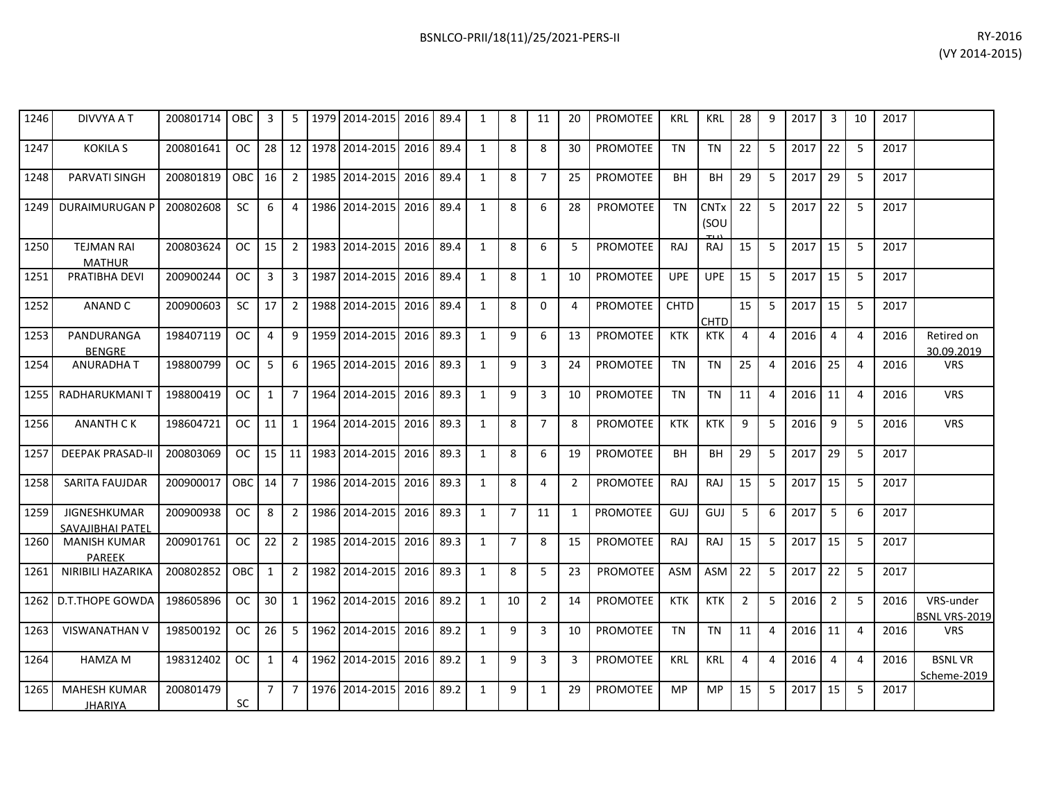| 1246 | DIVVYA A T                              | 200801714   OBC |            | 3               |                 |         | 5   1979   2014-2015   2016   89.4 |      |      | 1            | 8              | 11             | 20             | PROMOTEE        | KRL         | KRL                            | 28             | 9                     | 2017 | 3              | 10             | 2017 |                                   |
|------|-----------------------------------------|-----------------|------------|-----------------|-----------------|---------|------------------------------------|------|------|--------------|----------------|----------------|----------------|-----------------|-------------|--------------------------------|----------------|-----------------------|------|----------------|----------------|------|-----------------------------------|
| 1247 | <b>KOKILA S</b>                         | 200801641       | OC         | 28 l            | 12 <sup>1</sup> | 1978    | 2014-2015                          | 2016 | 89.4 | 1            | 8              | 8              | 30             | <b>PROMOTEE</b> | <b>TN</b>   | TN                             | 22             | 5                     | 2017 | 22             | 5              | 2017 |                                   |
| 1248 | PARVATI SINGH                           | 200801819       | <b>OBC</b> | 16              |                 | 2 1985  | 2014-2015                          | 2016 | 89.4 | $\mathbf{1}$ | 8              | $\overline{7}$ | 25             | <b>PROMOTEE</b> | BH          | <b>BH</b>                      | 29             | 5                     | 2017 | 29             | 5              | 2017 |                                   |
| 1249 | <b>DURAIMURUGAN P</b>                   | 200802608       | <b>SC</b>  | 6               | 4               | 1986    | 2014-2015 2016                     |      | 89.4 | $\mathbf{1}$ | 8              | 6              | 28             | <b>PROMOTEE</b> | TN          | <b>CNT<sub>x</sub></b><br>(SOU | 22             | 5                     | 2017 | 22             | 5              | 2017 |                                   |
| 1250 | <b>TEJMAN RAI</b><br><b>MATHUR</b>      | 200803624       | OC         | 15 <sup>1</sup> | 2               |         | 1983 2014-2015 2016                |      | 89.4 | $\mathbf{1}$ | 8              | 6              | 5              | <b>PROMOTEE</b> | <b>RAJ</b>  | <b>RAJ</b>                     | 15             | 5                     | 2017 | 15             | 5              | 2017 |                                   |
| 1251 | PRATIBHA DEVI                           | 200900244       | OC.        | 3               | 3               | 1987    | 2014-2015                          | 2016 | 89.4 | $\mathbf{1}$ | 8              | $\mathbf{1}$   | 10             | <b>PROMOTEE</b> | <b>UPE</b>  | <b>UPE</b>                     | 15             | 5                     | 2017 | 15             | 5              | 2017 |                                   |
| 1252 | ANAND C                                 | 200900603       | SC.        | 17              | 2 <sub>1</sub>  |         | 1988 2014-2015 2016                |      | 89.4 | $\mathbf{1}$ | 8              | $\Omega$       | 4              | <b>PROMOTEE</b> | <b>CHTD</b> | CHTD                           | 15             | 5                     | 2017 | 15             | 5              | 2017 |                                   |
| 1253 | PANDURANGA<br><b>BENGRE</b>             | 198407119       | OC         | 4               | 9               | 1959    | 2014-2015                          | 2016 | 89.3 | $\mathbf{1}$ | 9              | 6              | 13             | <b>PROMOTEE</b> | <b>KTK</b>  | <b>KTK</b>                     | 4              | 4                     | 2016 | $\overline{4}$ | $\overline{4}$ | 2016 | Retired on<br>30.09.2019          |
| 1254 | ANURADHA T                              | 198800799       | OC.        | 5               | 6               | 1965    | 2014-2015                          | 2016 | 89.3 | $\mathbf{1}$ | 9              | 3              | 24             | <b>PROMOTEE</b> | TN          | <b>TN</b>                      | 25             | $\overline{4}$        | 2016 | 25             | $\overline{4}$ | 2016 | <b>VRS</b>                        |
| 1255 | RADHARUKMANI T                          | 198800419       | OC.        | 1               | $\overline{7}$  |         | 1964 2014-2015 2016                |      | 89.3 | $\mathbf{1}$ | 9              | 3              | 10             | <b>PROMOTEE</b> | <b>TN</b>   | <b>TN</b>                      | 11             | $\overline{4}$        | 2016 | 11             | $\overline{4}$ | 2016 | <b>VRS</b>                        |
| 1256 | <b>ANANTH CK</b>                        | 198604721       | OC         | 11              | 1               | 1964    | 2014-2015                          | 2016 | 89.3 | $\mathbf{1}$ | 8              | $\overline{7}$ | 8              | <b>PROMOTEE</b> | <b>KTK</b>  | <b>KTK</b>                     | 9              | 5                     | 2016 | 9              | 5              | 2016 | <b>VRS</b>                        |
| 1257 | <b>DEEPAK PRASAD-II</b>                 | 200803069       | OC         | 15 <sup>1</sup> |                 | 11 1983 | 2014-2015                          | 2016 | 89.3 | $\mathbf{1}$ | 8              | 6              | 19             | <b>PROMOTEE</b> | <b>BH</b>   | <b>BH</b>                      | 29             | 5                     | 2017 | 29             | 5              | 2017 |                                   |
| 1258 | SARITA FAUJDAR                          | 200900017       | OBC        | 14 <sup>1</sup> | 7               |         | 1986 2014-2015                     | 2016 | 89.3 | 1            | 8              | 4              | $\overline{2}$ | PROMOTEE        | RAJ         | <b>RAJ</b>                     | 15             | 5                     | 2017 | 15             | -5             | 2017 |                                   |
| 1259 | JIGNESHKUMAR<br><b>SAVAJIBHAI PATEL</b> | 200900938       | OC.        | 8               | $\overline{2}$  |         | 1986 2014-2015                     | 2016 | 89.3 | $\mathbf{1}$ | $\overline{7}$ | 11             | $\mathbf{1}$   | PROMOTEE        | GUJ         | GUJ                            | 5              | 6                     | 2017 | 5              | 6              | 2017 |                                   |
| 1260 | <b>MANISH KUMAR</b><br>PAREEK           | 200901761       | OC         | 22              | $\overline{2}$  | 1985    | 2014-2015                          | 2016 | 89.3 | $\mathbf{1}$ | $\overline{7}$ | 8              | 15             | <b>PROMOTEE</b> | <b>RAJ</b>  | RAJ                            | 15             | 5                     | 2017 | 15             | -5             | 2017 |                                   |
| 1261 | NIRIBILI HAZARIKA                       | 200802852       | OBC        | 1               | 2               | 1982    | 2014-2015                          | 2016 | 89.3 | 1            | 8              | 5              | 23             | <b>PROMOTEE</b> | <b>ASM</b>  | <b>ASM</b>                     | 22             | 5                     | 2017 | 22             | -5             | 2017 |                                   |
| 1262 | <b>D.T.THOPE GOWDA</b>                  | 198605896       | OC.        | 30              | 1               | 1962    | 2014-2015                          | 2016 | 89.2 | $\mathbf{1}$ | 10             | $\overline{2}$ | 14             | PROMOTEE        | <b>KTK</b>  | <b>KTK</b>                     | $\overline{2}$ | 5                     | 2016 | $\overline{2}$ | -5             | 2016 | VRS-under<br><b>BSNL VRS-2019</b> |
| 1263 | <b>VISWANATHAN V</b>                    | 198500192       | OC.        | 26              | 5               | 1962    | 2014-2015                          | 2016 | 89.2 | $\mathbf{1}$ | 9              | 3              | 10             | <b>PROMOTEE</b> | <b>TN</b>   | <b>TN</b>                      | 11             | $\overline{4}$        | 2016 | 11             | $\overline{4}$ | 2016 | <b>VRS</b>                        |
| 1264 | HAMZA M                                 | 198312402       | OC         | $\mathbf{1}$    | 4               | 1962    | 2014-2015                          | 2016 | 89.2 | $\mathbf{1}$ | 9              | 3              | 3              | <b>PROMOTEE</b> | <b>KRL</b>  | <b>KRL</b>                     | 4              | $\boldsymbol{\Delta}$ | 2016 | $\overline{4}$ | $\overline{4}$ | 2016 | <b>BSNLVR</b><br>Scheme-2019      |
| 1265 | <b>MAHESH KUMAR</b><br><b>JHARIYA</b>   | 200801479       | <b>SC</b>  | $\overline{7}$  | 7               |         | 1976 2014-2015                     | 2016 | 89.2 | 1            | 9              | 1              | 29             | <b>PROMOTEE</b> | MP          | MP                             | 15             | 5                     | 2017 | 15             | 5              | 2017 |                                   |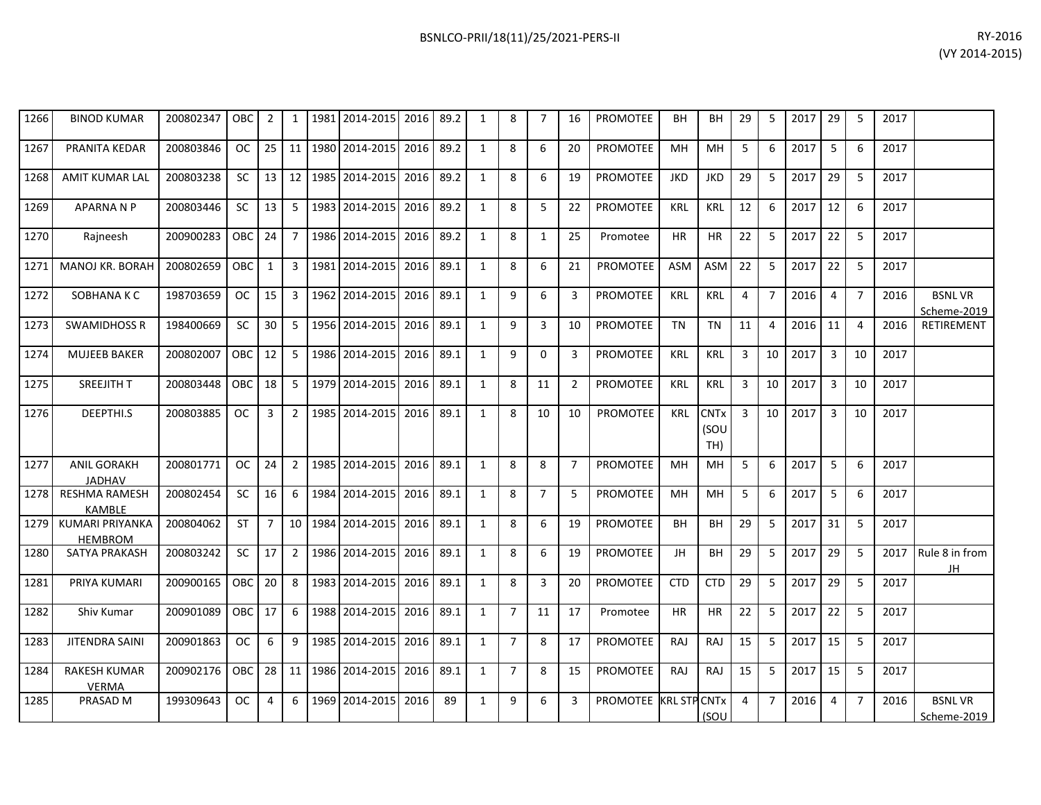| 1266 | <b>BINOD KUMAR</b>                       | 200802347 | <b>OBC</b> | $\overline{2}$ | $\mathbf{1}$    |      | 1981 2014-2015 2016   |      | 89.2 | 1              | 8              | 7              | 16             | <b>PROMOTEE</b>       | BH         | BН                                    | 29             | 5              | 2017 | 29             | 5              | 2017 |                              |
|------|------------------------------------------|-----------|------------|----------------|-----------------|------|-----------------------|------|------|----------------|----------------|----------------|----------------|-----------------------|------------|---------------------------------------|----------------|----------------|------|----------------|----------------|------|------------------------------|
| 1267 | PRANITA KEDAR                            | 200803846 | <b>OC</b>  | 25             | 11              |      | 1980 2014-2015        | 2016 | 89.2 | 1              | 8              | 6              | 20             | <b>PROMOTEE</b>       | <b>MH</b>  | MH                                    | 5              | 6              | 2017 | 5              | 6              | 2017 |                              |
| 1268 | <b>AMIT KUMAR LAL</b>                    | 200803238 | SC         | 13             | 12 <sup>1</sup> |      | 1985 2014-2015        | 2016 | 89.2 | 1              | 8              | 6              | 19             | <b>PROMOTEE</b>       | <b>JKD</b> | <b>JKD</b>                            | 29             | 5              | 2017 | 29             | 5              | 2017 |                              |
| 1269 | <b>APARNA N P</b>                        | 200803446 | SC         | 13             | 5 <sup>1</sup>  |      | 1983 2014-2015        | 2016 | 89.2 | $\mathbf{1}$   | 8              | 5              | 22             | <b>PROMOTEE</b>       | <b>KRL</b> | <b>KRL</b>                            | 12             | 6              | 2017 | 12             | 6              | 2017 |                              |
| 1270 | Raineesh                                 | 200900283 | OBC        | 24             | $7^{\circ}$     |      | 1986 2014-2015        | 2016 | 89.2 | 1              | 8              | 1              | 25             | Promotee              | <b>HR</b>  | <b>HR</b>                             | 22             | 5              | 2017 | 22             | 5              | 2017 |                              |
| 1271 | <b>MANOJ KR. BORAH</b>                   | 200802659 | OBC        | 1              | 3 <sup>1</sup>  |      | 1981 2014-2015        | 2016 | 89.1 | $\mathbf{1}$   | 8              | 6              | 21             | <b>PROMOTEE</b>       | <b>ASM</b> | <b>ASM</b>                            | 22             | 5              | 2017 | 22             | 5              | 2017 |                              |
| 1272 | SOBHANA K C                              | 198703659 | OC.        | 15             | $\mathbf{3}$    |      | 1962 2014-2015        | 2016 | 89.1 | 1              | 9              | 6              | 3              | PROMOTEE              | <b>KRL</b> | <b>KRL</b>                            | 4              | $\overline{7}$ | 2016 | $\overline{4}$ | $\overline{7}$ | 2016 | <b>BSNLVR</b><br>Scheme-2019 |
| 1273 | <b>SWAMIDHOSS R</b>                      | 198400669 | SC         | 30             | 5 <sub>1</sub>  |      | 1956 2014-2015        | 2016 | 89.1 | $\mathbf{1}$   | 9              | $\mathbf{3}$   | 10             | PROMOTEE              | <b>TN</b>  | <b>TN</b>                             | 11             | 4              | 2016 | 11             | $\overline{4}$ | 2016 | RETIREMENT                   |
| 1274 | <b>MUJEEB BAKER</b>                      | 200802007 | OBC        | 12             | 5 <sub>1</sub>  |      | 1986 2014-2015        | 2016 | 89.1 | 1              | 9              | $\mathbf 0$    | 3              | <b>PROMOTEE</b>       | <b>KRL</b> | <b>KRL</b>                            | $\overline{3}$ | 10             | 2017 | $\overline{3}$ | 10             | 2017 |                              |
| 1275 | SREEJITH T                               | 200803448 | OBC        | 18             | 5 <sup>1</sup>  |      | 1979 2014-2015        | 2016 | 89.1 | $\mathbf{1}$   | 8              | 11             | $\overline{2}$ | PROMOTEE              | <b>KRL</b> | <b>KRL</b>                            | 3              | 10             | 2017 | $\overline{3}$ | 10             | 2017 |                              |
| 1276 | DEEPTHI.S                                | 200803885 | <b>OC</b>  | 3              | 2 <sup>1</sup>  |      | 1985 2014-2015        | 2016 | 89.1 | $\overline{1}$ | 8              | 10             | 10             | <b>PROMOTEE</b>       | <b>KRL</b> | <b>CNT<sub>x</sub></b><br>(SOU<br>TH) | 3              | 10             | 2017 | $\overline{3}$ | 10             | 2017 |                              |
| 1277 | <b>ANIL GORAKH</b><br><b>JADHAV</b>      | 200801771 | <b>OC</b>  | 24             | $\overline{2}$  |      | 1985 2014-2015        | 2016 | 89.1 | $\mathbf{1}$   | 8              | 8              | $\overline{7}$ | <b>PROMOTEE</b>       | <b>MH</b>  | <b>MH</b>                             | 5              | 6              | 2017 | 5              | 6              | 2017 |                              |
| 1278 | <b>RESHMA RAMESH</b><br><b>KAMBLE</b>    | 200802454 | <b>SC</b>  | 16             | 6               | 1984 | 2014-2015             | 2016 | 89.1 | $\mathbf{1}$   | 8              | $\overline{7}$ | 5              | PROMOTEE              | <b>MH</b>  | MH                                    | 5              | 6              | 2017 | 5              | 6              | 2017 |                              |
| 1279 | <b>KUMARI PRIYANKA</b><br><b>HEMBROM</b> | 200804062 | <b>ST</b>  | $\overline{7}$ | 10 <sup>1</sup> | 1984 | 2014-2015             | 2016 | 89.1 | $\mathbf{1}$   | 8              | 6              | 19             | <b>PROMOTEE</b>       | <b>BH</b>  | <b>BH</b>                             | 29             | 5              | 2017 | 31             | 5              | 2017 |                              |
| 1280 | SATYA PRAKASH                            | 200803242 | <b>SC</b>  | 17             | $2^{\circ}$     |      | 1986 2014-2015        | 2016 | 89.1 | $\mathbf{1}$   | 8              | 6              | 19             | PROMOTEE              | JH         | <b>BH</b>                             | 29             | 5              | 2017 | 29             | 5              | 2017 | Rule 8 in from<br>JH         |
| 1281 | PRIYA KUMARI                             | 200900165 | OBC        | 20             | 8               |      | 1983 2014-2015        | 2016 | 89.1 | $\mathbf{1}$   | 8              | $\overline{3}$ | 20             | PROMOTEE              | <b>CTD</b> | <b>CTD</b>                            | 29             | 5              | 2017 | 29             | 5              | 2017 |                              |
| 1282 | Shiv Kumar                               | 200901089 | OBC        | 17             | 6               |      | 1988 2014-2015        | 2016 | 89.1 | $\mathbf{1}$   | $\overline{7}$ | 11             | 17             | Promotee              | <b>HR</b>  | <b>HR</b>                             | 22             | 5              | 2017 | 22             | 5              | 2017 |                              |
| 1283 | <b>JITENDRA SAINI</b>                    | 200901863 | <b>OC</b>  | 6              | 9               |      | 1985 2014-2015        | 2016 | 89.1 | $\mathbf{1}$   | $\overline{7}$ | 8              | 17             | <b>PROMOTEE</b>       | <b>RAJ</b> | <b>RAJ</b>                            | 15             | 5              | 2017 | 15             | 5              | 2017 |                              |
| 1284 | <b>RAKESH KUMAR</b><br><b>VERMA</b>      | 200902176 | <b>OBC</b> | 28             | 11              |      | 1986 2014-2015        | 2016 | 89.1 | 1              | $\overline{7}$ | 8              | 15             | <b>PROMOTEE</b>       | RAJ        | RAJ                                   | 15             | 5              | 2017 | 15             | 5              | 2017 |                              |
| 1285 | PRASAD <sub>M</sub>                      | 199309643 | <b>OC</b>  | $\overline{4}$ |                 |      | 6 1969 2014-2015 2016 |      | 89   | 1              | 9              | 6              | 3              | PROMOTEE KRL STP CNTx |            |                                       | $\overline{4}$ | $\overline{7}$ | 2016 | $\overline{4}$ | $\overline{7}$ | 2016 | <b>BSNLVR</b>                |

(SOU

Scheme-2019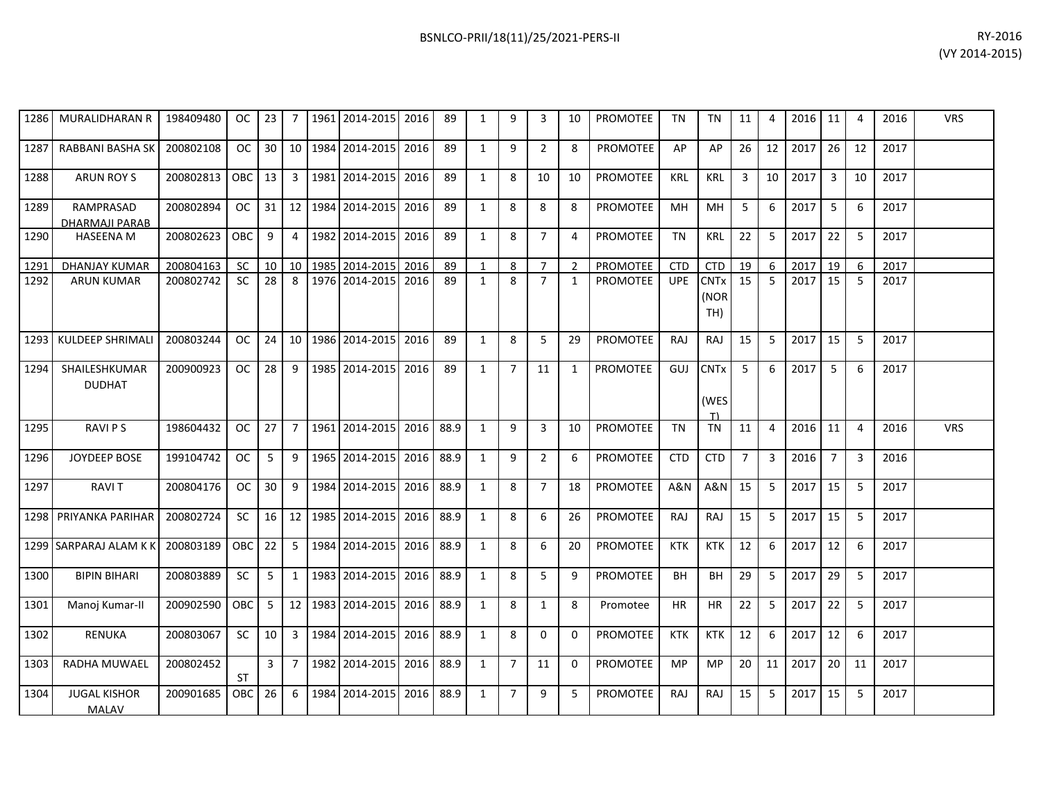|      | 1286 MURALIDHARAN R            | 198409480                                                 |            |                 |                | OC 23 7 1961 2014-2015 2016         |           | 89 | 1            | 9            | 3              | 10             | PROMOTEE        | TN         | <b>TN</b>                  | 11             | 4              | $2016$ 11 |                | $\overline{a}$ | 2016 | <b>VRS</b> |
|------|--------------------------------|-----------------------------------------------------------|------------|-----------------|----------------|-------------------------------------|-----------|----|--------------|--------------|----------------|----------------|-----------------|------------|----------------------------|----------------|----------------|-----------|----------------|----------------|------|------------|
| 1287 | RABBANI BASHA SK               | 200802108                                                 | oc I       |                 |                | 30 10 1984 2014-2015                | 2016      | 89 | $\mathbf{1}$ | 9            | $\overline{2}$ | 8              | PROMOTEE        | AP         | AP                         | 26             | 12             | 2017      | 26             | 12             | 2017 |            |
| 1288 | ARUN ROY S                     | 200802813                                                 | OBC 13     |                 | $\overline{3}$ | 1981 2014-2015                      | 2016      | 89 | 1            | 8            | 10             | 10             | PROMOTEE        | KRL        | KRL                        | 3              | 10             | 2017      | $\overline{3}$ | 10             | 2017 |            |
| 1289 | RAMPRASAD<br>DHARMAJI PARAB    | 200802894                                                 |            |                 |                | OC 31 22 3984 2014-2015 2016        |           | 89 | 1            | 8            | 8              | 8              | <b>PROMOTEE</b> | MН         | MН                         | -5             | 6              | 2017      | 5              | 6              | 2017 |            |
| 1290 | <b>HASEENA M</b>               | 200802623                                                 | OBC I      | 9               | $\overline{4}$ | 1982 2014-2015                      | 2016      | 89 | $\mathbf{1}$ | 8            | $\overline{7}$ | 4              | PROMOTEE        | <b>TN</b>  | <b>KRL</b>                 | 22             | -5             | 2017      | 22             | 5              | 2017 |            |
| 1291 | DHANJAY KUMAR                  | 200804163                                                 | -SC        |                 |                | 10   10   1985   2014-2015   2016   |           | 89 | 1            | -8           | $\overline{7}$ | 2              | PROMOTEE        | <b>CTD</b> | <b>CTD</b>                 | 19             | 6              | 2017      | 19             | 6              | 2017 |            |
| 1292 | <b>ARUN KUMAR</b>              | 200802742                                                 | <b>SC</b>  | 28 <sup>1</sup> | 8              | 1976 2014-2015 2016                 |           | 89 | 1            | 8            | $7^{\circ}$    | 1              | PROMOTEE        | <b>UPE</b> | <b>CNTx</b><br>(NOR<br>TH) | 15             | -5             | 2017      | 15             | -5             | 2017 |            |
|      | 1293 KULDEEP SHRIMALI          | 200803244                                                 | OC         |                 |                | 24 10 1986 2014-2015                | 2016      | 89 | $\mathbf{1}$ | 8            | $5^{\circ}$    | 29             | <b>PROMOTEE</b> | <b>RAJ</b> | <b>RAJ</b>                 | 15             | -5             | 2017      | 15             | 5              | 2017 |            |
| 1294 | SHAILESHKUMAR<br><b>DUDHAT</b> | 200900923                                                 | OC I       | 28              | 9              | 1985 2014-2015                      | 2016      | 89 | $\mathbf{1}$ | 7            | 11             | 1              | <b>PROMOTEE</b> | GUJ        | <b>CNTx</b><br>(WES<br>T)  | -5             | 6              | 2017      | $5^{\circ}$    | 6              | 2017 |            |
| 1295 | <b>RAVIPS</b>                  | 198604432                                                 | OC         | $27 \mid 7$     |                | 1961 2014-2015 2016 88.9            |           |    | $\mathbf{1}$ | $\mathsf{q}$ | $\overline{3}$ | 10             | PROMOTEE        | TN         | TN                         | 11             | $\overline{4}$ | $2016$ 11 |                | 4              | 2016 | <b>VRS</b> |
| 1296 | <b>JOYDEEP BOSE</b>            | 199104742                                                 | OC         | 5               |                | 9 1965 2014-2015 2016 88.9          |           |    | 1            | 9            | $\overline{2}$ | 6              | PROMOTEE        | CTD        | <b>CTD</b>                 | $\overline{7}$ | 3              | 2016      | $\overline{7}$ | 3              | 2016 |            |
| 1297 | <b>RAVIT</b>                   | 200804176                                                 | OC         | $30$   9        |                | 1984 2014-2015                      | 2016 88.9 |    | 1            | 8            | $\overline{7}$ | 18             | PROMOTEE        | A&N        | A&N                        | 15             | -5             | 2017      | 15             | -5             | 2017 |            |
|      | 1298 PRIYANKA PARIHAR          | 200802724                                                 | sc I       |                 |                | 16 12 1985 2014-2015                | 2016 88.9 |    | $\mathbf{1}$ | 8            | 6              | 26             | PROMOTEE        | <b>RAJ</b> | RAJ                        | 15             | 5              | 2017      | 15             | 5              | 2017 |            |
|      | 1299 SARPARAJ ALAM K K         | 200803189                                                 | OBC 22 5   |                 |                | 1984 2014-2015                      | 2016 88.9 |    | 1            | 8            | 6              | 20             | PROMOTEE        | KTK        | KTK                        | 12             | 6              | 2017      | 12             | 6              | 2017 |            |
| 1300 | <b>BIPIN BIHARI</b>            | 200803889                                                 | <b>SC</b>  | 5 <sup>5</sup>  |                | 1   1983   2014-2015   2016   88.9  |           |    | 1            | 8            | 5              | 9              | PROMOTEE        | BH         | BH                         | 29             | -5             | 2017      | 29             | 5              | 2017 |            |
| 1301 | Manoj Kumar-II                 | 200902590                                                 | <b>OBC</b> | 5               |                | 12   1983   2014-2015   2016   88.9 |           |    | 1            | 8            | 1              | 8              | Promotee        | HR.        | HR.                        | 22             | -5             | 2017      | 22             | 5              | 2017 |            |
| 1302 | <b>RENUKA</b>                  | 200803067                                                 | SC I       | 10 <sup>1</sup> |                | 3 1984 2014-2015                    | 2016 88.9 |    | 1            | 8            | $\Omega$       | 0              | <b>PROMOTEE</b> | <b>KTK</b> | <b>KTK</b>                 | 12             | 6              | 2017      | 12             | 6              | 2017 |            |
| 1303 | RADHA MUWAEL                   | 200802452                                                 | ST         |                 | $3 \mid 7$     | 1982   2014-2015   2016   88.9      |           |    | 1            | 7            | 11             | $\Omega$       | PROMOTEE        | MP.        | MP.                        | 20             | 11             | 2017      | 20             | 11             | 2017 |            |
| 1304 | <b>JUGAL KISHOR</b>            | 200901685   OBC   26   6   1984   2014-2015   2016   88.9 |            |                 |                |                                     |           |    | $\mathbf{1}$ | $7^{\circ}$  | 9              | 5 <sub>1</sub> | <b>PROMOTEE</b> | RAJ        | RAJ 15 5                   |                |                | 2017 15   |                | 5 <sup>5</sup> | 2017 |            |

MALAV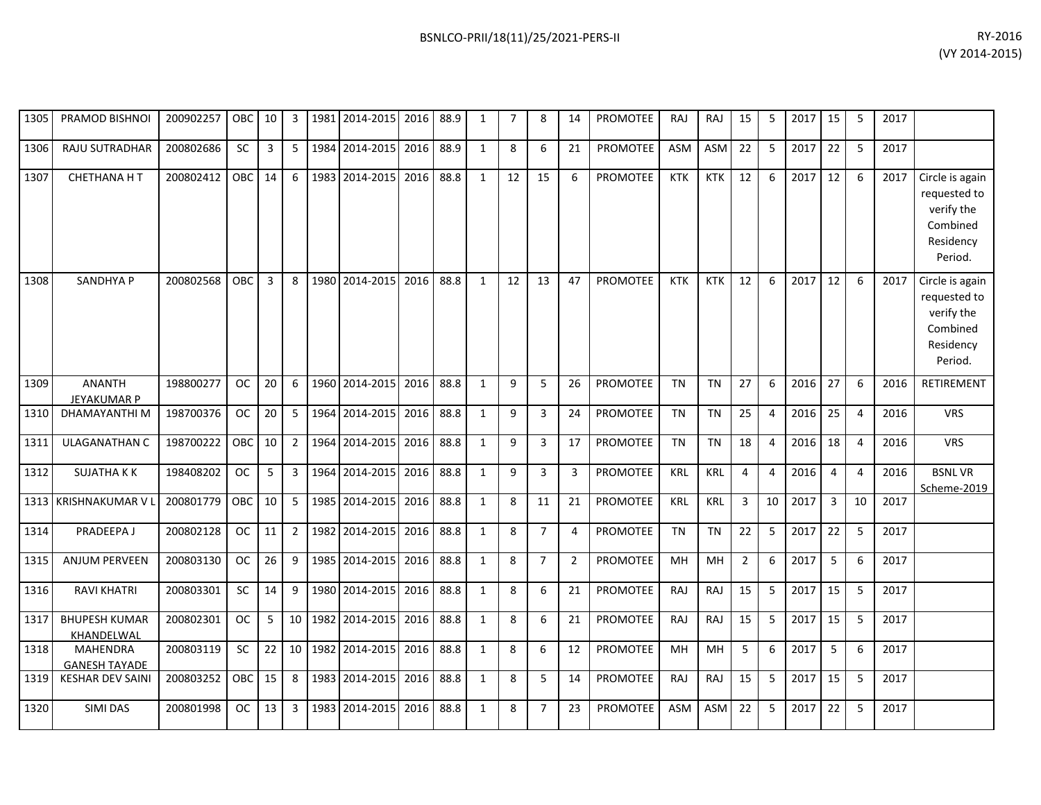| 1305 | PRAMOD BISHNOI                      | 200902257 | OBC 10        |                 | 3                |         | 1981 2014-2015      | 2016 | 88.9 | 1            | 7  | 8              | 14             | PROMOTEE        | RAJ        | RAJ        | 15             | 5              | 2017   15 |                | 5              | 2017 |                                                                                   |
|------|-------------------------------------|-----------|---------------|-----------------|------------------|---------|---------------------|------|------|--------------|----|----------------|----------------|-----------------|------------|------------|----------------|----------------|-----------|----------------|----------------|------|-----------------------------------------------------------------------------------|
| 1306 | RAJU SUTRADHAR                      | 200802686 | <b>SC</b>     | 3               | 5                | 1984    | 2014-2015           | 2016 | 88.9 | $\mathbf{1}$ | 8  | 6              | 21             | <b>PROMOTEE</b> | ASM        | <b>ASM</b> | 22             | 5              | 2017      | 22             | 5              | 2017 |                                                                                   |
| 1307 | <b>CHETHANA HT</b>                  | 200802412 | OBC 14        |                 | 6                |         | 1983 2014-2015      | 2016 | 88.8 | $\mathbf{1}$ | 12 | 15             | 6              | PROMOTEE        | <b>KTK</b> | <b>KTK</b> | 12             | 6              | 2017      | 12             | 6              | 2017 | Circle is again<br>requested to<br>verify the<br>Combined<br>Residency<br>Period. |
| 1308 | <b>SANDHYA P</b>                    | 200802568 | <b>OBC</b>    | 3               | 8                | 1980    | 2014-2015           | 2016 | 88.8 | $\mathbf{1}$ | 12 | 13             | 47             | <b>PROMOTEE</b> | <b>KTK</b> | <b>KTK</b> | 12             | 6              | 2017      | 12             | 6              | 2017 | Circle is again<br>requested to<br>verify the<br>Combined<br>Residency<br>Period. |
| 1309 | <b>ANANTH</b><br><b>JEYAKUMAR P</b> | 198800277 | <b>OC</b>     | 20              | $6 \overline{6}$ |         | 1960 2014-2015      | 2016 | 88.8 | $\mathbf{1}$ | 9  | 5              | 26             | <b>PROMOTEE</b> | <b>TN</b>  | <b>TN</b>  | 27             | 6              | 2016      | 27             | 6              | 2016 | RETIREMENT                                                                        |
| 1310 | DHAMAYANTHI M                       | 198700376 | <b>OC</b>     | 20              | 5                |         | 1964 2014-2015      | 2016 | 88.8 | $\mathbf{1}$ | 9  | $\mathbf{3}$   | 24             | <b>PROMOTEE</b> | <b>TN</b>  | <b>TN</b>  | 25             | $\overline{4}$ | 2016      | 25             | $\overline{4}$ | 2016 | <b>VRS</b>                                                                        |
| 1311 | <b>ULAGANATHAN C</b>                | 198700222 | OBC           | 10 <sup>1</sup> | 2                | 1964    | 2014-2015           | 2016 | 88.8 | $\mathbf{1}$ | 9  | 3              | 17             | <b>PROMOTEE</b> | <b>TN</b>  | <b>TN</b>  | 18             | $\overline{4}$ | 2016      | 18             | $\overline{4}$ | 2016 | <b>VRS</b>                                                                        |
| 1312 | <b>SUJATHA KK</b>                   | 198408202 | OC            | 5               | $\overline{3}$   | 1964    | 2014-2015           | 2016 | 88.8 | $\mathbf{1}$ | 9  | $\mathbf{3}$   | 3              | <b>PROMOTEE</b> | <b>KRL</b> | KRL        | $\overline{4}$ | $\overline{4}$ | 2016      | $\overline{4}$ | $\overline{4}$ | 2016 | <b>BSNLVR</b><br>Scheme-2019                                                      |
|      | 1313 KRISHNAKUMAR VI                | 200801779 | OBC           | 10 <sup>1</sup> | 5                | 1985    | 2014-2015           | 2016 | 88.8 | $\mathbf{1}$ | 8  | 11             | 21             | PROMOTEE        | <b>KRL</b> | <b>KRL</b> | 3              | 10             | 2017      | 3              | 10             | 2017 |                                                                                   |
| 1314 | PRADEEPA J                          | 200802128 | <sub>OC</sub> | 11              | $\overline{2}$   | 1982    | 2014-2015           | 2016 | 88.8 | 1            | 8  | $\overline{7}$ | $\overline{4}$ | <b>PROMOTEE</b> | <b>TN</b>  | <b>TN</b>  | 22             | 5              | 2017      | 22             | -5             | 2017 |                                                                                   |
| 1315 | <b>ANJUM PERVEEN</b>                | 200803130 | <b>OC</b>     | 26              | 9                | 1985    | 2014-2015           | 2016 | 88.8 | 1            | 8  | $\overline{7}$ | $\overline{2}$ | <b>PROMOTEE</b> | MH         | MH         | $\overline{2}$ | 6              | 2017      | 5              | 6              | 2017 |                                                                                   |
| 1316 | <b>RAVI KHATRI</b>                  | 200803301 | <b>SC</b>     | 14              | 9                | 1980    | 2014-2015           | 2016 | 88.8 | $\mathbf{1}$ | 8  | 6              | 21             | PROMOTEE        | RAJ        | RAJ        | 15             | 5              | 2017      | 15             | 5              | 2017 |                                                                                   |
| 1317 | <b>BHUPESH KUMAR</b><br>KHANDELWAL  | 200802301 | <sub>OC</sub> | 5               | 10               | 1982    | 2014-2015           | 2016 | 88.8 | 1            | 8  | 6              | 21             | PROMOTEE        | RAJ        | RAJ        | 15             | 5              | 2017      | 15             | 5              | 2017 |                                                                                   |
| 1318 | MAHENDRA<br><b>GANESH TAYADE</b>    | 200803119 | SC            | 22              |                  | 10 1982 | 2014-2015           | 2016 | 88.8 | $\mathbf{1}$ | 8  | 6              | 12             | PROMOTEE        | MH         | MH         | 5              | 6              | 2017      | 5              | 6              | 2017 |                                                                                   |
| 1319 | <b>KESHAR DEV SAINI</b>             | 200803252 | OBC 15        |                 | 8                |         | 1983 2014-2015      | 2016 | 88.8 | $\mathbf{1}$ | 8  | 5              | 14             | PROMOTEE        | RAJ        | RAJ        | 15             | 5              | 2017      | 15             | 5              | 2017 |                                                                                   |
| 1320 | SIMI DAS                            | 200801998 | OC            | 13              | $\overline{3}$   |         | 1983 2014-2015 2016 |      | 88.8 | $\mathbf{1}$ | 8  | $\overline{7}$ | 23             | PROMOTEE        | ASM        | <b>ASM</b> | 22             | 5              | 2017      | 22             | 5              | 2017 |                                                                                   |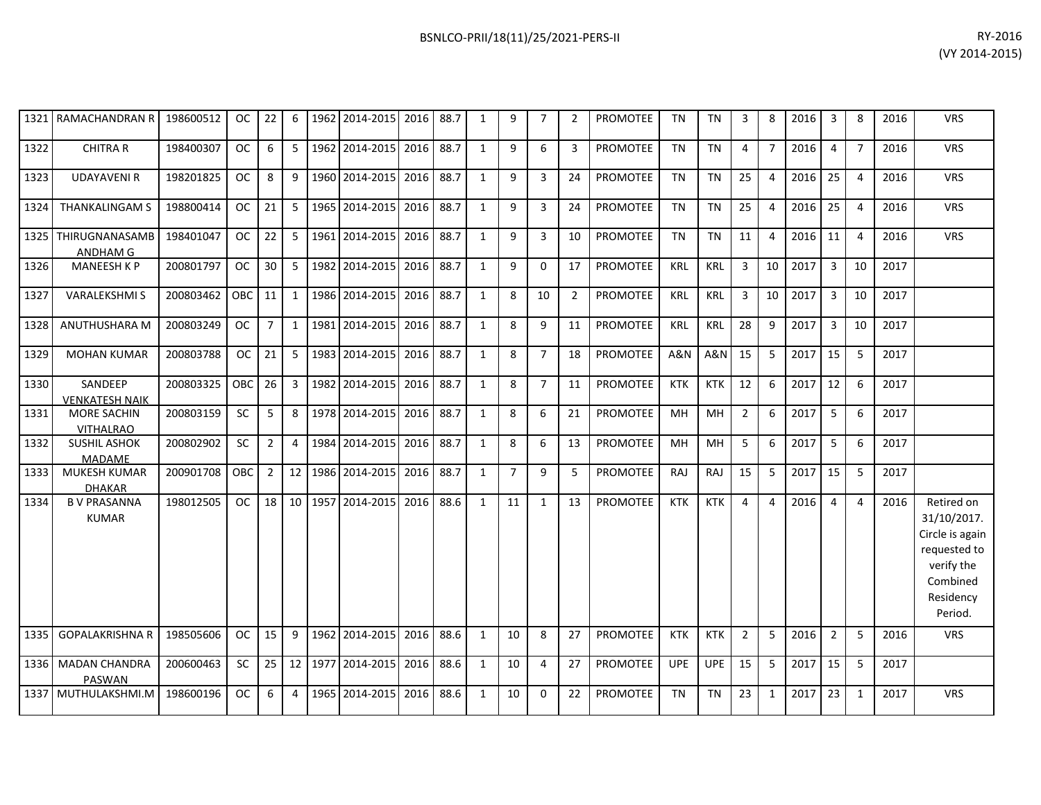|      | 1321 RAMACHANDRAN R                    | 198600512 | OC.           | 22             | 6              | 1962 2014-2015 | 2016      | 88.7 | 1            | 9              | 7              | 2              | <b>PROMOTEE</b> | TN         | TN             | 3              | 8                     | 2016 | 3              | 8              | 2016 | <b>VRS</b>                                                                                                     |
|------|----------------------------------------|-----------|---------------|----------------|----------------|----------------|-----------|------|--------------|----------------|----------------|----------------|-----------------|------------|----------------|----------------|-----------------------|------|----------------|----------------|------|----------------------------------------------------------------------------------------------------------------|
| 1322 | <b>CHITRA R</b>                        | 198400307 | <b>OC</b>     | 6              | 5              | 1962 2014-2015 | 2016      | 88.7 | $\mathbf{1}$ | 9              | 6              | 3              | PROMOTEE        | <b>TN</b>  | <b>TN</b>      | $\overline{4}$ | $\overline{7}$        | 2016 | 4              | $\overline{7}$ | 2016 | <b>VRS</b>                                                                                                     |
| 1323 | <b>UDAYAVENIR</b>                      | 198201825 | <b>OC</b>     | 8              | 9              | 1960 2014-2015 | 2016      | 88.7 | $\mathbf{1}$ | 9              | 3              | 24             | <b>PROMOTEE</b> | <b>TN</b>  | <b>TN</b>      | 25             | $\overline{4}$        | 2016 | 25             | $\overline{4}$ | 2016 | <b>VRS</b>                                                                                                     |
| 1324 | <b>THANKALINGAM S</b>                  | 198800414 | <b>OC</b>     | 21             | 5              | 1965 2014-2015 | 2016      | 88.7 | $\mathbf{1}$ | 9              | 3              | 24             | <b>PROMOTEE</b> | <b>TN</b>  | <b>TN</b>      | 25             | 4                     | 2016 | 25             | $\overline{4}$ | 2016 | <b>VRS</b>                                                                                                     |
|      | 1325 THIRUGNANASAMB<br>ANDHAM G        | 198401047 | <sub>OC</sub> | 22             | 5              | 1961 2014-2015 | 2016      | 88.7 | 1            | 9              | 3              | 10             | <b>PROMOTEE</b> | <b>TN</b>  | <b>TN</b>      | 11             | 4                     | 2016 | 11             | $\overline{4}$ | 2016 | <b>VRS</b>                                                                                                     |
| 1326 | <b>MANEESH K P</b>                     | 200801797 | <b>OC</b>     | 30             | 5              | 1982 2014-2015 | 2016      | 88.7 | 1            | 9              | $\Omega$       | 17             | PROMOTEE        | <b>KRL</b> | <b>KRL</b>     | $\overline{3}$ | 10                    | 2017 | $\overline{3}$ | 10             | 2017 |                                                                                                                |
| 1327 | <b>VARALEKSHMIS</b>                    | 200803462 | <b>OBC</b>    | 11             | $\mathbf{1}$   | 1986 2014-2015 | 2016      | 88.7 | 1            | 8              | 10             | $\overline{2}$ | <b>PROMOTEE</b> | KRL        | <b>KRL</b>     | 3              | 10                    | 2017 | $\overline{3}$ | 10             | 2017 |                                                                                                                |
| 1328 | ANUTHUSHARA M                          | 200803249 | <b>OC</b>     | $\overline{7}$ | $\mathbf{1}$   | 1981 2014-2015 | 2016      | 88.7 | 1            | 8              | 9              | 11             | PROMOTEE        | <b>KRL</b> | <b>KRL</b>     | 28             | 9                     | 2017 | $\overline{3}$ | 10             | 2017 |                                                                                                                |
| 1329 | <b>MOHAN KUMAR</b>                     | 200803788 | <b>OC</b>     | 21             | 5              | 1983 2014-2015 | 2016      | 88.7 | 1            | 8              | $\overline{7}$ | 18             | PROMOTEE        | A&N        | <b>A&amp;N</b> | 15             | 5                     | 2017 | 15             | 5              | 2017 |                                                                                                                |
| 1330 | SANDEEP<br><b>VENKATESH NAIK</b>       | 200803325 | OBC           | 26             | 3              | 1982 2014-2015 | 2016      | 88.7 | $\mathbf{1}$ | 8              | $\overline{7}$ | 11             | <b>PROMOTEE</b> | <b>KTK</b> | <b>KTK</b>     | 12             | 6                     | 2017 | 12             | 6              | 2017 |                                                                                                                |
| 1331 | <b>MORE SACHIN</b><br><b>VITHALRAO</b> | 200803159 | <b>SC</b>     | 5              | 8              | 1978 2014-2015 | 2016      | 88.7 | $\mathbf{1}$ | 8              | 6              | 21             | <b>PROMOTEE</b> | MH         | MH             | $\overline{2}$ | 6                     | 2017 | 5              | 6              | 2017 |                                                                                                                |
| 1332 | <b>SUSHIL ASHOK</b><br>MADAME          | 200802902 | <b>SC</b>     | $\overline{2}$ | $\overline{4}$ | 1984 2014-2015 | 2016      | 88.7 | $\mathbf{1}$ | 8              | 6              | 13             | <b>PROMOTEE</b> | MH         | MH             | 5              | 6                     | 2017 | 5              | 6              | 2017 |                                                                                                                |
| 1333 | <b>MUKESH KUMAR</b><br><b>DHAKAR</b>   | 200901708 | OBC           | $\overline{2}$ | 12             | 1986 2014-2015 | 2016      | 88.7 | 1            | $\overline{7}$ | 9              | -5             | <b>PROMOTEE</b> | RAJ        | RAJ            | 15             | 5                     | 2017 | 15             | 5              | 2017 |                                                                                                                |
| 1334 | <b>B V PRASANNA</b><br><b>KUMAR</b>    | 198012505 | <b>OC</b>     | 18             | 10             | 1957 2014-2015 | 2016      | 88.6 | 1            | 11             | 1              | 13             | <b>PROMOTEE</b> | <b>KTK</b> | <b>KTK</b>     | $\overline{4}$ | $\boldsymbol{\Delta}$ | 2016 | 4              | 4              | 2016 | Retired on<br>31/10/2017.<br>Circle is again<br>requested to<br>verify the<br>Combined<br>Residency<br>Period. |
| 1335 | <b>GOPALAKRISHNA R</b>                 | 198505606 | <b>OC</b>     | 15             | 9              | 1962 2014-2015 | 2016 88.6 |      | 1            | 10             | 8              | 27             | <b>PROMOTEE</b> | <b>KTK</b> | <b>KTK</b>     | $\overline{2}$ | 5                     | 2016 | $\overline{2}$ | 5              | 2016 | <b>VRS</b>                                                                                                     |

200600463 SC 25 12 1977 2014-2015 2016 88.6 1 10 4 27 PROMOTEE UPE UPE 15 5 2017 15 5 2017

198600196 OC 6 4 1965 2014-2015 2016 88.6 1 10 0 22 PROMOTEE TN TN 23 1 2017 23 1 2017 VRS

1336 MADAN CHANDRA PASWAN<br>1337 MUTHULAKSHMI.M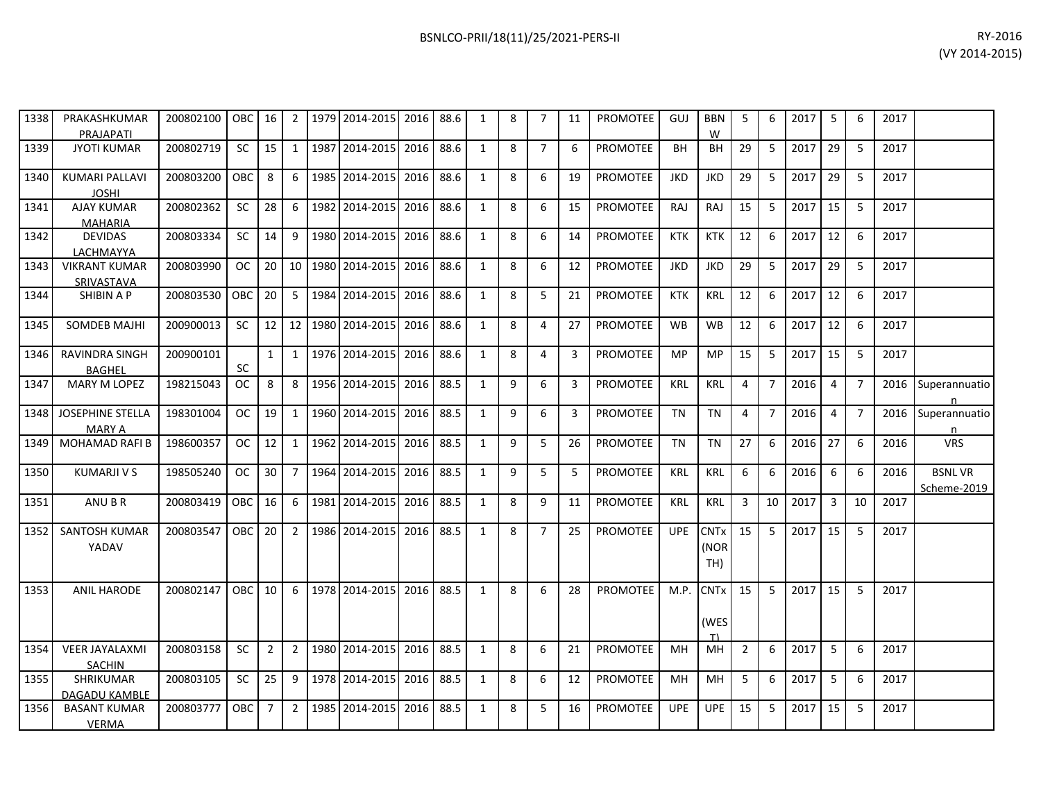| 1338 | PRAKASHKUMAR<br>PRAJAPATI                | 200802100   OBC   16 |            |                |                 |      | 2   1979   2014-2015   2016   88.6 |           |      | 1 | 8 | $\overline{7}$ | 11 | <b>PROMOTEE</b> | GUJ        | <b>BBN</b><br>W            | 5              | 6              | 2017 | 5  | 6              | 2017 |                              |
|------|------------------------------------------|----------------------|------------|----------------|-----------------|------|------------------------------------|-----------|------|---|---|----------------|----|-----------------|------------|----------------------------|----------------|----------------|------|----|----------------|------|------------------------------|
| 1339 | <b>JYOTI KUMAR</b>                       | 200802719            | <b>SC</b>  | 15             |                 |      | 1   1987   2014-2015               | 2016      | 88.6 | 1 | 8 | $7^{\circ}$    | 6  | <b>PROMOTEE</b> | <b>BH</b>  | <b>BH</b>                  | 29             | 5              | 2017 | 29 | 5              | 2017 |                              |
| 1340 | <b>KUMARI PALLAVI</b><br><b>JOSHI</b>    | 200803200            | OBC.       | 8              | 6               |      | 1985 2014-2015                     | 2016      | 88.6 | 1 | 8 | 6              | 19 | PROMOTEE        | <b>JKD</b> | <b>JKD</b>                 | 29             | 5              | 2017 | 29 | 5              | 2017 |                              |
| 1341 | AJAY KUMAR<br><b>MAHARIA</b>             | 200802362            | SC         | 28             | 6               | 1982 | 2014-2015                          | 2016      | 88.6 | 1 | 8 | 6              | 15 | <b>PROMOTEE</b> | RAJ        | RAJ                        | 15             | 5              | 2017 | 15 | 5              | 2017 |                              |
| 1342 | <b>DEVIDAS</b><br>LACHMAYYA              | 200803334            | SC.        | 14             | 9               |      | 1980 2014-2015                     | 2016 88.6 |      | 1 | 8 | 6              | 14 | PROMOTEE        | <b>KTK</b> | KTK                        | 12             | 6              | 2017 | 12 | 6              | 2017 |                              |
| 1343 | <b>VIKRANT KUMAR</b><br>SRIVASTAVA       | 200803990            | <b>OC</b>  | 20             | 10 <sup>1</sup> |      | 1980 2014-2015                     | 2016      | 88.6 | 1 | 8 | 6              | 12 | <b>PROMOTEE</b> | <b>JKD</b> | <b>JKD</b>                 | 29             | 5              | 2017 | 29 | 5              | 2017 |                              |
| 1344 | SHIBIN A P                               | 200803530            | <b>OBC</b> | 20             | 5               |      | 1984 2014-2015                     | 2016 88.6 |      | 1 | 8 | 5              | 21 | <b>PROMOTEE</b> | <b>KTK</b> | <b>KRL</b>                 | 12             | 6              | 2017 | 12 | 6              | 2017 |                              |
| 1345 | <b>SOMDEB MAJHI</b>                      | 200900013            | <b>SC</b>  | 12             |                 |      | 12   1980   2014-2015              | 2016      | 88.6 | 1 | 8 | 4              | 27 | <b>PROMOTEE</b> | <b>WB</b>  | WB                         | 12             | 6              | 2017 | 12 | 6              | 2017 |                              |
| 1346 | RAVINDRA SINGH<br><b>BAGHEL</b>          | 200900101            | SC         | $\mathbf{1}$   | $1 \mid$        |      | 1976 2014-2015                     | 2016      | 88.6 | 1 | 8 | 4              | 3  | <b>PROMOTEE</b> | MP         | <b>MP</b>                  | 15             | 5              | 2017 | 15 | 5              | 2017 |                              |
| 1347 | <b>MARY M LOPEZ</b>                      | 198215043            | OC.        | 8              | 8               |      | 1956 2014-2015                     | 2016      | 88.5 | 1 | 9 | 6              | 3  | <b>PROMOTEE</b> | <b>KRL</b> | <b>KRL</b>                 | 4              | $\overline{7}$ | 2016 | 4  | $\overline{7}$ | 2016 | Superannuatio                |
| 1348 | <b>JOSEPHINE STELLA</b><br><b>MARY A</b> | 198301004            | OC.        | 19             | $1\vert$        |      | 1960 2014-2015                     | 2016      | 88.5 | 1 | 9 | 6              | 3  | <b>PROMOTEE</b> | <b>TN</b>  | <b>TN</b>                  | 4              | $\overline{7}$ | 2016 | 4  | $\overline{7}$ | 2016 | Superannuatio<br>n           |
| 1349 | <b>MOHAMAD RAFI B</b>                    | 198600357            | OC.        | 12             |                 |      | 1 1962 2014-2015                   | 2016      | 88.5 | 1 | 9 | 5              | 26 | <b>PROMOTEE</b> | <b>TN</b>  | <b>TN</b>                  | 27             | 6              | 2016 | 27 | 6              | 2016 | <b>VRS</b>                   |
| 1350 | <b>KUMARJI V S</b>                       | 198505240            | <b>OC</b>  | 30             | 7 <sup>1</sup>  | 1964 | 2014-2015                          | 2016 88.5 |      | 1 | 9 | 5              | 5  | PROMOTEE        | <b>KRL</b> | <b>KRL</b>                 | 6              | 6              | 2016 | 6  | 6              | 2016 | <b>BSNLVR</b><br>Scheme-2019 |
| 1351 | ANU B R                                  | 200803419            | OBC        | 16             | 6               |      | 1981 2014-2015                     | 2016 88.5 |      | 1 | 8 | 9              | 11 | PROMOTEE        | <b>KRL</b> | <b>KRL</b>                 | 3              | 10             | 2017 | 3  | 10             | 2017 |                              |
| 1352 | <b>SANTOSH KUMAR</b><br>YADAV            | 200803547            | OBC        | 20             | 2 <sup>1</sup>  |      | 1986 2014-2015                     | 2016      | 88.5 | 1 | 8 | $\overline{7}$ | 25 | <b>PROMOTEE</b> | <b>UPE</b> | <b>CNTx</b><br>(NOR<br>TH) | 15             | 5              | 2017 | 15 | 5              | 2017 |                              |
| 1353 | <b>ANIL HARODE</b>                       | 200802147            | OBC        | 10             | 6               |      | 1978 2014-2015                     | 2016      | 88.5 | 1 | 8 | 6              | 28 | PROMOTEE        | M.P.       | <b>CNTx</b><br>(WES<br>T)  | 15             | 5              | 2017 | 15 | 5              | 2017 |                              |
| 1354 | <b>VEER JAYALAXMI</b><br><b>SACHIN</b>   | 200803158            | <b>SC</b>  | $\overline{2}$ | 2 <sup>1</sup>  |      | 1980 2014-2015                     | 2016      | 88.5 | 1 | 8 | 6              | 21 | <b>PROMOTEE</b> | MH         | MH                         | $\overline{2}$ | 6              | 2017 | 5  | 6              | 2017 |                              |
| 1355 | SHRIKUMAR<br><b>DAGADU KAMBLE</b>        | 200803105            | SC.        | 25             | 9 <sup>1</sup>  |      | 1978 2014-2015                     | 2016      | 88.5 | 1 | 8 | 6              | 12 | <b>PROMOTEE</b> | MН         | MH                         | 5              | 6              | 2017 | 5  | 6              | 2017 |                              |
| 1356 | <b>BASANT KUMAR</b><br><b>VERMA</b>      | 200803777            | OBC.       | $\overline{7}$ | 2 <sup>1</sup>  |      | 1985 2014-2015                     | 2016      | 88.5 | 1 | 8 | 5              | 16 | PROMOTEE        | <b>UPE</b> | <b>UPE</b>                 | 15             | 5              | 2017 | 15 | 5              | 2017 |                              |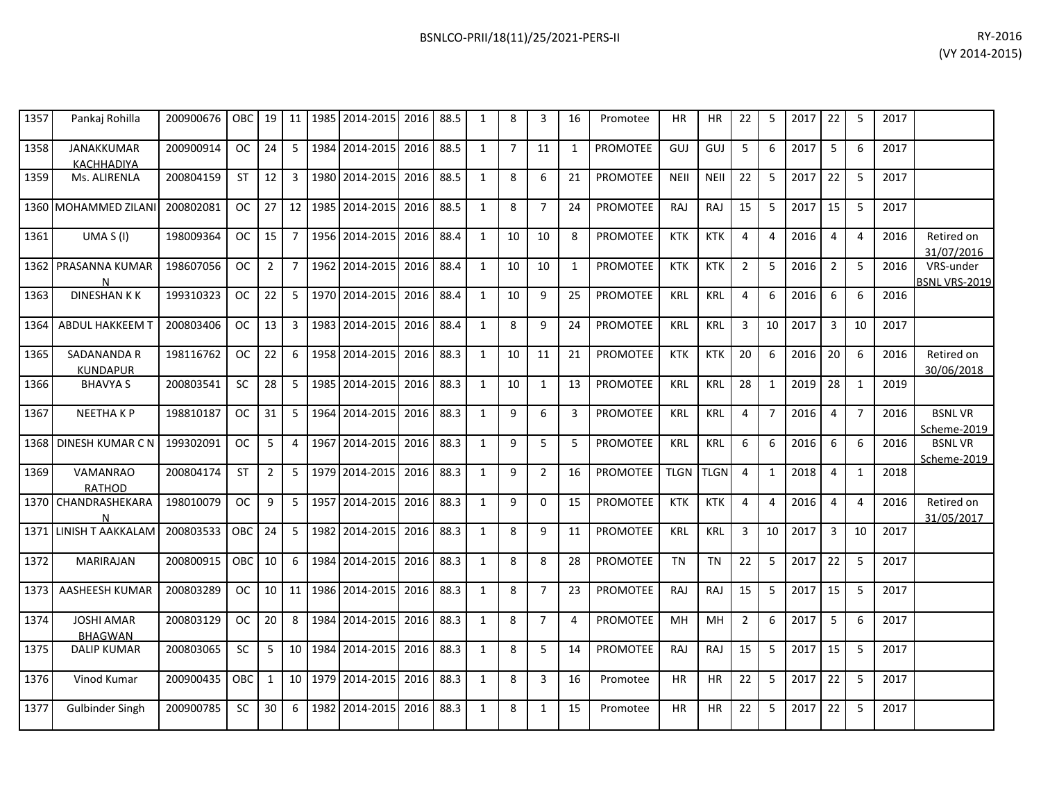| 1357 | Pankaj Rohilla                         | 200900676   OBC   19   11   1985   2014-2015   2016   88.5 |               |                 |                |      |                |      |      | 1            | 8              | 3              | 16             | Promotee        | <b>HR</b>   | ΗR         | 22             | 5              | 2017 22 |                | -5             | 2017 |                                   |
|------|----------------------------------------|------------------------------------------------------------|---------------|-----------------|----------------|------|----------------|------|------|--------------|----------------|----------------|----------------|-----------------|-------------|------------|----------------|----------------|---------|----------------|----------------|------|-----------------------------------|
| 1358 | <b>JANAKKUMAR</b><br><b>KACHHADIYA</b> | 200900914                                                  | OC            | 24              | 5              |      | 1984 2014-2015 | 2016 | 88.5 | $\mathbf{1}$ | $\overline{7}$ | 11             | $\mathbf{1}$   | <b>PROMOTEE</b> | GUJ         | GUJ        | 5              | 6              | 2017    | 5              | 6              | 2017 |                                   |
| 1359 | Ms. ALIRENLA                           | 200804159                                                  | <b>ST</b>     | 12              | 3              |      | 1980 2014-2015 | 2016 | 88.5 | $\mathbf{1}$ | 8              | 6              | 21             | <b>PROMOTEE</b> | <b>NEII</b> | NEII       | 22             | 5              | 2017    | 22             | 5              | 2017 |                                   |
|      | 1360   MOHAMMED ZILANI                 | 200802081                                                  | <b>OC</b>     | 27              | 12             |      | 1985 2014-2015 | 2016 | 88.5 | $\mathbf{1}$ | 8              | $\overline{7}$ | 24             | PROMOTEE        | RAJ         | RAJ        | 15             | 5              | 2017    | 15             | -5             | 2017 |                                   |
| 1361 | UMA $S(1)$                             | 198009364                                                  | OC            | 15 <sup>1</sup> | $\overline{7}$ |      | 1956 2014-2015 | 2016 | 88.4 | $\mathbf{1}$ | 10             | 10             | 8              | <b>PROMOTEE</b> | <b>KTK</b>  | <b>KTK</b> | $\overline{4}$ | $\overline{a}$ | 2016    | $\overline{4}$ | $\overline{4}$ | 2016 | Retired on<br>31/07/2016          |
|      | 1362 PRASANNA KUMAR<br>N               | 198607056                                                  | OC .          | $\overline{2}$  | $\overline{7}$ |      | 1962 2014-2015 | 2016 | 88.4 | $\mathbf{1}$ | 10             | 10             | $\mathbf{1}$   | PROMOTEE        | <b>KTK</b>  | <b>KTK</b> | $\overline{2}$ | 5              | 2016    | $\overline{2}$ | 5              | 2016 | VRS-under<br><b>BSNL VRS-2019</b> |
| 1363 | <b>DINESHANKK</b>                      | 199310323                                                  | OC            | 22              | 5              |      | 1970 2014-2015 | 2016 | 88.4 | $\mathbf{1}$ | 10             | 9              | 25             | PROMOTEE        | <b>KRL</b>  | <b>KRL</b> | $\overline{4}$ | 6              | 2016    | 6              | 6              | 2016 |                                   |
| 1364 | <b>ABDUL HAKKEEM T</b>                 | 200803406                                                  | <sub>OC</sub> | 13 <sup>1</sup> | 3              |      | 1983 2014-2015 | 2016 | 88.4 | $\mathbf{1}$ | 8              | 9              | 24             | <b>PROMOTEE</b> | <b>KRL</b>  | <b>KRL</b> | 3              | 10             | 2017    | 3              | 10             | 2017 |                                   |
| 1365 | SADANANDA R<br><b>KUNDAPUR</b>         | 198116762                                                  | OC            | 22              | 6              |      | 1958 2014-2015 | 2016 | 88.3 | $\mathbf{1}$ | 10             | 11             | 21             | PROMOTEE        | <b>KTK</b>  | <b>KTK</b> | 20             | 6              | 2016    | 20             | 6              | 2016 | Retired on<br>30/06/2018          |
| 1366 | <b>BHAVYA S</b>                        | 200803541                                                  | <b>SC</b>     | 28              | 5              | 1985 | 2014-2015      | 2016 | 88.3 | $\mathbf{1}$ | 10             | $\mathbf{1}$   | 13             | <b>PROMOTEE</b> | <b>KRL</b>  | <b>KRL</b> | 28             | 1              | 2019    | 28             | 1              | 2019 |                                   |
| 1367 | <b>NEETHAKP</b>                        | 198810187                                                  | <b>OC</b>     | 31              | 5              |      | 1964 2014-2015 | 2016 | 88.3 | 1            | 9              | 6              | 3              | PROMOTEE        | KRL         | <b>KRL</b> | $\overline{4}$ | $\overline{7}$ | 2016    | $\overline{4}$ | $\overline{7}$ | 2016 | <b>BSNLVR</b><br>Scheme-2019      |
|      | 1368 DINESH KUMAR C N                  | 199302091                                                  | <b>OC</b>     | 5               | $\overline{4}$ |      | 1967 2014-2015 | 2016 | 88.3 | $\mathbf{1}$ | $\mathsf{q}$   | 5              | 5              | <b>PROMOTEE</b> | <b>KRL</b>  | <b>KRL</b> | 6              | 6              | 2016    | 6              | 6              | 2016 | <b>BSNLVR</b><br>Scheme-2019      |
| 1369 | <b>VAMANRAO</b><br><b>RATHOD</b>       | 200804174                                                  | <b>ST</b>     | $\overline{2}$  | 5              |      | 1979 2014-2015 | 2016 | 88.3 | $\mathbf{1}$ | 9              | $\overline{2}$ | 16             | <b>PROMOTEE</b> | TLGN TLGN   |            | $\overline{4}$ | $\mathbf{1}$   | 2018    | $\overline{4}$ | 1              | 2018 |                                   |
|      | 1370 CHANDRASHEKARA<br>N               | 198010079                                                  | <b>OC</b>     | 9               | 5              |      | 1957 2014-2015 | 2016 | 88.3 | $\mathbf{1}$ | 9              | 0              | 15             | PROMOTEE        | <b>KTK</b>  | <b>KTK</b> | $\overline{4}$ | $\overline{4}$ | 2016    | $\overline{4}$ | $\overline{4}$ | 2016 | Retired on<br>31/05/2017          |
|      | 1371 LINISH T AAKKALAM                 | 200803533                                                  | OBC           | 24              | 5              | 1982 | 2014-2015      | 2016 | 88.3 | $\mathbf{1}$ | 8              | 9              | 11             | <b>PROMOTEE</b> | <b>KRL</b>  | <b>KRL</b> | 3              | 10             | 2017    | 3              | 10             | 2017 |                                   |
| 1372 | <b>MARIRAJAN</b>                       | 200800915                                                  | OBC I         | 10 <sup>1</sup> | 6              |      | 1984 2014-2015 | 2016 | 88.3 | $\mathbf{1}$ | 8              | 8              | 28             | PROMOTEE        | <b>TN</b>   | <b>TN</b>  | 22             | -5             | 2017    | 22             | -5             | 2017 |                                   |
| 1373 | AASHEESH KUMAR                         | 200803289                                                  | <b>OC</b>     |                 | $10 \mid 11$   |      | 1986 2014-2015 | 2016 | 88.3 | $\mathbf{1}$ | 8              | $\overline{7}$ | 23             | PROMOTEE        | RAJ         | RAJ        | 15             | 5              | 2017    | 15             | 5              | 2017 |                                   |
| 1374 | <b>JOSHI AMAR</b><br><b>BHAGWAN</b>    | 200803129                                                  | OC            | 20 <sub>1</sub> | 8              |      | 1984 2014-2015 | 2016 | 88.3 | $\mathbf{1}$ | 8              | $\overline{7}$ | $\overline{4}$ | <b>PROMOTEE</b> | MH          | MH         | $\overline{2}$ | 6              | 2017    | 5              | 6              | 2017 |                                   |
| 1375 | <b>DALIP KUMAR</b>                     | 200803065                                                  | <b>SC</b>     | 5               | 10             |      | 1984 2014-2015 | 2016 | 88.3 | $\mathbf{1}$ | 8              | 5              | 14             | <b>PROMOTEE</b> | RAJ         | RAJ        | 15             | 5              | 2017    | 15             | 5              | 2017 |                                   |
| 1376 | Vinod Kumar                            | 200900435                                                  | <b>OBC</b>    | $\mathbf{1}$    | 10             | 1979 | 2014-2015      | 2016 | 88.3 | $\mathbf{1}$ | 8              | 3              | 16             | Promotee        | <b>HR</b>   | HR         | 22             | 5              | 2017    | 22             | 5              | 2017 |                                   |
| 1377 | <b>Gulbinder Singh</b>                 | 200900785                                                  | SC            | 30              | 6              |      | 1982 2014-2015 | 2016 | 88.3 | $\mathbf{1}$ | 8              | 1              | 15             | Promotee        | <b>HR</b>   | HR         | 22             | 5              | 2017    | 22             | 5              | 2017 |                                   |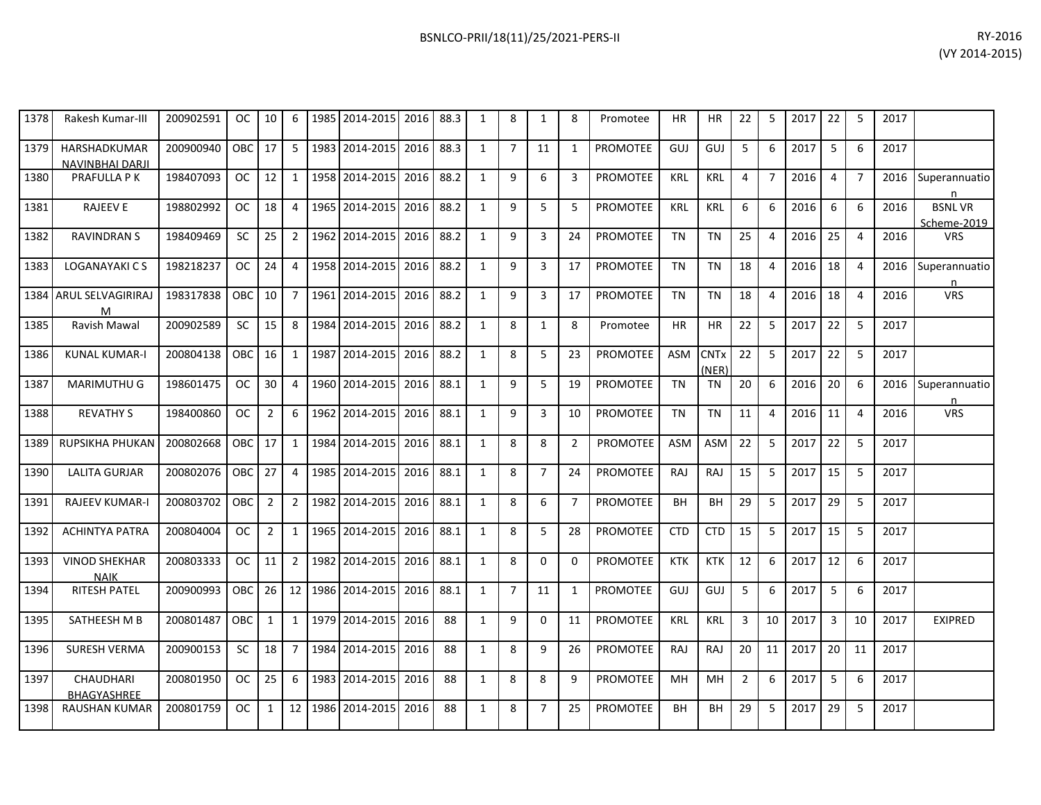| 1378 | Rakesh Kumar-III                              | 200902591 | OC.        | 10             | 6              |      | 1985 2014-2015 | 2016 | 88.3 | 1            | 8              | $\mathbf{1}$   | 8              | Promotee        | <b>HR</b>  | <b>HR</b>                       | 22             | 5              | 2017 | 22             | 5              | 2017 |                              |
|------|-----------------------------------------------|-----------|------------|----------------|----------------|------|----------------|------|------|--------------|----------------|----------------|----------------|-----------------|------------|---------------------------------|----------------|----------------|------|----------------|----------------|------|------------------------------|
| 1379 | <b>HARSHADKUMAR</b><br><b>NAVINBHAI DARJI</b> | 200900940 | OBC        | 17             | 5              |      | 1983 2014-2015 | 2016 | 88.3 | $\mathbf{1}$ | $\overline{7}$ | 11             | 1              | <b>PROMOTEE</b> | GUJ        | GUJ                             | 5              | 6              | 2017 | 5              | 6              | 2017 |                              |
| 1380 | <b>PRAFULLA PK</b>                            | 198407093 | <b>OC</b>  | 12             | $\mathbf{1}$   |      | 1958 2014-2015 | 2016 | 88.2 | $\mathbf{1}$ | 9              | 6              | 3              | <b>PROMOTEE</b> | <b>KRL</b> | <b>KRL</b>                      | 4              | $\overline{7}$ | 2016 | 4              | $\overline{7}$ | 2016 | Superannuatio<br>n           |
| 1381 | <b>RAJEEV E</b>                               | 198802992 | <b>OC</b>  | 18             | $\overline{4}$ |      | 1965 2014-2015 | 2016 | 88.2 | $\mathbf{1}$ | 9              | 5              | 5              | PROMOTEE        | <b>KRL</b> | <b>KRL</b>                      | 6              | 6              | 2016 | 6              | 6              | 2016 | <b>BSNLVR</b><br>Scheme-2019 |
| 1382 | <b>RAVINDRAN S</b>                            | 198409469 | SC.        | 25             | 2              |      | 1962 2014-2015 | 2016 | 88.2 | 1            | 9              | 3              | 24             | <b>PROMOTEE</b> | <b>TN</b>  | <b>TN</b>                       | 25             | $\overline{4}$ | 2016 | 25             | 4              | 2016 | <b>VRS</b>                   |
| 1383 | LOGANAYAKI C S                                | 198218237 | OC.        | 24             | 4              |      | 1958 2014-2015 | 2016 | 88.2 | 1            | 9              | 3              | 17             | <b>PROMOTEE</b> | <b>TN</b>  | <b>TN</b>                       | 18             | 4              | 2016 | 18             | 4              | 2016 | Superannuatio<br>n           |
| 1384 | <b>ARUL SELVAGIRIRAJ</b><br>м                 | 198317838 | OBC        | 10             | $\overline{7}$ |      | 1961 2014-2015 | 2016 | 88.2 | $\mathbf{1}$ | 9              | 3              | 17             | <b>PROMOTEE</b> | <b>TN</b>  | <b>TN</b>                       | 18             | $\overline{4}$ | 2016 | 18             | $\overline{4}$ | 2016 | <b>VRS</b>                   |
| 1385 | Ravish Mawal                                  | 200902589 | <b>SC</b>  | 15             | 8              |      | 1984 2014-2015 | 2016 | 88.2 | $\mathbf{1}$ | 8              | $\mathbf{1}$   | 8              | Promotee        | ΗR         | <b>HR</b>                       | 22             | 5              | 2017 | 22             | 5              | 2017 |                              |
| 1386 | <b>KUNAL KUMAR-I</b>                          | 200804138 | OBC        | 16             | 1              | 1987 | 2014-2015      | 2016 | 88.2 | $\mathbf{1}$ | 8              | 5              | 23             | PROMOTEE        | <b>ASM</b> | <b>CNT<sub>x</sub></b><br>(NER) | 22             | 5              | 2017 | 22             | 5              | 2017 |                              |
| 1387 | MARIMUTHU G                                   | 198601475 | OC.        | 30             | 4              |      | 1960 2014-2015 | 2016 | 88.1 | 1            | 9              | 5              | 19             | PROMOTEE        | <b>TN</b>  | <b>TN</b>                       | 20             | 6              | 2016 | 20             | 6              | 2016 | Superannuatio<br>n           |
| 1388 | <b>REVATHY S</b>                              | 198400860 | <b>OC</b>  | $\overline{2}$ | 6              |      | 1962 2014-2015 | 2016 | 88.1 | $\mathbf{1}$ | 9              | 3              | 10             | PROMOTEE        | <b>TN</b>  | <b>TN</b>                       | 11             | $\overline{4}$ | 2016 | 11             | $\overline{4}$ | 2016 | <b>VRS</b>                   |
| 1389 | RUPSIKHA PHUKAN                               | 200802668 | <b>OBC</b> | 17             | $\mathbf{1}$   |      | 1984 2014-2015 | 2016 | 88.1 | $\mathbf{1}$ | 8              | 8              | $\overline{2}$ | <b>PROMOTEE</b> | ASM        | <b>ASM</b>                      | 22             | 5              | 2017 | 22             | 5              | 2017 |                              |
| 1390 | <b>LALITA GURJAR</b>                          | 200802076 | OBC        | 27             | 4              |      | 1985 2014-2015 | 2016 | 88.1 | $\mathbf{1}$ | 8              | $\overline{7}$ | 24             | <b>PROMOTEE</b> | RAJ        | RAJ                             | 15             | 5              | 2017 | 15             | 5              | 2017 |                              |
| 1391 | <b>RAJEEV KUMAR-I</b>                         | 200803702 | OBC        | $\overline{2}$ | $2^{\circ}$    |      | 1982 2014-2015 | 2016 | 88.1 | $\mathbf{1}$ | 8              | 6              | $\overline{7}$ | <b>PROMOTEE</b> | BH         | BH                              | 29             | 5              | 2017 | 29             | 5              | 2017 |                              |
| 1392 | <b>ACHINTYA PATRA</b>                         | 200804004 | OC.        | $\overline{2}$ | $\mathbf{1}$   |      | 1965 2014-2015 | 2016 | 88.1 | $\mathbf{1}$ | 8              | 5              | 28             | <b>PROMOTEE</b> | <b>CTD</b> | <b>CTD</b>                      | 15             | 5              | 2017 | 15             | 5              | 2017 |                              |
| 1393 | <b>VINOD SHEKHAR</b><br><b>NAIK</b>           | 200803333 | OC.        | 11             | $2^{\circ}$    |      | 1982 2014-2015 | 2016 | 88.1 | $\mathbf{1}$ | 8              | 0              | 0              | <b>PROMOTEE</b> | <b>KTK</b> | <b>KTK</b>                      | 12             | 6              | 2017 | 12             | 6              | 2017 |                              |
| 1394 | RITESH PATEL                                  | 200900993 | OBC        | 26             | 12             |      | 1986 2014-2015 | 2016 | 88.1 | $\mathbf{1}$ | $\overline{7}$ | 11             | 1              | <b>PROMOTEE</b> | GUJ        | GUJ                             | 5              | 6              | 2017 | 5              | 6              | 2017 |                              |
| 1395 | SATHEESH M B                                  | 200801487 | OBC        | $\mathbf{1}$   | 1              |      | 1979 2014-2015 | 2016 | 88   | $\mathbf{1}$ | 9              | $\Omega$       | 11             | <b>PROMOTEE</b> | <b>KRL</b> | <b>KRL</b>                      | 3              | 10             | 2017 | $\overline{3}$ | 10             | 2017 | <b>EXIPRED</b>               |
| 1396 | <b>SURESH VERMA</b>                           | 200900153 | <b>SC</b>  | 18             | $\overline{7}$ |      | 1984 2014-2015 | 2016 | 88   | $\mathbf{1}$ | 8              | 9              | 26             | PROMOTEE        | <b>RAJ</b> | <b>RAJ</b>                      | 20             | 11             | 2017 | 20             | 11             | 2017 |                              |
| 1397 | <b>CHAUDHARI</b><br><b>BHAGYASHREE</b>        | 200801950 | <b>OC</b>  | 25             | 6              | 1983 | 2014-2015      | 2016 | 88   | $\mathbf{1}$ | 8              | 8              | 9              | PROMOTEE        | MH         | MH                              | $\overline{2}$ | 6              | 2017 | 5              | 6              | 2017 |                              |
| 1398 | <b>RAUSHAN KUMAR</b>                          | 200801759 | <b>OC</b>  | $\mathbf{1}$   | 12             |      | 1986 2014-2015 | 2016 | 88   | 1            | 8              | $\overline{7}$ | 25             | PROMOTEE        | BH         | BH                              | 29             | 5              | 2017 | 29             | 5              | 2017 |                              |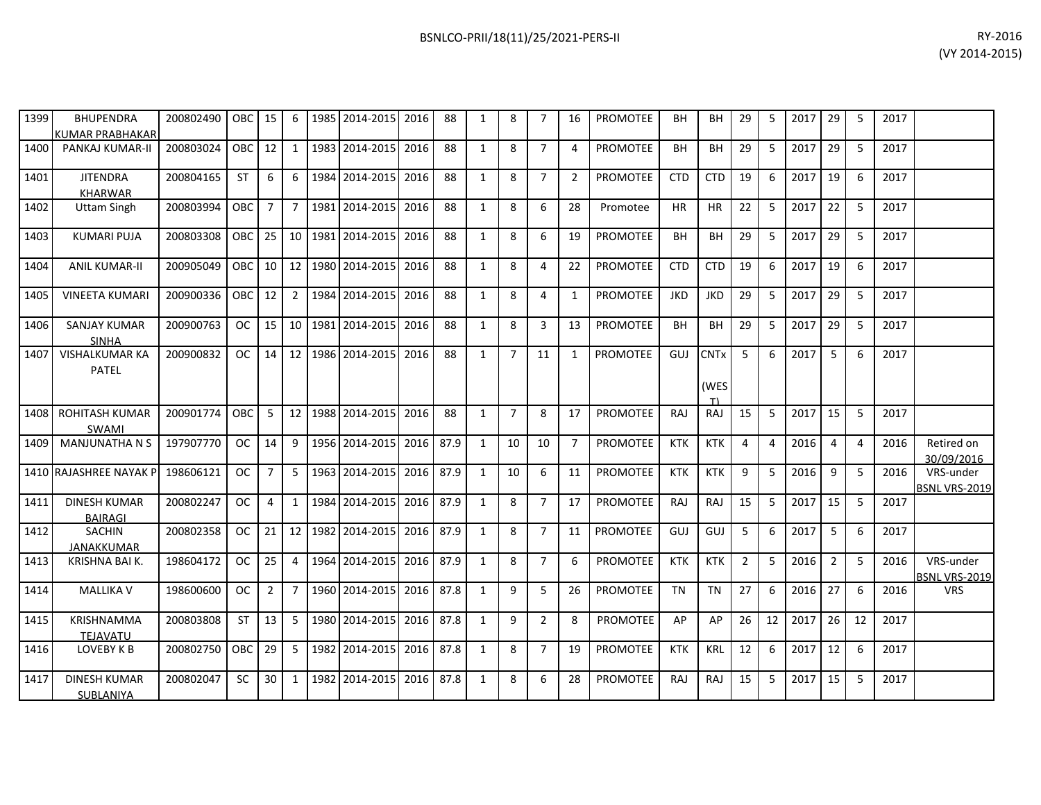| 1399 | <b>BHUPENDRA</b><br>KUMAR PRABHAKAR   | 200802490 | OBC I      | 15              | 6              |      | 1985 2014-2015             | 2016 | 88   | 1            | 8              | 7              | 16             | PROMOTEE        | BН         | BН                        | 29             | 5              | 2017 | 29             | -5 | 2017 |                                   |
|------|---------------------------------------|-----------|------------|-----------------|----------------|------|----------------------------|------|------|--------------|----------------|----------------|----------------|-----------------|------------|---------------------------|----------------|----------------|------|----------------|----|------|-----------------------------------|
| 1400 | PANKAJ KUMAR-II                       | 200803024 | OBC I      | 12 <sup>1</sup> | 1              |      | 1983 2014-2015             | 2016 | 88   | $\mathbf{1}$ | 8              | $\overline{7}$ | 4              | <b>PROMOTEE</b> | BH         | <b>BH</b>                 | 29             | 5              | 2017 | 29             | 5  | 2017 |                                   |
| 1401 | <b>JITENDRA</b><br><b>KHARWAR</b>     | 200804165 | <b>ST</b>  | 6               | 6              | 1984 | 2014-2015                  | 2016 | 88   | $\mathbf{1}$ | 8              | $\overline{7}$ | $\overline{2}$ | <b>PROMOTEE</b> | <b>CTD</b> | <b>CTD</b>                | 19             | 6              | 2017 | 19             | 6  | 2017 |                                   |
| 1402 | <b>Uttam Singh</b>                    | 200803994 | OBC        | $\overline{7}$  | $\overline{7}$ |      | 1981 2014-2015             | 2016 | 88   | $\mathbf{1}$ | 8              | 6              | 28             | Promotee        | <b>HR</b>  | <b>HR</b>                 | 22             | 5              | 2017 | 22             | -5 | 2017 |                                   |
| 1403 | <b>KUMARI PUJA</b>                    | 200803308 | OBC I      |                 |                |      | 25   10   1981   2014-2015 | 2016 | 88   | $\mathbf{1}$ | 8              | 6              | 19             | <b>PROMOTEE</b> | <b>BH</b>  | <b>BH</b>                 | 29             | 5              | 2017 | 29             | -5 | 2017 |                                   |
| 1404 | <b>ANIL KUMAR-II</b>                  | 200905049 | OBC I      |                 |                |      | 10 12 1980 2014-2015       | 2016 | 88   | $\mathbf{1}$ | 8              | 4              | 22             | PROMOTEE        | <b>CTD</b> | <b>CTD</b>                | 19             | 6              | 2017 | 19             | -6 | 2017 |                                   |
| 1405 | <b>VINEETA KUMARI</b>                 | 200900336 | OBC I      | 12 <sup>1</sup> | 2              |      | 1984 2014-2015             | 2016 | 88   | $\mathbf{1}$ | 8              | 4              | 1              | <b>PROMOTEE</b> | <b>JKD</b> | <b>JKD</b>                | 29             | 5              | 2017 | 29             | -5 | 2017 |                                   |
| 1406 | <b>SANJAY KUMAR</b><br><b>SINHA</b>   | 200900763 | OC         | 15 <sub>1</sub> |                |      | 10   1981   2014-2015      | 2016 | 88   | $\mathbf{1}$ | 8              | 3              | 13             | PROMOTEE        | BH         | <b>BH</b>                 | 29             | 5              | 2017 | 29             | 5  | 2017 |                                   |
| 1407 | <b>VISHALKUMAR KA</b><br>PATEL        | 200900832 | OC         | 14 <sup>1</sup> | 12             |      | 1986 2014-2015             | 2016 | 88   | $\mathbf{1}$ | $\overline{7}$ | 11             | $\mathbf{1}$   | <b>PROMOTEE</b> | GUJ        | <b>CNTx</b><br>(WES<br>T١ | -5             | 6              | 2017 | 5              | 6  | 2017 |                                   |
| 1408 | <b>ROHITASH KUMAR</b><br>SWAMI        | 200901774 | <b>OBC</b> | 5               | 12             |      | 1988 2014-2015             | 2016 | 88   | $\mathbf{1}$ | $\overline{7}$ | 8              | 17             | <b>PROMOTEE</b> | RAJ        | RAJ                       | 15             | .5             | 2017 | 15             | 5  | 2017 |                                   |
| 1409 | <b>MANJUNATHA N S</b>                 | 197907770 | OC         | 14 <sup>1</sup> | 9              |      | 1956 2014-2015             | 2016 | 87.9 | 1            | 10             | 10             | $\overline{7}$ | <b>PROMOTEE</b> | <b>KTK</b> | <b>KTK</b>                | $\overline{4}$ | $\overline{4}$ | 2016 | 4              | 4  | 2016 | Retired on<br>30/09/2016          |
|      | 1410 RAJASHREE NAYAK P                | 198606121 | <b>OC</b>  | $\overline{7}$  | 5              |      | 1963 2014-2015             | 2016 | 87.9 | $\mathbf{1}$ | 10             | 6              | 11             | <b>PROMOTEE</b> | <b>KTK</b> | <b>KTK</b>                | 9              | .5             | 2016 | 9              | -5 | 2016 | VRS-under<br><b>BSNL VRS-2019</b> |
| 1411 | <b>DINESH KUMAR</b><br><b>BAIRAGI</b> | 200802247 | OC .       | 4               | 1              | 1984 | 2014-2015                  | 2016 | 87.9 | $\mathbf{1}$ | 8              | $\overline{7}$ | 17             | <b>PROMOTEE</b> | RAJ        | RAJ                       | 15             | 5              | 2017 | 15             | -5 | 2017 |                                   |
| 1412 | <b>SACHIN</b><br>JANAKKUMAR           | 200802358 | OC.        | 21              | 12             |      | 1982 2014-2015             | 2016 | 87.9 | $\mathbf{1}$ | 8              | $\overline{7}$ | 11             | <b>PROMOTEE</b> | GUJ        | GUJ                       | 5              | 6              | 2017 | 5              | 6  | 2017 |                                   |
| 1413 | KRISHNA BAI K.                        | 198604172 | OC         | 25              | $\overline{4}$ |      | 1964 2014-2015             | 2016 | 87.9 | $\mathbf{1}$ | 8              | $\overline{7}$ | 6              | <b>PROMOTEE</b> | <b>KTK</b> | <b>KTK</b>                | $\overline{2}$ | 5              | 2016 | $\overline{2}$ | 5  | 2016 | VRS-under<br><b>BSNL VRS-2019</b> |
| 1414 | <b>MALLIKA V</b>                      | 198600600 | <b>OC</b>  | $\overline{2}$  | $\overline{7}$ |      | 1960 2014-2015             | 2016 | 87.8 | $\mathbf{1}$ | 9              | 5              | 26             | <b>PROMOTEE</b> | <b>TN</b>  | <b>TN</b>                 | 27             | 6              | 2016 | 27             | 6  | 2016 | <b>VRS</b>                        |
| 1415 | KRISHNAMMA<br><b>TEJAVATU</b>         | 200803808 | <b>ST</b>  | 13 <sup>1</sup> | 5              |      | 1980 2014-2015             | 2016 | 87.8 | $\mathbf{1}$ | 9              | $\overline{2}$ | 8              | <b>PROMOTEE</b> | AP         | AP                        | 26             | 12             | 2017 | 26             | 12 | 2017 |                                   |
| 1416 | LOVEBY K B                            | 200802750 | <b>OBC</b> | 29              | 5              |      | 1982 2014-2015             | 2016 | 87.8 | $\mathbf{1}$ | 8              | $\overline{7}$ | 19             | <b>PROMOTEE</b> | <b>KTK</b> | <b>KRL</b>                | 12             | 6              | 2017 | 12             | 6  | 2017 |                                   |
| 1417 | <b>DINESH KUMAR</b><br>SUBLANIYA      | 200802047 | <b>SC</b>  | 30              | 1              |      | 1982 2014-2015             | 2016 | 87.8 | $\mathbf{1}$ | 8              | 6              | 28             | <b>PROMOTEE</b> | RAJ        | RAJ                       | 15             | 5              | 2017 | 15             | 5  | 2017 |                                   |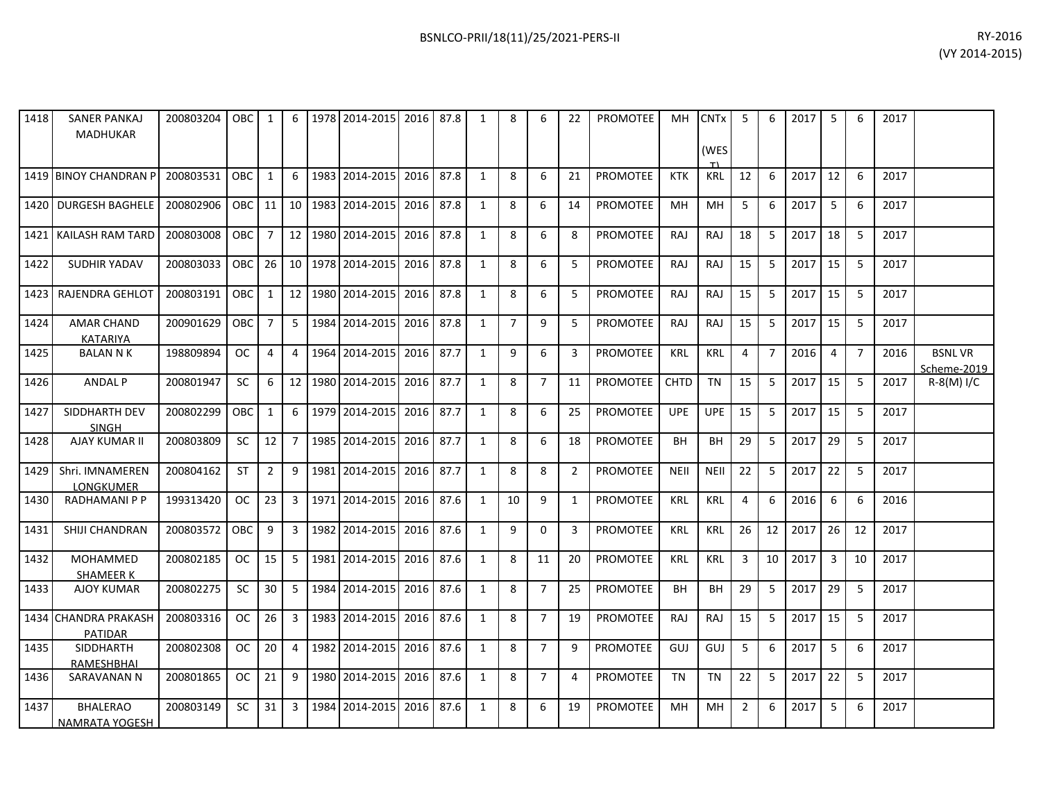| 1418 | <b>SANER PANKAJ</b><br><b>MADHUKAR</b>   | 200803204 | <b>OBC</b> | 1              | 6               |      | 1978 2014-2015 | 2016 87.8 |      | 1            | 8              | 6              | 22             | <b>PROMOTEE</b> | MH          | <b>CNT<sub>x</sub></b> | 5  | 6              | 2017 | 5              | 6              | 2017 |                              |
|------|------------------------------------------|-----------|------------|----------------|-----------------|------|----------------|-----------|------|--------------|----------------|----------------|----------------|-----------------|-------------|------------------------|----|----------------|------|----------------|----------------|------|------------------------------|
|      |                                          |           |            |                |                 |      |                |           |      |              |                |                |                |                 |             | (WES                   |    |                |      |                |                |      |                              |
|      | 1419 BINOY CHANDRAN P                    | 200803531 | OBC.       | 1              | 6               |      | 1983 2014-2015 | 2016      | 87.8 | 1            | 8              | 6              | 21             | <b>PROMOTEE</b> | <b>KTK</b>  | KRL                    | 12 | 6              | 2017 | 12             | 6              | 2017 |                              |
| 1420 | <b>DURGESH BAGHELE</b>                   | 200802906 | <b>OBC</b> | 11             | 10 <sup>1</sup> | 1983 | 2014-2015      | 2016      | 87.8 | 1            | 8              | 6              | 14             | <b>PROMOTEE</b> | MН          | MН                     | 5  | 6              | 2017 | 5              | 6              | 2017 |                              |
| 1421 | <b>KAILASH RAM TARD</b>                  | 200803008 | <b>OBC</b> | $\overline{7}$ | 12 <sup>1</sup> |      | 1980 2014-2015 | 2016      | 87.8 | 1            | 8              | 6              | 8              | <b>PROMOTEE</b> | <b>RAJ</b>  | <b>RAJ</b>             | 18 | 5              | 2017 | 18             | -5             | 2017 |                              |
| 1422 | <b>SUDHIR YADAV</b>                      | 200803033 | OBC        | 26             | 10 <sup>1</sup> |      | 1978 2014-2015 | 2016      | 87.8 | $\mathbf{1}$ | 8              | 6              | 5              | <b>PROMOTEE</b> | <b>RAJ</b>  | <b>RAJ</b>             | 15 | 5              | 2017 | 15             | 5              | 2017 |                              |
| 1423 | <b>RAJENDRA GEHLOT</b>                   | 200803191 | <b>OBC</b> | 1              | 12 <sup>1</sup> |      | 1980 2014-2015 | 2016      | 87.8 | 1            | 8              | 6              | 5              | <b>PROMOTEE</b> | <b>RAJ</b>  | <b>RAJ</b>             | 15 | 5              | 2017 | 15             | 5              | 2017 |                              |
| 1424 | <b>AMAR CHAND</b><br><b>KATARIYA</b>     | 200901629 | OBC        | $\overline{7}$ | 5               | 1984 | 2014-2015      | 2016      | 87.8 | 1            | $\overline{7}$ | 9              | 5              | PROMOTEE        | <b>RAJ</b>  | RAJ                    | 15 | 5              | 2017 | 15             | 5              | 2017 |                              |
| 1425 | <b>BALAN N K</b>                         | 198809894 | OC.        | 4              | 4               | 1964 | 2014-2015      | 2016      | 87.7 | 1            | 9              | 6              | 3              | PROMOTEE        | <b>KRL</b>  | <b>KRL</b>             | 4  | $\overline{7}$ | 2016 | $\overline{4}$ | $\overline{7}$ | 2016 | <b>BSNLVR</b><br>Scheme-2019 |
| 1426 | <b>ANDAL P</b>                           | 200801947 | <b>SC</b>  | 6              | 12 <sup>1</sup> |      | 1980 2014-2015 | 2016      | 87.7 | 1            | 8              | $\overline{7}$ | 11             | <b>PROMOTEE</b> | <b>CHTD</b> | <b>TN</b>              | 15 | 5              | 2017 | 15             | -5             | 2017 | $R-8(M)$ I/C                 |
| 1427 | SIDDHARTH DEV<br><b>SINGH</b>            | 200802299 | OBC        | $\mathbf{1}$   | 6               |      | 1979 2014-2015 | 2016      | 87.7 | 1            | 8              | 6              | 25             | <b>PROMOTEE</b> | <b>UPE</b>  | <b>UPE</b>             | 15 | 5              | 2017 | 15             | -5             | 2017 |                              |
| 1428 | AJAY KUMAR II                            | 200803809 | <b>SC</b>  | 12             | $\overline{7}$  |      | 1985 2014-2015 | 2016      | 87.7 | 1            | 8              | 6              | 18             | <b>PROMOTEE</b> | <b>BH</b>   | <b>BH</b>              | 29 | 5              | 2017 | 29             | 5              | 2017 |                              |
| 1429 | Shri. IMNAMEREN<br>LONGKUMER             | 200804162 | <b>ST</b>  | $\overline{2}$ | 9               |      | 1981 2014-2015 | 2016      | 87.7 | 1            | 8              | 8              | 2              | <b>PROMOTEE</b> | <b>NEII</b> | <b>NEII</b>            | 22 | 5              | 2017 | 22             | 5              | 2017 |                              |
| 1430 | <b>RADHAMANI P P</b>                     | 199313420 | <b>OC</b>  | 23             | $\mathbf{3}$    |      | 1971 2014-2015 | 2016      | 87.6 | 1            | 10             | 9              | 1              | PROMOTEE        | <b>KRL</b>  | <b>KRL</b>             | 4  | 6              | 2016 | 6              | 6              | 2016 |                              |
| 1431 | SHIJI CHANDRAN                           | 200803572 | OBC        | 9              | 3 <sup>1</sup>  | 1982 | 2014-2015      | 2016      | 87.6 | 1            | 9              | $\Omega$       | 3              | <b>PROMOTEE</b> | <b>KRL</b>  | <b>KRL</b>             | 26 | 12             | 2017 | 26             | 12             | 2017 |                              |
| 1432 | <b>MOHAMMED</b><br>SHAMEER K             | 200802185 | OC.        | 15             | 5               |      | 1981 2014-2015 | 2016      | 87.6 | 1            | 8              | 11             | 20             | <b>PROMOTEE</b> | <b>KRL</b>  | <b>KRL</b>             | 3  | 10             | 2017 | $\overline{3}$ | 10             | 2017 |                              |
| 1433 | <b>AJOY KUMAR</b>                        | 200802275 | <b>SC</b>  | 30             | 5               | 1984 | 2014-2015      | 2016      | 87.6 | 1            | 8              | $\overline{7}$ | 25             | <b>PROMOTEE</b> | <b>BH</b>   | <b>BH</b>              | 29 | 5              | 2017 | 29             | 5              | 2017 |                              |
| 1434 | <b>CHANDRA PRAKASH</b><br><b>PATIDAR</b> | 200803316 | OC.        | 26             | $\mathbf{3}$    |      | 1983 2014-2015 | 2016      | 87.6 | 1            | 8              | $\overline{7}$ | 19             | <b>PROMOTEE</b> | <b>RAJ</b>  | <b>RAJ</b>             | 15 | 5              | 2017 | 15             | 5              | 2017 |                              |
| 1435 | SIDDHARTH<br><b>RAMESHBHAI</b>           | 200802308 | OC.        | 20             | 4               | 1982 | 2014-2015      | 2016      | 87.6 | 1            | 8              | $\overline{7}$ | 9              | <b>PROMOTEE</b> | GUJ         | GUJ                    | 5  | 6              | 2017 | 5              | 6              | 2017 |                              |
| 1436 | SARAVANAN N                              | 200801865 | OC.        | 21             | 9               |      | 1980 2014-2015 | 2016      | 87.6 | 1            | 8              | $\overline{7}$ | $\overline{4}$ | PROMOTEE        | TN          | TN                     | 22 | 5              | 2017 | 22             | 5              | 2017 |                              |
| 1437 | <b>BHALERAO</b><br>NAMRATA YOGESH        | 200803149 | <b>SC</b>  | 31             | 3               |      | 1984 2014-2015 | 2016      | 87.6 | 1            | 8              | 6              | 19             | PROMOTEE        | MН          | <b>MH</b>              | 2  | 6              | 2017 | 5              | 6              | 2017 |                              |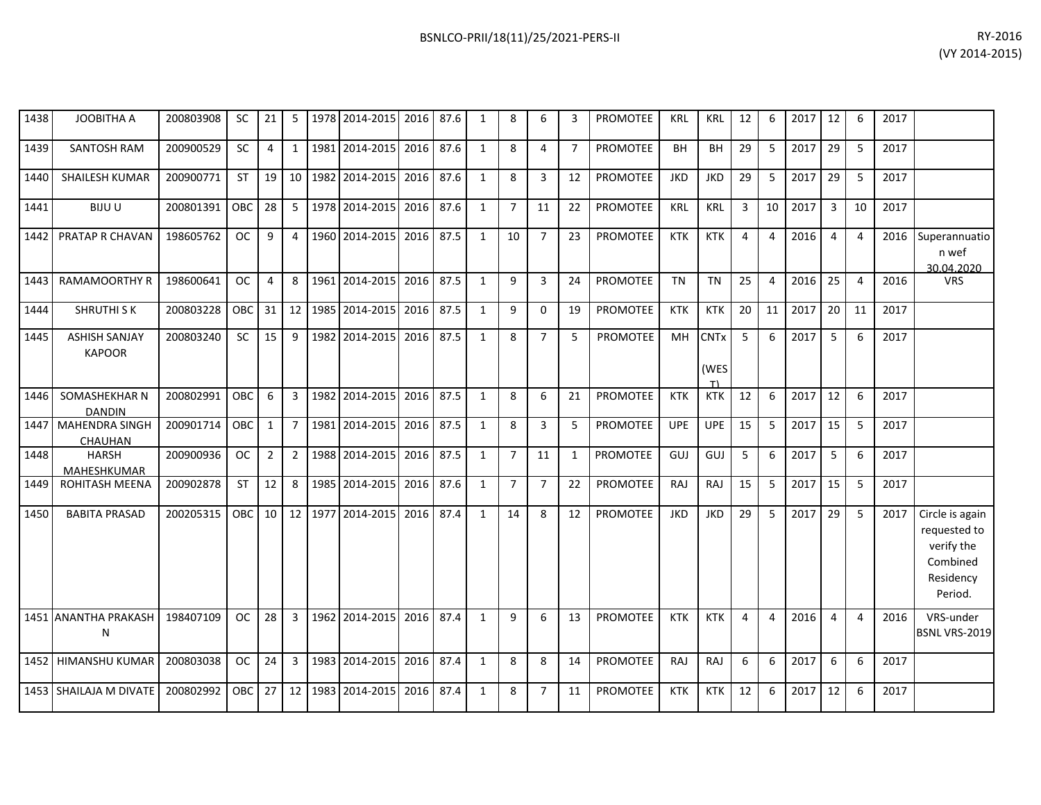| 1438 | <b>JOOBITHA A</b>                     | 200803908 | <b>SC</b>  | 21             | 5               |      | 1978 2014-2015 | 2016 | 87.6 | $\mathbf{1}$   | 8              | 6              | 3              | <b>PROMOTEE</b> | <b>KRL</b> | <b>KRL</b>                | 12             | 6              | 2017 | 12             | 6              | 2017 |                                                                                   |
|------|---------------------------------------|-----------|------------|----------------|-----------------|------|----------------|------|------|----------------|----------------|----------------|----------------|-----------------|------------|---------------------------|----------------|----------------|------|----------------|----------------|------|-----------------------------------------------------------------------------------|
| 1439 | SANTOSH RAM                           | 200900529 | SC         | $\overline{4}$ | $1\vert$        |      | 1981 2014-2015 | 2016 | 87.6 | $\mathbf{1}$   | 8              | 4              | $\overline{7}$ | <b>PROMOTEE</b> | BH         | BH                        | 29             | 5              | 2017 | 29             | 5              | 2017 |                                                                                   |
| 1440 | SHAILESH KUMAR                        | 200900771 | ST         | 19             | 10 <sup>1</sup> |      | 1982 2014-2015 | 2016 | 87.6 | $\mathbf{1}$   | 8              | 3              | 12             | <b>PROMOTEE</b> | <b>JKD</b> | <b>JKD</b>                | 29             | 5              | 2017 | 29             | 5              | 2017 |                                                                                   |
| 1441 | <b>BIJUU</b>                          | 200801391 | OBC        | 28             | 5               |      | 1978 2014-2015 | 2016 | 87.6 | $\mathbf{1}$   | $\overline{7}$ | 11             | 22             | <b>PROMOTEE</b> | <b>KRL</b> | KRL                       | 3              | 10             | 2017 | $\overline{3}$ | 10             | 2017 |                                                                                   |
| 1442 | PRATAP R CHAVAN                       | 198605762 | <b>OC</b>  | 9              | $\overline{4}$  |      | 1960 2014-2015 | 2016 | 87.5 | $\mathbf{1}$   | 10             | $\overline{7}$ | 23             | <b>PROMOTEE</b> | <b>KTK</b> | <b>KTK</b>                | $\overline{4}$ | 4              | 2016 | $\overline{4}$ | $\overline{4}$ | 2016 | Superannuatio<br>n wef<br>30.04.2020                                              |
| 1443 | <b>RAMAMOORTHY R</b>                  | 198600641 | <b>OC</b>  | $\overline{4}$ | 8               |      | 1961 2014-2015 | 2016 | 87.5 | $\mathbf{1}$   | 9              | 3              | 24             | <b>PROMOTEE</b> | <b>TN</b>  | <b>TN</b>                 | 25             | $\overline{4}$ | 2016 | 25             | $\overline{4}$ | 2016 | <b>VRS</b>                                                                        |
| 1444 | <b>SHRUTHI SK</b>                     | 200803228 | <b>OBC</b> | 31             | 12              |      | 1985 2014-2015 | 2016 | 87.5 | 1              | 9              | $\mathbf 0$    | 19             | PROMOTEE        | <b>KTK</b> | <b>KTK</b>                | 20             | 11             | 2017 | 20             | 11             | 2017 |                                                                                   |
| 1445 | <b>ASHISH SANJAY</b><br><b>KAPOOR</b> | 200803240 | <b>SC</b>  | 15             | 9               |      | 1982 2014-2015 | 2016 | 87.5 | $\mathbf{1}$   | 8              | $\overline{7}$ | 5              | <b>PROMOTEE</b> | <b>MH</b>  | <b>CNTx</b><br>(WES<br>T١ | 5              | 6              | 2017 | 5              | 6              | 2017 |                                                                                   |
| 1446 | SOMASHEKHAR N<br><b>DANDIN</b>        | 200802991 | OBC.       | 6              | $\mathbf{3}$    | 1982 | 2014-2015      | 2016 | 87.5 | 1              | 8              | 6              | 21             | <b>PROMOTEE</b> | <b>KTK</b> | <b>KTK</b>                | 12             | 6              | 2017 | 12             | 6              | 2017 |                                                                                   |
| 1447 | <b>MAHENDRA SINGH</b><br>CHAUHAN      | 200901714 | OBC        | 1              | $7^{\circ}$     |      | 1981 2014-2015 | 2016 | 87.5 | $\mathbf{1}$   | 8              | 3              | 5              | <b>PROMOTEE</b> | <b>UPE</b> | <b>UPE</b>                | 15             | 5              | 2017 | 15             | 5              | 2017 |                                                                                   |
| 1448 | <b>HARSH</b><br>MAHESHKUMAR           | 200900936 | <b>OC</b>  | $\overline{2}$ | 2 <sup>1</sup>  |      | 1988 2014-2015 | 2016 | 87.5 | $\mathbf{1}$   | $\overline{7}$ | 11             | $\mathbf{1}$   | <b>PROMOTEE</b> | GUJ        | GUJ                       | 5              | 6              | 2017 | 5              | 6              | 2017 |                                                                                   |
| 1449 | <b>ROHITASH MEENA</b>                 | 200902878 | <b>ST</b>  | 12             | 8               | 1985 | 2014-2015      | 2016 | 87.6 | 1              | $\overline{7}$ | $\overline{7}$ | 22             | PROMOTEE        | RAJ        | <b>RAJ</b>                | 15             | 5              | 2017 | 15             | 5              | 2017 |                                                                                   |
| 1450 | <b>BABITA PRASAD</b>                  | 200205315 | OBC.       | 10             | 12 <sup>1</sup> |      | 1977 2014-2015 | 2016 | 87.4 | $\mathbf{1}$   | 14             | 8              | 12             | <b>PROMOTEE</b> | <b>JKD</b> | <b>JKD</b>                | 29             | 5              | 2017 | 29             | 5              | 2017 | Circle is again<br>requested to<br>verify the<br>Combined<br>Residency<br>Period. |
|      | 1451 ANANTHA PRAKASH<br>N             | 198407109 | <b>OC</b>  | 28             | $\overline{3}$  |      | 1962 2014-2015 | 2016 | 87.4 | $\overline{1}$ | $\mathbf{q}$   | 6              | 13             | <b>PROMOTEE</b> | <b>KTK</b> | <b>KTK</b>                | $\overline{4}$ | 4              | 2016 | $\overline{4}$ | $\overline{4}$ | 2016 | VRS-under<br><b>BSNL VRS-2019</b>                                                 |
|      | 1452 HIMANSHU KUMAR                   | 200803038 | <b>OC</b>  | 24             | 3               | 1983 | 2014-2015      | 2016 | 87.4 | $\mathbf{1}$   | 8              | 8              | 14             | <b>PROMOTEE</b> | RAJ        | <b>RAJ</b>                | 6              | 6              | 2017 | 6              | 6              | 2017 |                                                                                   |
|      | 1453 SHAILAJA M DIVATE                | 200802992 | <b>OBC</b> | 27             | 12              |      | 1983 2014-2015 | 2016 | 87.4 | $\mathbf{1}$   | 8              | $\overline{7}$ | 11             | PROMOTEE        | <b>KTK</b> | <b>KTK</b>                | 12             | 6              | 2017 | 12             | 6              | 2017 |                                                                                   |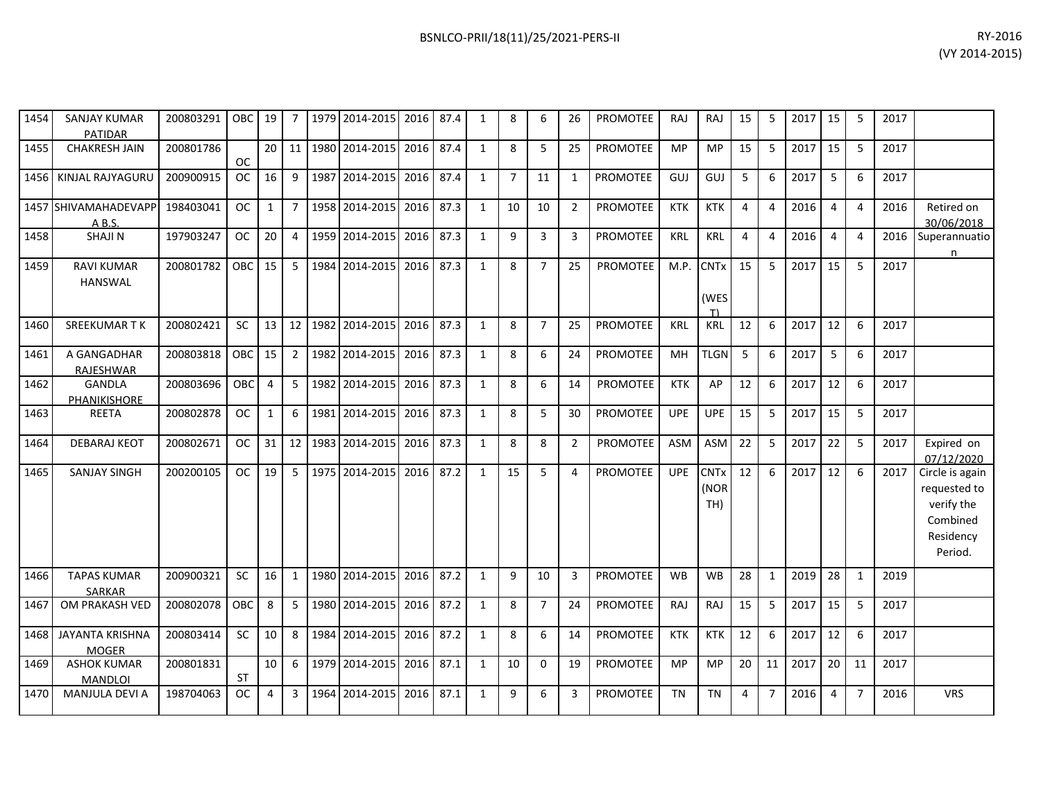| 1454 | <b>SANJAY KUMAR</b><br>PATIDAR         | 200803291 | <b>OBC</b> | 19           | 7              |      | 1979 2014-2015 | 2016      | 87.4 | 1            | 8              | 6              | 26             | <b>PROMOTEE</b> | <b>RAJ</b> | RAJ                                   | 15 | 5              | 2017 | 15             | -5             | 2017 |                                                                                   |
|------|----------------------------------------|-----------|------------|--------------|----------------|------|----------------|-----------|------|--------------|----------------|----------------|----------------|-----------------|------------|---------------------------------------|----|----------------|------|----------------|----------------|------|-----------------------------------------------------------------------------------|
| 1455 | <b>CHAKRESH JAIN</b>                   | 200801786 | <b>OC</b>  | 20           | 11             |      | 1980 2014-2015 | 2016      | 87.4 | 1            | 8              | 5              | 25             | <b>PROMOTEE</b> | <b>MP</b>  | <b>MP</b>                             | 15 | 5              | 2017 | 15             | -5             | 2017 |                                                                                   |
| 1456 | KINJAL RAJYAGURU                       | 200900915 | <b>OC</b>  | 16           | 9              | 1987 | 2014-2015      | 2016      | 87.4 | $\mathbf{1}$ | $\overline{7}$ | 11             | 1              | <b>PROMOTEE</b> | GUJ        | GUJ                                   | 5  | 6              | 2017 | 5              | 6              | 2017 |                                                                                   |
|      | 1457 SHIVAMAHADEVAPP<br>AB.S.          | 198403041 | OC.        | $\mathbf{1}$ | $7^{\circ}$    |      | 1958 2014-2015 | 2016      | 87.3 | $\mathbf{1}$ | 10             | 10             | $\overline{2}$ | <b>PROMOTEE</b> | <b>KTK</b> | <b>KTK</b>                            | 4  | 4              | 2016 | 4              | $\overline{4}$ | 2016 | Retired on<br>30/06/2018                                                          |
| 1458 | <b>SHAJIN</b>                          | 197903247 | <b>OC</b>  | 20           | $\overline{4}$ |      | 1959 2014-2015 | 2016      | 87.3 | 1            | 9              | 3              | 3              | <b>PROMOTEE</b> | <b>KRL</b> | <b>KRL</b>                            | 4  | 4              | 2016 | $\overline{4}$ | $\overline{4}$ | 2016 | Superannuatio<br>n                                                                |
| 1459 | <b>RAVI KUMAR</b><br><b>HANSWAL</b>    | 200801782 | <b>OBC</b> | 15           | 5 <sup>5</sup> | 1984 | 2014-2015      | 2016      | 87.3 | $\mathbf{1}$ | 8              | $\overline{7}$ | 25             | <b>PROMOTEE</b> | M.P.       | <b>CNTx</b><br>(WES<br>T)             | 15 | 5              | 2017 | 15             | 5              | 2017 |                                                                                   |
| 1460 | <b>SREEKUMARTK</b>                     | 200802421 | <b>SC</b>  | 13           | 12             |      | 1982 2014-2015 | 2016      | 87.3 | 1            | 8              | $\overline{7}$ | 25             | <b>PROMOTEE</b> | <b>KRL</b> | KRL                                   | 12 | 6              | 2017 | 12             | 6              | 2017 |                                                                                   |
| 1461 | A GANGADHAR<br><b>RAJESHWAR</b>        | 200803818 | <b>OBC</b> | 15           | $\overline{2}$ |      | 1982 2014-2015 | 2016      | 87.3 | $\mathbf{1}$ | 8              | 6              | 24             | PROMOTEE        | <b>MH</b>  | <b>TLGN</b>                           | 5  | 6              | 2017 | 5              | 6              | 2017 |                                                                                   |
| 1462 | <b>GANDLA</b><br>PHANIKISHORE          | 200803696 | <b>OBC</b> | 4            | 5 <sup>1</sup> |      | 1982 2014-2015 | 2016      | 87.3 | $\mathbf{1}$ | 8              | 6              | 14             | <b>PROMOTEE</b> | <b>KTK</b> | AP                                    | 12 | 6              | 2017 | 12             | 6              | 2017 |                                                                                   |
| 1463 | REETA                                  | 200802878 | <b>OC</b>  | $\mathbf{1}$ | 6              |      | 1981 2014-2015 | 2016      | 87.3 | $\mathbf{1}$ | 8              | 5              | 30             | PROMOTEE        | <b>UPE</b> | <b>UPE</b>                            | 15 | 5              | 2017 | 15             | 5              | 2017 |                                                                                   |
| 1464 | <b>DEBARAJ KEOT</b>                    | 200802671 | <b>OC</b>  | 31           | 12             |      | 1983 2014-2015 | 2016      | 87.3 | $\mathbf{1}$ | 8              | 8              | $\overline{2}$ | <b>PROMOTEE</b> | ASM        | ASM                                   | 22 | 5              | 2017 | 22             | 5              | 2017 | Expired on<br>07/12/2020                                                          |
| 1465 | <b>SANJAY SINGH</b>                    | 200200105 | <b>OC</b>  | 19           | $5^{\circ}$    |      | 1975 2014-2015 | 2016      | 87.2 | $\mathbf{1}$ | 15             | 5              | $\overline{4}$ | <b>PROMOTEE</b> | <b>UPE</b> | <b>CNT<sub>x</sub></b><br>(NOR<br>TH) | 12 | 6              | 2017 | 12             | 6              | 2017 | Circle is again<br>requested to<br>verify the<br>Combined<br>Residency<br>Period. |
| 1466 | <b>TAPAS KUMAR</b><br><b>SARKAR</b>    | 200900321 | SC         | 16           | $\mathbf{1}$   |      | 1980 2014-2015 | 2016      | 87.2 | $\mathbf{1}$ | 9              | 10             | 3              | PROMOTEE        | WB         | <b>WB</b>                             | 28 | $\mathbf{1}$   | 2019 | 28             | $\mathbf{1}$   | 2019 |                                                                                   |
| 1467 | OM PRAKASH VED                         | 200802078 | <b>OBC</b> | 8            | 5              |      | 1980 2014-2015 | 2016      | 87.2 | $\mathbf{1}$ | 8              | $\overline{7}$ | 24             | <b>PROMOTEE</b> | RAJ        | RAJ                                   | 15 | 5              | 2017 | 15             | -5             | 2017 |                                                                                   |
| 1468 | <b>JAYANTA KRISHNA</b><br><b>MOGER</b> | 200803414 | <b>SC</b>  | 10           | 8              | 1984 | 2014-2015      | 2016      | 87.2 | 1            | 8              | 6              | 14             | <b>PROMOTEE</b> | <b>KTK</b> | <b>KTK</b>                            | 12 | 6              | 2017 | 12             | 6              | 2017 |                                                                                   |
| 1469 | <b>ASHOK KUMAR</b><br><b>MANDLOI</b>   | 200801831 | <b>ST</b>  | 10           | 6              |      | 1979 2014-2015 | 2016 87.1 |      | 1            | 10             | $\mathbf 0$    | 19             | PROMOTEE        | MP         | MP                                    | 20 | 11             | 2017 | 20             | 11             | 2017 |                                                                                   |
| 1470 | MANJULA DEVI A                         | 198704063 | <b>OC</b>  | 4            | 3              |      | 1964 2014-2015 | 2016      | 87.1 | $\mathbf{1}$ | 9              | 6              | 3              | <b>PROMOTEE</b> | <b>TN</b>  | <b>TN</b>                             | 4  | $\overline{7}$ | 2016 | 4              | $\overline{7}$ | 2016 | <b>VRS</b>                                                                        |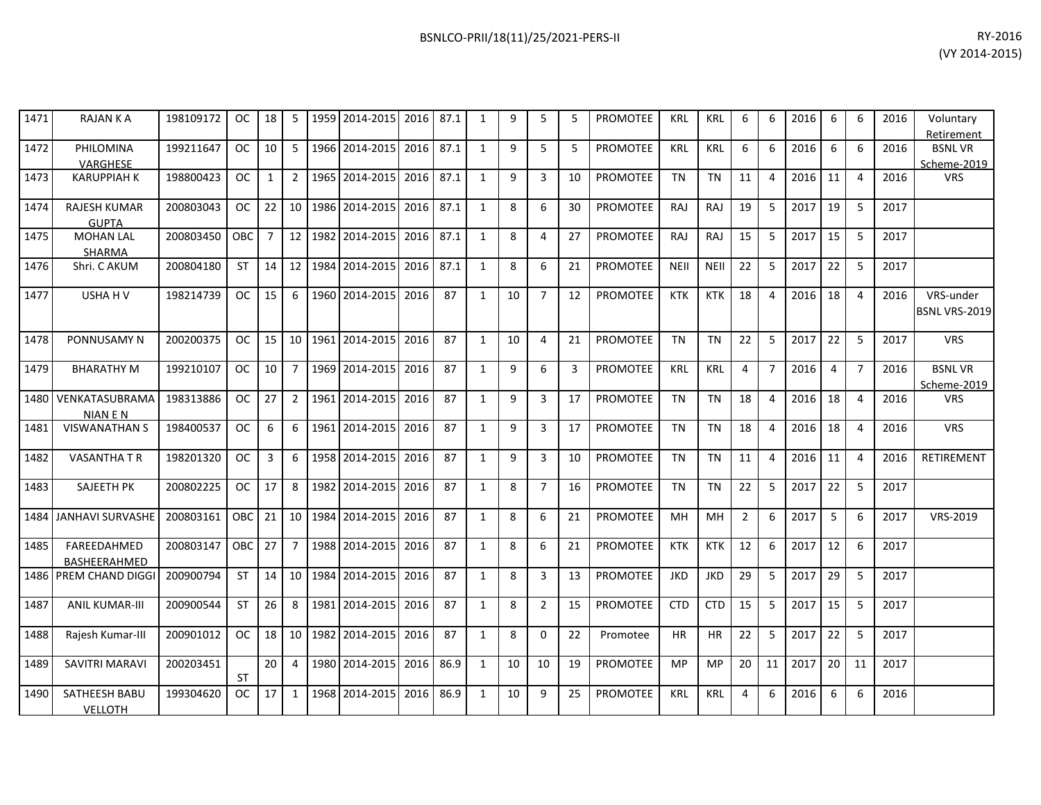| 1471 | <b>RAJAN K A</b>                    | 198109172 | <b>OC</b>  | 18             | 5              | 1959 | 2014-2015             | 2016 | 87.1 | $\mathbf{1}$ | 9  | 5              | 5  | <b>PROMOTEE</b> | <b>KRL</b>  | <b>KRL</b>  | 6              | 6 | 2016 | 6  | 6                     | 2016 | Voluntary<br>Retirement           |
|------|-------------------------------------|-----------|------------|----------------|----------------|------|-----------------------|------|------|--------------|----|----------------|----|-----------------|-------------|-------------|----------------|---|------|----|-----------------------|------|-----------------------------------|
| 1472 | PHILOMINA                           | 199211647 | <b>OC</b>  | 10             | 5              |      | 1966 2014-2015        | 2016 | 87.1 | $\mathbf{1}$ | 9  | 5              | 5  | <b>PROMOTEE</b> | <b>KRL</b>  | <b>KRL</b>  | 6              | 6 | 2016 | 6  | 6                     | 2016 | <b>BSNLVR</b>                     |
|      | <b>VARGHESE</b>                     |           |            |                |                |      |                       |      |      |              |    |                |    |                 |             |             |                |   |      |    |                       |      | Scheme-2019                       |
| 1473 | <b>KARUPPIAH K</b>                  | 198800423 | <b>OC</b>  | 1              | $\overline{2}$ | 1965 | 2014-2015             | 2016 | 87.1 | $\mathbf{1}$ | 9  | 3              | 10 | <b>PROMOTEE</b> | <b>TN</b>   | <b>TN</b>   | 11             | 4 | 2016 | 11 | $\overline{4}$        | 2016 | <b>VRS</b>                        |
| 1474 | <b>RAJESH KUMAR</b><br><b>GUPTA</b> | 200803043 | <b>OC</b>  | 22             | 10             | 1986 | 2014-2015             | 2016 | 87.1 | $\mathbf{1}$ | 8  | 6              | 30 | <b>PROMOTEE</b> | <b>RAJ</b>  | <b>RAJ</b>  | 19             | 5 | 2017 | 19 | 5                     | 2017 |                                   |
| 1475 | <b>MOHAN LAL</b><br><b>SHARMA</b>   | 200803450 | <b>OBC</b> | $\overline{7}$ | 12             | 1982 | 2014-2015             | 2016 | 87.1 | $\mathbf{1}$ | 8  | 4              | 27 | <b>PROMOTEE</b> | RAJ         | <b>RAJ</b>  | 15             | 5 | 2017 | 15 | 5                     | 2017 |                                   |
| 1476 | Shri. C AKUM                        | 200804180 | <b>ST</b>  | 14             | 12             |      | 1984 2014-2015        | 2016 | 87.1 | 1            | 8  | 6              | 21 | <b>PROMOTEE</b> | <b>NEII</b> | <b>NEII</b> | 22             | 5 | 2017 | 22 | -5                    | 2017 |                                   |
| 1477 | USHA H V                            | 198214739 | <b>OC</b>  | 15             | 6              |      | 1960 2014-2015        | 2016 | 87   | $\mathbf{1}$ | 10 | $\overline{7}$ | 12 | <b>PROMOTEE</b> | <b>KTK</b>  | <b>KTK</b>  | 18             | 4 | 2016 | 18 | $\overline{4}$        | 2016 | VRS-under<br><b>BSNL VRS-2019</b> |
| 1478 | PONNUSAMY N                         | 200200375 | <b>OC</b>  | 15             | 10             | 1961 | 2014-2015             | 2016 | 87   | $\mathbf{1}$ | 10 | 4              | 21 | <b>PROMOTEE</b> | <b>TN</b>   | <b>TN</b>   | 22             | 5 | 2017 | 22 | 5                     | 2017 | <b>VRS</b>                        |
| 1479 | <b>BHARATHY M</b>                   | 199210107 | <b>OC</b>  | 10             | $\overline{7}$ |      | 1969 2014-2015        | 2016 | 87   | 1            | 9  | 6              | 3  | <b>PROMOTEE</b> | KRL         | <b>KRL</b>  | 4              | 7 | 2016 | 4  | $\overline{7}$        | 2016 | <b>BSNLVR</b><br>Scheme-2019      |
| 1480 | VENKATASUBRAMA<br><b>NIAN E N</b>   | 198313886 | <b>OC</b>  | 27             | 2              |      | 1961 2014-2015        | 2016 | 87   | $\mathbf{1}$ | 9  | 3              | 17 | <b>PROMOTEE</b> | <b>TN</b>   | <b>TN</b>   | 18             | 4 | 2016 | 18 | $\boldsymbol{\Delta}$ | 2016 | <b>VRS</b>                        |
| 1481 | <b>VISWANATHAN S</b>                | 198400537 | <b>OC</b>  | 6              | 6              |      | 1961 2014-2015        | 2016 | 87   | $\mathbf{1}$ | 9  | 3              | 17 | <b>PROMOTEE</b> | <b>TN</b>   | <b>TN</b>   | 18             | 4 | 2016 | 18 | $\Delta$              | 2016 | <b>VRS</b>                        |
| 1482 | <b>VASANTHA T R</b>                 | 198201320 | <b>OC</b>  | 3              | 6              |      | 1958 2014-2015        | 2016 | 87   | 1            | 9  | 3              | 10 | <b>PROMOTEE</b> | <b>TN</b>   | <b>TN</b>   | 11             | 4 | 2016 | 11 | $\overline{4}$        | 2016 | <b>RETIREMENT</b>                 |
| 1483 | <b>SAJEETH PK</b>                   | 200802225 | <b>OC</b>  | 17             | 8              |      | 1982 2014-2015        | 2016 | 87   | 1            | 8  | $\overline{7}$ | 16 | <b>PROMOTEE</b> | <b>TN</b>   | <b>TN</b>   | 22             | 5 | 2017 | 22 | 5                     | 2017 |                                   |
| 1484 | <b>JANHAVI SURVASHE</b>             | 200803161 | <b>OBC</b> | 21             | 10             | 1984 | 2014-2015             | 2016 | 87   | 1            | 8  | 6              | 21 | <b>PROMOTEE</b> | MH          | MH          | $\overline{2}$ | 6 | 2017 | 5  | 6                     | 2017 | VRS-2019                          |
| 1485 | FAREEDAHMED<br><b>BASHEERAHMED</b>  | 200803147 | OBC        | 27             | 7              |      | 1988 2014-2015        | 2016 | 87   | 1            | 8  | 6              | 21 | <b>PROMOTEE</b> | <b>KTK</b>  | <b>KTK</b>  | 12             | 6 | 2017 | 12 | 6                     | 2017 |                                   |
|      | 1486 PREM CHAND DIGGI               | 200900794 | <b>ST</b>  | 14             |                |      | 10   1984   2014-2015 | 2016 | 87   | $\mathbf{1}$ | 8  | 3              | 13 | <b>PROMOTEE</b> | <b>JKD</b>  | <b>JKD</b>  | 29             | 5 | 2017 | 29 | 5                     | 2017 |                                   |

1487 ANIL KUMAR-III 200900544 ST 26 8 1981 2014-2015 2016 87 1 8 2 15 PROMOTEE CTD CTD 15 5 2017 15 5 2017

1488 Rajesh Kumar-III 200901012 OC 18 10 1982 2014-2015 2016 87 1 8 0 22 Promotee HR HR 22 5 2017 22 5 2017

20 4 1980 2014-2015 2016 86.9 1 10 10 19 PROMOTEE MP MP 20 11 2017 20 11 2017

199304620 OC 17 | 1 | 1968 | 2014-2015 | 2016 | 86.9 | 1 | 10 | 9 | 25 | PROMOTEE | KRL | KRL | 4 | 6 | 2016 | 6 | 6 | 2016

1489 SAVITRI MARAVI 200203451

1490 SATHEESH BABU VELLOTH

ST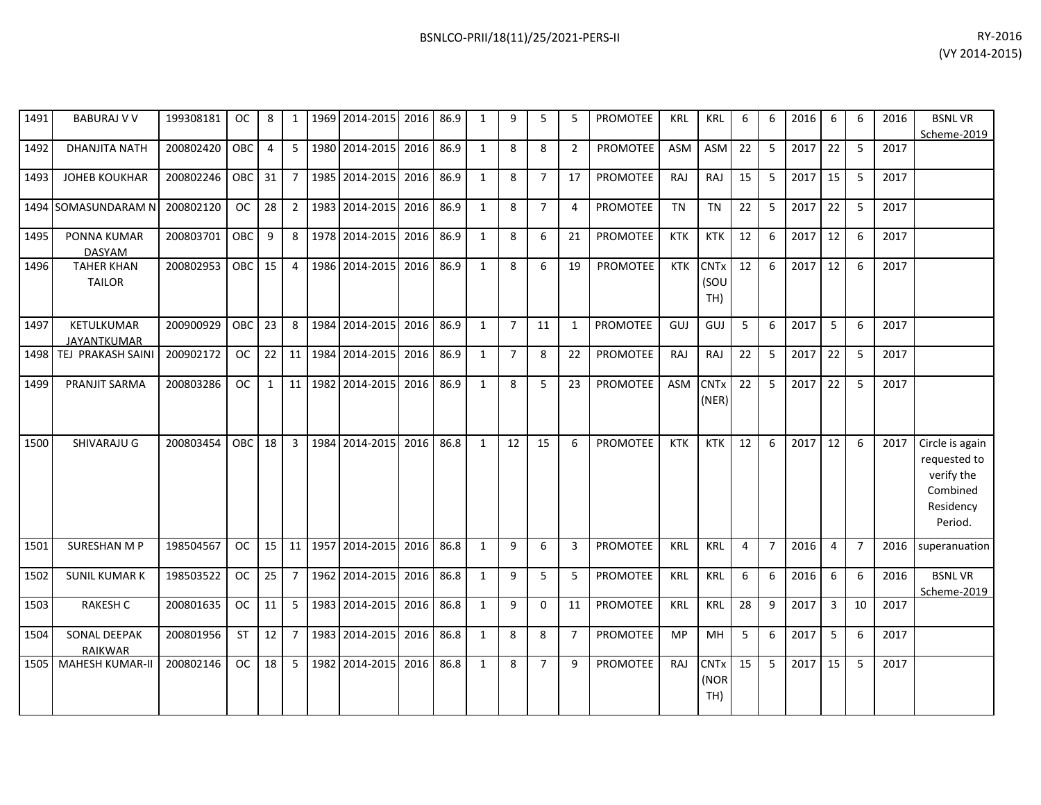| 1491 | <b>BABURAJ V V</b>                 | 199308181 | OC.        | 8              | 1              | 1969 | 2014-2015      | 2016 | 86.9 | $\mathbf{1}$ | 9              | 5              | 5              | <b>PROMOTEE</b> | <b>KRL</b> | <b>KRL</b>                 | 6  | 6              | 2016 | 6              | 6              | 2016 | <b>BSNLVR</b><br>Scheme-2019                                                      |
|------|------------------------------------|-----------|------------|----------------|----------------|------|----------------|------|------|--------------|----------------|----------------|----------------|-----------------|------------|----------------------------|----|----------------|------|----------------|----------------|------|-----------------------------------------------------------------------------------|
| 1492 | <b>DHANJITA NATH</b>               | 200802420 | OBC        | $\overline{4}$ | 5              |      | 1980 2014-2015 | 2016 | 86.9 | 1            | 8              | 8              | $\overline{2}$ | <b>PROMOTEE</b> | ASM        | <b>ASM</b>                 | 22 | 5              | 2017 | 22             | 5              | 2017 |                                                                                   |
| 1493 | <b>JOHEB KOUKHAR</b>               | 200802246 | OBC        | 31             | $\overline{7}$ |      | 1985 2014-2015 | 2016 | 86.9 | $\mathbf{1}$ | 8              | $\overline{7}$ | 17             | <b>PROMOTEE</b> | RAJ        | <b>RAJ</b>                 | 15 | 5              | 2017 | 15             | 5              | 2017 |                                                                                   |
| 1494 | SOMASUNDARAM N                     | 200802120 | <b>OC</b>  | 28             | $\overline{2}$ |      | 1983 2014-2015 | 2016 | 86.9 | $\mathbf{1}$ | 8              | $\overline{7}$ | $\overline{4}$ | <b>PROMOTEE</b> | <b>TN</b>  | <b>TN</b>                  | 22 | 5              | 2017 | 22             | 5              | 2017 |                                                                                   |
| 1495 | PONNA KUMAR<br><b>DASYAM</b>       | 200803701 | OBC        | 9              | 8              |      | 1978 2014-2015 | 2016 | 86.9 | $\mathbf{1}$ | 8              | 6              | 21             | <b>PROMOTEE</b> | <b>KTK</b> | <b>KTK</b>                 | 12 | 6              | 2017 | 12             | 6              | 2017 |                                                                                   |
| 1496 | <b>TAHER KHAN</b><br><b>TAILOR</b> | 200802953 | <b>OBC</b> | 15             | 4              | 1986 | 2014-2015      | 2016 | 86.9 | $\mathbf{1}$ | 8              | 6              | 19             | <b>PROMOTEE</b> | <b>KTK</b> | <b>CNTx</b><br>(SOU<br>TH) | 12 | 6              | 2017 | 12             | 6              | 2017 |                                                                                   |
| 1497 | KETULKUMAR<br><b>JAYANTKUMAR</b>   | 200900929 | OBC        | 23             | 8              |      | 1984 2014-2015 | 2016 | 86.9 | $\mathbf{1}$ | $\overline{7}$ | 11             | 1              | <b>PROMOTEE</b> | GUJ        | GUJ                        | 5  | 6              | 2017 | 5              | 6              | 2017 |                                                                                   |
| 1498 | TEJ PRAKASH SAINI                  | 200902172 | <b>OC</b>  | 22             | 11             | 1984 | 2014-2015      | 2016 | 86.9 | $\mathbf{1}$ | $\overline{7}$ | 8              | 22             | <b>PROMOTEE</b> | RAJ        | RAJ                        | 22 | 5              | 2017 | 22             | 5              | 2017 |                                                                                   |
| 1499 | PRANJIT SARMA                      | 200803286 | <b>OC</b>  | $\mathbf{1}$   | 11             | 1982 | 2014-2015      | 2016 | 86.9 | $\mathbf{1}$ | 8              | 5              | 23             | PROMOTEE        | ASM        | <b>CNTx</b><br>(NER)       | 22 | 5              | 2017 | 22             | 5              | 2017 |                                                                                   |
| 1500 | SHIVARAJU G                        | 200803454 | OBC        | 18             | $\mathbf{3}$   |      | 1984 2014-2015 | 2016 | 86.8 | $\mathbf{1}$ | 12             | 15             | 6              | <b>PROMOTEE</b> | <b>KTK</b> | <b>KTK</b>                 | 12 | 6              | 2017 | 12             | 6              | 2017 | Circle is again<br>requested to<br>verify the<br>Combined<br>Residency<br>Period. |
| 1501 | <b>SURESHAN M P</b>                | 198504567 | OC.        | 15             | 11             |      | 1957 2014-2015 | 2016 | 86.8 | 1            | 9              | 6              | 3              | <b>PROMOTEE</b> | <b>KRL</b> | <b>KRL</b>                 | 4  | $\overline{7}$ | 2016 | $\overline{4}$ | $\overline{7}$ | 2016 | superanuation                                                                     |
| 1502 | <b>SUNIL KUMAR K</b>               | 198503522 | <b>OC</b>  | 25             | $\overline{7}$ |      | 1962 2014-2015 | 2016 | 86.8 | $\mathbf{1}$ | 9              | 5              | 5              | PROMOTEE        | <b>KRL</b> | <b>KRL</b>                 | 6  | 6              | 2016 | 6              | 6              | 2016 | <b>BSNLVR</b><br>Scheme-2019                                                      |
| 1503 | RAKESH C                           | 200801635 | <b>OC</b>  | 11             | 5 <sup>5</sup> |      | 1983 2014-2015 | 2016 | 86.8 | $\mathbf{1}$ | 9              | $\Omega$       | 11             | PROMOTEE        | <b>KRL</b> | <b>KRL</b>                 | 28 | $\mathsf{q}$   | 2017 | $\overline{3}$ | 10             | 2017 |                                                                                   |
| 1504 | SONAL DEEPAK<br><b>RAIKWAR</b>     | 200801956 | ST         | 12             | $\overline{7}$ |      | 1983 2014-2015 | 2016 | 86.8 | $\mathbf{1}$ | 8              | 8              | $\overline{7}$ | <b>PROMOTEE</b> | <b>MP</b>  | <b>MH</b>                  | 5  | 6              | 2017 | 5              | 6              | 2017 |                                                                                   |
| 1505 | <b>MAHESH KUMAR-II</b>             | 200802146 | <b>OC</b>  | 18             | 5              | 1982 | 2014-2015      | 2016 | 86.8 | $\mathbf{1}$ | 8              | $\overline{7}$ | 9              | <b>PROMOTEE</b> | RAJ        | <b>CNTx</b><br>(NOR<br>TH) | 15 | 5              | 2017 | 15             | 5              | 2017 |                                                                                   |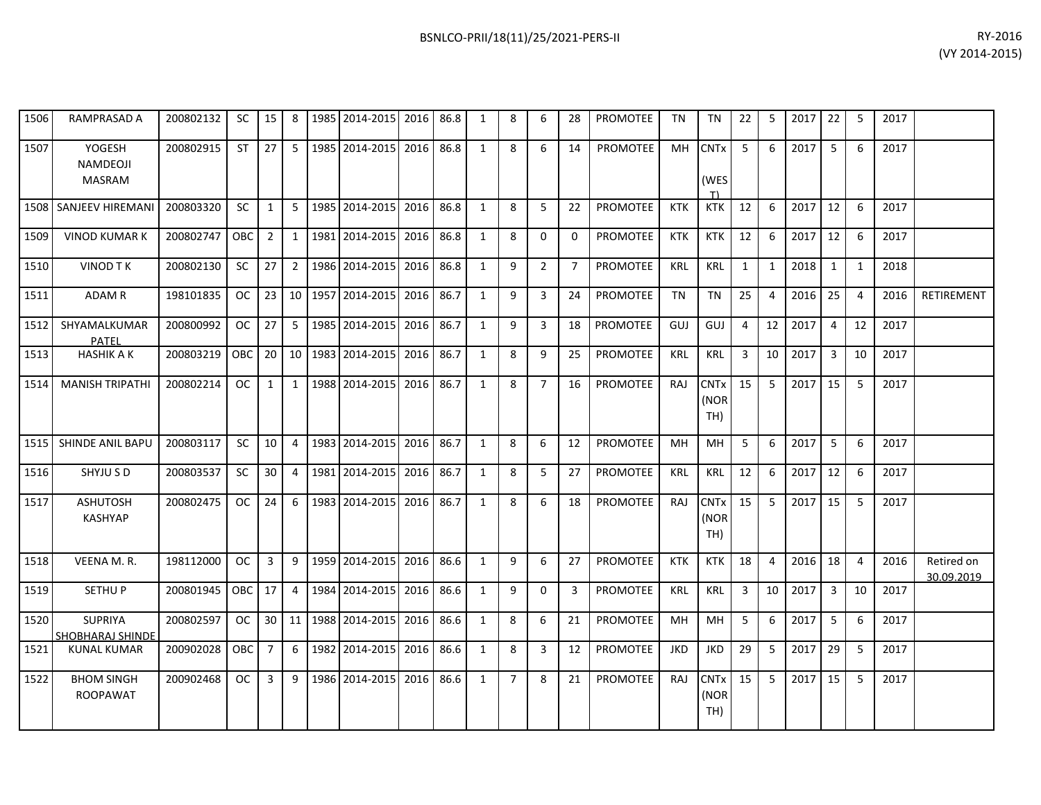| 1506 | RAMPRASAD A                               | 200802132 | <b>SC</b> | 15             | 8               |      | 1985 2014-2015 | 2016 | 86.8 | 1            | 8              | 6              | 28             | <b>PROMOTEE</b> | TN         | TN                                   | 22           | 5              | 2017 | 22             | -5             | 2017 |                          |
|------|-------------------------------------------|-----------|-----------|----------------|-----------------|------|----------------|------|------|--------------|----------------|----------------|----------------|-----------------|------------|--------------------------------------|--------------|----------------|------|----------------|----------------|------|--------------------------|
| 1507 | YOGESH<br>NAMDEOJI<br><b>MASRAM</b>       | 200802915 | <b>ST</b> | 27             | 5               | 1985 | 2014-2015      | 2016 | 86.8 | $\mathbf{1}$ | 8              | 6              | 14             | <b>PROMOTEE</b> | MH         | <b>CNT<sub>x</sub></b><br>(WES<br>T) | 5            | 6              | 2017 | 5              | 6              | 2017 |                          |
| 1508 | <b>SANJEEV HIREMANI</b>                   | 200803320 | SC.       | 1              | 5               |      | 1985 2014-2015 | 2016 | 86.8 | 1            | 8              | 5              | 22             | <b>PROMOTEE</b> | <b>KTK</b> | KTK                                  | 12           | 6              | 2017 | 12             | -6             | 2017 |                          |
| 1509 | <b>VINOD KUMAR K</b>                      | 200802747 | OBC       | $\overline{2}$ | $1\vert$        |      | 1981 2014-2015 | 2016 | 86.8 | 1            | 8              | 0              | 0              | <b>PROMOTEE</b> | <b>KTK</b> | <b>KTK</b>                           | 12           | 6              | 2017 | 12             | 6              | 2017 |                          |
| 1510 | <b>VINOD TK</b>                           | 200802130 | SC        | 27             | $2^{\circ}$     |      | 1986 2014-2015 | 2016 | 86.8 | 1            | 9              | $\overline{2}$ | $\overline{7}$ | <b>PROMOTEE</b> | <b>KRL</b> | <b>KRL</b>                           | $\mathbf{1}$ | 1              | 2018 | $\mathbf{1}$   | 1              | 2018 |                          |
| 1511 | ADAM R                                    | 198101835 | OC.       | 23             | 10 <sup>1</sup> | 1957 | 2014-2015      | 2016 | 86.7 | 1            | 9              | 3              | 24             | <b>PROMOTEE</b> | <b>TN</b>  | <b>TN</b>                            | 25           | 4              | 2016 | 25             | $\overline{4}$ | 2016 | RETIREMENT               |
| 1512 | SHYAMALKUMAR<br><b>PATEL</b>              | 200800992 | <b>OC</b> | 27             | 5 <sub>1</sub>  |      | 1985 2014-2015 | 2016 | 86.7 | 1            | 9              | $\mathbf{3}$   | 18             | <b>PROMOTEE</b> | GUJ        | GUJ                                  | 4            | 12             | 2017 | $\overline{4}$ | 12             | 2017 |                          |
| 1513 | <b>HASHIK A K</b>                         | 200803219 | OBC       | 20             | 10 <sup>1</sup> |      | 1983 2014-2015 | 2016 | 86.7 | $\mathbf{1}$ | 8              | 9              | 25             | <b>PROMOTEE</b> | <b>KRL</b> | <b>KRL</b>                           | 3            | 10             | 2017 | $\overline{3}$ | 10             | 2017 |                          |
| 1514 | <b>MANISH TRIPATHI</b>                    | 200802214 | OC.       | 1              | 1               |      | 1988 2014-2015 | 2016 | 86.7 | 1            | 8              | $\overline{7}$ | 16             | PROMOTEE        | RAJ        | <b>CNTx</b><br>(NOR<br>TH)           | 15           | 5              | 2017 | 15             | -5             | 2017 |                          |
| 1515 | <b>SHINDE ANIL BAPU</b>                   | 200803117 | SC.       | 10             | $\overline{4}$  |      | 1983 2014-2015 | 2016 | 86.7 | 1            | 8              | 6              | 12             | <b>PROMOTEE</b> | MН         | MН                                   | 5            | 6              | 2017 | 5              | 6              | 2017 |                          |
| 1516 | SHYJU S D                                 | 200803537 | <b>SC</b> | 30             | 4               | 1981 | 2014-2015      | 2016 | 86.7 | 1            | 8              | 5              | 27             | <b>PROMOTEE</b> | <b>KRL</b> | <b>KRL</b>                           | 12           | 6              | 2017 | 12             | 6              | 2017 |                          |
| 1517 | <b>ASHUTOSH</b><br><b>KASHYAP</b>         | 200802475 | <b>OC</b> | 24             | 6               |      | 1983 2014-2015 | 2016 | 86.7 | 1            | 8              | 6              | 18             | PROMOTEE        | RAJ        | <b>CNTx</b><br>(NOR<br>TH)           | 15           | 5              | 2017 | 15             | 5              | 2017 |                          |
| 1518 | VEENA M.R.                                | 198112000 | OC.       | 3              | 9               |      | 1959 2014-2015 | 2016 | 86.6 | 1            | 9              | 6              | 27             | <b>PROMOTEE</b> | <b>KTK</b> | <b>KTK</b>                           | 18           | $\overline{a}$ | 2016 | 18             | $\overline{a}$ | 2016 | Retired on<br>30.09.2019 |
| 1519 | <b>SETHUP</b>                             | 200801945 | OBC       | 17             | $\overline{4}$  |      | 1984 2014-2015 | 2016 | 86.6 | 1            | 9              | $\mathbf 0$    | 3              | <b>PROMOTEE</b> | <b>KRL</b> | <b>KRL</b>                           | 3            | 10             | 2017 | $\overline{3}$ | 10             | 2017 |                          |
| 1520 | <b>SUPRIYA</b><br><b>SHOBHARAJ SHINDE</b> | 200802597 | OC.       | 30             | 11 <sup>1</sup> |      | 1988 2014-2015 | 2016 | 86.6 | $\mathbf{1}$ | 8              | 6              | 21             | PROMOTEE        | <b>MH</b>  | <b>MH</b>                            | 5            | 6              | 2017 | 5              | 6              | 2017 |                          |
| 1521 | <b>KUNAL KUMAR</b>                        | 200902028 | OBC       | $\overline{7}$ | 6               |      | 1982 2014-2015 | 2016 | 86.6 | 1            | 8              | 3              | 12             | PROMOTEE        | <b>JKD</b> | <b>JKD</b>                           | 29           | 5              | 2017 | 29             | 5              | 2017 |                          |
| 1522 | <b>BHOM SINGH</b><br><b>ROOPAWAT</b>      | 200902468 | <b>OC</b> | 3              | 9               |      | 1986 2014-2015 | 2016 | 86.6 | 1            | $\overline{7}$ | 8              | 21             | <b>PROMOTEE</b> | RAJ        | <b>CNTx</b><br>(NOR<br>TH)           | 15           | 5              | 2017 | 15             | 5              | 2017 |                          |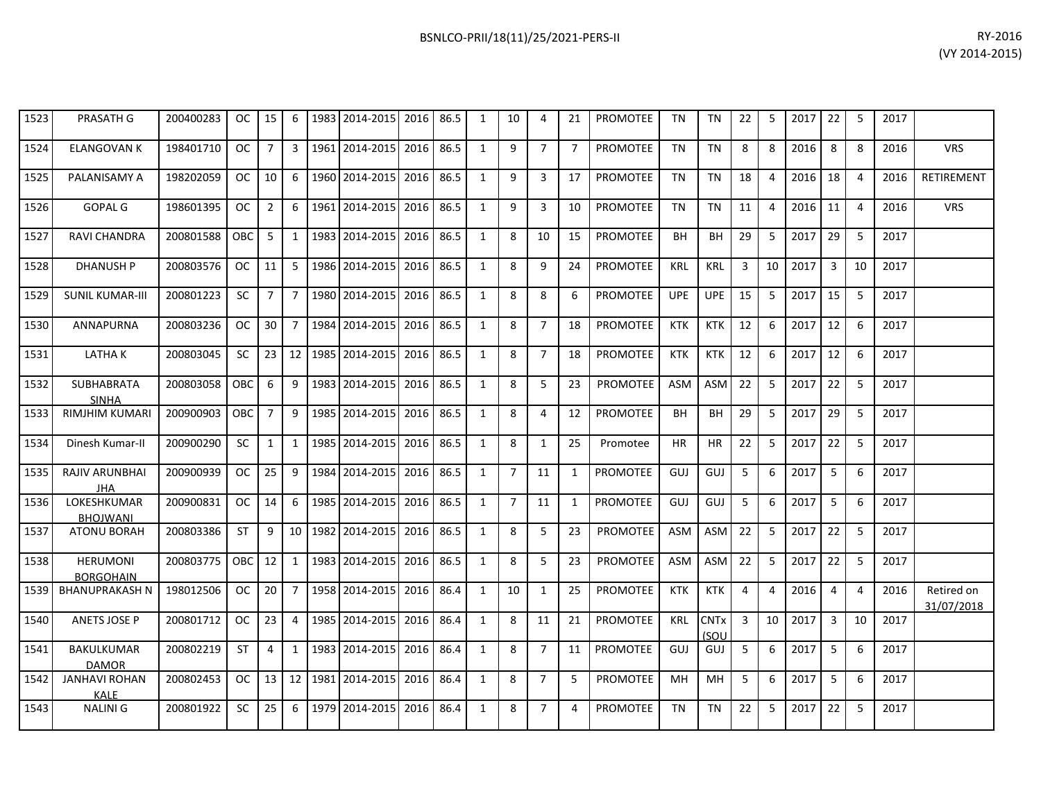| RY-2016        |  |
|----------------|--|
| (VY 2014-2015) |  |

| 1523 | <b>PRASATH G</b>                      | 200400283 | OC.       | 15             | 6               | 1983 2014-2015       | 2016 | 86.5 | $\mathbf{1}$ | 10             | 4              | 21             | <b>PROMOTEE</b> | <b>TN</b>  | <b>TN</b>                      | 22             | 5  | 2017 | 22             | 5              | 2017 |                          |
|------|---------------------------------------|-----------|-----------|----------------|-----------------|----------------------|------|------|--------------|----------------|----------------|----------------|-----------------|------------|--------------------------------|----------------|----|------|----------------|----------------|------|--------------------------|
| 1524 | <b>ELANGOVAN K</b>                    | 198401710 | <b>OC</b> | $\overline{7}$ | $\mathbf{3}$    | 1961 2014-2015       | 2016 | 86.5 | $\mathbf{1}$ | 9              | $\overline{7}$ | $\overline{7}$ | <b>PROMOTEE</b> | <b>TN</b>  | <b>TN</b>                      | 8              | 8  | 2016 | 8              | 8              | 2016 | <b>VRS</b>               |
| 1525 | PALANISAMY A                          | 198202059 | OC.       | 10             | 6               | 1960 2014-2015       | 2016 | 86.5 | 1            | 9              | 3              | 17             | <b>PROMOTEE</b> | <b>TN</b>  | <b>TN</b>                      | 18             | 4  | 2016 | 18             | $\overline{4}$ | 2016 | RETIREMENT               |
| 1526 | <b>GOPAL G</b>                        | 198601395 | OC.       | $\overline{2}$ | 6               | 1961 2014-2015       | 2016 | 86.5 | 1            | 9              | 3              | 10             | <b>PROMOTEE</b> | <b>TN</b>  | <b>TN</b>                      | 11             | 4  | 2016 | 11             | $\overline{4}$ | 2016 | <b>VRS</b>               |
| 1527 | <b>RAVI CHANDRA</b>                   | 200801588 | OBC       | 5              | $\mathbf{1}$    | 1983 2014-2015       | 2016 | 86.5 | $\mathbf{1}$ | 8              | 10             | 15             | PROMOTEE        | BH         | BH                             | 29             | 5  | 2017 | 29             | 5              | 2017 |                          |
| 1528 | <b>DHANUSH P</b>                      | 200803576 | OC.       | 11             | 5 <sup>1</sup>  | 1986 2014-2015       | 2016 | 86.5 | $\mathbf{1}$ | 8              | 9              | 24             | PROMOTEE        | <b>KRL</b> | <b>KRL</b>                     | 3              | 10 | 2017 | $\overline{3}$ | 10             | 2017 |                          |
| 1529 | <b>SUNIL KUMAR-III</b>                | 200801223 | SC        | $\overline{7}$ | $7^{\circ}$     | 1980 2014-2015       | 2016 | 86.5 | 1            | 8              | 8              | 6              | <b>PROMOTEE</b> | <b>UPE</b> | <b>UPE</b>                     | 15             | 5  | 2017 | 15             | 5              | 2017 |                          |
| 1530 | ANNAPURNA                             | 200803236 | OC.       | 30             |                 | 7   1984   2014-2015 | 2016 | 86.5 | 1            | 8              | $\overline{7}$ | 18             | <b>PROMOTEE</b> | <b>KTK</b> | <b>KTK</b>                     | 12             | 6  | 2017 | 12             | 6              | 2017 |                          |
| 1531 | <b>LATHAK</b>                         | 200803045 | <b>SC</b> | 23             | 12 <sup>1</sup> | 1985 2014-2015       | 2016 | 86.5 | $\mathbf{1}$ | 8              | $\overline{7}$ | 18             | <b>PROMOTEE</b> | <b>KTK</b> | <b>KTK</b>                     | 12             | 6  | 2017 | 12             | 6              | 2017 |                          |
| 1532 | <b>SUBHABRATA</b><br><b>SINHA</b>     | 200803058 | OBC.      | 6              | 9               | 1983 2014-2015       | 2016 | 86.5 | $\mathbf{1}$ | 8              | 5              | 23             | <b>PROMOTEE</b> | <b>ASM</b> | <b>ASM</b>                     | 22             | 5  | 2017 | 22             | 5              | 2017 |                          |
| 1533 | <b>RIMJHIM KUMARI</b>                 | 200900903 | OBC       | $\overline{7}$ | 9               | 1985 2014-2015       | 2016 | 86.5 | 1            | 8              | 4              | 12             | <b>PROMOTEE</b> | <b>BH</b>  | <b>BH</b>                      | 29             | 5  | 2017 | 29             | 5              | 2017 |                          |
| 1534 | Dinesh Kumar-II                       | 200900290 | SC        | $\mathbf{1}$   | $1\vert$        | 1985 2014-2015       | 2016 | 86.5 | 1            | 8              | $\mathbf{1}$   | 25             | Promotee        | <b>HR</b>  | HR                             | 22             | 5  | 2017 | 22             | 5              | 2017 |                          |
| 1535 | RAJIV ARUNBHAI<br><b>JHA</b>          | 200900939 | OC.       | 25             | 9               | 1984 2014-2015       | 2016 | 86.5 | $\mathbf{1}$ | $\overline{7}$ | 11             | 1              | <b>PROMOTEE</b> | GUJ        | GUJ                            | 5              | 6  | 2017 | 5              | 6              | 2017 |                          |
| 1536 | <b>LOKESHKUMAR</b><br><b>BHOJWANI</b> | 200900831 | OC.       | 14             | 6               | 1985 2014-2015       | 2016 | 86.5 | $\mathbf{1}$ | $\overline{7}$ | 11             | 1              | PROMOTEE        | GUJ        | GUJ                            | 5              | 6  | 2017 | 5              | 6              | 2017 |                          |
| 1537 | <b>ATONU BORAH</b>                    | 200803386 | <b>ST</b> | 9              |                 | 10 1982 2014-2015    | 2016 | 86.5 | $\mathbf{1}$ | 8              | 5              | 23             | PROMOTEE        | ASM        | ASM                            | 22             | 5  | 2017 | 22             | 5              | 2017 |                          |
| 1538 | <b>HERUMONI</b><br><b>BORGOHAIN</b>   | 200803775 | OBC       | 12             | $\mathbf{1}$    | 1983 2014-2015       | 2016 | 86.5 | 1            | 8              | 5              | 23             | <b>PROMOTEE</b> | <b>ASM</b> | <b>ASM</b>                     | 22             | 5  | 2017 | 22             | 5              | 2017 |                          |
| 1539 | <b>BHANUPRAKASH N</b>                 | 198012506 | OC.       | 20             | $7^{\circ}$     | 1958 2014-2015       | 2016 | 86.4 | 1            | 10             | 1              | 25             | <b>PROMOTEE</b> | <b>KTK</b> | <b>KTK</b>                     | $\overline{4}$ | 4  | 2016 | $\overline{4}$ | $\overline{4}$ | 2016 | Retired on<br>31/07/2018 |
| 1540 | <b>ANETS JOSE P</b>                   | 200801712 | <b>OC</b> | 23             | $\overline{4}$  | 1985 2014-2015       | 2016 | 86.4 | 1            | 8              | 11             | 21             | <b>PROMOTEE</b> | <b>KRL</b> | <b>CNT<sub>x</sub></b><br>(SOU | $\overline{3}$ | 10 | 2017 | $\overline{3}$ | 10             | 2017 |                          |
| 1541 | <b>BAKULKUMAR</b><br><b>DAMOR</b>     | 200802219 | <b>ST</b> | $\overline{4}$ | 1               | 1983 2014-2015       | 2016 | 86.4 | 1            | 8              | $\overline{7}$ | 11             | PROMOTEE        | GUJ        | GUJ                            | 5              | 6  | 2017 | 5              | 6              | 2017 |                          |
| 1542 | <b>JANHAVI ROHAN</b><br><b>KALE</b>   | 200802453 | OC.       | 13             | 12              | 1981 2014-2015       | 2016 | 86.4 | 1            | 8              | $\overline{7}$ | 5              | <b>PROMOTEE</b> | MH         | MН                             | 5              | 6  | 2017 | 5              | 6              | 2017 |                          |
| 1543 | <b>NALINIG</b>                        | 200801922 | SC        | 25             | 6               | 1979 2014-2015       | 2016 | 86.4 | 1            | 8              | $\overline{7}$ | 4              | <b>PROMOTEE</b> | <b>TN</b>  | TN                             | 22             | 5  | 2017 | 22             | 5              | 2017 |                          |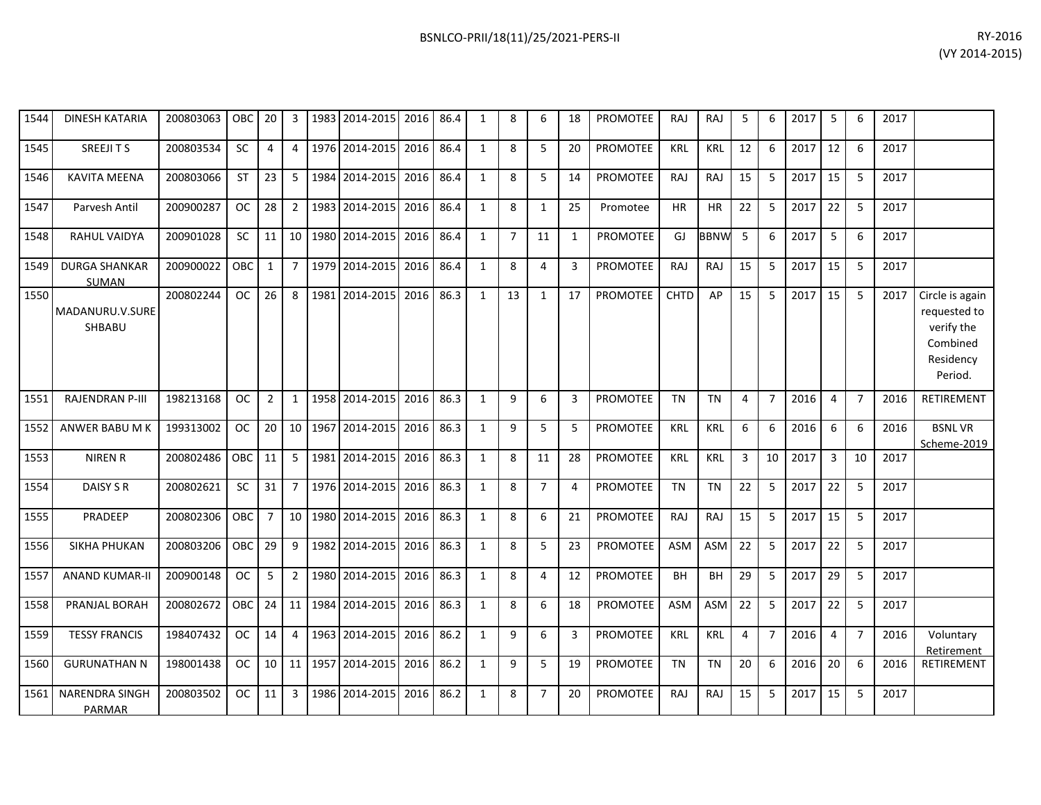| 1544 | <b>DINESH KATARIA</b>         | 200803063 | OBC        | 20             | 3              | 1983 | 2014-2015                                     | 2016 | 86.4 | 1            | 8              | 6              | 18           | <b>PROMOTEE</b> | <b>RAJ</b>  | <b>RAJ</b>  | 5              | 6              | 2017      | 5              | 6              | 2017 |                                                                                   |
|------|-------------------------------|-----------|------------|----------------|----------------|------|-----------------------------------------------|------|------|--------------|----------------|----------------|--------------|-----------------|-------------|-------------|----------------|----------------|-----------|----------------|----------------|------|-----------------------------------------------------------------------------------|
| 1545 | SREEJITS                      | 200803534 | <b>SC</b>  | 4              | 4              |      | 1976 2014-2015                                | 2016 | 86.4 | 1            | 8              | 5              | 20           | <b>PROMOTEE</b> | <b>KRL</b>  | <b>KRL</b>  | 12             | 6              | 2017      | 12             | 6              | 2017 |                                                                                   |
| 1546 | <b>KAVITA MEENA</b>           | 200803066 | <b>ST</b>  | 23             | 5              | 1984 | 2014-2015                                     | 2016 | 86.4 | 1            | 8              | 5              | 14           | <b>PROMOTEE</b> | <b>RAJ</b>  | RAJ         | 15             | 5              | 2017      | 15             | 5              | 2017 |                                                                                   |
| 1547 | Parvesh Antil                 | 200900287 | <b>OC</b>  | 28             | $\overline{2}$ | 1983 | 2014-2015                                     | 2016 | 86.4 | $\mathbf{1}$ | 8              | $\mathbf{1}$   | 25           | Promotee        | <b>HR</b>   | <b>HR</b>   | 22             | 5              | 2017      | 22             | 5              | 2017 |                                                                                   |
| 1548 | <b>RAHUL VAIDYA</b>           | 200901028 | <b>SC</b>  | 11             | 10             | 1980 | 2014-2015                                     | 2016 | 86.4 | 1            | $\overline{7}$ | 11             | $\mathbf{1}$ | <b>PROMOTEE</b> | GJ          | <b>BBNW</b> | 5              | 6              | 2017      | 5              | 6              | 2017 |                                                                                   |
| 1549 | <b>DURGA SHANKAR</b><br>SUMAN | 200900022 | <b>OBC</b> | 1              | $\overline{7}$ | 1979 | 2014-2015                                     | 2016 | 86.4 | 1            | 8              | 4              | 3            | <b>PROMOTEE</b> | <b>RAJ</b>  | <b>RAJ</b>  | 15             | -5             | 2017      | 15             | 5              | 2017 |                                                                                   |
| 1550 | MADANURU.V.SURE<br>SHBABU     | 200802244 | <b>OC</b>  | 26             | 8              | 1981 | 2014-2015                                     | 2016 | 86.3 | 1            | 13             | $\mathbf{1}$   | 17           | PROMOTEE        | <b>CHTD</b> | AP          | 15             | 5              | 2017      | 15             | -5             | 2017 | Circle is again<br>requested to<br>verify the<br>Combined<br>Residency<br>Period. |
| 1551 | <b>RAJENDRAN P-III</b>        | 198213168 | <b>OC</b>  | $\overline{2}$ | $\mathbf{1}$   |      | 1958 2014-2015                                | 2016 | 86.3 | 1            | 9              | 6              | 3            | <b>PROMOTEE</b> | <b>TN</b>   | <b>TN</b>   | 4              | $\overline{7}$ | 2016      | 4              | $\overline{7}$ | 2016 | <b>RETIREMENT</b>                                                                 |
| 1552 | ANWER BABU M K                | 199313002 | <b>OC</b>  | 20             | 10             | 1967 | 2014-2015                                     | 2016 | 86.3 | 1            | $\mathbf{q}$   | 5              | 5            | <b>PROMOTEE</b> | <b>KRL</b>  | <b>KRL</b>  | 6              | 6              | 2016      | 6              | 6              | 2016 | <b>BSNLVR</b><br>Scheme-2019                                                      |
| 1553 | <b>NIREN R</b>                | 200802486 | OBC        | 11             | 5              | 1981 | 2014-2015                                     | 2016 | 86.3 | 1            | 8              | 11             | 28           | <b>PROMOTEE</b> | KRL         | <b>KRL</b>  | 3              | 10             | 2017      | $\overline{3}$ | 10             | 2017 |                                                                                   |
| 1554 | DAISY S R                     | 200802621 | <b>SC</b>  | 31             | $\overline{7}$ | 1976 | 2014-2015                                     | 2016 | 86.3 | $\mathbf{1}$ | 8              | $\overline{7}$ | 4            | <b>PROMOTEE</b> | <b>TN</b>   | <b>TN</b>   | 22             | 5              | 2017      | 22             | 5              | 2017 |                                                                                   |
| 1555 | PRADEEP                       | 200802306 | <b>OBC</b> | $\overline{7}$ | 10             | 1980 | 2014-2015                                     | 2016 | 86.3 | 1            | 8              | 6              | 21           | <b>PROMOTEE</b> | RAJ         | RAJ         | 15             | 5              | 2017      | 15             | 5              | 2017 |                                                                                   |
| 1556 | <b>SIKHA PHUKAN</b>           | 200803206 | OBC        | 29             | 9              | 1982 | 2014-2015                                     | 2016 | 86.3 | $\mathbf{1}$ | 8              | 5              | 23           | <b>PROMOTEE</b> | <b>ASM</b>  | <b>ASM</b>  | 22             | 5              | 2017      | 22             | 5              | 2017 |                                                                                   |
| 1557 | <b>ANAND KUMAR-II</b>         | 200900148 | <b>OC</b>  | 5              | $\overline{2}$ | 1980 | 2014-2015                                     | 2016 | 86.3 | 1            | 8              | 4              | 12           | <b>PROMOTEE</b> | <b>BH</b>   | <b>BH</b>   | 29             | -5             | 2017      | 29             | 5              | 2017 |                                                                                   |
| 1558 | PRANJAL BORAH                 | 200802672 | <b>OBC</b> | 24             | 11             | 1984 | 2014-2015                                     | 2016 | 86.3 | 1            | 8              | 6              | 18           | <b>PROMOTEE</b> | <b>ASM</b>  | <b>ASM</b>  | 22             | -5             | 2017      | 22             | 5              | 2017 |                                                                                   |
| 1559 | <b>TESSY FRANCIS</b>          | 198407432 | <b>OC</b>  | 14             | 4              | 1963 | 2014-2015                                     | 2016 | 86.2 | 1            | 9              | 6              | 3            | <b>PROMOTEE</b> | <b>KRL</b>  | <b>KRL</b>  | $\overline{4}$ | 7              | 2016      | 4              | $\overline{7}$ | 2016 | Voluntary<br>Retirement                                                           |
| 1560 | <b>GURUNATHAN N</b>           | 198001438 |            |                |                |      | 0C   10   11   1957   2014-2015   2016   86.2 |      |      | 1            | 9              | 5              | 19           | PROMOTEE        | <b>TN</b>   | <b>TN</b>   | 20             | 6              | $2016$ 20 |                | 6              | 2016 | <b>RETIREMENT</b>                                                                 |

200803502 OC 11 3 1986 2014-2015 2016 86.2 1 8 7 20 PROMOTEE RAJ RAJ 15 5 2017 15 5 2017

1561 NARENDRA SINGH PARMAR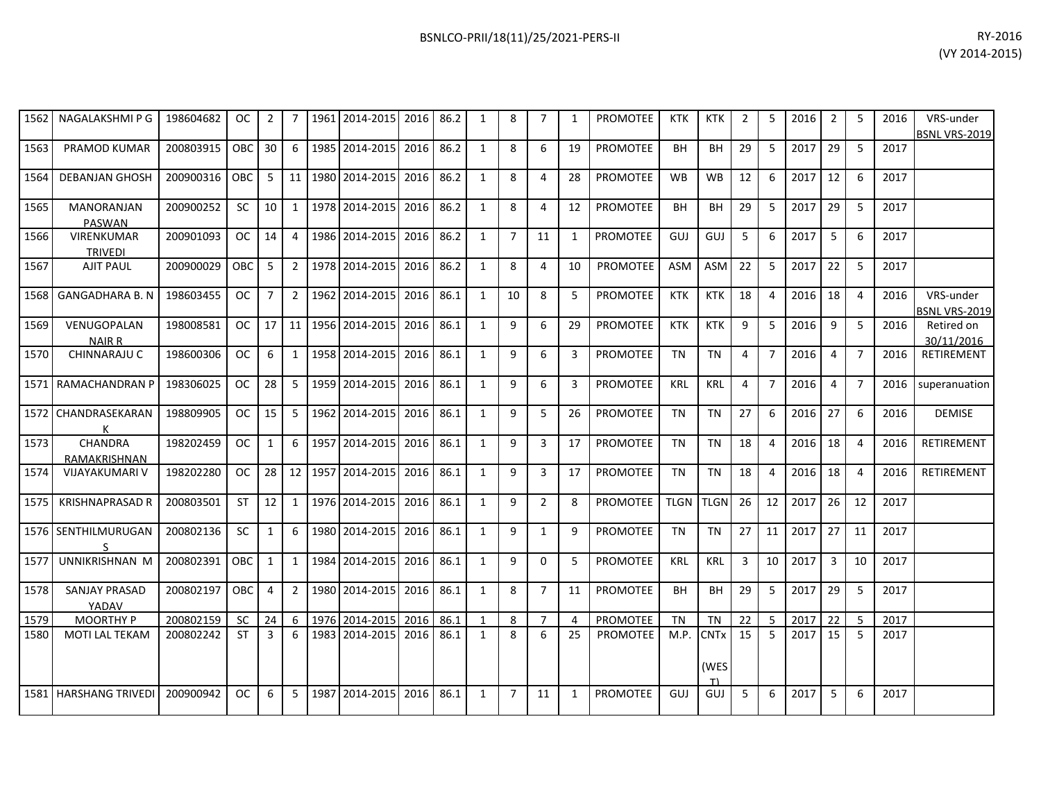| 1562 | NAGALAKSHMI P G                     | 198604682 | OC.           | $\overline{2}$ |                | 1961 2014-2015      | 2016 | 86.2 | 1              | 8              | $\overline{7}$ | 1              | <b>PROMOTEE</b> | <b>KTK</b>  | <b>KTK</b>                           | 2              | 5              | 2016 | $\overline{2}$ | 5               | 2016 | VRS-under<br><b>BSNL VRS-2019</b> |
|------|-------------------------------------|-----------|---------------|----------------|----------------|---------------------|------|------|----------------|----------------|----------------|----------------|-----------------|-------------|--------------------------------------|----------------|----------------|------|----------------|-----------------|------|-----------------------------------|
| 1563 | <b>PRAMOD KUMAR</b>                 | 200803915 | OBC           | 30             | 6              | 1985 2014-2015      | 2016 | 86.2 | $\mathbf{1}$   | 8              | 6              | 19             | <b>PROMOTEE</b> | BH          | BH                                   | 29             | 5              | 2017 | 29             | 5               | 2017 |                                   |
| 1564 | <b>DEBANJAN GHOSH</b>               | 200900316 | <b>OBC</b>    | 5              | 11             | 1980 2014-2015      | 2016 | 86.2 | $\mathbf{1}$   | 8              | 4              | 28             | <b>PROMOTEE</b> | <b>WB</b>   | <b>WB</b>                            | 12             | 6              | 2017 | 12             | 6               | 2017 |                                   |
| 1565 | <b>MANORANJAN</b><br>PASWAN         | 200900252 | SC.           | 10             | $\mathbf{1}$   | 1978 2014-2015      | 2016 | 86.2 | 1              | 8              | $\overline{4}$ | 12             | <b>PROMOTEE</b> | <b>BH</b>   | <b>BH</b>                            | 29             | 5              | 2017 | 29             | 5               | 2017 |                                   |
| 1566 | <b>VIRENKUMAR</b><br><b>TRIVEDI</b> | 200901093 | <b>OC</b>     | 14             | 4              | 1986 2014-2015      | 2016 | 86.2 | 1              | $\overline{7}$ | 11             | 1              | <b>PROMOTEE</b> | GUJ         | GUJ                                  | 5              | 6              | 2017 | 5              | $6\overline{6}$ | 2017 |                                   |
| 1567 | <b>AJIT PAUL</b>                    | 200900029 | OBC           | 5              | $2^{\circ}$    | 1978 2014-2015      | 2016 | 86.2 | $\mathbf{1}$   | 8              | 4              | 10             | <b>PROMOTEE</b> | <b>ASM</b>  | ASM                                  | 22             | 5              | 2017 | 22             | 5               | 2017 |                                   |
| 1568 | <b>GANGADHARA B. N</b>              | 198603455 | <sub>OC</sub> | $\overline{7}$ | $2^{\circ}$    | 1962 2014-2015      | 2016 | 86.1 | 1              | 10             | 8              | -5             | PROMOTEE        | <b>KTK</b>  | <b>KTK</b>                           | 18             | $\overline{4}$ | 2016 | 18             | $\overline{4}$  | 2016 | VRS-under<br>BSNL VRS-2019        |
| 1569 | VENUGOPALAN<br><b>NAIR R</b>        | 198008581 | <b>OC</b>     | 17             | 11             | 1956 2014-2015      | 2016 | 86.1 | 1              | 9              | 6              | 29             | <b>PROMOTEE</b> | <b>KTK</b>  | <b>KTK</b>                           | 9              | 5              | 2016 | 9              | 5               | 2016 | Retired on<br>30/11/2016          |
| 1570 | CHINNARAJU C                        | 198600306 | <b>OC</b>     | 6              | 1              | 1958 2014-2015      | 2016 | 86.1 | $\mathbf{1}$   | 9              | 6              | 3              | <b>PROMOTEE</b> | <b>TN</b>   | <b>TN</b>                            | 4              | $\overline{7}$ | 2016 | $\overline{4}$ | $\overline{7}$  | 2016 | RETIREMENT                        |
|      | 1571 RAMACHANDRAN P                 | 198306025 | <b>OC</b>     | 28             | 5              | 1959 2014-2015      | 2016 | 86.1 | 1              | 9              | 6              | 3              | PROMOTEE        | <b>KRL</b>  | <b>KRL</b>                           | $\overline{4}$ | $\overline{7}$ | 2016 | $\overline{4}$ | $\overline{7}$  | 2016 | superanuation                     |
| 1572 | CHANDRASEKARAN                      | 198809905 | <b>OC</b>     | 15             | 5              | 1962 2014-2015      | 2016 | 86.1 | $\mathbf{1}$   | 9              | 5              | 26             | PROMOTEE        | <b>TN</b>   | <b>TN</b>                            | 27             | 6              | 2016 | 27             | 6               | 2016 | <b>DEMISE</b>                     |
| 1573 | CHANDRA<br>RAMAKRISHNAN             | 198202459 | <b>OC</b>     | $\mathbf{1}$   | 6              | 1957 2014-2015      | 2016 | 86.1 | $\mathbf{1}$   | 9              | 3              | 17             | PROMOTEE        | <b>TN</b>   | <b>TN</b>                            | 18             | $\overline{4}$ | 2016 | 18             | $\overline{4}$  | 2016 | RETIREMENT                        |
| 1574 | VIJAYAKUMARI V                      | 198202280 | <b>OC</b>     | 28             | 12             | 1957 2014-2015      | 2016 | 86.1 | $\mathbf{1}$   | 9              | 3              | 17             | PROMOTEE        | <b>TN</b>   | <b>TN</b>                            | 18             | 4              | 2016 | 18             | $\overline{4}$  | 2016 | RETIREMENT                        |
| 1575 | <b>KRISHNAPRASAD R</b>              | 200803501 | ST            | 12             | $\mathbf{1}$   | 1976 2014-2015      | 2016 | 86.1 | $\mathbf{1}$   | 9              | $\overline{2}$ | 8              | PROMOTEE        | <b>TLGN</b> | <b>TLGN</b>                          | 26             | 12             | 2017 | 26             | 12              | 2017 |                                   |
|      | 1576 SENTHILMURUGAN                 | 200802136 | <b>SC</b>     | $\mathbf{1}$   | 6              | 1980 2014-2015      | 2016 | 86.1 | 1              | 9              | 1              | 9              | PROMOTEE        | <b>TN</b>   | <b>TN</b>                            | 27             | 11             | 2017 | 27             | 11              | 2017 |                                   |
| 1577 | UNNIKRISHNAN M                      | 200802391 | OBC           | $\mathbf{1}$   | $\mathbf{1}$   | 1984 2014-2015      | 2016 | 86.1 | $\overline{1}$ | 9              | $\mathbf 0$    | 5              | PROMOTEE        | <b>KRL</b>  | <b>KRL</b>                           | 3              | 10             | 2017 | 3              | 10              | 2017 |                                   |
| 1578 | <b>SANJAY PRASAD</b><br>YADAV       | 200802197 | OBC.          | $\overline{4}$ | $\overline{2}$ | 1980 2014-2015      | 2016 | 86.1 | $\mathbf{1}$   | 8              | $\overline{7}$ | 11             | <b>PROMOTEE</b> | <b>BH</b>   | <b>BH</b>                            | 29             | 5              | 2017 | 29             | -5              | 2017 |                                   |
| 1579 | <b>MOORTHY P</b>                    | 200802159 | <b>SC</b>     | 24             | 6              | 1976 2014-2015      | 2016 | 86.1 | $\mathbf{1}$   | 8              | $\overline{7}$ | $\overline{4}$ | PROMOTEE        | <b>TN</b>   | <b>TN</b>                            | 22             | 5              | 2017 | 22             | 5               | 2017 |                                   |
| 1580 | <b>MOTI LAL TEKAM</b>               | 200802242 | <b>ST</b>     | $\overline{3}$ | 6              | 1983 2014-2015 2016 |      | 86.1 | $\overline{1}$ | 8              | 6              | 25             | <b>PROMOTEE</b> | M.P.        | <b>CNT<sub>x</sub></b><br>(WES<br>T١ | 15             | 5              | 2017 | 15             | 5               | 2017 |                                   |
|      | 1581 HARSHANG TRIVEDI               | 200900942 | OC.           | 6              | 5              | 1987 2014-2015      | 2016 | 86.1 | $\mathbf{1}$   | $\overline{7}$ | 11             | 1              | <b>PROMOTEE</b> | GUJ         | GUJ                                  | 5              | 6              | 2017 | 5              | 6               | 2017 |                                   |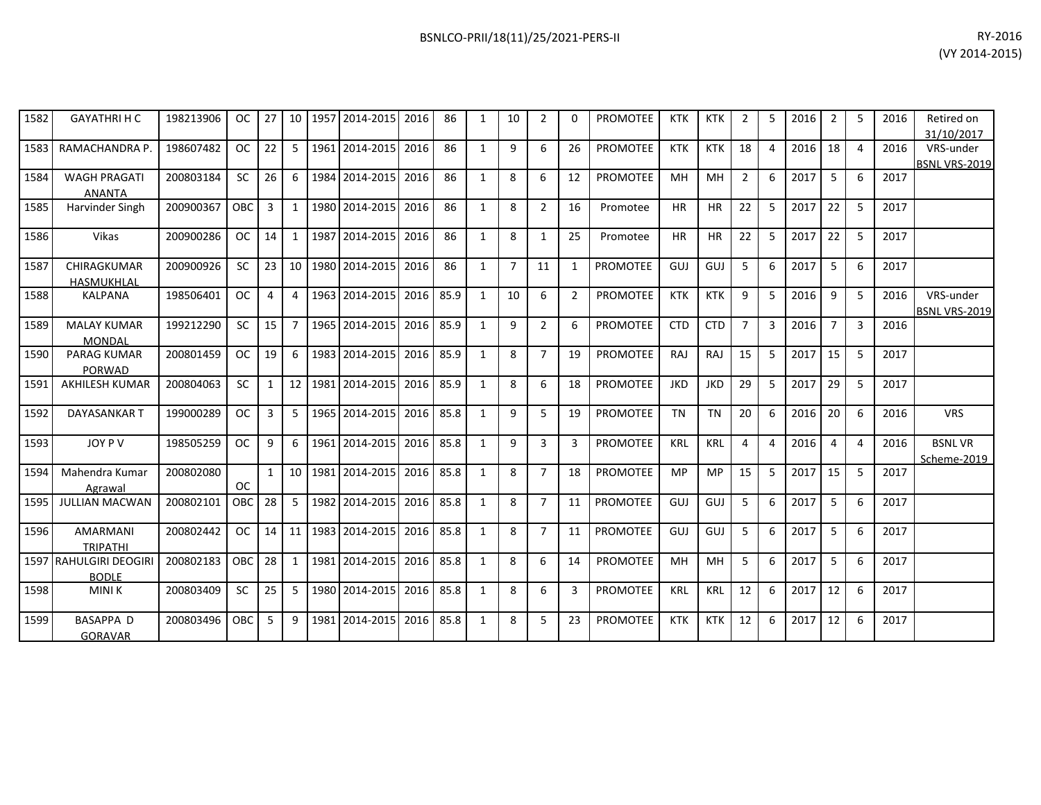| RY-2016        |
|----------------|
| (VY 2014-2015) |

| 1582 | <b>GAYATHRI H C</b>    | 198213906 | <b>OC</b> | 27           |                 | 10   1957 | 2014-2015             | 2016 | 86   | 1            | 10             | $\overline{2}$ | 0            | PROMOTEE        | <b>KTK</b> | KTK        | $\overline{2}$ | 5              | 2016 | 2              | 5              | 2016 | Retired on           |
|------|------------------------|-----------|-----------|--------------|-----------------|-----------|-----------------------|------|------|--------------|----------------|----------------|--------------|-----------------|------------|------------|----------------|----------------|------|----------------|----------------|------|----------------------|
|      |                        |           |           |              |                 |           |                       |      |      |              |                |                |              |                 |            |            |                |                |      |                |                |      | 31/10/2017           |
| 1583 | RAMACHANDRA P.         | 198607482 | OC.       | 22           | 5               |           | 1961 2014-2015        | 2016 | 86   | $\mathbf{1}$ | 9              | 6              | 26           | <b>PROMOTEE</b> | <b>KTK</b> | <b>KTK</b> | 18             | $\overline{a}$ | 2016 | 18             | $\overline{4}$ | 2016 | VRS-under            |
|      |                        |           |           |              |                 |           |                       |      |      |              |                |                |              |                 |            |            |                |                |      |                |                |      | <b>BSNL VRS-2019</b> |
| 1584 | <b>WAGH PRAGATI</b>    | 200803184 | <b>SC</b> | 26           | 6               | 1984      | 2014-2015             | 2016 | 86   | $\mathbf{1}$ | 8              | 6              | 12           | <b>PROMOTEE</b> | MH         | MH         | $\overline{2}$ | 6              | 2017 | 5              | 6              | 2017 |                      |
|      | <b>ANANTA</b>          |           |           |              |                 |           |                       |      |      |              |                |                |              |                 |            |            |                |                |      |                |                |      |                      |
| 1585 | Harvinder Singh        | 200900367 | OBC       | 3            | 1               |           | 1980 2014-2015        | 2016 | 86   | $\mathbf{1}$ | 8              | $\overline{2}$ | 16           | Promotee        | <b>HR</b>  | <b>HR</b>  | 22             | -5             | 2017 | 22             | 5              | 2017 |                      |
|      |                        |           |           |              |                 |           |                       |      |      |              |                |                |              |                 |            |            |                |                |      |                |                |      |                      |
| 1586 | Vikas                  | 200900286 | OC.       | 14           | $\mathbf{1}$    | 1987      | 2014-2015             | 2016 | 86   | $\mathbf{1}$ | 8              | 1              | 25           | Promotee        | <b>HR</b>  | <b>HR</b>  | 22             | 5              | 2017 | 22             | 5              | 2017 |                      |
|      |                        |           |           |              |                 |           |                       |      |      |              |                |                |              |                 |            |            |                |                |      |                |                |      |                      |
| 1587 | CHIRAGKUMAR            | 200900926 | <b>SC</b> | 23           | 10              | 1980      | 2014-2015             | 2016 | 86   | 1            | $\overline{7}$ | 11             | $\mathbf{1}$ | <b>PROMOTEE</b> | GUJ        | GUJ        | 5              | 6              | 2017 | 5              | 6              | 2017 |                      |
|      | HASMUKHLAL             |           |           |              |                 |           |                       |      |      |              |                |                |              |                 |            |            |                |                |      |                |                |      |                      |
| 1588 | <b>KALPANA</b>         | 198506401 | <b>OC</b> | 4            | 4               |           | 1963 2014-2015        | 2016 | 85.9 | $\mathbf{1}$ | 10             | 6              | 2            | <b>PROMOTEE</b> | <b>KTK</b> | <b>KTK</b> | 9              | 5              | 2016 | 9              | 5              | 2016 | VRS-under            |
|      |                        |           |           |              |                 |           |                       |      |      |              |                |                |              |                 |            |            |                |                |      |                |                |      | BSNL VRS-2019        |
| 1589 | <b>MALAY KUMAR</b>     | 199212290 | <b>SC</b> | 15           | 7               |           | 1965 2014-2015        | 2016 | 85.9 | 1            | 9              | $\overline{2}$ | 6            | <b>PROMOTEE</b> | <b>CTD</b> | <b>CTD</b> | $\overline{7}$ | 3              | 2016 | $\overline{7}$ | 3              | 2016 |                      |
|      | <b>MONDAL</b>          |           |           |              |                 |           |                       |      |      |              |                |                |              |                 |            |            |                |                |      |                |                |      |                      |
| 1590 | <b>PARAG KUMAR</b>     | 200801459 | <b>OC</b> | 19           | 6               |           | 1983 2014-2015        | 2016 | 85.9 | $\mathbf{1}$ | 8              | $\overline{7}$ | 19           | <b>PROMOTEE</b> | RAJ        | RAJ        | 15             | -5             | 2017 | 15             | 5              | 2017 |                      |
|      | PORWAD                 |           |           |              |                 |           |                       |      |      |              |                |                |              |                 |            |            |                |                |      |                |                |      |                      |
| 1591 | <b>AKHILESH KUMAR</b>  | 200804063 | <b>SC</b> | $\mathbf{1}$ | 12 <sup>1</sup> |           | 1981 2014-2015        | 2016 | 85.9 | $\mathbf{1}$ | 8              | 6              | 18           | <b>PROMOTEE</b> | <b>JKD</b> | <b>JKD</b> | 29             | 5              | 2017 | 29             | 5              | 2017 |                      |
|      |                        |           |           |              |                 |           |                       |      |      |              |                |                |              |                 |            |            |                |                |      |                |                |      |                      |
| 1592 | DAYASANKAR T           | 199000289 | OC.       | 3            | 5               | 1965      | 2014-2015             | 2016 | 85.8 | 1            | 9              | 5              | 19           | <b>PROMOTEE</b> | <b>TN</b>  | <b>TN</b>  | 20             | 6              | 2016 | 20             | 6              | 2016 | <b>VRS</b>           |
|      |                        |           |           |              |                 |           |                       |      |      |              |                |                |              |                 |            |            |                |                |      |                |                |      |                      |
| 1593 | JOY P V                | 198505259 | <b>OC</b> | 9            | 6               | 1961      | 2014-2015             | 2016 | 85.8 | $\mathbf{1}$ | 9              | 3              | 3            | <b>PROMOTEE</b> | <b>KRL</b> | <b>KRL</b> | $\overline{4}$ | 4              | 2016 | 4              | 4              | 2016 | <b>BSNLVR</b>        |
|      |                        |           |           |              |                 |           |                       |      |      |              |                |                |              |                 |            |            |                |                |      |                |                |      | Scheme-2019          |
| 1594 | Mahendra Kumar         | 200802080 |           | $\mathbf{1}$ |                 |           | 10   1981   2014-2015 | 2016 | 85.8 | 1            | 8              | $\overline{7}$ | 18           | <b>PROMOTEE</b> | <b>MP</b>  | <b>MP</b>  | 15             | 5              | 2017 | 15             | 5              | 2017 |                      |
|      | Agrawal                |           | <b>OC</b> |              |                 |           |                       |      |      |              |                |                |              |                 |            |            |                |                |      |                |                |      |                      |
| 1595 | <b>JULLIAN MACWAN</b>  | 200802101 | OBC       | 28           | 5               | 1982      | 2014-2015             | 2016 | 85.8 | $\mathbf{1}$ | 8              | $\overline{7}$ | 11           | <b>PROMOTEE</b> | GUJ        | GUJ        | 5              | 6              | 2017 | 5              | 6              | 2017 |                      |
|      |                        |           |           |              |                 |           |                       |      |      |              |                |                |              |                 |            |            |                |                |      |                |                |      |                      |
| 1596 | <b>AMARMANI</b>        | 200802442 | <b>OC</b> | 14           |                 | 11 1983   | 2014-2015             | 2016 | 85.8 | $\mathbf{1}$ | 8              | $\overline{7}$ | 11           | <b>PROMOTEE</b> | GUJ        | GUJ        | 5              | 6              | 2017 | 5              | 6              | 2017 |                      |
|      | <b>TRIPATHI</b>        |           |           |              |                 |           |                       |      |      |              |                |                |              |                 |            |            |                |                |      |                |                |      |                      |
|      | 1597 RAHULGIRI DEOGIRI | 200802183 | OBC       | 28           | 1               | 1981      | 2014-2015             | 2016 | 85.8 | $\mathbf{1}$ | 8              | 6              | 14           | <b>PROMOTEE</b> | MH         | MH         | 5              | 6              | 2017 | 5              | 6              | 2017 |                      |
|      | <b>BODLE</b>           |           |           |              |                 |           |                       |      |      |              |                |                |              |                 |            |            |                |                |      |                |                |      |                      |
| 1598 | <b>MINIK</b>           | 200803409 | <b>SC</b> | 25           | 5               |           | 1980 2014-2015        | 2016 | 85.8 | 1            | 8              | 6              | 3            | <b>PROMOTEE</b> | <b>KRL</b> | <b>KRL</b> | 12             | 6              | 2017 | 12             | 6              | 2017 |                      |
|      |                        |           |           |              |                 |           |                       |      |      |              |                |                |              |                 |            |            |                |                |      |                |                |      |                      |
| 1599 | <b>BASAPPA D</b>       | 200803496 | OBC       | 5            | 9               |           | 1981 2014-2015        | 2016 | 85.8 | 1            | 8              | 5              | 23           | <b>PROMOTEE</b> | <b>KTK</b> | KTK        | 12             | 6              | 2017 | 12             | 6              | 2017 |                      |
|      |                        |           |           |              |                 |           |                       |      |      |              |                |                |              |                 |            |            |                |                |      |                |                |      |                      |
|      | <b>GORAVAR</b>         |           |           |              |                 |           |                       |      |      |              |                |                |              |                 |            |            |                |                |      |                |                |      |                      |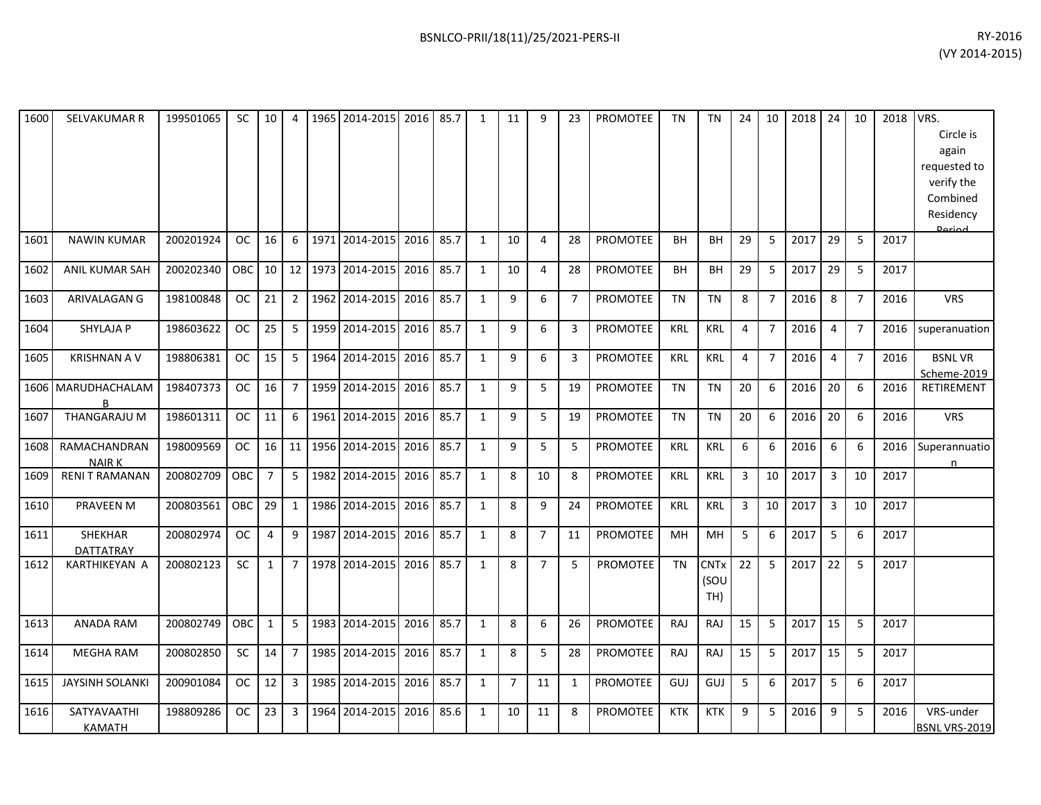| 1600 | SELVAKUMAR R                 | 199501065 | <b>SC</b>     | 10             | 4              |      | 1965 2014-2015 | 2016 | 85.7 | 1            | 11             | 9              | 23             | <b>PROMOTEE</b> | <b>TN</b>  | <b>TN</b>                  | 24             | 10             | 2018 | 24                      | 10             | 2018 | VRS.<br>Circle is<br>again<br>requested to<br>verify the<br>Combined<br>Residency<br><b>Dariod</b> |
|------|------------------------------|-----------|---------------|----------------|----------------|------|----------------|------|------|--------------|----------------|----------------|----------------|-----------------|------------|----------------------------|----------------|----------------|------|-------------------------|----------------|------|----------------------------------------------------------------------------------------------------|
| 1601 | <b>NAWIN KUMAR</b>           | 200201924 | <b>OC</b>     | 16             | 6              |      | 1971 2014-2015 | 2016 | 85.7 | 1            | 10             | 4              | 28             | PROMOTEE        | <b>BH</b>  | <b>BH</b>                  | 29             | 5              | 2017 | 29                      | 5              | 2017 |                                                                                                    |
| 1602 | ANIL KUMAR SAH               | 200202340 | <b>OBC</b>    | 10             | 12             |      | 1973 2014-2015 | 2016 | 85.7 | 1            | 10             | $\overline{4}$ | 28             | PROMOTEE        | <b>BH</b>  | <b>BH</b>                  | 29             | 5              | 2017 | 29                      | 5              | 2017 |                                                                                                    |
| 1603 | ARIVALAGAN G                 | 198100848 | <b>OC</b>     | 21             | $\overline{2}$ |      | 1962 2014-2015 | 2016 | 85.7 | $\mathbf{1}$ | 9              | 6              | $\overline{7}$ | <b>PROMOTEE</b> | <b>TN</b>  | <b>TN</b>                  | 8              | $\overline{7}$ | 2016 | 8                       | $\overline{7}$ | 2016 | <b>VRS</b>                                                                                         |
| 1604 | SHYLAJA P                    | 198603622 | <b>OC</b>     | 25             | 5              |      | 1959 2014-2015 | 2016 | 85.7 | $\mathbf{1}$ | 9              | 6              | 3              | <b>PROMOTEE</b> | <b>KRL</b> | <b>KRL</b>                 | 4              | $\overline{7}$ | 2016 | 4                       | $\overline{7}$ | 2016 | superanuation                                                                                      |
| 1605 | <b>KRISHNAN A V</b>          | 198806381 | <b>OC</b>     | 15             | 5              |      | 1964 2014-2015 | 2016 | 85.7 | $\mathbf{1}$ | 9              | 6              | 3              | <b>PROMOTEE</b> | <b>KRL</b> | <b>KRL</b>                 | $\overline{4}$ | $\overline{7}$ | 2016 | $\overline{4}$          | $\overline{7}$ | 2016 | <b>BSNLVR</b><br>Scheme-2019                                                                       |
|      | 1606 MARUDHACHALAM<br>R      | 198407373 | <sub>OC</sub> | 16             | $\overline{7}$ |      | 1959 2014-2015 | 2016 | 85.7 | 1            | 9              | 5              | 19             | <b>PROMOTEE</b> | <b>TN</b>  | <b>TN</b>                  | 20             | 6              | 2016 | 20                      | 6              | 2016 | RETIREMENT                                                                                         |
| 1607 | <b>THANGARAJU M</b>          | 198601311 | <b>OC</b>     | 11             | 6              |      | 1961 2014-2015 | 2016 | 85.7 | $\mathbf{1}$ | 9              | 5              | 19             | <b>PROMOTEE</b> | <b>TN</b>  | <b>TN</b>                  | 20             | 6              | 2016 | 20                      | 6              | 2016 | <b>VRS</b>                                                                                         |
| 1608 | RAMACHANDRAN<br><b>NAIRK</b> | 198009569 | <b>OC</b>     | 16             | 11             |      | 1956 2014-2015 | 2016 | 85.7 | $\mathbf{1}$ | 9              | 5              | 5              | <b>PROMOTEE</b> | <b>KRL</b> | <b>KRL</b>                 | 6              | 6              | 2016 | 6                       | 6              | 2016 | Superannuatio<br>n                                                                                 |
| 1609 | <b>RENIT RAMANAN</b>         | 200802709 | OBC           | $\overline{7}$ | 5              |      | 1982 2014-2015 | 2016 | 85.7 | $\mathbf{1}$ | 8              | 10             | 8              | <b>PROMOTEE</b> | <b>KRL</b> | KRL                        | 3              | 10             | 2017 | $\overline{3}$          | 10             | 2017 |                                                                                                    |
| 1610 | PRAVEEN M                    | 200803561 | OBC           | 29             | 1              |      | 1986 2014-2015 | 2016 | 85.7 | $\mathbf{1}$ | 8              | 9              | 24             | <b>PROMOTEE</b> | <b>KRL</b> | <b>KRL</b>                 | 3              | 10             | 2017 | $\overline{\mathbf{3}}$ | 10             | 2017 |                                                                                                    |
| 1611 | SHEKHAR<br><b>DATTATRAY</b>  | 200802974 | <b>OC</b>     | $\overline{4}$ | 9              | 1987 | 2014-2015      | 2016 | 85.7 | $\mathbf{1}$ | 8              | $\overline{7}$ | 11             | PROMOTEE        | MH         | MH                         | 5              | 6              | 2017 | 5                       | 6              | 2017 |                                                                                                    |
| 1612 | KARTHIKEYAN A                | 200802123 | <b>SC</b>     | $\mathbf{1}$   | $\overline{7}$ |      | 1978 2014-2015 | 2016 | 85.7 | $\mathbf{1}$ | 8              | $\overline{7}$ | 5              | PROMOTEE        | <b>TN</b>  | <b>CNTx</b><br>(SOU<br>TH) | 22             | 5              | 2017 | 22                      | 5              | 2017 |                                                                                                    |
| 1613 | <b>ANADA RAM</b>             | 200802749 | <b>OBC</b>    | $\mathbf{1}$   | 5              |      | 1983 2014-2015 | 2016 | 85.7 | $\mathbf{1}$ | 8              | 6              | 26             | <b>PROMOTEE</b> | <b>RAJ</b> | RAJ                        | 15             | 5              | 2017 | 15                      | 5              | 2017 |                                                                                                    |
| 1614 | <b>MEGHA RAM</b>             | 200802850 | <b>SC</b>     | 14             | $\overline{7}$ |      | 1985 2014-2015 | 2016 | 85.7 | $\mathbf{1}$ | 8              | 5              | 28             | <b>PROMOTEE</b> | RAJ        | RAJ                        | 15             | 5              | 2017 | 15                      | 5              | 2017 |                                                                                                    |
| 1615 | <b>JAYSINH SOLANKI</b>       | 200901084 | <b>OC</b>     | 12             | $\overline{3}$ |      | 1985 2014-2015 | 2016 | 85.7 | $\mathbf{1}$ | $\overline{7}$ | 11             | 1              | <b>PROMOTEE</b> | GUJ        | GUJ                        | 5              | 6              | 2017 | 5                       | 6              | 2017 |                                                                                                    |
| 1616 | SATYAVAATHI<br><b>KAMATH</b> | 198809286 | <b>OC</b>     | 23             | 3              |      | 1964 2014-2015 | 2016 | 85.6 | $\mathbf{1}$ | 10             | 11             | 8              | PROMOTEE        | <b>KTK</b> | <b>KTK</b>                 | 9              | 5              | 2016 | 9                       | 5              | 2016 | VRS-under<br><b>BSNL VRS-2019</b>                                                                  |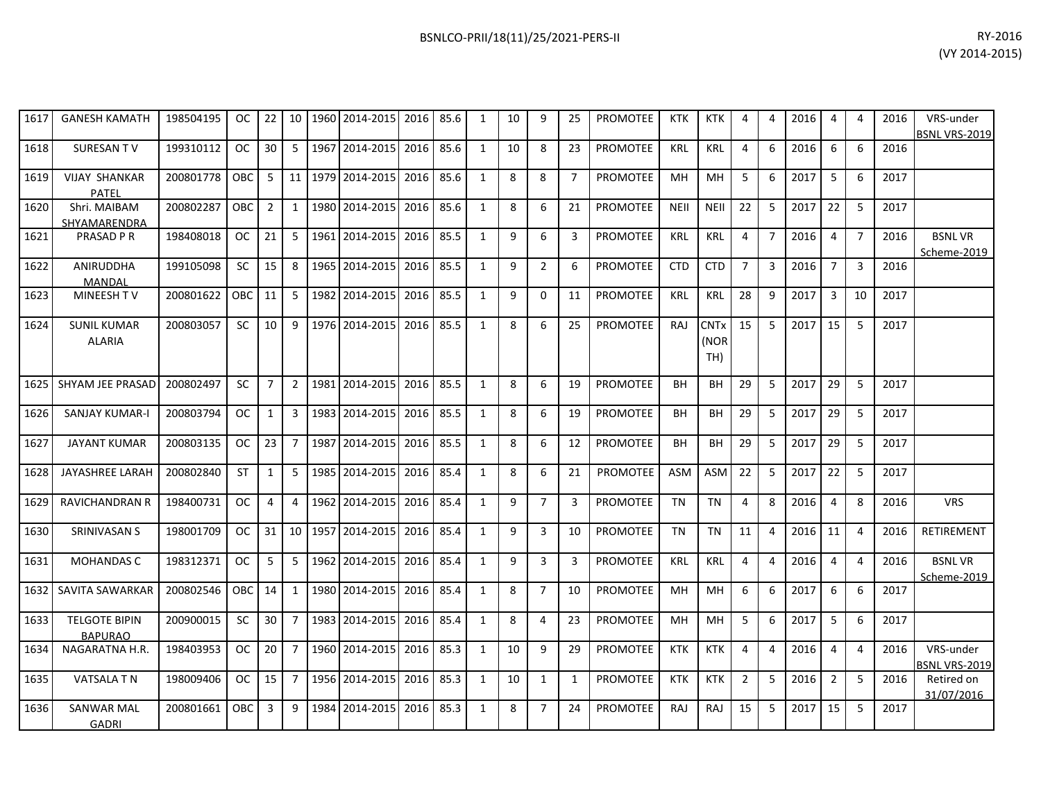| RY-2016        |  |
|----------------|--|
| (VY 2014-2015) |  |

| 1617 | <b>GANESH KAMATH</b>                   | 198504195 | <sub>OC</sub> | 22             | 10             | 1960 | 2014-2015      | 2016 | 85.6 | $\mathbf{1}$ | 10 | 9              | 25             | <b>PROMOTEE</b> | <b>KTK</b>  | <b>KTK</b>                            | $\overline{4}$ | 4              | 2016 | 4              | 4              | 2016 | VRS-under<br><b>BSNL VRS-2019</b> |
|------|----------------------------------------|-----------|---------------|----------------|----------------|------|----------------|------|------|--------------|----|----------------|----------------|-----------------|-------------|---------------------------------------|----------------|----------------|------|----------------|----------------|------|-----------------------------------|
| 1618 | SURESAN TV                             | 199310112 | <b>OC</b>     | 30             | 5              | 1967 | 2014-2015 2016 |      | 85.6 | $\mathbf{1}$ | 10 | 8              | 23             | <b>PROMOTEE</b> | <b>KRL</b>  | <b>KRL</b>                            | $\overline{4}$ | 6              | 2016 | 6              | 6              | 2016 |                                   |
| 1619 | <b>VIJAY SHANKAR</b><br><b>PATEL</b>   | 200801778 | <b>OBC</b>    | 5 <sup>1</sup> | 11             | 1979 | 2014-2015      | 2016 | 85.6 | $\mathbf{1}$ | 8  | 8              | $\overline{7}$ | <b>PROMOTEE</b> | MН          | MH                                    | 5              | 6              | 2017 | 5              | 6              | 2017 |                                   |
| 1620 | Shri. MAIBAM<br>SHYAMARENDRA           | 200802287 | OBC           | $\overline{2}$ | 1              | 1980 | 2014-2015      | 2016 | 85.6 | $\mathbf{1}$ | 8  | 6              | 21             | <b>PROMOTEE</b> | <b>NEII</b> | <b>NEII</b>                           | 22             | 5              | 2017 | 22             | 5              | 2017 |                                   |
| 1621 | <b>PRASAD P R</b>                      | 198408018 | OC.           | 21             | 5              | 1961 | 2014-2015      | 2016 | 85.5 | $\mathbf{1}$ | 9  | 6              | 3              | <b>PROMOTEE</b> | <b>KRL</b>  | <b>KRL</b>                            | $\overline{4}$ | $\overline{7}$ | 2016 | 4              | $\overline{7}$ | 2016 | <b>BSNLVR</b><br>Scheme-2019      |
| 1622 | ANIRUDDHA<br>MANDAL                    | 199105098 | SC            | 15             | 8              | 1965 | 2014-2015      | 2016 | 85.5 | $\mathbf{1}$ | 9  | $\overline{2}$ | 6              | <b>PROMOTEE</b> | <b>CTD</b>  | <b>CTD</b>                            | $\overline{7}$ | $\overline{3}$ | 2016 | $\overline{7}$ | $\overline{3}$ | 2016 |                                   |
| 1623 | MINEESH TV                             | 200801622 | <b>OBC</b>    | 11             | 5              | 1982 | 2014-2015      | 2016 | 85.5 | $\mathbf{1}$ | 9  | $\Omega$       | 11             | PROMOTEE        | KRL         | <b>KRL</b>                            | 28             | 9              | 2017 | $\overline{3}$ | 10             | 2017 |                                   |
| 1624 | <b>SUNIL KUMAR</b><br><b>ALARIA</b>    | 200803057 | <b>SC</b>     | 10             | 9              | 1976 | 2014-2015      | 2016 | 85.5 | $\mathbf{1}$ | 8  | 6              | 25             | PROMOTEE        | RAJ         | <b>CNT<sub>x</sub></b><br>(NOR<br>TH) | 15             | 5              | 2017 | 15             | 5              | 2017 |                                   |
| 1625 | SHYAM JEE PRASAD                       | 200802497 | <b>SC</b>     | $\overline{7}$ | $\overline{2}$ | 1981 | 2014-2015 2016 |      | 85.5 | $\mathbf{1}$ | 8  | 6              | 19             | <b>PROMOTEE</b> | <b>BH</b>   | <b>BH</b>                             | 29             | 5              | 2017 | 29             | 5              | 2017 |                                   |
| 1626 | <b>SANJAY KUMAR-I</b>                  | 200803794 | <b>OC</b>     | 1              | 3              | 1983 | 2014-2015      | 2016 | 85.5 | $\mathbf{1}$ | 8  | 6              | 19             | PROMOTEE        | <b>BH</b>   | <b>BH</b>                             | 29             | 5              | 2017 | 29             | 5              | 2017 |                                   |
| 1627 | <b>JAYANT KUMAR</b>                    | 200803135 | OC.           | 23             | $\overline{7}$ | 1987 | 2014-2015 2016 |      | 85.5 | $\mathbf{1}$ | 8  | 6              | 12             | <b>PROMOTEE</b> | <b>BH</b>   | BH                                    | 29             | 5              | 2017 | 29             | 5              | 2017 |                                   |
| 1628 | JAYASHREE LARAH                        | 200802840 | <b>ST</b>     | $\mathbf{1}$   | 5              | 1985 | 2014-2015 2016 |      | 85.4 | $\mathbf{1}$ | 8  | 6              | 21             | PROMOTEE        | <b>ASM</b>  | <b>ASM</b>                            | 22             | 5              | 2017 | 22             | 5              | 2017 |                                   |
| 1629 | <b>RAVICHANDRAN R</b>                  | 198400731 | <b>OC</b>     | $\overline{4}$ | 4              | 1962 | 2014-2015      | 2016 | 85.4 | $\mathbf{1}$ | 9  | $\overline{7}$ | 3              | <b>PROMOTEE</b> | <b>TN</b>   | <b>TN</b>                             | $\overline{4}$ | 8              | 2016 | 4              | 8              | 2016 | <b>VRS</b>                        |
| 1630 | SRINIVASAN S                           | 198001709 | <b>OC</b>     | 31             | 10             | 1957 | 2014-2015 2016 |      | 85.4 | $\mathbf{1}$ | 9  | 3              | 10             | <b>PROMOTEE</b> | <b>TN</b>   | <b>TN</b>                             | 11             | $\overline{4}$ | 2016 | 11             | $\overline{4}$ | 2016 | <b>RETIREMENT</b>                 |
| 1631 | <b>MOHANDAS C</b>                      | 198312371 | <b>OC</b>     | 5              | 5              | 1962 | 2014-2015      | 2016 | 85.4 | $\mathbf{1}$ | 9  | $\overline{3}$ | 3              | <b>PROMOTEE</b> | <b>KRL</b>  | <b>KRL</b>                            | $\overline{4}$ | 4              | 2016 | $\overline{4}$ | 4              | 2016 | <b>BSNLVR</b><br>Scheme-2019      |
| 1632 | SAVITA SAWARKAR                        | 200802546 | <b>OBC</b>    | 14             | 1              | 1980 | 2014-2015      | 2016 | 85.4 | $\mathbf{1}$ | 8  | $\overline{7}$ | 10             | <b>PROMOTEE</b> | MH          | MH                                    | 6              | 6              | 2017 | 6              | 6              | 2017 |                                   |
| 1633 | <b>TELGOTE BIPIN</b><br><b>BAPURAO</b> | 200900015 | <b>SC</b>     | 30             | $\overline{7}$ | 1983 | 2014-2015      | 2016 | 85.4 | $\mathbf{1}$ | 8  | 4              | 23             | PROMOTEE        | MH          | MH                                    | 5              | 6              | 2017 | 5              | 6              | 2017 |                                   |
| 1634 | NAGARATNA H.R.                         | 198403953 | <b>OC</b>     | 20             | 7              | 1960 | 2014-2015      | 2016 | 85.3 | $\mathbf{1}$ | 10 | 9              | 29             | PROMOTEE        | <b>KTK</b>  | <b>KTK</b>                            | $\overline{4}$ | 4              | 2016 | $\overline{4}$ | $\overline{4}$ | 2016 | VRS-under<br>BSNL VRS-2019        |
| 1635 | <b>VATSALA T N</b>                     | 198009406 | <sub>OC</sub> | 15             | 7              | 1956 | 2014-2015      | 2016 | 85.3 | $\mathbf{1}$ | 10 | 1              | $\mathbf{1}$   | <b>PROMOTEE</b> | <b>KTK</b>  | <b>KTK</b>                            | 2              | 5              | 2016 | $\overline{2}$ | 5              | 2016 | Retired on<br>31/07/2016          |
| 1636 | <b>SANWAR MAL</b><br><b>GADRI</b>      | 200801661 | OBC           | 3              | 9              | 1984 | 2014-2015      | 2016 | 85.3 | $\mathbf{1}$ | 8  | $\overline{7}$ | 24             | <b>PROMOTEE</b> | RAJ         | RAJ                                   | 15             | 5              | 2017 | 15             | 5              | 2017 |                                   |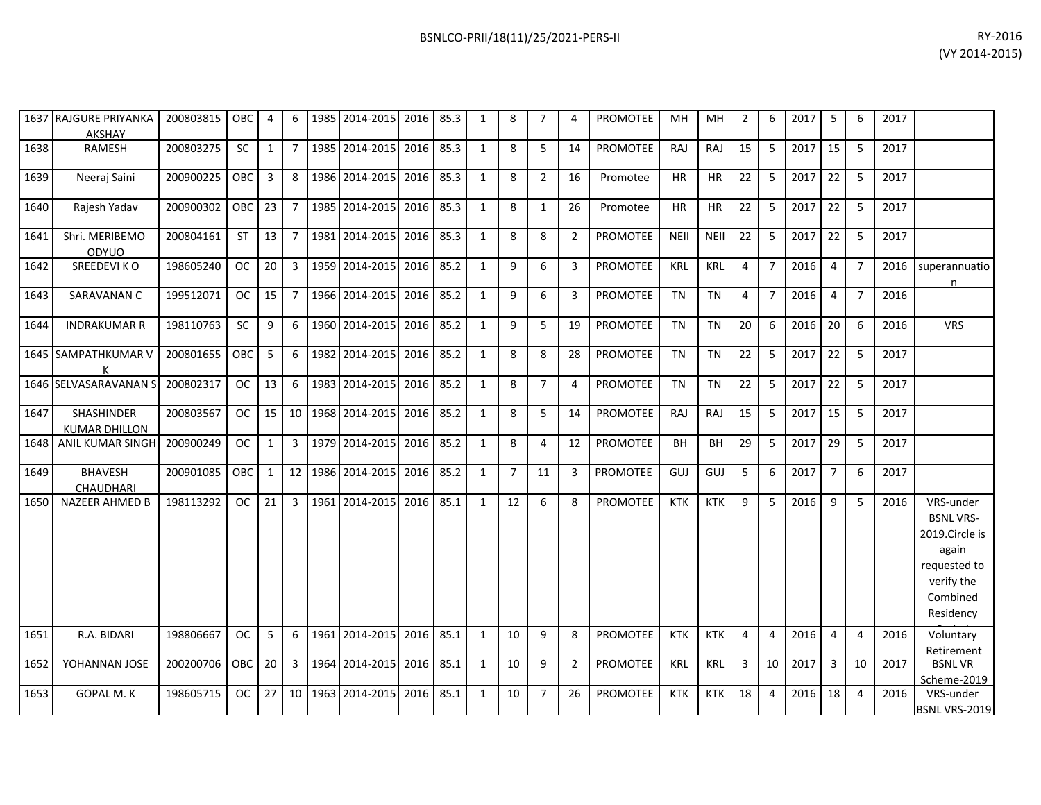|      | 1637 RAJGURE PRIYANKA<br><b>AKSHAY</b> | 200803815 OBC |            | 4               | 6              |      | 1985   2014-2015   2016   85.3 |      |      | 1            | 8              | $\overline{7}$ | 4              | <b>PROMOTEE</b> | MН          | MH          | 2              | 6              | 2017 | 5              | 6              | 2017 |                                                                                                                 |
|------|----------------------------------------|---------------|------------|-----------------|----------------|------|--------------------------------|------|------|--------------|----------------|----------------|----------------|-----------------|-------------|-------------|----------------|----------------|------|----------------|----------------|------|-----------------------------------------------------------------------------------------------------------------|
| 1638 | <b>RAMESH</b>                          | 200803275     | <b>SC</b>  | $\mathbf{1}$    | $\overline{7}$ |      | 1985 2014-2015 2016            |      | 85.3 | $\mathbf{1}$ | 8              | 5              | 14             | <b>PROMOTEE</b> | RAJ         | RAJ         | 15             | 5              | 2017 | 15             | 5              | 2017 |                                                                                                                 |
| 1639 | Neeraj Saini                           | 200900225     | OBC        | $\mathbf{3}$    | 8              |      | 1986 2014-2015 2016            |      | 85.3 | $\mathbf{1}$ | 8              | $\overline{2}$ | 16             | Promotee        | ΗR          | HR          | 22             | 5              | 2017 | 22             | 5              | 2017 |                                                                                                                 |
| 1640 | Rajesh Yadav                           | 200900302     | OBC 23 7   |                 |                |      | 1985 2014-2015 2016            |      | 85.3 | $\mathbf{1}$ | 8              | $\mathbf{1}$   | 26             | Promotee        | <b>HR</b>   | <b>HR</b>   | 22             | 5              | 2017 | 22             | 5              | 2017 |                                                                                                                 |
| 1641 | Shri. MERIBEMO<br>ODYUO                | 200804161     | <b>ST</b>  | $13 \mid$       | $\overline{7}$ |      | 1981 2014-2015                 | 2016 | 85.3 | $\mathbf{1}$ | 8              | 8              | $\overline{2}$ | PROMOTEE        | <b>NEII</b> | <b>NEIL</b> | 22             | 5              | 2017 | 22             | 5              | 2017 |                                                                                                                 |
| 1642 | SREEDEVI KO                            | 198605240     | OC         | 20 <sup>1</sup> | $\overline{3}$ |      | 1959 2014-2015 2016            |      | 85.2 | $\mathbf{1}$ | 9              | 6              | 3              | PROMOTEE        | <b>KRL</b>  | <b>KRL</b>  | 4              | $\overline{7}$ | 2016 | $\overline{4}$ | $\overline{7}$ | 2016 | superannuatio<br>n                                                                                              |
| 1643 | SARAVANAN C                            | 199512071     | $OC$ 15    |                 | $\overline{7}$ |      | 1966 2014-2015 2016            |      | 85.2 | $\mathbf{1}$ | 9              | 6              | 3              | PROMOTEE        | <b>TN</b>   | <b>TN</b>   | $\overline{4}$ | $\overline{7}$ | 2016 | $\overline{4}$ | $\overline{7}$ | 2016 |                                                                                                                 |
| 1644 | <b>INDRAKUMAR R</b>                    | 198110763     | <b>SC</b>  | 9               | 6              | 1960 | 2014-2015                      | 2016 | 85.2 | $\mathbf{1}$ | 9              | 5              | 19             | PROMOTEE        | TN          | <b>TN</b>   | 20             | 6              | 2016 | 20             | 6              | 2016 | <b>VRS</b>                                                                                                      |
|      | 1645 SAMPATHKUMAR V                    | 200801655     | <b>OBC</b> | 5               | -6             |      | 1982 2014-2015 2016            |      | 85.2 | $\mathbf{1}$ | 8              | 8              | 28             | PROMOTEE        | TN          | <b>TN</b>   | 22             | 5              | 2017 | 22             | 5              | 2017 |                                                                                                                 |
|      | 1646 SELVASARAVANAN S                  | 200802317     | $OC$ 13    |                 | 6              |      | 1983 2014-2015 2016            |      | 85.2 | $\mathbf{1}$ | 8              | $\overline{7}$ | $\overline{4}$ | <b>PROMOTEE</b> | <b>TN</b>   | <b>TN</b>   | 22             | 5              | 2017 | 22             | 5              | 2017 |                                                                                                                 |
| 1647 | SHASHINDER<br><b>KUMAR DHILLON</b>     | 200803567     | OC         |                 |                |      | 15 10 1968 2014-2015           | 2016 | 85.2 | $\mathbf{1}$ | 8              | 5              | 14             | PROMOTEE        | RAJ         | RAJ         | 15             | 5              | 2017 | 15             | 5              | 2017 |                                                                                                                 |
| 1648 | ANIL KUMAR SINGH                       | 200900249     | OC         | 1               | 3              |      | 1979 2014-2015 2016            |      | 85.2 | $\mathbf{1}$ | 8              | 4              | 12             | PROMOTEE        | BH          | <b>BH</b>   | 29             | 5              | 2017 | 29             | 5              | 2017 |                                                                                                                 |
| 1649 | <b>BHAVESH</b><br>CHAUDHARI            | 200901085     | OBC        | $\mathbf{1}$    |                |      | 12   1986   2014-2015   2016   |      | 85.2 | $\mathbf{1}$ | $\overline{7}$ | 11             | 3              | <b>PROMOTEE</b> | GUJ         | GUJ         | 5              | 6              | 2017 | $\overline{7}$ | 6              | 2017 |                                                                                                                 |
| 1650 | NAZEER AHMED B                         | 198113292     | OC         | 21              | $\overline{3}$ |      | 1961 2014-2015 2016            |      | 85.1 | $\mathbf{1}$ | 12             | 6              | 8              | PROMOTEE        | <b>KTK</b>  | KTK         | 9              | 5              | 2016 | 9              | 5              | 2016 | VRS-under<br><b>BSNL VRS-</b><br>2019.Circle is<br>again<br>requested to<br>verify the<br>Combined<br>Residency |
| 1651 | R.A. BIDARI                            | 198806667     | OC         | 5               | 6              |      | 1961 2014-2015 2016            |      | 85.1 | $\mathbf{1}$ | 10             | 9              | 8              | PROMOTEE        | <b>KTK</b>  | <b>KTK</b>  | $\overline{4}$ | 4              | 2016 | $\overline{4}$ | $\overline{4}$ | 2016 | Voluntary<br>Retirement                                                                                         |
| 1652 | YOHANNAN JOSE                          | 200200706     | OBC I      | 20 <sup>1</sup> | 3              | 1964 | 2014-2015                      | 2016 | 85.1 | $\mathbf{1}$ | 10             | 9              | $\overline{2}$ | <b>PROMOTEE</b> | <b>KRL</b>  | <b>KRL</b>  | 3              | 10             | 2017 | $\mathbf{3}$   | 10             | 2017 | <b>BSNLVR</b><br>Scheme-2019                                                                                    |
| 1653 | GOPAL M.K                              | 198605715     | OC         | 27              | 10             | 1963 | 2014-2015 2016                 |      | 85.1 | 1            | 10             | $\overline{7}$ | 26             | PROMOTEE        | <b>KTK</b>  | <b>KTK</b>  | 18             | 4              | 2016 | 18             | 4              | 2016 | VRS-under<br><b>BSNL VRS-2019</b>                                                                               |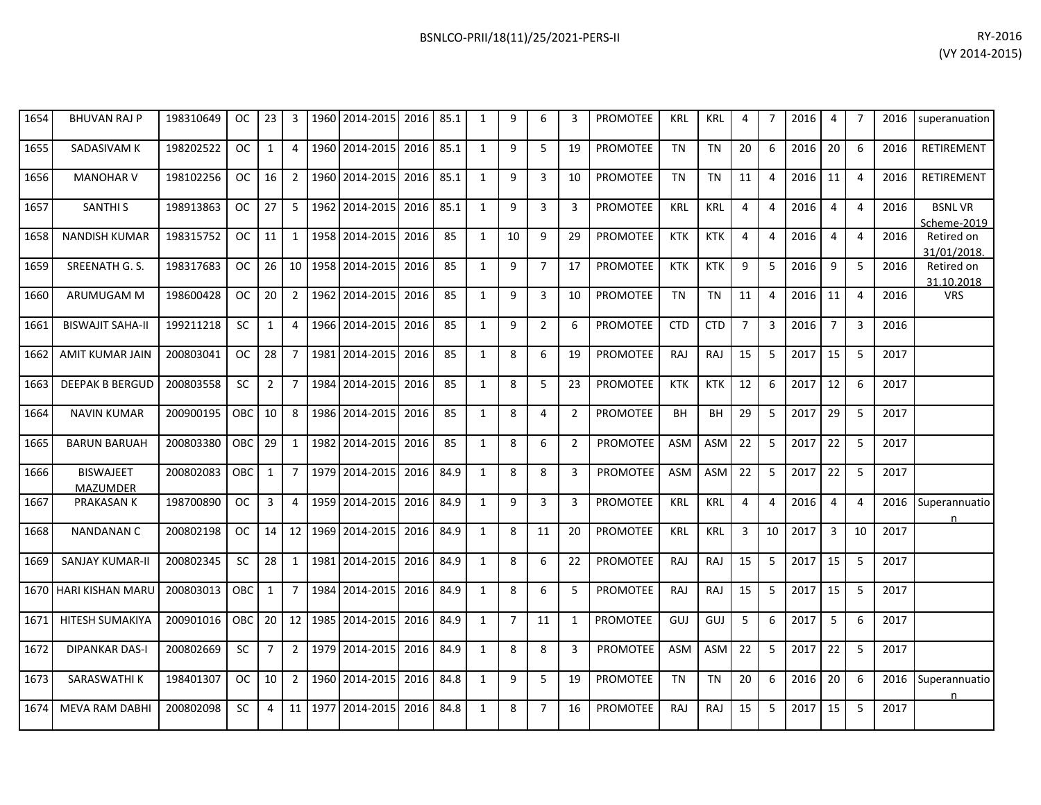| 1654 | <b>BHUVAN RAJ P</b>     | 198310649 | <b>OC</b> | 23              |  | 1960 2014-2015        | 2016 | 85.1 | q  | 6 | 3  | <b>PROMOTEE</b> | <b>KRL</b> | KRL        | 4               |   | 2016 | 4  |                | 2016 | superanuation                |
|------|-------------------------|-----------|-----------|-----------------|--|-----------------------|------|------|----|---|----|-----------------|------------|------------|-----------------|---|------|----|----------------|------|------------------------------|
| 1655 | SADASIVAM K             | 198202522 | OC.       |                 |  | 1960 2014-2015        | 2016 | 85.1 | 9  | 5 | 19 | <b>PROMOTEE</b> | <b>TN</b>  | <b>TN</b>  | 20              | 6 | 2016 | 20 | 6              | 2016 | <b>RETIREMENT</b>            |
| 1656 | <b>MANOHAR V</b>        | 198102256 | OC.       | 16              |  | 1960 2014-2015        | 2016 | 85.1 | 9  | 3 | 10 | <b>PROMOTEE</b> | <b>TN</b>  | <b>TN</b>  | 11              |   | 2016 | 11 |                | 2016 | <b>RETIREMENT</b>            |
| 1657 | SANTHI S                | 198913863 | OC .      | 27              |  | 1962 2014-2015        | 2016 | 85.1 | 9  | 3 | 3  | <b>PROMOTEE</b> | KRL        | KRL        | 4               | 4 | 2016 |    | 4              | 2016 | <b>BSNLVR</b><br>Scheme-2019 |
| 1658 | <b>NANDISH KUMAR</b>    | 198315752 | OC        | 11              |  | 1958 2014-2015        | 2016 | 85   | 10 | 9 | 29 | <b>PROMOTEE</b> | <b>KTK</b> | <b>KTK</b> | 4               |   | 2016 |    |                | 2016 | Retired on<br>31/01/2018.    |
| 1659 | SREENATH G. S.          | 198317683 | OC        | 26 <sup>1</sup> |  | 10   1958   2014-2015 | 2016 | 85   | 9  |   | 17 | <b>PROMOTEE</b> | <b>KTK</b> | <b>KTK</b> | 9               |   | 2016 | 9  | 5              | 2016 | Retired on<br>31.10.2018     |
| 1660 | ARUMUGAM M              | 198600428 | OC .      | 20              |  | 1962 2014-2015        | 2016 | 85   | q  | 3 | 10 | <b>PROMOTEE</b> | <b>TN</b>  | <b>TN</b>  | 11              |   | 2016 | 11 | $\overline{a}$ | 2016 | <b>VRS</b>                   |
| 1661 | <b>BISWAJIT SAHA-II</b> | 199211218 | SC.       |                 |  | 1966 2014-2015        | 2016 | 85   | 9  |   | 6  | <b>PROMOTEE</b> | <b>CTD</b> | <b>CTD</b> |                 |   | 2016 |    | 3              | 2016 |                              |
| 1662 | AMIT KUMAR JAIN         | 200803041 | OC .      | 28              |  | 1981 2014-2015        | 2016 | 85   | 8  | 6 | 19 | <b>PROMOTEE</b> | RAJ        | <b>RAJ</b> | 15 <sup>1</sup> |   | 2017 | 15 |                | 2017 |                              |
| 1663 | <b>DEEPAK B BERGUD</b>  | 200803558 | <b>SC</b> | $\overline{2}$  |  | 1984 2014-2015        | 2016 | 85   | 8  | 5 | 23 | <b>PROMOTEE</b> | <b>KTK</b> | <b>KTK</b> | 12              | 6 | 2017 | 12 | 6              | 2017 |                              |

200802083 | OBC | 1 | 7 | 1979 | 2014-2015 | 2016 | 84.9 | 1 | 8 | 8 | 3 | PROMOTEE | ASM | ASM | 22 | 5 | 2017 | 22 | 5 | 2017

1667 | PRAKASAN K | 198700890 | OC | 3 | 4 | 1959 | 2014-2015 | 2016 | 84.9 | 1 | 9 | 3 | 3 | PROMOTEE | KRL | KRL | 4 | 4 | 2016 | 4 | 4 | 2016 |Superannuatio

1673| SARASWATHI K | 198401307 | OC | 10 | 2 | 1960|2014-2015|2016|84.8 | 1 | 9 | 5 | 19 |PROMOTEE | TN | TN | 20 | 6 | 2016 | 20 | 6 | 2016 |Superannuatio

1664 NAVIN KUMAR 200900195 OBC 10 8 1986 2014-2015 2016 85 1 8 4 2 PROMOTEE BH BH 29 5 2017 29 5 2017

1665| BARUN BARUAH |200803380 |OBC|29| 1 |1982|2014-2015|2016| 85 | 1 | 8 | 6 | 2 |PROMOTEE| ASM |ASM| 22 | 5 |2017|22| 5 |2017

1668| NANDANAN C | 200802198 | OC | 14 | 12 |1969|2014-2015| 2016 | 84.9 | 1 | 8 | 11 | 20 | PROMOTEE | KRL | KRL | 8 | 10 | 2017 | 3 | 10 | 2017

1669 SANJAY KUMAR-II 200802345 SC 28 1 1981 2014-2015 2016 84.9 1 8 6 22 PROMOTEE RAJ RAJ 15 5 2017 15 5 2017

1670 HARI KISHAN MARU 200803013 OBC 1 7 1984 2014-2015 2016 84.9 1 8 6 5 PROMOTEE RAJ RAJ 15 5 2017 15 5 2017

1671| HITESH SUMAKIYA | 200901016 | OBC | 20 | 12 | 1985|2014-2015| 2016 | 84.9 | 1 | 7 | 11 | 1 | PROMOTEE | GUJ | GUJ | 5 | 6 | 2017 | 5 | 6 | 2017

1672| DIPANKAR DAS-I |200802669 | SC | 7 | 2 |1979|2014-2015|2016|84.9 | 1 | 8 | 8 | 3 |PROMOTEE |ASM |ASM |22 | 5 |2017 |22 | 5 |2017

1674| MEVA RAM DABHI | 200802098 | SC | 4 | 11 | 1977|2014-2015| 2016| 84.8 | 1 | 8 | 7 | 16 | PROMOTEE | RAJ | RAJ | 15 | 5 | 2017| 15 | 5 | 2017

1666 BISWAJEET

MAZUMDER

n

n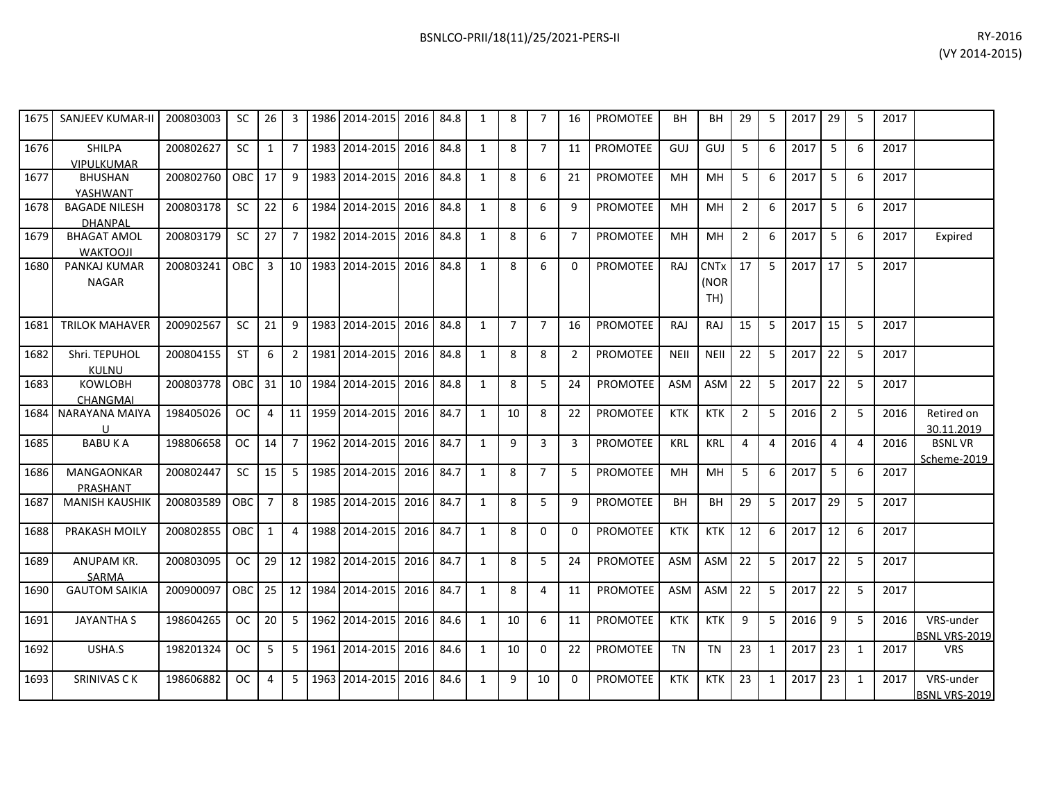| 1675 | <b>SANJEEV KUMAR-II</b>                | 200803003 | SC.           | 26             | 3               | 1986 | 2014-2015             | 2016      | 84.8 | 1            | 8              | 7              | 16             | PROMOTEE        | <b>BH</b>   | BH                         | 29             | 5            | 2017 | 29 | -5 | 2017 |                                   |
|------|----------------------------------------|-----------|---------------|----------------|-----------------|------|-----------------------|-----------|------|--------------|----------------|----------------|----------------|-----------------|-------------|----------------------------|----------------|--------------|------|----|----|------|-----------------------------------|
| 1676 | <b>SHILPA</b><br><b>VIPULKUMAR</b>     | 200802627 | SC.           | $\mathbf{1}$   | 7 I             |      | 1983 2014-2015        | 2016      | 84.8 | 1            | 8              | $\overline{7}$ | 11             | PROMOTEE        | GUJ         | GUJ                        | 5              | 6            | 2017 | 5  | 6  | 2017 |                                   |
| 1677 | <b>BHUSHAN</b><br>YASHWANT             | 200802760 | OBC           | 17             | 9               |      | 1983 2014-2015        | 2016      | 84.8 | 1            | 8              | 6              | 21             | PROMOTEE        | <b>MH</b>   | <b>MH</b>                  | 5              | 6            | 2017 | 5  | 6  | 2017 |                                   |
| 1678 | <b>BAGADE NILESH</b><br><b>DHANPAL</b> | 200803178 | SC.           | 22             | 6               | 1984 | 2014-2015             | 2016      | 84.8 | 1            | 8              | 6              | 9              | <b>PROMOTEE</b> | <b>MH</b>   | MH                         | $\overline{2}$ | 6            | 2017 | 5  | 6  | 2017 |                                   |
| 1679 | <b>BHAGAT AMOL</b><br><b>WAKTOOJI</b>  | 200803179 | <b>SC</b>     | 27             | 7 <sup>1</sup>  |      | 1982 2014-2015        | 2016      | 84.8 | $\mathbf{1}$ | 8              | 6              | $\overline{7}$ | PROMOTEE        | <b>MH</b>   | <b>MH</b>                  | $\overline{2}$ | 6            | 2017 | 5  | 6  | 2017 | Expired                           |
| 1680 | PANKAJ KUMAR<br><b>NAGAR</b>           | 200803241 | <b>OBC</b>    | 3              | 10 <sup>1</sup> |      | 1983 2014-2015        | 2016 84.8 |      | 1            | 8              | 6              | $\mathbf{0}$   | PROMOTEE        | <b>RAJ</b>  | <b>CNTx</b><br>(NOR<br>TH) | 17             | 5            | 2017 | 17 | -5 | 2017 |                                   |
| 1681 | <b>TRILOK MAHAVER</b>                  | 200902567 | <b>SC</b>     | 21             | 9               |      | 1983 2014-2015        | 2016 84.8 |      | 1            | $\overline{7}$ | $\overline{7}$ | 16             | <b>PROMOTEE</b> | RAJ         | RAJ                        | 15             | 5            | 2017 | 15 | 5  | 2017 |                                   |
| 1682 | Shri. TEPUHOL<br><b>KULNU</b>          | 200804155 | <b>ST</b>     | 6              | $\mathbf{2}$    |      | 1981 2014-2015        | 2016 84.8 |      | 1            | 8              | 8              | $\overline{2}$ | <b>PROMOTEE</b> | <b>NEII</b> | <b>NEII</b>                | 22             | 5            | 2017 | 22 | 5  | 2017 |                                   |
| 1683 | <b>KOWLOBH</b><br>CHANGMAI             | 200803778 | <b>OBC</b>    | 31             |                 |      | 10   1984   2014-2015 | 2016 84.8 |      | 1            | 8              | 5              | 24             | <b>PROMOTEE</b> | <b>ASM</b>  | ASM                        | 22             | 5            | 2017 | 22 | 5  | 2017 |                                   |
| 1684 | NARAYANA MAIYA<br>U                    | 198405026 | OC.           | 4              | 11              |      | 1959 2014-2015        | 2016      | 84.7 | 1            | 10             | 8              | 22             | <b>PROMOTEE</b> | <b>KTK</b>  | <b>KTK</b>                 | $\overline{2}$ | 5            | 2016 | 2  | 5  | 2016 | Retired on<br>30.11.2019          |
| 1685 | <b>BABUKA</b>                          | 198806658 | OC.           | 14             | 7 <sup>1</sup>  |      | 1962 2014-2015        | 2016      | 84.7 | 1            | 9              | 3              | 3              | <b>PROMOTEE</b> | <b>KRL</b>  | <b>KRL</b>                 | 4              | 4            | 2016 | 4  | 4  | 2016 | <b>BSNLVR</b><br>Scheme-2019      |
| 1686 | <b>MANGAONKAR</b><br>PRASHANT          | 200802447 | SC.           | 15             | 5               |      | 1985 2014-2015        | 2016      | 84.7 | 1            | 8              | $\overline{7}$ | 5              | PROMOTEE        | <b>MH</b>   | MH                         | -5             | 6            | 2017 | 5  | 6  | 2017 |                                   |
| 1687 | <b>MANISH KAUSHIK</b>                  | 200803589 | <b>OBC</b>    | $\overline{7}$ | 8               |      | 1985 2014-2015        | 2016      | 84.7 | $\mathbf{1}$ | 8              | 5              | 9              | <b>PROMOTEE</b> | BH          | <b>BH</b>                  | 29             | 5            | 2017 | 29 | 5  | 2017 |                                   |
| 1688 | PRAKASH MOILY                          | 200802855 | OBC           | $\mathbf{1}$   | $\overline{4}$  | 1988 | 2014-2015             | 2016      | 84.7 | 1            | 8              | $\Omega$       | $\mathbf{0}$   | PROMOTEE        | <b>KTK</b>  | <b>KTK</b>                 | 12             | 6            | 2017 | 12 | 6  | 2017 |                                   |
| 1689 | ANUPAM KR.<br>SARMA                    | 200803095 | OC            | 29             | 12 <sup>1</sup> |      | 1982 2014-2015        | 2016 84.7 |      | 1            | 8              | 5              | 24             | PROMOTEE        | <b>ASM</b>  | <b>ASM</b>                 | 22             | 5            | 2017 | 22 | -5 | 2017 |                                   |
| 1690 | <b>GAUTOM SAIKIA</b>                   | 200900097 | OBC.          | 25             |                 |      | 12   1984   2014-2015 | 2016 84.7 |      | 1            | 8              | 4              | 11             | PROMOTEE        | <b>ASM</b>  | ASM                        | 22             | 5            | 2017 | 22 | 5  | 2017 |                                   |
| 1691 | <b>JAYANTHA S</b>                      | 198604265 | OC.           | 20             | 5 <sub>1</sub>  |      | 1962 2014-2015        | 2016      | 84.6 | 1            | 10             | 6              | 11             | <b>PROMOTEE</b> | <b>KTK</b>  | <b>KTK</b>                 | 9              | 5            | 2016 | 9  | 5  | 2016 | VRS-under<br>BSNL VRS-2019        |
| 1692 | USHA.S                                 | 198201324 | <sub>OC</sub> | 5              | 5 <sub>1</sub>  |      | 1961 2014-2015        | 2016      | 84.6 | 1            | 10             | $\Omega$       | 22             | <b>PROMOTEE</b> | TN          | <b>TN</b>                  | 23             | 1            | 2017 | 23 | 1  | 2017 | <b>VRS</b>                        |
| 1693 | <b>SRINIVAS CK</b>                     | 198606882 | <sub>OC</sub> | 4              | 5               |      | 1963 2014-2015        | 2016 84.6 |      | 1            | 9              | 10             | $\mathbf{0}$   | <b>PROMOTEE</b> | <b>KTK</b>  | <b>KTK</b>                 | 23             | $\mathbf{1}$ | 2017 | 23 | 1  | 2017 | VRS-under<br><b>BSNL VRS-2019</b> |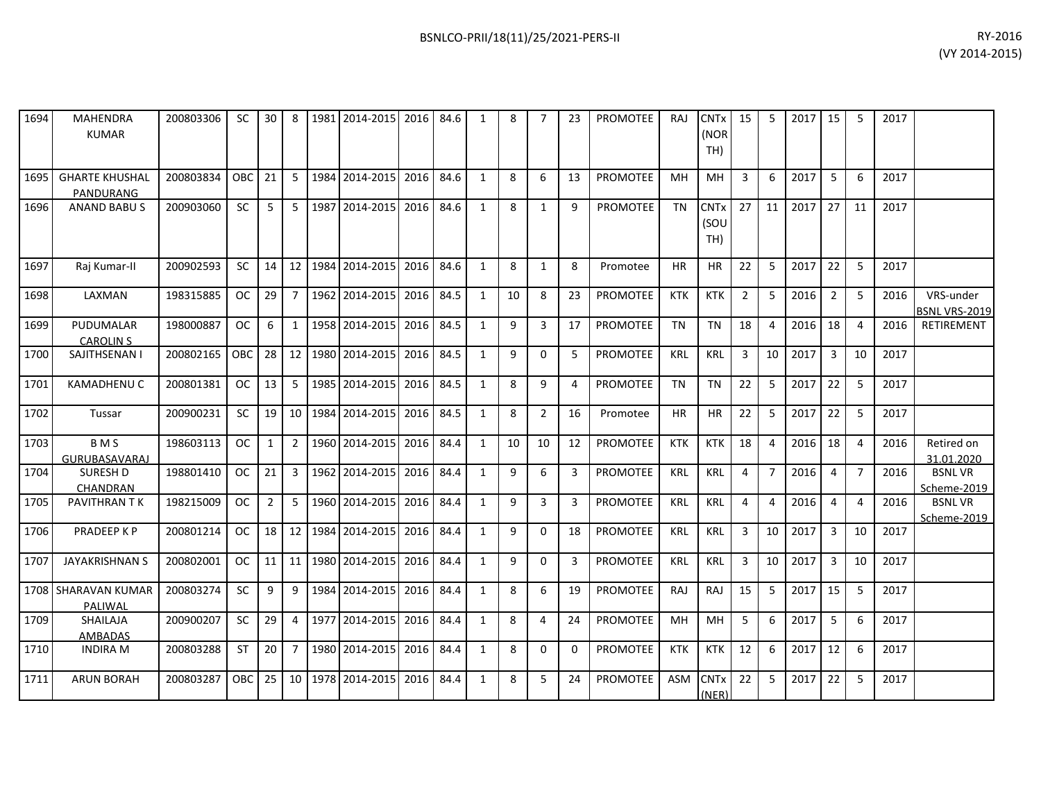| RY-2016        |
|----------------|
| (VY 2014-2015) |

| 1694 | <b>MAHENDRA</b><br><b>KUMAR</b>    | 200803306 | SC.       | 30             | 8              |      | 1981 2014-2015 | 2016 | 84.6 | 1            | 8  | $\overline{7}$ | 23             | <b>PROMOTEE</b> | RAJ        | <b>CNTx</b><br>(NOR<br>TH) | 15             | 5              | 2017 | 15             | 5              | 2017 |                                   |
|------|------------------------------------|-----------|-----------|----------------|----------------|------|----------------|------|------|--------------|----|----------------|----------------|-----------------|------------|----------------------------|----------------|----------------|------|----------------|----------------|------|-----------------------------------|
| 1695 | <b>GHARTE KHUSHAL</b><br>PANDURANG | 200803834 | OBC       | 21             | 5              |      | 1984 2014-2015 | 2016 | 84.6 | 1            | 8  | 6              | 13             | <b>PROMOTEE</b> | MH         | MH                         | 3              | 6              | 2017 | 5              | 6              | 2017 |                                   |
| 1696 | <b>ANAND BABUS</b>                 | 200903060 | <b>SC</b> | 5              | $5^{\circ}$    |      | 1987 2014-2015 | 2016 | 84.6 | $\mathbf{1}$ | 8  | $\mathbf{1}$   | 9              | <b>PROMOTEE</b> | <b>TN</b>  | <b>CNTx</b><br>(SOU<br>TH) | 27             | 11             | 2017 | 27             | 11             | 2017 |                                   |
| 1697 | Raj Kumar-II                       | 200902593 | <b>SC</b> | 14             | 12             |      | 1984 2014-2015 | 2016 | 84.6 | 1            | 8  | $\mathbf{1}$   | 8              | Promotee        | <b>HR</b>  | <b>HR</b>                  | 22             | 5              | 2017 | 22             | 5              | 2017 |                                   |
| 1698 | LAXMAN                             | 198315885 | OC.       | 29             | 7              |      | 1962 2014-2015 | 2016 | 84.5 | 1            | 10 | 8              | 23             | <b>PROMOTEE</b> | <b>KTK</b> | <b>KTK</b>                 | $\overline{2}$ | 5              | 2016 | $\overline{2}$ | 5              | 2016 | VRS-under<br><b>BSNL VRS-2019</b> |
| 1699 | PUDUMALAR<br><b>CAROLIN S</b>      | 198000887 | OC.       | 6              | $\mathbf{1}$   |      | 1958 2014-2015 | 2016 | 84.5 | $\mathbf{1}$ | 9  | 3              | 17             | <b>PROMOTEE</b> | <b>TN</b>  | <b>TN</b>                  | 18             | 4              | 2016 | 18             | $\overline{4}$ | 2016 | RETIREMENT                        |
| 1700 | SAJITHSENAN I                      | 200802165 | OBC       | 28             | 12             |      | 1980 2014-2015 | 2016 | 84.5 | $\mathbf{1}$ | 9  | $\Omega$       | 5              | PROMOTEE        | <b>KRL</b> | <b>KRL</b>                 | $\overline{3}$ | 10             | 2017 | $\overline{3}$ | 10             | 2017 |                                   |
| 1701 | <b>KAMADHENUC</b>                  | 200801381 | <b>OC</b> | 13             | 5              |      | 1985 2014-2015 | 2016 | 84.5 | $\mathbf{1}$ | 8  | 9              | $\overline{4}$ | <b>PROMOTEE</b> | <b>TN</b>  | <b>TN</b>                  | 22             | 5              | 2017 | 22             | 5              | 2017 |                                   |
| 1702 | Tussar                             | 200900231 | <b>SC</b> | 19             | 10             | 1984 | 2014-2015      | 2016 | 84.5 | $\mathbf{1}$ | 8  | $\overline{2}$ | 16             | Promotee        | <b>HR</b>  | <b>HR</b>                  | 22             | 5              | 2017 | 22             | 5              | 2017 |                                   |
| 1703 | B <sub>M</sub> S<br>GURUBASAVARAJ  | 198603113 | OC.       | $\mathbf{1}$   | $\overline{2}$ |      | 1960 2014-2015 | 2016 | 84.4 | 1            | 10 | 10             | 12             | <b>PROMOTEE</b> | <b>KTK</b> | <b>KTK</b>                 | 18             | $\overline{a}$ | 2016 | 18             | 4              | 2016 | Retired on<br>31.01.2020          |
| 1704 | <b>SURESH D</b><br>CHANDRAN        | 198801410 | <b>OC</b> | 21             | 3              |      | 1962 2014-2015 | 2016 | 84.4 | $\mathbf{1}$ | 9  | 6              | 3              | PROMOTEE        | <b>KRL</b> | KRL                        | 4              | $\overline{7}$ | 2016 | 4              | $\overline{7}$ | 2016 | <b>BSNLVR</b><br>Scheme-2019      |
| 1705 | PAVITHRAN TK                       | 198215009 | <b>OC</b> | $\overline{2}$ | 5              |      | 1960 2014-2015 | 2016 | 84.4 | 1            | 9  | 3              | 3              | <b>PROMOTEE</b> | <b>KRL</b> | <b>KRL</b>                 | 4              | 4              | 2016 | $\overline{4}$ | $\overline{4}$ | 2016 | <b>BSNLVR</b><br>Scheme-2019      |
| 1706 | PRADEEP K P                        | 200801214 | <b>OC</b> | 18             | 12             |      | 1984 2014-2015 | 2016 | 84.4 | $\mathbf{1}$ | 9  | $\Omega$       | 18             | <b>PROMOTEE</b> | <b>KRL</b> | <b>KRL</b>                 | $\overline{3}$ | 10             | 2017 | $\overline{3}$ | 10             | 2017 |                                   |
| 1707 | <b>JAYAKRISHNAN S</b>              | 200802001 | OC.       | 11             | 11             |      | 1980 2014-2015 | 2016 | 84.4 | 1            | 9  | $\mathbf 0$    | 3              | PROMOTEE        | <b>KRL</b> | KRL                        | 3              | 10             | 2017 | 3              | 10             | 2017 |                                   |
|      | 1708 SHARAVAN KUMAR<br>PALIWAL     | 200803274 | <b>SC</b> | 9              | 9              |      | 1984 2014-2015 | 2016 | 84.4 | 1            | 8  | 6              | 19             | <b>PROMOTEE</b> | RAJ        | RAJ                        | 15             | 5              | 2017 | 15             | 5              | 2017 |                                   |
| 1709 | <b>SHAILAJA</b><br>AMBADAS         | 200900207 | <b>SC</b> | 29             | 4              |      | 1977 2014-2015 | 2016 | 84.4 | $\mathbf{1}$ | 8  | 4              | 24             | <b>PROMOTEE</b> | MH         | MH                         | 5              | 6              | 2017 | 5              | 6              | 2017 |                                   |
| 1710 | <b>INDIRA M</b>                    | 200803288 | <b>ST</b> | 20             | $\overline{7}$ |      | 1980 2014-2015 | 2016 | 84.4 | 1            | 8  | $\Omega$       | $\Omega$       | <b>PROMOTEE</b> | <b>KTK</b> | <b>KTK</b>                 | 12             | 6              | 2017 | 12             | 6              | 2017 |                                   |
| 1711 | <b>ARUN BORAH</b>                  | 200803287 | OBC       | 25             | 10             |      | 1978 2014-2015 | 2016 | 84.4 | $\mathbf{1}$ | 8  | 5              | 24             | <b>PROMOTEE</b> | <b>ASM</b> | <b>CNTx</b><br>(NER)       | 22             | 5              | 2017 | 22             | 5              | 2017 |                                   |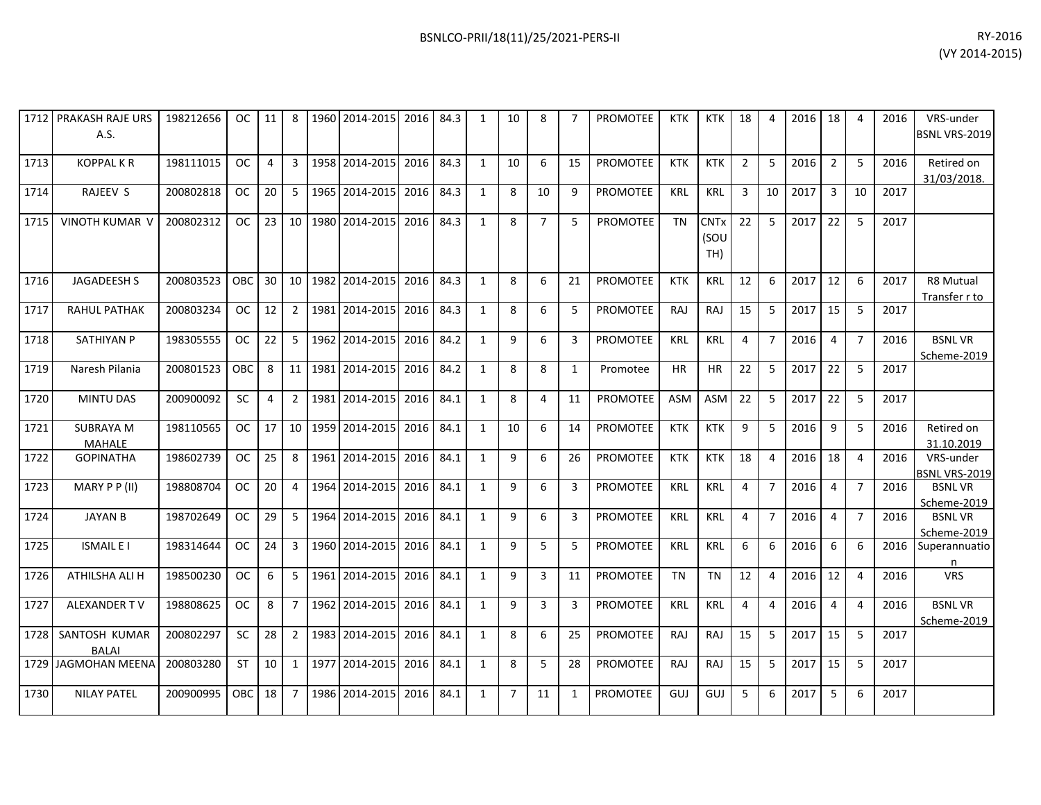| 1712 | <b>PRAKASH RAJE URS</b><br>A.S. | 198212656 | OC.        | 11             | 8              |      | 1960 2014-2015 | 2016 | 84.3 | $\mathbf{1}$   | 10             | 8              | $\overline{7}$ | <b>PROMOTEE</b> | <b>KTK</b> | <b>KTK</b>                            | 18             | 4              | 2016 | 18             | $\overline{4}$ | 2016 | VRS-under<br>BSNL VRS-2019        |
|------|---------------------------------|-----------|------------|----------------|----------------|------|----------------|------|------|----------------|----------------|----------------|----------------|-----------------|------------|---------------------------------------|----------------|----------------|------|----------------|----------------|------|-----------------------------------|
| 1713 | <b>KOPPAL KR</b>                | 198111015 | <b>OC</b>  | $\overline{4}$ | 3              |      | 1958 2014-2015 | 2016 | 84.3 | $\mathbf{1}$   | 10             | 6              | 15             | <b>PROMOTEE</b> | <b>KTK</b> | <b>KTK</b>                            | $\overline{2}$ | 5              | 2016 | $\overline{2}$ | 5              | 2016 | Retired on<br>31/03/2018.         |
| 1714 | RAJEEV S                        | 200802818 | OC.        | 20             | 5              |      | 1965 2014-2015 | 2016 | 84.3 | $\mathbf{1}$   | 8              | 10             | 9              | <b>PROMOTEE</b> | <b>KRL</b> | <b>KRL</b>                            | 3              | 10             | 2017 | $\overline{3}$ | 10             | 2017 |                                   |
| 1715 | <b>VINOTH KUMAR V</b>           | 200802312 | <b>OC</b>  | 23             | 10             |      | 1980 2014-2015 | 2016 | 84.3 | $\overline{1}$ | 8              | $\overline{7}$ | 5              | <b>PROMOTEE</b> | <b>TN</b>  | <b>CNT<sub>x</sub></b><br>(SOU<br>TH) | 22             | 5              | 2017 | 22             | 5              | 2017 |                                   |
| 1716 | <b>JAGADEESH S</b>              | 200803523 | <b>OBC</b> | 30             | 10             |      | 1982 2014-2015 | 2016 | 84.3 | 1              | 8              | 6              | 21             | <b>PROMOTEE</b> | <b>KTK</b> | <b>KRL</b>                            | 12             | 6              | 2017 | 12             | 6              | 2017 | <b>R8 Mutual</b><br>Transfer r to |
| 1717 | <b>RAHUL PATHAK</b>             | 200803234 | <b>OC</b>  | 12             | $\overline{2}$ |      | 1981 2014-2015 | 2016 | 84.3 | $\mathbf{1}$   | 8              | 6              | 5              | <b>PROMOTEE</b> | <b>RAJ</b> | RAJ                                   | 15             | 5              | 2017 | 15             | 5              | 2017 |                                   |
| 1718 | <b>SATHIYAN P</b>               | 198305555 | <b>OC</b>  | 22             | 5              | 1962 | 2014-2015      | 2016 | 84.2 | $\mathbf{1}$   | 9              | 6              | 3              | PROMOTEE        | <b>KRL</b> | KRL                                   | 4              | $\overline{7}$ | 2016 | $\overline{4}$ | $\overline{7}$ | 2016 | <b>BSNLVR</b><br>Scheme-2019      |
| 1719 | Naresh Pilania                  | 200801523 | <b>OBC</b> | 8              | 11             |      | 1981 2014-2015 | 2016 | 84.2 | $\mathbf{1}$   | 8              | 8              | 1              | Promotee        | <b>HR</b>  | <b>HR</b>                             | 22             | 5              | 2017 | 22             | 5              | 2017 |                                   |
| 1720 | <b>MINTU DAS</b>                | 200900092 | SC         | $\overline{4}$ | $2^{\circ}$    |      | 1981 2014-2015 | 2016 | 84.1 | $\mathbf{1}$   | 8              | 4              | 11             | <b>PROMOTEE</b> | <b>ASM</b> | ASM                                   | 22             | 5              | 2017 | 22             | 5              | 2017 |                                   |
| 1721 | <b>SUBRAYA M</b><br>MAHALE      | 198110565 | OC.        | 17             | 10             | 1959 | 2014-2015      | 2016 | 84.1 | $\mathbf{1}$   | 10             | 6              | 14             | PROMOTEE        | <b>KTK</b> | <b>KTK</b>                            | 9              | 5              | 2016 | 9              | 5              | 2016 | Retired on<br>31.10.2019          |
| 1722 | <b>GOPINATHA</b>                | 198602739 | OC.        | 25             | 8              |      | 1961 2014-2015 | 2016 | 84.1 | $\mathbf{1}$   | 9              | 6              | 26             | <b>PROMOTEE</b> | <b>KTK</b> | <b>KTK</b>                            | 18             | $\overline{a}$ | 2016 | 18             | $\overline{4}$ | 2016 | VRS-under<br><b>BSNL VRS-2019</b> |
| 1723 | MARY P P (II)                   | 198808704 | <b>OC</b>  | 20             | 4              |      | 1964 2014-2015 | 2016 | 84.1 | $\mathbf{1}$   | 9              | 6              | 3              | <b>PROMOTEE</b> | <b>KRL</b> | <b>KRL</b>                            | 4              | $\overline{7}$ | 2016 | $\overline{4}$ | $\overline{7}$ | 2016 | <b>BSNLVR</b><br>Scheme-2019      |
| 1724 | <b>JAYAN B</b>                  | 198702649 | OC.        | 29             | 5              |      | 1964 2014-2015 | 2016 | 84.1 | $\mathbf{1}$   | 9              | 6              | 3              | PROMOTEE        | <b>KRL</b> | <b>KRL</b>                            | 4              | $\overline{7}$ | 2016 | $\overline{4}$ | $\overline{7}$ | 2016 | <b>BSNLVR</b><br>Scheme-2019      |
| 1725 | <b>ISMAIL E I</b>               | 198314644 | <b>OC</b>  | 24             | $\mathbf{3}$   |      | 1960 2014-2015 | 2016 | 84.1 | $\mathbf{1}$   | 9              | 5              | 5              | <b>PROMOTEE</b> | <b>KRL</b> | <b>KRL</b>                            | 6              | 6              | 2016 | 6              | 6              | 2016 | Superannuatio<br>n                |
| 1726 | ATHILSHA ALI H                  | 198500230 | <b>OC</b>  | 6              | 5              |      | 1961 2014-2015 | 2016 | 84.1 | $\mathbf{1}$   | 9              | 3              | 11             | <b>PROMOTEE</b> | <b>TN</b>  | <b>TN</b>                             | 12             | 4              | 2016 | 12             | $\overline{4}$ | 2016 | <b>VRS</b>                        |
| 1727 | ALEXANDER TV                    | 198808625 | <b>OC</b>  | 8              | $\overline{7}$ |      | 1962 2014-2015 | 2016 | 84.1 | 1              | 9              | 3              | 3              | PROMOTEE        | <b>KRL</b> | <b>KRL</b>                            | 4              | 4              | 2016 | $\overline{4}$ | $\overline{4}$ | 2016 | <b>BSNLVR</b><br>Scheme-2019      |
| 1728 | SANTOSH KUMAR<br><b>BALAI</b>   | 200802297 | <b>SC</b>  | 28             | $\overline{2}$ |      | 1983 2014-2015 | 2016 | 84.1 | $\mathbf{1}$   | 8              | 6              | 25             | <b>PROMOTEE</b> | <b>RAJ</b> | <b>RAJ</b>                            | 15             | 5              | 2017 | 15             | 5              | 2017 |                                   |
| 1729 | <b>JAGMOHAN MEENA</b>           | 200803280 | <b>ST</b>  | 10             | $\mathbf{1}$   | 1977 | 2014-2015      | 2016 | 84.1 | $\mathbf{1}$   | 8              | 5              | 28             | PROMOTEE        | RAJ        | <b>RAJ</b>                            | 15             | 5              | 2017 | 15             | 5              | 2017 |                                   |
| 1730 | <b>NILAY PATEL</b>              | 200900995 | OBC.       | 18             | $\overline{7}$ | 1986 | 2014-2015      | 2016 | 84.1 | $\overline{1}$ | $\overline{7}$ | 11             | 1              | <b>PROMOTEE</b> | GUJ        | GUJ                                   | 5              | 6              | 2017 | 5              | 6              | 2017 |                                   |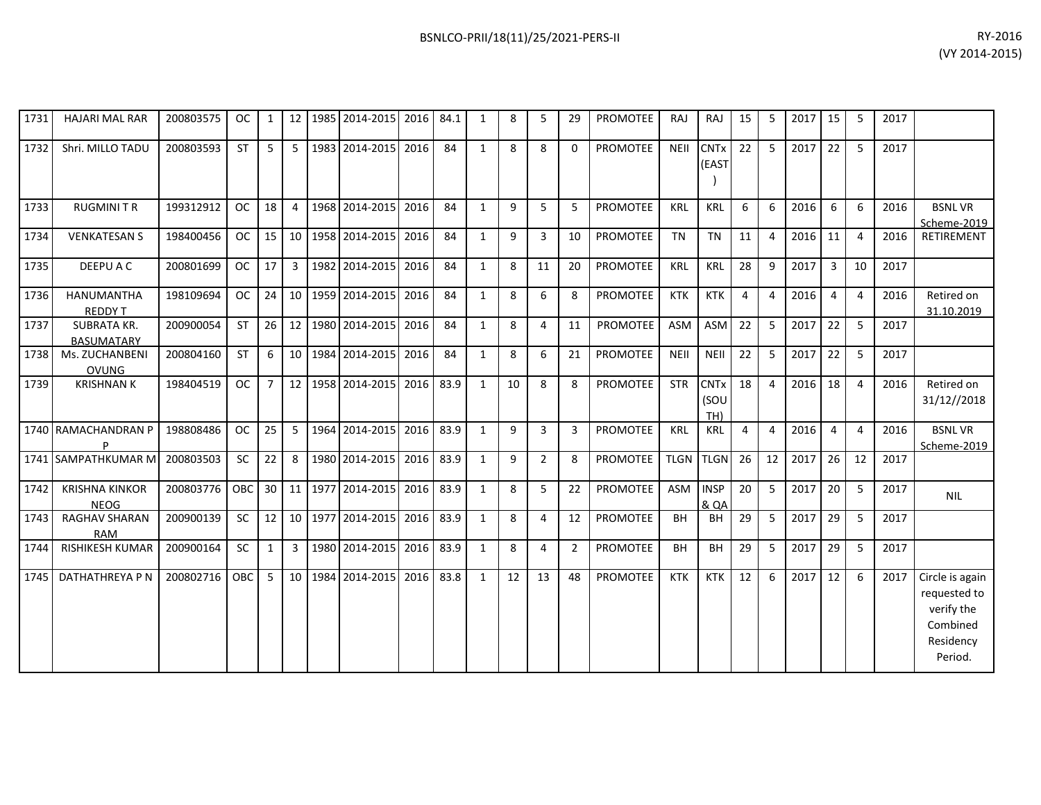| 1731 | <b>HAJARI MAL RAR</b>                   | 200803575 | <b>OC</b>     | 1              | 12              | 1985 2014-2015 | 2016 | 84.1 | 1            | 8  | 5              | 29             | <b>PROMOTEE</b> | RAJ         | RAJ                            | 15 | 5              | 2017 | 15             | -5             | 2017 |                                                                                   |
|------|-----------------------------------------|-----------|---------------|----------------|-----------------|----------------|------|------|--------------|----|----------------|----------------|-----------------|-------------|--------------------------------|----|----------------|------|----------------|----------------|------|-----------------------------------------------------------------------------------|
| 1732 | Shri. MILLO TADU                        | 200803593 | <b>ST</b>     | 5              | 5               | 1983 2014-2015 | 2016 | 84   | $\mathbf{1}$ | 8  | 8              | $\Omega$       | <b>PROMOTEE</b> | <b>NEII</b> | <b>CNTx</b><br>(EAST           | 22 | 5              | 2017 | 22             | 5              | 2017 |                                                                                   |
| 1733 | <b>RUGMINITR</b>                        | 199312912 | <sub>OC</sub> | 18             | 4               | 1968 2014-2015 | 2016 | 84   | $\mathbf{1}$ | 9  | 5              | 5              | <b>PROMOTEE</b> | KRL         | <b>KRL</b>                     | 6  | 6              | 2016 | 6              | 6              | 2016 | <b>BSNLVR</b><br>Scheme-2019                                                      |
| 1734 | <b>VENKATESAN S</b>                     | 198400456 | <b>OC</b>     | 15             | 10              | 1958 2014-2015 | 2016 | 84   | 1            | 9  | 3              | 10             | PROMOTEE        | <b>TN</b>   | <b>TN</b>                      | 11 | 4              | 2016 | 11             | $\overline{4}$ | 2016 | RETIREMENT                                                                        |
| 1735 | DEEPU A C                               | 200801699 | <b>OC</b>     | 17             | 3               | 1982 2014-2015 | 2016 | 84   | $\mathbf{1}$ | 8  | 11             | 20             | PROMOTEE        | <b>KRL</b>  | <b>KRL</b>                     | 28 | 9              | 2017 | $\overline{3}$ | 10             | 2017 |                                                                                   |
| 1736 | HANUMANTHA<br><b>REDDY T</b>            | 198109694 | <b>OC</b>     | 24             | 10              | 1959 2014-2015 | 2016 | 84   | $\mathbf{1}$ | 8  | 6              | 8              | PROMOTEE        | <b>KTK</b>  | <b>KTK</b>                     | 4  | 4              | 2016 | $\overline{4}$ | $\overline{4}$ | 2016 | Retired on<br>31.10.2019                                                          |
| 1737 | <b>SUBRATA KR.</b><br><b>BASUMATARY</b> | 200900054 | <b>ST</b>     | 26             | 12 <sup>1</sup> | 1980 2014-2015 | 2016 | 84   | $\mathbf{1}$ | 8  | 4              | 11             | <b>PROMOTEE</b> | ASM         | ASM                            | 22 | 5              | 2017 | 22             | 5              | 2017 |                                                                                   |
| 1738 | Ms. ZUCHANBENI<br><b>OVUNG</b>          | 200804160 | <b>ST</b>     | 6              | 10              | 1984 2014-2015 | 2016 | 84   | $\mathbf{1}$ | 8  | 6              | 21             | PROMOTEE        | <b>NEII</b> | NEII                           | 22 | 5              | 2017 | 22             | 5              | 2017 |                                                                                   |
| 1739 | <b>KRISHNAN K</b>                       | 198404519 | <b>OC</b>     | $\overline{7}$ | 12              | 1958 2014-2015 | 2016 | 83.9 | 1            | 10 | 8              | 8              | <b>PROMOTEE</b> | <b>STR</b>  | <b>CNTx</b><br>(SOU<br>TH)     | 18 | $\overline{4}$ | 2016 | 18             | $\overline{4}$ | 2016 | Retired on<br>31/12//2018                                                         |
|      | 1740 RAMACHANDRAN P                     | 198808486 | <b>OC</b>     | 25             | 5               | 1964 2014-2015 | 2016 | 83.9 | $\mathbf{1}$ | 9  | $\overline{3}$ | 3              | <b>PROMOTEE</b> | <b>KRL</b>  | <b>KRL</b>                     | 4  | $\overline{4}$ | 2016 | $\overline{4}$ | $\overline{4}$ | 2016 | <b>BSNLVR</b><br>Scheme-2019                                                      |
|      | 1741 SAMPATHKUMAR M                     | 200803503 | SC            | 22             | 8               | 1980 2014-2015 | 2016 | 83.9 | 1            | 9  | $\overline{2}$ | 8              | <b>PROMOTEE</b> | <b>TLGN</b> | <b>TLGN</b>                    | 26 | 12             | 2017 | 26             | 12             | 2017 |                                                                                   |
| 1742 | <b>KRISHNA KINKOR</b><br><b>NEOG</b>    | 200803776 | OBC           | 30             | 11              | 1977 2014-2015 | 2016 | 83.9 | 1            | 8  | 5              | 22             | PROMOTEE        | ASM         | <b>INSP</b><br><b>&amp; QA</b> | 20 | 5              | 2017 | 20             | 5              | 2017 | <b>NIL</b>                                                                        |
| 1743 | <b>RAGHAV SHARAN</b><br><b>RAM</b>      | 200900139 | SC            | 12             | 10              | 1977 2014-2015 | 2016 | 83.9 | 1            | 8  | 4              | 12             | <b>PROMOTEE</b> | <b>BH</b>   | <b>BH</b>                      | 29 | 5              | 2017 | 29             | 5              | 2017 |                                                                                   |
| 1744 | RISHIKESH KUMAR                         | 200900164 | <b>SC</b>     | $\mathbf{1}$   | 3               | 1980 2014-2015 | 2016 | 83.9 | 1            | 8  | 4              | $\overline{2}$ | PROMOTEE        | <b>BH</b>   | <b>BH</b>                      | 29 | 5              | 2017 | 29             | 5              | 2017 |                                                                                   |
| 1745 | DATHATHREYA P N                         | 200802716 | <b>OBC</b>    | 5              | 10              | 1984 2014-2015 | 2016 | 83.8 | $\mathbf{1}$ | 12 | 13             | 48             | <b>PROMOTEE</b> | <b>KTK</b>  | <b>KTK</b>                     | 12 | 6              | 2017 | 12             | 6              | 2017 | Circle is again<br>requested to<br>verify the<br>Combined<br>Residency<br>Period. |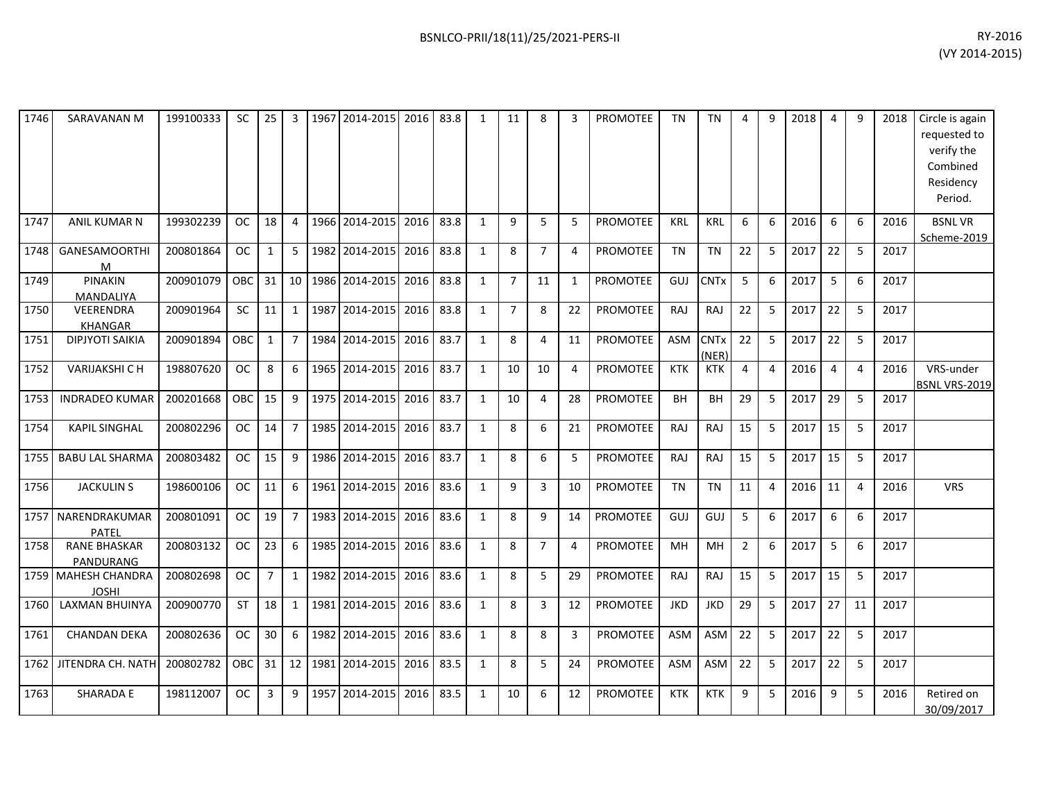| 1746 | SARAVANAN M                         | 199100333 | SC        | 25             | 3              | 1967 | 2014-2015      | 2016 | 83.8 | $\mathbf{1}$ | 11             | 8              | з              | <b>PROMOTEE</b> | <b>TN</b>  | <b>TN</b>            | 4              | q  | 2018 | $\overline{4}$ | q              | 2018 | Circle is again<br>requested to<br>verify the<br>Combined<br>Residency<br>Period. |
|------|-------------------------------------|-----------|-----------|----------------|----------------|------|----------------|------|------|--------------|----------------|----------------|----------------|-----------------|------------|----------------------|----------------|----|------|----------------|----------------|------|-----------------------------------------------------------------------------------|
| 1747 | ANIL KUMAR N                        | 199302239 | <b>OC</b> | 18             | $\overline{4}$ |      | 1966 2014-2015 | 2016 | 83.8 | $\mathbf{1}$ | 9              | 5              | 5              | <b>PROMOTEE</b> | <b>KRL</b> | <b>KRL</b>           | 6              | 6  | 2016 | 6              | 6              | 2016 | <b>BSNLVR</b><br>Scheme-2019                                                      |
| 1748 | <b>GANESAMOORTHI</b><br>M           | 200801864 | <b>OC</b> | $\mathbf{1}$   | 5              | 1982 | 2014-2015      | 2016 | 83.8 | $\mathbf{1}$ | 8              | $\overline{7}$ | 4              | <b>PROMOTEE</b> | <b>TN</b>  | <b>TN</b>            | 22             | 5  | 2017 | 22             | 5              | 2017 |                                                                                   |
| 1749 | PINAKIN<br>MANDALIYA                | 200901079 | OBC       | 31             | 10             |      | 1986 2014-2015 | 2016 | 83.8 | 1            | $\overline{7}$ | 11             | 1              | <b>PROMOTEE</b> | GUJ        | <b>CNTx</b>          | 5              | 6  | 2017 | 5              | 6              | 2017 |                                                                                   |
| 1750 | <b>VEERENDRA</b><br><b>KHANGAR</b>  | 200901964 | <b>SC</b> | 11             | $\mathbf{1}$   | 1987 | 2014-2015      | 2016 | 83.8 | 1            | $\overline{7}$ | 8              | 22             | <b>PROMOTEE</b> | RAJ        | RAJ                  | 22             | 5  | 2017 | 22             | 5              | 2017 |                                                                                   |
| 1751 | DIPJYOTI SAIKIA                     | 200901894 | OBC       | $\mathbf{1}$   | $\overline{7}$ | 1984 | 2014-2015      | 2016 | 83.7 | 1            | 8              | 4              | 11             | <b>PROMOTEE</b> | ASM        | <b>CNTx</b><br>(NER) | 22             | 5  | 2017 | 22             | 5              | 2017 |                                                                                   |
| 1752 | <b>VARIJAKSHI CH</b>                | 198807620 | <b>OC</b> | 8              | 6              | 1965 | 2014-2015      | 2016 | 83.7 | 1            | 10             | 10             | 4              | <b>PROMOTEE</b> | <b>KTK</b> | <b>KTK</b>           | 4              | 4  | 2016 | $\overline{4}$ | $\overline{4}$ | 2016 | VRS-under<br>BSNL VRS-2019                                                        |
| 1753 | <b>INDRADEO KUMAR</b>               | 200201668 | OBC       | 15             | 9              |      | 1975 2014-2015 | 2016 | 83.7 | 1            | 10             | 4              | 28             | <b>PROMOTEE</b> | <b>BH</b>  | BH                   | 29             | 5  | 2017 | 29             | 5              | 2017 |                                                                                   |
| 1754 | <b>KAPIL SINGHAL</b>                | 200802296 | <b>OC</b> | 14             | $\overline{7}$ |      | 1985 2014-2015 | 2016 | 83.7 | $\mathbf{1}$ | 8              | 6              | 21             | <b>PROMOTEE</b> | RAJ        | RAJ                  | 15             | 5  | 2017 | 15             | 5              | 2017 |                                                                                   |
| 1755 | <b>BABU LAL SHARMA</b>              | 200803482 | <b>OC</b> | 15             | 9              |      | 1986 2014-2015 | 2016 | 83.7 | 1            | 8              | 6              | 5              | PROMOTEE        | RAJ        | RAJ                  | 15             | 5  | 2017 | 15             | 5              | 2017 |                                                                                   |
| 1756 | <b>JACKULIN S</b>                   | 198600106 | <b>OC</b> | 11             | 6              | 1961 | 2014-2015      | 2016 | 83.6 | 1            | 9              | 3              | 10             | <b>PROMOTEE</b> | <b>TN</b>  | <b>TN</b>            | 11             | 4  | 2016 | 11             | $\overline{4}$ | 2016 | <b>VRS</b>                                                                        |
| 1757 | NARENDRAKUMAR<br>PATEL              | 200801091 | <b>OC</b> | 19             | $\overline{7}$ | 1983 | 2014-2015      | 2016 | 83.6 | 1            | 8              | 9              | 14             | <b>PROMOTEE</b> | GUJ        | GUJ                  | 5              | 6  | 2017 | 6              | 6              | 2017 |                                                                                   |
| 1758 | <b>RANE BHASKAR</b><br>PANDURANG    | 200803132 | <b>OC</b> | 23             | 6              | 1985 | 2014-2015      | 2016 | 83.6 | $\mathbf{1}$ | 8              | $\overline{7}$ | $\overline{4}$ | <b>PROMOTEE</b> | <b>MH</b>  | MH                   | $\overline{2}$ | 6  | 2017 | 5              | 6              | 2017 |                                                                                   |
|      | 1759 MAHESH CHANDRA<br><b>JOSHI</b> | 200802698 | <b>OC</b> | $\overline{7}$ | $\mathbf{1}$   | 1982 | 2014-2015      | 2016 | 83.6 | $\mathbf{1}$ | 8              | 5              | 29             | <b>PROMOTEE</b> | RAJ        | RAJ                  | 15             | 5  | 2017 | 15             | 5              | 2017 |                                                                                   |
| 1760 | LAXMAN BHUINYA                      | 200900770 | <b>ST</b> | 18             | $\mathbf{1}$   | 1981 | 2014-2015      | 2016 | 83.6 | 1            | 8              | 3              | 12             | <b>PROMOTEE</b> | <b>JKD</b> | <b>JKD</b>           | 29             | 5  | 2017 | 27             | 11             | 2017 |                                                                                   |
| 1761 | <b>CHANDAN DEKA</b>                 | 200802636 | <b>OC</b> | 30             | 6              |      | 1982 2014-2015 | 2016 | 83.6 | 1            | 8              | 8              | 3              | <b>PROMOTEE</b> | <b>ASM</b> | ASM                  | 22             | 5  | 2017 | 22             | 5              | 2017 |                                                                                   |
| 1762 | JITENDRA CH. NATH                   | 200802782 | OBC       | 31             | 12             | 1981 | 2014-2015      | 2016 | 83.5 | 1            | 8              | 5              | 24             | <b>PROMOTEE</b> | <b>ASM</b> | <b>ASM</b>           | 22             | -5 | 2017 | 22             | 5              | 2017 |                                                                                   |
| 1763 | SHARADA E                           | 198112007 | <b>OC</b> | 3              | 9              | 1957 | 2014-2015      | 2016 | 83.5 | $\mathbf{1}$ | 10             | 6              | 12             | <b>PROMOTEE</b> | <b>KTK</b> | <b>KTK</b>           | 9              | 5  | 2016 | 9              | 5              | 2016 | Retired on<br>30/09/2017                                                          |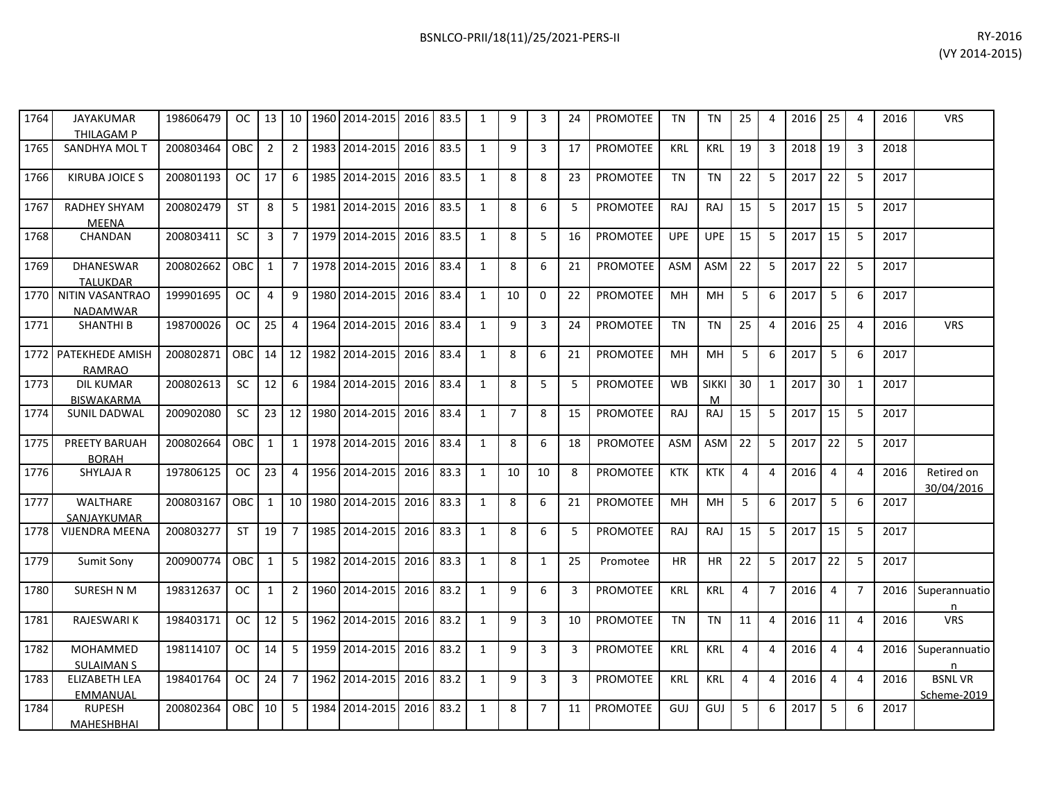| 1764 | <b>JAYAKUMAR</b><br><b>THILAGAM P</b> | 198606479 | OC.       | 13             | 10 <sup>1</sup> |      | 1960 2014-2015           | 2016 83.5 |      | 1            | 9              | 3              | 24 | PROMOTEE        | <b>TN</b>  | <b>TN</b>         | 25             | 4                       | 2016 | 25             | 4              | 2016 | <b>VRS</b>               |
|------|---------------------------------------|-----------|-----------|----------------|-----------------|------|--------------------------|-----------|------|--------------|----------------|----------------|----|-----------------|------------|-------------------|----------------|-------------------------|------|----------------|----------------|------|--------------------------|
| 1765 | <b>SANDHYA MOLT</b>                   | 200803464 | OBC       | $\overline{2}$ | $\overline{2}$  |      | 1983 2014-2015           | 2016      | 83.5 | 1            | 9              | $\overline{3}$ | 17 | <b>PROMOTEE</b> | <b>KRL</b> | KRL               | 19             | 3                       | 2018 | 19             | $\overline{3}$ | 2018 |                          |
| 1766 | <b>KIRUBA JOICE S</b>                 | 200801193 | <b>OC</b> | 17             | 6               |      | 1985 2014-2015           | 2016      | 83.5 | 1            | 8              | 8              | 23 | <b>PROMOTEE</b> | <b>TN</b>  | <b>TN</b>         | 22             | 5                       | 2017 | 22             | 5              | 2017 |                          |
| 1767 | <b>RADHEY SHYAM</b><br><b>MEENA</b>   | 200802479 | <b>ST</b> | 8              | 5               | 1981 | 2014-2015                | 2016      | 83.5 | $\mathbf{1}$ | 8              | 6              | 5  | <b>PROMOTEE</b> | <b>RAJ</b> | <b>RAJ</b>        | 15             | 5                       | 2017 | 15             | 5              | 2017 |                          |
| 1768 | CHANDAN                               | 200803411 | <b>SC</b> | 3              | $\overline{7}$  | 1979 | 2014-2015                | 2016      | 83.5 | 1            | 8              | 5              | 16 | <b>PROMOTEE</b> | <b>UPE</b> | <b>UPE</b>        | 15             | 5                       | 2017 | 15             | 5              | 2017 |                          |
| 1769 | DHANESWAR<br><b>TALUKDAR</b>          | 200802662 | OBC       | $\mathbf{1}$   | $\overline{7}$  |      | 1978 2014-2015           | 2016      | 83.4 | 1            | 8              | 6              | 21 | PROMOTEE        | ASM        | <b>ASM</b>        | 22             | -5                      | 2017 | 22             | 5              | 2017 |                          |
| 1770 | NITIN VASANTRAO<br>NADAMWAR           | 199901695 | <b>OC</b> | $\overline{4}$ | 9               |      | 1980 2014-2015           | 2016      | 83.4 | $\mathbf{1}$ | 10             | $\Omega$       | 22 | <b>PROMOTEE</b> | <b>MH</b>  | MH                | 5              | 6                       | 2017 | 5              | 6              | 2017 |                          |
| 1771 | <b>SHANTHI B</b>                      | 198700026 | <b>OC</b> | 25             | $\overline{4}$  |      | 1964 2014-2015           | 2016      | 83.4 | $\mathbf{1}$ | $\mathsf q$    | $\overline{3}$ | 24 | <b>PROMOTEE</b> | <b>TN</b>  | <b>TN</b>         | 25             | $\overline{\mathbf{A}}$ | 2016 | 25             | $\Delta$       | 2016 | <b>VRS</b>               |
| 1772 | PATEKHEDE AMISH<br><b>RAMRAO</b>      | 200802871 | OBC       | 14             | 12              |      | 1982 2014-2015           | 2016      | 83.4 | 1            | 8              | 6              | 21 | PROMOTEE        | <b>MH</b>  | MH                | 5              | 6                       | 2017 | 5              | 6              | 2017 |                          |
| 1773 | <b>DIL KUMAR</b><br><b>BISWAKARMA</b> | 200802613 | <b>SC</b> | 12             | 6               | 1984 | 2014-2015                | 2016      | 83.4 | 1            | 8              | 5              | 5  | <b>PROMOTEE</b> | <b>WB</b>  | <b>SIKKI</b><br>м | 30             | $\mathbf{1}$            | 2017 | 30             | $\mathbf{1}$   | 2017 |                          |
| 1774 | <b>SUNIL DADWAL</b>                   | 200902080 | <b>SC</b> | 23             | 12              |      | 1980 2014-2015           | 2016      | 83.4 | $\mathbf{1}$ | $\overline{7}$ | 8              | 15 | <b>PROMOTEE</b> | RAJ        | RAJ               | 15             | 5                       | 2017 | 15             | 5              | 2017 |                          |
| 1775 | <b>PREETY BARUAH</b><br><b>BORAH</b>  | 200802664 | OBC       | $\mathbf{1}$   | 1               |      | 1978 2014-2015           | 2016      | 83.4 | $\mathbf{1}$ | 8              | 6              | 18 | <b>PROMOTEE</b> | <b>ASM</b> | <b>ASM</b>        | 22             | 5                       | 2017 | 22             | 5              | 2017 |                          |
| 1776 | SHYLAJA R                             | 197806125 | <b>OC</b> | 23             | $\overline{4}$  |      | 1956 2014-2015           | 2016      | 83.3 | 1            | 10             | 10             | 8  | <b>PROMOTEE</b> | <b>KTK</b> | <b>KTK</b>        | 4              | 4                       | 2016 | 4              | 4              | 2016 | Retired on<br>30/04/2016 |
| 1777 | WALTHARE<br>SANJAYKUMAR               | 200803167 | OBC       | $\mathbf{1}$   | 10 <sup>1</sup> |      | 1980 2014-2015           | 2016      | 83.3 | 1            | 8              | 6              | 21 | <b>PROMOTEE</b> | <b>MH</b>  | MH                | 5              | 6                       | 2017 | 5              | 6              | 2017 |                          |
| 1778 | <b>VIJENDRA MEENA</b>                 | 200803277 | <b>ST</b> | 19             | $\overline{7}$  |      | 1985 2014-2015           | 2016      | 83.3 | 1            | 8              | 6              | 5  | <b>PROMOTEE</b> | RAJ        | RAJ               | 15             | 5                       | 2017 | 15             | 5              | 2017 |                          |
| 1779 | Sumit Sony                            | 200900774 | OBC       | $\mathbf{1}$   | 5               | 1982 | 2014-2015                | 2016      | 83.3 | 1            | 8              | $\mathbf{1}$   | 25 | Promotee        | <b>HR</b>  | <b>HR</b>         | 22             | 5                       | 2017 | 22             | 5              | 2017 |                          |
| 1780 | SURESH N M                            | 198312637 | <b>OC</b> | $\mathbf{1}$   | $\overline{2}$  |      | 1960 2014-2015           | 2016      | 83.2 | 1            | 9              | 6              | 3  | PROMOTEE        | <b>KRL</b> | <b>KRL</b>        | 4              | $\overline{7}$          | 2016 | $\overline{4}$ | $\overline{7}$ | 2016 | Superannuatio<br>n       |
| 1781 | <b>RAJESWARI K</b>                    | 198403171 | <b>OC</b> | 12             | 5               |      | 1962 2014-2015           | 2016      | 83.2 | 1            | 9              | 3              | 10 | <b>PROMOTEE</b> | <b>TN</b>  | TN                | 11             | 4                       | 2016 | 11             | $\overline{4}$ | 2016 | <b>VRS</b>               |
| 1782 | <b>MOHAMMED</b><br><b>SULAIMAN S</b>  | 198114107 | OC.       | 14             | 5               |      | 1959 2014-2015           | 2016      | 83.2 | 1            | 9              | 3              | 3  | <b>PROMOTEE</b> | <b>KRL</b> | KRL               | 4              | Δ                       | 2016 | 4              | 4              | 2016 | Superannuatio<br>n       |
| 1783 | <b>ELIZABETH LEA</b>                  | 198401764 | <b>OC</b> | 24             | $7^{\circ}$     |      | 1962 2014-2015 2016 83.2 |           |      | 1            | 9              | 3              | 3  | <b>PROMOTEE</b> | <b>KRL</b> | <b>KRL</b>        | $\overline{4}$ | 4                       | 2016 | $\overline{4}$ | 4              | 2016 | <b>BSNLVR</b>            |

200802364 OBC 10 5 1984 2014-2015 2016 83.2 1 8 7 11 PROMOTEE GUJ GUJ 5 6 2017 5 6 2017

EMMANUAL

MAHESHBHAI

1784 RUPESH

Scheme-2019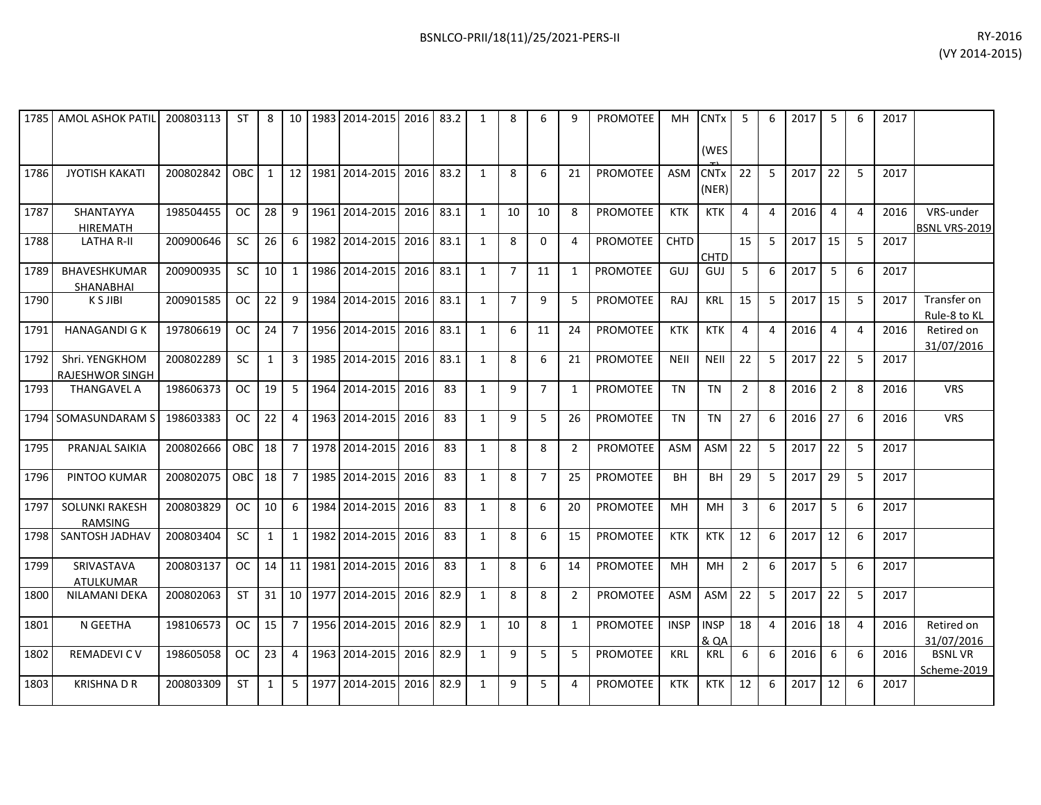| 1785 | <b>AMOL ASHOK PATIL</b>                 | 200803113 | <b>ST</b>  | 8               |    | 10 1983 | 2014-2015 2016      |      | 83.2 | 8              | 6              | 9              | <b>PROMOTEE</b> | MH          | <b>CNTx</b><br>(WES             | 5             | 6 | 2017 | 5              | 6              | 2017 |                             |
|------|-----------------------------------------|-----------|------------|-----------------|----|---------|---------------------|------|------|----------------|----------------|----------------|-----------------|-------------|---------------------------------|---------------|---|------|----------------|----------------|------|-----------------------------|
| 1786 | <b>JYOTISH KAKATI</b>                   | 200802842 | <b>OBC</b> |                 | 12 |         | 1981 2014-2015      | 2016 | 83.2 |                | 6              | 21             | <b>PROMOTEE</b> | <b>ASM</b>  | <b>CNT<sub>x</sub></b><br>(NER) | 22            | 5 | 2017 | 22             |                | 2017 |                             |
| 1787 | SHANTAYYA<br><b>HIREMATH</b>            | 198504455 | OC         | 28              | 9  |         | 1961 2014-2015      | 2016 | 83.1 | 10             | 10             | 8              | <b>PROMOTEE</b> | <b>KTK</b>  | <b>KTK</b>                      |               |   | 2016 | 4              | $\overline{4}$ | 2016 | VRS-under<br>BSNL VRS-2019  |
| 1788 | <b>LATHA R-II</b>                       | 200900646 | <b>SC</b>  | 26              | 6  |         | 1982 2014-2015 2016 |      | 83.1 | 8              | 0              | 4              | PROMOTEE        | <b>CHTD</b> | <b>CHTD</b>                     | 15            | 5 | 2017 | 15             | .5             | 2017 |                             |
| 1789 | <b>BHAVESHKUMAR</b><br><b>SHANABHAI</b> | 200900935 | <b>SC</b>  | 10 <sup>1</sup> |    |         | 1986 2014-2015 2016 |      | 83.1 | $\overline{7}$ | 11             | 1              | <b>PROMOTEE</b> | GUJ         | GUJ                             | 5             | 6 | 2017 | 5              | 6              | 2017 |                             |
| 1790 | K S JIBI                                | 200901585 | OC.        | 22              | 9  |         | 1984 2014-2015      | 2016 | 83.1 | $\overline{7}$ | 9              | 5              | <b>PROMOTEE</b> | RAJ         | <b>KRL</b>                      | 15            | 5 | 2017 | 15             | -5             | 2017 | Transfer on<br>Rule-8 to KL |
| 1791 | <b>HANAGANDI G K</b>                    | 197806619 | OC .       | 24 <sup>1</sup> |    |         | 1956 2014-2015 2016 |      | 83.1 | 6              | 11             | 24             | <b>PROMOTEE</b> | <b>KTK</b>  | <b>KTK</b>                      | 4             | 4 | 2016 | $\overline{4}$ | $\overline{4}$ | 2016 | Retired on<br>31/07/2016    |
| 1792 | Shri. YENGKHOM<br>RAJESHWOR SINGH       | 200802289 | <b>SC</b>  | $\mathbf{1}$    | 3  |         | 1985 2014-2015 2016 |      | 83.1 | 8              | 6              | 21             | <b>PROMOTEE</b> | <b>NEII</b> | <b>NEII</b>                     | 22            | 5 | 2017 | 22             | -5             | 2017 |                             |
| 1793 | <b>THANGAVEL A</b>                      | 198606373 | OC         | 19              | 5  |         | 1964 2014-2015 2016 |      | 83   | 9              | $\overline{7}$ | 1              | <b>PROMOTEE</b> | <b>TN</b>   | <b>TN</b>                       | $\mathcal{P}$ | 8 | 2016 | 2              | 8              | 2016 | <b>VRS</b>                  |
|      | 1794 <b> </b> SOMASUNDARAM S            | 198603383 | OC .       | 22 <sub>1</sub> |    |         | 1963 2014-2015      | 2016 | 83   | 9              | 5              | 26             | <b>PROMOTEE</b> | <b>TN</b>   | <b>TN</b>                       | 27            | 6 | 2016 | 27             | 6              | 2016 | <b>VRS</b>                  |
| 1795 | PRANJAL SAIKIA                          | 200802666 | OBC        | 18 <sup>1</sup> |    |         | 1978 2014-2015      | 2016 | 83   | 8              | 8              | $\overline{2}$ | <b>PROMOTEE</b> | ASM         | ASM                             | 22            | 5 | 2017 | 22             | .5             | 2017 |                             |

200803829 OC 10 6 1984 2014-2015 2016 83 1 8 6 20 PROMOTEE MH MH 3 6 2017 5 6 2017

200803137 OC 14 11 1981 2014-2015 2016 83 1 8 6 14 PROMOTEE MH MH 2 6 2017 5 6 2017

& QA<br>KRL

18 4 2016 18 4 2016 Retired on

31/07/2016<br>BSNL VR

Scheme-2019

1796| PINTOO KUMAR |200802075|OBC|18|7|1985|2014-2015|2016|83 | 1 | 8 | 7 | 25 |PROMOTEE | BH | BH | 29 | 5 |2017|29| 5 |2017

1798| SANTOSH JADHAV | 200803404 | SC | 1 | 1 | 1982|2014-2015| 2016 | 83 | 1 | 8 | 6 | 15 | PROMOTEE | KTK | KTK | 12 | 6 | 2017 | 12 | 6 | 2017

1800| NILAMANI DEKA |200802063|ST |31|10|1977|2014-2015|2016|82.9| 1 | 8 | 8 | 2 |PROMOTEE|ASM|ASM|22|5 |2017|22| 5 |2017

1803| KRISHNA D R | 200803309 | ST | 1 | 5 |1977|2014-2015| 2016|82.9| 1 | 9 | 5 | 4 |PROMOTEE| KTK | KTK | 12 | 6 | 2017|12| 6 | 2017

1802| REMADEVICV |198605058|OC|23|4|1963|2014-2015|2016|82.9| 1 | 9 | 5 | 5 |PROMOTEE | KRL | KRL | 6 | 6 | 2016|6 | 6 | 2016| BSNLVR

1801 N GEETHA 198106573 OC 15 7 1956 2014-2015 2016 82.9 1 10 8 1 PROMOTEE INSP INSP

1787

1789

1792

1797 SOLUNKI RAKESH

1799 SRIVASTAVA

RAMSING<br>SANTOSH JADHAV

ATULKUMAR<br>NILAMANI DEKA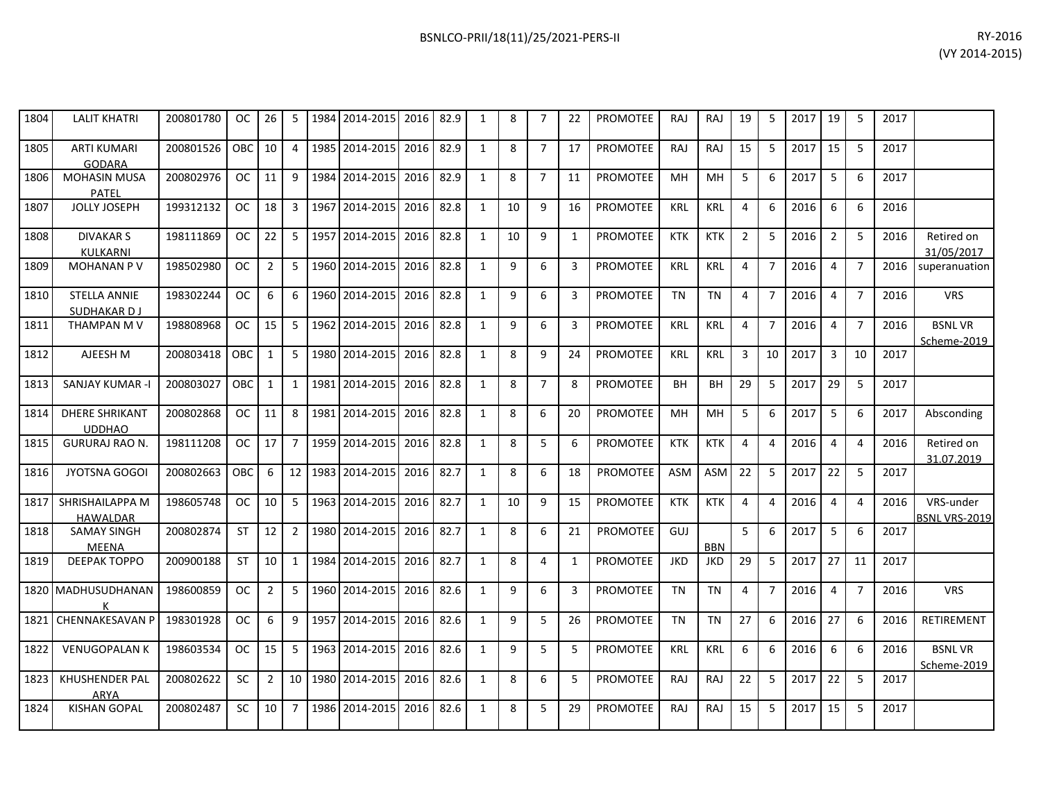| 1804 | <b>LALIT KHATRI</b>                    | 200801780 | OC.           | 26             | 5              | 1984 2014-2015    | 2016 | 82.9 | 1            | 8  | 7              | 22 | <b>PROMOTEE</b> | <b>RAJ</b> | RAJ        | 19             | 5              | 2017 | 19             | 5              | 2017 |                              |
|------|----------------------------------------|-----------|---------------|----------------|----------------|-------------------|------|------|--------------|----|----------------|----|-----------------|------------|------------|----------------|----------------|------|----------------|----------------|------|------------------------------|
| 1805 | <b>ARTI KUMARI</b><br>GODARA           | 200801526 | OBC           | 10             | $\overline{4}$ | 1985 2014-2015    | 2016 | 82.9 | $\mathbf{1}$ | 8  | $\overline{7}$ | 17 | <b>PROMOTEE</b> | <b>RAJ</b> | RAJ        | 15             | 5              | 2017 | 15             | 5              | 2017 |                              |
| 1806 | <b>MOHASIN MUSA</b><br>PATEL           | 200802976 | <b>OC</b>     | 11             | 9              | 1984 2014-2015    | 2016 | 82.9 | $\mathbf{1}$ | 8  | $\overline{7}$ | 11 | <b>PROMOTEE</b> | <b>MH</b>  | MH         | 5              | 6              | 2017 | 5              | 6              | 2017 |                              |
| 1807 | <b>JOLLY JOSEPH</b>                    | 199312132 | <b>OC</b>     | 18             | $\mathbf{3}$   | 1967 2014-2015    | 2016 | 82.8 | $\mathbf{1}$ | 10 | 9              | 16 | <b>PROMOTEE</b> | <b>KRL</b> | <b>KRL</b> | 4              | 6              | 2016 | 6              | 6              | 2016 |                              |
| 1808 | <b>DIVAKAR S</b><br>KULKARNI           | 198111869 | OC.           | 22             | 5 <sup>1</sup> | 1957 2014-2015    | 2016 | 82.8 | 1            | 10 | 9              | 1  | <b>PROMOTEE</b> | <b>KTK</b> | <b>KTK</b> | $\overline{2}$ | 5              | 2016 | $\overline{2}$ | 5              | 2016 | Retired on<br>31/05/2017     |
| 1809 | MOHANAN P V                            | 198502980 | <b>OC</b>     | $\overline{2}$ | 5              | 1960 2014-2015    | 2016 | 82.8 | $\mathbf{1}$ | 9  | 6              | 3  | <b>PROMOTEE</b> | <b>KRL</b> | <b>KRL</b> | 4              | $\overline{7}$ | 2016 | $\overline{4}$ | $\overline{7}$ | 2016 | superanuation                |
| 1810 | <b>STELLA ANNIE</b><br>SUDHAKAR DJ     | 198302244 | <b>OC</b>     | 6              | 6              | 1960 2014-2015    | 2016 | 82.8 | 1            | 9  | 6              | 3  | <b>PROMOTEE</b> | TN         | <b>TN</b>  | 4              | $\overline{7}$ | 2016 | 4              | 7              | 2016 | <b>VRS</b>                   |
| 1811 | THAMPAN M V                            | 198808968 | <sub>OC</sub> | 15             | 5 <sup>5</sup> | 1962 2014-2015    | 2016 | 82.8 | 1            | 9  | 6              | 3  | <b>PROMOTEE</b> | <b>KRL</b> | <b>KRL</b> | 4              | $\overline{7}$ | 2016 | $\overline{4}$ | $\overline{7}$ | 2016 | <b>BSNLVR</b><br>Scheme-2019 |
| 1812 | AJEESH M                               | 200803418 | OBC           | $\mathbf{1}$   | 5 <sub>1</sub> | 1980 2014-2015    | 2016 | 82.8 | $\mathbf{1}$ | 8  | 9              | 24 | <b>PROMOTEE</b> | <b>KRL</b> | <b>KRL</b> | 3              | 10             | 2017 | $\overline{3}$ | 10             | 2017 |                              |
| 1813 | <b>SANJAY KUMAR -I</b>                 | 200803027 | OBC           | $\mathbf{1}$   | $\mathbf{1}$   | 1981 2014-2015    | 2016 | 82.8 | 1            | 8  | $\overline{7}$ | 8  | <b>PROMOTEE</b> | <b>BH</b>  | <b>BH</b>  | 29             | 5              | 2017 | 29             | -5             | 2017 |                              |
| 1814 | <b>DHERE SHRIKANT</b><br><b>UDDHAO</b> | 200802868 | <b>OC</b>     | 11             | 8              | 1981 2014-2015    | 2016 | 82.8 | $\mathbf{1}$ | 8  | 6              | 20 | <b>PROMOTEE</b> | <b>MH</b>  | MH         | 5              | 6              | 2017 | 5              | 6              | 2017 | Absconding                   |
| 1815 | <b>GURURAJ RAO N.</b>                  | 198111208 | OC.           | 17             | $7^{\circ}$    | 1959 2014-2015    | 2016 | 82.8 | 1            | 8  | 5              | 6  | <b>PROMOTEE</b> | <b>KTK</b> | <b>KTK</b> | 4              | 4              | 2016 | $\overline{4}$ | 4              | 2016 | Retired on<br>31.07.2019     |
| 1816 | <b>JYOTSNA GOGOI</b>                   | 200802663 | OBC           | 6              | 12             | 1983 2014-2015    | 2016 | 82.7 | $\mathbf{1}$ | 8  | 6              | 18 | <b>PROMOTEE</b> | <b>ASM</b> | <b>ASM</b> | 22             | 5              | 2017 | 22             | 5              | 2017 |                              |
| 1817 | SHRISHAILAPPA M<br><b>HAWALDAR</b>     | 198605748 | <b>OC</b>     | 10             | 5 <sup>5</sup> | 1963 2014-2015    | 2016 | 82.7 | 1            | 10 | 9              | 15 | <b>PROMOTEE</b> | <b>KTK</b> | <b>KTK</b> | 4              | 4              | 2016 | $\overline{4}$ | 4              | 2016 | VRS-under<br>BSNL VRS-2019   |
| 1818 | <b>SAMAY SINGH</b><br>MEENA            | 200802874 | <b>ST</b>     | 12             | $\overline{2}$ | 1980 2014-2015    | 2016 | 82.7 | 1            | 8  | 6              | 21 | <b>PROMOTEE</b> | GUJ        | <b>BBN</b> | 5              | 6              | 2017 | 5              | 6              | 2017 |                              |
| 1819 | <b>DEEPAK TOPPO</b>                    | 200900188 | ST            | 10             | 1              | 1984 2014-2015    | 2016 | 82.7 | $\mathbf{1}$ | 8  | $\overline{4}$ | 1  | <b>PROMOTEE</b> | <b>JKD</b> | <b>JKD</b> | 29             | 5              | 2017 | 27             | 11             | 2017 |                              |
|      | 1820 MADHUSUDHANAN<br>к                | 198600859 | OC.           | $\overline{2}$ | 5              | 1960 2014-2015    | 2016 | 82.6 | 1            | 9  | 6              | 3  | <b>PROMOTEE</b> | TN         | <b>TN</b>  | 4              | $\overline{7}$ | 2016 | $\overline{4}$ | 7              | 2016 | <b>VRS</b>                   |
| 1821 | <b>CHENNAKESAVAN P</b>                 | 198301928 | <b>OC</b>     | 6              | 9              | 1957 2014-2015    | 2016 | 82.6 | $\mathbf{1}$ | 9  | 5              | 26 | <b>PROMOTEE</b> | <b>TN</b>  | <b>TN</b>  | 27             | 6              | 2016 | 27             | 6              | 2016 | <b>RETIREMENT</b>            |
| 1822 | <b>VENUGOPALAN K</b>                   | 198603534 | <b>OC</b>     | 15             | 5              | 1963 2014-2015    | 2016 | 82.6 | $\mathbf{1}$ | 9  | 5              | 5  | PROMOTEE        | <b>KRL</b> | <b>KRL</b> | 6              | 6              | 2016 | 6              | 6              | 2016 | <b>BSNLVR</b><br>Scheme-2019 |
| 1823 | KHUSHENDER PAL<br>ARYA                 | 200802622 | <b>SC</b>     | $\overline{2}$ |                | 10 1980 2014-2015 | 2016 | 82.6 | 1            | 8  | 6              | 5  | <b>PROMOTEE</b> | <b>RAJ</b> | RAJ        | 22             | 5              | 2017 | 22             | 5              | 2017 |                              |
| 1824 | <b>KISHAN GOPAL</b>                    | 200802487 | <b>SC</b>     | 10             | $7^{\circ}$    | 1986 2014-2015    | 2016 | 82.6 | 1            | 8  | 5              | 29 | <b>PROMOTEE</b> | <b>RAJ</b> | RAJ        | 15             | 5              | 2017 | 15             | 5              | 2017 |                              |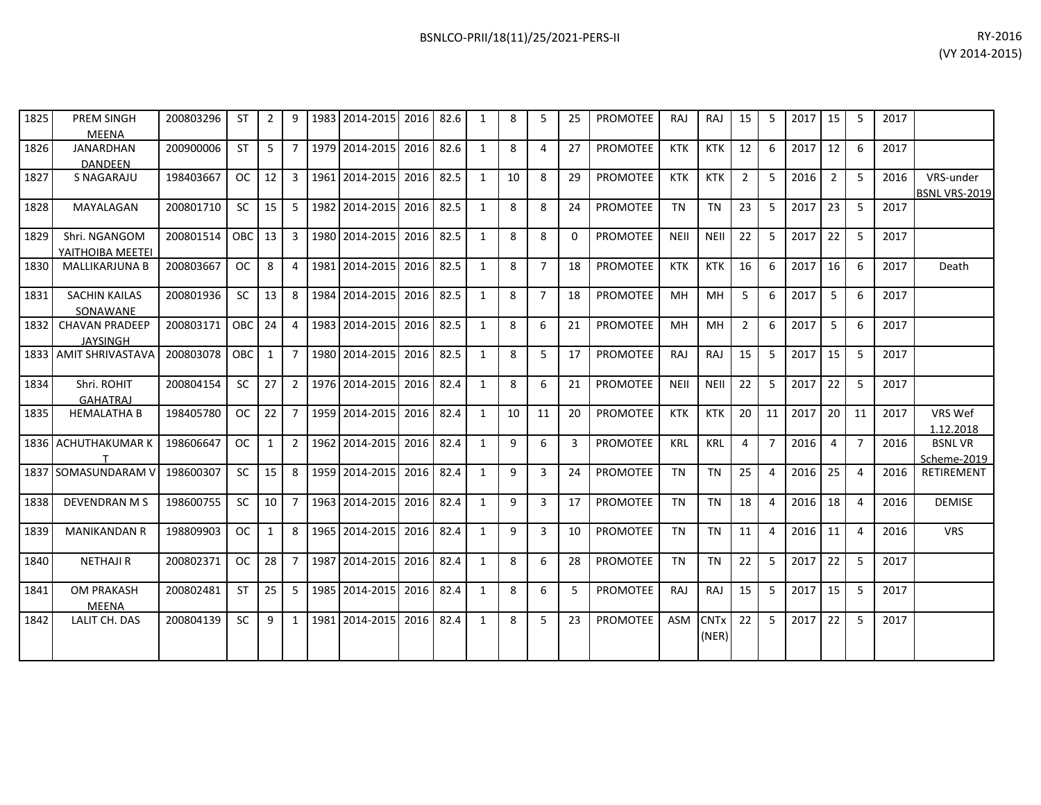| 1825 | <b>PREM SINGH</b><br>MEENA               | 200803296 | <b>ST</b>  | $\overline{2}$ | 9              | 1983 2014-2015 | 2016      | 82.6 |              | 8  | 5              | 25       | <b>PROMOTEE</b> | RA.         | RAJ         | 15             | 5  | 2017 | 15             | -5             | 2017 |                              |
|------|------------------------------------------|-----------|------------|----------------|----------------|----------------|-----------|------|--------------|----|----------------|----------|-----------------|-------------|-------------|----------------|----|------|----------------|----------------|------|------------------------------|
| 1826 | <b>JANARDHAN</b><br><b>DANDEEN</b>       | 200900006 | <b>ST</b>  | 5              | $\overline{7}$ | 1979 2014-2015 | 2016      | 82.6 | $\mathbf{1}$ | 8  | 4              | 27       | <b>PROMOTEE</b> | <b>KTK</b>  | <b>KTK</b>  | 12             | 6  | 2017 | 12             | 6              | 2017 |                              |
| 1827 | S NAGARAJU                               | 198403667 | <b>OC</b>  | 12             | 3              | 1961 2014-2015 | 2016      | 82.5 | 1            | 10 | 8              | 29       | <b>PROMOTEE</b> | <b>KTK</b>  | <b>KTK</b>  | $\overline{2}$ | 5  | 2016 | $\overline{2}$ | 5              | 2016 | VRS-under<br>BSNL VRS-2019   |
| 1828 | MAYALAGAN                                | 200801710 | <b>SC</b>  | 15             | 5              | 1982 2014-2015 | 2016      | 82.5 | 1            | 8  | 8              | 24       | <b>PROMOTEE</b> | <b>TN</b>   | <b>TN</b>   | 23             | 5  | 2017 | 23             | 5              | 2017 |                              |
| 1829 | Shri. NGANGOM<br>YAITHOIBA MEETEI        | 200801514 | OBC        | 13             | 3              | 1980 2014-2015 | 2016      | 82.5 | 1            | 8  | 8              | $\Omega$ | <b>PROMOTEE</b> | <b>NEII</b> | <b>NEII</b> | 22             | 5  | 2017 | 22             | -5             | 2017 |                              |
| 1830 | <b>MALLIKARJUNA B</b>                    | 200803667 | <b>OC</b>  | 8              | 4              | 1981 2014-2015 | 2016      | 82.5 | $\mathbf{1}$ | 8  | $\overline{7}$ | 18       | <b>PROMOTEE</b> | <b>KTK</b>  | <b>KTK</b>  | 16             | 6  | 2017 | 16             | 6              | 2017 | Death                        |
| 1831 | <b>SACHIN KAILAS</b><br>SONAWANE         | 200801936 | <b>SC</b>  | 13             | 8              | 1984 2014-2015 | 2016      | 82.5 | 1            | 8  | $\overline{7}$ | 18       | <b>PROMOTEE</b> | MH          | MH          | 5              | 6  | 2017 | 5              | 6              | 2017 |                              |
| 1832 | <b>CHAVAN PRADEEP</b><br><b>JAYSINGH</b> | 200803171 | OBC        | 24             | 4              | 1983 2014-2015 | 2016      | 82.5 | $\mathbf{1}$ | 8  | 6              | 21       | <b>PROMOTEE</b> | MH          | MH          | $\overline{2}$ | 6  | 2017 | 5              | 6              | 2017 |                              |
| 1833 | <b>AMIT SHRIVASTAVA</b>                  | 200803078 | <b>OBC</b> | $\mathbf{1}$   | $\overline{7}$ | 1980 2014-2015 | 2016      | 82.5 | $\mathbf{1}$ | 8  | 5              | 17       | <b>PROMOTEE</b> | <b>RAJ</b>  | RAJ         | 15             | 5  | 2017 | 15             | 5              | 2017 |                              |
| 1834 | Shri. ROHIT<br><b>GAHATRAJ</b>           | 200804154 | <b>SC</b>  | 27             | $2^{\circ}$    | 1976 2014-2015 | 2016      | 82.4 | $\mathbf{1}$ | 8  | 6              | 21       | <b>PROMOTEE</b> | <b>NEII</b> | <b>NEII</b> | 22             | 5  | 2017 | 22             | 5              | 2017 |                              |
| 1835 | <b>HEMALATHA B</b>                       | 198405780 | <b>OC</b>  | 22             | 7              | 1959 2014-2015 | 2016      | 82.4 | 1            | 10 | 11             | 20       | <b>PROMOTEE</b> | <b>KTK</b>  | <b>KTK</b>  | 20             | 11 | 2017 | 20             | 11             | 2017 | VRS Wef<br>1.12.2018         |
|      | 1836 ACHUTHAKUMARK                       | 198606647 | <b>OC</b>  | $\mathbf{1}$   | $\mathbf{2}$   | 1962 2014-2015 | 2016      | 82.4 | 1            | 9  | 6              | 3        | <b>PROMOTEE</b> | <b>KRL</b>  | <b>KRL</b>  | 4              | 7  | 2016 | 4              | $\overline{7}$ | 2016 | <b>BSNLVR</b><br>Scheme-2019 |
| 1837 | <b>SOMASUNDARAM \</b>                    | 198600307 | <b>SC</b>  | 15             | 8              | 1959 2014-2015 | 2016      | 82.4 | 1            | 9  | 3              | 24       | <b>PROMOTEE</b> | <b>TN</b>   | <b>TN</b>   | 25             | 4  | 2016 | 25             | 4              | 2016 | <b>RETIREMENT</b>            |
| 1838 | <b>DEVENDRAN M S</b>                     | 198600755 | <b>SC</b>  | 10             | 7              | 1963 2014-2015 | 2016      | 82.4 | $\mathbf{1}$ | 9  | 3              | 17       | PROMOTEE        | <b>TN</b>   | <b>TN</b>   | 18             | 4  | 2016 | 18             | $\overline{4}$ | 2016 | <b>DEMISE</b>                |
| 1839 | <b>MANIKANDAN R</b>                      | 198809903 | <b>OC</b>  | 1              | 8              | 1965 2014-2015 | 2016      | 82.4 | 1            | 9  | 3              | 10       | <b>PROMOTEE</b> | <b>TN</b>   | <b>TN</b>   | 11             | 4  | 2016 | 11             | $\overline{4}$ | 2016 | <b>VRS</b>                   |
| 1840 | <b>NETHAJI R</b>                         | 200802371 | <b>OC</b>  | 28             |                | 1987 2014-2015 | 2016      | 82.4 | 1            | 8  | 6              | 28       | <b>PROMOTEE</b> | <b>TN</b>   | <b>TN</b>   | 22             | 5  | 2017 | 22             | 5              | 2017 |                              |
| 1841 | <b>OM PRAKASH</b><br><b>MEENA</b>        | 200802481 | <b>ST</b>  | 25             | 5.             | 1985 2014-2015 | 2016      | 82.4 | 1            | 8  | 6              | 5        | <b>PROMOTEE</b> | RAJ         | RAJ         | 15             | 5  | 2017 | 15             | 5              | 2017 |                              |
| 1842 | LALIT CH. DAS                            | 200804139 | <b>SC</b>  | 9              | 1              | 1981 2014-2015 | 2016 82.4 |      | $\mathbf{1}$ | 8  | 5              | 23       | <b>PROMOTEE</b> |             | ASM CNTx    | 22             | 5  | 2017 | 22             | 5              | 2017 |                              |

(NER)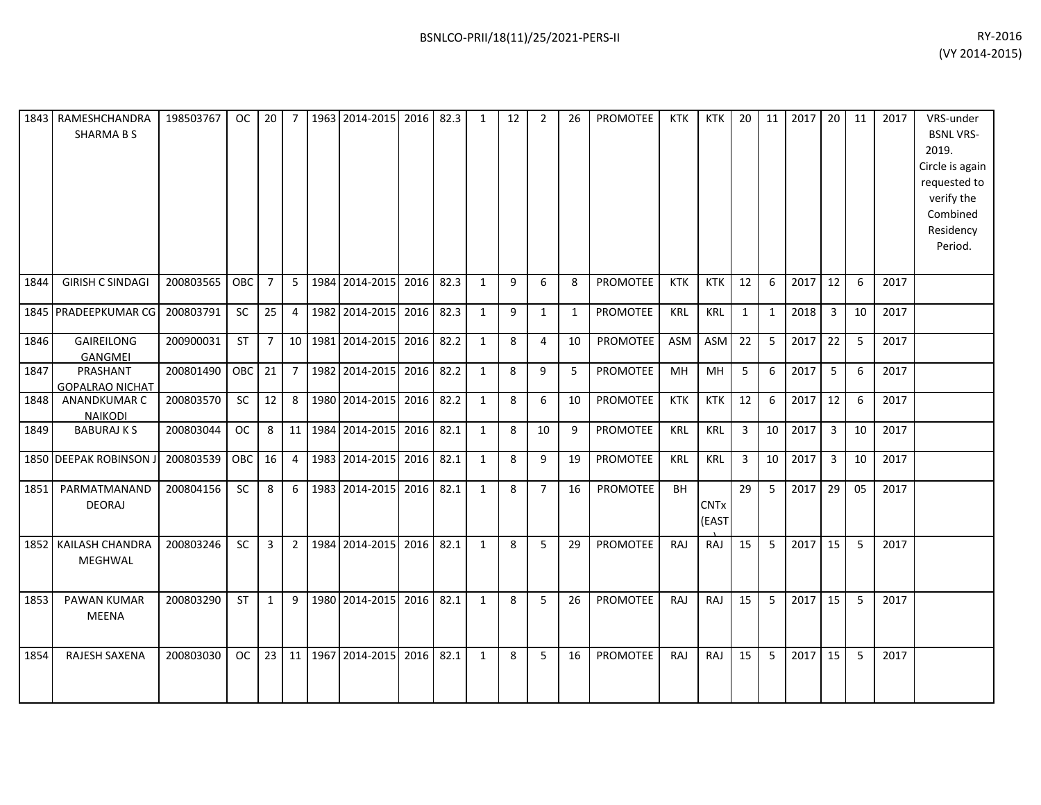|      | 1843   RAMESHCHANDRA<br><b>SHARMABS</b> | 198503767 | <sub>OC</sub> | 20             | $\overline{7}$  | 1963 2014-2015    | 2016 82.3 |      | 1            | 12 | $\overline{2}$ | 26 | PROMOTEE        | KTK        | <b>KTK</b>           | 20              | 11 | 2017 | 20             | 11 | 2017 | VRS-under<br><b>BSNL VRS-</b><br>2019.<br>Circle is again<br>requested to<br>verify the<br>Combined<br>Residency<br>Period. |
|------|-----------------------------------------|-----------|---------------|----------------|-----------------|-------------------|-----------|------|--------------|----|----------------|----|-----------------|------------|----------------------|-----------------|----|------|----------------|----|------|-----------------------------------------------------------------------------------------------------------------------------|
| 1844 | <b>GIRISH C SINDAGI</b>                 | 200803565 | <b>OBC</b>    | $\overline{7}$ | 5               | 1984 2014-2015    | 2016      | 82.3 | 1            | 9  | 6              | 8  | <b>PROMOTEE</b> | <b>KTK</b> | <b>KTK</b>           | 12              | 6  | 2017 | 12             | 6  | 2017 |                                                                                                                             |
|      | 1845 PRADEEPKUMAR CG                    | 200803791 | SC            | 25             | 4               | 1982 2014-2015    | 2016      | 82.3 | 1            | 9  | $\mathbf{1}$   | 1  | PROMOTEE        | <b>KRL</b> | <b>KRL</b>           | $\mathbf{1}$    | 1  | 2018 | $\overline{3}$ | 10 | 2017 |                                                                                                                             |
| 1846 | <b>GAIREILONG</b><br>GANGMEI            | 200900031 | ST            | $\overline{7}$ | 10 <sup>1</sup> | 1981 2014-2015    | 2016      | 82.2 | $\mathbf{1}$ | 8  | 4              | 10 | PROMOTEE        | ASM        | ASM                  | 22              | 5  | 2017 | 22             | 5  | 2017 |                                                                                                                             |
| 1847 | PRASHANT<br><b>GOPALRAO NICHAT</b>      | 200801490 | OBC           | 21             | $\overline{7}$  | 1982 2014-2015    | 2016      | 82.2 | 1            | 8  | 9              | 5  | PROMOTEE        | MН         | <b>MH</b>            | 5               | 6  | 2017 | 5              | 6  | 2017 |                                                                                                                             |
| 1848 | ANANDKUMAR C<br><b>NAIKODI</b>          | 200803570 | <b>SC</b>     | 12             | 8               | 1980 2014-2015    | 2016      | 82.2 | $\mathbf{1}$ | 8  | 6              | 10 | <b>PROMOTEE</b> | KTK        | <b>KTK</b>           | 12              | 6  | 2017 | 12             | 6  | 2017 |                                                                                                                             |
| 1849 | <b>BABURAJ K S</b>                      | 200803044 | <b>OC</b>     | 8              | 11              | 1984 2014-2015    | 2016      | 82.1 | $\mathbf{1}$ | 8  | 10             | 9  | <b>PROMOTEE</b> | <b>KRL</b> | <b>KRL</b>           | 3               | 10 | 2017 | $\overline{3}$ | 10 | 2017 |                                                                                                                             |
|      | 1850 DEEPAK ROBINSON J                  | 200803539 | OBC           | 16             | $\overline{4}$  | 1983 2014-2015    | 2016      | 82.1 | $\mathbf{1}$ | 8  | 9              | 19 | <b>PROMOTEE</b> | <b>KRL</b> | KRL                  | $\overline{3}$  | 10 | 2017 | 3              | 10 | 2017 |                                                                                                                             |
| 1851 | PARMATMANAND<br><b>DEORAJ</b>           | 200804156 | <b>SC</b>     | 8              | 6               | 1983 2014-2015    | 2016 82.1 |      | 1            | 8  | $\overline{7}$ | 16 | PROMOTEE        | BH         | <b>CNTx</b><br>(EAST | 29              | 5  | 2017 | 29             | 05 | 2017 |                                                                                                                             |
|      | 1852 KAILASH CHANDRA<br>MEGHWAL         | 200803246 | <b>SC</b>     | $\overline{3}$ | $\overline{2}$  | 1984 2014-2015    | 2016      | 82.1 | 1            | 8  | 5              | 29 | <b>PROMOTEE</b> | RAJ        | RAJ                  | 15 <sup>1</sup> | 5  | 2017 | 15             | 5  | 2017 |                                                                                                                             |
| 1853 | <b>PAWAN KUMAR</b><br><b>MEENA</b>      | 200803290 | <b>ST</b>     | $\mathbf{1}$   | 9               | 1980 2014-2015    | 2016      | 82.1 | $\mathbf{1}$ | 8  | 5              | 26 | PROMOTEE        | RAJ        | <b>RAJ</b>           | 15              | 5  | 2017 | 15             | 5  | 2017 |                                                                                                                             |
| 1854 | <b>RAJESH SAXENA</b>                    | 200803030 | OC            | 23             |                 | 11 1967 2014-2015 | 2016      | 82.1 | 1            | 8  | 5              | 16 | <b>PROMOTEE</b> | RAJ        | <b>RAJ</b>           | 15              | 5  | 2017 | 15             | 5  | 2017 |                                                                                                                             |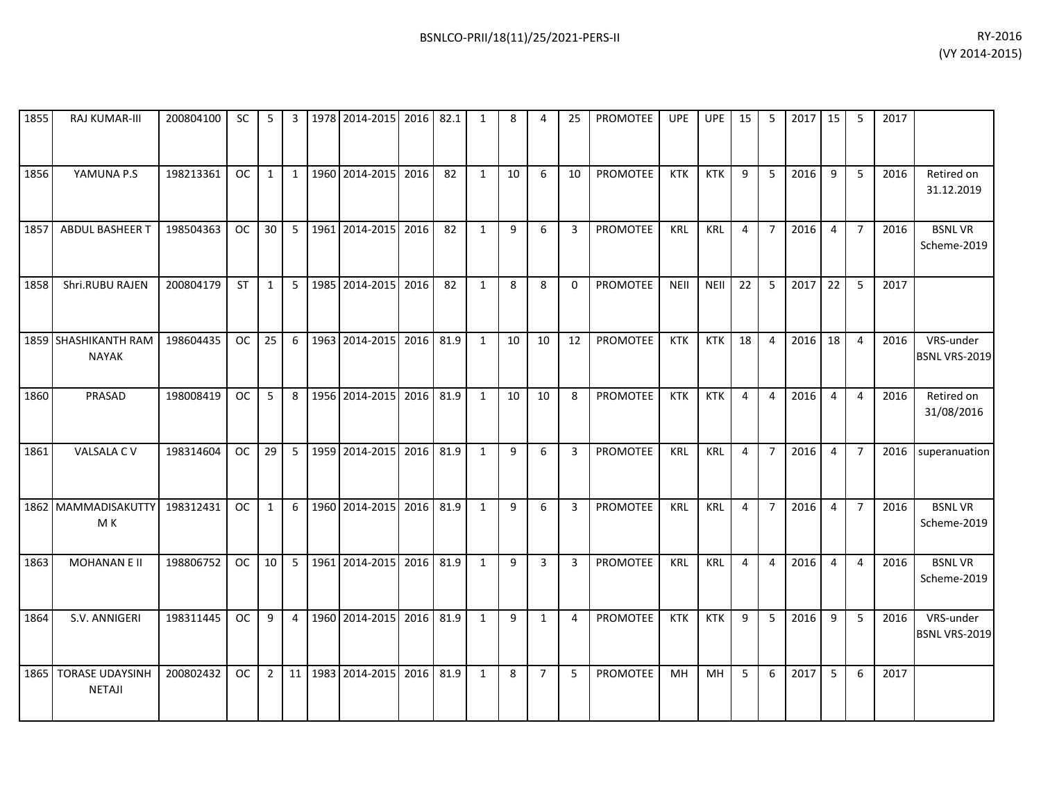| 1855 | RAJ KUMAR-III                        | 200804100 | <b>SC</b> | 5              | 3            |      | 1978 2014-2015      | 2016 | 82.1 | 1            | 8  | 4              | 25             | <b>PROMOTEE</b> | <b>UPE</b>  | <b>UPE</b>  | 15             | 5              | 2017 | 15             | -5             | 2017 |                              |
|------|--------------------------------------|-----------|-----------|----------------|--------------|------|---------------------|------|------|--------------|----|----------------|----------------|-----------------|-------------|-------------|----------------|----------------|------|----------------|----------------|------|------------------------------|
| 1856 | YAMUNA P.S                           | 198213361 | <b>OC</b> | $\mathbf{1}$   | $\mathbf{1}$ | 1960 | 2014-2015           | 2016 | 82   | 1            | 10 | 6              | 10             | PROMOTEE        | <b>KTK</b>  | <b>KTK</b>  | 9              | 5              | 2016 | 9              | 5              | 2016 | Retired on<br>31.12.2019     |
| 1857 | ABDUL BASHEER T                      | 198504363 | <b>OC</b> | 30             | 5            | 1961 | 2014-2015           | 2016 | 82   | $\mathbf{1}$ | 9  | 6              | 3              | PROMOTEE        | <b>KRL</b>  | <b>KRL</b>  | 4              | $\overline{7}$ | 2016 | $\overline{4}$ | $\overline{7}$ | 2016 | <b>BSNLVR</b><br>Scheme-2019 |
| 1858 | Shri.RUBU RAJEN                      | 200804179 | <b>ST</b> | $\mathbf{1}$   | 5            |      | 1985 2014-2015      | 2016 | 82   | $\mathbf{1}$ | 8  | 8              | 0              | <b>PROMOTEE</b> | <b>NEII</b> | <b>NEII</b> | 22             | 5              | 2017 | 22             | 5              | 2017 |                              |
|      | 1859 SHASHIKANTH RAM<br><b>NAYAK</b> | 198604435 | <b>OC</b> | 25             | 6            | 1963 | 2014-2015           | 2016 | 81.9 | 1            | 10 | 10             | 12             | <b>PROMOTEE</b> | <b>KTK</b>  | <b>KTK</b>  | 18             | $\overline{a}$ | 2016 | 18             | $\overline{a}$ | 2016 | VRS-under<br>BSNL VRS-2019   |
| 1860 | PRASAD                               | 198008419 | <b>OC</b> | 5              | 8            |      | 1956 2014-2015      | 2016 | 81.9 | 1            | 10 | 10             | 8              | PROMOTEE        | <b>KTK</b>  | <b>KTK</b>  | $\overline{4}$ | $\overline{a}$ | 2016 | $\overline{4}$ | $\overline{4}$ | 2016 | Retired on<br>31/08/2016     |
| 1861 | VALSALA CV                           | 198314604 | <b>OC</b> | 29             | 5            |      | 1959 2014-2015      | 2016 | 81.9 | $\mathbf{1}$ | 9  | 6              | 3              | <b>PROMOTEE</b> | <b>KRL</b>  | <b>KRL</b>  | 4              | $\overline{7}$ | 2016 | $\overline{4}$ | $\overline{7}$ | 2016 | superanuation                |
|      | 1862 MAMMADISAKUTTY<br>M K           | 198312431 | <b>OC</b> | $\mathbf{1}$   | 6            |      | 1960 2014-2015      | 2016 | 81.9 | 1            | 9  | 6              | 3              | <b>PROMOTEE</b> | <b>KRL</b>  | <b>KRL</b>  | $\overline{4}$ | $\overline{7}$ | 2016 | $\overline{4}$ | $\overline{7}$ | 2016 | <b>BSNLVR</b><br>Scheme-2019 |
| 1863 | <b>MOHANAN E II</b>                  | 198806752 | <b>OC</b> | 10             | 5            |      | 1961 2014-2015      | 2016 | 81.9 | $\mathbf{1}$ | 9  | 3              | 3              | <b>PROMOTEE</b> | <b>KRL</b>  | <b>KRL</b>  | 4              | 4              | 2016 | $\overline{4}$ | $\overline{4}$ | 2016 | <b>BSNLVR</b><br>Scheme-2019 |
| 1864 | S.V. ANNIGERI                        | 198311445 | <b>OC</b> | 9              | 4            |      | 1960 2014-2015 2016 |      | 81.9 | $\mathbf{1}$ | 9  | $\mathbf{1}$   | $\overline{4}$ | PROMOTEE        | <b>KTK</b>  | <b>KTK</b>  | 9              | 5              | 2016 | 9              | 5              | 2016 | VRS-under<br>BSNL VRS-2019   |
| 1865 | <b>TORASE UDAYSINH</b><br>NETAJI     | 200802432 | <b>OC</b> | $\overline{2}$ | 11           |      | 1983 2014-2015      | 2016 | 81.9 | 1            | 8  | $\overline{7}$ | 5              | <b>PROMOTEE</b> | <b>MH</b>   | MH          | 5              | 6              | 2017 | 5              | 6              | 2017 |                              |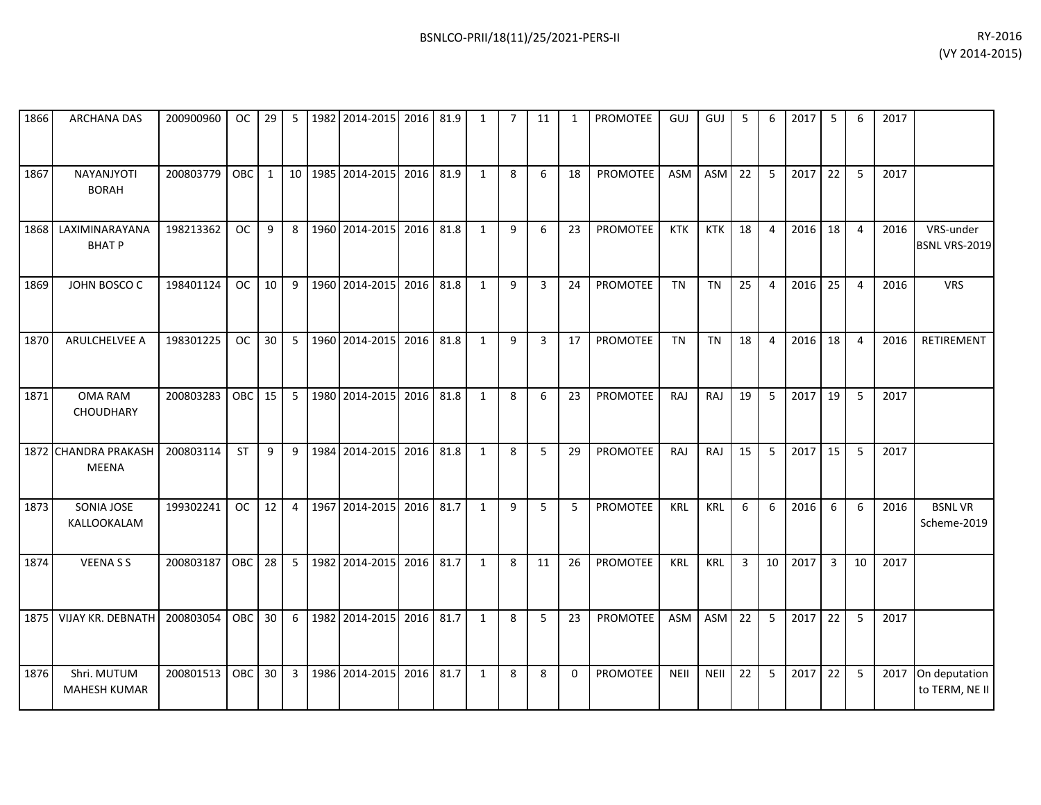| 1866 | <b>ARCHANA DAS</b>                     | 200900960 | OC.        | 29 | 5               | 1982 2014-2015 | 2016 81.9 |      | 1            | 7 | 11 | 1  | <b>PROMOTEE</b> | <b>GUJ</b> | GUJ         | 5  | 6  | 2017 | 5              | 6  | 2017 |                                   |
|------|----------------------------------------|-----------|------------|----|-----------------|----------------|-----------|------|--------------|---|----|----|-----------------|------------|-------------|----|----|------|----------------|----|------|-----------------------------------|
| 1867 | NAYANJYOTI<br><b>BORAH</b>             | 200803779 | OBC        | 1  | 10 <sup>1</sup> | 1985 2014-2015 | 2016      | 81.9 | $\mathbf{1}$ | 8 | 6  | 18 | PROMOTEE        | <b>ASM</b> | ASM         | 22 | 5  | 2017 | 22             | 5  | 2017 |                                   |
| 1868 | LAXIMINARAYANA<br><b>BHATP</b>         | 198213362 | <b>OC</b>  | 9  | 8               | 1960 2014-2015 | 2016      | 81.8 | 1            | 9 | 6  | 23 | <b>PROMOTEE</b> | <b>KTK</b> | <b>KTK</b>  | 18 | 4  | 2016 | 18             | 4  | 2016 | VRS-under<br><b>BSNL VRS-2019</b> |
| 1869 | JOHN BOSCO C                           | 198401124 | <b>OC</b>  | 10 | 9               | 1960 2014-2015 | 2016      | 81.8 | 1            | 9 | 3  | 24 | <b>PROMOTEE</b> | <b>TN</b>  | <b>TN</b>   | 25 | 4  | 2016 | 25             | 4  | 2016 | <b>VRS</b>                        |
| 1870 | ARULCHELVEE A                          | 198301225 | OC.        | 30 | 5               | 1960 2014-2015 | 2016      | 81.8 | 1            | 9 | 3  | 17 | PROMOTEE        | <b>TN</b>  | <b>TN</b>   | 18 | 4  | 2016 | 18             | 4  | 2016 | RETIREMENT                        |
| 1871 | OMA RAM<br>CHOUDHARY                   | 200803283 | <b>OBC</b> | 15 | 5               | 1980 2014-2015 | 2016      | 81.8 | $\mathbf{1}$ | 8 | 6  | 23 | <b>PROMOTEE</b> | <b>RAJ</b> | RAJ         | 19 | 5  | 2017 | 19             | 5  | 2017 |                                   |
| 1872 | <b>CHANDRA PRAKASH</b><br><b>MEENA</b> | 200803114 | <b>ST</b>  | 9  | 9               | 1984 2014-2015 | 2016 81.8 |      | 1            | 8 | 5  | 29 | PROMOTEE        | RAJ        | RAJ         | 15 | 5  | 2017 | 15             | 5  | 2017 |                                   |
| 1873 | SONIA JOSE<br>KALLOOKALAM              | 199302241 | <b>OC</b>  | 12 | 4               | 1967 2014-2015 | 2016 81.7 |      | $\mathbf{1}$ | 9 | 5  | 5  | PROMOTEE        | <b>KRL</b> | KRL         | 6  | 6  | 2016 | 6              | 6  | 2016 | <b>BSNLVR</b><br>Scheme-2019      |
| 1874 | <b>VEENASS</b>                         | 200803187 | <b>OBC</b> | 28 | 5               | 1982 2014-2015 | 2016      | 81.7 | $\mathbf{1}$ | 8 | 11 | 26 | <b>PROMOTEE</b> | KRL        | <b>KRL</b>  | 3  | 10 | 2017 | $\overline{3}$ | 10 | 2017 |                                   |
| 1875 | <b>VIJAY KR. DEBNATH</b>               | 200803054 | OBC        | 30 | 6               | 1982 2014-2015 | 2016      | 81.7 | $\mathbf{1}$ | 8 | 5  | 23 | <b>PROMOTEE</b> | <b>ASM</b> | <b>ASM</b>  | 22 | 5  | 2017 | 22             | 5  | 2017 |                                   |
| 1876 | Shri. MUTUM<br><b>MAHESH KUMAR</b>     | 200801513 | <b>OBC</b> | 30 | 3               | 1986 2014-2015 | 2016      | 81.7 | $\mathbf{1}$ | 8 | 8  | 0  | PROMOTEE        | NEII       | <b>NEII</b> | 22 | 5  | 2017 | 22             | 5  | 2017 | On deputation<br>to TERM, NE II   |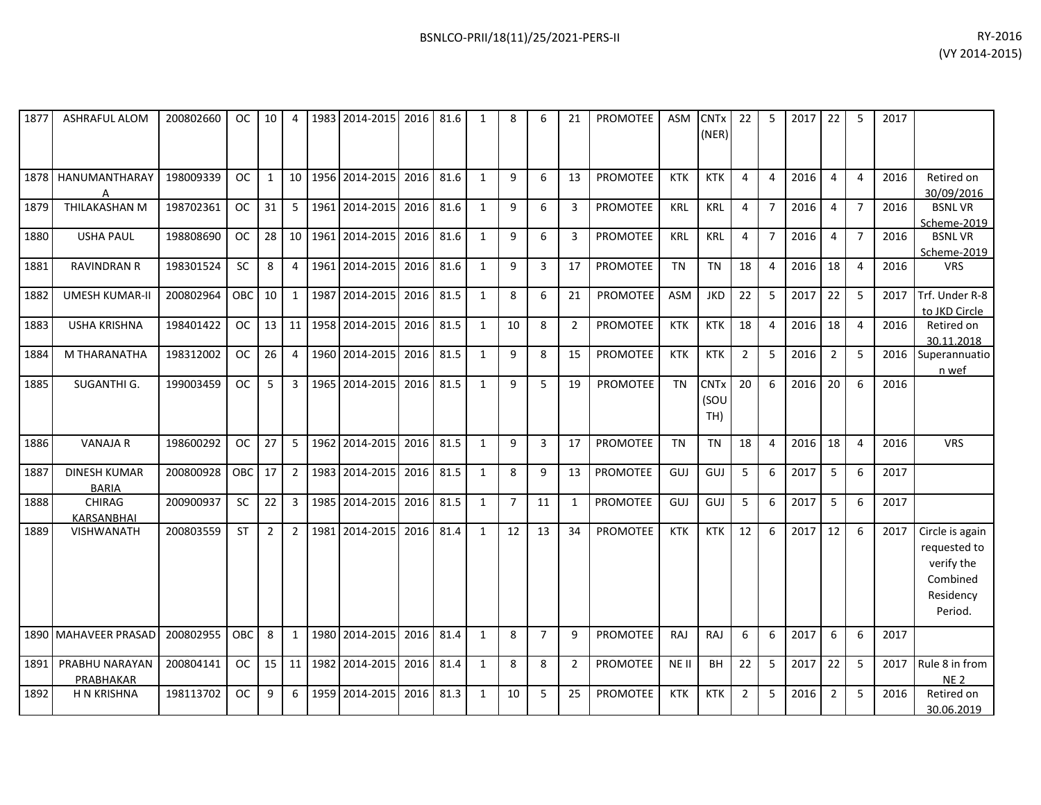| 1877 | <b>ASHRAFUL ALOM</b>                | 200802660 | OC.        | 10             | 4              |      | 1983 2014-2015      | 2016 81.6 |      | $\mathbf{1}$   | 8              | 6              | 21             | <b>PROMOTEE</b> | <b>ASM</b> | <b>CNTx</b><br>(NER)       | 22             | .5               | 2017 | 22             | -5              | 2017 |                                                                                   |
|------|-------------------------------------|-----------|------------|----------------|----------------|------|---------------------|-----------|------|----------------|----------------|----------------|----------------|-----------------|------------|----------------------------|----------------|------------------|------|----------------|-----------------|------|-----------------------------------------------------------------------------------|
| 1878 | HANUMANTHARAY                       | 198009339 | <b>OC</b>  | $\mathbf{1}$   | 10             |      | 1956 2014-2015      | 2016      | 81.6 | 1              | 9              | 6              | 13             | PROMOTEE        | <b>KTK</b> | <b>KTK</b>                 | 4              | 4                | 2016 | 4              | $\overline{4}$  | 2016 | Retired on<br>30/09/2016                                                          |
| 1879 | THILAKASHAN M                       | 198702361 | <b>OC</b>  | 31             | 5              |      | 1961 2014-2015      | 2016      | 81.6 | 1              | 9              | 6              | 3              | <b>PROMOTEE</b> | <b>KRL</b> | <b>KRL</b>                 | $\overline{4}$ | $\overline{7}$   | 2016 | $\overline{4}$ | $\overline{7}$  | 2016 | <b>BSNLVR</b><br>Scheme-2019                                                      |
| 1880 | <b>USHA PAUL</b>                    | 198808690 | <b>OC</b>  | 28             | 10             |      | 1961 2014-2015      | 2016      | 81.6 | $\mathbf{1}$   | 9              | 6              | 3              | <b>PROMOTEE</b> | KRL        | KRL                        | 4              | $\overline{7}$   | 2016 | $\overline{4}$ | $\overline{7}$  | 2016 | <b>BSNLVR</b><br>Scheme-2019                                                      |
| 1881 | <b>RAVINDRAN R</b>                  | 198301524 | <b>SC</b>  | 8              | 4              |      | 1961 2014-2015      | 2016      | 81.6 | $\mathbf{1}$   | 9              | 3              | 17             | <b>PROMOTEE</b> | <b>TN</b>  | <b>TN</b>                  | 18             | 4                | 2016 | 18             | $\overline{4}$  | 2016 | <b>VRS</b>                                                                        |
| 1882 | <b>UMESH KUMAR-II</b>               | 200802964 | <b>OBC</b> | 10             | $\mathbf{1}$   |      | 1987 2014-2015 2016 |           | 81.5 | 1              | 8              | 6              | 21             | PROMOTEE        | ASM        | <b>JKD</b>                 | 22             | 5                | 2017 | 22             | 5               | 2017 | Trf. Under R-8<br>to JKD Circle                                                   |
| 1883 | <b>USHA KRISHNA</b>                 | 198401422 | <b>OC</b>  | 13             | 11             |      | 1958 2014-2015      | 2016      | 81.5 | $\mathbf{1}$   | 10             | 8              | $\overline{2}$ | <b>PROMOTEE</b> | <b>KTK</b> | <b>KTK</b>                 | 18             | 4                | 2016 | 18             | $\overline{4}$  | 2016 | Retired on<br>30.11.2018                                                          |
| 1884 | M THARANATHA                        | 198312002 | <b>OC</b>  | 26             | 4              |      | 1960 2014-2015      | 2016      | 81.5 | $\mathbf{1}$   | 9              | 8              | 15             | <b>PROMOTEE</b> | <b>KTK</b> | <b>KTK</b>                 | 2              | 5                | 2016 | $\overline{2}$ | 5               | 2016 | Superannuatio<br>n wef                                                            |
| 1885 | SUGANTHI G.                         | 199003459 | <b>OC</b>  | 5              | $\overline{3}$ |      | 1965 2014-2015      | 2016      | 81.5 | $\mathbf{1}$   | 9              | 5              | 19             | <b>PROMOTEE</b> | <b>TN</b>  | <b>CNTx</b><br>(SOU<br>TH) | 20             | $6 \overline{6}$ | 2016 | 20             | $6\overline{6}$ | 2016 |                                                                                   |
| 1886 | <b>VANAJA R</b>                     | 198600292 | <b>OC</b>  | 27             | 5              |      | 1962 2014-2015      | 2016      | 81.5 | $\overline{1}$ | 9              | $\mathbf{3}$   | 17             | <b>PROMOTEE</b> | <b>TN</b>  | <b>TN</b>                  | 18             | 4                | 2016 | 18             | $\overline{4}$  | 2016 | <b>VRS</b>                                                                        |
| 1887 | <b>DINESH KUMAR</b><br><b>BARIA</b> | 200800928 | <b>OBC</b> | 17             | $\overline{2}$ |      | 1983 2014-2015      | 2016      | 81.5 | $\mathbf{1}$   | 8              | 9              | 13             | <b>PROMOTEE</b> | GUJ        | GUJ                        | 5              | 6                | 2017 | 5              | 6               | 2017 |                                                                                   |
| 1888 | <b>CHIRAG</b><br><b>KARSANBHAI</b>  | 200900937 | SC         | 22             | $\overline{3}$ |      | 1985 2014-2015      | 2016      | 81.5 | $\mathbf{1}$   | $\overline{7}$ | 11             | $\mathbf{1}$   | <b>PROMOTEE</b> | GUJ        | GUJ                        | 5              | 6                | 2017 | 5              | 6               | 2017 |                                                                                   |
| 1889 | <b>VISHWANATH</b>                   | 200803559 | <b>ST</b>  | $\overline{2}$ | $\overline{2}$ | 1981 | 2014-2015           | 2016      | 81.4 | $\mathbf{1}$   | 12             | 13             | 34             | <b>PROMOTEE</b> | <b>KTK</b> | <b>KTK</b>                 | 12             | 6                | 2017 | 12             | 6               | 2017 | Circle is again<br>requested to<br>verify the<br>Combined<br>Residency<br>Period. |
|      | 1890 MAHAVEER PRASAD                | 200802955 | OBC.       | 8              | $\mathbf{1}$   |      | 1980 2014-2015      | 2016      | 81.4 | 1              | 8              | $\overline{7}$ | 9              | <b>PROMOTEE</b> | RAJ        | RAJ                        | 6              | 6                | 2017 | 6              | 6               | 2017 |                                                                                   |
| 1891 | PRABHU NARAYAN<br>PRABHAKAR         | 200804141 | OC         | 15             | 11             |      | 1982 2014-2015      | 2016      | 81.4 | $\mathbf{1}$   | 8              | 8              | $\overline{2}$ | <b>PROMOTEE</b> | NE II      | BH                         | 22             | 5                | 2017 | 22             | 5               | 2017 | Rule 8 in from<br>NE <sub>2</sub>                                                 |
| 1892 | <b>H N KRISHNA</b>                  | 198113702 | <b>OC</b>  | 9              | 6              | 1959 | 2014-2015           | 2016      | 81.3 | 1              | 10             | 5              | 25             | <b>PROMOTEE</b> | <b>KTK</b> | <b>KTK</b>                 | 2              | 5                | 2016 | $\overline{2}$ | 5               | 2016 | Retired on<br>30.06.2019                                                          |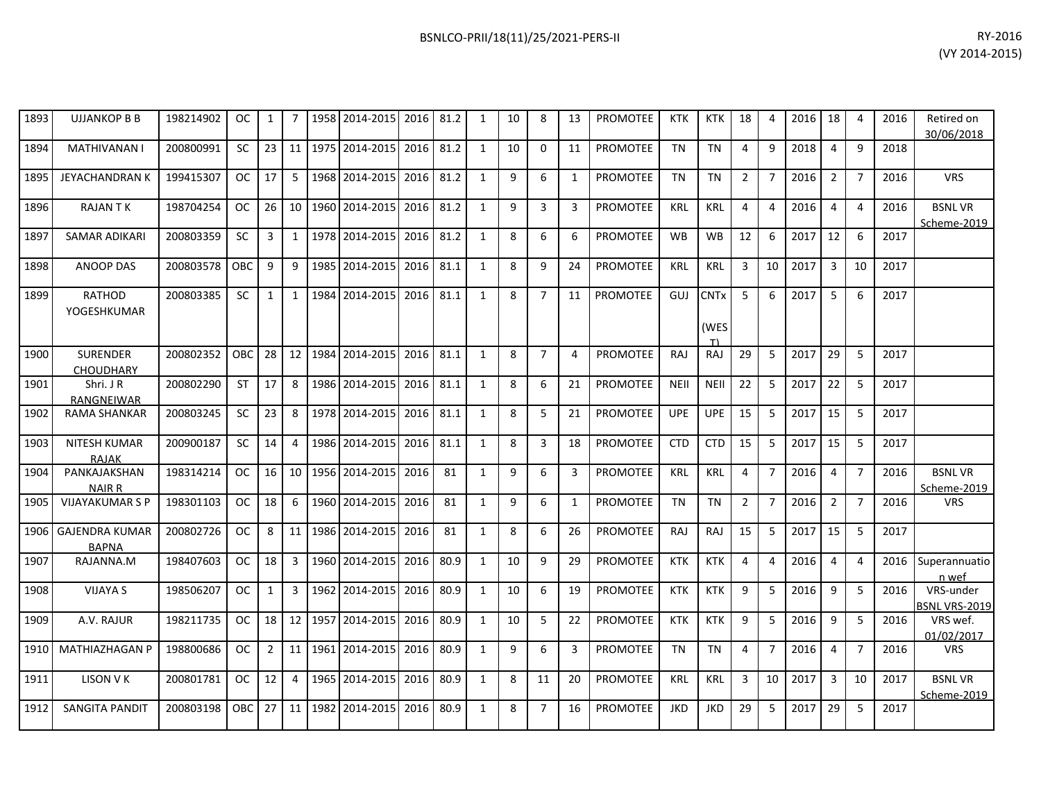| 1893 | <b>UJJANKOP B B</b>                   | 198214902 | <b>OC</b>     | $\mathbf{1}$   |              | 1958 | 2014-2015      | 2016 | 81.2 | $\mathbf{1}$ | 10 | 8              | 13 | <b>PROMOTEE</b> | <b>KTK</b>  | <b>KTK</b>                | 18             | 4              | 2016 | 18             | $\overline{4}$ | 2016 | Retired on<br>30/06/2018     |
|------|---------------------------------------|-----------|---------------|----------------|--------------|------|----------------|------|------|--------------|----|----------------|----|-----------------|-------------|---------------------------|----------------|----------------|------|----------------|----------------|------|------------------------------|
| 1894 | <b>MATHIVANAN I</b>                   | 200800991 | <b>SC</b>     | 23             | 11           |      | 1975 2014-2015 | 2016 | 81.2 | 1            | 10 | 0              | 11 | PROMOTEE        | <b>TN</b>   | <b>TN</b>                 | 4              | 9              | 2018 | $\overline{4}$ | 9              | 2018 |                              |
| 1895 | <b>JEYACHANDRAN K</b>                 | 199415307 | OC.           | 17             | 5            |      | 1968 2014-2015 | 2016 | 81.2 | $\mathbf{1}$ | 9  | 6              | 1  | <b>PROMOTEE</b> | <b>TN</b>   | <b>TN</b>                 | $\overline{2}$ | $\overline{7}$ | 2016 | $\overline{2}$ | $\overline{7}$ | 2016 | <b>VRS</b>                   |
| 1896 | <b>RAJANTK</b>                        | 198704254 | <b>OC</b>     | 26             | 10           |      | 1960 2014-2015 | 2016 | 81.2 | $\mathbf{1}$ | 9  | 3              | 3  | <b>PROMOTEE</b> | <b>KRL</b>  | <b>KRL</b>                | 4              | $\overline{4}$ | 2016 | $\overline{4}$ | $\overline{4}$ | 2016 | <b>BSNLVR</b><br>Scheme-2019 |
| 1897 | <b>SAMAR ADIKARI</b>                  | 200803359 | <b>SC</b>     | 3              | $\mathbf{1}$ | 1978 | 2014-2015      | 2016 | 81.2 | $\mathbf{1}$ | 8  | 6              | 6  | <b>PROMOTEE</b> | <b>WB</b>   | <b>WB</b>                 | 12             | 6              | 2017 | 12             | 6              | 2017 |                              |
| 1898 | <b>ANOOP DAS</b>                      | 200803578 | OBC           | 9              | 9            |      | 1985 2014-2015 | 2016 | 81.1 | 1            | 8  | 9              | 24 | PROMOTEE        | <b>KRL</b>  | <b>KRL</b>                | 3              | 10             | 2017 | 3              | 10             | 2017 |                              |
| 1899 | RATHOD<br>YOGESHKUMAR                 | 200803385 | SC            | $\mathbf{1}$   | $\mathbf{1}$ | 1984 | 2014-2015      | 2016 | 81.1 | $\mathbf{1}$ | 8  | $\overline{7}$ | 11 | <b>PROMOTEE</b> | GUJ         | <b>CNTx</b><br>(WES<br>T) | 5              | 6              | 2017 | 5              | 6              | 2017 |                              |
| 1900 | <b>SURENDER</b><br><b>CHOUDHARY</b>   | 200802352 | OBC           | 28             | 12           | 1984 | 2014-2015      | 2016 | 81.1 | $\mathbf{1}$ | 8  | $\overline{7}$ | 4  | <b>PROMOTEE</b> | <b>RAJ</b>  | <b>RAJ</b>                | 29             | 5              | 2017 | 29             | 5              | 2017 |                              |
| 1901 | Shri. J R<br><b>RANGNEIWAR</b>        | 200802290 | <b>ST</b>     | 17             | 8            |      | 1986 2014-2015 | 2016 | 81.1 | 1            | 8  | 6              | 21 | <b>PROMOTEE</b> | <b>NEII</b> | <b>NEII</b>               | 22             | 5              | 2017 | 22             | 5              | 2017 |                              |
| 1902 | <b>RAMA SHANKAR</b>                   | 200803245 | <b>SC</b>     | 23             | 8            |      | 1978 2014-2015 | 2016 | 81.1 | 1            | 8  | 5              | 21 | <b>PROMOTEE</b> | <b>UPE</b>  | <b>UPE</b>                | 15             | 5              | 2017 | 15             | 5              | 2017 |                              |
| 1903 | <b>NITESH KUMAR</b><br><b>RAJAK</b>   | 200900187 | <b>SC</b>     | 14             | 4            |      | 1986 2014-2015 | 2016 | 81.1 | $\mathbf{1}$ | 8  | 3              | 18 | <b>PROMOTEE</b> | <b>CTD</b>  | <b>CTD</b>                | 15             | 5              | 2017 | 15             | 5              | 2017 |                              |
| 1904 | PANKAJAKSHAN<br><b>NAIR R</b>         | 198314214 | <b>OC</b>     | 16             | 10           |      | 1956 2014-2015 | 2016 | 81   | $\mathbf{1}$ | 9  | 6              | 3  | <b>PROMOTEE</b> | <b>KRL</b>  | KRL                       | 4              | $\overline{7}$ | 2016 | $\overline{4}$ | $\overline{7}$ | 2016 | <b>BSNLVR</b><br>Scheme-2019 |
| 1905 | <b>VIJAYAKUMAR S P</b>                | 198301103 | OC.           | 18             | 6            |      | 1960 2014-2015 | 2016 | 81   | 1            | 9  | 6              | 1  | <b>PROMOTEE</b> | <b>TN</b>   | <b>TN</b>                 | $\overline{2}$ | $\overline{7}$ | 2016 | $\overline{2}$ | $\overline{7}$ | 2016 | <b>VRS</b>                   |
| 1906 | <b>GAJENDRA KUMAR</b><br><b>BAPNA</b> | 200802726 | <b>OC</b>     | 8              | 11           |      | 1986 2014-2015 | 2016 | 81   | 1            | 8  | 6              | 26 | <b>PROMOTEE</b> | <b>RAJ</b>  | <b>RAJ</b>                | 15             | 5              | 2017 | 15             | 5              | 2017 |                              |
| 1907 | RAJANNA.M                             | 198407603 | OC.           | 18             | 3            |      | 1960 2014-2015 | 2016 | 80.9 | $\mathbf{1}$ | 10 | 9              | 29 | <b>PROMOTEE</b> | <b>KTK</b>  | <b>KTK</b>                | 4              | 4              | 2016 | $\overline{4}$ | 4              | 2016 | Superannuatio<br>n wef       |
| 1908 | <b>VIJAYA S</b>                       | 198506207 | OC            | $\mathbf{1}$   | 3            | 1962 | 2014-2015      | 2016 | 80.9 | $\mathbf{1}$ | 10 | 6              | 19 | <b>PROMOTEE</b> | <b>KTK</b>  | <b>KTK</b>                | 9              | 5              | 2016 | 9              | 5              | 2016 | VRS-under<br>BSNL VRS-2019   |
| 1909 | A.V. RAJUR                            | 198211735 | <b>OC</b>     | 18             | 12           | 1957 | 2014-2015      | 2016 | 80.9 | $\mathbf{1}$ | 10 | 5              | 22 | <b>PROMOTEE</b> | <b>KTK</b>  | <b>KTK</b>                | 9              | 5              | 2016 | 9              | 5              | 2016 | VRS wef.<br>01/02/2017       |
| 1910 | <b>MATHIAZHAGAN P</b>                 | 198800686 | <sub>OC</sub> | $\overline{2}$ | 11           |      | 1961 2014-2015 | 2016 | 80.9 | $\mathbf{1}$ | 9  | 6              | 3  | <b>PROMOTEE</b> | <b>TN</b>   | <b>TN</b>                 | 4              | $\overline{7}$ | 2016 | $\overline{4}$ | $\overline{7}$ | 2016 | <b>VRS</b>                   |
| 1911 | <b>LISON V K</b>                      | 200801781 | <b>OC</b>     | 12             | 4            | 1965 | 2014-2015      | 2016 | 80.9 | 1            | 8  | 11             | 20 | PROMOTEE        | <b>KRL</b>  | <b>KRL</b>                | 3              | 10             | 2017 | 3              | 10             | 2017 | <b>BSNLVR</b><br>Scheme-2019 |
| 1912 | <b>SANGITA PANDIT</b>                 | 200803198 | OBC           | 27             | 11           | 1982 | 2014-2015      | 2016 | 80.9 | 1            | 8  | $\overline{7}$ | 16 | <b>PROMOTEE</b> | <b>JKD</b>  | <b>JKD</b>                | 29             | 5              | 2017 | 29             | 5              | 2017 |                              |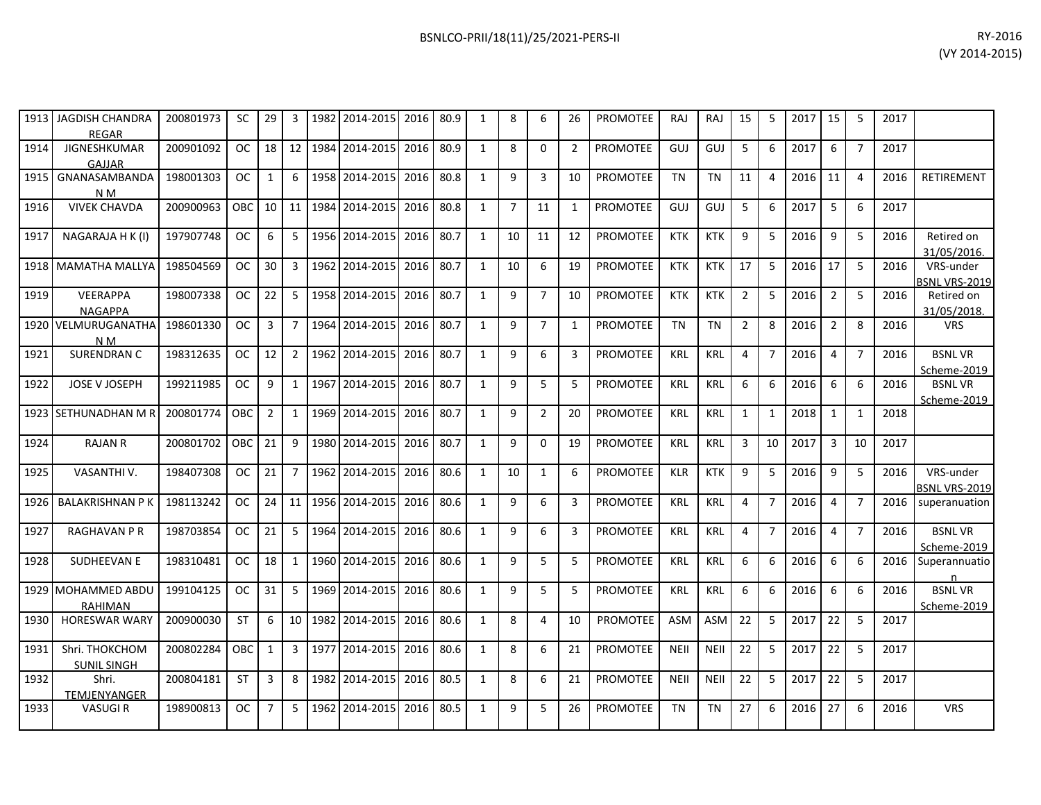|      | 1913   JAGDISH CHANDRA<br><b>REGAR</b> | 200801973 | SC            | 29             | 3              |         | 1982 2014-2015 2016 80.9 |      |      | 1            | 8              | 6              | 26             | PROMOTEE        | <b>RAJ</b>  | RAJ         | 15             | 5              | 2017   15 |                | 5              | 2017 |                                   |
|------|----------------------------------------|-----------|---------------|----------------|----------------|---------|--------------------------|------|------|--------------|----------------|----------------|----------------|-----------------|-------------|-------------|----------------|----------------|-----------|----------------|----------------|------|-----------------------------------|
| 1914 | JIGNESHKUMAR<br>GAJJAR                 | 200901092 | <sub>OC</sub> | 18             |                |         | 12 1984 2014-2015        | 2016 | 80.9 | 1            | 8              | $\Omega$       | 2              | <b>PROMOTEE</b> | GUJ         | GUJ         | 5              | 6              | 2017      | 6              | $\overline{7}$ | 2017 |                                   |
| 1915 | GNANASAMBANDA<br>N M                   | 198001303 | <b>OC</b>     | $\mathbf{1}$   | 6              |         | 1958 2014-2015           | 2016 | 80.8 | $\mathbf{1}$ | 9              | 3              | 10             | <b>PROMOTEE</b> | <b>TN</b>   | <b>TN</b>   | 11             | $\overline{4}$ | 2016      | 11             | $\overline{4}$ | 2016 | RETIREMENT                        |
| 1916 | <b>VIVEK CHAVDA</b>                    | 200900963 | OBC           | 10             |                | 11 1984 | 2014-2015                | 2016 | 80.8 | $\mathbf{1}$ | $\overline{7}$ | 11             | 1              | PROMOTEE        | GUJ         | GUJ         | 5              | 6              | 2017      | 5              | 6              | 2017 |                                   |
| 1917 | NAGARAJA H K (I)                       | 197907748 | <b>OC</b>     | 6              | 5              |         | 1956 2014-2015           | 2016 | 80.7 | 1            | 10             | 11             | 12             | PROMOTEE        | <b>KTK</b>  | <b>KTK</b>  | 9              | 5              | 2016      | 9              | -5             | 2016 | Retired on<br>31/05/2016.         |
|      | 1918 MAMATHA MALLYA                    | 198504569 | <b>OC</b>     | 30             | $\overline{3}$ | 1962    | 2014-2015                | 2016 | 80.7 | 1            | 10             | 6              | 19             | <b>PROMOTEE</b> | <b>KTK</b>  | <b>KTK</b>  | 17             | 5              | 2016      | 17             | 5              | 2016 | VRS-under<br>BSNL VRS-2019        |
| 1919 | VEERAPPA<br><b>NAGAPPA</b>             | 198007338 | <b>OC</b>     | 22             | 5              |         | 1958 2014-2015           | 2016 | 80.7 | 1            | 9              | $\overline{7}$ | 10             | PROMOTEE        | <b>KTK</b>  | <b>KTK</b>  | $\overline{2}$ | -5             | 2016      | $\overline{2}$ | 5              | 2016 | Retired on<br>31/05/2018.         |
|      | 1920 VELMURUGANATHA<br>N M             | 198601330 | <b>OC</b>     | $\mathbf{3}$   | $\overline{7}$ |         | 1964 2014-2015           | 2016 | 80.7 | 1            | 9              | $\overline{7}$ | 1              | <b>PROMOTEE</b> | <b>TN</b>   | <b>TN</b>   | $\overline{2}$ | 8              | 2016      | $\overline{2}$ | 8              | 2016 | <b>VRS</b>                        |
| 1921 | SURENDRAN C                            | 198312635 | OC.           | 12             | $\overline{2}$ |         | 1962 2014-2015           | 2016 | 80.7 | 1            | 9              | 6              | 3              | <b>PROMOTEE</b> | <b>KRL</b>  | <b>KRL</b>  | 4              | $\overline{7}$ | 2016      | $\overline{4}$ | $\overline{7}$ | 2016 | <b>BSNLVR</b><br>Scheme-2019      |
| 1922 | JOSE V JOSEPH                          | 199211985 | <b>OC</b>     | 9              | 1              | 1967    | 2014-2015                | 2016 | 80.7 | 1            | 9              | 5              | 5              | <b>PROMOTEE</b> | KRL         | KRL         | 6              | 6              | 2016      | 6              | 6              | 2016 | <b>BSNLVR</b><br>Scheme-2019      |
|      | 1923 SETHUNADHAN M R                   | 200801774 | <b>OBC</b>    | $\overline{2}$ | $\mathbf{1}$   | 1969    | 2014-2015                | 2016 | 80.7 | 1            | 9              | $\overline{2}$ | 20             | <b>PROMOTEE</b> | <b>KRL</b>  | <b>KRL</b>  | $\mathbf{1}$   | $\mathbf{1}$   | 2018      | $\mathbf{1}$   | $\mathbf{1}$   | 2018 |                                   |
| 1924 | <b>RAJAN R</b>                         | 200801702 | <b>OBC</b>    | 21             | 9              | 1980    | 2014-2015                | 2016 | 80.7 | 1            | 9              | 0              | 19             | <b>PROMOTEE</b> | <b>KRL</b>  | <b>KRL</b>  | 3              | 10             | 2017      | $\overline{3}$ | 10             | 2017 |                                   |
| 1925 | VASANTHI V.                            | 198407308 | <b>OC</b>     | 21             | $\overline{7}$ | 1962    | 2014-2015                | 2016 | 80.6 | 1            | 10             | $\mathbf{1}$   | 6              | PROMOTEE        | <b>KLR</b>  | <b>KTK</b>  | 9              | 5              | 2016      | 9              | 5              | 2016 | VRS-under<br><b>BSNL VRS-2019</b> |
| 1926 | <b>BALAKRISHNAN P K</b>                | 198113242 | OC.           | 24             |                |         | 11 1956 2014-2015        | 2016 | 80.6 | $\mathbf{1}$ | 9              | 6              | 3              | PROMOTEE        | <b>KRL</b>  | <b>KRL</b>  | 4              | $\mathcal{L}$  | 2016      | $\overline{4}$ | $\overline{7}$ | 2016 | superanuation                     |
| 1927 | <b>RAGHAVAN P R</b>                    | 198703854 | <b>OC</b>     | 21             | 5              | 1964    | 2014-2015                | 2016 | 80.6 | 1            | 9              | 6              | $\overline{3}$ | <b>PROMOTEE</b> | <b>KRL</b>  | <b>KRL</b>  | 4              | $\overline{7}$ | 2016      | $\overline{4}$ | $\overline{7}$ | 2016 | <b>BSNLVR</b><br>Scheme-2019      |
| 1928 | SUDHEEVAN E                            | 198310481 | OC.           | 18             | 1              |         | 1960 2014-2015           | 2016 | 80.6 | 1            | 9              | 5              | 5              | PROMOTEE        | <b>KRL</b>  | <b>KRL</b>  | 6              | 6              | 2016      | - 6            | 6              | 2016 | Superannuatio<br>n                |
|      | 1929 MOHAMMED ABDU<br><b>RAHIMAN</b>   | 199104125 | <b>OC</b>     | 31             | 5              |         | 1969 2014-2015           | 2016 | 80.6 | $\mathbf{1}$ | 9              | 5              | 5              | <b>PROMOTEE</b> | <b>KRL</b>  | <b>KRL</b>  | 6              | 6              | 2016      | 6              | 6              | 2016 | <b>BSNLVR</b><br>Scheme-2019      |
| 1930 | <b>HORESWAR WARY</b>                   | 200900030 | <b>ST</b>     | 6              |                | 10 1982 | 2014-2015                | 2016 | 80.6 | $\mathbf{1}$ | 8              | 4              | 10             | <b>PROMOTEE</b> | ASM         | <b>ASM</b>  | 22             | 5              | 2017      | 22             | 5              | 2017 |                                   |
| 1931 | Shri. THOKCHOM<br><b>SUNIL SINGH</b>   | 200802284 | OBC           | $\mathbf{1}$   | 3              | 1977    | 2014-2015                | 2016 | 80.6 | 1            | 8              | 6              | 21             | <b>PROMOTEE</b> | <b>NEII</b> | <b>NEII</b> | 22             | 5              | 2017      | 22             | 5              | 2017 |                                   |
| 1932 | Shri.<br>TEMJENYANGER                  | 200804181 | <b>ST</b>     | 3              | 8              | 1982    | 2014-2015                | 2016 | 80.5 | 1            | 8              | 6              | 21             | PROMOTEE        | <b>NEII</b> | <b>NEII</b> | 22             | 5              | 2017      | 22             | 5              | 2017 |                                   |
| 1933 | <b>VASUGIR</b>                         | 198900813 | OC.           | $\overline{7}$ | 5              | 1962    | 2014-2015                | 2016 | 80.5 | $\mathbf{1}$ | 9              | 5              | 26             | PROMOTEE        | <b>TN</b>   | <b>TN</b>   | 27             | 6              | 2016      | 27             | 6              | 2016 | <b>VRS</b>                        |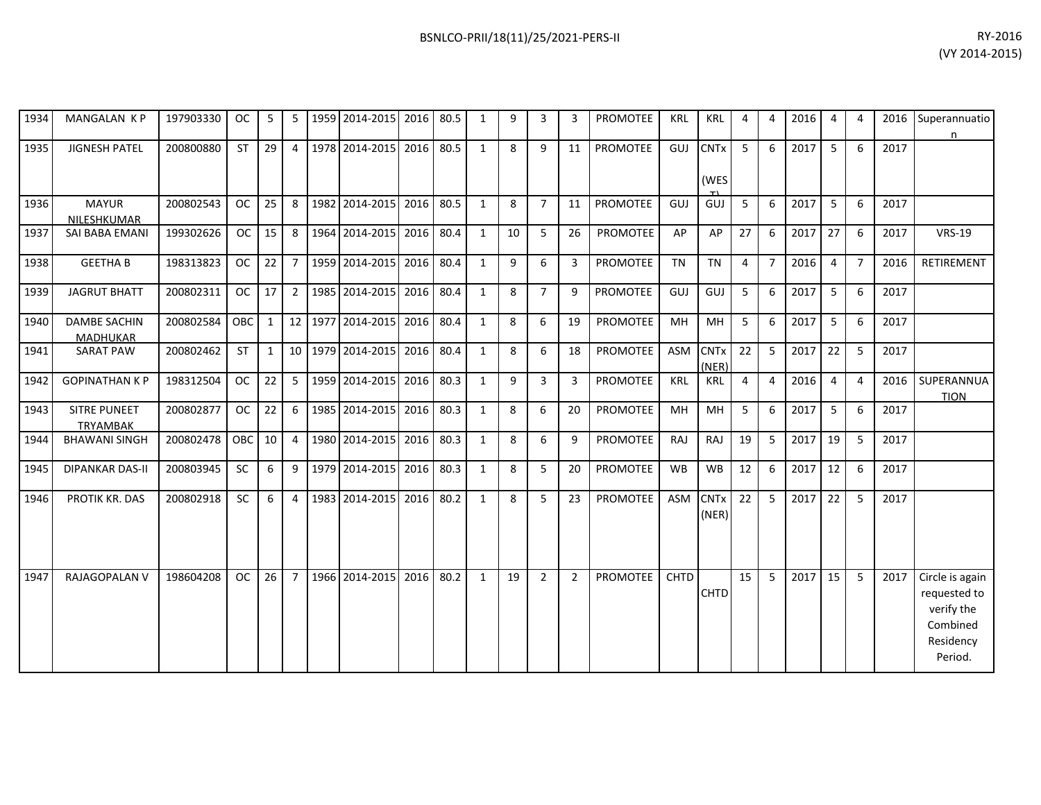| 1934 | MANGALAN KP                            | 197903330 | <b>OC</b>  | 5            | 5               | 1959 2014-2015 | 2016 | 80.5 | $\mathbf{1}$ | 9  | 3              | 3              | <b>PROMOTEE</b> | <b>KRL</b>  | <b>KRL</b>           | 4  | 4              | 2016 | 4  | $\overline{4}$ | 2016 | Superannuatio<br>n                                                                |
|------|----------------------------------------|-----------|------------|--------------|-----------------|----------------|------|------|--------------|----|----------------|----------------|-----------------|-------------|----------------------|----|----------------|------|----|----------------|------|-----------------------------------------------------------------------------------|
| 1935 | <b>JIGNESH PATEL</b>                   | 200800880 | <b>ST</b>  | 29           | 4               | 1978 2014-2015 | 2016 | 80.5 | $\mathbf{1}$ | 8  | 9              | 11             | <b>PROMOTEE</b> | GUJ         | <b>CNTx</b><br>(WES  | 5  | 6              | 2017 | 5  | 6              | 2017 |                                                                                   |
| 1936 | <b>MAYUR</b><br>NILESHKUMAR            | 200802543 | <b>OC</b>  | 25           | 8               | 1982 2014-2015 | 2016 | 80.5 | $\mathbf{1}$ | 8  | $\overline{7}$ | 11             | <b>PROMOTEE</b> | GUJ         | GUJ                  | 5  | 6              | 2017 | 5  | 6              | 2017 |                                                                                   |
| 1937 | SAI BABA EMANI                         | 199302626 | <b>OC</b>  | 15           | 8               | 1964 2014-2015 | 2016 | 80.4 | 1            | 10 | 5              | 26             | <b>PROMOTEE</b> | AP          | AP                   | 27 | 6              | 2017 | 27 | 6              | 2017 | <b>VRS-19</b>                                                                     |
| 1938 | <b>GEETHA B</b>                        | 198313823 | <b>OC</b>  | 22           | $\overline{7}$  | 1959 2014-2015 | 2016 | 80.4 | 1            | 9  | 6              | 3              | <b>PROMOTEE</b> | <b>TN</b>   | <b>TN</b>            | 4  | $\overline{7}$ | 2016 | 4  | $\overline{7}$ | 2016 | RETIREMENT                                                                        |
| 1939 | <b>JAGRUT BHATT</b>                    | 200802311 | <b>OC</b>  | 17           | $\overline{2}$  | 1985 2014-2015 | 2016 | 80.4 | 1            | 8  | $\overline{7}$ | 9              | PROMOTEE        | GUJ         | GUJ                  | 5  | 6              | 2017 | 5  | 6              | 2017 |                                                                                   |
| 1940 | <b>DAMBE SACHIN</b><br><b>MADHUKAR</b> | 200802584 | <b>OBC</b> | $\mathbf{1}$ | 12              | 1977 2014-2015 | 2016 | 80.4 | 1            | 8  | 6              | 19             | PROMOTEE        | MH          | <b>MH</b>            | 5  | 6              | 2017 | 5  | 6              | 2017 |                                                                                   |
| 1941 | <b>SARAT PAW</b>                       | 200802462 | <b>ST</b>  | $\mathbf{1}$ | 10 <sup>1</sup> | 1979 2014-2015 | 2016 | 80.4 | $\mathbf{1}$ | 8  | 6              | 18             | <b>PROMOTEE</b> | <b>ASM</b>  | <b>CNTx</b><br>(NER) | 22 | 5              | 2017 | 22 | 5              | 2017 |                                                                                   |
| 1942 | <b>GOPINATHAN K P</b>                  | 198312504 | <b>OC</b>  | 22           | 5               | 1959 2014-2015 | 2016 | 80.3 | 1            | 9  | 3              | 3              | <b>PROMOTEE</b> | <b>KRL</b>  | <b>KRL</b>           | 4  | $\overline{4}$ | 2016 | 4  | $\overline{4}$ | 2016 | SUPERANNUA<br><b>TION</b>                                                         |
| 1943 | <b>SITRE PUNEET</b><br><b>TRYAMBAK</b> | 200802877 | <b>OC</b>  | 22           | 6               | 1985 2014-2015 | 2016 | 80.3 | 1            | 8  | 6              | 20             | <b>PROMOTEE</b> | MH          | <b>MH</b>            | 5  | 6              | 2017 | 5  | 6              | 2017 |                                                                                   |
| 1944 | <b>BHAWANI SINGH</b>                   | 200802478 | OBC        | 10           | $\overline{4}$  | 1980 2014-2015 | 2016 | 80.3 | $\mathbf{1}$ | 8  | 6              | 9              | PROMOTEE        | RAJ         | RAJ                  | 19 | 5              | 2017 | 19 | 5              | 2017 |                                                                                   |
| 1945 | <b>DIPANKAR DAS-II</b>                 | 200803945 | SC         | 6            | 9               | 1979 2014-2015 | 2016 | 80.3 | $\mathbf{1}$ | 8  | 5              | 20             | <b>PROMOTEE</b> | <b>WB</b>   | <b>WB</b>            | 12 | 6              | 2017 | 12 | 6              | 2017 |                                                                                   |
| 1946 | PROTIK KR. DAS                         | 200802918 | <b>SC</b>  | 6            | $\overline{4}$  | 1983 2014-2015 | 2016 | 80.2 | $\mathbf{1}$ | 8  | 5              | 23             | <b>PROMOTEE</b> | ASM         | <b>CNTx</b><br>(NER) | 22 | 5              | 2017 | 22 | 5              | 2017 |                                                                                   |
| 1947 | RAJAGOPALAN V                          | 198604208 | <b>OC</b>  | 26           | $\overline{7}$  | 1966 2014-2015 | 2016 | 80.2 | $\mathbf{1}$ | 19 | $\overline{2}$ | $\overline{2}$ | <b>PROMOTEE</b> | <b>CHTD</b> | <b>CHTD</b>          | 15 | 5              | 2017 | 15 | 5              | 2017 | Circle is again<br>requested to<br>verify the<br>Combined<br>Residency<br>Period. |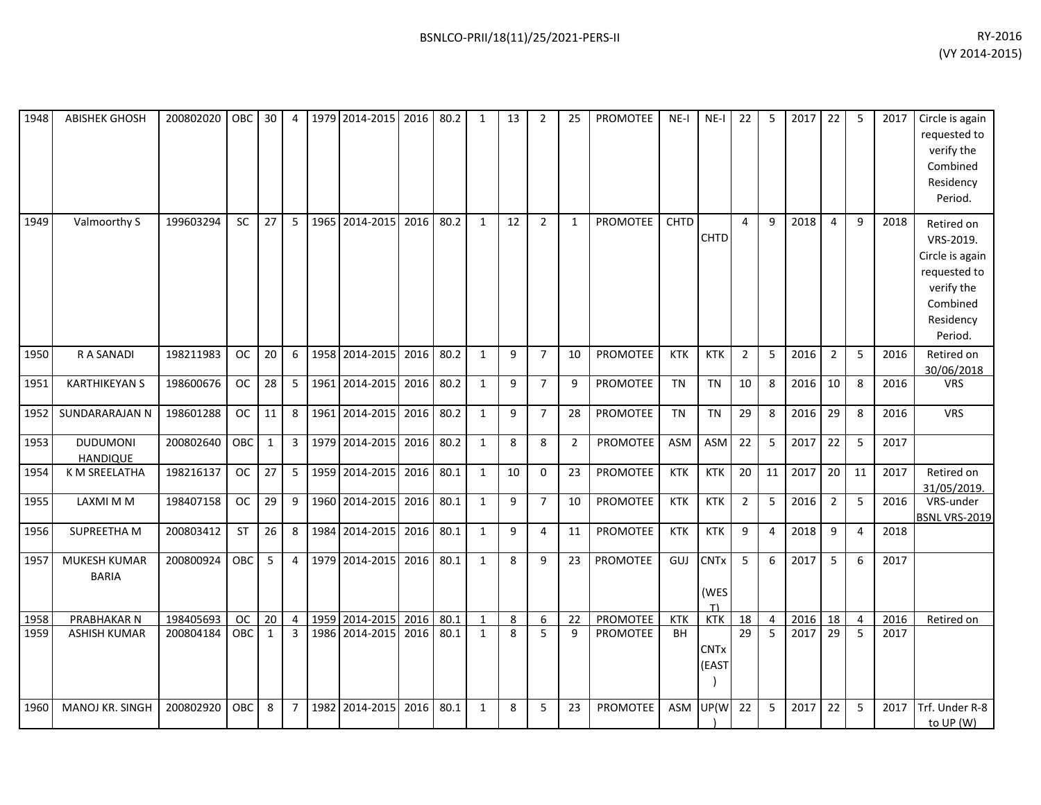| 1948 | <b>ABISHEK GHOSH</b>               | 200802020 OBC |            | 30           | 4              | 1979 2014-2015 2016 |      | 80.2 | 1            | 13           | 2              | 25             | <b>PROMOTEE</b> | NE-I       | $NE-I$                   | 22              | 5              | 2017 | 22             | 5              | 2017 | Circle is again<br>requested to<br>verify the<br>Combined<br>Residency<br>Period.                            |
|------|------------------------------------|---------------|------------|--------------|----------------|---------------------|------|------|--------------|--------------|----------------|----------------|-----------------|------------|--------------------------|-----------------|----------------|------|----------------|----------------|------|--------------------------------------------------------------------------------------------------------------|
| 1949 | Valmoorthy S                       | 199603294     | <b>SC</b>  | 27           | 5              | 1965 2014-2015      | 2016 | 80.2 | $\mathbf{1}$ | 12           | $\overline{2}$ | $\mathbf{1}$   | <b>PROMOTEE</b> | CHTD       | CHTD                     | 4               | $\mathsf{q}$   | 2018 | 4              | $\mathsf{q}$   | 2018 | Retired on<br>VRS-2019.<br>Circle is again<br>requested to<br>verify the<br>Combined<br>Residency<br>Period. |
| 1950 | R A SANADI                         | 198211983     | <b>OC</b>  | 20           | 6              | 1958 2014-2015      | 2016 | 80.2 | $\mathbf{1}$ | 9            | $\overline{7}$ | 10             | PROMOTEE        | <b>KTK</b> | <b>KTK</b>               | $\overline{2}$  | 5              | 2016 | $\overline{2}$ | 5              | 2016 | Retired on<br>30/06/2018                                                                                     |
| 1951 | <b>KARTHIKEYAN S</b>               | 198600676     | <b>OC</b>  | 28           | 5              | 1961 2014-2015      | 2016 | 80.2 | $\mathbf{1}$ | 9            | $\overline{7}$ | q              | <b>PROMOTEE</b> | <b>TN</b>  | <b>TN</b>                | 10              | 8              | 2016 | 10             | 8              | 2016 | <b>VRS</b>                                                                                                   |
| 1952 | SUNDARARAJAN N                     | 198601288     | <b>OC</b>  | 11           | 8              | 1961 2014-2015      | 2016 | 80.2 | $\mathbf{1}$ | 9            | $\overline{7}$ | 28             | <b>PROMOTEE</b> | <b>TN</b>  | <b>TN</b>                | 29              | 8              | 2016 | 29             | 8              | 2016 | <b>VRS</b>                                                                                                   |
| 1953 | <b>DUDUMONI</b><br><b>HANDIQUE</b> | 200802640     | OBC        | $\mathbf{1}$ | $\mathbf{3}$   | 1979 2014-2015      | 2016 | 80.2 | 1            | 8            | 8              | $\overline{2}$ | PROMOTEE        | ASM        | <b>ASM</b>               | 22              | 5              | 2017 | 22             | 5              | 2017 |                                                                                                              |
| 1954 | K M SREELATHA                      | 198216137     | <b>OC</b>  | 27           | 5              | 1959 2014-2015      | 2016 | 80.1 | $\mathbf{1}$ | 10           | 0              | 23             | PROMOTEE        | <b>KTK</b> | <b>KTK</b>               | 20 <sub>2</sub> | 11             | 2017 | 20             | 11             | 2017 | Retired on<br>31/05/2019.                                                                                    |
| 1955 | LAXMI M M                          | 198407158     | <b>OC</b>  | 29           | 9              | 1960 2014-2015      | 2016 | 80.1 | $\mathbf{1}$ | 9            | $\overline{7}$ | 10             | PROMOTEE        | <b>KTK</b> | <b>KTK</b>               | $\overline{2}$  | 5              | 2016 | $\overline{2}$ | 5              | 2016 | VRS-under<br>BSNL VRS-2019                                                                                   |
| 1956 | <b>SUPREETHA M</b>                 | 200803412     | <b>ST</b>  | 26           | 8              | 1984 2014-2015      | 2016 | 80.1 | 1            | 9            | 4              | 11             | <b>PROMOTEE</b> | <b>KTK</b> | <b>KTK</b>               | 9               | 4              | 2018 | 9              | 4              | 2018 |                                                                                                              |
| 1957 | MUKESH KUMAR<br><b>BARIA</b>       | 200800924     | OBC        | 5            | $\overline{4}$ | 1979 2014-2015      | 2016 | 80.1 | $\mathbf{1}$ | 8            | 9              | 23             | <b>PROMOTEE</b> | GUJ        | <b>CNTx</b><br>(WES<br>T | 5               | 6              | 2017 | 5              | 6              | 2017 |                                                                                                              |
| 1958 | PRABHAKAR N                        | 198405693     | <b>OC</b>  | 20           | $\overline{4}$ | 1959 2014-2015      | 2016 | 80.1 | $\mathbf{1}$ | 8            | 6              | 22             | PROMOTEE        | <b>KTK</b> | <b>KTK</b>               | 18              | 4              | 2016 | 18             | $\overline{4}$ | 2016 | Retired on                                                                                                   |
| 1959 | <b>ASHISH KUMAR</b>                | 200804184     | <b>OBC</b> | $\mathbf{1}$ | $\overline{3}$ | 1986 2014-2015      | 2016 | 80.1 | $\mathbf{1}$ | $\mathbf{8}$ | 5              | $\mathbf{q}$   | <b>PROMOTEE</b> | <b>BH</b>  | <b>CNTx</b><br>(EAST     | $\overline{29}$ | $\overline{5}$ | 2017 | 29             | 5              | 2017 |                                                                                                              |
| 1960 | MANOJ KR. SINGH                    | 200802920     | OBC.       | 8            | $\overline{7}$ | 1982 2014-2015      | 2016 | 80.1 | $\mathbf{1}$ | 8            | 5              | 23             | <b>PROMOTEE</b> | <b>ASM</b> | UP(W                     | 22              | 5              | 2017 | 22             | 5              | 2017 | Trf. Under R-8<br>to UP (W)                                                                                  |
|      |                                    |               |            |              |                |                     |      |      |              |              |                |                |                 |            |                          |                 |                |      |                |                |      |                                                                                                              |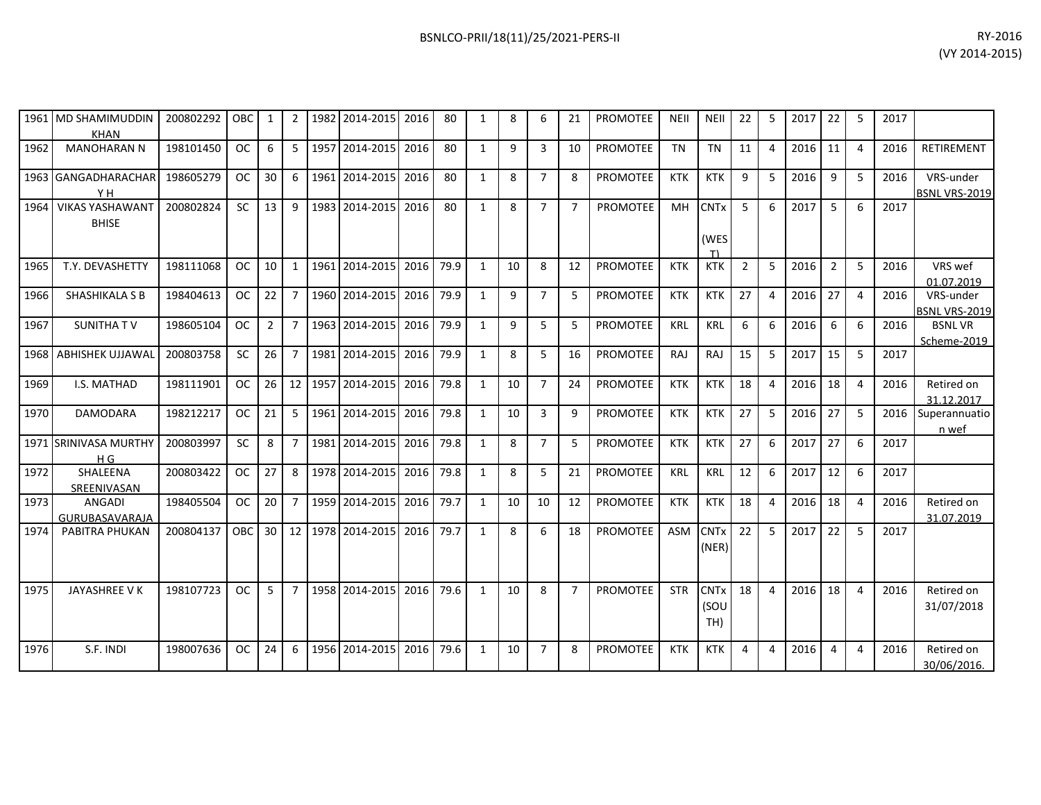|      | 1961 MD SHAMIMUDDIN                    | 200802292 | <b>OBC</b> | 1               | 2               |         | 1982 2014-2015 | 2016 | 80   | -1           | 8  | 6              | 21             | <b>PROMOTEE</b> | NEII       | <b>NEII</b>                | 22             | 5 | 2017 | 22             | -5             | 2017 |                                   |
|------|----------------------------------------|-----------|------------|-----------------|-----------------|---------|----------------|------|------|--------------|----|----------------|----------------|-----------------|------------|----------------------------|----------------|---|------|----------------|----------------|------|-----------------------------------|
|      | <b>KHAN</b>                            |           |            |                 |                 |         |                |      |      |              |    |                |                |                 |            |                            |                |   |      |                |                |      |                                   |
| 1962 | <b>MANOHARAN N</b>                     | 198101450 | <b>OC</b>  | 6               | 5               |         | 1957 2014-2015 | 2016 | 80   | $\mathbf{1}$ | 9  | 3              | 10             | <b>PROMOTEE</b> | <b>TN</b>  | <b>TN</b>                  | 11             | 4 | 2016 | 11             | $\overline{4}$ | 2016 | <b>RETIREMENT</b>                 |
|      | 1963 GANGADHARACHAR<br>YH.             | 198605279 | <b>OC</b>  | 30              | 6               |         | 1961 2014-2015 | 2016 | 80   | $\mathbf{1}$ | 8  | $\overline{7}$ | 8              | <b>PROMOTEE</b> | <b>KTK</b> | <b>KTK</b>                 | 9              | 5 | 2016 | 9              | 5              | 2016 | VRS-under<br><b>BSNL VRS-2019</b> |
| 1964 | <b>VIKAS YASHAWANT</b><br><b>BHISE</b> | 200802824 | SC         | 13              | 9               |         | 1983 2014-2015 | 2016 | 80   | $\mathbf{1}$ | 8  | $\overline{7}$ | $\overline{7}$ | <b>PROMOTEE</b> | MH         | <b>CNTx</b><br>(WES<br>T١  | 5              | 6 | 2017 | 5              | 6              | 2017 |                                   |
| 1965 | T.Y. DEVASHETTY                        | 198111068 | <b>OC</b>  | 10              | 1               |         | 1961 2014-2015 | 2016 | 79.9 | 1            | 10 | 8              | 12             | <b>PROMOTEE</b> | <b>KTK</b> | <b>KTK</b>                 | $\overline{2}$ | 5 | 2016 | $\overline{2}$ | 5              | 2016 | VRS wef<br>01.07.2019             |
| 1966 | <b>SHASHIKALA S B</b>                  | 198404613 | <b>OC</b>  | 22              | $\overline{7}$  |         | 1960 2014-2015 | 2016 | 79.9 | 1            | 9  | $\overline{7}$ | 5              | <b>PROMOTEE</b> | <b>KTK</b> | <b>KTK</b>                 | 27             | 4 | 2016 | 27             | $\overline{4}$ | 2016 | VRS-under<br>BSNL VRS-2019        |
| 1967 | SUNITHA TV                             | 198605104 | <b>OC</b>  | $\overline{2}$  | $\overline{7}$  |         | 1963 2014-2015 | 2016 | 79.9 | 1            | 9  | 5              | 5              | <b>PROMOTEE</b> | <b>KRL</b> | KRL                        | 6              | 6 | 2016 | 6              | 6              | 2016 | <b>BSNLVR</b><br>Scheme-2019      |
| 1968 | <b>ABHISHEK UJJAWAL</b>                | 200803758 | <b>SC</b>  | 26              | $\overline{7}$  |         | 1981 2014-2015 | 2016 | 79.9 | 1            | 8  | 5              | 16             | <b>PROMOTEE</b> | RAJ        | RAJ                        | 15             | 5 | 2017 | 15             | -5             | 2017 |                                   |
| 1969 | I.S. MATHAD                            | 198111901 | <b>OC</b>  | 26              |                 | 12 1957 | 2014-2015      | 2016 | 79.8 | 1            | 10 | $\overline{7}$ | 24             | <b>PROMOTEE</b> | <b>KTK</b> | <b>KTK</b>                 | 18             | 4 | 2016 | 18             | $\overline{4}$ | 2016 | Retired on<br>31.12.2017          |
| 1970 | <b>DAMODARA</b>                        | 198212217 | <b>OC</b>  | 21              | 5               |         | 1961 2014-2015 | 2016 | 79.8 | 1            | 10 | 3              | 9              | <b>PROMOTEE</b> | <b>KTK</b> | <b>KTK</b>                 | 27             | 5 | 2016 | 27             | -5             | 2016 | Superannuatio<br>n wef            |
|      | 1971 SRINIVASA MURTHY<br>H G           | 200803997 | <b>SC</b>  | 8               | $\overline{7}$  |         | 1981 2014-2015 | 2016 | 79.8 | 1            | 8  | $\overline{7}$ | 5              | <b>PROMOTEE</b> | <b>KTK</b> | <b>KTK</b>                 | 27             | 6 | 2017 | 27             | 6              | 2017 |                                   |
| 1972 | SHALEENA<br>SREENIVASAN                | 200803422 | <b>OC</b>  | 27              | 8               |         | 1978 2014-2015 | 2016 | 79.8 | 1            | 8  | 5              | 21             | <b>PROMOTEE</b> | <b>KRL</b> | <b>KRL</b>                 | 12             | 6 | 2017 | 12             | 6              | 2017 |                                   |
| 1973 | <b>ANGADI</b><br>GURUBASAVARAJA        | 198405504 | <b>OC</b>  | 20              | $\overline{7}$  | 1959    | 2014-2015      | 2016 | 79.7 | 1            | 10 | 10             | 12             | <b>PROMOTEE</b> | <b>KTK</b> | <b>KTK</b>                 | 18             | 4 | 2016 | 18             | $\overline{4}$ | 2016 | Retired on<br>31.07.2019          |
| 1974 | PABITRA PHUKAN                         | 200804137 | <b>OBC</b> | 30 <sup>°</sup> | 12 <sub>1</sub> |         | 1978 2014-2015 | 2016 | 79.7 | $\mathbf{1}$ | 8  | 6              | 18             | <b>PROMOTEE</b> | <b>ASM</b> | <b>CNTx</b><br>(NER)       | 22             | 5 | 2017 | 22             | 5              | 2017 |                                   |
| 1975 | JAYASHREE V K                          | 198107723 | <b>OC</b>  | 5               | $\overline{7}$  |         | 1958 2014-2015 | 2016 | 79.6 | $\mathbf{1}$ | 10 | 8              | $\overline{7}$ | <b>PROMOTEE</b> | <b>STR</b> | <b>CNTx</b><br>(SOU<br>TH) | 18             | 4 | 2016 | 18             | $\overline{4}$ | 2016 | Retired on<br>31/07/2018          |
| 1976 | S.F. INDI                              | 198007636 | <b>OC</b>  | 24              | 6               |         | 1956 2014-2015 | 2016 | 79.6 | $\mathbf{1}$ | 10 | $\overline{7}$ | 8              | <b>PROMOTEE</b> | <b>KTK</b> | <b>KTK</b>                 | 4              | 4 | 2016 | 4              | $\overline{4}$ | 2016 | Retired on<br>30/06/2016.         |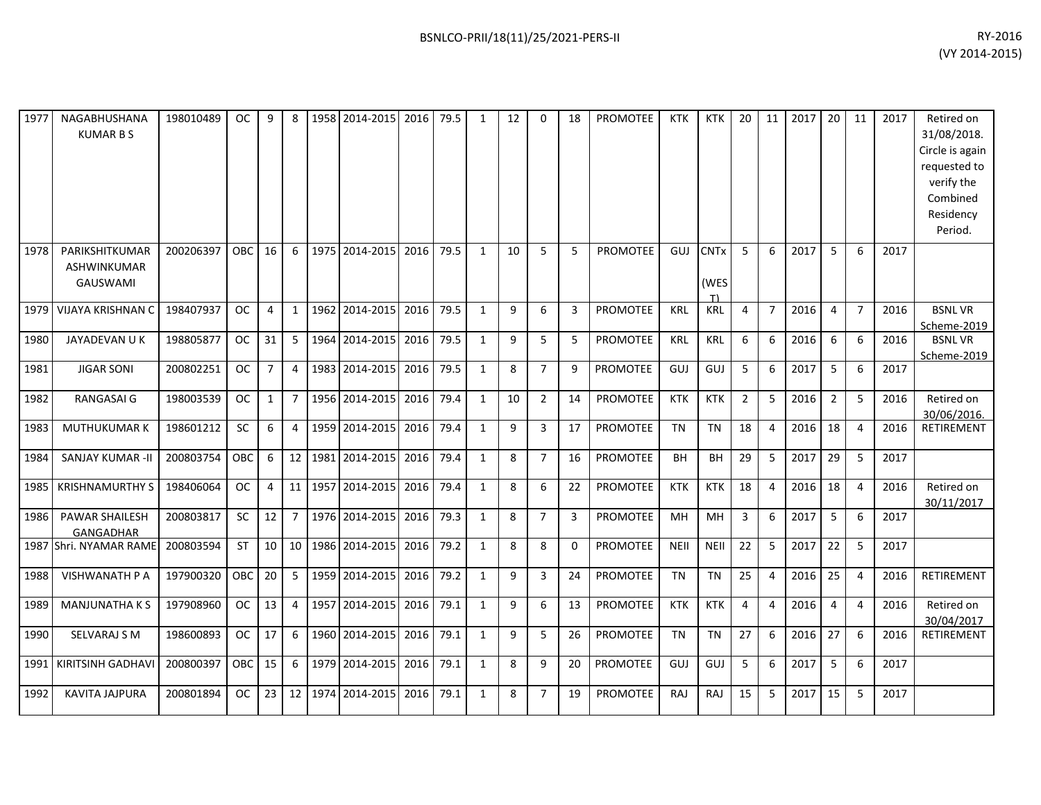| 1977 | NAGABHUSHANA<br><b>KUMAR B S</b>                        | 198010489 | OC.           | 9              | 8              | 1958 2014-2015 | 2016 | 79.5 | 1            | 12 | $\Omega$       | 18             | <b>PROMOTEE</b> | <b>KTK</b>  | <b>KTK</b>                | 20             | 11             | 2017 | 20             | 11             | 2017 | Retired on<br>31/08/2018.<br>Circle is again<br>requested to<br>verify the<br>Combined<br>Residency<br>Period. |
|------|---------------------------------------------------------|-----------|---------------|----------------|----------------|----------------|------|------|--------------|----|----------------|----------------|-----------------|-------------|---------------------------|----------------|----------------|------|----------------|----------------|------|----------------------------------------------------------------------------------------------------------------|
| 1978 | PARIKSHITKUMAR<br><b>ASHWINKUMAR</b><br><b>GAUSWAMI</b> | 200206397 | OBC.          | 16             | 6              | 1975 2014-2015 | 2016 | 79.5 | 1            | 10 | 5              | 5              | <b>PROMOTEE</b> | GUJ         | <b>CNTx</b><br>(WES<br>T) | 5              | 6              | 2017 | 5              | 6              | 2017 |                                                                                                                |
| 1979 | VIJAYA KRISHNAN C                                       | 198407937 | <b>OC</b>     | $\overline{4}$ | $\mathbf{1}$   | 1962 2014-2015 | 2016 | 79.5 | $\mathbf{1}$ | 9  | 6              | 3              | <b>PROMOTEE</b> | <b>KRL</b>  | <b>KRL</b>                | 4              | $\overline{7}$ | 2016 | $\overline{4}$ | $\overline{7}$ | 2016 | <b>BSNLVR</b>                                                                                                  |
| 1980 | JAYADEVAN U K                                           | 198805877 | <b>OC</b>     | 31             | 5              | 1964 2014-2015 | 2016 | 79.5 | $\mathbf{1}$ | 9  | 5              | 5              | <b>PROMOTEE</b> | <b>KRL</b>  | KRL                       | 6              | 6              | 2016 | 6              | 6              | 2016 | Scheme-2019<br><b>BSNLVR</b><br>Scheme-2019                                                                    |
| 1981 | <b>JIGAR SONI</b>                                       | 200802251 | <b>OC</b>     | $\overline{7}$ | $\overline{4}$ | 1983 2014-2015 | 2016 | 79.5 | $\mathbf{1}$ | 8  | $\overline{7}$ | q              | <b>PROMOTEE</b> | GUJ         | GUJ                       | 5              | 6              | 2017 | 5              | 6              | 2017 |                                                                                                                |
| 1982 | RANGASAI G                                              | 198003539 | <b>OC</b>     | $\mathbf{1}$   | $\overline{7}$ | 1956 2014-2015 | 2016 | 79.4 | $\mathbf{1}$ | 10 | $\overline{2}$ | 14             | PROMOTEE        | <b>KTK</b>  | <b>KTK</b>                | $\overline{2}$ | 5              | 2016 | $\overline{2}$ | 5              | 2016 | Retired on<br>30/06/2016.                                                                                      |
| 1983 | <b>MUTHUKUMARK</b>                                      | 198601212 | SC            | 6              | 4              | 1959 2014-2015 | 2016 | 79.4 | $\mathbf{1}$ | 9  | 3              | 17             | PROMOTEE        | <b>TN</b>   | <b>TN</b>                 | 18             | 4              | 2016 | 18             | $\overline{4}$ | 2016 | RETIREMENT                                                                                                     |
| 1984 | <b>SANJAY KUMAR -II</b>                                 | 200803754 | <b>OBC</b>    | 6              | 12             | 1981 2014-2015 | 2016 | 79.4 | $\mathbf{1}$ | 8  | $\overline{7}$ | 16             | <b>PROMOTEE</b> | <b>BH</b>   | <b>BH</b>                 | 29             | 5              | 2017 | 29             | -5             | 2017 |                                                                                                                |
| 1985 | <b>KRISHNAMURTHY S</b>                                  | 198406064 | <b>OC</b>     | 4              | 11             | 1957 2014-2015 | 2016 | 79.4 | $\mathbf{1}$ | 8  | 6              | 22             | <b>PROMOTEE</b> | <b>KTK</b>  | <b>KTK</b>                | 18             | 4              | 2016 | 18             | $\overline{4}$ | 2016 | Retired on<br>30/11/2017                                                                                       |
| 1986 | <b>PAWAR SHAILESH</b><br><b>GANGADHAR</b>               | 200803817 | <b>SC</b>     | 12             | $\overline{7}$ | 1976 2014-2015 | 2016 | 79.3 | $\mathbf{1}$ | 8  | $\overline{7}$ | $\overline{3}$ | <b>PROMOTEE</b> | MH          | MH                        | $\overline{3}$ | 6              | 2017 | 5              | 6              | 2017 |                                                                                                                |
|      | 1987 Shri. NYAMAR RAME                                  | 200803594 | <b>ST</b>     | 10             | 10             | 1986 2014-2015 | 2016 | 79.2 | $\mathbf{1}$ | 8  | 8              | $\Omega$       | PROMOTEE        | <b>NEII</b> | <b>NEII</b>               | 22             | 5              | 2017 | 22             | 5              | 2017 |                                                                                                                |
| 1988 | <b>VISHWANATH P A</b>                                   | 197900320 | <b>OBC</b>    | 20             | 5              | 1959 2014-2015 | 2016 | 79.2 | $\mathbf{1}$ | 9  | 3              | 24             | <b>PROMOTEE</b> | <b>TN</b>   | <b>TN</b>                 | 25             | 4              | 2016 | 25             | $\overline{4}$ | 2016 | <b>RETIREMENT</b>                                                                                              |
| 1989 | <b>MANJUNATHAKS</b>                                     | 197908960 | <sub>OC</sub> | 13             | 4              | 1957 2014-2015 | 2016 | 79.1 | $\mathbf{1}$ | 9  | 6              | 13             | PROMOTEE        | <b>KTK</b>  | <b>KTK</b>                | 4              | 4              | 2016 | 4              | $\overline{4}$ | 2016 | Retired on<br>30/04/2017                                                                                       |
| 1990 | <b>SELVARAJ S M</b>                                     | 198600893 | <b>OC</b>     | 17             | 6              | 1960 2014-2015 | 2016 | 79.1 | $\mathbf{1}$ | 9  | 5              | 26             | <b>PROMOTEE</b> | <b>TN</b>   | <b>TN</b>                 | 27             | 6              | 2016 | 27             | 6              | 2016 | <b>RETIREMENT</b>                                                                                              |
| 1991 | KIRITSINH GADHAVI                                       | 200800397 | OBC           | 15             | 6              | 1979 2014-2015 | 2016 | 79.1 | $\mathbf{1}$ | 8  | 9              | 20             | PROMOTEE        | GUJ         | <b>GUJ</b>                | 5              | 6              | 2017 | 5              | 6              | 2017 |                                                                                                                |
| 1992 | <b>KAVITA JAJPURA</b>                                   | 200801894 | OC.           | 23             | 12             | 1974 2014-2015 | 2016 | 79.1 | $\mathbf{1}$ | 8  | $\overline{7}$ | 19             | <b>PROMOTEE</b> | <b>RAJ</b>  | RAJ                       | 15             | 5              | 2017 | 15             | 5              | 2017 |                                                                                                                |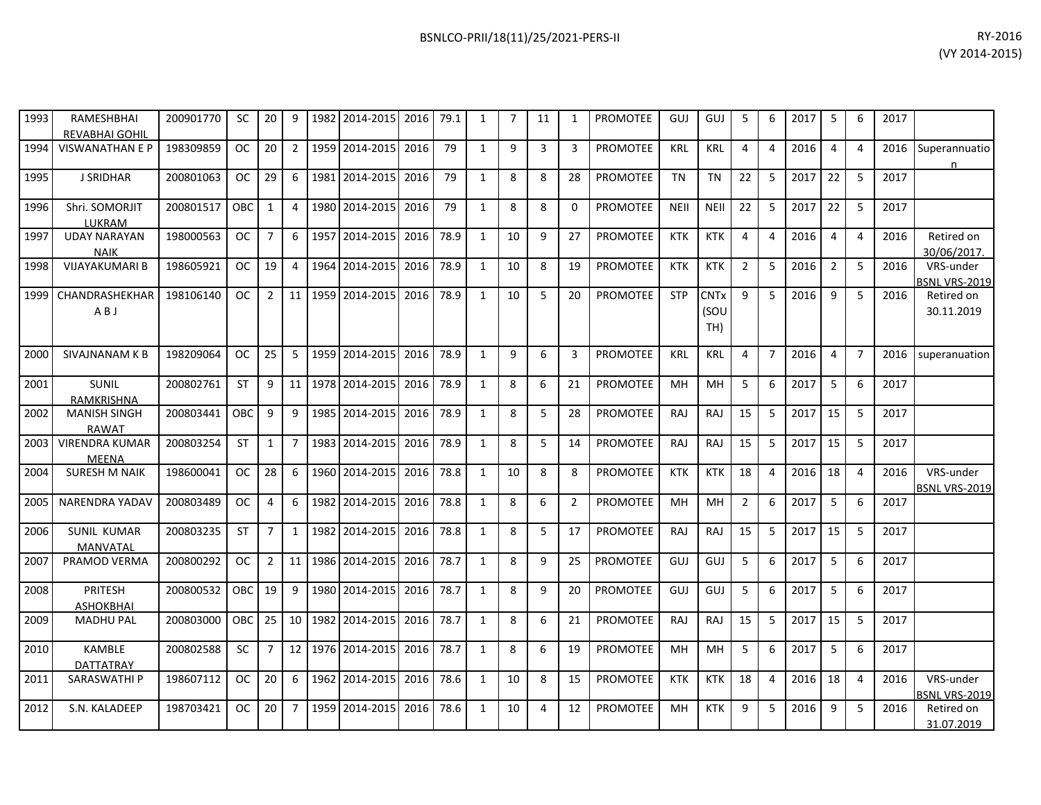| 1993 | <b>RAMESHBHAI</b><br><b>REVABHAI GOHIL</b> | 200901770 | <b>SC</b>  | 20             | 9              | 1982 2014-2015 | 2016 | 79.1 | 1            | $\overline{7}$ | 11 | 1              | <b>PROMOTEE</b> | GUJ         | GUJ                        | 5              | 6              | 2017 | 5              | 6              | 2017 |                                   |
|------|--------------------------------------------|-----------|------------|----------------|----------------|----------------|------|------|--------------|----------------|----|----------------|-----------------|-------------|----------------------------|----------------|----------------|------|----------------|----------------|------|-----------------------------------|
| 1994 | <b>VISWANATHAN E P</b>                     | 198309859 | <b>OC</b>  | 20             | $\overline{2}$ | 1959 2014-2015 | 2016 | 79   | 1            | 9              | 3  | 3              | <b>PROMOTEE</b> | <b>KRL</b>  | <b>KRL</b>                 | 4              | $\overline{a}$ | 2016 | $\overline{4}$ | $\overline{4}$ | 2016 | Superannuatio<br>n                |
| 1995 | <b>J SRIDHAR</b>                           | 200801063 | <b>OC</b>  | 29             | 6              | 1981 2014-2015 | 2016 | 79   | 1            | 8              | 8  | 28             | <b>PROMOTEE</b> | <b>TN</b>   | <b>TN</b>                  | 22             | 5              | 2017 | 22             | 5              | 2017 |                                   |
| 1996 | Shri. SOMORJIT<br>LUKRAM                   | 200801517 | OBC        | $\mathbf{1}$   | $\overline{4}$ | 1980 2014-2015 | 2016 | 79   | $\mathbf{1}$ | 8              | 8  | $\Omega$       | <b>PROMOTEE</b> | <b>NEII</b> | <b>NEII</b>                | 22             | 5              | 2017 | 22             | 5              | 2017 |                                   |
| 1997 | <b>UDAY NARAYAN</b><br><b>NAIK</b>         | 198000563 | <b>OC</b>  | $\overline{7}$ | 6              | 1957 2014-2015 | 2016 | 78.9 | $\mathbf{1}$ | 10             | 9  | 27             | <b>PROMOTEE</b> | <b>KTK</b>  | <b>KTK</b>                 | $\overline{4}$ | 4              | 2016 | $\overline{4}$ | $\overline{4}$ | 2016 | Retired on<br>30/06/2017.         |
| 1998 | <b>VIJAYAKUMARI B</b>                      | 198605921 | <b>OC</b>  | 19             | $\overline{4}$ | 1964 2014-2015 | 2016 | 78.9 | $\mathbf{1}$ | 10             | 8  | 19             | <b>PROMOTEE</b> | <b>KTK</b>  | <b>KTK</b>                 | $\overline{2}$ | 5              | 2016 | $\overline{2}$ | 5              | 2016 | VRS-under<br><b>BSNL VRS-2019</b> |
| 1999 | CHANDRASHEKHAR<br>ABJ                      | 198106140 | <b>OC</b>  | $\overline{2}$ | 11             | 1959 2014-2015 | 2016 | 78.9 | 1            | 10             | 5  | 20             | <b>PROMOTEE</b> | <b>STP</b>  | <b>CNTx</b><br>(SOU<br>TH) | $\mathbf{q}$   | 5              | 2016 | 9              | 5              | 2016 | Retired on<br>30.11.2019          |
| 2000 | SIVAJNANAM K B                             | 198209064 | <b>OC</b>  | 25             | 5              | 1959 2014-2015 | 2016 | 78.9 | 1            | 9              | 6  | 3              | <b>PROMOTEE</b> | <b>KRL</b>  | <b>KRL</b>                 | $\overline{4}$ | $\overline{7}$ | 2016 | $\overline{4}$ | $\overline{7}$ | 2016 | superanuation                     |
| 2001 | SUNIL<br><b>RAMKRISHNA</b>                 | 200802761 | <b>ST</b>  | 9              | 11             | 1978 2014-2015 | 2016 | 78.9 | $\mathbf{1}$ | 8              | 6  | 21             | <b>PROMOTEE</b> | <b>MH</b>   | MH                         | 5              | 6              | 2017 | 5              | 6              | 2017 |                                   |
| 2002 | <b>MANISH SINGH</b><br><b>RAWAT</b>        | 200803441 | <b>OBC</b> | 9              | 9              | 1985 2014-2015 | 2016 | 78.9 | 1            | 8              | 5  | 28             | PROMOTEE        | RAJ         | RAJ                        | 15             | 5              | 2017 | 15             | 5              | 2017 |                                   |
| 2003 | <b>VIRENDRA KUMAR</b><br>MEENA             | 200803254 | <b>ST</b>  | $\mathbf{1}$   | $\overline{7}$ | 1983 2014-2015 | 2016 | 78.9 | 1            | 8              | 5  | 14             | <b>PROMOTEE</b> | <b>RAJ</b>  | RAJ                        | 15             | 5              | 2017 | 15             | 5              | 2017 |                                   |
| 2004 | <b>SURESH M NAIK</b>                       | 198600041 | <b>OC</b>  | 28             | 6              | 1960 2014-2015 | 2016 | 78.8 | 1            | 10             | 8  | 8              | <b>PROMOTEE</b> | <b>KTK</b>  | <b>KTK</b>                 | 18             | 4              | 2016 | 18             | $\overline{4}$ | 2016 | VRS-under<br>BSNL VRS-2019        |
| 2005 | <b>NARENDRA YADAV</b>                      | 200803489 | <b>OC</b>  | 4              | 6              | 1982 2014-2015 | 2016 | 78.8 | $\mathbf{1}$ | 8              | 6  | $\overline{2}$ | <b>PROMOTEE</b> | <b>MH</b>   | MH                         | $\overline{2}$ | 6              | 2017 | 5              | 6              | 2017 |                                   |
| 2006 | <b>SUNIL KUMAR</b><br><b>MANVATAL</b>      | 200803235 | <b>ST</b>  | $\overline{7}$ | $\mathbf{1}$   | 1982 2014-2015 | 2016 | 78.8 | $\mathbf{1}$ | 8              | 5  | 17             | <b>PROMOTEE</b> | <b>RAJ</b>  | <b>RAJ</b>                 | 15             | 5              | 2017 | 15             | 5              | 2017 |                                   |
| 2007 | PRAMOD VERMA                               | 200800292 | <b>OC</b>  | $\overline{2}$ | 11             | 1986 2014-2015 | 2016 | 78.7 | $\mathbf{1}$ | 8              | 9  | 25             | <b>PROMOTEE</b> | GUJ         | GUJ                        | 5              | 6              | 2017 | 5              | 6              | 2017 |                                   |
| 2008 | PRITESH<br><b>ASHOKBHAI</b>                | 200800532 | OBC        | 19             | 9              | 1980 2014-2015 | 2016 | 78.7 | $\mathbf{1}$ | 8              | 9  | 20             | PROMOTEE        | GUJ         | GUJ                        | 5              | 6              | 2017 | 5              | 6              | 2017 |                                   |
| 2009 | <b>MADHU PAL</b>                           | 200803000 | <b>OBC</b> | 25             | 10             | 1982 2014-2015 | 2016 | 78.7 | $\mathbf{1}$ | 8              | 6  | 21             | PROMOTEE        | <b>RAJ</b>  | <b>RAJ</b>                 | 15             | 5              | 2017 | 15             | 5              | 2017 |                                   |
| 2010 | <b>KAMBLE</b><br>DATTATRAY                 | 200802588 | <b>SC</b>  | $\overline{7}$ | 12             | 1976 2014-2015 | 2016 | 78.7 | 1            | 8              | 6  | 19             | PROMOTEE        | <b>MH</b>   | MH                         | 5              | 6              | 2017 | 5              | 6              | 2017 |                                   |
| 2011 | <b>SARASWATHI P</b>                        | 198607112 | <b>OC</b>  | 20             | 6              | 1962 2014-2015 | 2016 | 78.6 | 1            | 10             | 8  | 15             | <b>PROMOTEE</b> | <b>KTK</b>  | <b>KTK</b>                 | 18             | $\overline{4}$ | 2016 | 18             | $\overline{4}$ | 2016 | VRS-under<br>BSNL VRS-2019        |
| 2012 | S.N. KALADEEP                              | 198703421 | <b>OC</b>  | 20             | $\overline{7}$ | 1959 2014-2015 | 2016 | 78.6 | 1            | 10             | 4  | 12             | <b>PROMOTEE</b> | MН          | <b>KTK</b>                 | $\mathbf{q}$   | 5              | 2016 | 9              | 5              | 2016 | Retired on<br>31.07.2019          |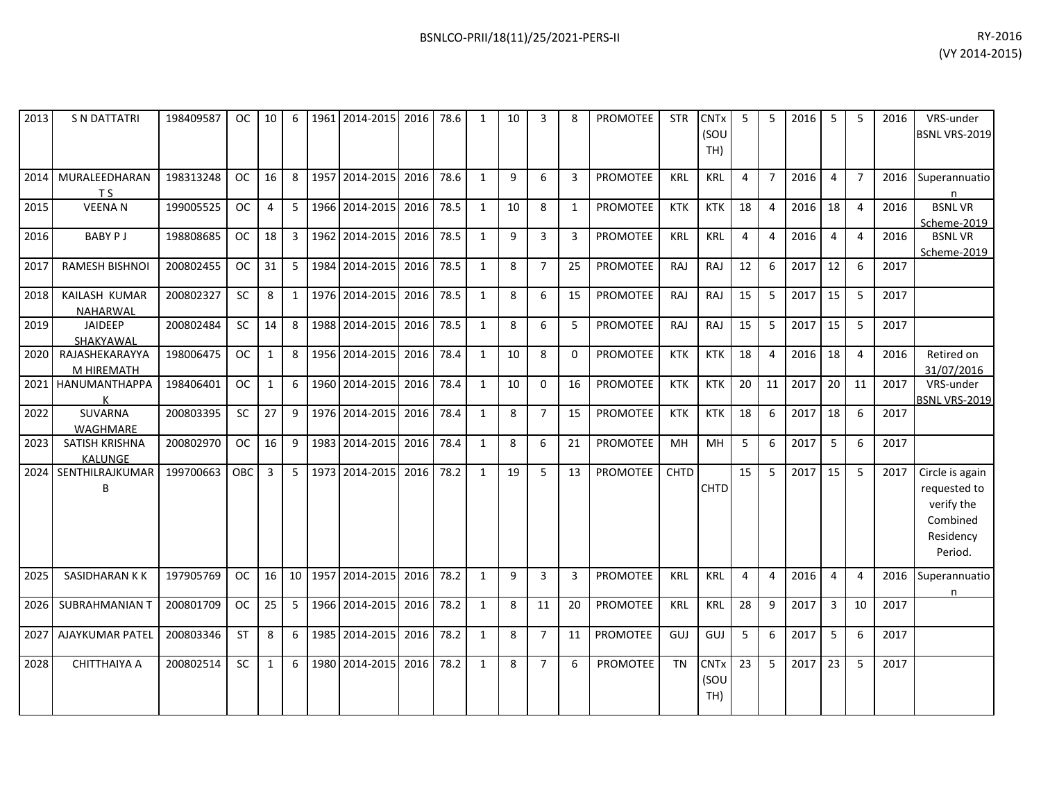| 2013 | <b>S N DATTATRI</b>             | 198409587 | OC.       | 10           | 6              | 1961 | 2014-2015      | 2016 | 78.6 | $\mathbf{1}$ | 10 | 3              | 8            | <b>PROMOTEE</b> | <b>STR</b> | <b>CNT<sub>x</sub></b><br>(SOU<br>TH) |    | 5              | 2016 | 5              | 5              | 2016 | VRS-under<br>BSNL VRS-2019                                                        |
|------|---------------------------------|-----------|-----------|--------------|----------------|------|----------------|------|------|--------------|----|----------------|--------------|-----------------|------------|---------------------------------------|----|----------------|------|----------------|----------------|------|-----------------------------------------------------------------------------------|
| 2014 | MURALEEDHARAN<br>T <sub>S</sub> | 198313248 | OC.       | 16           | 8              |      | 1957 2014-2015 | 2016 | 78.6 | 1            | 9  | 6              | 3            | <b>PROMOTEE</b> | <b>KRL</b> | <b>KRL</b>                            | 4  | $\overline{7}$ | 2016 | $\overline{4}$ | $\overline{7}$ | 2016 | Superannuatio<br>n                                                                |
| 2015 | <b>VEENAN</b>                   | 199005525 | <b>OC</b> | 4            | 5              |      | 1966 2014-2015 | 2016 | 78.5 | $\mathbf{1}$ | 10 | 8              | $\mathbf{1}$ | <b>PROMOTEE</b> | <b>KTK</b> | <b>KTK</b>                            | 18 | $\overline{4}$ | 2016 | 18             | $\overline{4}$ | 2016 | <b>BSNLVR</b><br>Scheme-2019                                                      |
| 2016 | <b>BABY PJ</b>                  | 198808685 | <b>OC</b> | 18           | $\mathbf{3}$   |      | 1962 2014-2015 | 2016 | 78.5 | $\mathbf{1}$ | 9  | $\mathbf{3}$   | 3            | <b>PROMOTEE</b> | <b>KRL</b> | <b>KRL</b>                            | 4  | 4              | 2016 | $\overline{4}$ | $\overline{4}$ | 2016 | <b>BSNLVR</b><br>Scheme-2019                                                      |
| 2017 | <b>RAMESH BISHNOI</b>           | 200802455 | <b>OC</b> | 31           | 5              | 1984 | 2014-2015      | 2016 | 78.5 | $\mathbf{1}$ | 8  | $\overline{7}$ | 25           | <b>PROMOTEE</b> | RAJ        | <b>RAJ</b>                            | 12 | 6              | 2017 | 12             | 6              | 2017 |                                                                                   |
| 2018 | KAILASH KUMAR<br>NAHARWAL       | 200802327 | <b>SC</b> | 8            | 1              |      | 1976 2014-2015 | 2016 | 78.5 | 1            | 8  | 6              | 15           | PROMOTEE        | <b>RAJ</b> | <b>RAJ</b>                            | 15 | 5              | 2017 | 15             | 5              | 2017 |                                                                                   |
| 2019 | <b>JAIDEEP</b><br>SHAKYAWAL     | 200802484 | <b>SC</b> | 14           | 8              |      | 1988 2014-2015 | 2016 | 78.5 | $\mathbf{1}$ | 8  | 6              | 5            | <b>PROMOTEE</b> | <b>RAJ</b> | RAJ                                   | 15 | 5              | 2017 | 15             | 5              | 2017 |                                                                                   |
| 2020 | RAJASHEKARAYYA<br>M HIREMATH    | 198006475 | <b>OC</b> | $\mathbf{1}$ | 8              | 1956 | 2014-2015      | 2016 | 78.4 | $\mathbf{1}$ | 10 | 8              | $\mathbf 0$  | <b>PROMOTEE</b> | <b>KTK</b> | <b>KTK</b>                            | 18 | 4              | 2016 | 18             | $\overline{4}$ | 2016 | Retired on<br>31/07/2016                                                          |
|      | 2021 HANUMANTHAPPA              | 198406401 | <b>OC</b> | $\mathbf{1}$ | 6              |      | 1960 2014-2015 | 2016 | 78.4 | $\mathbf{1}$ | 10 | $\mathbf 0$    | 16           | <b>PROMOTEE</b> | <b>KTK</b> | <b>KTK</b>                            | 20 | 11             | 2017 | 20             | 11             | 2017 | VRS-under<br><b>BSNL VRS-2019</b>                                                 |
| 2022 | <b>SUVARNA</b><br>WAGHMARE      | 200803395 | <b>SC</b> | 27           | 9              |      | 1976 2014-2015 | 2016 | 78.4 | $\mathbf{1}$ | 8  | $\overline{7}$ | 15           | <b>PROMOTEE</b> | <b>KTK</b> | <b>KTK</b>                            | 18 | 6              | 2017 | 18             | 6              | 2017 |                                                                                   |
| 2023 | SATISH KRISHNA<br>KALUNGE       | 200802970 | OC.       | 16           | 9              |      | 1983 2014-2015 | 2016 | 78.4 | 1            | 8  | 6              | 21           | <b>PROMOTEE</b> | MН         | <b>MH</b>                             | 5  | 6              | 2017 | 5              | 6              | 2017 |                                                                                   |
| 2024 | SENTHILRAJKUMAR<br>B            | 199700663 | OBC       | $\mathbf{3}$ | 5 <sup>1</sup> |      | 1973 2014-2015 | 2016 | 78.2 | $\mathbf{1}$ | 19 | 5              | 13           | PROMOTEE        | CHTD       | <b>CHTD</b>                           | 15 | 5              | 2017 | 15             | 5              | 2017 | Circle is again<br>requested to<br>verify the<br>Combined<br>Residency<br>Period. |
| 2025 | <b>SASIDHARAN KK</b>            | 197905769 | <b>OC</b> | 16           | 10             |      | 1957 2014-2015 | 2016 | 78.2 | $\mathbf{1}$ | 9  | 3              | 3            | <b>PROMOTEE</b> | <b>KRL</b> | <b>KRL</b>                            | 4  | 4              | 2016 | $\overline{4}$ | $\overline{4}$ | 2016 | Superannuatio<br>n                                                                |
| 2026 | SUBRAHMANIAN T                  | 200801709 | OC.       | 25           | 5              |      | 1966 2014-2015 | 2016 | 78.2 | $\mathbf{1}$ | 8  | 11             | 20           | PROMOTEE        | <b>KRL</b> | <b>KRL</b>                            | 28 | 9              | 2017 | $\overline{3}$ | 10             | 2017 |                                                                                   |
| 2027 | <b>AJAYKUMAR PATEL</b>          | 200803346 | <b>ST</b> | 8            | 6              |      | 1985 2014-2015 | 2016 | 78.2 | $\mathbf{1}$ | 8  | $\overline{7}$ | 11           | <b>PROMOTEE</b> | GUJ        | GUJ                                   | 5  | 6              | 2017 | 5              | 6              | 2017 |                                                                                   |
| 2028 | <b>CHITTHAIYA A</b>             | 200802514 | SC        | $\mathbf{1}$ | 6              | 1980 | 2014-2015      | 2016 | 78.2 | $\mathbf{1}$ | 8  | $\overline{7}$ | 6            | <b>PROMOTEE</b> | <b>TN</b>  | <b>CNTx</b><br>(SOU<br>TH)            | 23 | 5              | 2017 | 23             | 5              | 2017 |                                                                                   |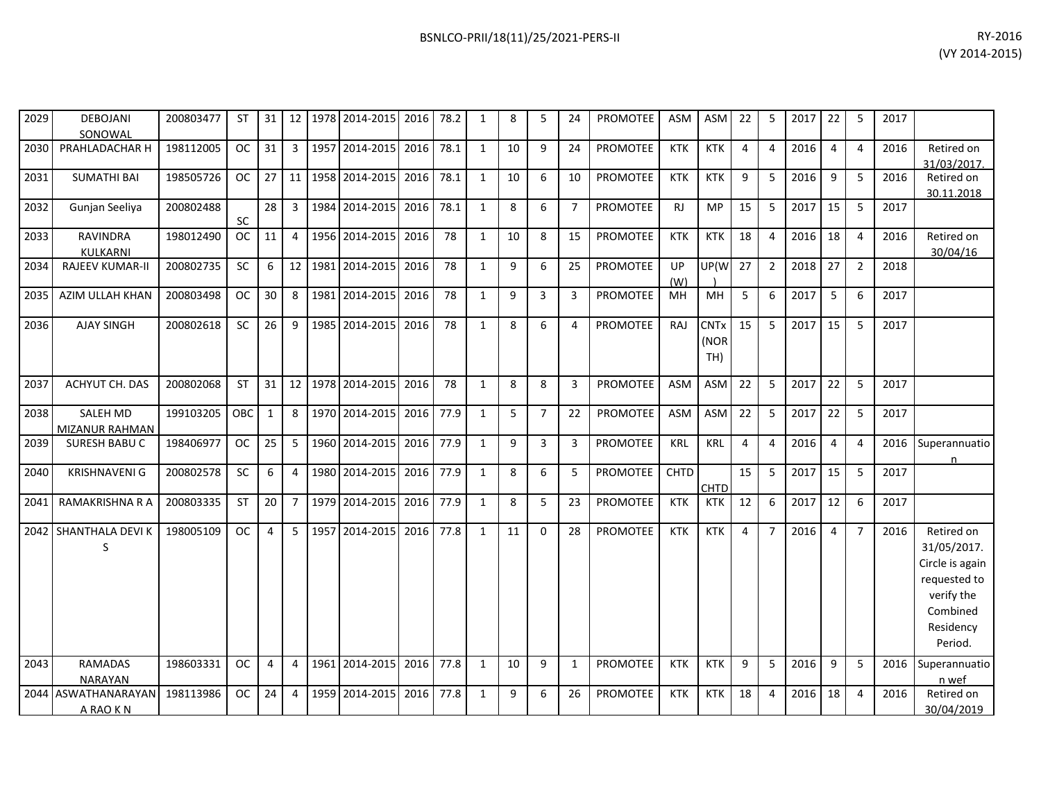| 2029 | <b>DEBOJANI</b><br>SONOWAL        | 200803477 | ST         | 31 I           |                 |      | 12   1978   2014-2015   2016 |      | 78.2 | 1            | 8  | 5              | 24             | PROMOTEE        | ASM         | <b>ASM</b>                 | 22             | 5              | 2017 | 22             | -5             | 2017 |                                                                                                                |
|------|-----------------------------------|-----------|------------|----------------|-----------------|------|------------------------------|------|------|--------------|----|----------------|----------------|-----------------|-------------|----------------------------|----------------|----------------|------|----------------|----------------|------|----------------------------------------------------------------------------------------------------------------|
| 2030 | PRAHLADACHAR H                    | 198112005 | <b>OC</b>  | 31             | $\overline{3}$  |      | 1957 2014-2015               | 2016 | 78.1 | $\mathbf{1}$ | 10 | 9              | 24             | <b>PROMOTEE</b> | <b>KTK</b>  | <b>KTK</b>                 | 4              | $\overline{4}$ | 2016 | $\overline{a}$ | $\overline{4}$ | 2016 | Retired on<br>31/03/2017.                                                                                      |
| 2031 | <b>SUMATHI BAI</b>                | 198505726 | <b>OC</b>  | 27             |                 |      | 11 1958 2014-2015            | 2016 | 78.1 | $\mathbf{1}$ | 10 | 6              | 10             | <b>PROMOTEE</b> | <b>KTK</b>  | <b>KTK</b>                 | 9              | 5              | 2016 | -9             | 5              | 2016 | Retired on<br>30.11.2018                                                                                       |
| 2032 | Gunjan Seeliya                    | 200802488 | SC         | 28             | 3               |      | 1984 2014-2015               | 2016 | 78.1 | $\mathbf{1}$ | 8  | 6              | $\overline{7}$ | <b>PROMOTEE</b> | RJ          | <b>MP</b>                  | 15             | 5              | 2017 | 15             | -5             | 2017 |                                                                                                                |
| 2033 | <b>RAVINDRA</b><br>KULKARNI       | 198012490 | <b>OC</b>  | 11             | 4               |      | 1956 2014-2015               | 2016 | 78   | $\mathbf{1}$ | 10 | 8              | 15             | <b>PROMOTEE</b> | <b>KTK</b>  | <b>KTK</b>                 | 18             | $\overline{4}$ | 2016 | 18             | $\overline{4}$ | 2016 | Retired on<br>30/04/16                                                                                         |
| 2034 | <b>RAJEEV KUMAR-II</b>            | 200802735 | SC         | 6              | 12 <sup>1</sup> | 1981 | 2014-2015                    | 2016 | 78   | $\mathbf{1}$ | 9  | 6              | 25             | <b>PROMOTEE</b> | UP<br>(W)   | UP(W                       | 27             | $\overline{2}$ | 2018 | 27             | $\overline{2}$ | 2018 |                                                                                                                |
| 2035 | AZIM ULLAH KHAN                   | 200803498 | <b>OC</b>  | 30             | 8               | 1981 | 2014-2015                    | 2016 | 78   | $\mathbf{1}$ | 9  | $\mathbf{3}$   | $\overline{3}$ | PROMOTEE        | MH          | MH                         | 5              | 6              | 2017 | 5              | 6              | 2017 |                                                                                                                |
| 2036 | <b>AJAY SINGH</b>                 | 200802618 | SC         | 26             | 9               | 1985 | 2014-2015                    | 2016 | 78   | $\mathbf{1}$ | 8  | 6              | 4              | <b>PROMOTEE</b> | RAJ         | <b>CNTx</b><br>(NOR<br>TH) | 15             | 5              | 2017 | 15             | 5              | 2017 |                                                                                                                |
| 2037 | <b>ACHYUT CH. DAS</b>             | 200802068 | <b>ST</b>  | 31             | 12 <sup>1</sup> |      | 1978 2014-2015               | 2016 | 78   | $\mathbf{1}$ | 8  | 8              | $\overline{3}$ | <b>PROMOTEE</b> | <b>ASM</b>  | <b>ASM</b>                 | 22             | -5             | 2017 | 22             | -5             | 2017 |                                                                                                                |
| 2038 | <b>SALEH MD</b><br>MIZANUR RAHMAN | 199103205 | <b>OBC</b> | $\mathbf{1}$   | 8               |      | 1970 2014-2015               | 2016 | 77.9 | $\mathbf{1}$ | 5  | $\overline{7}$ | 22             | <b>PROMOTEE</b> | <b>ASM</b>  | <b>ASM</b>                 | 22             | 5              | 2017 | 22             | -5             | 2017 |                                                                                                                |
| 2039 | SURESH BABU C                     | 198406977 | <b>OC</b>  | 25             | 5               |      | 1960 2014-2015               | 2016 | 77.9 | $\mathbf{1}$ | 9  | $\overline{3}$ | 3              | <b>PROMOTEE</b> | <b>KRL</b>  | <b>KRL</b>                 | 4              | $\overline{4}$ | 2016 | $\overline{4}$ | $\overline{4}$ | 2016 | Superannuatio<br>n                                                                                             |
| 2040 | <b>KRISHNAVENI G</b>              | 200802578 | SC         | 6              | 4               | 1980 | 2014-2015                    | 2016 | 77.9 | $\mathbf{1}$ | 8  | 6              | 5              | <b>PROMOTEE</b> | <b>CHTD</b> | <b>CHTD</b>                | 15             | 5              | 2017 | 15             | 5              | 2017 |                                                                                                                |
| 2041 | RAMAKRISHNA R A                   | 200803335 | <b>ST</b>  | 20             | $\overline{7}$  |      | 1979 2014-2015               | 2016 | 77.9 | $\mathbf{1}$ | 8  | 5              | 23             | <b>PROMOTEE</b> | <b>KTK</b>  | <b>KTK</b>                 | 12             | 6              | 2017 | 12             | 6              | 2017 |                                                                                                                |
| 2042 | SHANTHALA DEVI K<br>$\sf S$       | 198005109 | <b>OC</b>  | $\overline{4}$ | 5               | 1957 | 2014-2015                    | 2016 | 77.8 | $\mathbf{1}$ | 11 | $\Omega$       | 28             | PROMOTEE        | <b>KTK</b>  | <b>KTK</b>                 | $\overline{4}$ | $\overline{7}$ | 2016 | $\overline{4}$ | $\overline{7}$ | 2016 | Retired on<br>31/05/2017.<br>Circle is again<br>requested to<br>verify the<br>Combined<br>Residency<br>Period. |
| 2043 | <b>RAMADAS</b><br><b>NARAYAN</b>  | 198603331 | <b>OC</b>  | 4              | 4               | 1961 | 2014-2015                    | 2016 | 77.8 | $\mathbf{1}$ | 10 | 9              | 1              | <b>PROMOTEE</b> | <b>KTK</b>  | <b>KTK</b>                 | 9              | 5              | 2016 | 9              | 5              | 2016 | Superannuatio<br>n wef                                                                                         |
|      | 2044 ASWATHANARAYAN<br>A RAO K N  | 198113986 | <b>OC</b>  | 24             | 4               | 1959 | 2014-2015                    | 2016 | 77.8 | 1            | 9  | 6              | 26             | PROMOTEE        | <b>KTK</b>  | <b>KTK</b>                 | 18             | 4              | 2016 | 18             | $\overline{4}$ | 2016 | Retired on<br>30/04/2019                                                                                       |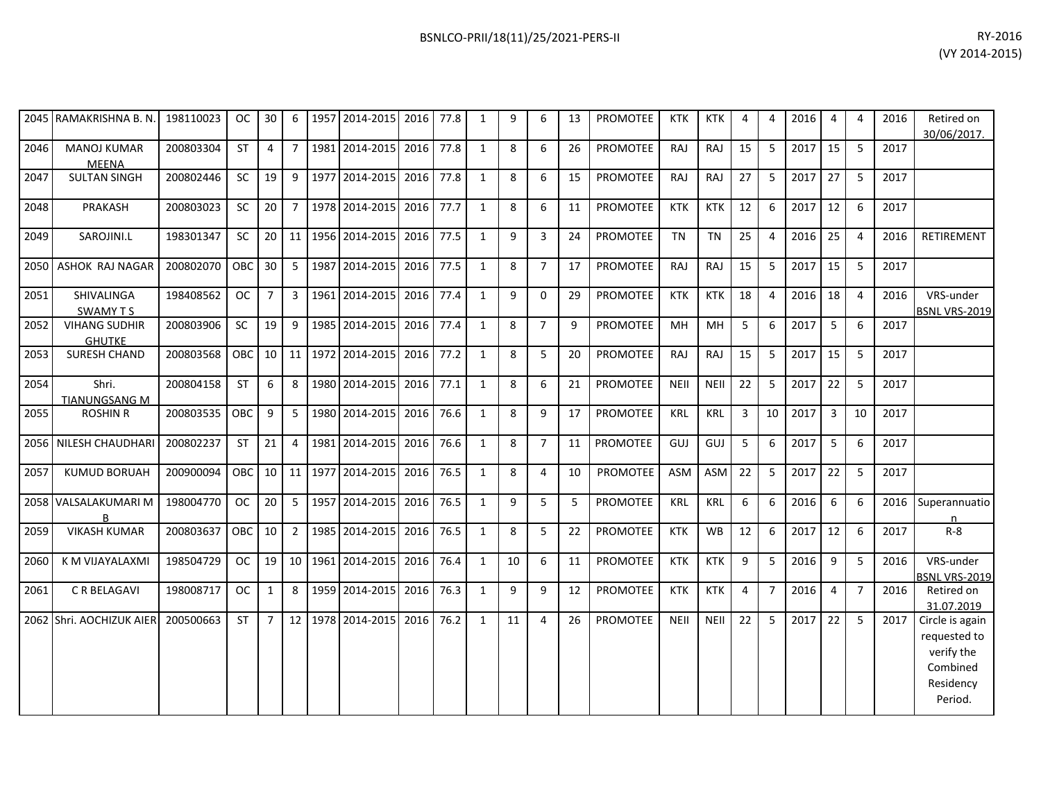| 2045 | RAMAKRISHNA B. N.                     | 198110023 | OC.           | 30             | 6               | 1957 | 2014-2015      | 2016      | 77.8 | 1            | 9  | 6              | 13 | PROMOTEE        | <b>KTK</b>  | <b>KTK</b>  | 4  | 4              | 2016 | 4              | 4              | 2016 | Retired on<br>30/06/2017.                                                         |
|------|---------------------------------------|-----------|---------------|----------------|-----------------|------|----------------|-----------|------|--------------|----|----------------|----|-----------------|-------------|-------------|----|----------------|------|----------------|----------------|------|-----------------------------------------------------------------------------------|
| 2046 | <b>MANOJ KUMAR</b><br><b>MEENA</b>    | 200803304 | <b>ST</b>     | 4              | $\overline{7}$  |      | 1981 2014-2015 | 2016      | 77.8 | 1            | 8  | 6              | 26 | <b>PROMOTEE</b> | RAJ         | <b>RAJ</b>  | 15 | 5              | 2017 | 15             | -5             | 2017 |                                                                                   |
| 2047 | <b>SULTAN SINGH</b>                   | 200802446 | <b>SC</b>     | 19             | 9               |      | 1977 2014-2015 | 2016      | 77.8 | 1            | 8  | 6              | 15 | <b>PROMOTEE</b> | RAJ         | <b>RAJ</b>  | 27 | 5              | 2017 | 27             | 5              | 2017 |                                                                                   |
| 2048 | PRAKASH                               | 200803023 | <b>SC</b>     | 20             | 7 <sup>1</sup>  |      | 1978 2014-2015 | 2016      | 77.7 | $\mathbf{1}$ | 8  | 6              | 11 | <b>PROMOTEE</b> | <b>KTK</b>  | <b>KTK</b>  | 12 | 6              | 2017 | 12             | 6              | 2017 |                                                                                   |
| 2049 | SAROJINI.L                            | 198301347 | SC            | 20             | 11              |      | 1956 2014-2015 | 2016      | 77.5 | 1            | 9  | $\mathbf{3}$   | 24 | PROMOTEE        | <b>TN</b>   | <b>TN</b>   | 25 | 4              | 2016 | 25             | $\overline{4}$ | 2016 | RETIREMENT                                                                        |
| 2050 | ASHOK RAJ NAGAR                       | 200802070 | <b>OBC</b>    | 30             | 5 <sup>1</sup>  | 1987 | 2014-2015      | 2016      | 77.5 | 1            | 8  | $\overline{7}$ | 17 | <b>PROMOTEE</b> | <b>RAJ</b>  | <b>RAJ</b>  | 15 | 5              | 2017 | 15             | -5             | 2017 |                                                                                   |
| 2051 | SHIVALINGA<br><b>SWAMY TS</b>         | 198408562 | <sub>OC</sub> | $\overline{7}$ | 3 <sup>1</sup>  |      | 1961 2014-2015 | 2016 77.4 |      | 1            | 9  | $\Omega$       | 29 | PROMOTEE        | <b>KTK</b>  | <b>KTK</b>  | 18 | $\overline{a}$ | 2016 | 18             | $\overline{a}$ | 2016 | VRS-under<br><b>BSNL VRS-2019</b>                                                 |
| 2052 | <b>VIHANG SUDHIR</b><br><b>GHUTKE</b> | 200803906 | SC            | 19             | 9               |      | 1985 2014-2015 | 2016      | 77.4 | 1            | 8  | $\overline{7}$ | 9  | <b>PROMOTEE</b> | MН          | <b>MH</b>   | 5  | 6              | 2017 | 5              | 6              | 2017 |                                                                                   |
| 2053 | SURESH CHAND                          | 200803568 | OBC           | 10             | 11              |      | 1972 2014-2015 | 2016      | 77.2 | $\mathbf{1}$ | 8  | 5              | 20 | <b>PROMOTEE</b> | <b>RAJ</b>  | RAJ         | 15 | 5              | 2017 | 15             | 5              | 2017 |                                                                                   |
| 2054 | Shri.<br><b>TIANUNGSANG M</b>         | 200804158 | <b>ST</b>     | 6              | 8               |      | 1980 2014-2015 | 2016      | 77.1 | $\mathbf{1}$ | 8  | 6              | 21 | PROMOTEE        | <b>NEII</b> | <b>NEII</b> | 22 | 5              | 2017 | 22             | 5              | 2017 |                                                                                   |
| 2055 | <b>ROSHIN R</b>                       | 200803535 | OBC           | 9              | 5 <sup>1</sup>  |      | 1980 2014-2015 | 2016      | 76.6 | 1            | 8  | 9              | 17 | <b>PROMOTEE</b> | <b>KRL</b>  | <b>KRL</b>  | 3  | 10             | 2017 | $\overline{3}$ | 10             | 2017 |                                                                                   |
| 2056 | NILESH CHAUDHARI                      | 200802237 | <b>ST</b>     | 21             | $\overline{4}$  |      | 1981 2014-2015 | 2016      | 76.6 | 1            | 8  | $\overline{7}$ | 11 | <b>PROMOTEE</b> | GUJ         | GUJ         | 5  | 6              | 2017 | 5              | 6              | 2017 |                                                                                   |
| 2057 | <b>KUMUD BORUAH</b>                   | 200900094 | <b>OBC</b>    | 10             | 11              |      | 1977 2014-2015 | 2016      | 76.5 | 1            | 8  | $\overline{4}$ | 10 | PROMOTEE        | ASM         | ASM         | 22 | 5              | 2017 | 22             | 5              | 2017 |                                                                                   |
|      | 2058 VALSALAKUMARI M                  | 198004770 | <b>OC</b>     | 20             | 5 <sub>1</sub>  |      | 1957 2014-2015 | 2016      | 76.5 | $\mathbf{1}$ | 9  | 5              | 5  | PROMOTEE        | <b>KRL</b>  | <b>KRL</b>  | 6  | 6              | 2016 | 6              | 6              | 2016 | Superannuatio<br>n                                                                |
| 2059 | <b>VIKASH KUMAR</b>                   | 200803637 | OBC           | 10             | $2^{\circ}$     |      | 1985 2014-2015 | 2016      | 76.5 | 1            | 8  | 5              | 22 | PROMOTEE        | <b>KTK</b>  | <b>WB</b>   | 12 | 6              | 2017 | 12             | 6              | 2017 | $R - 8$                                                                           |
| 2060 | K M VIJAYALAXMI                       | 198504729 | <b>OC</b>     | 19             | 10 <sup>1</sup> |      | 1961 2014-2015 | 2016      | 76.4 | 1            | 10 | 6              | 11 | <b>PROMOTEE</b> | <b>KTK</b>  | <b>KTK</b>  | 9  | 5              | 2016 | 9              | -5             | 2016 | VRS-under<br><b>BSNL VRS-2019</b>                                                 |
| 2061 | C R BELAGAVI                          | 198008717 | <b>OC</b>     | $\mathbf{1}$   | 8               |      | 1959 2014-2015 | 2016      | 76.3 | 1            | 9  | 9              | 12 | PROMOTEE        | <b>KTK</b>  | <b>KTK</b>  | 4  | $\overline{7}$ | 2016 | $\overline{4}$ | $\overline{7}$ | 2016 | Retired on<br>31.07.2019                                                          |
|      | 2062 Shri. AOCHIZUK AIER              | 200500663 | <b>ST</b>     | $\overline{7}$ | 12 <sup>1</sup> |      | 1978 2014-2015 | 2016      | 76.2 | $\mathbf{1}$ | 11 | $\overline{4}$ | 26 | PROMOTEE        | <b>NEII</b> | <b>NEII</b> | 22 | 5              | 2017 | 22             | 5              | 2017 | Circle is again<br>requested to<br>verify the<br>Combined<br>Residency<br>Period. |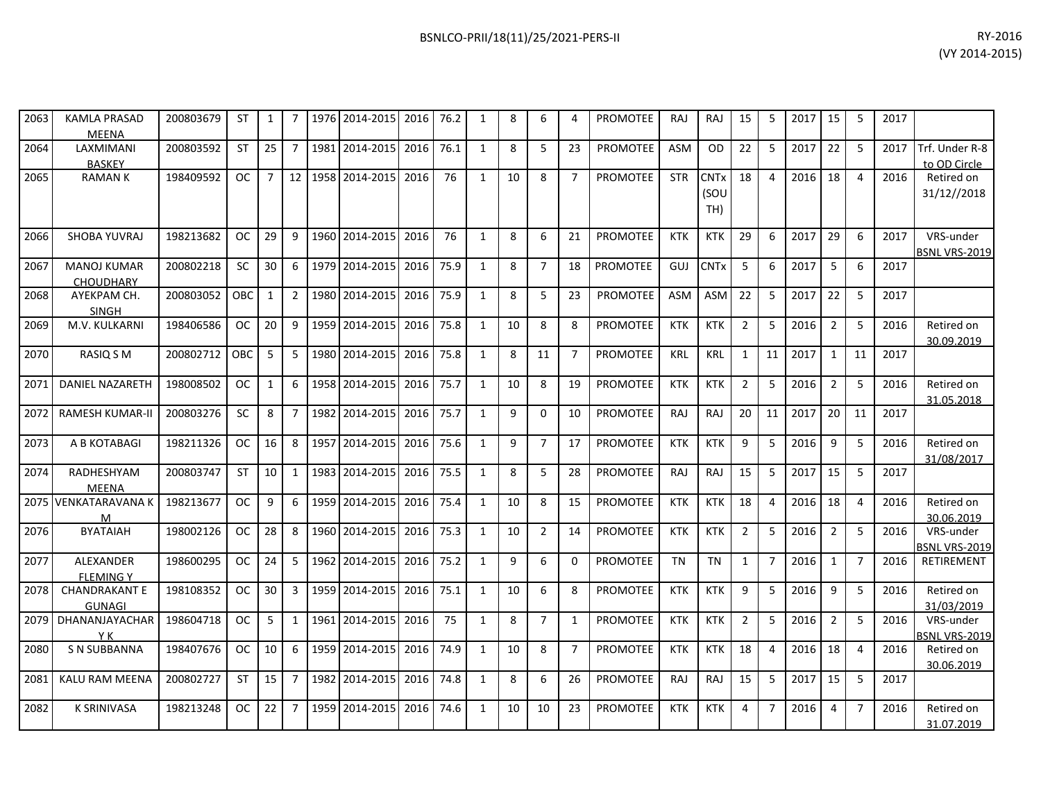| 2063 | <b>KAMLA PRASAD</b><br><b>MEENA</b> | 200803679 | ST         | 1              | 7               |      | 1976 2014-2015 | 2016 76.2 |      | 1            | 8  | 6              | 4              | <b>PROMOTEE</b> | RAJ        | <b>RAJ</b>  | 15             | 5              | 2017   15 |                | -5             | 2017 |                                           |
|------|-------------------------------------|-----------|------------|----------------|-----------------|------|----------------|-----------|------|--------------|----|----------------|----------------|-----------------|------------|-------------|----------------|----------------|-----------|----------------|----------------|------|-------------------------------------------|
| 2064 | LAXMIMANI                           | 200803592 | <b>ST</b>  | 25             | $\overline{7}$  |      | 1981 2014-2015 | 2016      | 76.1 | 1            | 8  | 5              | 23             | <b>PROMOTEE</b> | <b>ASM</b> | <b>OD</b>   | 22             | 5              | 2017      | 22             | 5              | 2017 | Trf. Under R-8                            |
|      | <b>BASKEY</b>                       |           |            |                |                 |      |                |           |      |              |    |                |                |                 |            |             |                |                |           |                |                |      | to OD Circle                              |
| 2065 | <b>RAMANK</b>                       | 198409592 | OC.        | $\overline{7}$ | 12 <sup>1</sup> |      | 1958 2014-2015 | 2016      | 76   | 1            | 10 | 8              | $\overline{7}$ | PROMOTEE        | <b>STR</b> | <b>CNTx</b> | 18             | 4              | 2016      | 18             | $\overline{4}$ | 2016 | Retired on                                |
|      |                                     |           |            |                |                 |      |                |           |      |              |    |                |                |                 |            | (SOU        |                |                |           |                |                |      | 31/12//2018                               |
|      |                                     |           |            |                |                 |      |                |           |      |              |    |                |                |                 |            | TH)         |                |                |           |                |                |      |                                           |
| 2066 | SHOBA YUVRAJ                        | 198213682 | OC.        | 29             | $\mathsf{q}$    |      | 1960 2014-2015 | 2016      | 76   | 1            | 8  | 6              | 21             | <b>PROMOTEE</b> | <b>KTK</b> | <b>KTK</b>  | 29             | 6              | 2017      | 29             | 6              | 2017 | VRS-under                                 |
|      |                                     |           |            |                |                 |      |                |           |      |              |    |                |                |                 |            |             |                |                |           |                |                |      | BSNL VRS-2019                             |
| 2067 | <b>MANOJ KUMAR</b>                  | 200802218 | <b>SC</b>  | 30             | 6               | 1979 | 2014-2015      | 2016      | 75.9 | $\mathbf{1}$ | 8  | $\overline{7}$ | 18             | PROMOTEE        | GUJ        | <b>CNTx</b> | 5              | 6              | 2017      | 5              | 6              | 2017 |                                           |
|      | <b>CHOUDHARY</b>                    |           |            |                |                 |      |                |           |      |              |    |                |                |                 |            |             |                |                |           |                |                |      |                                           |
| 2068 | AYEKPAM CH.                         | 200803052 | <b>OBC</b> | $\mathbf{1}$   | $2^{\circ}$     |      | 1980 2014-2015 | 2016 75.9 |      | 1            | 8  | 5              | 23             | <b>PROMOTEE</b> | <b>ASM</b> | ASM         | 22             | 5              | 2017      | 22             | 5              | 2017 |                                           |
|      | <b>SINGH</b>                        |           | <b>OC</b>  | 20             | 9               |      | 1959 2014-2015 | 2016      | 75.8 | 1            |    | 8              | 8              | <b>PROMOTEE</b> |            |             |                |                |           | $\overline{2}$ | 5              |      | Retired on                                |
| 2069 | M.V. KULKARNI                       | 198406586 |            |                |                 |      |                |           |      |              | 10 |                |                |                 | <b>KTK</b> | <b>KTK</b>  | $\overline{2}$ | 5              | 2016      |                |                | 2016 | 30.09.2019                                |
| 2070 | RASIQ S M                           | 200802712 | OBC        | 5              | $5^{\circ}$     |      | 1980 2014-2015 | 2016      | 75.8 | $\mathbf{1}$ | 8  | 11             | $\overline{7}$ | <b>PROMOTEE</b> | <b>KRL</b> | <b>KRL</b>  | $\mathbf{1}$   | 11             | 2017      | 1              | 11             | 2017 |                                           |
|      |                                     |           |            |                |                 |      |                |           |      |              |    |                |                |                 |            |             |                |                |           |                |                |      |                                           |
| 2071 | DANIEL NAZARETH                     | 198008502 | <b>OC</b>  | $\mathbf{1}$   | 6               |      | 1958 2014-2015 | 2016      | 75.7 | $\mathbf{1}$ | 10 | 8              | 19             | <b>PROMOTEE</b> | <b>KTK</b> | <b>KTK</b>  | $\overline{2}$ | 5              | 2016      | $\overline{2}$ | 5              | 2016 | Retired on                                |
|      |                                     |           |            |                |                 |      |                |           |      |              |    |                |                |                 |            |             |                |                |           |                |                |      | 31.05.2018                                |
| 2072 | <b>RAMESH KUMAR-II</b>              | 200803276 | <b>SC</b>  | 8              | $7^{\circ}$     |      | 1982 2014-2015 | 2016      | 75.7 | 1            | 9  | $\Omega$       | 10             | <b>PROMOTEE</b> | RAJ        | <b>RAJ</b>  | 20             | 11             | 2017      | 20             | 11             | 2017 |                                           |
| 2073 | A B KOTABAGI                        | 198211326 | <b>OC</b>  | 16             | 8               | 1957 | 2014-2015      | 2016      | 75.6 | 1            | 9  | $\overline{7}$ | 17             | PROMOTEE        | <b>KTK</b> | <b>KTK</b>  | 9              | 5              | 2016      | 9              | 5              | 2016 | Retired on                                |
|      |                                     |           |            |                |                 |      |                |           |      |              |    |                |                |                 |            |             |                |                |           |                |                |      | 31/08/2017                                |
| 2074 | RADHESHYAM                          | 200803747 | <b>ST</b>  | 10             | $\mathbf{1}$    | 1983 | 2014-2015      | 2016      | 75.5 | 1            | 8  | 5              | 28             | PROMOTEE        | RAJ        | RAJ         | 15             | 5              | 2017      | 15             | 5              | 2017 |                                           |
|      | <b>MEENA</b>                        |           |            |                |                 |      |                |           |      |              |    |                |                |                 |            |             |                |                |           |                |                |      |                                           |
|      | 2075 VENKATARAVANA K                | 198213677 | <b>OC</b>  | 9              | 6               |      | 1959 2014-2015 | 2016      | 75.4 | 1            | 10 | 8              | 15             | PROMOTEE        | <b>KTK</b> | <b>KTK</b>  | 18             | 4              | 2016      | 18             | $\overline{4}$ | 2016 | Retired on                                |
|      | M                                   |           |            |                |                 |      |                |           |      |              |    |                |                |                 |            |             |                |                |           |                |                |      | 30.06.2019                                |
| 2076 | <b>BYATAIAH</b>                     | 198002126 | <b>OC</b>  | 28             | 8               |      | 1960 2014-2015 | 2016      | 75.3 | $\mathbf{1}$ | 10 | $\overline{2}$ | 14             | PROMOTEE        | <b>KTK</b> | <b>KTK</b>  | $\overline{2}$ | 5              | 2016      | $\overline{2}$ | 5              | 2016 | VRS-under                                 |
| 2077 | <b>ALEXANDER</b>                    | 198600295 | OC.        | 24             | 5               |      | 1962 2014-2015 | 2016      | 75.2 | 1            | 9  | 6              | 0              | <b>PROMOTEE</b> | <b>TN</b>  | <b>TN</b>   | 1              | $\overline{7}$ | 2016      | $\mathbf{1}$   | $\overline{7}$ | 2016 | <b>BSNL VRS-2019</b><br><b>RETIREMENT</b> |
|      | <b>FLEMING Y</b>                    |           |            |                |                 |      |                |           |      |              |    |                |                |                 |            |             |                |                |           |                |                |      |                                           |
| 2078 | <b>CHANDRAKANT E</b>                | 198108352 | <b>OC</b>  | 30             | $\mathbf{3}$    |      | 1959 2014-2015 | 2016      | 75.1 | 1            | 10 | 6              | 8              | <b>PROMOTEE</b> | <b>KTK</b> | <b>KTK</b>  | 9              | 5              | 2016      | 9              | 5              | 2016 | Retired on                                |
|      | <b>GUNAGI</b>                       |           |            |                |                 |      |                |           |      |              |    |                |                |                 |            |             |                |                |           |                |                |      | 31/03/2019                                |
| 2079 | DHANANJAYACHAR                      | 198604718 | <b>OC</b>  | 5              | $\mathbf{1}$    |      | 1961 2014-2015 | 2016      | 75   | $\mathbf{1}$ | 8  | $\overline{7}$ | 1              | PROMOTEE        | <b>KTK</b> | <b>KTK</b>  | $\overline{2}$ | 5              | 2016      | $\overline{2}$ | 5              | 2016 | VRS-under                                 |
|      | Y K                                 |           |            |                |                 |      |                |           |      |              |    |                |                |                 |            |             |                |                |           |                |                |      | <b>BSNL VRS-2019</b>                      |
| 2080 | <b>S N SUBBANNA</b>                 | 198407676 | <b>OC</b>  | 10             | 6               |      | 1959 2014-2015 | 2016      | 74.9 | 1            | 10 | 8              | $\overline{7}$ | <b>PROMOTEE</b> | <b>KTK</b> | <b>KTK</b>  | 18             | 4              | 2016      | 18             | $\overline{4}$ | 2016 | Retired on                                |
|      |                                     |           |            |                |                 |      |                |           |      |              |    |                |                |                 |            |             |                |                |           |                |                |      | 30.06.2019                                |
| 2081 | KALU RAM MEENA                      | 200802727 | <b>ST</b>  | 15             | $\overline{7}$  |      | 1982 2014-2015 | 2016      | 74.8 | 1            | 8  | 6              | 26             | PROMOTEE        | <b>RAJ</b> | RAJ         | 15             | 5              | 2017      | 15             | 5              | 2017 |                                           |
| 2082 | <b>K SRINIVASA</b>                  | 198213248 | OC.        | 22             | $\overline{7}$  |      | 1959 2014-2015 | 2016      | 74.6 | 1            | 10 | 10             | 23             | PROMOTEE        | <b>KTK</b> | <b>KTK</b>  | 4              | $\overline{7}$ | 2016      | 4              | $\overline{7}$ | 2016 | Retired on                                |
|      |                                     |           |            |                |                 |      |                |           |      |              |    |                |                |                 |            |             |                |                |           |                |                |      | 31.07.2019                                |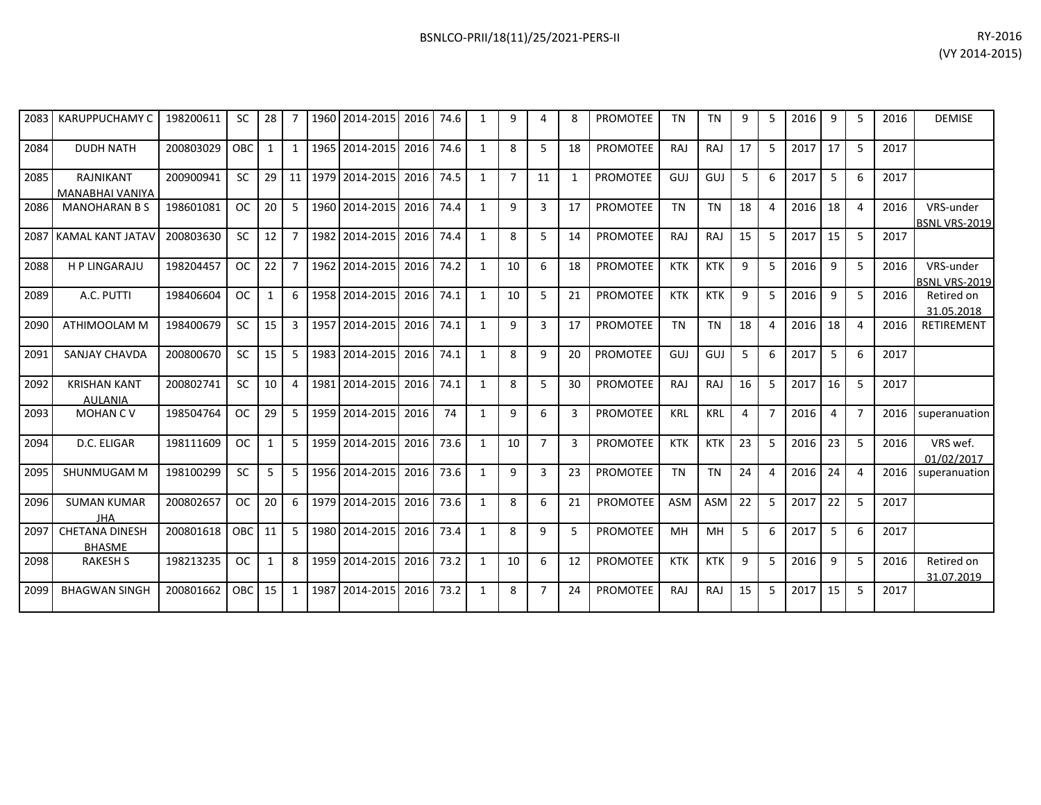| 2083 | <b>KARUPPUCHAMY C</b>                  | 198200611 | <b>SC</b>  | 28           | 7              |      | 1960 2014-2015 | 2016 | 74.6 | 1            | 9              | 4              | 8  | <b>PROMOTEE</b> | <b>TN</b>  | <b>TN</b>  | 9  | 5                     | 2016 | 9              | -5             | 2016 | <b>DEMISE</b>                     |
|------|----------------------------------------|-----------|------------|--------------|----------------|------|----------------|------|------|--------------|----------------|----------------|----|-----------------|------------|------------|----|-----------------------|------|----------------|----------------|------|-----------------------------------|
| 2084 | <b>DUDH NATH</b>                       | 200803029 | <b>OBC</b> | $\mathbf{1}$ | $\mathbf{1}$   |      | 1965 2014-2015 | 2016 | 74.6 | $\mathbf{1}$ | 8              | 5              | 18 | <b>PROMOTEE</b> | <b>RAJ</b> | <b>RAJ</b> | 17 | -5                    | 2017 | 17             | -5             | 2017 |                                   |
| 2085 | RAJNIKANT<br>MANABHAI VANIYA           | 200900941 | <b>SC</b>  | 29           | 11             |      | 1979 2014-2015 | 2016 | 74.5 | 1            | $\overline{7}$ | 11             | -1 | <b>PROMOTEE</b> | GUJ        | GUJ        | 5  | 6                     | 2017 | 5              | 6              | 2017 |                                   |
| 2086 | <b>MANOHARAN B S</b>                   | 198601081 | <b>OC</b>  | 20           | 5              |      | 1960 2014-2015 | 2016 | 74.4 | $\mathbf{1}$ | 9              | 3              | 17 | PROMOTEE        | <b>TN</b>  | <b>TN</b>  | 18 | $\Delta$              | 2016 | 18             | $\overline{4}$ | 2016 | VRS-under<br><b>BSNL VRS-2019</b> |
| 2087 | <b>KAMAL KANT JATAV</b>                | 200803630 | <b>SC</b>  | 12           |                |      | 1982 2014-2015 | 2016 | 74.4 | $\mathbf{1}$ | 8              | 5              | 14 | <b>PROMOTEE</b> | RAJ        | <b>RAJ</b> | 15 | 5                     | 2017 | 15             | 5              | 2017 |                                   |
| 2088 | <b>HP LINGARAJU</b>                    | 198204457 | <b>OC</b>  | 22           | $\overline{7}$ |      | 1962 2014-2015 | 2016 | 74.2 | 1            | 10             | 6              | 18 | <b>PROMOTEE</b> | <b>KTK</b> | <b>KTK</b> | 9  | -5                    | 2016 | 9              | -5             | 2016 | VRS-under<br><b>BSNL VRS-2019</b> |
| 2089 | A.C. PUTTI                             | 198406604 | <b>OC</b>  | $\mathbf{1}$ | 6              |      | 1958 2014-2015 | 2016 | 74.1 | $\mathbf{1}$ | 10             | 5              | 21 | <b>PROMOTEE</b> | <b>KTK</b> | <b>KTK</b> | 9  | 5                     | 2016 | 9              | 5              | 2016 | Retired on<br>31.05.2018          |
| 2090 | ATHIMOOLAM M                           | 198400679 | <b>SC</b>  | 15           | 3              |      | 1957 2014-2015 | 2016 | 74.1 | 1            | 9              | 3              | 17 | <b>PROMOTEE</b> | <b>TN</b>  | <b>TN</b>  | 18 | 4                     | 2016 | 18             | $\overline{4}$ | 2016 | RETIREMENT                        |
| 2091 | <b>SANJAY CHAVDA</b>                   | 200800670 | <b>SC</b>  | 15           | 5              |      | 1983 2014-2015 | 2016 | 74.1 | 1            | 8              | 9              | 20 | <b>PROMOTEE</b> | GUJ        | GUJ        | 5  | 6                     | 2017 | 5              | 6              | 2017 |                                   |
| 2092 | <b>KRISHAN KANT</b><br><b>AULANIA</b>  | 200802741 | <b>SC</b>  | 10           | 4              |      | 1981 2014-2015 | 2016 | 74.1 | 1            | 8              | 5              | 30 | <b>PROMOTEE</b> | <b>RAJ</b> | RAJ        | 16 | 5                     | 2017 | 16             | -5             | 2017 |                                   |
| 2093 | <b>MOHANCV</b>                         | 198504764 | <b>OC</b>  | 29           | 5              |      | 1959 2014-2015 | 2016 | 74   | $\mathbf{1}$ | 9              | 6              | 3  | <b>PROMOTEE</b> | <b>KRL</b> | <b>KRL</b> | 4  | 7                     | 2016 | $\overline{4}$ | $\overline{7}$ | 2016 | superanuation                     |
| 2094 | D.C. ELIGAR                            | 198111609 | <b>OC</b>  | $\mathbf{1}$ | 5              |      | 1959 2014-2015 | 2016 | 73.6 | 1            | 10             | $\overline{7}$ | 3  | PROMOTEE        | <b>KTK</b> | <b>KTK</b> | 23 | -5                    | 2016 | 23             | 5              | 2016 | VRS wef.<br>01/02/2017            |
| 2095 | SHUNMUGAM M                            | 198100299 | <b>SC</b>  | 5            | 5              |      | 1956 2014-2015 | 2016 | 73.6 | 1            | 9              | 3              | 23 | <b>PROMOTEE</b> | <b>TN</b>  | <b>TN</b>  | 24 | $\boldsymbol{\Delta}$ | 2016 | 24             | $\overline{4}$ | 2016 | superanuation                     |
| 2096 | <b>SUMAN KUMAR</b><br><b>JHA</b>       | 200802657 | <b>OC</b>  | 20           | 6              | 1979 | 2014-2015      | 2016 | 73.6 | 1            | 8              | 6              | 21 | <b>PROMOTEE</b> | <b>ASM</b> | <b>ASM</b> | 22 | -5                    | 2017 | 22             | 5              | 2017 |                                   |
| 2097 | <b>CHETANA DINESH</b><br><b>BHASME</b> | 200801618 | OBC.       | 11           | 5              |      | 1980 2014-2015 | 2016 | 73.4 | 1            | 8              | 9              | 5  | <b>PROMOTEE</b> | MH         | MH         | 5  | 6                     | 2017 | 5              | 6              | 2017 |                                   |
| 2098 | <b>RAKESH S</b>                        | 198213235 | <b>OC</b>  | $\mathbf{1}$ | 8              | 1959 | 2014-2015      | 2016 | 73.2 | $\mathbf{1}$ | 10             | 6              | 12 | <b>PROMOTEE</b> | <b>KTK</b> | <b>KTK</b> | 9  | 5                     | 2016 | 9              | 5              | 2016 | Retired on<br>31.07.2019          |
| 2099 | <b>BHAGWAN SINGH</b>                   | 200801662 | <b>OBC</b> | 15           | $\mathbf{1}$   | 1987 | 2014-2015      | 2016 | 73.2 | $\mathbf{1}$ | 8              | $\overline{7}$ | 24 | <b>PROMOTEE</b> | <b>RAJ</b> | <b>RAJ</b> | 15 | 5                     | 2017 | 15             | 5              | 2017 |                                   |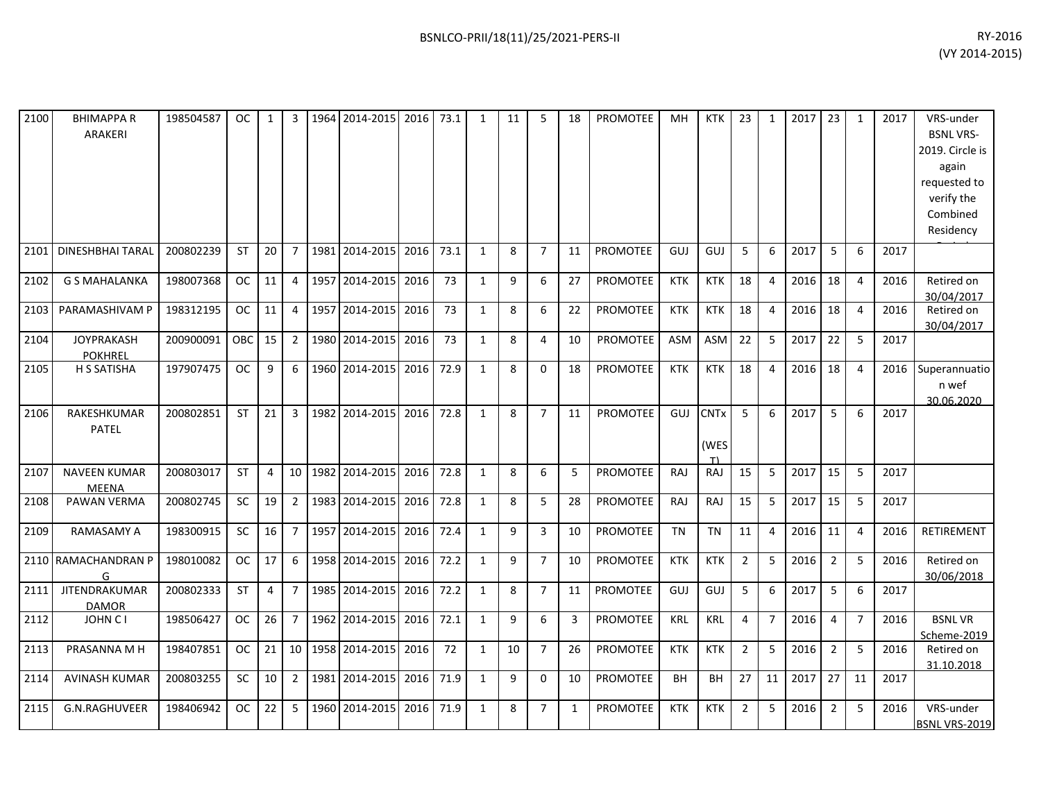| 2100 | <b>BHIMAPPAR</b><br><b>ARAKERI</b>  | 198504587 | <b>OC</b> | 1  | 3              |      | 1964 2014-2015      | 2016 | 73.1 | $\mathbf{1}$ | 11 | 5              | 18           | <b>PROMOTEE</b> | MH         | KTK                       | 23             | $\mathbf{1}$   | 2017 | 23             | 1              | 2017 | VRS-under<br><b>BSNL VRS-</b><br>2019. Circle is<br>again<br>requested to<br>verify the<br>Combined<br>Residency |
|------|-------------------------------------|-----------|-----------|----|----------------|------|---------------------|------|------|--------------|----|----------------|--------------|-----------------|------------|---------------------------|----------------|----------------|------|----------------|----------------|------|------------------------------------------------------------------------------------------------------------------|
| 2101 | <b>DINESHBHAI TARAL</b>             | 200802239 | <b>ST</b> | 20 | $\overline{7}$ | 1981 | 2014-2015           | 2016 | 73.1 | $\mathbf{1}$ | 8  | $\overline{7}$ | 11           | <b>PROMOTEE</b> | GUJ        | GUJ                       | 5              | 6              | 2017 | 5              | 6              | 2017 |                                                                                                                  |
| 2102 | <b>G S MAHALANKA</b>                | 198007368 | <b>OC</b> | 11 | $\overline{4}$ | 1957 | 2014-2015           | 2016 | 73   | $\mathbf{1}$ | 9  | 6              | 27           | <b>PROMOTEE</b> | <b>KTK</b> | KTK                       | 18             | 4              | 2016 | 18             | $\overline{4}$ | 2016 | Retired on<br>30/04/2017                                                                                         |
| 2103 | PARAMASHIVAM P                      | 198312195 | <b>OC</b> | 11 | $\overline{4}$ | 1957 | 2014-2015           | 2016 | 73   | $\mathbf{1}$ | 8  | 6              | 22           | PROMOTEE        | <b>KTK</b> | <b>KTK</b>                | 18             | 4              | 2016 | 18             | $\overline{4}$ | 2016 | Retired on<br>30/04/2017                                                                                         |
| 2104 | <b>JOYPRAKASH</b><br><b>POKHREL</b> | 200900091 | OBC       | 15 | $\overline{2}$ |      | 1980 2014-2015      | 2016 | 73   | $\mathbf{1}$ | 8  | 4              | 10           | PROMOTEE        | ASM        | ASM                       | 22             | 5              | 2017 | 22             | -5             | 2017 |                                                                                                                  |
| 2105 | H S SATISHA                         | 197907475 | <b>OC</b> | 9  | 6              |      | 1960 2014-2015 2016 |      | 72.9 | $\mathbf{1}$ | 8  | $\mathbf{0}$   | 18           | PROMOTEE        | <b>KTK</b> | <b>KTK</b>                | 18             | 4              | 2016 | 18             | $\overline{4}$ | 2016 | Superannuatio<br>n wef<br>30.06.2020                                                                             |
| 2106 | RAKESHKUMAR<br>PATEL                | 200802851 | <b>ST</b> | 21 | 3              | 1982 | 2014-2015           | 2016 | 72.8 | 1            | 8  | $\overline{7}$ | 11           | PROMOTEE        | GUJ        | <b>CNTx</b><br>(WES<br>T) | 5              | 6              | 2017 | 5              | 6              | 2017 |                                                                                                                  |
| 2107 | <b>NAVEEN KUMAR</b><br><b>MEENA</b> | 200803017 | <b>ST</b> | 4  | 10             | 1982 | 2014-2015           | 2016 | 72.8 | 1            | 8  | 6              | 5            | PROMOTEE        | RAJ        | RAJ                       | 15             | 5              | 2017 | 15             | 5              | 2017 |                                                                                                                  |
| 2108 | PAWAN VERMA                         | 200802745 | SC        | 19 | $\overline{2}$ |      | 1983 2014-2015      | 2016 | 72.8 | $\mathbf{1}$ | 8  | 5              | 28           | PROMOTEE        | RAJ        | RAJ                       | 15             | 5              | 2017 | 15             | 5              | 2017 |                                                                                                                  |
| 2109 | <b>RAMASAMY A</b>                   | 198300915 | <b>SC</b> | 16 | $\overline{7}$ | 1957 | 2014-2015           | 2016 | 72.4 | $\mathbf{1}$ | 9  | 3              | 10           | <b>PROMOTEE</b> | <b>TN</b>  | <b>TN</b>                 | 11             | 4              | 2016 | 11             | 4              | 2016 | <b>RETIREMENT</b>                                                                                                |
|      | 2110 RAMACHANDRAN P<br>G            | 198010082 | <b>OC</b> | 17 | 6              |      | 1958 2014-2015      | 2016 | 72.2 | $\mathbf{1}$ | 9  | $\overline{7}$ | 10           | <b>PROMOTEE</b> | <b>KTK</b> | <b>KTK</b>                | $\overline{2}$ | 5              | 2016 | $\overline{2}$ | 5              | 2016 | Retired on<br>30/06/2018                                                                                         |
| 2111 | JITENDRAKUMAR<br><b>DAMOR</b>       | 200802333 | <b>ST</b> | 4  | $\overline{7}$ | 1985 | 2014-2015           | 2016 | 72.2 | 1            | 8  | $\overline{7}$ | 11           | PROMOTEE        | GUJ        | GUJ                       | 5              | 6              | 2017 | 5              | 6              | 2017 |                                                                                                                  |
| 2112 | JOHN C I                            | 198506427 | OC.       | 26 | $\overline{7}$ | 1962 | 2014-2015           | 2016 | 72.1 | $\mathbf{1}$ | 9  | 6              | 3            | PROMOTEE        | <b>KRL</b> | <b>KRL</b>                | 4              | $\overline{7}$ | 2016 | 4              | $\overline{7}$ | 2016 | <b>BSNLVR</b><br>Scheme-2019                                                                                     |
| 2113 | PRASANNA M H                        | 198407851 | <b>OC</b> | 21 | 10             |      | 1958 2014-2015      | 2016 | 72   | 1            | 10 | $\overline{7}$ | 26           | PROMOTEE        | <b>KTK</b> | <b>KTK</b>                | $\overline{2}$ | 5              | 2016 | 2              | 5              | 2016 | Retired on<br>31.10.2018                                                                                         |
| 2114 | <b>AVINASH KUMAR</b>                | 200803255 | <b>SC</b> | 10 | $\overline{2}$ | 1981 | 2014-2015           | 2016 | 71.9 | 1            | 9  | $\mathbf 0$    | 10           | PROMOTEE        | <b>BH</b>  | BH                        | 27             | 11             | 2017 | 27             | 11             | 2017 |                                                                                                                  |
| 2115 | G.N.RAGHUVEER                       | 198406942 | <b>OC</b> | 22 | 5              | 1960 | 2014-2015           | 2016 | 71.9 | $\mathbf{1}$ | 8  | $\overline{7}$ | $\mathbf{1}$ | <b>PROMOTEE</b> | <b>KTK</b> | <b>KTK</b>                | $\overline{2}$ | 5              | 2016 | $\overline{2}$ | 5              | 2016 | VRS-under<br>BSNL VRS-2019                                                                                       |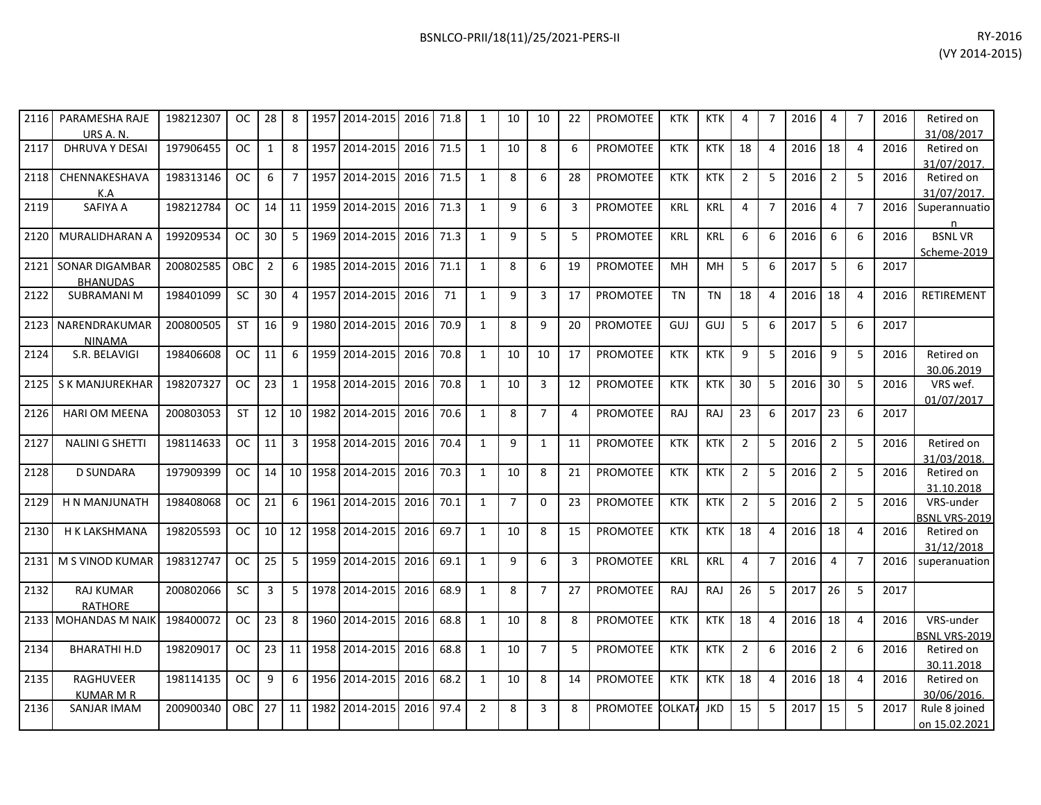| 2116 | PARAMESHA RAJE<br>URS A. N.              | 198212307 | OC.           | 28              | 8               |      | 1957 2014-2015 2016 71.8 |           |      | 1              | 10             | 10             | 22             | <b>PROMOTEE</b> | <b>KTK</b> | KTK        | 4              |                | 2016 | 4              |                | 2016 | Retired on<br>31/08/2017          |
|------|------------------------------------------|-----------|---------------|-----------------|-----------------|------|--------------------------|-----------|------|----------------|----------------|----------------|----------------|-----------------|------------|------------|----------------|----------------|------|----------------|----------------|------|-----------------------------------|
| 2117 | <b>DHRUVA Y DESAI</b>                    | 197906455 | OC.           | $\mathbf{1}$    | 8               | 1957 | 2014-2015 2016           |           | 71.5 | $\mathbf{1}$   | 10             | 8              | 6              | <b>PROMOTEE</b> | <b>KTK</b> | <b>KTK</b> | 18             | $\overline{a}$ | 2016 | 18             | $\overline{4}$ | 2016 | Retired on<br>31/07/2017.         |
| 2118 | CHENNAKESHAVA<br>K.A                     | 198313146 | OC.           | 6               | $\overline{7}$  | 1957 | 2014-2015 2016           |           | 71.5 | $\mathbf{1}$   | 8              | 6              | 28             | PROMOTEE        | <b>KTK</b> | <b>KTK</b> | $\overline{2}$ | 5              | 2016 | $\overline{2}$ | 5              | 2016 | Retired on<br>31/07/2017.         |
| 2119 | SAFIYA A                                 | 198212784 | <b>OC</b>     | 14              | 11              | 1959 | 2014-2015                | 2016 71.3 |      | $\mathbf{1}$   | 9              | 6              | 3              | <b>PROMOTEE</b> | <b>KRL</b> | <b>KRL</b> | 4              | $\overline{7}$ | 2016 | 4              | $\overline{7}$ | 2016 | Superannuatio                     |
| 2120 | MURALIDHARAN A                           | 199209534 | <b>OC</b>     | 30              | 5               | 1969 | 2014-2015                | 2016      | 71.3 | $\mathbf{1}$   | q              | 5              | 5              | <b>PROMOTEE</b> | <b>KRL</b> | <b>KRL</b> | 6              | 6              | 2016 | 6              | 6              | 2016 | <b>BSNLVR</b><br>Scheme-2019      |
| 2121 | <b>SONAR DIGAMBAR</b><br><b>BHANUDAS</b> | 200802585 | <b>OBC</b>    | $\overline{2}$  | 6               | 1985 | 2014-2015                | 2016      | 71.1 | $\mathbf{1}$   | 8              | 6              | 19             | <b>PROMOTEE</b> | MH         | MH         | 5              | 6              | 2017 | 5              | 6              | 2017 |                                   |
| 2122 | <b>SUBRAMANI M</b>                       | 198401099 | <b>SC</b>     | 30 <sup>°</sup> | 4               | 1957 | 2014-2015 2016           |           | 71   | $\mathbf{1}$   | 9              | 3              | 17             | <b>PROMOTEE</b> | <b>TN</b>  | <b>TN</b>  | 18             | 4              | 2016 | 18             | $\overline{4}$ | 2016 | RETIREMENT                        |
|      | 2123 NARENDRAKUMAR<br><b>NINAMA</b>      | 200800505 | <b>ST</b>     | 16              | 9               |      | 1980 2014-2015 2016      |           | 70.9 | $\mathbf{1}$   | 8              | 9              | 20             | <b>PROMOTEE</b> | GUJ        | GUJ        | 5              | 6              | 2017 | 5              | 6              | 2017 |                                   |
| 2124 | S.R. BELAVIGI                            | 198406608 | OC.           | 11              | 6               | 1959 | 2014-2015                | 2016      | 70.8 | $\mathbf{1}$   | 10             | 10             | 17             | <b>PROMOTEE</b> | <b>KTK</b> | <b>KTK</b> | 9              | 5              | 2016 | 9              | 5              | 2016 | Retired on<br>30.06.2019          |
| 2125 | S K MANJUREKHAR                          | 198207327 | OC.           | 23              | 1               |      | 1958 2014-2015           | 2016      | 70.8 | $\mathbf{1}$   | 10             | 3              | 12             | <b>PROMOTEE</b> | <b>KTK</b> | <b>KTK</b> | 30             | 5              | 2016 | 30             | 5              | 2016 | VRS wef.<br>01/07/2017            |
| 2126 | <b>HARI OM MEENA</b>                     | 200803053 | <b>ST</b>     | 12 <sup>1</sup> | 10 <sup>1</sup> | 1982 | 2014-2015                | 2016      | 70.6 | $\mathbf{1}$   | 8              | $\overline{7}$ | $\overline{4}$ | <b>PROMOTEE</b> | RAJ        | RAJ        | 23             | 6              | 2017 | 23             | 6              | 2017 |                                   |
| 2127 | <b>NALINI G SHETTI</b>                   | 198114633 | OC.           | 11              | 3               |      | 1958 2014-2015 2016      |           | 70.4 | $\mathbf{1}$   | 9              | $\mathbf{1}$   | 11             | PROMOTEE        | <b>KTK</b> | <b>KTK</b> | $\overline{2}$ | -5             | 2016 | $\overline{2}$ | 5              | 2016 | Retired on<br>31/03/2018.         |
| 2128 | <b>D SUNDARA</b>                         | 197909399 | OC.           | 14 <sup>1</sup> |                 |      | 10 1958 2014-2015        | 2016      | 70.3 | $\mathbf{1}$   | 10             | 8              | 21             | PROMOTEE        | <b>KTK</b> | <b>KTK</b> | 2              | 5              | 2016 | $\overline{2}$ | 5              | 2016 | Retired on<br>31.10.2018          |
| 2129 | H N MANJUNATH                            | 198408068 | OC.           | 21              | 6               |      | 1961 2014-2015           | 2016      | 70.1 | $\mathbf{1}$   | $\overline{7}$ | $\Omega$       | 23             | PROMOTEE        | <b>KTK</b> | <b>KTK</b> | $\overline{2}$ | 5              | 2016 | $\overline{2}$ | -5             | 2016 | VRS-under<br><b>BSNL VRS-2019</b> |
| 2130 | <b>H K LAKSHMANA</b>                     | 198205593 | OC.           | 10 <sup>1</sup> | 12              |      | 1958 2014-2015           | 2016      | 69.7 | $\mathbf{1}$   | 10             | 8              | 15             | <b>PROMOTEE</b> | <b>KTK</b> | <b>KTK</b> | 18             | 4              | 2016 | 18             | $\overline{4}$ | 2016 | Retired on<br>31/12/2018          |
| 2131 | M S VINOD KUMAR                          | 198312747 | <b>OC</b>     | 25              | 5               | 1959 | 2014-2015                | 2016      | 69.1 | $\mathbf{1}$   | 9              | 6              | 3              | <b>PROMOTEE</b> | <b>KRL</b> | <b>KRL</b> | 4              | $\overline{7}$ | 2016 | $\overline{4}$ | $\overline{7}$ | 2016 | superanuation                     |
| 2132 | <b>RAJ KUMAR</b><br><b>RATHORE</b>       | 200802066 | <b>SC</b>     | $\overline{3}$  | 5               |      | 1978 2014-2015           | 2016      | 68.9 | $\mathbf{1}$   | 8              | $\overline{7}$ | 27             | <b>PROMOTEE</b> | RAJ        | RAJ        | 26             | 5              | 2017 | 26             | 5              | 2017 |                                   |
|      | 2133   MOHANDAS M NAIK                   | 198400072 | OC.           | 23              | 8               |      | 1960 2014-2015           | 2016      | 68.8 | $\mathbf{1}$   | 10             | 8              | 8              | <b>PROMOTEE</b> | <b>KTK</b> | <b>KTK</b> | 18             | 4              | 2016 | 18             | $\overline{4}$ | 2016 | VRS-under<br><b>BSNL VRS-2019</b> |
| 2134 | <b>BHARATHI H.D</b>                      | 198209017 | <sub>OC</sub> | 23 <sup>1</sup> | 11              |      | 1958 2014-2015           | 2016      | 68.8 | $\mathbf{1}$   | 10             | $\overline{7}$ | 5              | PROMOTEE        | <b>KTK</b> | <b>KTK</b> | $\overline{2}$ | 6              | 2016 | $\overline{2}$ | 6              | 2016 | Retired on<br>30.11.2018          |
| 2135 | RAGHUVEER<br><b>KUMAR M R</b>            | 198114135 | OC.           | 9               | 6               |      | 1956 2014-2015           | 2016      | 68.2 | $\mathbf{1}$   | 10             | 8              | 14             | <b>PROMOTEE</b> | <b>KTK</b> | <b>KTK</b> | 18             | $\overline{4}$ | 2016 | 18             | $\overline{4}$ | 2016 | Retired on<br>30/06/2016.         |
| 2136 | <b>SANJAR IMAM</b>                       | 200900340 | OBC I         | 27 <sup>1</sup> | 11              | 1982 | 2014-2015                | 2016      | 97.4 | $\overline{2}$ | 8              | 3              | 8              | PROMOTEE KOLKAT |            | <b>JKD</b> | 15             | 5              | 2017 | 15             | -5             | 2017 | Rule 8 joined<br>on 15.02.2021    |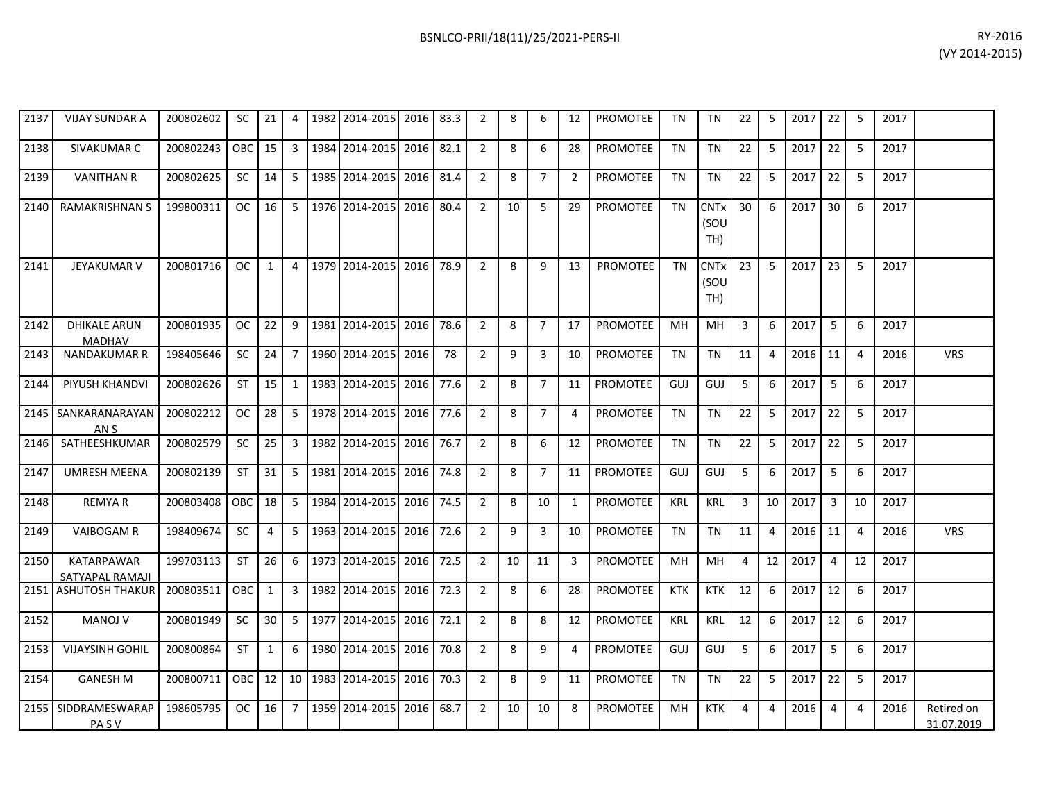| 2137 | <b>VIJAY SUNDAR A</b>                | 200802602 | <b>SC</b> | 21           | 4               |      | 1982 2014-2015 | 2016 | 83.3 | 2              | 8  | 6              | 12             | <b>PROMOTEE</b> | TN         | TN                                    | 22 | 5              | 2017 | 22             | -5             | 2017 |                          |
|------|--------------------------------------|-----------|-----------|--------------|-----------------|------|----------------|------|------|----------------|----|----------------|----------------|-----------------|------------|---------------------------------------|----|----------------|------|----------------|----------------|------|--------------------------|
| 2138 | SIVAKUMAR C                          | 200802243 | OBC       | 15           | $\mathbf{3}$    | 1984 | 2014-2015      | 2016 | 82.1 | $\overline{2}$ | 8  | 6              | 28             | <b>PROMOTEE</b> | <b>TN</b>  | <b>TN</b>                             | 22 | 5              | 2017 | 22             | 5              | 2017 |                          |
| 2139 | <b>VANITHAN R</b>                    | 200802625 | SC        | 14           | 5               |      | 1985 2014-2015 | 2016 | 81.4 | $\overline{2}$ | 8  | $\overline{7}$ | $\overline{2}$ | PROMOTEE        | <b>TN</b>  | <b>TN</b>                             | 22 | 5              | 2017 | 22             | 5              | 2017 |                          |
| 2140 | <b>RAMAKRISHNAN S</b>                | 199800311 | <b>OC</b> | 16           | 5 <sup>1</sup>  |      | 1976 2014-2015 | 2016 | 80.4 | $\overline{2}$ | 10 | 5              | 29             | <b>PROMOTEE</b> | <b>TN</b>  | <b>CNTx</b><br>(SOU<br>TH)            | 30 | 6              | 2017 | 30             | 6              | 2017 |                          |
| 2141 | <b>JEYAKUMAR V</b>                   | 200801716 | <b>OC</b> | 1            | $\overline{a}$  |      | 1979 2014-2015 | 2016 | 78.9 | $\overline{2}$ | 8  | 9              | 13             | <b>PROMOTEE</b> | <b>TN</b>  | <b>CNT<sub>x</sub></b><br>(SOU<br>TH) | 23 | 5              | 2017 | 23             | 5              | 2017 |                          |
| 2142 | <b>DHIKALE ARUN</b><br><b>MADHAV</b> | 200801935 | OC.       | 22           | 9               |      | 1981 2014-2015 | 2016 | 78.6 | $\overline{2}$ | 8  | $\overline{7}$ | 17             | <b>PROMOTEE</b> | <b>MH</b>  | <b>MH</b>                             | 3  | 6              | 2017 | 5              | 6              | 2017 |                          |
| 2143 | <b>NANDAKUMAR R</b>                  | 198405646 | <b>SC</b> | 24           | $\overline{7}$  |      | 1960 2014-2015 | 2016 | 78   | 2              | 9  | 3              | 10             | <b>PROMOTEE</b> | <b>TN</b>  | <b>TN</b>                             | 11 | 4              | 2016 | 11             | $\overline{4}$ | 2016 | <b>VRS</b>               |
| 2144 | PIYUSH KHANDVI                       | 200802626 | <b>ST</b> | 15           | $\mathbf{1}$    |      | 1983 2014-2015 | 2016 | 77.6 | $\overline{2}$ | 8  | $\overline{7}$ | 11             | <b>PROMOTEE</b> | GUJ        | GUJ                                   | 5  | 6              | 2017 | 5              | 6              | 2017 |                          |
| 2145 | SANKARANARAYAN<br>AN S               | 200802212 | <b>OC</b> | 28           | 5               |      | 1978 2014-2015 | 2016 | 77.6 | 2              | 8  | $\overline{7}$ | 4              | PROMOTEE        | <b>TN</b>  | <b>TN</b>                             | 22 | 5              | 2017 | 22             | 5              | 2017 |                          |
| 2146 | SATHEESHKUMAR                        | 200802579 | <b>SC</b> | 25           | $\mathbf{3}$    | 1982 | 2014-2015      | 2016 | 76.7 | 2              | 8  | 6              | 12             | <b>PROMOTEE</b> | <b>TN</b>  | <b>TN</b>                             | 22 | 5              | 2017 | 22             | 5              | 2017 |                          |
| 2147 | <b>UMRESH MEENA</b>                  | 200802139 | <b>ST</b> | 31           | 5               |      | 1981 2014-2015 | 2016 | 74.8 | $\overline{2}$ | 8  | $\overline{7}$ | 11             | <b>PROMOTEE</b> | GUJ        | GUJ                                   | 5  | 6              | 2017 | 5              | 6              | 2017 |                          |
| 2148 | <b>REMYAR</b>                        | 200803408 | OBC       | 18           | 5 <sup>1</sup>  | 1984 | 2014-2015      | 2016 | 74.5 | $\overline{2}$ | 8  | 10             | 1              | <b>PROMOTEE</b> | <b>KRL</b> | <b>KRL</b>                            | 3  | 10             | 2017 | $\overline{3}$ | 10             | 2017 |                          |
| 2149 | <b>VAIBOGAM R</b>                    | 198409674 | <b>SC</b> | 4            | 5 <sup>1</sup>  |      | 1963 2014-2015 | 2016 | 72.6 | $\overline{2}$ | 9  | $\overline{3}$ | 10             | <b>PROMOTEE</b> | <b>TN</b>  | TN                                    | 11 | $\overline{a}$ | 2016 | 11             | $\overline{4}$ | 2016 | <b>VRS</b>               |
| 2150 | <b>KATARPAWAR</b><br>SATYAPAL RAMAJI | 199703113 | <b>ST</b> | 26           | 6               |      | 1973 2014-2015 | 2016 | 72.5 | 2              | 10 | 11             | 3              | <b>PROMOTEE</b> | MН         | <b>MH</b>                             | 4  | 12             | 2017 | $\overline{4}$ | 12             | 2017 |                          |
|      | 2151 ASHUTOSH THAKUR                 | 200803511 | OBC       | $\mathbf{1}$ | $\mathbf{3}$    |      | 1982 2014-2015 | 2016 | 72.3 | $\overline{2}$ | 8  | 6              | 28             | PROMOTEE        | <b>KTK</b> | <b>KTK</b>                            | 12 | 6              | 2017 | 12             | 6              | 2017 |                          |
| 2152 | <b>MANOJ V</b>                       | 200801949 | <b>SC</b> | 30           | 5 <sup>1</sup>  | 1977 | 2014-2015      | 2016 | 72.1 | 2              | 8  | 8              | 12             | <b>PROMOTEE</b> | <b>KRL</b> | <b>KRL</b>                            | 12 | 6              | 2017 | 12             | -6             | 2017 |                          |
| 2153 | <b>VIJAYSINH GOHIL</b>               | 200800864 | <b>ST</b> | 1            | 6               |      | 1980 2014-2015 | 2016 | 70.8 | $\overline{2}$ | 8  | 9              | 4              | <b>PROMOTEE</b> | GUJ        | GUJ                                   | 5  | 6              | 2017 | 5              | 6              | 2017 |                          |
| 2154 | <b>GANESH M</b>                      | 200800711 | OBC       | 12           | 10 <sup>1</sup> |      | 1983 2014-2015 | 2016 | 70.3 | 2              | 8  | 9              | 11             | PROMOTEE        | <b>TN</b>  | <b>TN</b>                             | 22 | 5              | 2017 | 22             | 5              | 2017 |                          |
| 2155 | SIDDRAMESWARAP<br><b>PASV</b>        | 198605795 | OC.       | 16           | $\overline{7}$  |      | 1959 2014-2015 | 2016 | 68.7 | 2              | 10 | 10             | 8              | <b>PROMOTEE</b> | MН         | KTK                                   | 4  | 4              | 2016 | $\overline{4}$ | $\overline{4}$ | 2016 | Retired on<br>31.07.2019 |